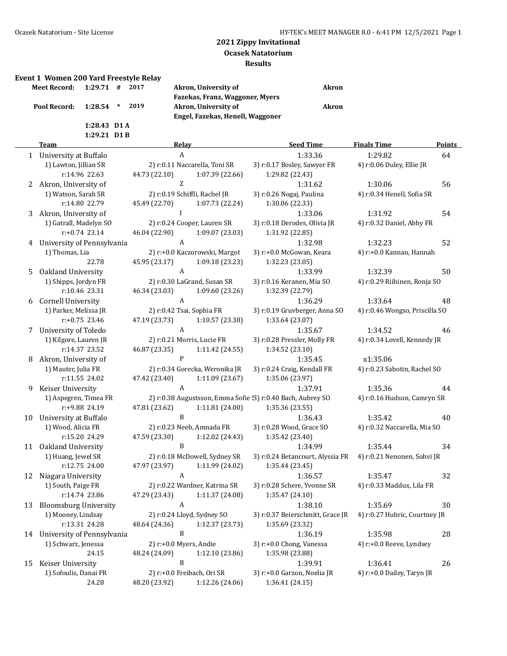#### **Event 1 Women 200 Yard Freestyle Relay**

| Meet Record: 1:29.71 # 2017 |                |  | Akro  |
|-----------------------------|----------------|--|-------|
|                             |                |  | Fazel |
| Pool Record: 1:28.54 * 2019 |                |  | Akro  |
|                             |                |  | Enge  |
|                             | $1:28.43$ D1 A |  |       |
|                             | $1:29.21$ D1B  |  |       |

**n**, University of **Akron Fazekas, Franz, Waggoner, Myers Pool Record: 1:28.54 \* 2019 Akron, University of Akron Engel, Fazekas, Henell, Waggoner**

#### **Team Relay Seed Time Finals Time Points** 1 University at Buffalo 2012 A 2:33.36 1:29.82 64 1) Lawton, Jillian SR 2) r:0.11 Naccarella, Toni SR 3) r:0.17 Bosley, Sawyer FR 4) r:0.06 Duley, Ellie JR r:14.96 22.63 44.73 (22.10) 1:07.39 (22.66) 1:29.82 (22.43) 2 Akron, University of 2 2 1:31.62 1:31.62 1:30.06 56 1) Watson, Sarah SR 2) r:0.19 Schiffli, Rachel JR 3) r:0.26 Nogaj, Paulina 4) r:0.34 Henell, Sofia SR r:14.80 22.79 45.49 (22.70) 1:07.73 (22.24) 1:30.06 (22.33) 3 Akron, University of I 1:33.06 1:31.92 54 1) Gatrall, Madelyn SO 2) r:0.24 Cooper, Lauren SR 3) r:0.18 Derodes, Olivia JR 4) r:0.32 Daniel, Abby FR r:+0.74 23.14 46.04 (22.90) 1:09.07 (23.03) 1:31.92 (22.85) 4 University of Pennsylvania  $A$  1:32.98 1:32.23 52 1) Thomas, Lia 2) r:+0.0 Kaczorowski, Margot 3) r:+0.0 McGowan, Keara 4) r:+0.0 Kannan, Hannah 22.78 45.95 (23.17) 1:09.18 (23.23) 1:32.23 (23.05) 5 Oakland University A 1:33.99 1:32.39 50 1) Shipps, Jordyn FR 2) r:0.30 LaGrand, Susan SR 3) r:0.16 Keranen, Mia SO 4) r:0.29 Riihinen, Ronja SO r:10.46 23.31 46.34 (23.03) 1:09.60 (23.26) 1:32.39 (22.79) 6 Cornell University A 1:36.29 1:33.64 48 1) Parker, Melissa JR 2) r:0.42 Tsai, Sophia FR 3) r:0.19 Gruvberger, Anna SO 4) r:0.46 Wongso, Priscilla SO r:+0.75 23.46 47.19 (23.73) 1:10.57 (23.38) 1:33.64 (23.07) 7 University of Toledo  $A$  A 1:35.67 1:34.52 46 1) Kilgore, Lauren JR 2) r:0.21 Morris, Lucie FR 3) r:0.28 Pressler, Molly FR 4) r:0.34 Lovell, Kennedy JR r:14.37 23.52 46.87 (23.35) 1:11.42 (24.55) 1:34.52 (23.10) 8 Akron, University of P 1:35.45 x1:35.06 1) Mauter, Julia FR 2) r:0.34 Gorecka, Weronika JR 3) r:0.24 Craig, Kendall FR 4) r:0.23 Sabotin, Rachel SO r:11.55 24.02 47.42 (23.40) 1:11.09 (23.67) 1:35.06 (23.97) 9 Keiser University A 1:37.91 1:35.36 44 1) Aspegren, Timea FR 2) r:0.38 Augustsson, Emma Sofie (3) r:0.40 Bach, Aubrey SO 4) r:0.16 Hudson, Camryn SR r:+9.88 24.19 47.81 (23.62) 1:11.81 (24.00) 1:35.36 (23.55) 10 University at Buffalo **1:35.42** 1:35.42 **1:35.42** 10 University at Buffalo **1:35.42 1:35.42** 1) Wood, Alicia FR 2) r:0.23 Neeb, Amnada FR 3) r:0.28 Wood, Grace SO 4) r:0.32 Naccarella, Mia SO r:15.20 24.29 47.59 (23.30) 1:12.02 (24.43) 1:35.42 (23.40) 11 Oakland University B B 1:34.99 1:35.44 34 1) Huang, Jewel SR 2) r:0.18 McDowell, Sydney SR 3) r:0.24 Betancourt, Alyssia FR 4) r:0.21 Nenonen, Sohvi JR r:12.75 24.00 47.97 (23.97) 1:11.99 (24.02) 1:35.44 (23.45) 12 Niagara University A 1:36.57 1:35.47 32 1) South, Paige FR 2) r:0.22 Wardner, Katrina SR 3) r:0.28 Schere, Yvonne SR 4) r:0.33 Maddux, Lila FR r:14.74 23.86 47.29 (23.43) 1:11.37 (24.08) 1:35.47 (24.10) 13 Bloomsburg University  $A$  and  $A$  1:38.10 1:35.69 30 1) Mooney, Lindsay 2) r:0.24 Lloyd, Sydney SO 3) r:0.37 Beierschmitt, Grace JR 4) r:0.27 Hubric, Courtney JR r:13.31 24.28 48.64 (24.36) 1:12.37 (23.73) 1:35.69 (23.32) 14 University of Pennsylvania B 1:36.19 1:35.98 28 1) Schwarz, Jenessa 2) r:+0.0 Myers, Andie 3) r:+0.0 Chong, Vanessa 4) r:+0.0 Reeve, Lyndsey 24.15 48.24 (24.09) 1:12.10 (23.86) 1:35.98 (23.88) 15 Keiser University B 1:39.91 1:36.41 26 1) Sofoulis, Danai FR 2) r:+0.0 Freibach, Ori SR 3) r:+0.0 Garzon, Noelia JR 4) r:+0.0 Dailey, Taryn JR 24.28 48.20 (23.92) 1:12.26 (24.06) 1:36.41 (24.15)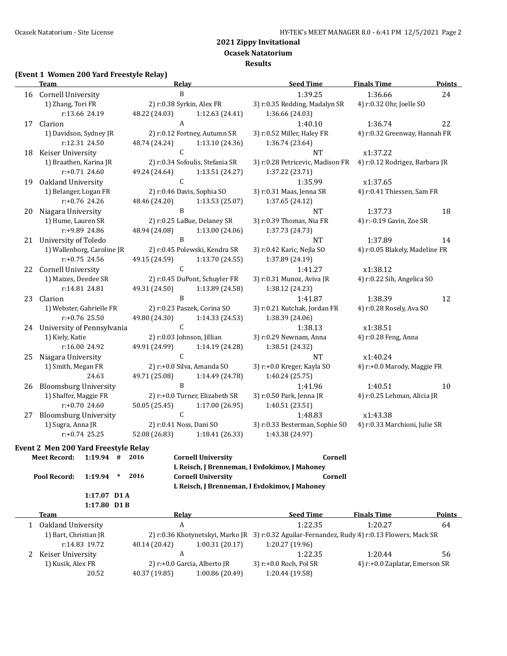#### **Ocasek Natatorium**

**Results**

### **(Event 1 Women 200 Yard Freestyle Relay)**

|    | <b>Team</b>                                           | <b>Relay</b>                                                   | <b>Seed Time</b>                                                | <b>Finals Time</b>             | <b>Points</b> |
|----|-------------------------------------------------------|----------------------------------------------------------------|-----------------------------------------------------------------|--------------------------------|---------------|
|    | 16 Cornell University                                 | B                                                              | 1:39.25                                                         | 1:36.66                        | 24            |
|    | 1) Zhang, Tori FR                                     | 2) r:0.38 Syrkin, Alex FR                                      | 3) r:0.35 Redding, Madalyn SR                                   | 4) r:0.32 Ohr, Joelle SO       |               |
|    | r:13.66 24.19                                         | 48.22 (24.03)<br>1:12.63 (24.41)                               | 1:36.66 (24.03)                                                 |                                |               |
| 17 | Clarion                                               | A                                                              | 1:40.10                                                         | 1:36.74                        | 22            |
|    | 1) Davidson, Sydney JR                                | 2) r:0.12 Fortney, Autumn SR                                   | 3) r:0.52 Miller, Haley FR                                      | 4) r:0.32 Greenway, Hannah FR  |               |
|    | r:12.31 24.50                                         | 48.74 (24.24)<br>1:13.10 (24.36)                               | 1:36.74 (23.64)                                                 |                                |               |
| 18 | Keiser University                                     | $\mathsf{C}$                                                   | NT                                                              | x1:37.22                       |               |
|    | 1) Braathen, Karina JR                                | 2) r:0.34 Sofoulis, Stefania SR                                | 3) r:0.28 Petricevic, Madison FR 4) r:0.12 Rodrigez, Barbara JR |                                |               |
|    | r:+0.71 24.60                                         | 1:13.51 (24.27)<br>49.24 (24.64)                               | 1:37.22 (23.71)                                                 |                                |               |
| 19 | Oakland University                                    | $\mathsf{C}$                                                   | 1:35.99                                                         | x1:37.65                       |               |
|    | 1) Belanger, Logan FR                                 | 2) r:0.46 Davis, Sophia SO                                     | 3) r:0.31 Maas, Jenna SR                                        | 4) r:0.41 Thiessen, Sam FR     |               |
|    | r:+0.76 24.26                                         | 48.46 (24.20)<br>1:13.53 (25.07)                               | 1:37.65 (24.12)                                                 |                                |               |
| 20 | Niagara University                                    | $\, {\bf B}$                                                   | <b>NT</b>                                                       | 1:37.73                        | 18            |
|    | 1) Hume, Lauren SR                                    | 2) r:0.25 LaBue, Delaney SR                                    | 3) r:0.39 Thomas, Nia FR                                        | 4) r:-0.19 Gavin, Zoe SR       |               |
|    | r:+9.89 24.86                                         | 48.94 (24.08)<br>1:13.00 (24.06)                               | 1:37.73 (24.73)                                                 |                                |               |
|    | 21 University of Toledo                               | $\mathbf B$                                                    | NT                                                              | 1:37.89                        | 14            |
|    | 1) Wallenborg, Caroline JR                            | 2) r:0.45 Polewski, Kendra SR                                  | 3) r:0.42 Karic, Nejla SO                                       | 4) r:0.05 Blakely, Madeline FR |               |
|    | $r: +0.75$ 24.56                                      | 49.15 (24.59)<br>1:13.70 (24.55)                               | 1:37.89 (24.19)                                                 |                                |               |
|    | 22 Cornell University                                 | $\mathsf{C}$                                                   | 1:41.27                                                         | x1:38.12                       |               |
|    | 1) Maizes, Deedee SR                                  | 2) r:0.45 DuPont, Schuyler FR                                  | 3) r:0.31 Munoz, Aviva JR                                       | 4) r:0.22 Sih, Angelica SO     |               |
|    | r:14.81 24.81                                         | 49.31 (24.50)<br>1:13.89 (24.58)                               | 1:38.12 (24.23)                                                 |                                |               |
| 23 | Clarion                                               | $\mathbf B$                                                    | 1:41.87                                                         | 1:38.39                        | 12            |
|    | 1) Webster, Gabrielle FR                              | 2) r:0.23 Paszek, Corina SO                                    | 3) r:0.21 Kutchak, Jordan FR                                    | 4) r:0.28 Rosely, Ava SO       |               |
|    | $r: +0.76$ 25.50                                      | 49.80 (24.30)<br>1:14.33 (24.53)                               | 1:38.39 (24.06)                                                 |                                |               |
|    | 24 University of Pennsylvania                         | $\mathsf{C}$                                                   | 1:38.13                                                         | x1:38.51                       |               |
|    | 1) Kiely, Katie                                       | 2) r:0.03 Johnson, Jillian                                     | 3) r:0.29 Newnam, Anna                                          | 4) r:0.28 Feng, Anna           |               |
|    | r:16.00 24.92                                         | 49.91 (24.99)<br>1:14.19 (24.28)<br>$\mathsf{C}$               | 1:38.51 (24.32)                                                 |                                |               |
| 25 | Niagara University                                    |                                                                | NT                                                              | x1:40.24                       |               |
|    | 1) Smith, Megan FR<br>24.63                           | 2) r:+0.0 Silva, Amanda SO<br>49.71 (25.08)<br>1:14.49 (24.78) | 3) r:+0.0 Kreger, Kayla SO<br>1:40.24 (25.75)                   | 4) r:+0.0 Marody, Maggie FR    |               |
| 26 |                                                       | $\, {\bf B}$                                                   | 1:41.96                                                         | 1:40.51                        | 10            |
|    | <b>Bloomsburg University</b><br>1) Shaffer, Maggie FR | 2) r:+0.0 Turner, Elizabeth SR                                 | 3) r:0.50 Park, Jenna JR                                        | 4) r:0.25 Lehman, Alicia JR    |               |
|    | r:+0.70 24.60                                         | 50.05 (25.45)<br>1:17.00 (26.95)                               | 1:40.51 (23.51)                                                 |                                |               |
| 27 | <b>Bloomsburg University</b>                          | $\mathsf C$                                                    | 1:48.83                                                         | x1:43.38                       |               |
|    | 1) Sugra, Anna JR                                     | 2) r:0.41 Noss, Dani SO                                        | 3) r:0.33 Besterman, Sophie SO                                  | 4) r:0.33 Marchioni, Julie SR  |               |
|    | $r: +0.74$ 25.25                                      | 52.08 (26.83)<br>1:18.41 (26.33)                               | 1:43.38 (24.97)                                                 |                                |               |
|    | Event 2 Men 200 Yard Freestyle Relay                  |                                                                |                                                                 |                                |               |
|    | <b>Meet Record:</b><br>$1:19.94$ #                    | 2016<br><b>Cornell University</b>                              | Cornell                                                         |                                |               |
|    |                                                       |                                                                | L Reisch, J Brenneman, I Evdokimov, J Mahoney                   |                                |               |
|    | 1:19.94<br>Pool Record:<br>$\ast$                     | 2016<br><b>Cornell University</b>                              | Cornell                                                         |                                |               |
|    |                                                       |                                                                | L Reisch, J Brenneman, I Evdokimov, J Mahoney                   |                                |               |
|    | 1:17.07 D1 A                                          |                                                                |                                                                 |                                |               |
|    | 1:17.80 D1 B                                          |                                                                |                                                                 |                                |               |
|    | <b>Team</b>                                           | <b>Relay</b>                                                   | <b>Seed Time</b>                                                | <b>Finals Time</b>             | <b>Points</b> |
|    | 1 Oakland University                                  | A                                                              | 1:22.35                                                         | 1:20.27                        | 64            |

| Uakianu University    |                                                                                               |                              | 1:22.35                | 1:40.47                        | D4 |
|-----------------------|-----------------------------------------------------------------------------------------------|------------------------------|------------------------|--------------------------------|----|
| 1) Bart, Christian JR | 2) r:0.36 Khotynetskyi, Marko JR 3) r:0.32 Aguilar-Fernandez, Rudy 4) r:0.13 Flowers, Mack SR |                              |                        |                                |    |
| r:14.83 19.72         | 40.14 (20.42)                                                                                 | 1:00.31(20.17)               | 1:20.27 (19.96)        |                                |    |
| Keiser University     |                                                                                               |                              | 1:22.35                | 1:20.44                        | 56 |
| 1) Kusik, Alex FR     |                                                                                               | 2) r:+0.0 Garcia, Alberto JR | 3) r:+0.0 Roch, Pol SR | 4) r:+0.0 Zaplatar, Emerson SR |    |
| 20.52                 | 40.37 (19.85)                                                                                 | 1:00.86(20.49)               | 1:20.44 (19.58)        |                                |    |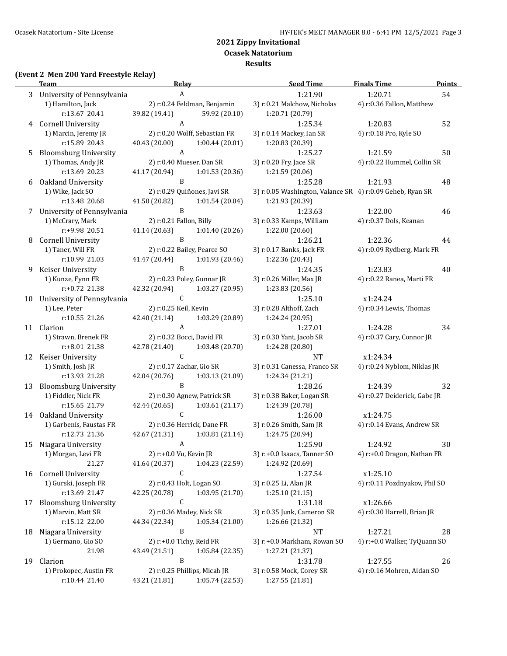**Ocasek Natatorium**

### **Results**

## **(Event 2 Men 200 Yard Freestyle Relay)**

|    | <b>Team</b>                          | <u>Relav</u>                                                   | <b>Seed Time</b>                                          | <b>Finals Time</b>            | <b>Points</b> |
|----|--------------------------------------|----------------------------------------------------------------|-----------------------------------------------------------|-------------------------------|---------------|
|    | 3 University of Pennsylvania         | A                                                              | 1:21.90                                                   | 1:20.71                       | 54            |
|    | 1) Hamilton, Jack                    | 2) r:0.24 Feldman, Benjamin                                    | 3) r:0.21 Malchow, Nicholas                               | 4) r:0.36 Fallon, Matthew     |               |
|    | r:13.67 20.41                        | 39.82 (19.41)<br>59.92 (20.10)                                 | 1:20.71 (20.79)                                           |                               |               |
| 4  | <b>Cornell University</b>            | A                                                              | 1:25.34                                                   | 1:20.83                       | 52            |
|    | 1) Marcin, Jeremy JR                 | 2) r:0.20 Wolff, Sebastian FR                                  | 3) r:0.14 Mackey, Ian SR                                  | 4) r:0.18 Pro, Kyle SO        |               |
|    | r:15.89 20.43                        | 40.43 (20.00)<br>1:00.44(20.01)                                | 1:20.83 (20.39)                                           |                               |               |
| 5  | <b>Bloomsburg University</b>         | A                                                              | 1:25.27                                                   | 1:21.59                       | 50            |
|    | 1) Thomas, Andy JR                   | 2) r:0.40 Mueser, Dan SR                                       | 3) r:0.20 Fry, Jace SR                                    | 4) r:0.22 Hummel, Collin SR   |               |
|    | r:13.69 20.23                        | 41.17 (20.94)<br>1:01.53(20.36)                                | 1:21.59 (20.06)                                           |                               |               |
| 6  | Oakland University                   | B                                                              | 1:25.28                                                   | 1:21.93                       | 48            |
|    | 1) Wike, Jack SO                     | 2) r:0.29 Quiñones, Javi SR                                    | 3) r:0.05 Washington, Valance SR 4) r:0.09 Geheb, Ryan SR |                               |               |
|    | r:13.48 20.68                        | 41.50 (20.82)<br>1:01.54(20.04)<br>B                           | 1:21.93 (20.39)                                           |                               |               |
| 7  | University of Pennsylvania           |                                                                | 1:23.63                                                   | 1:22.00                       | 46            |
|    | 1) McCrary, Mark<br>r:+9.98 20.51    | 2) r:0.21 Fallon, Billy<br>41.14 (20.63)<br>1:01.40 (20.26)    | 3) r:0.33 Kamps, William<br>1:22.00 (20.60)               | 4) r:0.37 Dols, Keanan        |               |
| 8  | Cornell University                   | B                                                              | 1:26.21                                                   | 1:22.36                       | 44            |
|    | 1) Taner, Will FR                    | 2) r:0.22 Bailey, Pearce SO                                    | 3) r:0.17 Banks, Jack FR                                  | 4) r:0.09 Rydberg, Mark FR    |               |
|    | r:10.99 21.03                        | 41.47 (20.44)<br>1:01.93 (20.46)                               | 1:22.36 (20.43)                                           |                               |               |
| 9  | Keiser University                    | B                                                              | 1:24.35                                                   | 1:23.83                       | 40            |
|    | 1) Kunze, Fynn FR                    | 2) r:0.23 Poley, Gunnar JR                                     | 3) r:0.26 Miller, Max JR                                  | 4) r:0.22 Ranea, Marti FR     |               |
|    | r:+0.72 21.38                        | 42.32 (20.94)<br>1:03.27 (20.95)                               | 1:23.83 (20.56)                                           |                               |               |
| 10 | University of Pennsylvania           | $\mathsf{C}$                                                   | 1:25.10                                                   | x1:24.24                      |               |
|    | 1) Lee, Peter                        | 2) r:0.25 Keil, Kevin                                          | 3) r:0.28 Althoff, Zach                                   | 4) r:0.34 Lewis, Thomas       |               |
|    | r:10.55 21.26                        | 42.40 (21.14)<br>1:03.29 (20.89)                               | 1:24.24 (20.95)                                           |                               |               |
|    | 11 Clarion                           | A                                                              | 1:27.01                                                   | 1:24.28                       | 34            |
|    | 1) Strawn, Brenek FR                 | 2) r:0.32 Bocci, David FR                                      | 3) r:0.30 Yant, Jacob SR                                  | 4) r:0.37 Cary, Connor JR     |               |
|    | r:+8.01 21.38                        | 42.78 (21.40)<br>1:03.48 (20.70)                               | 1:24.28 (20.80)                                           |                               |               |
|    | 12 Keiser University                 | $\mathsf{C}$                                                   | <b>NT</b>                                                 | x1:24.34                      |               |
|    | 1) Smith, Josh JR                    | 2) r:0.17 Zachar, Gio SR                                       | 3) r:0.31 Canessa, Franco SR                              | 4) r:0.24 Nyblom, Niklas JR   |               |
|    | r:13.93 21.28                        | 42.04 (20.76)<br>1:03.13 (21.09)<br>$\mathbf{B}$               | 1:24.34 (21.21)                                           |                               |               |
| 13 | <b>Bloomsburg University</b>         |                                                                | 1:28.26                                                   | 1:24.39                       | 32            |
|    | 1) Fiddler, Nick FR<br>r:15.65 21.79 | 2) r:0.30 Agnew, Patrick SR<br>42.44 (20.65)<br>1:03.61(21.17) | 3) r:0.38 Baker, Logan SR<br>1:24.39 (20.78)              | 4) r:0.27 Deiderick, Gabe JR  |               |
|    | 14 Oakland University                | $\mathsf{C}$                                                   | 1:26.00                                                   | x1:24.75                      |               |
|    | 1) Garbenis, Faustas FR              | 2) r:0.36 Herrick, Dane FR                                     | 3) r:0.26 Smith, Sam JR                                   | 4) r:0.14 Evans, Andrew SR    |               |
|    | r:12.73 21.36                        | 42.67 (21.31)<br>1:03.81 (21.14)                               | 1:24.75 (20.94)                                           |                               |               |
| 15 | Niagara University                   | A                                                              | 1:25.90                                                   | 1:24.92                       | 30            |
|    | 1) Morgan, Levi FR                   | 2) r:+0.0 Vu, Kevin JR                                         | 3) r:+0.0 Isaacs, Tanner SO                               | 4) r:+0.0 Dragon, Nathan FR   |               |
|    | 21.27                                | 41.64 (20.37)<br>1:04.23 (22.59)                               | 1:24.92 (20.69)                                           |                               |               |
| 16 | Cornell University                   | C                                                              | 1:27.54                                                   | x1:25.10                      |               |
|    | 1) Gurski, Joseph FR                 | 2) r:0.43 Holt, Logan SO                                       | 3) r:0.25 Li, Alan JR                                     | 4) r:0.11 Pozdnyakov, Phil SO |               |
|    | r:13.69 21.47                        | 42.25 (20.78)<br>1:03.95 (21.70)                               | 1:25.10(21.15)                                            |                               |               |
| 17 | <b>Bloomsburg University</b>         | C                                                              | 1:31.18                                                   | x1:26.66                      |               |
|    | 1) Marvin, Matt SR                   | 2) r:0.36 Madey, Nick SR                                       | 3) r:0.35 Junk, Cameron SR                                | 4) r:0.30 Harrell, Brian JR   |               |
|    | r:15.12 22.00                        | 44.34 (22.34)<br>1:05.34(21.00)                                | 1:26.66 (21.32)                                           |                               |               |
| 18 | Niagara University                   | B                                                              | <b>NT</b>                                                 | 1:27.21                       | 28            |
|    | 1) Germano, Gio SO                   | 2) r:+0.0 Tichy, Reid FR                                       | 3) r:+0.0 Markham, Rowan SO                               | 4) r:+0.0 Walker, TyQuann SO  |               |
|    | 21.98                                | 43.49 (21.51)<br>1:05.84 (22.35)                               | 1:27.21 (21.37)                                           |                               |               |
| 19 | Clarion                              | B                                                              | 1:31.78                                                   | 1:27.55                       | 26            |
|    | 1) Prokopec, Austin FR               | 2) r:0.25 Phillips, Micah JR                                   | 3) r:0.58 Mock, Corey SR                                  | 4) r:0.16 Mohren, Aidan SO    |               |
|    | r:10.44 21.40                        | 43.21 (21.81)<br>1:05.74 (22.53)                               | 1:27.55 (21.81)                                           |                               |               |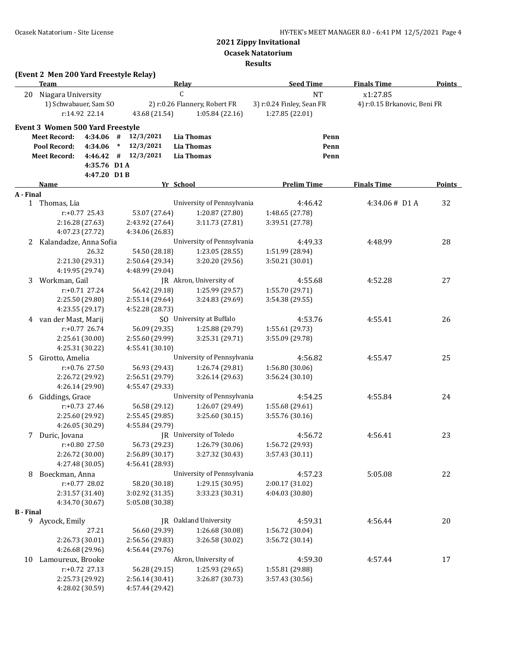#### **Ocasek Natatorium**

**Results**

|                  | (Event 2 Men 200 Yard Freestyle Relay) |                  |        |                         |              |                               |                           |      |                              |               |
|------------------|----------------------------------------|------------------|--------|-------------------------|--------------|-------------------------------|---------------------------|------|------------------------------|---------------|
|                  | Team                                   |                  |        |                         | <b>Relay</b> |                               | <b>Seed Time</b>          |      | <b>Finals Time</b>           | <b>Points</b> |
| 20               | Niagara University                     |                  |        |                         | C            |                               | <b>NT</b>                 |      | x1:27.85                     |               |
|                  | 1) Schwabauer, Sam SO                  |                  |        |                         |              | 2) r:0.26 Flannery, Robert FR | 3) r:0.24 Finley, Sean FR |      | 4) r:0.15 Brkanovic, Beni FR |               |
|                  |                                        | r:14.92 22.14    |        | 43.68 (21.54)           |              | 1:05.84(22.16)                | 1:27.85 (22.01)           |      |                              |               |
|                  | Event 3 Women 500 Yard Freestyle       |                  |        |                         |              |                               |                           |      |                              |               |
|                  | <b>Meet Record:</b>                    |                  |        | $4:34.06$ # $12/3/2021$ |              | Lia Thomas                    |                           | Penn |                              |               |
|                  | Pool Record:                           | 4:34.06          | $\ast$ | 12/3/2021               |              | <b>Lia Thomas</b>             |                           | Penn |                              |               |
|                  | <b>Meet Record:</b>                    |                  |        | $4:46.42$ # $12/3/2021$ |              | <b>Lia Thomas</b>             |                           | Penn |                              |               |
|                  |                                        | 4:35.76 D1 A     |        |                         |              |                               |                           |      |                              |               |
|                  |                                        | 4:47.20 D1B      |        |                         |              |                               |                           |      |                              |               |
|                  | Name                                   |                  |        |                         | Yr School    |                               | <b>Prelim Time</b>        |      | <b>Finals Time</b>           | <b>Points</b> |
| A - Final        |                                        |                  |        |                         |              |                               |                           |      |                              |               |
|                  | 1 Thomas, Lia                          |                  |        |                         |              | University of Pennsylvania    | 4:46.42                   |      | 4:34.06# D1 A                | 32            |
|                  |                                        | $r: +0.77$ 25.43 |        | 53.07 (27.64)           |              | 1:20.87 (27.80)               | 1:48.65 (27.78)           |      |                              |               |
|                  |                                        | 2:16.28 (27.63)  |        | 2:43.92 (27.64)         |              | 3:11.73 (27.81)               | 3:39.51 (27.78)           |      |                              |               |
|                  |                                        | 4:07.23 (27.72)  |        | 4:34.06 (26.83)         |              |                               |                           |      |                              |               |
| 2                | Kalandadze, Anna Sofia                 |                  |        |                         |              | University of Pennsylvania    | 4:49.33                   |      | 4:48.99                      | 28            |
|                  |                                        | 26.32            |        | 54.50 (28.18)           |              | 1:23.05(28.55)                | 1:51.99 (28.94)           |      |                              |               |
|                  |                                        | 2:21.30 (29.31)  |        | 2:50.64 (29.34)         |              | 3:20.20 (29.56)               | 3:50.21 (30.01)           |      |                              |               |
|                  |                                        | 4:19.95 (29.74)  |        | 4:48.99 (29.04)         |              |                               |                           |      |                              |               |
| 3                | Workman, Gail                          |                  |        |                         |              | JR Akron, University of       | 4:55.68                   |      | 4:52.28                      | 27            |
|                  |                                        | $r: +0.71$ 27.24 |        | 56.42 (29.18)           |              | 1:25.99 (29.57)               | 1:55.70 (29.71)           |      |                              |               |
|                  |                                        | 2:25.50 (29.80)  |        | 2:55.14 (29.64)         |              | 3:24.83 (29.69)               | 3:54.38 (29.55)           |      |                              |               |
|                  |                                        | 4:23.55 (29.17)  |        | 4:52.28 (28.73)         |              |                               |                           |      |                              |               |
|                  | 4 van der Mast, Marij                  |                  |        |                         |              | SO University at Buffalo      | 4:53.76                   |      | 4:55.41                      | 26            |
|                  |                                        | $r: +0.77$ 26.74 |        | 56.09 (29.35)           |              | 1:25.88 (29.79)               | 1:55.61 (29.73)           |      |                              |               |
|                  |                                        | 2:25.61 (30.00)  |        | 2:55.60 (29.99)         |              | 3:25.31 (29.71)               | 3:55.09 (29.78)           |      |                              |               |
|                  |                                        | 4:25.31 (30.22)  |        | 4:55.41 (30.10)         |              |                               |                           |      |                              |               |
| 5.               | Girotto, Amelia                        |                  |        |                         |              | University of Pennsylvania    | 4:56.82                   |      | 4:55.47                      | 25            |
|                  |                                        | r:+0.76 27.50    |        | 56.93 (29.43)           |              | 1:26.74 (29.81)               | 1:56.80 (30.06)           |      |                              |               |
|                  |                                        | 2:26.72 (29.92)  |        | 2:56.51 (29.79)         |              | 3:26.14(29.63)                | 3:56.24 (30.10)           |      |                              |               |
|                  |                                        | 4:26.14 (29.90)  |        | 4:55.47 (29.33)         |              |                               |                           |      |                              |               |
| 6                | Giddings, Grace                        |                  |        |                         |              | University of Pennsylvania    | 4:54.25                   |      | 4:55.84                      | 24            |
|                  |                                        | $r: +0.73$ 27.46 |        | 56.58 (29.12)           |              | 1:26.07 (29.49)               | 1:55.68 (29.61)           |      |                              |               |
|                  |                                        | 2:25.60 (29.92)  |        | 2:55.45 (29.85)         |              | 3:25.60(30.15)                | 3:55.76 (30.16)           |      |                              |               |
|                  |                                        | 4:26.05 (30.29)  |        | 4:55.84 (29.79)         |              |                               |                           |      |                              |               |
| 7                | Duric, Jovana                          |                  |        |                         |              | JR University of Toledo       | 4:56.72                   |      | 4:56.41                      | 23            |
|                  |                                        | r:+0.80 27.50    |        | 56.73 (29.23)           |              | 1:26.79 (30.06)               | 1:56.72 (29.93)           |      |                              |               |
|                  |                                        | 2:26.72 (30.00)  |        | 2:56.89 (30.17)         |              | 3:27.32 (30.43)               | 3:57.43 (30.11)           |      |                              |               |
|                  |                                        | 4:27.48 (30.05)  |        | 4:56.41 (28.93)         |              |                               |                           |      |                              |               |
| 8                | Boeckman, Anna                         |                  |        |                         |              | University of Pennsylvania    | 4:57.23                   |      | 5:05.08                      | 22            |
|                  |                                        | r:+0.77 28.02    |        | 58.20 (30.18)           |              | 1:29.15 (30.95)               | 2:00.17 (31.02)           |      |                              |               |
|                  |                                        | 2:31.57 (31.40)  |        | 3:02.92 (31.35)         |              | 3:33.23 (30.31)               | 4:04.03 (30.80)           |      |                              |               |
|                  |                                        | 4:34.70 (30.67)  |        | 5:05.08 (30.38)         |              |                               |                           |      |                              |               |
| <b>B</b> - Final |                                        |                  |        |                         |              |                               |                           |      |                              |               |
|                  | 9 Aycock, Emily                        |                  |        |                         |              | JR Oakland University         | 4:59.31                   |      | 4:56.44                      | 20            |
|                  |                                        | 27.21            |        | 56.60 (29.39)           |              | 1:26.68 (30.08)               | 1:56.72 (30.04)           |      |                              |               |
|                  |                                        | 2:26.73 (30.01)  |        | 2:56.56 (29.83)         |              | 3:26.58 (30.02)               | 3:56.72 (30.14)           |      |                              |               |
|                  |                                        | 4:26.68 (29.96)  |        | 4:56.44 (29.76)         |              |                               |                           |      |                              |               |
| 10               | Lamoureux, Brooke                      |                  |        |                         |              | Akron, University of          | 4:59.30                   |      | 4:57.44                      | 17            |
|                  |                                        | r:+0.72 27.13    |        | 56.28 (29.15)           |              | 1:25.93 (29.65)               | 1:55.81 (29.88)           |      |                              |               |
|                  |                                        | 2:25.73 (29.92)  |        | 2:56.14 (30.41)         |              | 3:26.87 (30.73)               | 3:57.43 (30.56)           |      |                              |               |
|                  |                                        | 4:28.02 (30.59)  |        | 4:57.44 (29.42)         |              |                               |                           |      |                              |               |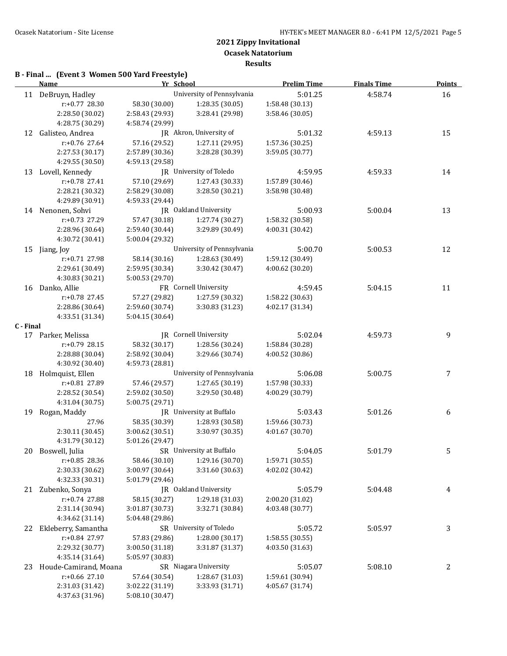## **B - Final ... (Event 3 Women 500 Yard Freestyle)**

|           | <b>Name</b>           | Yr School       |                            | <b>Prelim Time</b> | <b>Finals Time</b> | <b>Points</b> |
|-----------|-----------------------|-----------------|----------------------------|--------------------|--------------------|---------------|
|           | 11 DeBruyn, Hadley    |                 | University of Pennsylvania | 5:01.25            | 4:58.74            | 16            |
|           | r:+0.77 28.30         | 58.30 (30.00)   | 1:28.35(30.05)             | 1:58.48 (30.13)    |                    |               |
|           | 2:28.50 (30.02)       | 2:58.43 (29.93) | 3:28.41 (29.98)            | 3:58.46 (30.05)    |                    |               |
|           | 4:28.75 (30.29)       | 4:58.74 (29.99) |                            |                    |                    |               |
|           | 12 Galisteo, Andrea   |                 | JR Akron, University of    | 5:01.32            | 4:59.13            | 15            |
|           | r:+0.76 27.64         | 57.16 (29.52)   | 1:27.11 (29.95)            | 1:57.36 (30.25)    |                    |               |
|           | 2:27.53 (30.17)       | 2:57.89 (30.36) | 3:28.28 (30.39)            | 3:59.05 (30.77)    |                    |               |
|           | 4:29.55 (30.50)       | 4:59.13 (29.58) |                            |                    |                    |               |
|           | 13 Lovell, Kennedy    |                 | JR University of Toledo    | 4:59.95            | 4:59.33            | 14            |
|           | r:+0.78 27.41         | 57.10 (29.69)   | 1:27.43 (30.33)            | 1:57.89 (30.46)    |                    |               |
|           | 2:28.21 (30.32)       | 2:58.29 (30.08) | 3:28.50 (30.21)            | 3:58.98 (30.48)    |                    |               |
|           | 4:29.89 (30.91)       | 4:59.33 (29.44) |                            |                    |                    |               |
|           | 14 Nenonen, Sohvi     |                 | JR Oakland University      | 5:00.93            | 5:00.04            | 13            |
|           | r:+0.73 27.29         | 57.47 (30.18)   | 1:27.74 (30.27)            | 1:58.32 (30.58)    |                    |               |
|           | 2:28.96 (30.64)       | 2:59.40 (30.44) | 3:29.89 (30.49)            | 4:00.31 (30.42)    |                    |               |
|           | 4:30.72 (30.41)       | 5:00.04 (29.32) |                            |                    |                    |               |
| 15        | Jiang, Joy            |                 | University of Pennsylvania | 5:00.70            | 5:00.53            | 12            |
|           | r:+0.71 27.98         | 58.14 (30.16)   | 1:28.63 (30.49)            | 1:59.12 (30.49)    |                    |               |
|           | 2:29.61 (30.49)       | 2:59.95 (30.34) | 3:30.42 (30.47)            | 4:00.62 (30.20)    |                    |               |
|           | 4:30.83 (30.21)       | 5:00.53 (29.70) |                            |                    |                    |               |
|           | 16 Danko, Allie       |                 | FR Cornell University      | 4:59.45            | 5:04.15            | 11            |
|           | r:+0.78 27.45         | 57.27 (29.82)   | 1:27.59 (30.32)            | 1:58.22 (30.63)    |                    |               |
|           | 2:28.86 (30.64)       | 2:59.60 (30.74) | 3:30.83 (31.23)            | 4:02.17 (31.34)    |                    |               |
|           | 4:33.51 (31.34)       | 5:04.15 (30.64) |                            |                    |                    |               |
| C - Final |                       |                 |                            |                    |                    |               |
|           | 17 Parker, Melissa    |                 | JR Cornell University      | 5:02.04            | 4:59.73            | 9             |
|           | r:+0.79 28.15         | 58.32 (30.17)   | 1:28.56 (30.24)            | 1:58.84 (30.28)    |                    |               |
|           | 2:28.88 (30.04)       | 2:58.92 (30.04) | 3:29.66 (30.74)            | 4:00.52 (30.86)    |                    |               |
|           | 4:30.92 (30.40)       | 4:59.73 (28.81) |                            |                    |                    |               |
|           | 18 Holmquist, Ellen   |                 | University of Pennsylvania | 5:06.08            | 5:00.75            | 7             |
|           | r:+0.81 27.89         | 57.46 (29.57)   | 1:27.65 (30.19)            | 1:57.98 (30.33)    |                    |               |
|           | 2:28.52 (30.54)       | 2:59.02 (30.50) | 3:29.50 (30.48)            | 4:00.29 (30.79)    |                    |               |
|           | 4:31.04 (30.75)       | 5:00.75 (29.71) |                            |                    |                    |               |
|           | 19 Rogan, Maddy       |                 | JR University at Buffalo   | 5:03.43            | 5:01.26            | 6             |
|           | 27.96                 | 58.35 (30.39)   | 1:28.93 (30.58)            | 1:59.66 (30.73)    |                    |               |
|           | 2:30.11 (30.45)       | 3:00.62 (30.51) | 3:30.97 (30.35)            | 4:01.67 (30.70)    |                    |               |
|           | 4:31.79 (30.12)       | 5:01.26 (29.47) |                            |                    |                    |               |
|           | 20 Boswell, Julia     |                 | SR University at Buffalo   | 5:04.05            | 5:01.79            | 5             |
|           | r:+0.85 28.36         | 58.46 (30.10)   | 1:29.16 (30.70)            | 1:59.71 (30.55)    |                    |               |
|           | 2:30.33 (30.62)       | 3:00.97 (30.64) | 3:31.60 (30.63)            | 4:02.02 (30.42)    |                    |               |
|           | 4:32.33 (30.31)       | 5:01.79 (29.46) |                            |                    |                    |               |
|           | 21 Zubenko, Sonya     |                 | JR Oakland University      | 5:05.79            | 5:04.48            | 4             |
|           | r:+0.74 27.88         | 58.15 (30.27)   | 1:29.18 (31.03)            | 2:00.20 (31.02)    |                    |               |
|           | 2:31.14 (30.94)       | 3:01.87 (30.73) | 3:32.71 (30.84)            | 4:03.48 (30.77)    |                    |               |
|           | 4:34.62 (31.14)       | 5:04.48 (29.86) |                            |                    |                    |               |
| 22        | Ekleberry, Samantha   |                 | SR University of Toledo    | 5:05.72            | 5:05.97            | 3             |
|           | r:+0.84 27.97         | 57.83 (29.86)   | 1:28.00 (30.17)            | 1:58.55 (30.55)    |                    |               |
|           | 2:29.32 (30.77)       | 3:00.50 (31.18) | 3:31.87 (31.37)            | 4:03.50 (31.63)    |                    |               |
|           | 4:35.14 (31.64)       | 5:05.97 (30.83) |                            |                    |                    |               |
| 23        | Houde-Camirand, Moana |                 | SR Niagara University      | 5:05.07            | 5:08.10            | 2             |
|           | r:+0.66 27.10         | 57.64 (30.54)   | 1:28.67 (31.03)            | 1:59.61 (30.94)    |                    |               |
|           | 2:31.03 (31.42)       | 3:02.22 (31.19) | 3:33.93 (31.71)            | 4:05.67 (31.74)    |                    |               |
|           | 4:37.63 (31.96)       | 5:08.10 (30.47) |                            |                    |                    |               |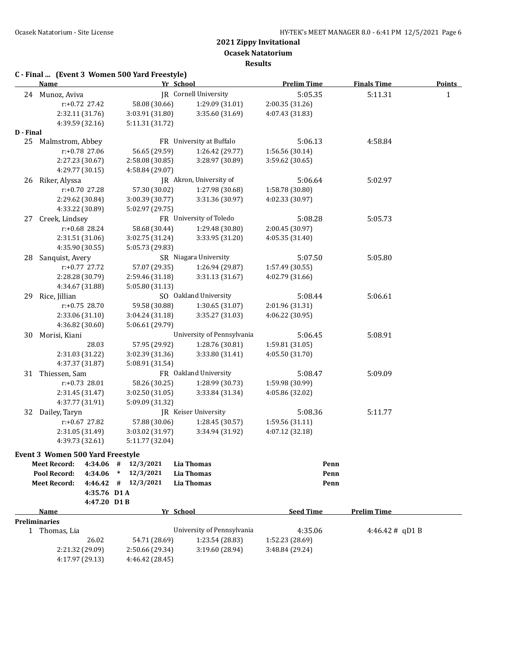**Results**

| C - Final  (Event 3 Women 500 Yard Freestyle) |
|-----------------------------------------------|
|-----------------------------------------------|

|           | <b>Name</b>                             | Yr School                        |                                    | <b>Prelim Time</b>                 | <b>Finals Time</b> | <b>Points</b> |
|-----------|-----------------------------------------|----------------------------------|------------------------------------|------------------------------------|--------------------|---------------|
|           | 24 Munoz, Aviva                         |                                  | JR Cornell University              | 5:05.35                            | 5:11.31            | $\mathbf{1}$  |
|           | r:+0.72 27.42                           | 58.08 (30.66)                    | 1:29.09 (31.01)                    | 2:00.35 (31.26)                    |                    |               |
|           | 2:32.11 (31.76)                         | 3:03.91 (31.80)                  | 3:35.60 (31.69)                    | 4:07.43 (31.83)                    |                    |               |
|           | 4:39.59 (32.16)                         | 5:11.31 (31.72)                  |                                    |                                    |                    |               |
| D - Final |                                         |                                  |                                    |                                    |                    |               |
|           | 25 Malmstrom, Abbey                     |                                  | FR University at Buffalo           | 5:06.13                            | 4:58.84            |               |
|           | r:+0.78 27.06                           | 56.65 (29.59)                    | 1:26.42 (29.77)                    | 1:56.56 (30.14)                    |                    |               |
|           | 2:27.23 (30.67)                         | 2:58.08 (30.85)                  | 3:28.97 (30.89)                    | 3:59.62 (30.65)                    |                    |               |
|           | 4:29.77 (30.15)                         | 4:58.84 (29.07)                  |                                    |                                    |                    |               |
| 26        | Riker, Alyssa                           |                                  | JR Akron, University of            | 5:06.64                            | 5:02.97            |               |
|           | r:+0.70 27.28                           | 57.30 (30.02)                    | 1:27.98 (30.68)                    | 1:58.78 (30.80)                    |                    |               |
|           | 2:29.62 (30.84)                         | 3:00.39 (30.77)                  | 3:31.36 (30.97)                    | 4:02.33 (30.97)                    |                    |               |
|           | 4:33.22 (30.89)                         | 5:02.97 (29.75)                  |                                    |                                    |                    |               |
| 27        | Creek, Lindsey                          |                                  | FR University of Toledo            | 5:08.28                            | 5:05.73            |               |
|           | r:+0.68 28.24                           | 58.68 (30.44)                    | 1:29.48 (30.80)                    | 2:00.45 (30.97)                    |                    |               |
|           | 2:31.51 (31.06)                         | 3:02.75 (31.24)                  | 3:33.95 (31.20)                    | 4:05.35 (31.40)                    |                    |               |
|           | 4:35.90 (30.55)                         | 5:05.73 (29.83)                  |                                    |                                    |                    |               |
| 28        | Sanquist, Avery                         |                                  | SR Niagara University              | 5:07.50                            | 5:05.80            |               |
|           | r:+0.77 27.72                           | 57.07 (29.35)                    | 1:26.94 (29.87)                    | 1:57.49 (30.55)                    |                    |               |
|           | 2:28.28 (30.79)                         | 2:59.46 (31.18)                  | 3:31.13 (31.67)                    | 4:02.79 (31.66)                    |                    |               |
|           | 4:34.67 (31.88)                         | 5:05.80 (31.13)                  |                                    |                                    |                    |               |
|           | 29 Rice, Jillian                        |                                  | SO Oakland University              | 5:08.44                            | 5:06.61            |               |
|           | $r: +0.75$ 28.70                        | 59.58 (30.88)                    | 1:30.65 (31.07)                    | 2:01.96 (31.31)                    |                    |               |
|           | 2:33.06 (31.10)                         | 3:04.24 (31.18)                  | 3:35.27 (31.03)                    | 4:06.22 (30.95)                    |                    |               |
|           | 4:36.82 (30.60)                         | 5:06.61 (29.79)                  |                                    |                                    |                    |               |
| 30        | Morisi, Kiani                           |                                  | University of Pennsylvania         | 5:06.45                            | 5:08.91            |               |
|           | 28.03                                   | 57.95 (29.92)                    | 1:28.76 (30.81)                    | 1:59.81 (31.05)                    |                    |               |
|           | 2:31.03 (31.22)                         | 3:02.39 (31.36)                  | 3:33.80 (31.41)                    | 4:05.50 (31.70)                    |                    |               |
|           | 4:37.37 (31.87)                         | 5:08.91 (31.54)                  |                                    |                                    |                    |               |
|           | 31 Thiessen, Sam                        |                                  | FR Oakland University              |                                    |                    |               |
|           | $r: +0.73$ 28.01                        |                                  |                                    | 5:08.47                            | 5:09.09            |               |
|           | 2:31.45 (31.47)                         | 58.26 (30.25)<br>3:02.50 (31.05) | 1:28.99 (30.73)<br>3:33.84 (31.34) | 1:59.98 (30.99)<br>4:05.86 (32.02) |                    |               |
|           |                                         |                                  |                                    |                                    |                    |               |
|           | 4:37.77 (31.91)                         | 5:09.09 (31.32)                  | JR Keiser University               |                                    |                    |               |
|           | 32 Dailey, Taryn                        |                                  |                                    | 5:08.36                            | 5:11.77            |               |
|           | $r+0.67$ 27.82                          | 57.88 (30.06)                    | 1:28.45 (30.57)                    | 1:59.56 (31.11)<br>4:07.12 (32.18) |                    |               |
|           | 2:31.05 (31.49)                         | 3:03.02 (31.97)                  | 3:34.94 (31.92)                    |                                    |                    |               |
|           | 4:39.73 (32.61)                         | 5:11.77 (32.04)                  |                                    |                                    |                    |               |
|           | <b>Event 3 Women 500 Yard Freestyle</b> |                                  |                                    |                                    |                    |               |
|           | 4:34.06<br><b>Meet Record:</b>          | $\#$<br>12/3/2021                | <b>Lia Thomas</b>                  | Penn                               |                    |               |
|           | Pool Record:<br>4:34.06                 | 12/3/2021<br>$\ast$              | <b>Lia Thomas</b>                  | Penn                               |                    |               |
|           | <b>Meet Record:</b><br>4:46.42          | 12/3/2021<br>#                   | <b>Lia Thomas</b>                  | Penn                               |                    |               |
|           | 4:35.76 D1A                             |                                  |                                    |                                    |                    |               |
|           | 4:47.20 D1B                             |                                  |                                    |                                    |                    |               |
|           | Name                                    | Yr School                        |                                    | <b>Seed Time</b>                   | <b>Prelim Time</b> |               |
|           | <b>Preliminaries</b>                    |                                  |                                    |                                    |                    |               |
|           | 1 Thomas, Lia                           |                                  | University of Pennsylvania         | 4:35.06                            | $4:46.42 \#$ qD1 B |               |
|           | 26.02                                   | 54.71 (28.69)                    | 1:23.54 (28.83)                    | 1:52.23 (28.69)                    |                    |               |
|           | 2:21.32 (29.09)                         | 2:50.66 (29.34)                  | 3:19.60 (28.94)                    | 3:48.84 (29.24)                    |                    |               |
|           | 4:17.97 (29.13)                         | 4:46.42 (28.45)                  |                                    |                                    |                    |               |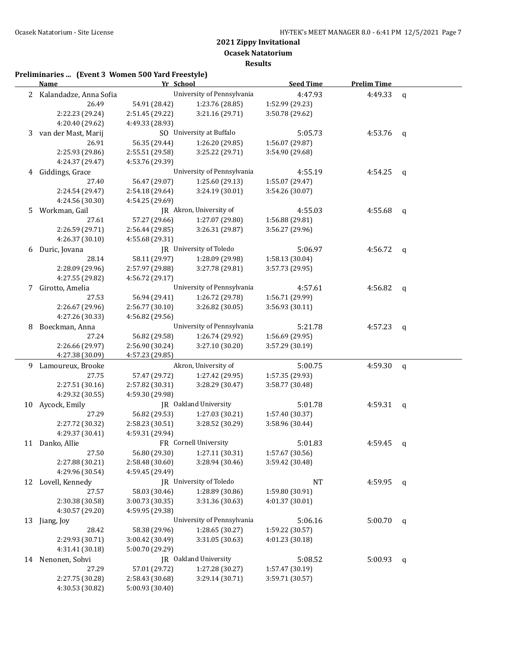**Results**

|    | <b>Name</b>              | Yr School       |                              | <b>Seed Time</b>           | <b>Prelim Time</b> |             |
|----|--------------------------|-----------------|------------------------------|----------------------------|--------------------|-------------|
|    | 2 Kalandadze, Anna Sofia |                 | University of Pennsylvania   | 4:47.93                    | 4:49.33            | $\mathbf q$ |
|    | 26.49                    | 54.91 (28.42)   | 1:23.76 (28.85)              | 1:52.99 (29.23)            |                    |             |
|    | 2:22.23 (29.24)          | 2:51.45 (29.22) | 3:21.16 (29.71)              | 3:50.78 (29.62)            |                    |             |
|    | 4:20.40 (29.62)          | 4:49.33 (28.93) |                              |                            |                    |             |
|    | 3 van der Mast, Marij    |                 | SO University at Buffalo     | 5:05.73                    | 4:53.76            | q           |
|    | 26.91                    | 56.35 (29.44)   | 1:26.20 (29.85)              | 1:56.07 (29.87)            |                    |             |
|    | 2:25.93 (29.86)          | 2:55.51 (29.58) | 3:25.22 (29.71)              | 3:54.90 (29.68)            |                    |             |
|    | 4:24.37 (29.47)          | 4:53.76 (29.39) |                              |                            |                    |             |
| 4  | Giddings, Grace          |                 | University of Pennsylvania   | 4:55.19                    | 4:54.25            | q           |
|    | 27.40                    | 56.47 (29.07)   | 1:25.60 (29.13)              | 1:55.07 (29.47)            |                    |             |
|    | 2:24.54 (29.47)          | 2:54.18 (29.64) | 3:24.19 (30.01)              | 3:54.26 (30.07)            |                    |             |
|    | 4:24.56 (30.30)          | 4:54.25 (29.69) |                              |                            |                    |             |
|    | 5 Workman, Gail          |                 | JR Akron, University of      |                            | 4:55.68            | q           |
|    | 27.61                    | 57.27 (29.66)   | 1:27.07 (29.80)              | 4:55.03<br>1:56.88 (29.81) |                    |             |
|    | 2:26.59 (29.71)          | 2:56.44 (29.85) | 3:26.31 (29.87)              | 3:56.27 (29.96)            |                    |             |
|    | 4:26.37 (30.10)          | 4:55.68 (29.31) |                              |                            |                    |             |
| 6  | Duric, Jovana            |                 | JR University of Toledo      |                            | 4:56.72            | q           |
|    | 28.14                    | 58.11 (29.97)   | 1:28.09 (29.98)              | 1:58.13 (30.04)            |                    |             |
|    | 2:28.09 (29.96)          | 2:57.97 (29.88) | 3:27.78 (29.81)              | 3:57.73 (29.95)            |                    |             |
|    | 4:27.55 (29.82)          | 4:56.72 (29.17) |                              |                            |                    |             |
|    | 7 Girotto, Amelia        |                 | University of Pennsylvania   | 4:57.61                    | 4:56.82            | q           |
|    | 27.53                    | 56.94 (29.41)   | 1:26.72 (29.78)              | 1:56.71 (29.99)            |                    |             |
|    | 2:26.67 (29.96)          | 2:56.77(30.10)  | 3:26.82(30.05)               | 3:56.93 (30.11)            |                    |             |
|    | 4:27.26 (30.33)          | 4:56.82 (29.56) |                              |                            |                    |             |
| 8  | Boeckman, Anna           |                 | University of Pennsylvania   |                            | 4:57.23            | q           |
|    | 27.24                    | 56.82 (29.58)   | 1:26.74 (29.92)              | 5:21.78<br>1:56.69 (29.95) |                    |             |
|    | 2:26.66 (29.97)          | 2:56.90 (30.24) | 3:27.10 (30.20)              | 3:57.29 (30.19)            |                    |             |
|    | 4:27.38 (30.09)          | 4:57.23 (29.85) |                              |                            |                    |             |
|    | 9 Lamoureux, Brooke      |                 | Akron, University of         | 5:00.75                    | 4:59.30            | q           |
|    | 27.75                    | 57.47 (29.72)   | 1:27.42 (29.95)              | 1:57.35 (29.93)            |                    |             |
|    | 2:27.51 (30.16)          | 2:57.82 (30.31) | 3:28.29 (30.47)              | 3:58.77 (30.48)            |                    |             |
|    | 4:29.32 (30.55)          | 4:59.30 (29.98) |                              |                            |                    |             |
|    | 10 Aycock, Emily         |                 | <b>IR</b> Oakland University | 5:01.78                    | 4:59.31            | q           |
|    | 27.29                    | 56.82 (29.53)   | 1:27.03 (30.21)              | 1:57.40 (30.37)            |                    |             |
|    | 2:27.72 (30.32)          | 2:58.23(30.51)  | 3:28.52 (30.29)              | 3:58.96 (30.44)            |                    |             |
|    | 4:29.37 (30.41)          | 4:59.31 (29.94) |                              |                            |                    |             |
|    | 11 Danko, Allie          |                 | FR Cornell University        | 5:01.83                    | 4:59.45            | q           |
|    | 27.50                    | 56.80 (29.30)   | 1:27.11 (30.31)              | 1:57.67 (30.56)            |                    |             |
|    | 2:27.88 (30.21)          | 2:58.48 (30.60) | 3:28.94 (30.46)              | 3:59.42 (30.48)            |                    |             |
|    | 4:29.96 (30.54)          | 4:59.45 (29.49) |                              |                            |                    |             |
|    | 12 Lovell, Kennedy       |                 | JR University of Toledo      | NT                         | 4:59.95            | q           |
|    | 27.57                    | 58.03 (30.46)   | 1:28.89 (30.86)              | 1:59.80 (30.91)            |                    |             |
|    | 2:30.38 (30.58)          | 3:00.73 (30.35) | 3:31.36 (30.63)              | 4:01.37 (30.01)            |                    |             |
|    | 4:30.57 (29.20)          | 4:59.95 (29.38) |                              |                            |                    |             |
|    | 13 Jiang, Joy            |                 | University of Pennsylvania   | 5:06.16                    | 5:00.70            | q           |
|    | 28.42                    | 58.38 (29.96)   | 1:28.65 (30.27)              | 1:59.22 (30.57)            |                    |             |
|    | 2:29.93 (30.71)          | 3:00.42 (30.49) | 3:31.05 (30.63)              | 4:01.23 (30.18)            |                    |             |
|    | 4:31.41 (30.18)          | 5:00.70 (29.29) |                              |                            |                    |             |
| 14 | Nenonen, Sohvi           |                 | JR Oakland University        | 5:08.52                    | 5:00.93            | q           |
|    | 27.29                    | 57.01 (29.72)   | 1:27.28 (30.27)              | 1:57.47 (30.19)            |                    |             |
|    | 2:27.75 (30.28)          | 2:58.43 (30.68) | 3:29.14 (30.71)              | 3:59.71 (30.57)            |                    |             |
|    | 4:30.53 (30.82)          | 5:00.93 (30.40) |                              |                            |                    |             |
|    |                          |                 |                              |                            |                    |             |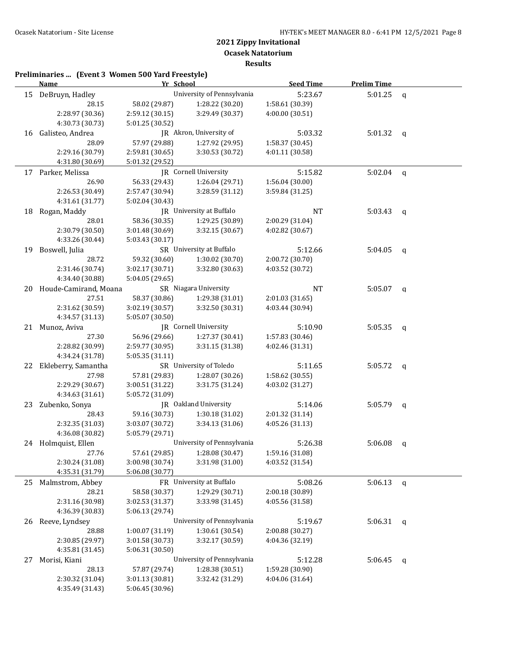|    | <b>Name</b>              | Yr School       |                            | <b>Seed Time</b> | <b>Prelim Time</b> |              |
|----|--------------------------|-----------------|----------------------------|------------------|--------------------|--------------|
|    | 15 DeBruyn, Hadley       |                 | University of Pennsylvania | 5:23.67          | 5:01.25            | $\mathbf q$  |
|    | 28.15                    | 58.02 (29.87)   | 1:28.22 (30.20)            | 1:58.61 (30.39)  |                    |              |
|    | 2:28.97 (30.36)          | 2:59.12 (30.15) | 3:29.49 (30.37)            | 4:00.00 (30.51)  |                    |              |
|    | 4:30.73 (30.73)          | 5:01.25 (30.52) |                            |                  |                    |              |
|    | 16 Galisteo, Andrea      |                 | JR Akron, University of    | 5:03.32          | 5:01.32            | $\mathbf{q}$ |
|    | 28.09                    | 57.97 (29.88)   | 1:27.92 (29.95)            | 1:58.37 (30.45)  |                    |              |
|    | 2:29.16 (30.79)          | 2:59.81 (30.65) | 3:30.53 (30.72)            | 4:01.11 (30.58)  |                    |              |
|    | 4:31.80 (30.69)          | 5:01.32 (29.52) |                            |                  |                    |              |
|    | 17 Parker, Melissa       |                 | JR Cornell University      | 5:15.82          | 5:02.04            | $\mathsf{q}$ |
|    | 26.90                    | 56.33 (29.43)   | 1:26.04 (29.71)            | 1:56.04 (30.00)  |                    |              |
|    | 2:26.53 (30.49)          | 2:57.47 (30.94) | 3:28.59 (31.12)            | 3:59.84 (31.25)  |                    |              |
|    | 4:31.61 (31.77)          | 5:02.04 (30.43) |                            |                  |                    |              |
| 18 | Rogan, Maddy             |                 | JR University at Buffalo   | NT               | 5:03.43            | $\mathsf{q}$ |
|    | 28.01                    | 58.36 (30.35)   | 1:29.25 (30.89)            | 2:00.29 (31.04)  |                    |              |
|    | 2:30.79 (30.50)          | 3:01.48 (30.69) | 3:32.15 (30.67)            | 4:02.82 (30.67)  |                    |              |
|    | 4:33.26 (30.44)          | 5:03.43 (30.17) |                            |                  |                    |              |
| 19 | Boswell, Julia           |                 | SR University at Buffalo   | 5:12.66          | 5:04.05            | q            |
|    | 28.72                    | 59.32 (30.60)   | 1:30.02(30.70)             | 2:00.72 (30.70)  |                    |              |
|    | 2:31.46 (30.74)          | 3:02.17(30.71)  | 3:32.80 (30.63)            | 4:03.52 (30.72)  |                    |              |
|    | 4:34.40 (30.88)          | 5:04.05 (29.65) |                            |                  |                    |              |
|    | 20 Houde-Camirand, Moana |                 | SR Niagara University      | <b>NT</b>        | 5:05.07            | $\mathsf{q}$ |
|    | 27.51                    | 58.37 (30.86)   | 1:29.38 (31.01)            | 2:01.03 (31.65)  |                    |              |
|    | 2:31.62 (30.59)          | 3:02.19 (30.57) | 3:32.50 (30.31)            | 4:03.44 (30.94)  |                    |              |
|    | 4:34.57 (31.13)          | 5:05.07 (30.50) |                            |                  |                    |              |
|    | 21 Munoz, Aviva          |                 | JR Cornell University      | 5:10.90          | 5:05.35            | q            |
|    | 27.30                    | 56.96 (29.66)   | 1:27.37 (30.41)            | 1:57.83 (30.46)  |                    |              |
|    | 2:28.82 (30.99)          | 2:59.77 (30.95) | 3:31.15 (31.38)            | 4:02.46 (31.31)  |                    |              |
|    | 4:34.24 (31.78)          | 5:05.35 (31.11) |                            |                  |                    |              |
|    | 22 Ekleberry, Samantha   |                 | SR University of Toledo    | 5:11.65          | 5:05.72            | q            |
|    | 27.98                    | 57.81 (29.83)   | 1:28.07 (30.26)            | 1:58.62 (30.55)  |                    |              |
|    | 2:29.29 (30.67)          | 3:00.51 (31.22) | 3:31.75 (31.24)            | 4:03.02 (31.27)  |                    |              |
|    | 4:34.63 (31.61)          | 5:05.72 (31.09) |                            |                  |                    |              |
|    | 23 Zubenko, Sonya        |                 | JR Oakland University      | 5:14.06          | 5:05.79            |              |
|    | 28.43                    | 59.16 (30.73)   | 1:30.18 (31.02)            | 2:01.32 (31.14)  |                    | q            |
|    | 2:32.35 (31.03)          | 3:03.07 (30.72) | 3:34.13 (31.06)            | 4:05.26 (31.13)  |                    |              |
|    | 4:36.08 (30.82)          | 5:05.79 (29.71) |                            |                  |                    |              |
|    | 24 Holmquist, Ellen      |                 | University of Pennsylvania | 5:26.38          | 5:06.08            |              |
|    | 27.76                    | 57.61 (29.85)   | 1:28.08 (30.47)            | 1:59.16 (31.08)  |                    | q            |
|    | 2:30.24 (31.08)          | 3:00.98 (30.74) | 3:31.98 (31.00)            | 4:03.52 (31.54)  |                    |              |
|    | 4:35.31 (31.79)          | 5:06.08 (30.77) |                            |                  |                    |              |
|    | Malmstrom, Abbey         |                 | FR University at Buffalo   |                  |                    |              |
| 25 | 28.21                    |                 |                            | 5:08.26          | 5:06.13            | $\mathbf q$  |
|    |                          | 58.58 (30.37)   | 1:29.29 (30.71)            | 2:00.18 (30.89)  |                    |              |
|    | 2:31.16 (30.98)          | 3:02.53 (31.37) | 3:33.98 (31.45)            | 4:05.56 (31.58)  |                    |              |
|    | 4:36.39 (30.83)          | 5:06.13 (29.74) | University of Pennsylvania |                  |                    |              |
| 26 | Reeve, Lyndsey           |                 |                            | 5:19.67          | 5:06.31            | q            |
|    | 28.88                    | 1:00.07 (31.19) | 1:30.61 (30.54)            | 2:00.88 (30.27)  |                    |              |
|    | 2:30.85 (29.97)          | 3:01.58 (30.73) | 3:32.17 (30.59)            | 4:04.36 (32.19)  |                    |              |
|    | 4:35.81 (31.45)          | 5:06.31 (30.50) |                            |                  |                    |              |
| 27 | Morisi, Kiani            |                 | University of Pennsylvania | 5:12.28          | 5:06.45            | q            |
|    | 28.13                    | 57.87 (29.74)   | 1:28.38 (30.51)            | 1:59.28 (30.90)  |                    |              |
|    | 2:30.32 (31.04)          | 3:01.13 (30.81) | 3:32.42 (31.29)            | 4:04.06 (31.64)  |                    |              |
|    | 4:35.49 (31.43)          | 5:06.45 (30.96) |                            |                  |                    |              |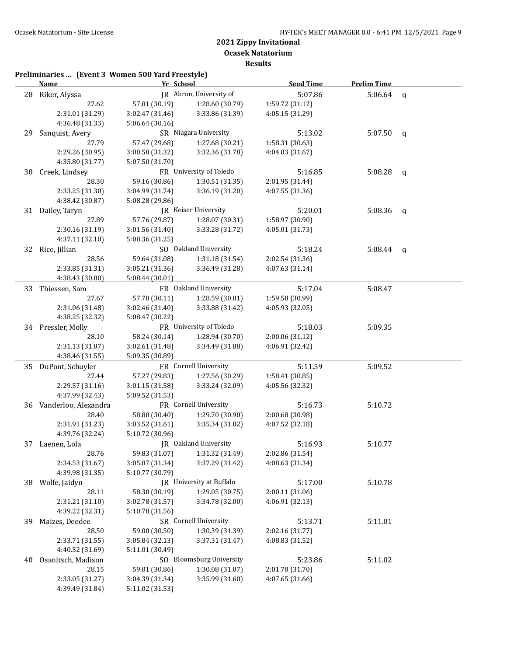**Results**

|    | <b>Name</b>               | Yr School       |                          | <b>Seed Time</b> | <b>Prelim Time</b> |              |
|----|---------------------------|-----------------|--------------------------|------------------|--------------------|--------------|
| 28 | Riker, Alyssa             |                 | JR Akron, University of  | 5:07.86          | 5:06.64            | $\mathbf q$  |
|    | 27.62                     | 57.81 (30.19)   | 1:28.60 (30.79)          | 1:59.72 (31.12)  |                    |              |
|    | 2:31.01 (31.29)           | 3:02.47 (31.46) | 3:33.86 (31.39)          | 4:05.15 (31.29)  |                    |              |
|    | 4:36.48 (31.33)           | 5:06.64 (30.16) |                          |                  |                    |              |
| 29 | Sanquist, Avery           |                 | SR Niagara University    | 5:13.02          | 5:07.50            | q            |
|    | 27.79                     | 57.47 (29.68)   | 1:27.68 (30.21)          | 1:58.31 (30.63)  |                    |              |
|    | 2:29.26 (30.95)           | 3:00.58 (31.32) | 3:32.36 (31.78)          | 4:04.03 (31.67)  |                    |              |
|    | 4:35.80 (31.77)           | 5:07.50 (31.70) |                          |                  |                    |              |
| 30 | Creek, Lindsey            |                 | FR University of Toledo  | 5:16.85          | 5:08.28            | q            |
|    | 28.30                     | 59.16 (30.86)   | 1:30.51 (31.35)          | 2:01.95 (31.44)  |                    |              |
|    | 2:33.25 (31.30)           | 3:04.99 (31.74) | 3:36.19 (31.20)          | 4:07.55 (31.36)  |                    |              |
|    | 4:38.42 (30.87)           | 5:08.28 (29.86) |                          |                  |                    |              |
|    | 31 Dailey, Taryn          |                 | JR Keiser University     | 5:20.01          | 5:08.36            | $\mathsf{q}$ |
|    | 27.89                     | 57.76 (29.87)   | 1:28.07 (30.31)          | 1:58.97 (30.90)  |                    |              |
|    | 2:30.16 (31.19)           | 3:01.56 (31.40) | 3:33.28 (31.72)          | 4:05.01 (31.73)  |                    |              |
|    | 4:37.11 (32.10)           | 5:08.36 (31.25) |                          |                  |                    |              |
|    |                           |                 | SO Oakland University    | 5:18.24          | 5:08.44            |              |
|    | 32 Rice, Jillian<br>28.56 |                 |                          |                  |                    | q            |
|    |                           | 59.64 (31.08)   | 1:31.18(31.54)           | 2:02.54 (31.36)  |                    |              |
|    | 2:33.85 (31.31)           | 3:05.21 (31.36) | 3:36.49 (31.28)          | 4:07.63 (31.14)  |                    |              |
|    | 4:38.43 (30.80)           | 5:08.44 (30.01) |                          |                  |                    |              |
| 33 | Thiessen, Sam             |                 | FR Oakland University    | 5:17.04          | 5:08.47            |              |
|    | 27.67                     | 57.78 (30.11)   | 1:28.59 (30.81)          | 1:59.58 (30.99)  |                    |              |
|    | 2:31.06 (31.48)           | 3:02.46 (31.40) | 3:33.88 (31.42)          | 4:05.93 (32.05)  |                    |              |
|    | 4:38.25 (32.32)           | 5:08.47 (30.22) |                          |                  |                    |              |
|    | 34 Pressler, Molly        |                 | FR University of Toledo  | 5:18.03          | 5:09.35            |              |
|    | 28.10                     | 58.24 (30.14)   | 1:28.94 (30.70)          | 2:00.06 (31.12)  |                    |              |
|    | 2:31.13 (31.07)           | 3:02.61 (31.48) | 3:34.49 (31.88)          | 4:06.91 (32.42)  |                    |              |
|    | 4:38.46 (31.55)           | 5:09.35 (30.89) |                          |                  |                    |              |
|    | 35 DuPont, Schuyler       |                 | FR Cornell University    | 5:11.59          | 5:09.52            |              |
|    | 27.44                     | 57.27 (29.83)   | 1:27.56 (30.29)          | 1:58.41 (30.85)  |                    |              |
|    | 2:29.57 (31.16)           | 3:01.15 (31.58) | 3:33.24 (32.09)          | 4:05.56 (32.32)  |                    |              |
|    | 4:37.99 (32.43)           | 5:09.52 (31.53) |                          |                  |                    |              |
| 36 | Vanderloo, Alexandra      |                 | FR Cornell University    | 5:16.73          | 5:10.72            |              |
|    | 28.40                     | 58.80 (30.40)   | 1:29.70 (30.90)          | 2:00.68 (30.98)  |                    |              |
|    | 2:31.91 (31.23)           | 3:03.52 (31.61) | 3:35.34 (31.82)          | 4:07.52 (32.18)  |                    |              |
|    | 4:39.76 (32.24)           | 5:10.72 (30.96) |                          |                  |                    |              |
|    | 37 Laenen, Lola           |                 | IR Oakland University    | 5:16.93          | 5:10.77            |              |
|    | 28.76                     | 59.83 (31.07)   | 1:31.32 (31.49)          | 2:02.86 (31.54)  |                    |              |
|    | 2:34.53 (31.67)           | 3:05.87 (31.34) | 3:37.29 (31.42)          | 4:08.63 (31.34)  |                    |              |
|    | 4:39.98 (31.35)           | 5:10.77 (30.79) |                          |                  |                    |              |
| 38 | Wolfe, Jaidyn             |                 | JR University at Buffalo | 5:17.00          | 5:10.78            |              |
|    | 28.11                     | 58.30 (30.19)   | 1:29.05 (30.75)          | 2:00.11 (31.06)  |                    |              |
|    | 2:31.21 (31.10)           | 3:02.78 (31.57) | 3:34.78 (32.00)          | 4:06.91 (32.13)  |                    |              |
|    | 4:39.22 (32.31)           | 5:10.78 (31.56) |                          |                  |                    |              |
| 39 | Maizes, Deedee            |                 | SR Cornell University    | 5:13.71          | 5:11.01            |              |
|    | 28.50                     | 59.00 (30.50)   | 1:30.39 (31.39)          | 2:02.16 (31.77)  |                    |              |
|    | 2:33.71 (31.55)           | 3:05.84 (32.13) | 3:37.31 (31.47)          | 4:08.83 (31.52)  |                    |              |
|    | 4:40.52 (31.69)           | 5:11.01 (30.49) |                          |                  |                    |              |
| 40 | Osanitsch, Madison        |                 | SO Bloomsburg University | 5:23.86          | 5:11.02            |              |
|    | 28.15                     | 59.01 (30.86)   | 1:30.08 (31.07)          | 2:01.78 (31.70)  |                    |              |
|    | 2:33.05 (31.27)           | 3:04.39 (31.34) | 3:35.99 (31.60)          | 4:07.65 (31.66)  |                    |              |
|    | 4:39.49 (31.84)           | 5:11.02 (31.53) |                          |                  |                    |              |
|    |                           |                 |                          |                  |                    |              |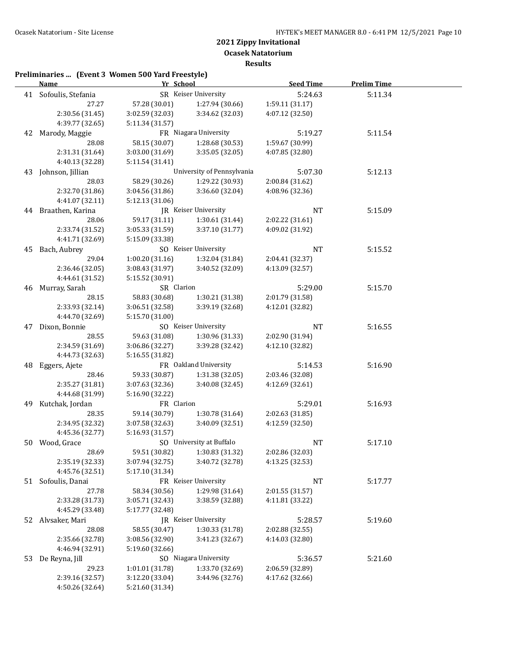**Ocasek Natatorium**

**Results**

|    | <b>Name</b>              | Yr School                        |                            | <b>Seed Time</b> | <b>Prelim Time</b> |  |
|----|--------------------------|----------------------------------|----------------------------|------------------|--------------------|--|
|    | 41 Sofoulis, Stefania    |                                  | SR Keiser University       | 5:24.63          | 5:11.34            |  |
|    | 27.27                    | 57.28 (30.01)                    | 1:27.94 (30.66)            | 1:59.11 (31.17)  |                    |  |
|    | 2:30.56 (31.45)          | 3:02.59 (32.03)                  | 3:34.62 (32.03)            | 4:07.12 (32.50)  |                    |  |
|    | 4:39.77 (32.65)          | 5:11.34 (31.57)                  |                            |                  |                    |  |
|    | 42 Marody, Maggie        |                                  | FR Niagara University      | 5:19.27          | 5:11.54            |  |
|    | 28.08                    | 58.15 (30.07)                    | 1:28.68 (30.53)            | 1:59.67 (30.99)  |                    |  |
|    | 2:31.31 (31.64)          | 3:03.00 (31.69)                  | 3:35.05 (32.05)            | 4:07.85 (32.80)  |                    |  |
|    | 4:40.13 (32.28)          | 5:11.54 (31.41)                  |                            |                  |                    |  |
|    | 43 Johnson, Jillian      |                                  | University of Pennsylvania | 5:07.30          | 5:12.13            |  |
|    | 28.03                    | 58.29 (30.26)                    | 1:29.22 (30.93)            | 2:00.84 (31.62)  |                    |  |
|    | 2:32.70 (31.86)          | 3:04.56 (31.86)                  | 3:36.60 (32.04)            | 4:08.96 (32.36)  |                    |  |
|    | 4:41.07 (32.11)          | 5:12.13 (31.06)                  |                            |                  |                    |  |
|    | 44 Braathen, Karina      |                                  | JR Keiser University       | <b>NT</b>        | 5:15.09            |  |
|    | 28.06                    | 59.17 (31.11)                    | 1:30.61 (31.44)            | 2:02.22 (31.61)  |                    |  |
|    | 2:33.74 (31.52)          | 3:05.33 (31.59)                  | 3:37.10 (31.77)            | 4:09.02 (31.92)  |                    |  |
|    | 4:41.71 (32.69)          | 5:15.09 (33.38)                  |                            |                  |                    |  |
|    | 45 Bach, Aubrey          |                                  | SO Keiser University       | <b>NT</b>        | 5:15.52            |  |
|    | 29.04                    | 1:00.20(31.16)                   | 1:32.04 (31.84)            | 2:04.41 (32.37)  |                    |  |
|    | 2:36.46 (32.05)          | 3:08.43 (31.97)                  | 3:40.52 (32.09)            | 4:13.09 (32.57)  |                    |  |
|    | 4:44.61 (31.52)          | 5:15.52 (30.91)                  |                            |                  |                    |  |
|    | 46 Murray, Sarah         | SR Clarion                       |                            | 5:29.00          | 5:15.70            |  |
|    | 28.15                    | 58.83 (30.68)                    | 1:30.21 (31.38)            | 2:01.79 (31.58)  |                    |  |
|    | 2:33.93 (32.14)          | 3:06.51 (32.58)                  | 3:39.19 (32.68)            | 4:12.01 (32.82)  |                    |  |
|    | 4:44.70 (32.69)          | 5:15.70 (31.00)                  |                            |                  |                    |  |
|    | 47 Dixon, Bonnie         |                                  | SO Keiser University       | NT               | 5:16.55            |  |
|    | 28.55                    | 59.63 (31.08)                    | 1:30.96 (31.33)            | 2:02.90 (31.94)  |                    |  |
|    | 2:34.59 (31.69)          | 3:06.86 (32.27)                  | 3:39.28 (32.42)            | 4:12.10 (32.82)  |                    |  |
|    | 4:44.73 (32.63)          | 5:16.55 (31.82)                  |                            |                  |                    |  |
| 48 | Eggers, Ajete            |                                  | FR Oakland University      | 5:14.53          | 5:16.90            |  |
|    | 28.46                    | 59.33 (30.87)                    | 1:31.38 (32.05)            | 2:03.46 (32.08)  |                    |  |
|    | 2:35.27 (31.81)          | 3:07.63 (32.36)                  | 3:40.08 (32.45)            | 4:12.69 (32.61)  |                    |  |
|    | 4:44.68 (31.99)          | 5:16.90 (32.22)                  |                            |                  |                    |  |
| 49 | Kutchak, Jordan          | FR Clarion                       |                            | 5:29.01          | 5:16.93            |  |
|    | 28.35                    | 59.14 (30.79)                    | 1:30.78 (31.64)            | 2:02.63 (31.85)  |                    |  |
|    | 2:34.95 (32.32)          | 3:07.58 (32.63)                  | 3:40.09 (32.51)            | 4:12.59 (32.50)  |                    |  |
|    | 4:45.36 (32.77)          | 5:16.93 (31.57)                  | SO University at Buffalo   |                  |                    |  |
|    | 50 Wood, Grace           |                                  | 1:30.83 (31.32)            | NT               | 5:17.10            |  |
|    | 28.69<br>2:35.19 (32.33) | 59.51 (30.82)<br>3:07.94 (32.75) |                            | 2:02.86 (32.03)  |                    |  |
|    | 4:45.76 (32.51)          | 5:17.10 (31.34)                  | 3:40.72 (32.78)            | 4:13.25 (32.53)  |                    |  |
|    | 51 Sofoulis, Danai       |                                  | FR Keiser University       | <b>NT</b>        | 5:17.77            |  |
|    | 27.78                    | 58.34 (30.56)                    | 1:29.98 (31.64)            | 2:01.55 (31.57)  |                    |  |
|    | 2:33.28 (31.73)          | 3:05.71 (32.43)                  | 3:38.59 (32.88)            | 4:11.81 (33.22)  |                    |  |
|    | 4:45.29 (33.48)          | 5:17.77 (32.48)                  |                            |                  |                    |  |
|    | 52 Alvsaker, Mari        |                                  | JR Keiser University       | 5:28.57          | 5:19.60            |  |
|    | 28.08                    | 58.55 (30.47)                    | 1:30.33 (31.78)            | 2:02.88 (32.55)  |                    |  |
|    | 2:35.66 (32.78)          | 3:08.56 (32.90)                  | 3:41.23 (32.67)            | 4:14.03 (32.80)  |                    |  |
|    | 4:46.94 (32.91)          | 5:19.60 (32.66)                  |                            |                  |                    |  |
| 53 | De Reyna, Jill           |                                  | SO Niagara University      | 5:36.57          | 5:21.60            |  |
|    | 29.23                    | 1:01.01 (31.78)                  | 1:33.70 (32.69)            | 2:06.59 (32.89)  |                    |  |
|    | 2:39.16 (32.57)          | 3:12.20 (33.04)                  | 3:44.96 (32.76)            | 4:17.62 (32.66)  |                    |  |
|    | 4:50.26 (32.64)          | 5:21.60 (31.34)                  |                            |                  |                    |  |
|    |                          |                                  |                            |                  |                    |  |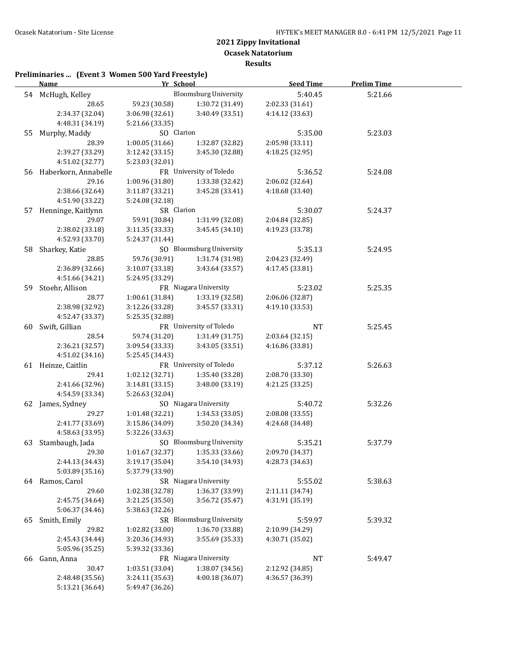**Ocasek Natatorium**

**Results**

|     | <u>Name_</u>            | Yr School       |                              | <b>Seed Time</b> | <b>Prelim Time</b> |  |
|-----|-------------------------|-----------------|------------------------------|------------------|--------------------|--|
|     | 54 McHugh, Kelley       |                 | <b>Bloomsburg University</b> | 5:40.45          | 5:21.66            |  |
|     | 28.65                   | 59.23 (30.58)   | 1:30.72 (31.49)              | 2:02.33 (31.61)  |                    |  |
|     | 2:34.37 (32.04)         | 3:06.98 (32.61) | 3:40.49 (33.51)              | 4:14.12 (33.63)  |                    |  |
|     | 4:48.31 (34.19)         | 5:21.66 (33.35) |                              |                  |                    |  |
| 55  | Murphy, Maddy           | SO Clarion      |                              | 5:35.00          | 5:23.03            |  |
|     | 28.39                   | 1:00.05 (31.66) | 1:32.87 (32.82)              | 2:05.98 (33.11)  |                    |  |
|     | 2:39.27 (33.29)         | 3:12.42 (33.15) | 3:45.30 (32.88)              | 4:18.25 (32.95)  |                    |  |
|     | 4:51.02 (32.77)         | 5:23.03 (32.01) |                              |                  |                    |  |
|     | 56 Haberkorn, Annabelle |                 | FR University of Toledo      | 5:36.52          | 5:24.08            |  |
|     | 29.16                   | 1:00.96(31.80)  | 1:33.38 (32.42)              | 2:06.02 (32.64)  |                    |  |
|     | 2:38.66 (32.64)         | 3:11.87 (33.21) | 3:45.28 (33.41)              | 4:18.68 (33.40)  |                    |  |
|     | 4:51.90 (33.22)         | 5:24.08 (32.18) |                              |                  |                    |  |
|     | 57 Henninge, Kaitlynn   | SR Clarion      |                              | 5:30.07          | 5:24.37            |  |
|     | 29.07                   | 59.91 (30.84)   | 1:31.99 (32.08)              | 2:04.84 (32.85)  |                    |  |
|     | 2:38.02 (33.18)         | 3:11.35 (33.33) | 3:45.45 (34.10)              | 4:19.23 (33.78)  |                    |  |
|     | 4:52.93 (33.70)         | 5:24.37 (31.44) |                              |                  |                    |  |
|     | 58 Sharkey, Katie       |                 | SO Bloomsburg University     | 5:35.13          | 5:24.95            |  |
|     | 28.85                   | 59.76 (30.91)   | 1:31.74 (31.98)              | 2:04.23 (32.49)  |                    |  |
|     | 2:36.89 (32.66)         | 3:10.07(33.18)  | 3:43.64 (33.57)              | 4:17.45 (33.81)  |                    |  |
|     | 4:51.66 (34.21)         | 5:24.95 (33.29) |                              |                  |                    |  |
| 59. | Stoehr, Allison         |                 | FR Niagara University        | 5:23.02          | 5:25.35            |  |
|     | 28.77                   | 1:00.61(31.84)  | 1:33.19 (32.58)              | 2:06.06 (32.87)  |                    |  |
|     | 2:38.98 (32.92)         | 3:12.26(33.28)  | 3:45.57 (33.31)              | 4:19.10 (33.53)  |                    |  |
|     | 4:52.47 (33.37)         | 5:25.35 (32.88) |                              |                  |                    |  |
| 60  | Swift, Gillian          |                 | FR University of Toledo      | <b>NT</b>        | 5:25.45            |  |
|     | 28.54                   | 59.74 (31.20)   | 1:31.49 (31.75)              | 2:03.64 (32.15)  |                    |  |
|     | 2:36.21 (32.57)         | 3:09.54 (33.33) | 3:43.05 (33.51)              | 4:16.86 (33.81)  |                    |  |
|     | 4:51.02 (34.16)         | 5:25.45 (34.43) |                              |                  |                    |  |
|     | 61 Heinze, Caitlin      |                 | FR University of Toledo      | 5:37.12          | 5:26.63            |  |
|     | 29.41                   | 1:02.12 (32.71) | 1:35.40 (33.28)              | 2:08.70 (33.30)  |                    |  |
|     | 2:41.66 (32.96)         | 3:14.81(33.15)  | 3:48.00 (33.19)              | 4:21.25 (33.25)  |                    |  |
|     | 4:54.59 (33.34)         | 5:26.63 (32.04) |                              |                  |                    |  |
|     | 62 James, Sydney        |                 | SO Niagara University        | 5:40.72          | 5:32.26            |  |
|     | 29.27                   | 1:01.48 (32.21) | 1:34.53 (33.05)              | 2:08.08 (33.55)  |                    |  |
|     | 2:41.77 (33.69)         | 3:15.86 (34.09) | 3:50.20 (34.34)              | 4:24.68 (34.48)  |                    |  |
|     | 4:58.63 (33.95)         | 5:32.26 (33.63) |                              |                  |                    |  |
|     | 63 Stambaugh, Jada      |                 | SO Bloomsburg University     | 5:35.21          | 5:37.79            |  |
|     | 29.30                   | 1:01.67 (32.37) | 1:35.33 (33.66)              | 2:09.70 (34.37)  |                    |  |
|     | 2:44.13 (34.43)         | 3:19.17 (35.04) | 3:54.10 (34.93)              | 4:28.73 (34.63)  |                    |  |
|     | 5:03.89 (35.16)         | 5:37.79 (33.90) |                              |                  |                    |  |
|     | 64 Ramos, Carol         |                 | SR Niagara University        | 5:55.02          | 5:38.63            |  |
|     | 29.60                   | 1:02.38 (32.78) | 1:36.37 (33.99)              | 2:11.11 (34.74)  |                    |  |
|     | 2:45.75 (34.64)         | 3:21.25 (35.50) | 3:56.72 (35.47)              | 4:31.91 (35.19)  |                    |  |
|     | 5:06.37 (34.46)         | 5:38.63 (32.26) |                              |                  |                    |  |
| 65  | Smith, Emily            |                 | SR Bloomsburg University     | 5:59.97          | 5:39.32            |  |
|     | 29.82                   | 1:02.82 (33.00) | 1:36.70 (33.88)              | 2:10.99 (34.29)  |                    |  |
|     | 2:45.43 (34.44)         | 3:20.36 (34.93) | 3:55.69 (35.33)              | 4:30.71 (35.02)  |                    |  |
|     | 5:05.96 (35.25)         | 5:39.32 (33.36) |                              |                  |                    |  |
| 66  | Gann, Anna              |                 | FR Niagara University        | <b>NT</b>        | 5:49.47            |  |
|     | 30.47                   | 1:03.51 (33.04) | 1:38.07 (34.56)              | 2:12.92 (34.85)  |                    |  |
|     | 2:48.48 (35.56)         | 3:24.11 (35.63) | 4:00.18 (36.07)              | 4:36.57 (36.39)  |                    |  |
|     | 5:13.21 (36.64)         | 5:49.47 (36.26) |                              |                  |                    |  |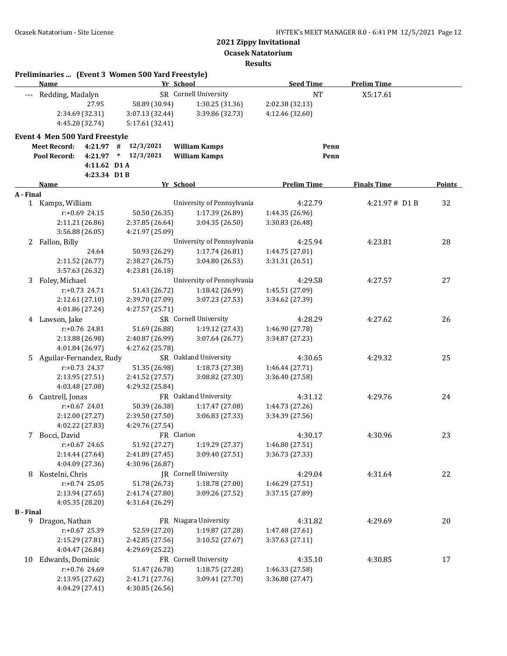**Ocasek Natatorium**

#### **Results**

|                  | Preliminaries  (Event 3 Women 500 Yard Freestyle)<br><b>Name</b> | Yr School                          |                            | <b>Seed Time</b>   | <b>Prelim Time</b> |        |
|------------------|------------------------------------------------------------------|------------------------------------|----------------------------|--------------------|--------------------|--------|
|                  | Redding, Madalyn                                                 |                                    | SR Cornell University      | <b>NT</b>          | X5:17.61           |        |
|                  | 27.95                                                            | 58.89 (30.94)                      | 1:30.25 (31.36)            | 2:02.38 (32.13)    |                    |        |
|                  | 2:34.69 (32.31)                                                  | 3:07.13 (32.44)                    | 3:39.86 (32.73)            | 4:12.46 (32.60)    |                    |        |
|                  | 4:45.20 (32.74)                                                  | 5:17.61 (32.41)                    |                            |                    |                    |        |
|                  | Event 4 Men 500 Yard Freestyle                                   |                                    |                            |                    |                    |        |
|                  | <b>Meet Record:</b><br>4:21.97                                   | 12/3/2021<br>#                     | <b>William Kamps</b>       | Penn               |                    |        |
|                  | Pool Record:<br>4:21.97                                          | $*$ 12/3/2021                      | <b>William Kamps</b>       | Penn               |                    |        |
|                  | 4:11.62 D1A                                                      |                                    |                            |                    |                    |        |
|                  | 4:23.34 D1B                                                      |                                    |                            |                    |                    |        |
|                  | Name                                                             | Yr School                          |                            | <b>Prelim Time</b> | <b>Finals Time</b> | Points |
| A - Final        |                                                                  |                                    |                            |                    |                    |        |
|                  | 1 Kamps, William                                                 |                                    | University of Pennsylvania | 4:22.79            | 4:21.97# D1 B      | 32     |
|                  | $r: +0.69$ 24.15                                                 | 50.50 (26.35)                      | 1:17.39 (26.89)            | 1:44.35 (26.96)    |                    |        |
|                  | 2:11.21 (26.86)                                                  | 2:37.85 (26.64)                    | 3:04.35 (26.50)            | 3:30.83 (26.48)    |                    |        |
|                  | 3:56.88 (26.05)                                                  | 4:21.97 (25.09)                    |                            |                    |                    |        |
|                  | 2 Fallon, Billy                                                  |                                    | University of Pennsylvania | 4:25.94            | 4:23.81            | 28     |
|                  | 24.64                                                            | 50.93 (26.29)                      | 1:17.74 (26.81)            | 1:44.75 (27.01)    |                    |        |
|                  | 2:11.52 (26.77)                                                  | 2:38.27 (26.75)                    | 3:04.80 (26.53)            | 3:31.31 (26.51)    |                    |        |
|                  | 3:57.63 (26.32)                                                  | 4:23.81 (26.18)                    | University of Pennsylvania |                    |                    |        |
| 3                | Foley, Michael                                                   |                                    |                            | 4:29.58            | 4:27.57            | 27     |
|                  | $r: +0.73$ 24.71                                                 | 51.43 (26.72)                      | 1:18.42 (26.99)            | 1:45.51 (27.09)    |                    |        |
|                  | 2:12.61 (27.10)<br>4:01.86 (27.24)                               | 2:39.70 (27.09)<br>4:27.57 (25.71) | 3:07.23 (27.53)            | 3:34.62 (27.39)    |                    |        |
|                  | 4 Lawson, Jake                                                   |                                    | SR Cornell University      | 4:28.29            | 4:27.62            | 26     |
|                  | r:+0.76 24.81                                                    | 51.69 (26.88)                      | 1:19.12 (27.43)            | 1:46.90 (27.78)    |                    |        |
|                  | 2:13.88 (26.98)                                                  | 2:40.87 (26.99)                    | 3:07.64 (26.77)            | 3:34.87 (27.23)    |                    |        |
|                  | 4:01.84 (26.97)                                                  | 4:27.62 (25.78)                    |                            |                    |                    |        |
| 5                | Aguilar-Fernandez, Rudy                                          |                                    | SR Oakland University      | 4:30.65            | 4:29.32            | 25     |
|                  | r:+0.73 24.37                                                    | 51.35 (26.98)                      | 1:18.73 (27.38)            | 1:46.44 (27.71)    |                    |        |
|                  | 2:13.95 (27.51)                                                  | 2:41.52 (27.57)                    | 3:08.82 (27.30)            | 3:36.40 (27.58)    |                    |        |
|                  | 4:03.48 (27.08)                                                  | 4:29.32 (25.84)                    |                            |                    |                    |        |
| 6                | Cantrell, Jonas                                                  |                                    | FR Oakland University      | 4:31.12            | 4:29.76            | 24     |
|                  | $r: +0.67$ 24.01                                                 | 50.39 (26.38)                      | 1:17.47 (27.08)            | 1:44.73 (27.26)    |                    |        |
|                  | 2:12.00 (27.27)                                                  | 2:39.50 (27.50)                    | 3:06.83 (27.33)            | 3:34.39 (27.56)    |                    |        |
|                  | 4:02.22 (27.83)                                                  | 4:29.76 (27.54)                    |                            |                    |                    |        |
|                  | 7 Bocci, David                                                   | FR Clarion                         |                            | 4:30.17            | 4:30.96            | 23     |
|                  | r:+0.67 24.65                                                    | 51.92 (27.27)                      | 1:19.29 (27.37)            | 1:46.80 (27.51)    |                    |        |
|                  | 2:14.44 (27.64)                                                  | 2:41.89 (27.45)                    | 3:09.40 (27.51)            | 3:36.73 (27.33)    |                    |        |
|                  | 4:04.09 (27.36)                                                  | 4:30.96 (26.87)                    |                            |                    |                    |        |
| 8                | Kostelni, Chris                                                  |                                    | JR Cornell University      | 4:29.04            | 4:31.64            | 22     |
|                  | $r: +0.74$ 25.05                                                 | 51.78 (26.73)                      | 1:18.78 (27.00)            | 1:46.29 (27.51)    |                    |        |
|                  | 2:13.94 (27.65)                                                  | 2:41.74 (27.80)                    | 3:09.26 (27.52)            | 3:37.15 (27.89)    |                    |        |
|                  | 4:05.35 (28.20)                                                  | 4:31.64 (26.29)                    |                            |                    |                    |        |
| <b>B</b> - Final |                                                                  |                                    |                            |                    |                    |        |
|                  | 9 Dragon, Nathan                                                 |                                    | FR Niagara University      | 4:31.82            | 4:29.69            | 20     |
|                  | r:+0.67 25.39                                                    | 52.59 (27.20)                      | 1:19.87 (27.28)            | 1:47.48 (27.61)    |                    |        |
|                  | 2:15.29 (27.81)                                                  | 2:42.85 (27.56)                    | 3:10.52 (27.67)            | 3:37.63 (27.11)    |                    |        |
|                  | 4:04.47 (26.84)                                                  | 4:29.69 (25.22)                    |                            |                    |                    |        |
| 10               | Edwards, Dominic                                                 |                                    | FR Cornell University      | 4:35.10            | 4:30.85            | 17     |
|                  | r:+0.76 24.69                                                    | 51.47 (26.78)                      | 1:18.75 (27.28)            | 1:46.33 (27.58)    |                    |        |
|                  | 2:13.95 (27.62)                                                  | 2:41.71 (27.76)                    | 3:09.41 (27.70)            | 3:36.88 (27.47)    |                    |        |
|                  | 4:04.29 (27.41)                                                  | 4:30.85 (26.56)                    |                            |                    |                    |        |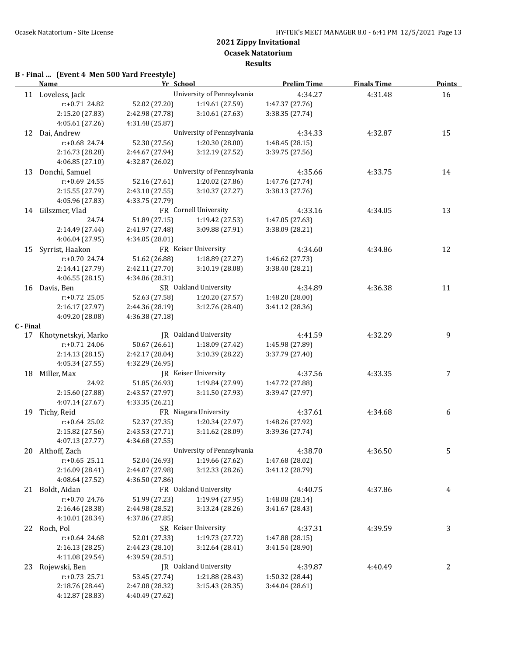**Results**

## **B - Final ... (Event 4 Men 500 Yard Freestyle)**

|           | <b>Name</b>            | Yr School       |                            | <b>Prelim Time</b> | <b>Finals Time</b> | <b>Points</b> |
|-----------|------------------------|-----------------|----------------------------|--------------------|--------------------|---------------|
|           | 11 Loveless, Jack      |                 | University of Pennsylvania | 4:34.27            | 4:31.48            | 16            |
|           | r:+0.71 24.82          | 52.02 (27.20)   | 1:19.61 (27.59)            | 1:47.37 (27.76)    |                    |               |
|           | 2:15.20 (27.83)        | 2:42.98 (27.78) | 3:10.61(27.63)             | 3:38.35 (27.74)    |                    |               |
|           | 4:05.61 (27.26)        | 4:31.48 (25.87) |                            |                    |                    |               |
|           | 12 Dai, Andrew         |                 | University of Pennsylvania | 4:34.33            | 4:32.87            | 15            |
|           | r:+0.68 24.74          | 52.30 (27.56)   | 1:20.30 (28.00)            | 1:48.45 (28.15)    |                    |               |
|           | 2:16.73 (28.28)        | 2:44.67 (27.94) | 3:12.19 (27.52)            | 3:39.75 (27.56)    |                    |               |
|           | 4:06.85 (27.10)        | 4:32.87 (26.02) |                            |                    |                    |               |
| 13        | Donchi, Samuel         |                 | University of Pennsylvania | 4:35.66            | 4:33.75            | 14            |
|           | r:+0.69 24.55          | 52.16 (27.61)   | 1:20.02 (27.86)            | 1:47.76 (27.74)    |                    |               |
|           | 2:15.55 (27.79)        | 2:43.10 (27.55) | 3:10.37 (27.27)            | 3:38.13 (27.76)    |                    |               |
|           | 4:05.96 (27.83)        | 4:33.75 (27.79) |                            |                    |                    |               |
|           | 14 Gilszmer, Vlad      |                 | FR Cornell University      | 4:33.16            | 4:34.05            | 13            |
|           | 24.74                  | 51.89 (27.15)   | 1:19.42 (27.53)            | 1:47.05 (27.63)    |                    |               |
|           | 2:14.49 (27.44)        | 2:41.97 (27.48) | 3:09.88 (27.91)            | 3:38.09 (28.21)    |                    |               |
|           | 4:06.04 (27.95)        | 4:34.05 (28.01) |                            |                    |                    |               |
| 15        | Syrrist, Haakon        |                 | FR Keiser University       | 4:34.60            | 4:34.86            | 12            |
|           | r:+0.70 24.74          | 51.62 (26.88)   | 1:18.89 (27.27)            | 1:46.62 (27.73)    |                    |               |
|           | 2:14.41 (27.79)        | 2:42.11 (27.70) | 3:10.19 (28.08)            | 3:38.40 (28.21)    |                    |               |
|           | 4:06.55(28.15)         | 4:34.86 (28.31) |                            |                    |                    |               |
|           | 16 Davis, Ben          |                 | SR Oakland University      | 4:34.89            | 4:36.38            | 11            |
|           | r:+0.72 25.05          | 52.63 (27.58)   | 1:20.20 (27.57)            | 1:48.20 (28.00)    |                    |               |
|           | 2:16.17 (27.97)        | 2:44.36 (28.19) | 3:12.76 (28.40)            | 3:41.12 (28.36)    |                    |               |
|           | 4:09.20 (28.08)        | 4:36.38 (27.18) |                            |                    |                    |               |
| C - Final |                        |                 |                            |                    |                    |               |
|           | 17 Khotynetskyi, Marko |                 | JR Oakland University      | 4:41.59            | 4:32.29            | 9             |
|           | r:+0.71 24.06          | 50.67 (26.61)   | 1:18.09 (27.42)            | 1:45.98 (27.89)    |                    |               |
|           | 2:14.13 (28.15)        | 2:42.17 (28.04) | 3:10.39 (28.22)            | 3:37.79 (27.40)    |                    |               |
|           | 4:05.34 (27.55)        | 4:32.29 (26.95) |                            |                    |                    |               |
| 18        | Miller, Max            |                 | JR Keiser University       | 4:37.56            | 4:33.35            | 7             |
|           | 24.92                  | 51.85 (26.93)   | 1:19.84 (27.99)            | 1:47.72 (27.88)    |                    |               |
|           | 2:15.60 (27.88)        | 2:43.57 (27.97) | 3:11.50 (27.93)            | 3:39.47 (27.97)    |                    |               |
|           | 4:07.14 (27.67)        | 4:33.35 (26.21) |                            |                    |                    |               |
| 19        | Tichy, Reid            |                 | FR Niagara University      | 4:37.61            | 4:34.68            | 6             |
|           | $r+0.64$ 25.02         | 52.37 (27.35)   | 1:20.34 (27.97)            | 1:48.26 (27.92)    |                    |               |
|           | 2:15.82 (27.56)        | 2:43.53 (27.71) | 3:11.62 (28.09)            | 3:39.36 (27.74)    |                    |               |
|           | 4:07.13 (27.77)        | 4:34.68 (27.55) |                            |                    |                    |               |
|           | 20 Althoff, Zach       |                 | University of Pennsylvania | 4:38.70            | 4:36.50            | 5             |
|           | $r: +0.65$ 25.11       | 52.04 (26.93)   | 1:19.66 (27.62)            | 1:47.68 (28.02)    |                    |               |
|           | 2:16.09 (28.41)        | 2:44.07 (27.98) | 3:12.33 (28.26)            | 3:41.12 (28.79)    |                    |               |
|           | 4:08.64 (27.52)        | 4:36.50 (27.86) |                            |                    |                    |               |
|           | 21 Boldt, Aidan        |                 | FR Oakland University      | 4:40.75            | 4:37.86            | 4             |
|           | r:+0.70 24.76          | 51.99 (27.23)   | 1:19.94 (27.95)            | 1:48.08 (28.14)    |                    |               |
|           | 2:16.46 (28.38)        | 2:44.98 (28.52) | 3:13.24 (28.26)            | 3:41.67 (28.43)    |                    |               |
|           | 4:10.01 (28.34)        | 4:37.86 (27.85) |                            |                    |                    |               |
|           | 22 Roch, Pol           |                 | SR Keiser University       | 4:37.31            | 4:39.59            | 3             |
|           | $r: +0.64$ 24.68       | 52.01 (27.33)   | 1:19.73 (27.72)            | 1:47.88 (28.15)    |                    |               |
|           | 2:16.13 (28.25)        | 2:44.23 (28.10) | 3:12.64 (28.41)            | 3:41.54 (28.90)    |                    |               |
|           | 4:11.08 (29.54)        | 4:39.59 (28.51) |                            |                    |                    |               |
| 23        | Rojewski, Ben          |                 | JR Oakland University      | 4:39.87            | 4:40.49            | 2             |
|           | $r: +0.73$ 25.71       | 53.45 (27.74)   | 1:21.88 (28.43)            | 1:50.32 (28.44)    |                    |               |
|           | 2:18.76 (28.44)        | 2:47.08 (28.32) | 3:15.43 (28.35)            | 3:44.04 (28.61)    |                    |               |
|           | 4:12.87 (28.83)        | 4:40.49 (27.62) |                            |                    |                    |               |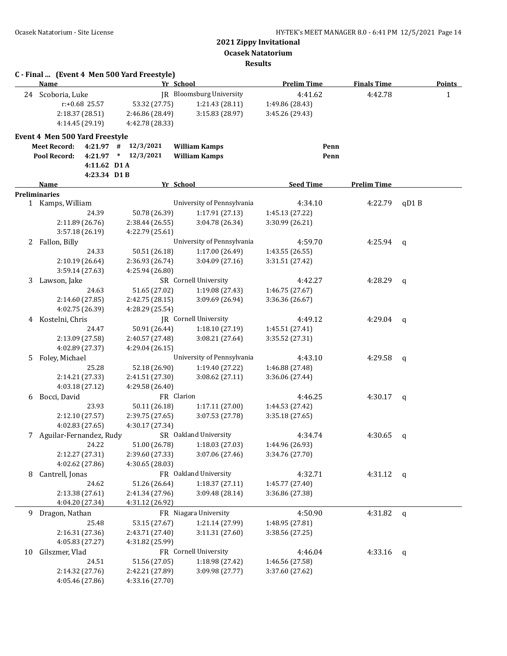**Ocasek Natatorium**

**Results**

|    |                                |             | C - Final  (Event 4 Men 500 Yard Freestyle) |                            |                    |                    |               |
|----|--------------------------------|-------------|---------------------------------------------|----------------------------|--------------------|--------------------|---------------|
|    | Name                           |             |                                             | Yr School                  | <b>Prelim Time</b> | <b>Finals Time</b> | <b>Points</b> |
|    | 24 Scoboria, Luke              |             |                                             | JR Bloomsburg University   | 4:41.62            | 4:42.78            | $\mathbf{1}$  |
|    | r:+0.68 25.57                  |             | 53.32 (27.75)                               | 1:21.43 (28.11)            | 1:49.86 (28.43)    |                    |               |
|    | 2:18.37 (28.51)                |             | 2:46.86 (28.49)                             | 3:15.83 (28.97)            | 3:45.26 (29.43)    |                    |               |
|    | 4:14.45 (29.19)                |             | 4:42.78 (28.33)                             |                            |                    |                    |               |
|    | Event 4 Men 500 Yard Freestyle |             |                                             |                            |                    |                    |               |
|    | <b>Meet Record:</b>            |             | $4:21.97$ # $12/3/2021$                     | <b>William Kamps</b>       |                    | Penn               |               |
|    | Pool Record:                   |             | 4:21.97 * 12/3/2021                         | <b>William Kamps</b>       |                    | Penn               |               |
|    |                                | 4:11.62 D1A |                                             |                            |                    |                    |               |
|    |                                | 4:23.34 D1B |                                             |                            |                    |                    |               |
|    | Name                           |             |                                             | Yr School                  | <b>Seed Time</b>   | <b>Prelim Time</b> |               |
|    | <b>Preliminaries</b>           |             |                                             |                            |                    |                    |               |
|    | 1 Kamps, William               |             |                                             | University of Pennsylvania | 4:34.10            | 4:22.79            | qD1B          |
|    |                                | 24.39       | 50.78 (26.39)                               | 1:17.91 (27.13)            | 1:45.13 (27.22)    |                    |               |
|    | 2:11.89 (26.76)                |             | 2:38.44 (26.55)                             | 3:04.78 (26.34)            | 3:30.99 (26.21)    |                    |               |
|    | 3:57.18 (26.19)                |             | 4:22.79 (25.61)                             |                            |                    |                    |               |
| 2  | Fallon, Billy                  |             |                                             | University of Pennsylvania | 4:59.70            | 4:25.94            | q             |
|    |                                | 24.33       | 50.51 (26.18)                               | 1:17.00(26.49)             | 1:43.55 (26.55)    |                    |               |
|    | 2:10.19(26.64)                 |             | 2:36.93 (26.74)                             | 3:04.09(27.16)             | 3:31.51 (27.42)    |                    |               |
|    | 3:59.14 (27.63)                |             | 4:25.94 (26.80)                             |                            |                    |                    |               |
| 3  | Lawson, Jake                   |             |                                             | SR Cornell University      | 4:42.27            | 4:28.29            | q             |
|    |                                | 24.63       | 51.65 (27.02)                               | 1:19.08 (27.43)            | 1:46.75 (27.67)    |                    |               |
|    | 2:14.60 (27.85)                |             | 2:42.75 (28.15)                             | 3:09.69 (26.94)            | 3:36.36 (26.67)    |                    |               |
|    | 4:02.75 (26.39)                |             | 4:28.29 (25.54)                             |                            |                    |                    |               |
|    | 4 Kostelni, Chris              |             |                                             | JR Cornell University      | 4:49.12            | 4:29.04            | q             |
|    |                                | 24.47       | 50.91 (26.44)                               | 1:18.10 (27.19)            | 1:45.51 (27.41)    |                    |               |
|    | 2:13.09 (27.58)                |             | 2:40.57 (27.48)                             | 3:08.21 (27.64)            | 3:35.52 (27.31)    |                    |               |
|    | 4:02.89 (27.37)                |             | 4:29.04 (26.15)                             |                            |                    |                    |               |
| 5. | Foley, Michael                 |             |                                             | University of Pennsylvania | 4:43.10            | 4:29.58            | q             |
|    |                                | 25.28       | 52.18 (26.90)                               | 1:19.40 (27.22)            | 1:46.88 (27.48)    |                    |               |
|    | 2:14.21 (27.33)                |             | 2:41.51 (27.30)                             | 3:08.62(27.11)             | 3:36.06 (27.44)    |                    |               |
|    | 4:03.18 (27.12)                |             | 4:29.58 (26.40)                             |                            |                    |                    |               |
|    | 6 Bocci, David                 |             |                                             | FR Clarion                 | 4:46.25            | 4:30.17            | q             |
|    |                                | 23.93       | 50.11 (26.18)                               | 1:17.11 (27.00)            | 1:44.53 (27.42)    |                    |               |
|    | 2:12.10 (27.57)                |             | 2:39.75 (27.65)                             | 3:07.53 (27.78)            | 3:35.18(27.65)     |                    |               |
|    | 4:02.83 (27.65)                |             | 4:30.17 (27.34)                             |                            |                    |                    |               |
|    | Aguilar-Fernandez, Rudy        |             |                                             | SR Oakland University      | 4:34.74            | 4:30.65            | q             |
|    |                                | 24.22       | 51.00 (26.78)                               | 1:18.03 (27.03)            | 1:44.96 (26.93)    |                    |               |
|    | 2:12.27 (27.31)                |             | 2:39.60 (27.33)                             | 3:07.06 (27.46)            | 3:34.76 (27.70)    |                    |               |
|    | 4:02.62 (27.86)                |             | 4:30.65 (28.03)                             |                            |                    |                    |               |
| 8  | Cantrell, Jonas                |             |                                             | FR Oakland University      | 4:32.71            | 4:31.12 $q$        |               |
|    |                                | 24.62       | 51.26 (26.64)                               | 1:18.37 (27.11)            | 1:45.77 (27.40)    |                    |               |
|    | 2:13.38 (27.61)                |             | 2:41.34 (27.96)                             | 3:09.48 (28.14)            | 3:36.86 (27.38)    |                    |               |
|    | 4:04.20 (27.34)                |             | 4:31.12 (26.92)                             |                            |                    |                    |               |
|    | 9 Dragon, Nathan               |             |                                             | FR Niagara University      | 4:50.90            | 4:31.82            | q             |
|    |                                | 25.48       | 53.15 (27.67)                               | 1:21.14 (27.99)            | 1:48.95 (27.81)    |                    |               |
|    | 2:16.31 (27.36)                |             | 2:43.71 (27.40)                             | 3:11.31 (27.60)            | 3:38.56 (27.25)    |                    |               |
|    | 4:05.83 (27.27)                |             | 4:31.82 (25.99)                             |                            |                    |                    |               |
| 10 | Gilszmer, Vlad                 |             |                                             | FR Cornell University      | 4:46.04            | 4:33.16            | q             |
|    |                                | 24.51       | 51.56 (27.05)                               | 1:18.98 (27.42)            | 1:46.56 (27.58)    |                    |               |
|    | 2:14.32 (27.76)                |             | 2:42.21 (27.89)                             | 3:09.98 (27.77)            | 3:37.60 (27.62)    |                    |               |
|    | 4:05.46 (27.86)                |             | 4:33.16 (27.70)                             |                            |                    |                    |               |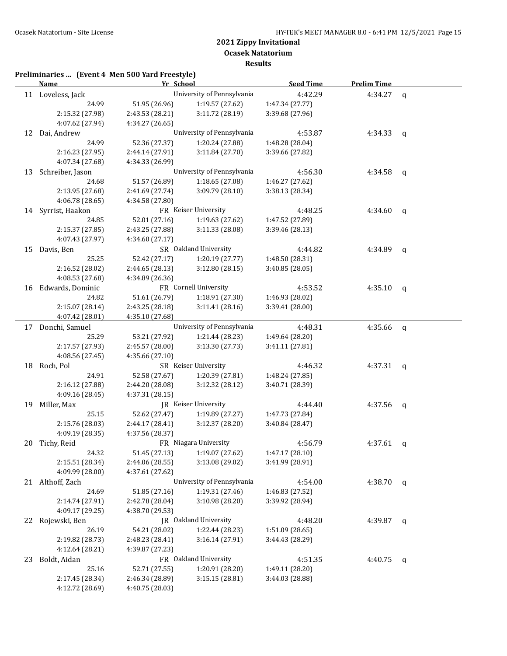**Results**

|    | <b>Name</b>         | Yr School       |                               | <b>Seed Time</b> | <b>Prelim Time</b> |                |
|----|---------------------|-----------------|-------------------------------|------------------|--------------------|----------------|
|    | 11 Loveless, Jack   |                 | University of Pennsylvania    | 4:42.29          | 4:34.27            | $\mathbf{q}$   |
|    | 24.99               | 51.95 (26.96)   | 1:19.57 (27.62)               | 1:47.34 (27.77)  |                    |                |
|    | 2:15.32 (27.98)     | 2:43.53 (28.21) | 3:11.72 (28.19)               | 3:39.68 (27.96)  |                    |                |
|    | 4:07.62 (27.94)     | 4:34.27 (26.65) |                               |                  |                    |                |
|    | 12 Dai, Andrew      |                 | University of Pennsylvania    | 4:53.87          | 4:34.33            | q              |
|    | 24.99               | 52.36 (27.37)   | 1:20.24 (27.88)               | 1:48.28 (28.04)  |                    |                |
|    | 2:16.23 (27.95)     | 2:44.14 (27.91) | 3:11.84 (27.70)               | 3:39.66 (27.82)  |                    |                |
|    | 4:07.34 (27.68)     | 4:34.33 (26.99) |                               |                  |                    |                |
| 13 | Schreiber, Jason    |                 | University of Pennsylvania    | 4:56.30          | 4:34.58            | $\mathbf{q}$   |
|    | 24.68               | 51.57 (26.89)   | 1:18.65(27.08)                | 1:46.27 (27.62)  |                    |                |
|    | 2:13.95 (27.68)     | 2:41.69 (27.74) | 3:09.79 (28.10)               | 3:38.13 (28.34)  |                    |                |
|    | 4:06.78 (28.65)     | 4:34.58 (27.80) |                               |                  |                    |                |
|    |                     |                 | FR Keiser University          |                  |                    |                |
|    | 14 Syrrist, Haakon  |                 |                               | 4:48.25          | 4:34.60            | $\mathbf{q}$   |
|    | 24.85               | 52.01 (27.16)   | 1:19.63 (27.62)               | 1:47.52 (27.89)  |                    |                |
|    | 2:15.37 (27.85)     | 2:43.25 (27.88) | 3:11.33 (28.08)               | 3:39.46 (28.13)  |                    |                |
|    | 4:07.43 (27.97)     | 4:34.60 (27.17) |                               |                  |                    |                |
| 15 | Davis, Ben          |                 | SR Oakland University         | 4:44.82          | 4:34.89            | $\mathfrak{q}$ |
|    | 25.25               | 52.42 (27.17)   | 1:20.19 (27.77)               | 1:48.50 (28.31)  |                    |                |
|    | 2:16.52 (28.02)     | 2:44.65 (28.13) | 3:12.80(28.15)                | 3:40.85 (28.05)  |                    |                |
|    | 4:08.53 (27.68)     | 4:34.89 (26.36) |                               |                  |                    |                |
|    | 16 Edwards, Dominic |                 | FR Cornell University         | 4:53.52          | 4:35.10            | q              |
|    | 24.82               | 51.61 (26.79)   | 1:18.91 (27.30)               | 1:46.93 (28.02)  |                    |                |
|    | 2:15.07 (28.14)     | 2:43.25 (28.18) | 3:11.41(28.16)                | 3:39.41 (28.00)  |                    |                |
|    | 4:07.42 (28.01)     | 4:35.10 (27.68) |                               |                  |                    |                |
|    | 17 Donchi, Samuel   |                 | University of Pennsylvania    | 4:48.31          | 4:35.66            | q              |
|    | 25.29               | 53.21 (27.92)   | 1:21.44 (28.23)               | 1:49.64 (28.20)  |                    |                |
|    | 2:17.57 (27.93)     | 2:45.57 (28.00) | 3:13.30 (27.73)               | 3:41.11 (27.81)  |                    |                |
|    | 4:08.56 (27.45)     | 4:35.66 (27.10) |                               |                  |                    |                |
| 18 | Roch, Pol           |                 | SR Keiser University          | 4:46.32          | 4:37.31            | $\mathsf{q}$   |
|    | 24.91               | 52.58 (27.67)   | 1:20.39 (27.81)               | 1:48.24 (27.85)  |                    |                |
|    | 2:16.12 (27.88)     | 2:44.20 (28.08) | 3:12.32 (28.12)               | 3:40.71 (28.39)  |                    |                |
|    | 4:09.16 (28.45)     | 4:37.31 (28.15) |                               |                  |                    |                |
| 19 | Miller, Max         |                 | JR Keiser University          | 4:44.40          | 4:37.56            | q              |
|    | 25.15               | 52.62 (27.47)   | 1:19.89 (27.27)               | 1:47.73 (27.84)  |                    |                |
|    | 2:15.76 (28.03)     | 2:44.17 (28.41) | 3:12.37 (28.20)               | 3:40.84 (28.47)  |                    |                |
|    | 4:09.19 (28.35)     | 4:37.56 (28.37) |                               |                  |                    |                |
|    | 20 Tichy, Reid      |                 | FR Niagara University         | 4:56.79          | 4:37.61            | q              |
|    | 24.32               |                 | 51.45 (27.13) 1:19.07 (27.62) | 1:47.17 (28.10)  |                    |                |
|    | 2:15.51 (28.34)     | 2:44.06 (28.55) | 3:13.08 (29.02)               | 3:41.99 (28.91)  |                    |                |
|    | 4:09.99 (28.00)     | 4:37.61 (27.62) |                               |                  |                    |                |
|    | 21 Althoff, Zach    |                 | University of Pennsylvania    | 4:54.00          | 4:38.70            | q              |
|    | 24.69               | 51.85 (27.16)   | 1:19.31 (27.46)               | 1:46.83 (27.52)  |                    |                |
|    | 2:14.74 (27.91)     | 2:42.78 (28.04) | 3:10.98 (28.20)               | 3:39.92 (28.94)  |                    |                |
|    |                     | 4:38.70 (29.53) |                               |                  |                    |                |
|    | 4:09.17 (29.25)     |                 |                               |                  |                    |                |
| 22 | Rojewski, Ben       |                 | JR Oakland University         | 4:48.20          | 4:39.87            | $\mathsf{q}$   |
|    | 26.19               | 54.21 (28.02)   | 1:22.44 (28.23)               | 1:51.09 (28.65)  |                    |                |
|    | 2:19.82 (28.73)     | 2:48.23 (28.41) | 3:16.14 (27.91)               | 3:44.43 (28.29)  |                    |                |
|    | 4:12.64 (28.21)     | 4:39.87 (27.23) |                               |                  |                    |                |
| 23 | Boldt, Aidan        |                 | FR Oakland University         | 4:51.35          | 4:40.75            | $\mathbf q$    |
|    | 25.16               | 52.71 (27.55)   | 1:20.91 (28.20)               | 1:49.11 (28.20)  |                    |                |
|    | 2:17.45 (28.34)     | 2:46.34 (28.89) | 3:15.15 (28.81)               | 3:44.03 (28.88)  |                    |                |
|    | 4:12.72 (28.69)     | 4:40.75 (28.03) |                               |                  |                    |                |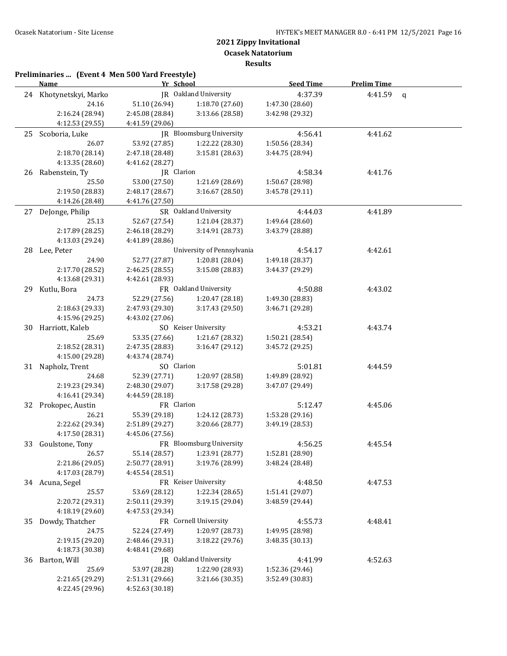**Results**

|    | Preliminaries  (Event 4 Men 500 Yard Freestyle)<br><b>Name</b> | Yr School                          |                                    | <b>Seed Time</b>                   | <b>Prelim Time</b> |             |
|----|----------------------------------------------------------------|------------------------------------|------------------------------------|------------------------------------|--------------------|-------------|
|    | 24 Khotynetskyi, Marko                                         |                                    | <b>IR</b> Oakland University       | 4:37.39                            | 4:41.59            | $\mathbf q$ |
|    | 24.16                                                          | 51.10 (26.94)                      | 1:18.70 (27.60)                    | 1:47.30 (28.60)                    |                    |             |
|    | 2:16.24 (28.94)                                                | 2:45.08 (28.84)                    | 3:13.66 (28.58)                    | 3:42.98 (29.32)                    |                    |             |
|    | 4:12.53 (29.55)                                                | 4:41.59 (29.06)                    |                                    |                                    |                    |             |
| 25 | Scoboria, Luke                                                 |                                    | <b>IR</b> Bloomsburg University    | 4:56.41                            | 4:41.62            |             |
|    | 26.07                                                          | 53.92 (27.85)                      | 1:22.22 (28.30)                    | 1:50.56 (28.34)                    |                    |             |
|    | 2:18.70 (28.14)                                                | 2:47.18 (28.48)                    | 3:15.81 (28.63)                    | 3:44.75 (28.94)                    |                    |             |
|    | 4:13.35 (28.60)                                                | 4:41.62 (28.27)                    |                                    |                                    |                    |             |
| 26 | Rabenstein, Ty                                                 | JR Clarion                         |                                    | 4:58.34                            | 4:41.76            |             |
|    | 25.50                                                          | 53.00 (27.50)                      | 1:21.69 (28.69)                    | 1:50.67 (28.98)                    |                    |             |
|    | 2:19.50 (28.83)                                                | 2:48.17 (28.67)                    | 3:16.67 (28.50)                    | 3:45.78 (29.11)                    |                    |             |
|    | 4:14.26 (28.48)                                                | 4:41.76 (27.50)                    |                                    |                                    |                    |             |
|    | 27 DeJonge, Philip                                             |                                    | SR Oakland University              | 4:44.03                            | 4:41.89            |             |
|    | 25.13                                                          | 52.67 (27.54)                      | 1:21.04 (28.37)                    | 1:49.64 (28.60)                    |                    |             |
|    | 2:17.89 (28.25)                                                | 2:46.18 (28.29)                    | 3:14.91 (28.73)                    | 3:43.79 (28.88)                    |                    |             |
|    | 4:13.03 (29.24)                                                | 4:41.89 (28.86)                    |                                    |                                    |                    |             |
| 28 | Lee, Peter                                                     |                                    | University of Pennsylvania         | 4:54.17                            | 4:42.61            |             |
|    | 24.90                                                          | 52.77 (27.87)                      | 1:20.81 (28.04)                    | 1:49.18 (28.37)                    |                    |             |
|    | 2:17.70 (28.52)                                                | 2:46.25 (28.55)                    | 3:15.08 (28.83)                    | 3:44.37 (29.29)                    |                    |             |
|    | 4:13.68 (29.31)                                                | 4:42.61 (28.93)                    |                                    |                                    |                    |             |
| 29 | Kutlu, Bora                                                    |                                    | FR Oakland University              | 4:50.88                            | 4:43.02            |             |
|    | 24.73                                                          | 52.29 (27.56)                      | 1:20.47 (28.18)                    | 1:49.30 (28.83)                    |                    |             |
|    | 2:18.63 (29.33)                                                | 2:47.93 (29.30)                    | 3:17.43 (29.50)                    | 3:46.71 (29.28)                    |                    |             |
|    | 4:15.96 (29.25)                                                | 4:43.02 (27.06)                    |                                    |                                    |                    |             |
| 30 | Harriott, Kaleb                                                |                                    | SO Keiser University               | 4:53.21                            | 4:43.74            |             |
|    | 25.69                                                          | 53.35 (27.66)                      | 1:21.67 (28.32)                    | 1:50.21 (28.54)                    |                    |             |
|    | 2:18.52 (28.31)                                                | 2:47.35 (28.83)                    | 3:16.47 (29.12)                    | 3:45.72 (29.25)                    |                    |             |
|    | 4:15.00 (29.28)                                                | 4:43.74 (28.74)                    |                                    |                                    |                    |             |
|    | 31 Napholz, Trent                                              | SO Clarion                         |                                    | 5:01.81                            | 4:44.59            |             |
|    | 24.68                                                          | 52.39 (27.71)                      |                                    | 1:49.89 (28.92)                    |                    |             |
|    | 2:19.23 (29.34)                                                | 2:48.30 (29.07)                    | 1:20.97 (28.58)<br>3:17.58 (29.28) | 3:47.07 (29.49)                    |                    |             |
|    | 4:16.41 (29.34)                                                |                                    |                                    |                                    |                    |             |
|    |                                                                | 4:44.59 (28.18)<br>FR Clarion      |                                    | 5:12.47                            | 4:45.06            |             |
|    | 32 Prokopec, Austin<br>26.21                                   |                                    |                                    |                                    |                    |             |
|    | 2:22.62 (29.34)                                                | 55.39 (29.18)<br>2:51.89 (29.27)   | 1:24.12 (28.73)<br>3:20.66 (28.77) | 1:53.28 (29.16)<br>3:49.19 (28.53) |                    |             |
|    | 4:17.50 (28.31)                                                | 4:45.06 (27.56)                    |                                    |                                    |                    |             |
|    | 33 Goulstone, Tony                                             |                                    | FR Bloomsburg University           | 4:56.25                            | 4:45.54            |             |
|    | 26.57                                                          | 55.14 (28.57)                      | 1:23.91 (28.77)                    | 1:52.81 (28.90)                    |                    |             |
|    | 2:21.86 (29.05)                                                | 2:50.77 (28.91)                    | 3:19.76 (28.99)                    | 3:48.24 (28.48)                    |                    |             |
|    | 4:17.03 (28.79)                                                | 4:45.54 (28.51)                    |                                    |                                    |                    |             |
|    | 34 Acuna, Segel                                                |                                    | FR Keiser University               | 4:48.50                            | 4:47.53            |             |
|    | 25.57                                                          |                                    | 1:22.34 (28.65)                    |                                    |                    |             |
|    | 2:20.72 (29.31)                                                | 53.69 (28.12)<br>2:50.11 (29.39)   | 3:19.15 (29.04)                    | 1:51.41 (29.07)<br>3:48.59 (29.44) |                    |             |
|    | 4:18.19 (29.60)                                                | 4:47.53 (29.34)                    |                                    |                                    |                    |             |
| 35 | Dowdy, Thatcher                                                |                                    | FR Cornell University              | 4:55.73                            | 4:48.41            |             |
|    | 24.75                                                          | 52.24 (27.49)                      | 1:20.97 (28.73)                    |                                    |                    |             |
|    | 2:19.15 (29.20)                                                |                                    |                                    | 1:49.95 (28.98)                    |                    |             |
|    | 4:18.73 (30.38)                                                | 2:48.46 (29.31)<br>4:48.41 (29.68) | 3:18.22 (29.76)                    | 3:48.35 (30.13)                    |                    |             |
|    |                                                                |                                    | JR Oakland University              | 4:41.99                            | 4:52.63            |             |
| 36 | Barton, Will<br>25.69                                          | 53.97 (28.28)                      | 1:22.90 (28.93)                    |                                    |                    |             |
|    | 2:21.65 (29.29)                                                |                                    |                                    | 1:52.36 (29.46)                    |                    |             |
|    | 4:22.45 (29.96)                                                | 2:51.31 (29.66)                    | 3:21.66 (30.35)                    | 3:52.49 (30.83)                    |                    |             |
|    |                                                                | 4:52.63 (30.18)                    |                                    |                                    |                    |             |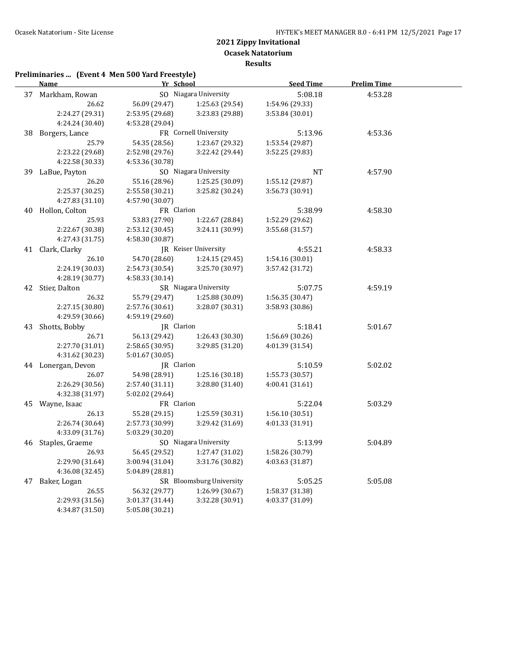**Ocasek Natatorium**

**Results**

|    | <b>Name</b>        | Yr School       |                               | <b>Seed Time</b> | <b>Prelim Time</b> |  |
|----|--------------------|-----------------|-------------------------------|------------------|--------------------|--|
|    | 37 Markham, Rowan  |                 | SO Niagara University         | 5:08.18          | 4:53.28            |  |
|    | 26.62              | 56.09 (29.47)   | 1:25.63 (29.54)               | 1:54.96 (29.33)  |                    |  |
|    | 2:24.27 (29.31)    | 2:53.95 (29.68) | 3:23.83 (29.88)               | 3:53.84 (30.01)  |                    |  |
|    | 4:24.24 (30.40)    | 4:53.28 (29.04) |                               |                  |                    |  |
|    | 38 Borgers, Lance  |                 | FR Cornell University         | 5:13.96          | 4:53.36            |  |
|    | 25.79              | 54.35 (28.56)   | 1:23.67 (29.32)               | 1:53.54 (29.87)  |                    |  |
|    | 2:23.22 (29.68)    | 2:52.98 (29.76) | 3:22.42 (29.44)               | 3:52.25 (29.83)  |                    |  |
|    | 4:22.58 (30.33)    | 4:53.36 (30.78) |                               |                  |                    |  |
|    | 39 LaBue, Payton   |                 | SO Niagara University         | NT               | 4:57.90            |  |
|    | 26.20              | 55.16 (28.96)   | 1:25.25 (30.09)               | 1:55.12 (29.87)  |                    |  |
|    | 2:25.37 (30.25)    | 2:55.58(30.21)  | 3:25.82 (30.24)               | 3:56.73 (30.91)  |                    |  |
|    | 4:27.83 (31.10)    | 4:57.90 (30.07) |                               |                  |                    |  |
|    | 40 Hollon, Colton  | FR Clarion      |                               | 5:38.99          | 4:58.30            |  |
|    | 25.93              | 53.83 (27.90)   | 1:22.67 (28.84)               | 1:52.29 (29.62)  |                    |  |
|    | 2:22.67 (30.38)    | 2:53.12 (30.45) | 3:24.11 (30.99)               | 3:55.68 (31.57)  |                    |  |
|    | 4:27.43 (31.75)    | 4:58.30 (30.87) |                               |                  |                    |  |
|    | 41 Clark, Clarky   |                 | JR Keiser University          | 4:55.21          | 4:58.33            |  |
|    | 26.10              | 54.70 (28.60)   | 1:24.15(29.45)                | 1:54.16 (30.01)  |                    |  |
|    | 2:24.19 (30.03)    | 2:54.73 (30.54) | 3:25.70 (30.97)               | 3:57.42 (31.72)  |                    |  |
|    | 4:28.19 (30.77)    | 4:58.33 (30.14) |                               |                  |                    |  |
|    | 42 Stier, Dalton   |                 | SR Niagara University         | 5:07.75          | 4:59.19            |  |
|    | 26.32              | 55.79 (29.47)   | 1:25.88 (30.09)               | 1:56.35 (30.47)  |                    |  |
|    | 2:27.15 (30.80)    | 2:57.76 (30.61) | 3:28.07 (30.31)               | 3:58.93 (30.86)  |                    |  |
|    | 4:29.59 (30.66)    | 4:59.19 (29.60) |                               |                  |                    |  |
|    | 43 Shotts, Bobby   | JR Clarion      |                               | 5:18.41          | 5:01.67            |  |
|    | 26.71              | 56.13 (29.42)   | 1:26.43 (30.30)               | 1:56.69 (30.26)  |                    |  |
|    | 2:27.70 (31.01)    | 2:58.65 (30.95) | 3:29.85 (31.20)               | 4:01.39 (31.54)  |                    |  |
|    | 4:31.62 (30.23)    | 5:01.67 (30.05) |                               |                  |                    |  |
|    | 44 Lonergan, Devon | JR Clarion      |                               | 5:10.59          | 5:02.02            |  |
|    | 26.07              | 54.98 (28.91)   | 1:25.16 (30.18)               | 1:55.73 (30.57)  |                    |  |
|    | 2:26.29 (30.56)    | 2:57.40 (31.11) | 3:28.80 (31.40)               | 4:00.41 (31.61)  |                    |  |
|    | 4:32.38 (31.97)    | 5:02.02 (29.64) |                               |                  |                    |  |
|    | 45 Wayne, Isaac    | FR Clarion      |                               | 5:22.04          | 5:03.29            |  |
|    | 26.13              | 55.28 (29.15)   | 1:25.59 (30.31)               | 1:56.10 (30.51)  |                    |  |
|    | 2:26.74 (30.64)    | 2:57.73 (30.99) | 3:29.42 (31.69)               | 4:01.33 (31.91)  |                    |  |
|    | 4:33.09 (31.76)    | 5:03.29 (30.20) |                               |                  |                    |  |
|    | 46 Staples, Graeme |                 | SO Niagara University         | 5:13.99          | 5:04.89            |  |
|    | 26.93              |                 | 56.45 (29.52) 1:27.47 (31.02) | 1:58.26 (30.79)  |                    |  |
|    | 2:29.90 (31.64)    | 3:00.94 (31.04) | 3:31.76 (30.82)               | 4:03.63 (31.87)  |                    |  |
|    | 4:36.08 (32.45)    | 5:04.89 (28.81) |                               |                  |                    |  |
| 47 | Baker, Logan       |                 | SR Bloomsburg University      | 5:05.25          | 5:05.08            |  |
|    | 26.55              | 56.32 (29.77)   | 1:26.99 (30.67)               | 1:58.37 (31.38)  |                    |  |
|    | 2:29.93 (31.56)    | 3:01.37 (31.44) | 3:32.28 (30.91)               | 4:03.37 (31.09)  |                    |  |
|    | 4:34.87 (31.50)    | 5:05.08 (30.21) |                               |                  |                    |  |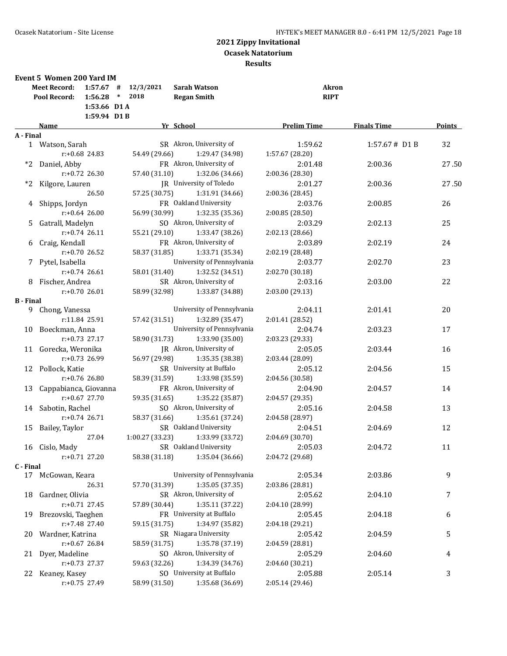| Yr School<br><b>Prelim Time</b><br><b>Finals Time</b><br><b>Name</b><br>A - Final<br>SR Akron, University of<br>32<br>1:59.62<br>$1:57.67#$ D1 B<br>1 Watson, Sarah<br>$r: +0.68$ 24.83<br>54.49 (29.66)<br>1:29.47 (34.98)<br>1:57.67 (28.20)<br>FR Akron, University of<br>2:01.48<br>2:00.36<br>27.50<br>*2 Daniel, Abby<br>$r: +0.72$ 26.30<br>57.40 (31.10)<br>1:32.06 (34.66)<br>2:00.36 (28.30)<br>*2 Kilgore, Lauren<br>JR University of Toledo<br>27.50<br>2:01.27<br>2:00.36<br>26.50<br>57.25 (30.75)<br>1:31.91 (34.66)<br>2:00.36 (28.45)<br>FR Oakland University<br>2:03.76<br>4 Shipps, Jordyn<br>2:00.85<br>26<br>$r: +0.64$ 26.00<br>56.99 (30.99)<br>1:32.35 (35.36)<br>2:00.85 (28.50)<br>SO Akron, University of<br>Gatrall, Madelyn<br>2:03.29<br>25<br>5<br>2:02.13<br>$r: +0.74$ 26.11<br>55.21 (29.10)<br>1:33.47 (38.26)<br>2:02.13 (28.66)<br>FR Akron, University of<br>6 Craig, Kendall<br>2:03.89<br>2:02.19<br>24<br>$r: +0.70$ 26.52<br>58.37 (31.85)<br>1:33.71 (35.34)<br>2:02.19 (28.48)<br>University of Pennsylvania<br>7 Pytel, Isabella<br>2:02.70<br>23<br>2:03.77<br>$r: +0.74$ 26.61<br>1:32.52 (34.51)<br>58.01 (31.40)<br>2:02.70 (30.18)<br>SR Akron, University of<br>8 Fischer, Andrea<br>2:03.16<br>2:03.00<br>22<br>58.99 (32.98)<br>$r: +0.7026.01$<br>1:33.87 (34.88)<br>2:03.00 (29.13)<br><b>B</b> - Final<br>University of Pennsylvania<br>20<br>Chong, Vanessa<br>2:04.11<br>2:01.41<br>9.<br>r:11.84 25.91<br>1:32.89 (35.47)<br>57.42 (31.51)<br>2:01.41 (28.52)<br>University of Pennsylvania<br>10 Boeckman, Anna<br>2:03.23<br>17<br>2:04.74<br>$r: +0.73$ 27.17<br>58.90 (31.73)<br>1:33.90 (35.00)<br>2:03.23 (29.33)<br>JR Akron, University of<br>11 Gorecka, Weronika<br>16<br>2:05.05<br>2:03.44<br>$r: +0.73$ 26.99<br>56.97 (29.98)<br>1:35.35 (38.38)<br>2:03.44 (28.09)<br>SR University at Buffalo<br>12 Pollock, Katie<br>15<br>2:05.12<br>2:04.56<br>$r: +0.76$ 26.80<br>58.39 (31.59)<br>1:33.98 (35.59)<br>2:04.56 (30.58)<br>FR Akron, University of<br>13 Cappabianca, Giovanna<br>2:04.90<br>2:04.57<br>14<br>$r: +0.67$ 27.70<br>59.35 (31.65)<br>2:04.57 (29.35)<br>1:35.22 (35.87)<br>14 Sabotin, Rachel<br>SO Akron, University of<br>2:05.16<br>13<br>2:04.58<br>$r: +0.74$ 26.71<br>58.37 (31.66)<br>1:35.61 (37.24)<br>2:04.58 (28.97)<br>SR Oakland University<br>2:04.51<br>12<br>Bailey, Taylor<br>2:04.69<br>15<br>27.04<br>1:00.27(33.23)<br>1:33.99 (33.72)<br>2:04.69 (30.70)<br>SR Oakland University<br>2:05.03<br>11<br>16 Cislo, Mady<br>2:04.72<br>58.38 (31.18)<br>1:35.04 (36.66)<br>2:04.72 (29.68)<br>$r.+0.71$ 27.20<br>C - Final<br>University of Pennsylvania<br>2:03.86<br>McGowan, Keara<br>2:05.34<br>9<br>17<br>1:35.05 (37.35)<br>26.31<br>57.70 (31.39)<br>2:03.86 (28.81)<br>SR Akron, University of<br>Gardner, Olivia<br>2:05.62<br>2:04.10<br>7<br>18<br>$r: +0.71$ 27.45<br>1:35.11 (37.22)<br>57.89 (30.44)<br>2:04.10 (28.99)<br>FR University at Buffalo<br>Brezovski, Taeghen<br>19<br>2:05.45<br>2:04.18<br>6<br>r:+7.48 27.40<br>1:34.97 (35.82)<br>59.15 (31.75)<br>2:04.18 (29.21)<br>SR Niagara University<br>5<br>20 Wardner, Katrina<br>2:05.42<br>2:04.59<br>1:35.78 (37.19)<br>$r: +0.67$ 26.84<br>58.59 (31.75)<br>2:04.59 (28.81)<br>SO Akron, University of<br>Dyer, Madeline<br>2:05.29<br>2:04.60<br>21<br>4<br>59.63 (32.26)<br>1:34.39 (34.76)<br>$r: +0.73$ 27.37<br>2:04.60 (30.21)<br>SO University at Buffalo<br>3<br>22 Keaney, Kasey<br>2:05.88<br>2:05.14<br>58.99 (31.50)<br>r:+0.75 27.49<br>1:35.68 (36.69)<br>2:05.14 (29.46) | Event 5 Women 200 Yard IM<br><b>Meet Record:</b><br>$1:57.67$ #<br>$\ast$<br>Pool Record:<br>1:56.28<br>1:53.66 D1 A<br>1:59.94 D1B | 12/3/2021<br>2018 | <b>Sarah Watson</b><br><b>Regan Smith</b> | <b>Akron</b><br><b>RIPT</b> |        |
|---------------------------------------------------------------------------------------------------------------------------------------------------------------------------------------------------------------------------------------------------------------------------------------------------------------------------------------------------------------------------------------------------------------------------------------------------------------------------------------------------------------------------------------------------------------------------------------------------------------------------------------------------------------------------------------------------------------------------------------------------------------------------------------------------------------------------------------------------------------------------------------------------------------------------------------------------------------------------------------------------------------------------------------------------------------------------------------------------------------------------------------------------------------------------------------------------------------------------------------------------------------------------------------------------------------------------------------------------------------------------------------------------------------------------------------------------------------------------------------------------------------------------------------------------------------------------------------------------------------------------------------------------------------------------------------------------------------------------------------------------------------------------------------------------------------------------------------------------------------------------------------------------------------------------------------------------------------------------------------------------------------------------------------------------------------------------------------------------------------------------------------------------------------------------------------------------------------------------------------------------------------------------------------------------------------------------------------------------------------------------------------------------------------------------------------------------------------------------------------------------------------------------------------------------------------------------------------------------------------------------------------------------------------------------------------------------------------------------------------------------------------------------------------------------------------------------------------------------------------------------------------------------------------------------------------------------------------------------------------------------------------------------------------------------------------------------------------------------------------------------------------------------------------------------------------------------------------------------------------------------------------------------------------------------------------------------------------------------------------------------------------------------------------------------------------------------------------------------------------------------------------------------------------------------------------------------------|-------------------------------------------------------------------------------------------------------------------------------------|-------------------|-------------------------------------------|-----------------------------|--------|
|                                                                                                                                                                                                                                                                                                                                                                                                                                                                                                                                                                                                                                                                                                                                                                                                                                                                                                                                                                                                                                                                                                                                                                                                                                                                                                                                                                                                                                                                                                                                                                                                                                                                                                                                                                                                                                                                                                                                                                                                                                                                                                                                                                                                                                                                                                                                                                                                                                                                                                                                                                                                                                                                                                                                                                                                                                                                                                                                                                                                                                                                                                                                                                                                                                                                                                                                                                                                                                                                                                                                                                                 |                                                                                                                                     |                   |                                           |                             | Points |
|                                                                                                                                                                                                                                                                                                                                                                                                                                                                                                                                                                                                                                                                                                                                                                                                                                                                                                                                                                                                                                                                                                                                                                                                                                                                                                                                                                                                                                                                                                                                                                                                                                                                                                                                                                                                                                                                                                                                                                                                                                                                                                                                                                                                                                                                                                                                                                                                                                                                                                                                                                                                                                                                                                                                                                                                                                                                                                                                                                                                                                                                                                                                                                                                                                                                                                                                                                                                                                                                                                                                                                                 |                                                                                                                                     |                   |                                           |                             |        |
|                                                                                                                                                                                                                                                                                                                                                                                                                                                                                                                                                                                                                                                                                                                                                                                                                                                                                                                                                                                                                                                                                                                                                                                                                                                                                                                                                                                                                                                                                                                                                                                                                                                                                                                                                                                                                                                                                                                                                                                                                                                                                                                                                                                                                                                                                                                                                                                                                                                                                                                                                                                                                                                                                                                                                                                                                                                                                                                                                                                                                                                                                                                                                                                                                                                                                                                                                                                                                                                                                                                                                                                 |                                                                                                                                     |                   |                                           |                             |        |
|                                                                                                                                                                                                                                                                                                                                                                                                                                                                                                                                                                                                                                                                                                                                                                                                                                                                                                                                                                                                                                                                                                                                                                                                                                                                                                                                                                                                                                                                                                                                                                                                                                                                                                                                                                                                                                                                                                                                                                                                                                                                                                                                                                                                                                                                                                                                                                                                                                                                                                                                                                                                                                                                                                                                                                                                                                                                                                                                                                                                                                                                                                                                                                                                                                                                                                                                                                                                                                                                                                                                                                                 |                                                                                                                                     |                   |                                           |                             |        |
|                                                                                                                                                                                                                                                                                                                                                                                                                                                                                                                                                                                                                                                                                                                                                                                                                                                                                                                                                                                                                                                                                                                                                                                                                                                                                                                                                                                                                                                                                                                                                                                                                                                                                                                                                                                                                                                                                                                                                                                                                                                                                                                                                                                                                                                                                                                                                                                                                                                                                                                                                                                                                                                                                                                                                                                                                                                                                                                                                                                                                                                                                                                                                                                                                                                                                                                                                                                                                                                                                                                                                                                 |                                                                                                                                     |                   |                                           |                             |        |
|                                                                                                                                                                                                                                                                                                                                                                                                                                                                                                                                                                                                                                                                                                                                                                                                                                                                                                                                                                                                                                                                                                                                                                                                                                                                                                                                                                                                                                                                                                                                                                                                                                                                                                                                                                                                                                                                                                                                                                                                                                                                                                                                                                                                                                                                                                                                                                                                                                                                                                                                                                                                                                                                                                                                                                                                                                                                                                                                                                                                                                                                                                                                                                                                                                                                                                                                                                                                                                                                                                                                                                                 |                                                                                                                                     |                   |                                           |                             |        |
|                                                                                                                                                                                                                                                                                                                                                                                                                                                                                                                                                                                                                                                                                                                                                                                                                                                                                                                                                                                                                                                                                                                                                                                                                                                                                                                                                                                                                                                                                                                                                                                                                                                                                                                                                                                                                                                                                                                                                                                                                                                                                                                                                                                                                                                                                                                                                                                                                                                                                                                                                                                                                                                                                                                                                                                                                                                                                                                                                                                                                                                                                                                                                                                                                                                                                                                                                                                                                                                                                                                                                                                 |                                                                                                                                     |                   |                                           |                             |        |
|                                                                                                                                                                                                                                                                                                                                                                                                                                                                                                                                                                                                                                                                                                                                                                                                                                                                                                                                                                                                                                                                                                                                                                                                                                                                                                                                                                                                                                                                                                                                                                                                                                                                                                                                                                                                                                                                                                                                                                                                                                                                                                                                                                                                                                                                                                                                                                                                                                                                                                                                                                                                                                                                                                                                                                                                                                                                                                                                                                                                                                                                                                                                                                                                                                                                                                                                                                                                                                                                                                                                                                                 |                                                                                                                                     |                   |                                           |                             |        |
|                                                                                                                                                                                                                                                                                                                                                                                                                                                                                                                                                                                                                                                                                                                                                                                                                                                                                                                                                                                                                                                                                                                                                                                                                                                                                                                                                                                                                                                                                                                                                                                                                                                                                                                                                                                                                                                                                                                                                                                                                                                                                                                                                                                                                                                                                                                                                                                                                                                                                                                                                                                                                                                                                                                                                                                                                                                                                                                                                                                                                                                                                                                                                                                                                                                                                                                                                                                                                                                                                                                                                                                 |                                                                                                                                     |                   |                                           |                             |        |
|                                                                                                                                                                                                                                                                                                                                                                                                                                                                                                                                                                                                                                                                                                                                                                                                                                                                                                                                                                                                                                                                                                                                                                                                                                                                                                                                                                                                                                                                                                                                                                                                                                                                                                                                                                                                                                                                                                                                                                                                                                                                                                                                                                                                                                                                                                                                                                                                                                                                                                                                                                                                                                                                                                                                                                                                                                                                                                                                                                                                                                                                                                                                                                                                                                                                                                                                                                                                                                                                                                                                                                                 |                                                                                                                                     |                   |                                           |                             |        |
|                                                                                                                                                                                                                                                                                                                                                                                                                                                                                                                                                                                                                                                                                                                                                                                                                                                                                                                                                                                                                                                                                                                                                                                                                                                                                                                                                                                                                                                                                                                                                                                                                                                                                                                                                                                                                                                                                                                                                                                                                                                                                                                                                                                                                                                                                                                                                                                                                                                                                                                                                                                                                                                                                                                                                                                                                                                                                                                                                                                                                                                                                                                                                                                                                                                                                                                                                                                                                                                                                                                                                                                 |                                                                                                                                     |                   |                                           |                             |        |
|                                                                                                                                                                                                                                                                                                                                                                                                                                                                                                                                                                                                                                                                                                                                                                                                                                                                                                                                                                                                                                                                                                                                                                                                                                                                                                                                                                                                                                                                                                                                                                                                                                                                                                                                                                                                                                                                                                                                                                                                                                                                                                                                                                                                                                                                                                                                                                                                                                                                                                                                                                                                                                                                                                                                                                                                                                                                                                                                                                                                                                                                                                                                                                                                                                                                                                                                                                                                                                                                                                                                                                                 |                                                                                                                                     |                   |                                           |                             |        |
|                                                                                                                                                                                                                                                                                                                                                                                                                                                                                                                                                                                                                                                                                                                                                                                                                                                                                                                                                                                                                                                                                                                                                                                                                                                                                                                                                                                                                                                                                                                                                                                                                                                                                                                                                                                                                                                                                                                                                                                                                                                                                                                                                                                                                                                                                                                                                                                                                                                                                                                                                                                                                                                                                                                                                                                                                                                                                                                                                                                                                                                                                                                                                                                                                                                                                                                                                                                                                                                                                                                                                                                 |                                                                                                                                     |                   |                                           |                             |        |
|                                                                                                                                                                                                                                                                                                                                                                                                                                                                                                                                                                                                                                                                                                                                                                                                                                                                                                                                                                                                                                                                                                                                                                                                                                                                                                                                                                                                                                                                                                                                                                                                                                                                                                                                                                                                                                                                                                                                                                                                                                                                                                                                                                                                                                                                                                                                                                                                                                                                                                                                                                                                                                                                                                                                                                                                                                                                                                                                                                                                                                                                                                                                                                                                                                                                                                                                                                                                                                                                                                                                                                                 |                                                                                                                                     |                   |                                           |                             |        |
|                                                                                                                                                                                                                                                                                                                                                                                                                                                                                                                                                                                                                                                                                                                                                                                                                                                                                                                                                                                                                                                                                                                                                                                                                                                                                                                                                                                                                                                                                                                                                                                                                                                                                                                                                                                                                                                                                                                                                                                                                                                                                                                                                                                                                                                                                                                                                                                                                                                                                                                                                                                                                                                                                                                                                                                                                                                                                                                                                                                                                                                                                                                                                                                                                                                                                                                                                                                                                                                                                                                                                                                 |                                                                                                                                     |                   |                                           |                             |        |
|                                                                                                                                                                                                                                                                                                                                                                                                                                                                                                                                                                                                                                                                                                                                                                                                                                                                                                                                                                                                                                                                                                                                                                                                                                                                                                                                                                                                                                                                                                                                                                                                                                                                                                                                                                                                                                                                                                                                                                                                                                                                                                                                                                                                                                                                                                                                                                                                                                                                                                                                                                                                                                                                                                                                                                                                                                                                                                                                                                                                                                                                                                                                                                                                                                                                                                                                                                                                                                                                                                                                                                                 |                                                                                                                                     |                   |                                           |                             |        |
|                                                                                                                                                                                                                                                                                                                                                                                                                                                                                                                                                                                                                                                                                                                                                                                                                                                                                                                                                                                                                                                                                                                                                                                                                                                                                                                                                                                                                                                                                                                                                                                                                                                                                                                                                                                                                                                                                                                                                                                                                                                                                                                                                                                                                                                                                                                                                                                                                                                                                                                                                                                                                                                                                                                                                                                                                                                                                                                                                                                                                                                                                                                                                                                                                                                                                                                                                                                                                                                                                                                                                                                 |                                                                                                                                     |                   |                                           |                             |        |
|                                                                                                                                                                                                                                                                                                                                                                                                                                                                                                                                                                                                                                                                                                                                                                                                                                                                                                                                                                                                                                                                                                                                                                                                                                                                                                                                                                                                                                                                                                                                                                                                                                                                                                                                                                                                                                                                                                                                                                                                                                                                                                                                                                                                                                                                                                                                                                                                                                                                                                                                                                                                                                                                                                                                                                                                                                                                                                                                                                                                                                                                                                                                                                                                                                                                                                                                                                                                                                                                                                                                                                                 |                                                                                                                                     |                   |                                           |                             |        |
|                                                                                                                                                                                                                                                                                                                                                                                                                                                                                                                                                                                                                                                                                                                                                                                                                                                                                                                                                                                                                                                                                                                                                                                                                                                                                                                                                                                                                                                                                                                                                                                                                                                                                                                                                                                                                                                                                                                                                                                                                                                                                                                                                                                                                                                                                                                                                                                                                                                                                                                                                                                                                                                                                                                                                                                                                                                                                                                                                                                                                                                                                                                                                                                                                                                                                                                                                                                                                                                                                                                                                                                 |                                                                                                                                     |                   |                                           |                             |        |
|                                                                                                                                                                                                                                                                                                                                                                                                                                                                                                                                                                                                                                                                                                                                                                                                                                                                                                                                                                                                                                                                                                                                                                                                                                                                                                                                                                                                                                                                                                                                                                                                                                                                                                                                                                                                                                                                                                                                                                                                                                                                                                                                                                                                                                                                                                                                                                                                                                                                                                                                                                                                                                                                                                                                                                                                                                                                                                                                                                                                                                                                                                                                                                                                                                                                                                                                                                                                                                                                                                                                                                                 |                                                                                                                                     |                   |                                           |                             |        |
|                                                                                                                                                                                                                                                                                                                                                                                                                                                                                                                                                                                                                                                                                                                                                                                                                                                                                                                                                                                                                                                                                                                                                                                                                                                                                                                                                                                                                                                                                                                                                                                                                                                                                                                                                                                                                                                                                                                                                                                                                                                                                                                                                                                                                                                                                                                                                                                                                                                                                                                                                                                                                                                                                                                                                                                                                                                                                                                                                                                                                                                                                                                                                                                                                                                                                                                                                                                                                                                                                                                                                                                 |                                                                                                                                     |                   |                                           |                             |        |
|                                                                                                                                                                                                                                                                                                                                                                                                                                                                                                                                                                                                                                                                                                                                                                                                                                                                                                                                                                                                                                                                                                                                                                                                                                                                                                                                                                                                                                                                                                                                                                                                                                                                                                                                                                                                                                                                                                                                                                                                                                                                                                                                                                                                                                                                                                                                                                                                                                                                                                                                                                                                                                                                                                                                                                                                                                                                                                                                                                                                                                                                                                                                                                                                                                                                                                                                                                                                                                                                                                                                                                                 |                                                                                                                                     |                   |                                           |                             |        |
|                                                                                                                                                                                                                                                                                                                                                                                                                                                                                                                                                                                                                                                                                                                                                                                                                                                                                                                                                                                                                                                                                                                                                                                                                                                                                                                                                                                                                                                                                                                                                                                                                                                                                                                                                                                                                                                                                                                                                                                                                                                                                                                                                                                                                                                                                                                                                                                                                                                                                                                                                                                                                                                                                                                                                                                                                                                                                                                                                                                                                                                                                                                                                                                                                                                                                                                                                                                                                                                                                                                                                                                 |                                                                                                                                     |                   |                                           |                             |        |
|                                                                                                                                                                                                                                                                                                                                                                                                                                                                                                                                                                                                                                                                                                                                                                                                                                                                                                                                                                                                                                                                                                                                                                                                                                                                                                                                                                                                                                                                                                                                                                                                                                                                                                                                                                                                                                                                                                                                                                                                                                                                                                                                                                                                                                                                                                                                                                                                                                                                                                                                                                                                                                                                                                                                                                                                                                                                                                                                                                                                                                                                                                                                                                                                                                                                                                                                                                                                                                                                                                                                                                                 |                                                                                                                                     |                   |                                           |                             |        |
|                                                                                                                                                                                                                                                                                                                                                                                                                                                                                                                                                                                                                                                                                                                                                                                                                                                                                                                                                                                                                                                                                                                                                                                                                                                                                                                                                                                                                                                                                                                                                                                                                                                                                                                                                                                                                                                                                                                                                                                                                                                                                                                                                                                                                                                                                                                                                                                                                                                                                                                                                                                                                                                                                                                                                                                                                                                                                                                                                                                                                                                                                                                                                                                                                                                                                                                                                                                                                                                                                                                                                                                 |                                                                                                                                     |                   |                                           |                             |        |
|                                                                                                                                                                                                                                                                                                                                                                                                                                                                                                                                                                                                                                                                                                                                                                                                                                                                                                                                                                                                                                                                                                                                                                                                                                                                                                                                                                                                                                                                                                                                                                                                                                                                                                                                                                                                                                                                                                                                                                                                                                                                                                                                                                                                                                                                                                                                                                                                                                                                                                                                                                                                                                                                                                                                                                                                                                                                                                                                                                                                                                                                                                                                                                                                                                                                                                                                                                                                                                                                                                                                                                                 |                                                                                                                                     |                   |                                           |                             |        |
|                                                                                                                                                                                                                                                                                                                                                                                                                                                                                                                                                                                                                                                                                                                                                                                                                                                                                                                                                                                                                                                                                                                                                                                                                                                                                                                                                                                                                                                                                                                                                                                                                                                                                                                                                                                                                                                                                                                                                                                                                                                                                                                                                                                                                                                                                                                                                                                                                                                                                                                                                                                                                                                                                                                                                                                                                                                                                                                                                                                                                                                                                                                                                                                                                                                                                                                                                                                                                                                                                                                                                                                 |                                                                                                                                     |                   |                                           |                             |        |
|                                                                                                                                                                                                                                                                                                                                                                                                                                                                                                                                                                                                                                                                                                                                                                                                                                                                                                                                                                                                                                                                                                                                                                                                                                                                                                                                                                                                                                                                                                                                                                                                                                                                                                                                                                                                                                                                                                                                                                                                                                                                                                                                                                                                                                                                                                                                                                                                                                                                                                                                                                                                                                                                                                                                                                                                                                                                                                                                                                                                                                                                                                                                                                                                                                                                                                                                                                                                                                                                                                                                                                                 |                                                                                                                                     |                   |                                           |                             |        |
|                                                                                                                                                                                                                                                                                                                                                                                                                                                                                                                                                                                                                                                                                                                                                                                                                                                                                                                                                                                                                                                                                                                                                                                                                                                                                                                                                                                                                                                                                                                                                                                                                                                                                                                                                                                                                                                                                                                                                                                                                                                                                                                                                                                                                                                                                                                                                                                                                                                                                                                                                                                                                                                                                                                                                                                                                                                                                                                                                                                                                                                                                                                                                                                                                                                                                                                                                                                                                                                                                                                                                                                 |                                                                                                                                     |                   |                                           |                             |        |
|                                                                                                                                                                                                                                                                                                                                                                                                                                                                                                                                                                                                                                                                                                                                                                                                                                                                                                                                                                                                                                                                                                                                                                                                                                                                                                                                                                                                                                                                                                                                                                                                                                                                                                                                                                                                                                                                                                                                                                                                                                                                                                                                                                                                                                                                                                                                                                                                                                                                                                                                                                                                                                                                                                                                                                                                                                                                                                                                                                                                                                                                                                                                                                                                                                                                                                                                                                                                                                                                                                                                                                                 |                                                                                                                                     |                   |                                           |                             |        |
|                                                                                                                                                                                                                                                                                                                                                                                                                                                                                                                                                                                                                                                                                                                                                                                                                                                                                                                                                                                                                                                                                                                                                                                                                                                                                                                                                                                                                                                                                                                                                                                                                                                                                                                                                                                                                                                                                                                                                                                                                                                                                                                                                                                                                                                                                                                                                                                                                                                                                                                                                                                                                                                                                                                                                                                                                                                                                                                                                                                                                                                                                                                                                                                                                                                                                                                                                                                                                                                                                                                                                                                 |                                                                                                                                     |                   |                                           |                             |        |
|                                                                                                                                                                                                                                                                                                                                                                                                                                                                                                                                                                                                                                                                                                                                                                                                                                                                                                                                                                                                                                                                                                                                                                                                                                                                                                                                                                                                                                                                                                                                                                                                                                                                                                                                                                                                                                                                                                                                                                                                                                                                                                                                                                                                                                                                                                                                                                                                                                                                                                                                                                                                                                                                                                                                                                                                                                                                                                                                                                                                                                                                                                                                                                                                                                                                                                                                                                                                                                                                                                                                                                                 |                                                                                                                                     |                   |                                           |                             |        |
|                                                                                                                                                                                                                                                                                                                                                                                                                                                                                                                                                                                                                                                                                                                                                                                                                                                                                                                                                                                                                                                                                                                                                                                                                                                                                                                                                                                                                                                                                                                                                                                                                                                                                                                                                                                                                                                                                                                                                                                                                                                                                                                                                                                                                                                                                                                                                                                                                                                                                                                                                                                                                                                                                                                                                                                                                                                                                                                                                                                                                                                                                                                                                                                                                                                                                                                                                                                                                                                                                                                                                                                 |                                                                                                                                     |                   |                                           |                             |        |
|                                                                                                                                                                                                                                                                                                                                                                                                                                                                                                                                                                                                                                                                                                                                                                                                                                                                                                                                                                                                                                                                                                                                                                                                                                                                                                                                                                                                                                                                                                                                                                                                                                                                                                                                                                                                                                                                                                                                                                                                                                                                                                                                                                                                                                                                                                                                                                                                                                                                                                                                                                                                                                                                                                                                                                                                                                                                                                                                                                                                                                                                                                                                                                                                                                                                                                                                                                                                                                                                                                                                                                                 |                                                                                                                                     |                   |                                           |                             |        |
|                                                                                                                                                                                                                                                                                                                                                                                                                                                                                                                                                                                                                                                                                                                                                                                                                                                                                                                                                                                                                                                                                                                                                                                                                                                                                                                                                                                                                                                                                                                                                                                                                                                                                                                                                                                                                                                                                                                                                                                                                                                                                                                                                                                                                                                                                                                                                                                                                                                                                                                                                                                                                                                                                                                                                                                                                                                                                                                                                                                                                                                                                                                                                                                                                                                                                                                                                                                                                                                                                                                                                                                 |                                                                                                                                     |                   |                                           |                             |        |
|                                                                                                                                                                                                                                                                                                                                                                                                                                                                                                                                                                                                                                                                                                                                                                                                                                                                                                                                                                                                                                                                                                                                                                                                                                                                                                                                                                                                                                                                                                                                                                                                                                                                                                                                                                                                                                                                                                                                                                                                                                                                                                                                                                                                                                                                                                                                                                                                                                                                                                                                                                                                                                                                                                                                                                                                                                                                                                                                                                                                                                                                                                                                                                                                                                                                                                                                                                                                                                                                                                                                                                                 |                                                                                                                                     |                   |                                           |                             |        |
|                                                                                                                                                                                                                                                                                                                                                                                                                                                                                                                                                                                                                                                                                                                                                                                                                                                                                                                                                                                                                                                                                                                                                                                                                                                                                                                                                                                                                                                                                                                                                                                                                                                                                                                                                                                                                                                                                                                                                                                                                                                                                                                                                                                                                                                                                                                                                                                                                                                                                                                                                                                                                                                                                                                                                                                                                                                                                                                                                                                                                                                                                                                                                                                                                                                                                                                                                                                                                                                                                                                                                                                 |                                                                                                                                     |                   |                                           |                             |        |
|                                                                                                                                                                                                                                                                                                                                                                                                                                                                                                                                                                                                                                                                                                                                                                                                                                                                                                                                                                                                                                                                                                                                                                                                                                                                                                                                                                                                                                                                                                                                                                                                                                                                                                                                                                                                                                                                                                                                                                                                                                                                                                                                                                                                                                                                                                                                                                                                                                                                                                                                                                                                                                                                                                                                                                                                                                                                                                                                                                                                                                                                                                                                                                                                                                                                                                                                                                                                                                                                                                                                                                                 |                                                                                                                                     |                   |                                           |                             |        |
|                                                                                                                                                                                                                                                                                                                                                                                                                                                                                                                                                                                                                                                                                                                                                                                                                                                                                                                                                                                                                                                                                                                                                                                                                                                                                                                                                                                                                                                                                                                                                                                                                                                                                                                                                                                                                                                                                                                                                                                                                                                                                                                                                                                                                                                                                                                                                                                                                                                                                                                                                                                                                                                                                                                                                                                                                                                                                                                                                                                                                                                                                                                                                                                                                                                                                                                                                                                                                                                                                                                                                                                 |                                                                                                                                     |                   |                                           |                             |        |
|                                                                                                                                                                                                                                                                                                                                                                                                                                                                                                                                                                                                                                                                                                                                                                                                                                                                                                                                                                                                                                                                                                                                                                                                                                                                                                                                                                                                                                                                                                                                                                                                                                                                                                                                                                                                                                                                                                                                                                                                                                                                                                                                                                                                                                                                                                                                                                                                                                                                                                                                                                                                                                                                                                                                                                                                                                                                                                                                                                                                                                                                                                                                                                                                                                                                                                                                                                                                                                                                                                                                                                                 |                                                                                                                                     |                   |                                           |                             |        |
|                                                                                                                                                                                                                                                                                                                                                                                                                                                                                                                                                                                                                                                                                                                                                                                                                                                                                                                                                                                                                                                                                                                                                                                                                                                                                                                                                                                                                                                                                                                                                                                                                                                                                                                                                                                                                                                                                                                                                                                                                                                                                                                                                                                                                                                                                                                                                                                                                                                                                                                                                                                                                                                                                                                                                                                                                                                                                                                                                                                                                                                                                                                                                                                                                                                                                                                                                                                                                                                                                                                                                                                 |                                                                                                                                     |                   |                                           |                             |        |
|                                                                                                                                                                                                                                                                                                                                                                                                                                                                                                                                                                                                                                                                                                                                                                                                                                                                                                                                                                                                                                                                                                                                                                                                                                                                                                                                                                                                                                                                                                                                                                                                                                                                                                                                                                                                                                                                                                                                                                                                                                                                                                                                                                                                                                                                                                                                                                                                                                                                                                                                                                                                                                                                                                                                                                                                                                                                                                                                                                                                                                                                                                                                                                                                                                                                                                                                                                                                                                                                                                                                                                                 |                                                                                                                                     |                   |                                           |                             |        |
|                                                                                                                                                                                                                                                                                                                                                                                                                                                                                                                                                                                                                                                                                                                                                                                                                                                                                                                                                                                                                                                                                                                                                                                                                                                                                                                                                                                                                                                                                                                                                                                                                                                                                                                                                                                                                                                                                                                                                                                                                                                                                                                                                                                                                                                                                                                                                                                                                                                                                                                                                                                                                                                                                                                                                                                                                                                                                                                                                                                                                                                                                                                                                                                                                                                                                                                                                                                                                                                                                                                                                                                 |                                                                                                                                     |                   |                                           |                             |        |
|                                                                                                                                                                                                                                                                                                                                                                                                                                                                                                                                                                                                                                                                                                                                                                                                                                                                                                                                                                                                                                                                                                                                                                                                                                                                                                                                                                                                                                                                                                                                                                                                                                                                                                                                                                                                                                                                                                                                                                                                                                                                                                                                                                                                                                                                                                                                                                                                                                                                                                                                                                                                                                                                                                                                                                                                                                                                                                                                                                                                                                                                                                                                                                                                                                                                                                                                                                                                                                                                                                                                                                                 |                                                                                                                                     |                   |                                           |                             |        |
|                                                                                                                                                                                                                                                                                                                                                                                                                                                                                                                                                                                                                                                                                                                                                                                                                                                                                                                                                                                                                                                                                                                                                                                                                                                                                                                                                                                                                                                                                                                                                                                                                                                                                                                                                                                                                                                                                                                                                                                                                                                                                                                                                                                                                                                                                                                                                                                                                                                                                                                                                                                                                                                                                                                                                                                                                                                                                                                                                                                                                                                                                                                                                                                                                                                                                                                                                                                                                                                                                                                                                                                 |                                                                                                                                     |                   |                                           |                             |        |
|                                                                                                                                                                                                                                                                                                                                                                                                                                                                                                                                                                                                                                                                                                                                                                                                                                                                                                                                                                                                                                                                                                                                                                                                                                                                                                                                                                                                                                                                                                                                                                                                                                                                                                                                                                                                                                                                                                                                                                                                                                                                                                                                                                                                                                                                                                                                                                                                                                                                                                                                                                                                                                                                                                                                                                                                                                                                                                                                                                                                                                                                                                                                                                                                                                                                                                                                                                                                                                                                                                                                                                                 |                                                                                                                                     |                   |                                           |                             |        |
|                                                                                                                                                                                                                                                                                                                                                                                                                                                                                                                                                                                                                                                                                                                                                                                                                                                                                                                                                                                                                                                                                                                                                                                                                                                                                                                                                                                                                                                                                                                                                                                                                                                                                                                                                                                                                                                                                                                                                                                                                                                                                                                                                                                                                                                                                                                                                                                                                                                                                                                                                                                                                                                                                                                                                                                                                                                                                                                                                                                                                                                                                                                                                                                                                                                                                                                                                                                                                                                                                                                                                                                 |                                                                                                                                     |                   |                                           |                             |        |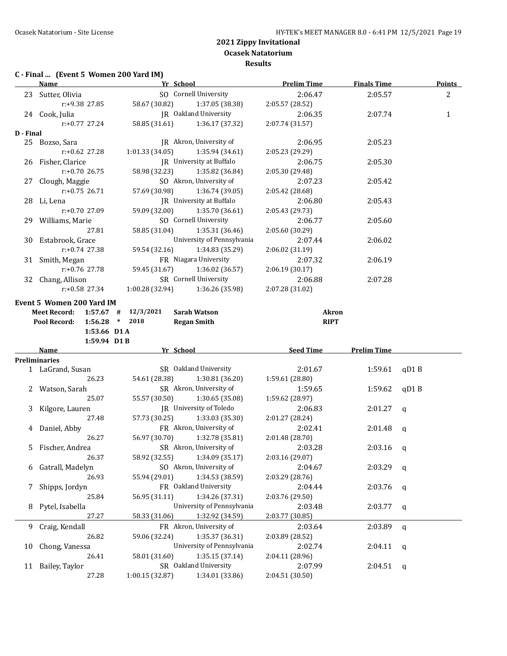## **C - Final ... (Event 5 Women 200 Yard IM)**

|           | <b>Name</b>                                                   | Yr School       |                                   | <b>Prelim Time</b> | <b>Finals Time</b> | Points       |
|-----------|---------------------------------------------------------------|-----------------|-----------------------------------|--------------------|--------------------|--------------|
|           | 23 Sutter, Olivia                                             |                 | SO Cornell University             | 2:06.47            | 2:05.57            | 2            |
|           | r:+9.38 27.85                                                 |                 | 58.67 (30.82) 1:37.05 (38.38)     | 2:05.57 (28.52)    |                    |              |
|           | 24 Cook, Julia                                                |                 | JR Oakland University             | 2:06.35            | 2:07.74            | 1            |
|           | $r: +0.77$ 27.24                                              | 58.85 (31.61)   | 1:36.17 (37.32)                   | 2:07.74 (31.57)    |                    |              |
| D - Final |                                                               |                 |                                   |                    |                    |              |
|           | 25 Bozso, Sara                                                |                 | JR Akron, University of           | 2:06.95            | 2:05.23            |              |
|           | r:+0.62 27.28                                                 |                 | $1:01.33(34.05)$ $1:35.94(34.61)$ | 2:05.23 (29.29)    |                    |              |
|           | 26 Fisher, Clarice                                            |                 | JR University at Buffalo          | 2:06.75            | 2:05.30            |              |
|           | $r: +0.70$ 26.75                                              |                 | 58.98 (32.23) 1:35.82 (36.84)     | 2:05.30 (29.48)    |                    |              |
|           | 27 Clough, Maggie                                             |                 | SO Akron, University of           | 2:07.23            | 2:05.42            |              |
|           | $r: +0.75$ 26.71                                              |                 | 57.69 (30.98) 1:36.74 (39.05)     | 2:05.42 (28.68)    |                    |              |
|           | 28 Li, Lena                                                   |                 | JR University at Buffalo          | 2:06.80            | 2:05.43            |              |
|           | r:+0.70 27.09                                                 |                 | 59.09 (32.00) 1:35.70 (36.61)     | 2:05.43 (29.73)    |                    |              |
|           | 29 Williams, Marie                                            |                 | SO Cornell University             | 2:06.77            | 2:05.60            |              |
|           | 27.81                                                         | 58.85 (31.04)   | 1:35.31 (36.46)                   | 2:05.60 (30.29)    |                    |              |
|           | 30 Estabrook, Grace                                           |                 | University of Pennsylvania        | 2:07.44            | 2:06.02            |              |
|           | $r: +0.74$ 27.38                                              | 59.54 (32.16)   | 1:34.83 (35.29)                   | 2:06.02 (31.19)    |                    |              |
|           | 31 Smith, Megan                                               |                 | FR Niagara University             | 2:07.32            | 2:06.19            |              |
|           | r:+0.76 27.78                                                 |                 | 59.45 (31.67) 1:36.02 (36.57)     | 2:06.19 (30.17)    |                    |              |
|           | 32 Chang, Allison                                             |                 | SR Cornell University             | 2:06.88            | 2:07.28            |              |
|           | r:+0.58 27.34                                                 |                 | $1:00.28(32.94)$ $1:36.26(35.98)$ | 2:07.28 (31.02)    |                    |              |
|           |                                                               |                 |                                   |                    |                    |              |
|           | Event 5 Women 200 Yard IM<br>Meet Record: 1:57.67 # 12/3/2021 |                 | <b>Sarah Watson</b>               | <b>Akron</b>       |                    |              |
|           | Pool Record:<br>1:56.28                                       | 2018<br>$*$     | <b>Regan Smith</b>                | <b>RIPT</b>        |                    |              |
|           | 1:53.66 D1 A                                                  |                 |                                   |                    |                    |              |
|           | $1:59.94$ D1 B                                                |                 |                                   |                    |                    |              |
|           | Name                                                          |                 | Yr School                         | <b>Seed Time</b>   | <b>Prelim Time</b> |              |
|           | <b>Preliminaries</b>                                          |                 |                                   |                    |                    |              |
|           | 1 LaGrand, Susan                                              |                 | SR Oakland University             | 2:01.67            | 1:59.61            | qD1B         |
|           | 26.23                                                         | 54.61 (28.38)   | 1:30.81 (36.20)                   | 1:59.61 (28.80)    |                    |              |
|           | 2 Watson, Sarah                                               |                 | SR Akron, University of           | 1:59.65            | 1:59.62            | qD1B         |
|           | 25.07                                                         | 55.57 (30.50)   | 1:30.65 (35.08)                   | 1:59.62 (28.97)    |                    |              |
|           | 3 Kilgore, Lauren                                             |                 | JR University of Toledo           | 2:06.83            | 2:01.27            | $\mathbf q$  |
|           | 27.48                                                         | 57.73 (30.25)   | 1:33.03 (35.30)                   | 2:01.27 (28.24)    |                    |              |
|           | 4 Daniel, Abby                                                |                 | FR Akron, University of           | 2:02.41            | 2:01.48            | $\mathsf{q}$ |
|           | 26.27                                                         | 56.97 (30.70)   | 1:32.78 (35.81)                   | 2:01.48 (28.70)    |                    |              |
|           | 5 Fischer, Andrea                                             |                 | SR Akron, University of           | 2:03.28            | 2:03.16            | q            |
|           | 26.37                                                         | 58.92 (32.55)   | 1:34.09 (35.17)                   | 2:03.16 (29.07)    |                    |              |
| 6         | Gatrall, Madelyn                                              |                 | SO Akron, University of           | 2:04.67            | 2:03.29            | q            |
|           | 26.93                                                         | 55.94 (29.01)   | 1:34.53 (38.59)                   | 2:03.29 (28.76)    |                    |              |
| 7         | Shipps, Jordyn                                                |                 | FR Oakland University             | 2:04.44            | 2:03.76            | q            |
|           | 25.84                                                         | 56.95 (31.11)   | 1:34.26 (37.31)                   | 2:03.76 (29.50)    |                    |              |
| 8         | Pytel, Isabella                                               |                 | University of Pennsylvania        | 2:03.48            | 2:03.77            | q            |
|           | 27.27                                                         | 58.33 (31.06)   | 1:32.92 (34.59)                   | 2:03.77 (30.85)    |                    |              |
| 9         | Craig, Kendall                                                |                 | FR Akron, University of           | 2:03.64            | 2:03.89            | q            |
|           | 26.82                                                         | 59.06 (32.24)   | 1:35.37 (36.31)                   | 2:03.89 (28.52)    |                    |              |
| 10        | Chong, Vanessa                                                |                 | University of Pennsylvania        | 2:02.74            | 2:04.11            | q            |
|           | 26.41                                                         | 58.01 (31.60)   | 1:35.15 (37.14)                   | 2:04.11 (28.96)    |                    |              |
| 11        | Bailey, Taylor                                                |                 | SR Oakland University             | 2:07.99            | 2:04.51            | q            |
|           | 27.28                                                         | 1:00.15 (32.87) | 1:34.01 (33.86)                   | 2:04.51 (30.50)    |                    |              |
|           |                                                               |                 |                                   |                    |                    |              |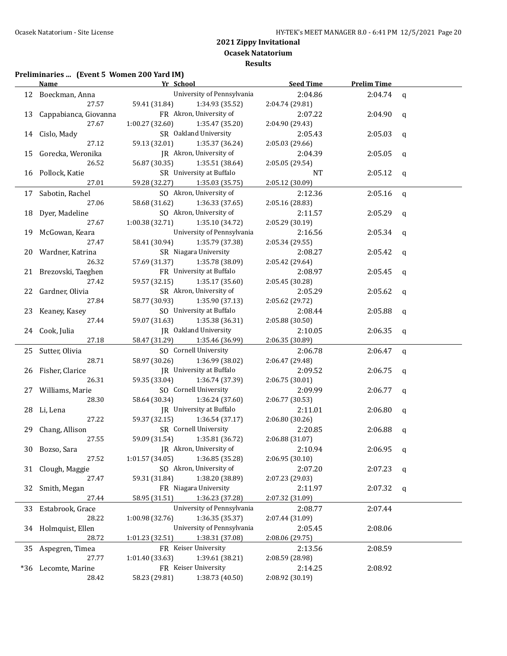## **Preliminaries ... (Event 5 Women 200 Yard IM)**

|     | Yr School<br><b>Name</b> |                                    | <b>Seed Time</b> | <b>Prelim Time</b> |              |
|-----|--------------------------|------------------------------------|------------------|--------------------|--------------|
|     | 12 Boeckman, Anna        | University of Pennsylvania         | 2:04.86          | 2:04.74            | $\mathbf{q}$ |
|     | 27.57                    | 59.41 (31.84)<br>1:34.93 (35.52)   | 2:04.74 (29.81)  |                    |              |
|     | 13 Cappabianca, Giovanna | FR Akron, University of            | 2:07.22          | 2:04.90            | q            |
|     | 27.67                    | 1:00.27(32.60)<br>1:35.47 (35.20)  | 2:04.90 (29.43)  |                    |              |
|     | 14 Cislo, Mady           | SR Oakland University              | 2:05.43          | 2:05.03            | q            |
|     | 27.12                    | 59.13 (32.01)<br>1:35.37 (36.24)   | 2:05.03 (29.66)  |                    |              |
|     | 15 Gorecka, Weronika     | JR Akron, University of            | 2:04.39          | 2:05.05            | q            |
|     | 26.52                    | 56.87 (30.35)<br>1:35.51 (38.64)   | 2:05.05 (29.54)  |                    |              |
|     | 16 Pollock, Katie        | SR University at Buffalo           | NT               | 2:05.12            | q            |
|     | 27.01                    | 59.28 (32.27)<br>1:35.03(35.75)    | 2:05.12 (30.09)  |                    |              |
|     | 17 Sabotin, Rachel       | SO Akron, University of            | 2:12.36          | 2:05.16            | $\mathsf{q}$ |
|     | 27.06                    | 58.68 (31.62)<br>1:36.33(37.65)    | 2:05.16 (28.83)  |                    |              |
|     | 18 Dyer, Madeline        | SO Akron, University of            | 2:11.57          | 2:05.29            | q            |
|     | 27.67                    | 1:00.38 (32.71)<br>1:35.10 (34.72) | 2:05.29 (30.19)  |                    |              |
|     | 19 McGowan, Keara        | University of Pennsylvania         | 2:16.56          | 2:05.34            | q            |
|     | 27.47                    | 58.41 (30.94)<br>1:35.79 (37.38)   | 2:05.34 (29.55)  |                    |              |
|     | 20 Wardner, Katrina      | SR Niagara University              | 2:08.27          | 2:05.42            | q            |
|     | 26.32                    | 1:35.78 (38.09)<br>57.69 (31.37)   | 2:05.42 (29.64)  |                    |              |
|     | 21 Brezovski, Taeghen    | FR University at Buffalo           | 2:08.97          | 2:05.45            | $\mathbf q$  |
|     | 27.42                    | 59.57 (32.15)<br>1:35.17 (35.60)   | 2:05.45 (30.28)  |                    |              |
|     | 22 Gardner, Olivia       | SR Akron, University of            | 2:05.29          | 2:05.62            | q            |
|     | 27.84                    | 58.77 (30.93)<br>1:35.90 (37.13)   | 2:05.62 (29.72)  |                    |              |
|     | 23 Keaney, Kasey         | SO University at Buffalo           | 2:08.44          | 2:05.88            | q            |
|     | 27.44                    | 59.07 (31.63)<br>1:35.38 (36.31)   | 2:05.88 (30.50)  |                    |              |
|     | 24 Cook, Julia           | JR Oakland University              | 2:10.05          | 2:06.35            | q            |
|     | 27.18                    | 58.47 (31.29)<br>1:35.46 (36.99)   | 2:06.35 (30.89)  |                    |              |
|     | 25 Sutter, Olivia        | SO Cornell University              | 2:06.78          | 2:06.47            | $\mathbf q$  |
|     | 28.71                    | 58.97 (30.26)<br>1:36.99 (38.02)   | 2:06.47 (29.48)  |                    |              |
| 26  | Fisher, Clarice          | JR University at Buffalo           | 2:09.52          | 2:06.75            | q            |
|     | 26.31                    | 59.35 (33.04)<br>1:36.74 (37.39)   | 2:06.75 (30.01)  |                    |              |
|     | 27 Williams, Marie       | SO Cornell University              | 2:09.99          | 2:06.77            | q            |
|     | 28.30                    | 58.64 (30.34)<br>1:36.24 (37.60)   | 2:06.77 (30.53)  |                    |              |
|     | 28 Li, Lena              | JR University at Buffalo           | 2:11.01          | 2:06.80            | q            |
|     | 27.22                    | 59.37 (32.15)<br>1:36.54 (37.17)   | 2:06.80(30.26)   |                    |              |
|     | 29 Chang, Allison        | SR Cornell University              | 2:20.85          | 2:06.88            | q            |
|     | 27.55                    | 1:35.81 (36.72)<br>59.09 (31.54)   | 2:06.88 (31.07)  |                    |              |
|     | 30 Bozso, Sara           | JR Akron, University of            | 2:10.94          | $2:06.95$ q        |              |
|     | 27.52                    | 1:36.85 (35.28)<br>1:01.57(34.05)  | 2:06.95 (30.10)  |                    |              |
|     | 31 Clough, Maggie        | SO Akron, University of            | 2:07.20          | 2:07.23            | q            |
|     | 27.47                    | 1:38.20 (38.89)<br>59.31 (31.84)   | 2:07.23 (29.03)  |                    |              |
| 32  | Smith, Megan             | FR Niagara University              | 2:11.97          | 2:07.32            | q            |
|     | 27.44                    | 1:36.23 (37.28)<br>58.95 (31.51)   | 2:07.32 (31.09)  |                    |              |
| 33  | Estabrook, Grace         | University of Pennsylvania         | 2:08.77          | 2:07.44            |              |
|     | 28.22                    | 1:36.35 (35.37)<br>1:00.98 (32.76) | 2:07.44 (31.09)  |                    |              |
| 34  | Holmquist, Ellen         | University of Pennsylvania         | 2:05.45          | 2:08.06            |              |
|     | 28.72                    | 1:38.31 (37.08)<br>1:01.23 (32.51) | 2:08.06 (29.75)  |                    |              |
| 35  | Aspegren, Timea          | FR Keiser University               | 2:13.56          | 2:08.59            |              |
|     | 27.77                    | 1:39.61 (38.21)<br>1:01.40(33.63)  | 2:08.59 (28.98)  |                    |              |
| *36 | Lecomte, Marine          | FR Keiser University               | 2:14.25          | 2:08.92            |              |
|     | 28.42                    | 1:38.73 (40.50)<br>58.23 (29.81)   | 2:08.92 (30.19)  |                    |              |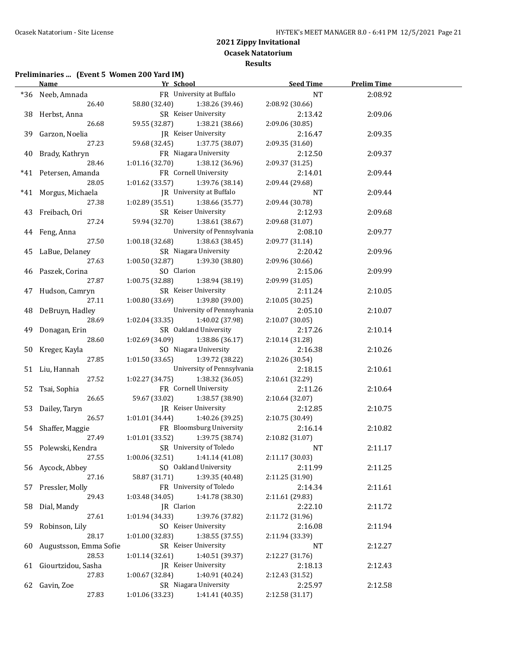## **Preliminaries ... (Event 5 Women 200 Yard IM)**

|       | Yr School<br><b>Name</b> |                                 | <b>Seed Time</b>            | <b>Prelim Time</b> |         |  |
|-------|--------------------------|---------------------------------|-----------------------------|--------------------|---------|--|
|       | *36 Neeb, Amnada         |                                 | FR University at Buffalo    | NT                 | 2:08.92 |  |
|       | 26.40                    | 58.80 (32.40)                   | 1:38.26 (39.46)             | 2:08.92 (30.66)    |         |  |
|       | 38 Herbst, Anna          |                                 | SR Keiser University        | 2:13.42            | 2:09.06 |  |
|       | 26.68                    | 59.55 (32.87)                   | 1:38.21 (38.66)             | 2:09.06 (30.85)    |         |  |
|       | 39 Garzon, Noelia        |                                 | JR Keiser University        | 2:16.47            | 2:09.35 |  |
|       | 27.23                    | 59.68 (32.45)                   | 1:37.75 (38.07)             | 2:09.35 (31.60)    |         |  |
|       | 40 Brady, Kathryn        |                                 | FR Niagara University       | 2:12.50            | 2:09.37 |  |
|       | 28.46                    | 1:01.16(32.70)                  | 1:38.12 (36.96)             | 2:09.37 (31.25)    |         |  |
|       | *41 Petersen, Amanda     |                                 | FR Cornell University       | 2:14.01            | 2:09.44 |  |
|       | 28.05                    | 1:01.62 (33.57)                 | 1:39.76 (38.14)             | 2:09.44 (29.68)    |         |  |
| $*41$ | Morgus, Michaela         |                                 | JR University at Buffalo    | NT                 | 2:09.44 |  |
|       | 27.38                    | 1:02.89 (35.51)                 | 1:38.66 (35.77)             | 2:09.44 (30.78)    |         |  |
|       | 43 Freibach, Ori         |                                 | SR Keiser University        | 2:12.93            | 2:09.68 |  |
|       | 27.24                    | 59.94 (32.70)                   | 1:38.61 (38.67)             | 2:09.68 (31.07)    |         |  |
|       |                          |                                 | University of Pennsylvania  | 2:08.10            | 2:09.77 |  |
|       | 44 Feng, Anna<br>27.50   | 1:00.18 (32.68)                 | 1:38.63 (38.45)             | 2:09.77 (31.14)    |         |  |
|       |                          |                                 | SR Niagara University       |                    |         |  |
|       | 45 LaBue, Delaney        |                                 | 1:39.30 (38.80)             | 2:20.42            | 2:09.96 |  |
|       | 27.63                    | 1:00.50 (32.87)                 |                             | 2:09.96 (30.66)    |         |  |
|       | 46 Paszek, Corina        | SO Clarion                      |                             | 2:15.06            | 2:09.99 |  |
|       | 27.87                    | 1:00.75 (32.88) 1:38.94 (38.19) |                             | 2:09.99 (31.05)    |         |  |
|       | 47 Hudson, Camryn        |                                 | SR Keiser University        | 2:11.24            | 2:10.05 |  |
|       | 27.11                    | 1:00.80(33.69)                  | 1:39.80 (39.00)             | 2:10.05 (30.25)    |         |  |
|       | 48 DeBruyn, Hadley       |                                 | University of Pennsylvania  | 2:05.10            | 2:10.07 |  |
|       | 28.69                    | 1:02.04 (33.35)                 | 1:40.02 (37.98)             | 2:10.07 (30.05)    |         |  |
|       | 49 Donagan, Erin         |                                 | SR Oakland University       | 2:17.26            | 2:10.14 |  |
|       | 28.60                    | 1:02.69 (34.09) 1:38.86 (36.17) |                             | 2:10.14 (31.28)    |         |  |
|       | 50 Kreger, Kayla         |                                 | SO Niagara University       | 2:16.38            | 2:10.26 |  |
|       | 27.85                    | 1:01.50(33.65)                  | 1:39.72 (38.22)             | 2:10.26 (30.54)    |         |  |
|       | 51 Liu, Hannah           |                                 | University of Pennsylvania  | 2:18.15            | 2:10.61 |  |
|       | 27.52                    | 1:02.27 (34.75)                 | 1:38.32 (36.05)             | 2:10.61 (32.29)    |         |  |
|       | 52 Tsai, Sophia          |                                 | FR Cornell University       | 2:11.26            | 2:10.64 |  |
|       | 26.65                    | 59.67 (33.02)                   | 1:38.57 (38.90)             | 2:10.64 (32.07)    |         |  |
|       | 53 Dailey, Taryn         |                                 | JR Keiser University        | 2:12.85            | 2:10.75 |  |
|       | 26.57                    | 1:01.01 (34.44)                 | 1:40.26 (39.25)             | 2:10.75 (30.49)    |         |  |
|       | 54 Shaffer, Maggie       |                                 | FR Bloomsburg University    | 2:16.14            | 2:10.82 |  |
|       | 27.49                    | 1:01.01(33.52)                  | 1:39.75 (38.74)             | 2:10.82 (31.07)    |         |  |
|       | 55 Polewski, Kendra      |                                 | SR University of Toledo     | <b>NT</b>          | 2:11.17 |  |
|       | 27.55                    | 1:00.06 (32.51)                 | 1:41.14 (41.08)             | 2:11.17 (30.03)    |         |  |
|       | 56 Aycock, Abbey         |                                 | SO Oakland University       | 2:11.99            | 2:11.25 |  |
|       | 27.16                    | 58.87 (31.71)                   | 1:39.35 (40.48)             | 2:11.25 (31.90)    |         |  |
| 57    | Pressler, Molly          |                                 | FR University of Toledo     | 2:14.34            | 2:11.61 |  |
|       | 29.43                    | 1:03.48 (34.05)                 | 1:41.78 (38.30)             | 2:11.61 (29.83)    |         |  |
| 58    | Dial, Mandy              | JR Clarion                      |                             | 2:22.10            | 2:11.72 |  |
|       | 27.61                    | 1:01.94 (34.33)                 | 1:39.76 (37.82)             | 2:11.72 (31.96)    |         |  |
| 59    | Robinson, Lily           |                                 | SO Keiser University        | 2:16.08            | 2:11.94 |  |
|       | 28.17                    | 1:01.00 (32.83)                 | 1:38.55(37.55)              | 2:11.94 (33.39)    |         |  |
| 60    | Augustsson, Emma Sofie   |                                 | SR Keiser University        | NT                 | 2:12.27 |  |
|       | 28.53                    | 1:01.14 (32.61)                 | 1:40.51 (39.37)             | 2:12.27 (31.76)    |         |  |
| 61    | Giourtzidou, Sasha       |                                 | <b>IR</b> Keiser University | 2:18.13            | 2:12.43 |  |
|       | 27.83                    | 1:00.67 (32.84)                 | 1:40.91 (40.24)             | 2:12.43 (31.52)    |         |  |
|       | 62 Gavin, Zoe            |                                 | SR Niagara University       | 2:25.97            | 2:12.58 |  |
|       | 27.83                    | 1:01.06 (33.23)                 | 1:41.41 (40.35)             | 2:12.58 (31.17)    |         |  |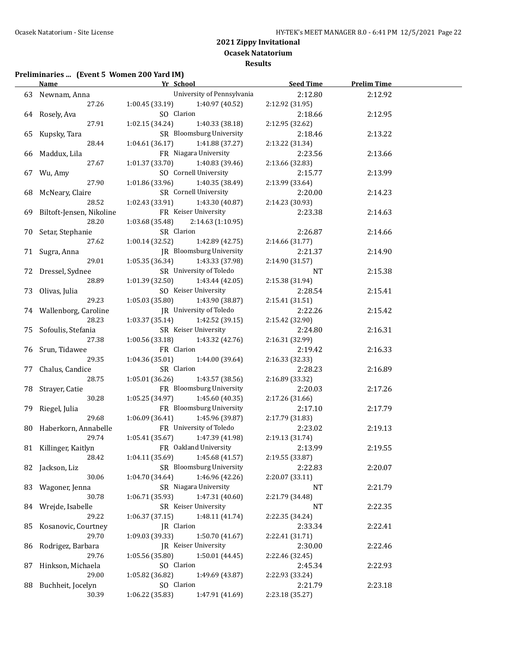#### **Preliminaries ... (Event 5 Women 200 Yard IM)**

|    | <b>Name</b>                 | <b>Example 21 Yr School</b>          | Seed Time       | <b>Prelim Time</b> |  |
|----|-----------------------------|--------------------------------------|-----------------|--------------------|--|
|    | 63 Newnam, Anna             | University of Pennsylvania           | 2:12.80         | 2:12.92            |  |
|    | 27.26                       | 1:00.45 (33.19)<br>1:40.97 (40.52)   | 2:12.92 (31.95) |                    |  |
|    | 64 Rosely, Ava              | SO Clarion                           | 2:18.66         | 2:12.95            |  |
|    | 27.91                       | 1:02.15(34.24)<br>1:40.33 (38.18)    | 2:12.95 (32.62) |                    |  |
|    | 65 Kupsky, Tara             | SR Bloomsburg University             | 2:18.46         | 2:13.22            |  |
|    | 28.44                       | 1:04.61(36.17)<br>1:41.88 (37.27)    | 2:13.22 (31.34) |                    |  |
|    | 66 Maddux, Lila             | FR Niagara University                | 2:23.56         | 2:13.66            |  |
|    | 27.67                       | 1:01.37 (33.70)<br>1:40.83 (39.46)   | 2:13.66 (32.83) |                    |  |
|    | 67 Wu, Amy                  | SO Cornell University                | 2:15.77         | 2:13.99            |  |
|    | 27.90                       | 1:01.86 (33.96)<br>1:40.35 (38.49)   | 2:13.99 (33.64) |                    |  |
|    | 68 McNeary, Claire          | SR Cornell University                | 2:20.00         | 2:14.23            |  |
|    | 28.52                       | 1:02.43(33.91)<br>1:43.30 (40.87)    | 2:14.23 (30.93) |                    |  |
|    | 69 Biltoft-Jensen, Nikoline | FR Keiser University                 | 2:23.38         | 2:14.63            |  |
|    | 28.20                       | 1:03.68 (35.48)<br>2:14.63 (1:10.95) |                 |                    |  |
|    | 70 Setar, Stephanie         | SR Clarion                           | 2:26.87         | 2:14.66            |  |
|    | 27.62                       | 1:00.14 (32.52)<br>1:42.89 (42.75)   | 2:14.66 (31.77) |                    |  |
|    | 71 Sugra, Anna              | JR Bloomsburg University             | 2:21.37         | 2:14.90            |  |
|    | 29.01                       | 1:05.35 (36.34)<br>1:43.33 (37.98)   | 2:14.90 (31.57) |                    |  |
|    | 72 Dressel, Sydnee          | SR University of Toledo              | NT              | 2:15.38            |  |
|    | 28.89                       | 1:01.39 (32.50)<br>1:43.44 (42.05)   | 2:15.38 (31.94) |                    |  |
|    | 73 Olivas, Julia            | SO Keiser University                 | 2:28.54         | 2:15.41            |  |
|    | 29.23                       | 1:05.03(35.80)<br>1:43.90 (38.87)    | 2:15.41 (31.51) |                    |  |
|    | 74 Wallenborg, Caroline     | JR University of Toledo              | 2:22.26         | 2:15.42            |  |
|    | 28.23                       | 1:03.37 (35.14)<br>1:42.52 (39.15)   | 2:15.42 (32.90) |                    |  |
|    | 75 Sofoulis, Stefania       | SR Keiser University                 | 2:24.80         | 2:16.31            |  |
|    | 27.38                       | 1:00.56 (33.18)<br>1:43.32 (42.76)   | 2:16.31 (32.99) |                    |  |
|    | 76 Srun, Tidawee            | FR Clarion                           | 2:19.42         | 2:16.33            |  |
|    | 29.35                       | 1:04.36(35.01)<br>1:44.00 (39.64)    | 2:16.33 (32.33) |                    |  |
|    | 77 Chalus, Candice          | SR Clarion                           | 2:28.23         | 2:16.89            |  |
|    | 28.75                       | 1:05.01(36.26)<br>1:43.57 (38.56)    | 2:16.89 (33.32) |                    |  |
|    | 78 Strayer, Catie           | FR Bloomsburg University             | 2:20.03         | 2:17.26            |  |
|    | 30.28                       | 1:05.25(34.97)<br>1:45.60 (40.35)    | 2:17.26 (31.66) |                    |  |
|    | 79 Riegel, Julia            | FR Bloomsburg University             | 2:17.10         | 2:17.79            |  |
|    | 29.68                       | 1:06.09(36.41)<br>1:45.96 (39.87)    | 2:17.79 (31.83) |                    |  |
|    | 80 Haberkorn, Annabelle     | FR University of Toledo              | 2:23.02         | 2:19.13            |  |
|    | 29.74                       | $1:05.41(35.67)$ $1:47.39(41.98)$    | 2:19.13 (31.74) |                    |  |
|    | 81 Killinger, Kaitlyn       | FR Oakland University                | 2:13.99         | 2:19.55            |  |
|    | 28.42                       | 1:04.11 (35.69)<br>1:45.68(41.57)    | 2:19.55 (33.87) |                    |  |
|    | 82 Jackson, Liz             | SR Bloomsburg University             | 2:22.83         | 2:20.07            |  |
|    | 30.06                       | 1:46.96 (42.26)<br>1:04.70 (34.64)   | 2:20.07 (33.11) |                    |  |
| 83 | Wagoner, Jenna              | SR Niagara University                | NT              | 2:21.79            |  |
|    | 30.78                       | 1:47.31 (40.60)<br>1:06.71 (35.93)   | 2:21.79 (34.48) |                    |  |
| 84 | Wrejde, Isabelle            | SR Keiser University                 | NT              | 2:22.35            |  |
|    | 29.22                       | 1:48.11 (41.74)<br>1:06.37 (37.15)   | 2:22.35 (34.24) |                    |  |
| 85 | Kosanovic, Courtney         | JR Clarion                           | 2:33.34         | 2:22.41            |  |
|    | 29.70                       | 1:50.70 (41.67)<br>1:09.03 (39.33)   | 2:22.41 (31.71) |                    |  |
| 86 | Rodrigez, Barbara           | JR Keiser University                 | 2:30.00         | 2:22.46            |  |
|    | 29.76                       | 1:05.56 (35.80)<br>1:50.01(44.45)    | 2:22.46 (32.45) |                    |  |
| 87 | Hinkson, Michaela           | SO Clarion                           | 2:45.34         | 2:22.93            |  |
|    | 29.00                       | 1:05.82 (36.82)<br>1:49.69 (43.87)   | 2:22.93 (33.24) |                    |  |
| 88 | Buchheit, Jocelyn           | SO Clarion                           | 2:21.79         | 2:23.18            |  |
|    | 30.39                       | 1:06.22 (35.83)<br>1:47.91 (41.69)   | 2:23.18 (35.27) |                    |  |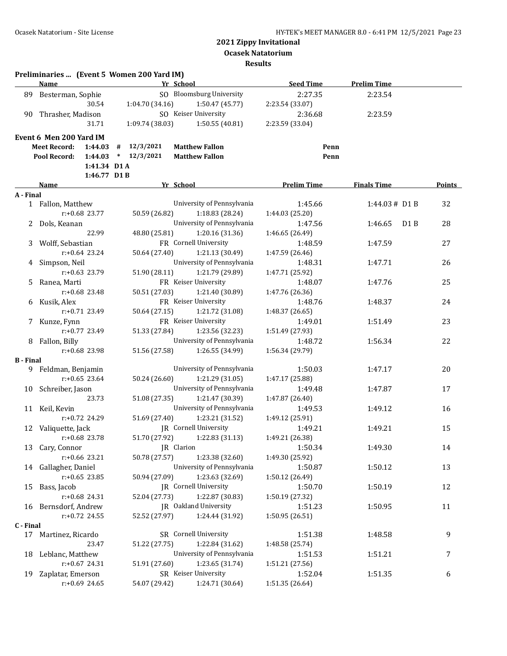**Ocasek Natatorium**

**Results**

|                  | Preliminaries  (Event 5 Women 200 Yard IM) |                 |                            |                    |                             |        |
|------------------|--------------------------------------------|-----------------|----------------------------|--------------------|-----------------------------|--------|
|                  | <b>Name</b>                                |                 | Yr School                  | <b>Seed Time</b>   | <b>Prelim Time</b>          |        |
| 89               | Besterman, Sophie                          |                 | SO Bloomsburg University   | 2:27.35            | 2:23.54                     |        |
|                  | 30.54                                      | 1:04.70 (34.16) | 1:50.47 (45.77)            | 2:23.54 (33.07)    |                             |        |
| 90               | Thrasher, Madison                          |                 | SO Keiser University       | 2:36.68            | 2:23.59                     |        |
|                  | 31.71                                      | 1:09.74 (38.03) | 1:50.55 (40.81)            | 2:23.59 (33.04)    |                             |        |
|                  | Event 6 Men 200 Yard IM                    |                 |                            |                    |                             |        |
|                  | <b>Meet Record:</b><br>1:44.03             | 12/3/2021<br>#  | <b>Matthew Fallon</b>      | Penn               |                             |        |
|                  | 1:44.03<br>Pool Record:                    | $*$ 12/3/2021   | <b>Matthew Fallon</b>      | Penn               |                             |        |
|                  | 1:41.34 D1 A                               |                 |                            |                    |                             |        |
|                  | 1:46.77 D1 B                               |                 |                            |                    |                             |        |
|                  | Name                                       |                 | Yr School                  | <b>Prelim Time</b> | <b>Finals Time</b>          | Points |
| A - Final        |                                            |                 |                            |                    |                             |        |
|                  | 1 Fallon, Matthew                          |                 | University of Pennsylvania | 1:45.66            | 1:44.03# D1 B               | 32     |
|                  | $r: +0.68$ 23.77                           | 50.59 (26.82)   | 1:18.83 (28.24)            | 1:44.03 (25.20)    |                             |        |
|                  | Dols, Keanan                               |                 | University of Pennsylvania | 1:47.56            | 1:46.65<br>D <sub>1</sub> B | 28     |
|                  | 22.99                                      | 48.80 (25.81)   | 1:20.16 (31.36)            | 1:46.65 (26.49)    |                             |        |
| 3                | Wolff, Sebastian                           |                 | FR Cornell University      | 1:48.59            | 1:47.59                     | 27     |
|                  | $r: +0.64$ 23.24                           | 50.64 (27.40)   | 1:21.13 (30.49)            | 1:47.59 (26.46)    |                             |        |
| 4                | Simpson, Neil                              |                 | University of Pennsylvania | 1:48.31            | 1:47.71                     | 26     |
|                  | $r: +0.63$ 23.79                           | 51.90 (28.11)   | 1:21.79 (29.89)            | 1:47.71 (25.92)    |                             |        |
| 5.               | Ranea, Marti                               |                 | FR Keiser University       | 1:48.07            | 1:47.76                     | 25     |
|                  | $r: +0.68$ 23.48                           | 50.51 (27.03)   | 1:21.40 (30.89)            | 1:47.76 (26.36)    |                             |        |
| 6                | Kusik, Alex                                |                 | FR Keiser University       | 1:48.76            | 1:48.37                     | 24     |
|                  | $r: +0.71$ 23.49                           | 50.64 (27.15)   | 1:21.72 (31.08)            | 1:48.37 (26.65)    |                             |        |
|                  | 7 Kunze, Fynn                              |                 | FR Keiser University       | 1:49.01            | 1:51.49                     | 23     |
|                  | r:+0.77 23.49                              | 51.33 (27.84)   | 1:23.56 (32.23)            | 1:51.49 (27.93)    |                             |        |
| 8                | Fallon, Billy                              |                 | University of Pennsylvania | 1:48.72            | 1:56.34                     | 22     |
|                  | r:+0.68 23.98                              | 51.56 (27.58)   | 1:26.55 (34.99)            | 1:56.34 (29.79)    |                             |        |
| <b>B</b> - Final |                                            |                 |                            |                    |                             |        |
|                  | 9 Feldman, Benjamin                        |                 | University of Pennsylvania | 1:50.03            | 1:47.17                     | 20     |
|                  | $r: +0.65$ 23.64                           | 50.24 (26.60)   | 1:21.29 (31.05)            | 1:47.17 (25.88)    |                             |        |
| 10               | Schreiber, Jason                           |                 | University of Pennsylvania | 1:49.48            | 1:47.87                     | 17     |
|                  | 23.73                                      | 51.08 (27.35)   | 1:21.47 (30.39)            | 1:47.87 (26.40)    |                             |        |
|                  | 11 Keil, Kevin                             |                 | University of Pennsylvania | 1:49.53            | 1:49.12                     | 16     |
|                  | r:+0.72 24.29                              | 51.69 (27.40)   | 1:23.21 (31.52)            | 1:49.12 (25.91)    |                             |        |
|                  | 12 Valiquette, Jack                        |                 | JR Cornell University      | 1:49.21            | 1:49.21                     | 15     |
|                  | r:+0.68 23.78                              | 51.70 (27.92)   | 1:22.83 (31.13)            | 1:49.21 (26.38)    |                             |        |
|                  | 13 Cary, Connor                            |                 | JR Clarion                 | 1:50.34            | 1:49.30                     | 14     |
|                  | r:+0.66 23.21                              | 50.78 (27.57)   | 1:23.38 (32.60)            | 1:49.30 (25.92)    |                             |        |
| 14               | Gallagher, Daniel                          |                 | University of Pennsylvania | 1:50.87            | 1:50.12                     | 13     |
|                  | $r: +0.65$ 23.85                           | 50.94 (27.09)   | 1:23.63 (32.69)            | 1:50.12 (26.49)    |                             |        |
| 15               | Bass, Jacob                                |                 | JR Cornell University      | 1:50.70            | 1:50.19                     | 12     |
|                  | r:+0.68 24.31                              | 52.04 (27.73)   | 1:22.87 (30.83)            | 1:50.19 (27.32)    |                             |        |
|                  | 16 Bernsdorf, Andrew                       |                 | JR Oakland University      | 1:51.23            |                             | 11     |
|                  | r:+0.72 24.55                              | 52.52 (27.97)   | 1:24.44 (31.92)            |                    | 1:50.95                     |        |
| C - Final        |                                            |                 |                            | 1:50.95 (26.51)    |                             |        |
|                  | 17 Martinez, Ricardo                       |                 | SR Cornell University      | 1:51.38            | 1:48.58                     | 9      |
|                  | 23.47                                      | 51.22 (27.75)   | 1:22.84 (31.62)            | 1:48.58 (25.74)    |                             |        |
|                  |                                            |                 | University of Pennsylvania |                    | 1:51.21                     | 7      |
| 18               | Leblanc, Matthew                           |                 |                            | 1:51.53            |                             |        |
|                  | r:+0.67 24.31                              | 51.91 (27.60)   | 1:23.65 (31.74)            | 1:51.21 (27.56)    |                             |        |
| 19               | Zaplatar, Emerson                          |                 | SR Keiser University       | 1:52.04            | 1:51.35                     | 6      |
|                  | r:+0.69 24.65                              | 54.07 (29.42)   | 1:24.71 (30.64)            | 1:51.35 (26.64)    |                             |        |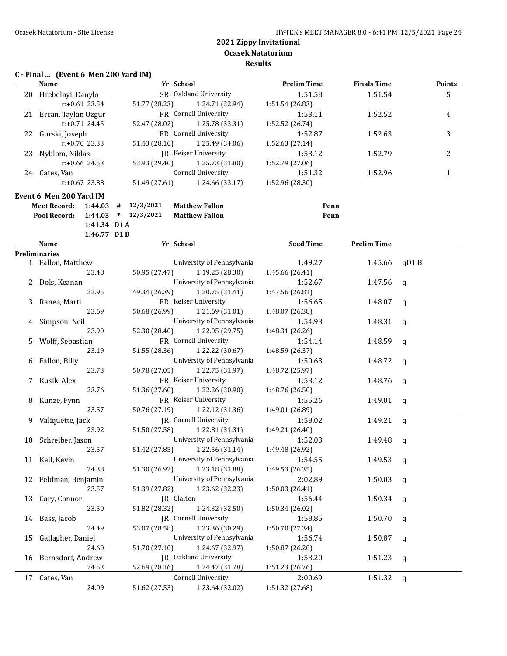## **C - Final ... (Event 6 Men 200 Yard IM)**

|    | Name                           | Yr School                                    | <b>Prelim Time</b> | <b>Finals Time</b> | <b>Points</b> |
|----|--------------------------------|----------------------------------------------|--------------------|--------------------|---------------|
|    | 20 Hrebelnyi, Danylo           | SR Oakland University                        | 1:51.58            | 1:51.54            | 5             |
|    | $r: +0.61$ 23.54               | 51.77 (28.23)<br>1:24.71 (32.94)             | 1:51.54 (26.83)    |                    |               |
|    | 21 Ercan, Taylan Ozgur         | FR Cornell University                        | 1:53.11            | 1:52.52            | 4             |
|    | $r: +0.71$ 24.45               | 52.47 (28.02)<br>1:25.78 (33.31)             | 1:52.52 (26.74)    |                    |               |
|    | 22 Gurski, Joseph              | FR Cornell University                        | 1:52.87            | 1:52.63            | 3             |
|    | r:+0.70 23.33                  | 51.43 (28.10)<br>1:25.49 (34.06)             | 1:52.63 (27.14)    |                    |               |
|    | 23 Nyblom, Niklas              | <b>IR</b> Keiser University                  | 1:53.12            | 1:52.79            | 2             |
|    | r:+0.66 24.53                  | 53.93 (29.40)<br>1:25.73 (31.80)             | 1:52.79 (27.06)    |                    |               |
|    | 24 Cates, Van                  | <b>Cornell University</b>                    | 1:51.32            | 1:52.96            | $\mathbf{1}$  |
|    | $r: +0.67$ 23.88               | 51.49 (27.61)<br>1:24.66 (33.17)             | 1:52.96 (28.30)    |                    |               |
|    | Event 6 Men 200 Yard IM        |                                              |                    |                    |               |
|    | <b>Meet Record:</b><br>1:44.03 | 12/3/2021<br>#<br><b>Matthew Fallon</b>      | Penn               |                    |               |
|    | 1:44.03<br>Pool Record:        | 12/3/2021<br><b>Matthew Fallon</b><br>$\ast$ | Penn               |                    |               |
|    | 1:41.34 D1 A                   |                                              |                    |                    |               |
|    | 1:46.77 D1B                    |                                              |                    |                    |               |
|    | Name                           | Yr School                                    | <b>Seed Time</b>   | <b>Prelim Time</b> |               |
|    | <b>Preliminaries</b>           |                                              |                    |                    |               |
|    | 1 Fallon, Matthew              | University of Pennsylvania                   | 1:49.27            | 1:45.66            | qD1B          |
|    | 23.48                          | 50.95 (27.47)<br>1:19.25 (28.30)             | 1:45.66 (26.41)    |                    |               |
|    | 2 Dols, Keanan                 | University of Pennsylvania                   | 1:52.67            | 1:47.56            | $\mathsf{q}$  |
|    | 22.95                          | 49.34 (26.39)<br>1:20.75 (31.41)             | 1:47.56 (26.81)    |                    |               |
| 3  | Ranea, Marti                   | FR Keiser University                         | 1:56.65            | 1:48.07            | q             |
|    | 23.69                          | 1:21.69 (31.01)<br>50.68 (26.99)             | 1:48.07 (26.38)    |                    |               |
| 4  | Simpson, Neil                  | University of Pennsylvania                   | 1:54.93            | 1:48.31            | q             |
|    | 23.90                          | 52.30 (28.40)<br>1:22.05 (29.75)             | 1:48.31 (26.26)    |                    |               |
| 5  | Wolff, Sebastian               | FR Cornell University                        | 1:54.14            | 1:48.59            | $\mathbf q$   |
|    | 23.19                          | 1:22.22 (30.67)<br>51.55 (28.36)             | 1:48.59 (26.37)    |                    |               |
| 6  | Fallon, Billy                  | University of Pennsylvania                   | 1:50.63            | 1:48.72            | $\mathbf q$   |
|    | 23.73                          | 50.78 (27.05)<br>1:22.75 (31.97)             | 1:48.72 (25.97)    |                    |               |
|    | 7 Kusik, Alex                  | FR Keiser University                         | 1:53.12            | 1:48.76            | $\mathbf q$   |
|    | 23.76                          | 51.36 (27.60)<br>1:22.26 (30.90)             | 1:48.76 (26.50)    |                    |               |
| 8  | Kunze, Fynn                    | FR Keiser University                         | 1:55.26            | 1:49.01            | q             |
|    | 23.57                          | 50.76 (27.19)<br>1:22.12 (31.36)             | 1:49.01 (26.89)    |                    |               |
|    | 9 Valiquette, Jack             | JR Cornell University                        | 1:58.02            | 1:49.21            | $\mathbf q$   |
|    | 23.92                          | 51.50 (27.58)<br>1:22.81 (31.31)             | 1:49.21 (26.40)    |                    |               |
|    | 10 Schreiber, Jason            | University of Pennsylvania                   | 1:52.03            | 1:49.48            | q             |
|    | 23.57                          | 51.42 (27.85) 1:22.56 (31.14)                | 1:49.48 (26.92)    |                    |               |
|    | 11 Keil, Kevin                 | University of Pennsylvania                   | 1:54.55            | 1:49.53            | q             |
|    | 24.38                          | 1:23.18 (31.88)<br>51.30 (26.92)             | 1:49.53 (26.35)    |                    |               |
| 12 | Feldman, Benjamin              | University of Pennsylvania                   | 2:02.89            | 1:50.03            | q             |
|    | 23.57                          | 1:23.62 (32.23)<br>51.39 (27.82)             | 1:50.03 (26.41)    |                    |               |
| 13 | Cary, Connor                   | JR Clarion                                   | 1:56.44            | 1:50.34            | q             |
|    | 23.50                          | 1:24.32 (32.50)<br>51.82 (28.32)             | 1:50.34 (26.02)    |                    |               |
| 14 | Bass, Jacob                    | JR Cornell University                        | 1:58.85            | 1:50.70            | q             |
|    | 24.49                          | 53.07 (28.58)<br>1:23.36 (30.29)             | 1:50.70 (27.34)    |                    |               |
| 15 | Gallagher, Daniel              | University of Pennsylvania                   | 1:56.74            | 1:50.87            | q             |
|    | 24.60                          | 1:24.67 (32.97)<br>51.70 (27.10)             | 1:50.87 (26.20)    |                    |               |
| 16 | Bernsdorf, Andrew              | JR Oakland University                        | 1:53.20            | 1:51.23            | q             |
|    | 24.53                          | 52.69 (28.16)<br>1:24.47 (31.78)             | 1:51.23 (26.76)    |                    |               |
| 17 | Cates, Van                     | Cornell University                           | 2:00.69            | 1:51.32            | q             |
|    | 24.09                          | 51.62 (27.53)<br>1:23.64 (32.02)             | 1:51.32 (27.68)    |                    |               |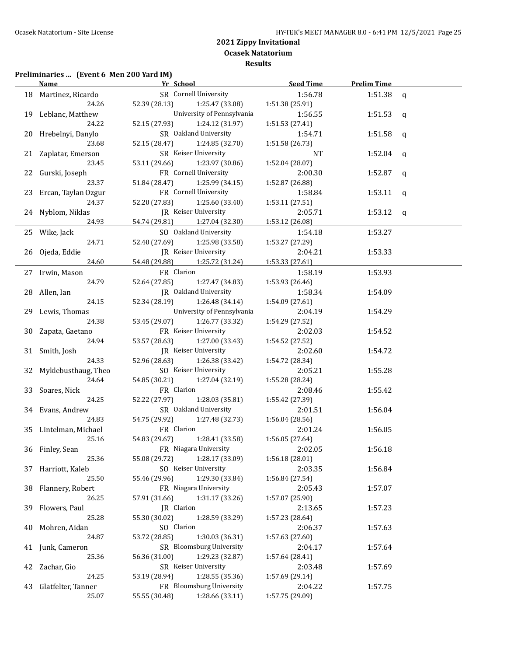## **Preliminaries ... (Event 6 Men 200 Yard IM)**

|    | Name                   | Yr School                     |                            | Seed Time                  | <b>Prelim Time</b> |              |
|----|------------------------|-------------------------------|----------------------------|----------------------------|--------------------|--------------|
|    | 18 Martinez, Ricardo   | SR Cornell University         |                            | 1:56.78                    | 1:51.38            | q            |
|    | 24.26                  | 52.39 (28.13)                 | 1:25.47 (33.08)            | 1:51.38 (25.91)            |                    |              |
|    | 19 Leblanc, Matthew    |                               | University of Pennsylvania | 1:56.55                    | 1:51.53 $q$        |              |
|    | 24.22                  | 52.15 (27.93)                 | 1:24.12 (31.97)            | 1:51.53 (27.41)            |                    |              |
|    | 20 Hrebelnyi, Danylo   | SR Oakland University         |                            | 1:54.71                    | 1:51.58            | q            |
|    | 23.68                  | 52.15 (28.47)                 | 1:24.85 (32.70)            | 1:51.58 (26.73)            |                    |              |
|    | 21 Zaplatar, Emerson   | SR Keiser University          |                            | NT.                        | 1:52.04            | q            |
|    | 23.45                  | 53.11 (29.66)                 | 1:23.97 (30.86)            | 1:52.04 (28.07)            |                    |              |
|    | 22 Gurski, Joseph      | FR Cornell University         |                            | 2:00.30                    | 1:52.87            | q            |
|    | 23.37                  | 51.84 (28.47)                 | 1:25.99 (34.15)            | 1:52.87 (26.88)            |                    |              |
|    | 23 Ercan, Taylan Ozgur | FR Cornell University         |                            | 1:58.84                    | 1:53.11            | q            |
|    | 24.37                  | 52.20 (27.83)                 | 1:25.60 (33.40)            | 1:53.11 (27.51)            |                    |              |
|    | 24 Nyblom, Niklas      | JR Keiser University          |                            | 2:05.71                    | 1:53.12            | $\mathsf{q}$ |
|    | 24.93                  | 54.74 (29.81) 1:27.04 (32.30) |                            | 1:53.12 (26.08)            |                    |              |
|    | 25 Wike, Jack          | SO Oakland University         |                            | 1:54.18                    | 1:53.27            |              |
|    | 24.71                  | 52.40 (27.69)                 | 1:25.98 (33.58)            | 1:53.27 (27.29)            |                    |              |
|    | 26 Ojeda, Eddie        | JR Keiser University          |                            | 2:04.21                    | 1:53.33            |              |
|    | 24.60                  | 54.48 (29.88)                 | 1:25.72 (31.24)            | 1:53.33 (27.61)            |                    |              |
|    | 27 Irwin, Mason        | FR Clarion                    |                            | 1:58.19                    | 1:53.93            |              |
|    | 24.79                  | 52.64 (27.85)                 | 1:27.47 (34.83)            | 1:53.93(26.46)             |                    |              |
|    | 28 Allen, Ian          | JR Oakland University         |                            | 1:58.34                    | 1:54.09            |              |
|    | 24.15                  | 52.34 (28.19)                 | 1:26.48 (34.14)            | 1:54.09 (27.61)            |                    |              |
|    | 29 Lewis, Thomas       |                               | University of Pennsylvania | 2:04.19                    | 1:54.29            |              |
|    | 24.38                  | 53.45 (29.07)                 | 1:26.77 (33.32)            | 1:54.29 (27.52)            |                    |              |
|    | 30 Zapata, Gaetano     | FR Keiser University          |                            | 2:02.03                    | 1:54.52            |              |
|    | 24.94                  | 53.57 (28.63)                 | 1:27.00 (33.43)            | 1:54.52 (27.52)            |                    |              |
|    | 31 Smith, Josh         | JR Keiser University          |                            | 2:02.60                    | 1:54.72            |              |
|    | 24.33                  | 52.96 (28.63)                 | 1:26.38 (33.42)            | 1:54.72 (28.34)            |                    |              |
|    | 32 Myklebusthaug, Theo | SO Keiser University          |                            | 2:05.21                    | 1:55.28            |              |
|    | 24.64                  | 54.85 (30.21)                 | 1:27.04 (32.19)            | 1:55.28 (28.24)            |                    |              |
|    | 33 Soares, Nick        | FR Clarion                    |                            | 2:08.46                    | 1:55.42            |              |
|    | 24.25                  | 52.22 (27.97)                 | 1:28.03 (35.81)            | 1:55.42 (27.39)            |                    |              |
|    | 34 Evans, Andrew       | SR Oakland University         |                            | 2:01.51                    | 1:56.04            |              |
|    | 24.83                  | 54.75 (29.92)                 | 1:27.48 (32.73)            | 1:56.04 (28.56)            |                    |              |
|    | 35 Lintelman, Michael  | FR Clarion                    |                            | 2:01.24                    | 1:56.05            |              |
|    | 25.16                  | 54.83 (29.67)                 | 1:28.41 (33.58)            | 1:56.05(27.64)             |                    |              |
|    | 36 Finley, Sean        | FR Niagara University         |                            | 2:02.05                    | 1:56.18            |              |
|    | 25.36                  | 55.08 (29.72)                 | 1:28.17 (33.09)            | 1:56.18 (28.01)            |                    |              |
|    | 37 Harriott, Kaleb     | SO Keiser University          |                            | 2:03.35                    | 1:56.84            |              |
|    | 25.50                  | 55.46 (29.96)                 | 1:29.30 (33.84)            | 1:56.84 (27.54)            |                    |              |
| 38 | Flannery, Robert       | FR Niagara University         |                            | 2:05.43                    | 1:57.07            |              |
|    | 26.25                  | 57.91 (31.66)                 | 1:31.17 (33.26)            | 1:57.07 (25.90)            |                    |              |
| 39 | Flowers, Paul          | JR Clarion                    |                            | 2:13.65                    | 1:57.23            |              |
|    | 25.28                  | 55.30 (30.02)                 | 1:28.59 (33.29)            | 1:57.23 (28.64)            |                    |              |
| 40 | Mohren, Aidan          | SO Clarion                    |                            | 2:06.37                    | 1:57.63            |              |
|    | 24.87                  | 53.72 (28.85)                 | 1:30.03 (36.31)            | 1:57.63 (27.60)            |                    |              |
| 41 | Junk, Cameron          |                               | SR Bloomsburg University   | 2:04.17                    | 1:57.64            |              |
|    | 25.36                  | 56.36 (31.00)                 | 1:29.23 (32.87)            | 1:57.64 (28.41)            |                    |              |
|    | Zachar, Gio            | SR Keiser University          |                            | 2:03.48                    | 1:57.69            |              |
| 42 | 24.25                  | 53.19 (28.94)                 | 1:28.55 (35.36)            | 1:57.69 (29.14)            |                    |              |
|    | Glatfelter, Tanner     |                               | FR Bloomsburg University   |                            |                    |              |
| 43 | 25.07                  | 55.55 (30.48)                 | 1:28.66 (33.11)            | 2:04.22<br>1:57.75 (29.09) | 1:57.75            |              |
|    |                        |                               |                            |                            |                    |              |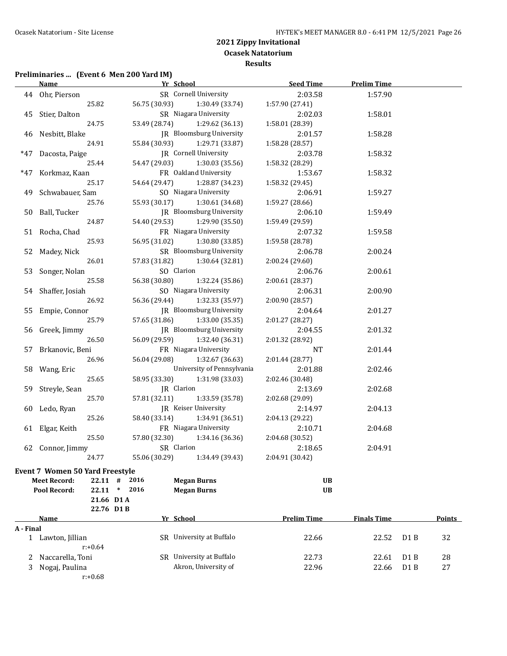## **Preliminaries ... (Event 6 Men 200 Yard IM)**

**21.66 D1 A**

|       | <u>Name</u>                            | Yr School     |                              | <b>Seed Time</b> | <b>Prelim Time</b> |  |
|-------|----------------------------------------|---------------|------------------------------|------------------|--------------------|--|
|       | 44 Ohr, Pierson                        |               | SR Cornell University        | 2:03.58          | 1:57.90            |  |
|       | 25.82                                  | 56.75 (30.93) | 1:30.49 (33.74)              | 1:57.90 (27.41)  |                    |  |
| 45    | Stier, Dalton                          |               | SR Niagara University        | 2:02.03          | 1:58.01            |  |
|       | 24.75                                  | 53.49 (28.74) | 1:29.62 (36.13)              | 1:58.01 (28.39)  |                    |  |
| 46    | Nesbitt, Blake                         |               | JR Bloomsburg University     | 2:01.57          | 1:58.28            |  |
|       | 24.91                                  | 55.84 (30.93) | 1:29.71 (33.87)              | 1:58.28 (28.57)  |                    |  |
| $*47$ | Dacosta, Paige                         |               | <b>IR</b> Cornell University | 2:03.78          | 1:58.32            |  |
|       | 25.44                                  | 54.47 (29.03) | 1:30.03 (35.56)              | 1:58.32 (28.29)  |                    |  |
| *47   | Korkmaz, Kaan                          |               | FR Oakland University        | 1:53.67          | 1:58.32            |  |
|       | 25.17                                  | 54.64 (29.47) | 1:28.87 (34.23)              | 1:58.32 (29.45)  |                    |  |
|       | 49 Schwabauer, Sam                     |               | SO Niagara University        | 2:06.91          | 1:59.27            |  |
|       | 25.76                                  | 55.93 (30.17) | 1:30.61 (34.68)              | 1:59.27 (28.66)  |                    |  |
|       | 50 Ball, Tucker                        |               | JR Bloomsburg University     | 2:06.10          | 1:59.49            |  |
|       | 24.87                                  | 54.40 (29.53) | 1:29.90 (35.50)              | 1:59.49 (29.59)  |                    |  |
| 51    | Rocha, Chad                            |               | FR Niagara University        | 2:07.32          | 1:59.58            |  |
|       | 25.93                                  | 56.95 (31.02) | 1:30.80 (33.85)              | 1:59.58 (28.78)  |                    |  |
| 52    | Madey, Nick                            |               | SR Bloomsburg University     | 2:06.78          | 2:00.24            |  |
|       | 26.01                                  | 57.83 (31.82) | 1:30.64 (32.81)              | 2:00.24 (29.60)  |                    |  |
| 53    | Songer, Nolan                          | SO Clarion    |                              | 2:06.76          | 2:00.61            |  |
|       | 25.58                                  | 56.38 (30.80) | 1:32.24 (35.86)              | 2:00.61 (28.37)  |                    |  |
|       | 54 Shaffer, Josiah                     |               | SO Niagara University        | 2:06.31          | 2:00.90            |  |
|       | 26.92                                  | 56.36 (29.44) | 1:32.33 (35.97)              | 2:00.90 (28.57)  |                    |  |
| 55    | Empie, Connor                          |               | JR Bloomsburg University     | 2:04.64          | 2:01.27            |  |
|       | 25.79                                  | 57.65 (31.86) | 1:33.00 (35.35)              | 2:01.27 (28.27)  |                    |  |
| 56    | Greek, Jimmy                           |               | JR Bloomsburg University     | 2:04.55          | 2:01.32            |  |
|       | 26.50                                  | 56.09 (29.59) | 1:32.40 (36.31)              | 2:01.32 (28.92)  |                    |  |
| 57    | Brkanovic, Beni                        |               | FR Niagara University        | <b>NT</b>        | 2:01.44            |  |
|       | 26.96                                  | 56.04 (29.08) | 1:32.67 (36.63)              | 2:01.44 (28.77)  |                    |  |
|       | 58 Wang, Eric                          |               | University of Pennsylvania   | 2:01.88          | 2:02.46            |  |
|       | 25.65                                  | 58.95 (33.30) | 1:31.98 (33.03)              | 2:02.46 (30.48)  |                    |  |
| 59    | Streyle, Sean                          | JR Clarion    |                              | 2:13.69          | 2:02.68            |  |
|       | 25.70                                  | 57.81 (32.11) | 1:33.59 (35.78)              | 2:02.68 (29.09)  |                    |  |
|       | 60 Ledo, Ryan                          |               | JR Keiser University         | 2:14.97          | 2:04.13            |  |
|       | 25.26                                  | 58.40 (33.14) | 1:34.91 (36.51)              | 2:04.13 (29.22)  |                    |  |
|       | 61 Elgar, Keith                        |               | FR Niagara University        | 2:10.71          | 2:04.68            |  |
|       | 25.50                                  | 57.80 (32.30) | 1:34.16 (36.36)              | 2:04.68 (30.52)  |                    |  |
|       | 62 Connor, Jimmy                       | SR Clarion    |                              | 2:18.65          | 2:04.91            |  |
|       | 24.77                                  | 55.06 (30.29) | 1:34.49 (39.43)              | 2:04.91 (30.42)  |                    |  |
|       | <b>Event 7 Women 50 Yard Freestyle</b> |               |                              |                  |                    |  |
|       | <b>Meet Record:</b><br>$22.11$ #       | 2016          | <b>Megan Burns</b>           | UB               |                    |  |
|       | <b>Pool Record:</b><br>$22.11$ *       | 2016          | <b>Megan Burns</b>           | <b>UB</b>        |                    |  |

|           | 22.76 D1 B         |     |                          |                    |                    |                  |               |
|-----------|--------------------|-----|--------------------------|--------------------|--------------------|------------------|---------------|
|           | Name               |     | Yr School                | <b>Prelim Time</b> | <b>Finals Time</b> |                  | <b>Points</b> |
| A - Final |                    |     |                          |                    |                    |                  |               |
|           | Lawton, Jillian    |     | SR University at Buffalo | 22.66              | 22.52              | D <sub>1</sub> B | 32            |
|           | $r: +0.64$         |     |                          |                    |                    |                  |               |
|           | 2 Naccarella, Toni | SR. | University at Buffalo    | 22.73              | 22.61              | D <sub>1</sub> B | 28            |
| 3         | Nogaj, Paulina     |     | Akron, University of     | 22.96              | 22.66              | D <sub>1</sub> B | 27            |
|           | $r: +0.68$         |     |                          |                    |                    |                  |               |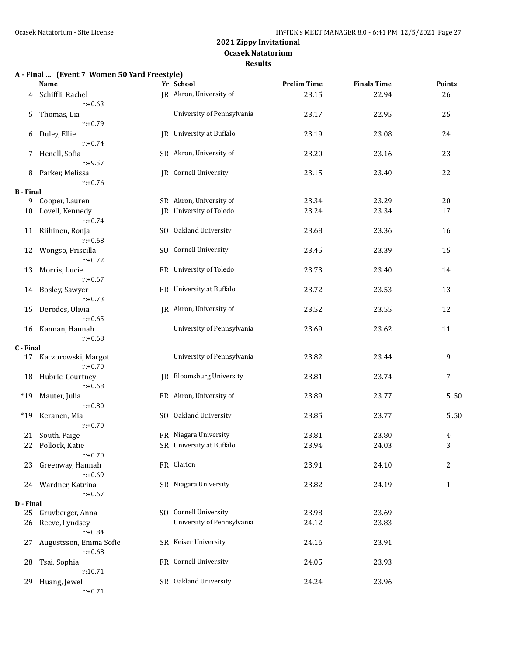#### **A - Final ... (Event 7 Women 50 Yard Freestyle)**

|                  | <b>Name</b>                          | Yr School                       | <b>Prelim Time</b> | <b>Finals Time</b> | <b>Points</b> |
|------------------|--------------------------------------|---------------------------------|--------------------|--------------------|---------------|
|                  | 4 Schiffli, Rachel<br>$r: +0.63$     | JR Akron, University of         | 23.15              | 22.94              | 26            |
| 5                | Thomas, Lia<br>$r: +0.79$            | University of Pennsylvania      | 23.17              | 22.95              | 25            |
| 6                | Duley, Ellie<br>$r: +0.74$           | JR University at Buffalo        | 23.19              | 23.08              | 24            |
| 7                | Henell, Sofia<br>$r: +9.57$          | SR Akron, University of         | 23.20              | 23.16              | 23            |
| 8                | Parker, Melissa<br>$r: +0.76$        | <b>IR</b> Cornell University    | 23.15              | 23.40              | 22            |
| <b>B</b> - Final |                                      |                                 |                    |                    |               |
| 9                | Cooper, Lauren                       | SR Akron, University of         | 23.34              | 23.29              | 20            |
| 10               | Lovell, Kennedy<br>$r: +0.74$        | JR University of Toledo         | 23.24              | 23.34              | 17            |
|                  | 11 Riihinen, Ronja<br>$r: +0.68$     | SO Oakland University           | 23.68              | 23.36              | 16            |
| 12               | Wongso, Priscilla<br>$r: +0.72$      | SO Cornell University           | 23.45              | 23.39              | 15            |
| 13               | Morris, Lucie<br>$r: +0.67$          | FR University of Toledo         | 23.73              | 23.40              | 14            |
| 14               | Bosley, Sawyer<br>$r: +0.73$         | FR University at Buffalo        | 23.72              | 23.53              | 13            |
| 15               | Derodes, Olivia<br>$r: +0.65$        | JR Akron, University of         | 23.52              | 23.55              | 12            |
|                  | 16 Kannan, Hannah<br>$r: +0.68$      | University of Pennsylvania      | 23.69              | 23.62              | 11            |
| C - Final        |                                      |                                 |                    |                    |               |
|                  | 17 Kaczorowski, Margot<br>$r: +0.70$ | University of Pennsylvania      | 23.82              | 23.44              | 9             |
| 18               | Hubric, Courtney<br>$r: +0.68$       | <b>IR</b> Bloomsburg University | 23.81              | 23.74              | 7             |
| $*19$            | Mauter, Julia<br>$r: +0.80$          | FR Akron, University of         | 23.89              | 23.77              | 5.50          |
| $*19$            | Keranen, Mia<br>$r: +0.70$           | SO Oakland University           | 23.85              | 23.77              | 5.50          |
| 21               | South, Paige                         | FR Niagara University           | 23.81              | 23.80              | 4             |
| 22               | Pollock, Katie                       | SR University at Buffalo        | 23.94              | 24.03              | 3             |
|                  | $r: +0.70$                           |                                 |                    |                    |               |
|                  | 23 Greenway, Hannah<br>$r: +0.69$    | FR Clarion                      | 23.91              | 24.10              | 2             |
|                  | 24 Wardner, Katrina<br>$r: +0.67$    | SR Niagara University           | 23.82              | 24.19              | $\mathbf{1}$  |
| D - Final        |                                      |                                 |                    |                    |               |
| 25               | Gruvberger, Anna                     | SO Cornell University           | 23.98              | 23.69              |               |
| 26               | Reeve, Lyndsey<br>$r: +0.84$         | University of Pennsylvania      | 24.12              | 23.83              |               |
| 27               | Augustsson, Emma Sofie<br>$r: +0.68$ | SR Keiser University            | 24.16              | 23.91              |               |
| 28               | Tsai, Sophia<br>r:10.71              | FR Cornell University           | 24.05              | 23.93              |               |
| 29               | Huang, Jewel<br>$r: +0.71$           | SR Oakland University           | 24.24              | 23.96              |               |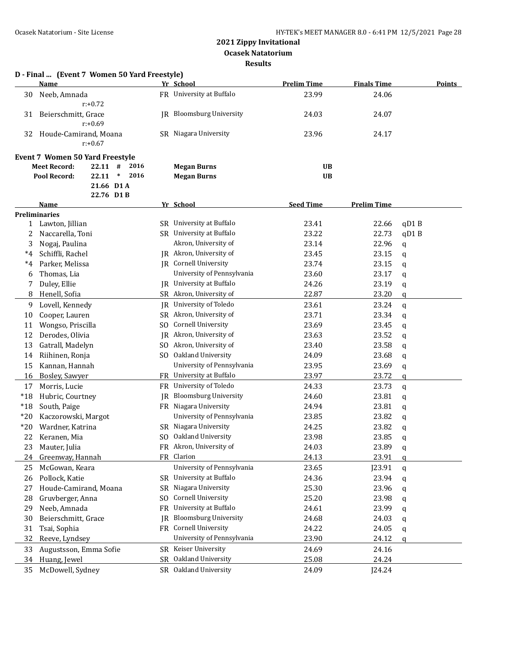**Ocasek Natatorium**

**Results**

|            | D - Final  (Event 7 Women 50 Yard Freestyle)                                                                                               |           |                                                     |                        |                    |               |
|------------|--------------------------------------------------------------------------------------------------------------------------------------------|-----------|-----------------------------------------------------|------------------------|--------------------|---------------|
|            | Name                                                                                                                                       |           | Yr School                                           | <b>Prelim Time</b>     | <b>Finals Time</b> | <b>Points</b> |
| 30         | Neeb, Amnada<br>$r: +0.72$                                                                                                                 |           | FR University at Buffalo                            | 23.99                  | 24.06              |               |
| 31         | Beierschmitt, Grace<br>$r: +0.69$                                                                                                          |           | JR Bloomsburg University                            | 24.03                  | 24.07              |               |
| 32         | Houde-Camirand, Moana<br>$r: +0.67$                                                                                                        |           | SR Niagara University                               | 23.96                  | 24.17              |               |
|            | <b>Event 7 Women 50 Yard Freestyle</b><br><b>Meet Record:</b><br>$22.11$ #<br>2016<br>$\ast$<br>2016<br>22.11<br>Pool Record:<br>21.66 D1A |           | <b>Megan Burns</b><br><b>Megan Burns</b>            | <b>UB</b><br><b>UB</b> |                    |               |
|            | 22.76 D1B                                                                                                                                  |           |                                                     |                        |                    |               |
|            | Name                                                                                                                                       |           | Yr School                                           | <b>Seed Time</b>       | <b>Prelim Time</b> |               |
|            | <b>Preliminaries</b>                                                                                                                       |           |                                                     |                        |                    |               |
|            | 1 Lawton, Jillian                                                                                                                          |           | SR University at Buffalo                            | 23.41                  | 22.66              | qD1B          |
| 2          | Naccarella, Toni                                                                                                                           |           | SR University at Buffalo                            | 23.22                  | 22.73              | qD1B          |
| 3          | Nogaj, Paulina                                                                                                                             |           | Akron, University of                                | 23.14                  | 22.96              | q             |
| $^{\ast}4$ | Schiffli, Rachel                                                                                                                           |           | JR Akron, University of                             | 23.45                  | 23.15              | q             |
| *4         | Parker, Melissa                                                                                                                            |           | <b>IR</b> Cornell University                        | 23.74                  | 23.15              | q             |
| 6          | Thomas, Lia                                                                                                                                |           | University of Pennsylvania                          | 23.60                  | 23.17              | q             |
| 7          | Duley, Ellie                                                                                                                               |           | <b>IR</b> University at Buffalo                     | 24.26                  | 23.19              | q             |
| 8          | Henell, Sofia                                                                                                                              |           | SR Akron, University of                             | 22.87                  | 23.20              | $\mathbf q$   |
| 9          | Lovell, Kennedy                                                                                                                            |           | JR University of Toledo                             | 23.61                  | 23.24              | q             |
| 10         | Cooper, Lauren                                                                                                                             |           | SR Akron, University of                             | 23.71                  | 23.34              | q             |
| 11         | Wongso, Priscilla                                                                                                                          | SO.       | Cornell University                                  | 23.69                  | 23.45              | q             |
| 12         | Derodes, Olivia                                                                                                                            |           | JR Akron, University of                             | 23.63                  | 23.52              | q             |
| 13         | Gatrall, Madelyn                                                                                                                           |           | SO Akron, University of                             | 23.40                  | 23.58              | q             |
| 14         | Riihinen, Ronja                                                                                                                            |           | SO Oakland University                               | 24.09                  | 23.68              | q             |
| 15         | Kannan, Hannah                                                                                                                             |           | University of Pennsylvania                          | 23.95                  | 23.69              | q             |
| 16         | Bosley, Sawyer                                                                                                                             |           | FR University at Buffalo                            | 23.97                  | 23.72              | q             |
| 17         | Morris, Lucie                                                                                                                              |           | FR University of Toledo                             | 24.33                  | 23.73              | q             |
| $*18$      | Hubric, Courtney                                                                                                                           | IR        | <b>Bloomsburg University</b>                        | 24.60                  | 23.81              | q             |
| $*18$      | South, Paige                                                                                                                               |           | FR Niagara University                               | 24.94                  | 23.81              | q             |
| $*20$      | Kaczorowski, Margot                                                                                                                        |           | University of Pennsylvania                          | 23.85                  | 23.82              | q             |
| $*20$      | Wardner, Katrina                                                                                                                           |           | SR Niagara University                               | 24.25                  | 23.82              | q             |
| 22         | Keranen, Mia                                                                                                                               |           | SO Oakland University                               | 23.98                  | 23.85              | q             |
| 23         | Mauter, Julia                                                                                                                              |           | FR Akron, University of                             | 24.03                  | 23.89              | q             |
| 24         | Greenway, Hannah                                                                                                                           |           | FR Clarion                                          | 24.13                  | 23.91              | a             |
| 25         | McGowan, Keara                                                                                                                             |           | University of Pennsylvania                          | 23.65                  | J23.91             |               |
| 26         | Pollock, Katie                                                                                                                             |           | SR University at Buffalo                            | 24.36                  | 23.94              | q             |
| 27         | Houde-Camirand, Moana                                                                                                                      | SR        | Niagara University                                  | 25.30                  | 23.96              | q             |
|            | Gruvberger, Anna                                                                                                                           | SO.       | Cornell University                                  | 25.20                  | 23.98              | q             |
| 28         |                                                                                                                                            |           | University at Buffalo                               |                        |                    | q             |
| 29         | Neeb, Amnada                                                                                                                               | FR        | <b>Bloomsburg University</b>                        | 24.61                  | 23.99              | q             |
| 30         | Beierschmitt, Grace                                                                                                                        | <b>IR</b> |                                                     | 24.68                  | 24.03              | q             |
| 31         | Tsai, Sophia                                                                                                                               |           | FR Cornell University<br>University of Pennsylvania | 24.22                  | 24.05              | q             |
| 32         | Reeve, Lyndsey                                                                                                                             |           |                                                     | 23.90                  | 24.12              | a             |
| 33         | Augustsson, Emma Sofie                                                                                                                     |           | SR Keiser University                                | 24.69                  | 24.16              |               |
| 34         | Huang, Jewel                                                                                                                               | SR        | Oakland University                                  | 25.08                  | 24.24              |               |
| 35         | McDowell, Sydney                                                                                                                           |           | SR Oakland University                               | 24.09                  | J24.24             |               |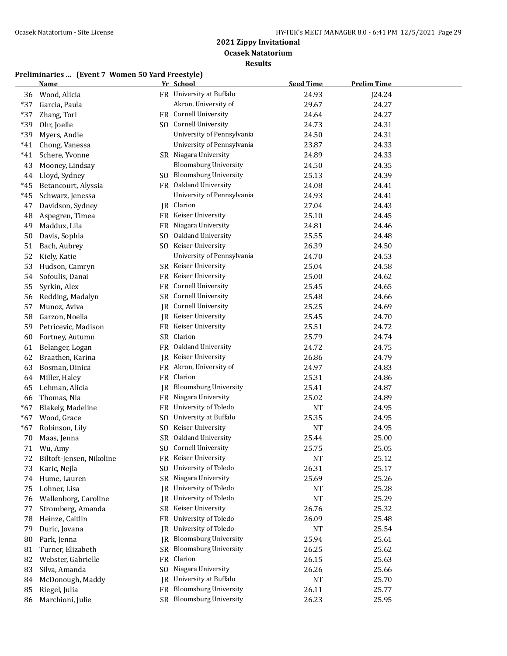|       | <b>Name</b>              |                | Yr School                    | <b>Seed Time</b> | <b>Prelim Time</b> |
|-------|--------------------------|----------------|------------------------------|------------------|--------------------|
| 36    | Wood, Alicia             |                | FR University at Buffalo     | 24.93            | J24.24             |
| $*37$ | Garcia, Paula            |                | Akron, University of         | 29.67            | 24.27              |
| $*37$ | Zhang, Tori              |                | FR Cornell University        | 24.64            | 24.27              |
| *39   | Ohr, Joelle              |                | SO Cornell University        | 24.73            | 24.31              |
| *39   | Myers, Andie             |                | University of Pennsylvania   | 24.50            | 24.31              |
| $*41$ | Chong, Vanessa           |                | University of Pennsylvania   | 23.87            | 24.33              |
| $*41$ | Schere, Yvonne           |                | SR Niagara University        | 24.89            | 24.33              |
| 43    | Mooney, Lindsay          |                | <b>Bloomsburg University</b> | 24.50            | 24.35              |
| 44    | Lloyd, Sydney            |                | SO Bloomsburg University     | 25.13            | 24.39              |
| $*45$ | Betancourt, Alyssia      |                | FR Oakland University        | 24.08            | 24.41              |
| *45   | Schwarz, Jenessa         |                | University of Pennsylvania   | 24.93            | 24.41              |
| 47    | Davidson, Sydney         |                | JR Clarion                   | 27.04            | 24.43              |
| 48    | Aspegren, Timea          |                | FR Keiser University         | 25.10            | 24.45              |
| 49    | Maddux, Lila             |                | FR Niagara University        | 24.81            | 24.46              |
| 50    | Davis, Sophia            | S <sub>O</sub> | Oakland University           | 25.55            | 24.48              |
| 51    | Bach, Aubrey             |                | SO Keiser University         | 26.39            | 24.50              |
| 52    | Kiely, Katie             |                | University of Pennsylvania   | 24.70            | 24.53              |
| 53    | Hudson, Camryn           |                | SR Keiser University         | 25.04            | 24.58              |
| 54    | Sofoulis, Danai          |                | FR Keiser University         | 25.00            | 24.62              |
| 55    | Syrkin, Alex             |                | FR Cornell University        | 25.45            | 24.65              |
| 56    | Redding, Madalyn         |                | SR Cornell University        | 25.48            | 24.66              |
| 57    | Munoz, Aviva             |                | JR Cornell University        | 25.25            | 24.69              |
| 58    | Garzon, Noelia           |                | JR Keiser University         | 25.45            | 24.70              |
| 59    | Petricevic, Madison      |                | FR Keiser University         | 25.51            | 24.72              |
| 60    | Fortney, Autumn          |                | SR Clarion                   | 25.79            | 24.74              |
| 61    | Belanger, Logan          |                | FR Oakland University        | 24.72            | 24.75              |
| 62    | Braathen, Karina         | IR             | Keiser University            | 26.86            | 24.79              |
| 63    | Bosman, Dinica           |                | FR Akron, University of      | 24.97            | 24.83              |
| 64    | Miller, Haley            | FR             | Clarion                      | 25.31            | 24.86              |
| 65    | Lehman, Alicia           | JR             | <b>Bloomsburg University</b> | 25.41            | 24.87              |
| 66    | Thomas, Nia              |                | FR Niagara University        | 25.02            | 24.89              |
| $*67$ | Blakely, Madeline        | FR             | University of Toledo         | <b>NT</b>        | 24.95              |
| $*67$ | Wood, Grace              | S <sub>0</sub> | University at Buffalo        | 25.35            | 24.95              |
| *67   | Robinson, Lily           | SO.            | Keiser University            | <b>NT</b>        | 24.95              |
| 70    | Maas, Jenna              |                | SR Oakland University        | 25.44            | 25.00              |
| 71    | Wu, Amy                  |                | SO Cornell University        | 25.75            | 25.05              |
| 72    | Biltoft-Jensen, Nikoline |                | FR Keiser University         | <b>NT</b>        | 25.12              |
| 73    | Karic, Nejla             | S <sub>0</sub> | University of Toledo         | 26.31            | 25.17              |
| 74    | Hume, Lauren             |                | SR Niagara University        | 25.69            | 25.26              |
| 75    | Lohner, Lisa             | IR             | University of Toledo         | NT               | 25.28              |
| 76    | Wallenborg, Caroline     | IR             | University of Toledo         | <b>NT</b>        | 25.29              |
| 77    | Stromberg, Amanda        | SR             | Keiser University            | 26.76            | 25.32              |
| 78    | Heinze, Caitlin          | FR             | University of Toledo         | 26.09            | 25.48              |
| 79    | Duric, Jovana            | <b>IR</b>      | University of Toledo         | NT               | 25.54              |
| 80    | Park, Jenna              | <b>IR</b>      | <b>Bloomsburg University</b> | 25.94            | 25.61              |
| 81    | Turner, Elizabeth        | SR             | <b>Bloomsburg University</b> | 26.25            | 25.62              |
| 82    | Webster, Gabrielle       | FR             | Clarion                      | 26.15            | 25.63              |
| 83    | Silva, Amanda            | SO.            | Niagara University           | 26.26            | 25.66              |
| 84    | McDonough, Maddy         | IR             | University at Buffalo        | <b>NT</b>        | 25.70              |
| 85    | Riegel, Julia            | FR             | <b>Bloomsburg University</b> | 26.11            | 25.77              |
| 86    | Marchioni, Julie         |                | SR Bloomsburg University     | 26.23            | 25.95              |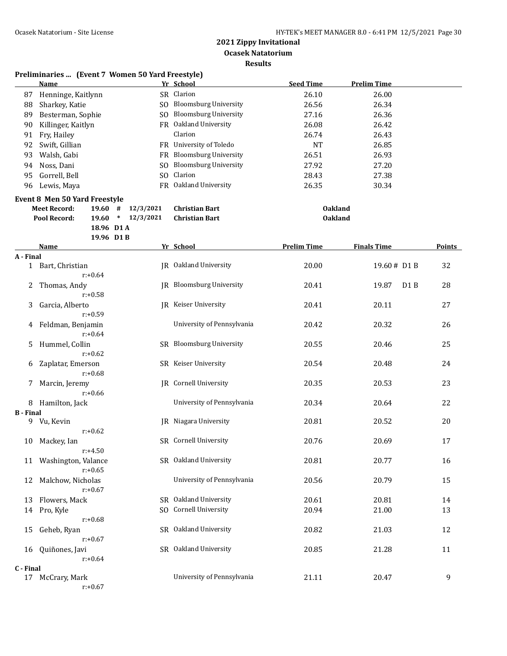**Results**

|                  | <b>Name</b>                          |                  | Yr School                    | <b>Seed Time</b>   | <b>Prelim Time</b>        |                  |
|------------------|--------------------------------------|------------------|------------------------------|--------------------|---------------------------|------------------|
| 87               | Henninge, Kaitlynn                   |                  | SR Clarion                   | 26.10              | 26.00                     |                  |
| 88               | Sharkey, Katie                       |                  | SO Bloomsburg University     | 26.56              | 26.34                     |                  |
| 89               | Besterman, Sophie                    |                  | SO Bloomsburg University     | 27.16              | 26.36                     |                  |
| 90               | Killinger, Kaitlyn                   |                  | FR Oakland University        | 26.08              | 26.42                     |                  |
| 91               | Fry, Hailey                          |                  | Clarion                      | 26.74              | 26.43                     |                  |
| 92               | Swift, Gillian                       |                  | FR University of Toledo      | <b>NT</b>          | 26.85                     |                  |
| 93               | Walsh, Gabi                          | FR.              | <b>Bloomsburg University</b> | 26.51              | 26.93                     |                  |
| 94               | Noss, Dani                           | S <sub>O</sub>   | <b>Bloomsburg University</b> | 27.92              | 27.20                     |                  |
| 95               | Gorrell, Bell                        | SO.              | Clarion                      | 28.43              | 27.38                     |                  |
| 96               | Lewis, Maya                          |                  | FR Oakland University        | 26.35              | 30.34                     |                  |
|                  | <b>Event 8 Men 50 Yard Freestyle</b> |                  |                              |                    |                           |                  |
|                  | <b>Meet Record:</b><br>19.60#        | 12/3/2021        | <b>Christian Bart</b>        | <b>Oakland</b>     |                           |                  |
|                  | 19.60<br>Pool Record:                | $*$<br>12/3/2021 | <b>Christian Bart</b>        | <b>Oakland</b>     |                           |                  |
|                  |                                      | 18.96 D1 A       |                              |                    |                           |                  |
|                  |                                      | 19.96 D1B        |                              |                    |                           |                  |
|                  | <b>Name</b>                          |                  | Yr School                    | <b>Prelim Time</b> | <b>Finals Time</b>        | <b>Points</b>    |
| A - Final        |                                      |                  |                              |                    |                           |                  |
| $\mathbf{1}$     | Bart, Christian<br>$r: +0.64$        |                  | JR Oakland University        | 20.00              | 19.60# D1 B               | 32               |
| 2                | Thomas, Andy<br>$r: +0.58$           |                  | JR Bloomsburg University     | 20.41              | 19.87<br>D <sub>1</sub> B | 28               |
| 3                | Garcia, Alberto<br>$r: +0.59$        |                  | JR Keiser University         | 20.41              | 20.11                     | 27               |
| 4                | Feldman, Benjamin<br>$r: +0.64$      |                  | University of Pennsylvania   | 20.42              | 20.32                     | 26               |
| 5                | Hummel, Collin                       |                  | SR Bloomsburg University     | 20.55              | 20.46                     | 25               |
| 6                | $r: +0.62$<br>Zaplatar, Emerson      |                  | SR Keiser University         | 20.54              | 20.48                     | 24               |
| 7                | $r: +0.68$<br>Marcin, Jeremy         |                  | JR Cornell University        | 20.35              | 20.53                     | 23               |
|                  | $r: +0.66$                           |                  |                              |                    |                           |                  |
| 8                | Hamilton, Jack                       |                  | University of Pennsylvania   | 20.34              | 20.64                     | 22               |
| <b>B</b> - Final | 9 Vu, Kevin                          |                  | JR Niagara University        | 20.81              | 20.52                     | 20               |
|                  | $r: +0.62$                           |                  |                              |                    |                           |                  |
| 10               | Mackey, Ian                          |                  | SR Cornell University        | 20.76              | 20.69                     | 17               |
|                  | $r: +4.50$                           |                  |                              |                    |                           |                  |
|                  | 11 Washington, Valance               |                  | SR Oakland University        | 20.81              | 20.77                     | 16               |
|                  | $r: +0.65$                           |                  |                              |                    |                           |                  |
| 12               | Malchow, Nicholas                    |                  | University of Pennsylvania   | 20.56              | 20.79                     | 15               |
|                  | $r: +0.67$                           |                  |                              |                    |                           |                  |
| 13               | Flowers, Mack                        |                  | SR Oakland University        | 20.61              | 20.81                     | 14               |
|                  | 14 Pro, Kyle                         |                  | SO Cornell University        | 20.94              | 21.00                     | 13               |
|                  | $r: +0.68$                           |                  |                              |                    |                           |                  |
| 15               | Geheb, Ryan                          |                  | SR Oakland University        | 20.82              | 21.03                     | 12               |
|                  | $r: +0.67$                           |                  |                              |                    |                           |                  |
| 16               | Quiñones, Javi                       |                  | SR Oakland University        | 20.85              | 21.28                     | 11               |
|                  | $r: +0.64$                           |                  |                              |                    |                           |                  |
| C - Final        |                                      |                  |                              |                    |                           |                  |
|                  | 17 McCrary, Mark                     |                  | University of Pennsylvania   | 21.11              | 20.47                     | $\boldsymbol{9}$ |
|                  | $r: +0.67$                           |                  |                              |                    |                           |                  |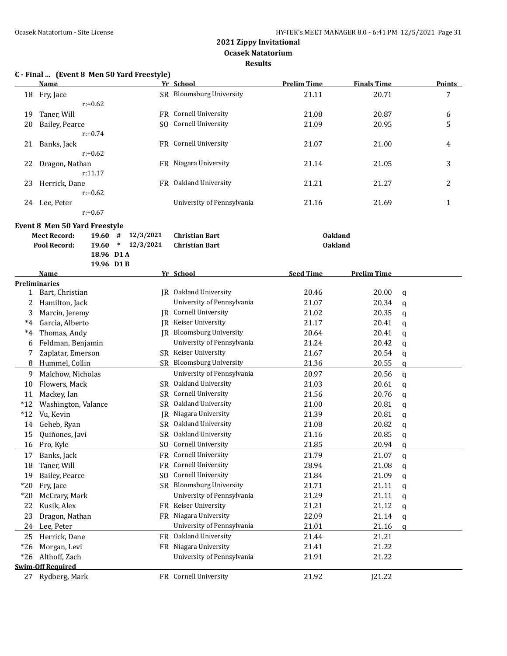## **C - Final ... (Event 8 Men 50 Yard Freestyle)**

|    | Name           |     | Yr School                  | <b>Prelim Time</b> | <b>Finals Time</b> | <b>Points</b> |
|----|----------------|-----|----------------------------|--------------------|--------------------|---------------|
| 18 | Fry, Jace      |     | SR Bloomsburg University   | 21.11              | 20.71              | 7             |
|    | $r: +0.62$     |     |                            |                    |                    |               |
| 19 | Taner, Will    |     | FR Cornell University      | 21.08              | 20.87              | 6             |
| 20 | Bailey, Pearce | SO. | <b>Cornell University</b>  | 21.09              | 20.95              | 5             |
|    | $r: +0.74$     |     |                            |                    |                    |               |
| 21 | Banks, Jack    |     | FR Cornell University      | 21.07              | 21.00              | 4             |
|    | $r: +0.62$     |     |                            |                    |                    |               |
| 22 | Dragon, Nathan |     | FR Niagara University      | 21.14              | 21.05              | 3             |
|    | r:11.17        |     |                            |                    |                    |               |
| 23 | Herrick, Dane  | FR  | Oakland University         | 21.21              | 21.27              | 2             |
|    | $r: +0.62$     |     |                            |                    |                    |               |
| 24 | Lee, Peter     |     | University of Pennsylvania | 21.16              | 21.69              |               |
|    | $r: +0.67$     |     |                            |                    |                    |               |

#### **Event 8 Men 50 Yard Freestyle**

| Meet Record: | 19.60 $\#$ 12/3/2021 Christian Bart | <b>Oakland</b> |
|--------------|-------------------------------------|----------------|
| Pool Record: | 19.60 $*$ 12/3/2021 Christian Bart  | <b>Oakland</b> |
|              | 18.96 D1 A                          |                |

|       | 19.96 D1 B               |                |                              |                  |                    |               |
|-------|--------------------------|----------------|------------------------------|------------------|--------------------|---------------|
|       | <b>Name</b>              |                | Yr School                    | <b>Seed Time</b> | <b>Prelim Time</b> |               |
|       | <b>Preliminaries</b>     |                |                              |                  |                    |               |
| 1     | Bart, Christian          |                | IR Oakland University        | 20.46            | 20.00              | q             |
| 2     | Hamilton, Jack           |                | University of Pennsylvania   | 21.07            | 20.34              | $\mathsf{q}$  |
| 3     | Marcin, Jeremy           | IR             | Cornell University           | 21.02            | 20.35              | q             |
| $^*4$ | Garcia, Alberto          | IR.            | Keiser University            | 21.17            | 20.41              | a             |
| $^*4$ | Thomas, Andy             | IR             | <b>Bloomsburg University</b> | 20.64            | 20.41              | q             |
| 6     | Feldman, Benjamin        |                | University of Pennsylvania   | 21.24            | 20.42              | a             |
| 7     | Zaplatar, Emerson        | SR.            | Keiser University            | 21.67            | 20.54              | q             |
| 8     | Hummel, Collin           |                | SR Bloomsburg University     | 21.36            | 20.55              | a             |
| 9     | Malchow, Nicholas        |                | University of Pennsylvania   | 20.97            | 20.56              | $\mathbf q$   |
| 10    | Flowers, Mack            | SR.            | Oakland University           | 21.03            | 20.61              | $\mathfrak q$ |
| 11    | Mackey, Ian              | <b>SR</b>      | <b>Cornell University</b>    | 21.56            | 20.76              | $\alpha$      |
| $*12$ | Washington, Valance      | <b>SR</b>      | Oakland University           | 21.00            | 20.81              | a             |
| $*12$ | Vu, Kevin                | <b>IR</b>      | Niagara University           | 21.39            | 20.81              | q             |
| 14    | Geheb, Ryan              | SR.            | Oakland University           | 21.08            | 20.82              | q             |
| 15    | Quiñones, Javi           | <b>SR</b>      | Oakland University           | 21.16            | 20.85              | q             |
| 16    | Pro, Kyle                | S <sub>0</sub> | Cornell University           | 21.85            | 20.94              | q             |
| 17    | Banks, Jack              | FR             | <b>Cornell University</b>    | 21.79            | 21.07              | a             |
| 18    | Taner, Will              | <b>FR</b>      | Cornell University           | 28.94            | 21.08              | q             |
| 19    | Bailey, Pearce           | SO.            | Cornell University           | 21.84            | 21.09              | q             |
| $*20$ | Fry, Jace                |                | SR Bloomsburg University     | 21.71            | 21.11              | q             |
| $*20$ | McCrary, Mark            |                | University of Pennsylvania   | 21.29            | 21.11              | q             |
| 22    | Kusik, Alex              | FR.            | Keiser University            | 21.21            | 21.12              | q             |
| 23    | Dragon, Nathan           | FR.            | Niagara University           | 22.09            | 21.14              | q             |
| 24    | Lee, Peter               |                | University of Pennsylvania   | 21.01            | 21.16              | $\alpha$      |
| 25    | Herrick, Dane            | <b>FR</b>      | Oakland University           | 21.44            | 21.21              |               |
| $*26$ | Morgan, Levi             | <b>FR</b>      | Niagara University           | 21.41            | 21.22              |               |
| $*26$ | Althoff, Zach            |                | University of Pennsylvania   | 21.91            | 21.22              |               |
|       | <b>Swim-Off Required</b> |                |                              |                  |                    |               |
| 27    | Rydberg, Mark            |                | FR Cornell University        | 21.92            | J21.22             |               |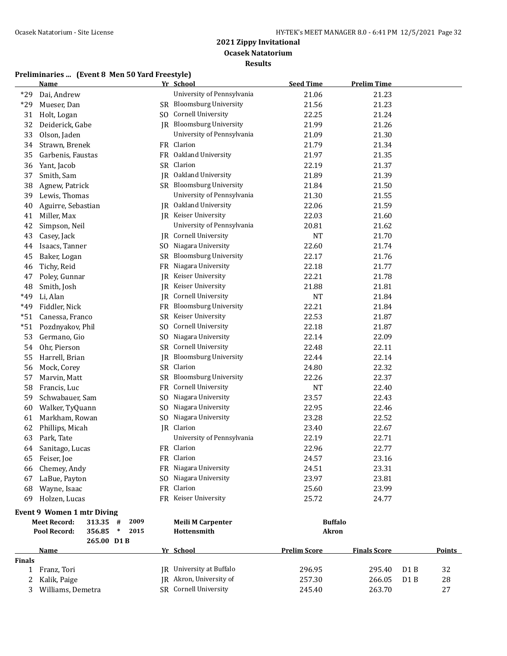|        | <b>Name</b>                              |                | Yr School                       | <b>Seed Time</b>    | <b>Prelim Time</b>  |     |               |
|--------|------------------------------------------|----------------|---------------------------------|---------------------|---------------------|-----|---------------|
| $*29$  | Dai, Andrew                              |                | University of Pennsylvania      | 21.06               | 21.23               |     |               |
| $*29$  | Mueser, Dan                              |                | SR Bloomsburg University        | 21.56               | 21.23               |     |               |
| 31     | Holt, Logan                              |                | SO Cornell University           | 22.25               | 21.24               |     |               |
| 32     | Deiderick, Gabe                          |                | JR Bloomsburg University        | 21.99               | 21.26               |     |               |
| 33     | Olson, Jaden                             |                | University of Pennsylvania      | 21.09               | 21.30               |     |               |
| 34     | Strawn, Brenek                           |                | FR Clarion                      | 21.79               | 21.34               |     |               |
| 35     | Garbenis, Faustas                        |                | FR Oakland University           | 21.97               | 21.35               |     |               |
| 36     | Yant, Jacob                              |                | SR Clarion                      | 22.19               | 21.37               |     |               |
| 37     | Smith, Sam                               |                | JR Oakland University           | 21.89               | 21.39               |     |               |
| 38     | Agnew, Patrick                           |                | SR Bloomsburg University        | 21.84               | 21.50               |     |               |
| 39     | Lewis, Thomas                            |                | University of Pennsylvania      | 21.30               | 21.55               |     |               |
| 40     | Aguirre, Sebastian                       |                | JR Oakland University           | 22.06               | 21.59               |     |               |
| 41     | Miller, Max                              |                | JR Keiser University            | 22.03               | 21.60               |     |               |
| 42     | Simpson, Neil                            |                | University of Pennsylvania      | 20.81               | 21.62               |     |               |
| 43     | Casey, Jack                              | JR             | Cornell University              | <b>NT</b>           | 21.70               |     |               |
| 44     | Isaacs, Tanner                           | SO.            | Niagara University              | 22.60               | 21.74               |     |               |
| 45     | Baker, Logan                             | SR             | <b>Bloomsburg University</b>    | 22.17               | 21.76               |     |               |
| 46     | Tichy, Reid                              | FR             | Niagara University              | 22.18               | 21.77               |     |               |
| 47     | Poley, Gunnar                            | JR             | Keiser University               | 22.21               | 21.78               |     |               |
| 48     | Smith, Josh                              | IR             | Keiser University               | 21.88               | 21.81               |     |               |
| *49    | Li, Alan                                 | IR             | Cornell University              | <b>NT</b>           | 21.84               |     |               |
| *49    | Fiddler, Nick                            |                | FR Bloomsburg University        | 22.21               | 21.84               |     |               |
| $*51$  | Canessa, Franco                          | SR             | Keiser University               | 22.53               | 21.87               |     |               |
| $*51$  | Pozdnyakov, Phil                         | SO.            | Cornell University              | 22.18               | 21.87               |     |               |
| 53     | Germano, Gio                             | SO.            | Niagara University              | 22.14               | 22.09               |     |               |
| 54     | Ohr, Pierson                             |                | SR Cornell University           | 22.48               | 22.11               |     |               |
| 55     | Harrell, Brian                           | JR             | <b>Bloomsburg University</b>    | 22.44               | 22.14               |     |               |
| 56     | Mock, Corey                              |                | SR Clarion                      | 24.80               | 22.32               |     |               |
| 57     | Marvin, Matt                             | SR             | <b>Bloomsburg University</b>    | 22.26               | 22.37               |     |               |
| 58     | Francis, Luc                             | FR             | Cornell University              | NT                  | 22.40               |     |               |
| 59     | Schwabauer, Sam                          | SO.            | Niagara University              | 23.57               | 22.43               |     |               |
| 60     | Walker, TyQuann                          | S <sub>0</sub> | Niagara University              | 22.95               | 22.46               |     |               |
| 61     | Markham, Rowan                           | S <sub>0</sub> | Niagara University              | 23.28               | 22.52               |     |               |
| 62     | Phillips, Micah                          |                | JR Clarion                      | 23.40               | 22.67               |     |               |
| 63     | Park, Tate                               |                | University of Pennsylvania      | 22.19               | 22.71               |     |               |
| 64     | Sanitago, Lucas                          |                | FR Clarion                      | 22.96               | 22.77               |     |               |
| 65     | Feiser, Joe                              |                | FR Clarion                      | 24.57               | 23.16               |     |               |
| 66     | Chemey, Andy                             |                | FR Niagara University           | 24.51               | 23.31               |     |               |
| 67     | LaBue, Payton                            |                | SO Niagara University           | 23.97               | 23.81               |     |               |
| 68     | Wayne, Isaac                             |                | FR Clarion                      | 25.60               | 23.99               |     |               |
| 69     | Holzen, Lucas                            |                | FR Keiser University            | 25.72               | 24.77               |     |               |
|        | <b>Event 9 Women 1 mtr Diving</b>        |                |                                 |                     |                     |     |               |
|        | <b>Meet Record:</b><br>313.35 #<br>2009  |                | <b>Meili M Carpenter</b>        | <b>Buffalo</b>      |                     |     |               |
|        | Pool Record:<br>356.85<br>$\ast$<br>2015 |                | Hottensmith                     | <b>Akron</b>        |                     |     |               |
|        | 265.00 D1B                               |                |                                 |                     |                     |     |               |
|        | <u>Name</u>                              |                | Yr School                       | <b>Prelim Score</b> | <b>Finals Score</b> |     | <b>Points</b> |
| Finals |                                          |                |                                 |                     |                     |     |               |
| 1      | Franz, Tori                              |                | <b>IR</b> University at Buffalo | 296.95              | 295.40              | D1B | 32            |
| 2      | Kalik, Paige                             |                | JR Akron, University of         | 257.30              | 266.05              | D1B | 28            |
| 3      | Williams, Demetra                        |                | SR Cornell University           | 245.40              | 263.70              |     | 27            |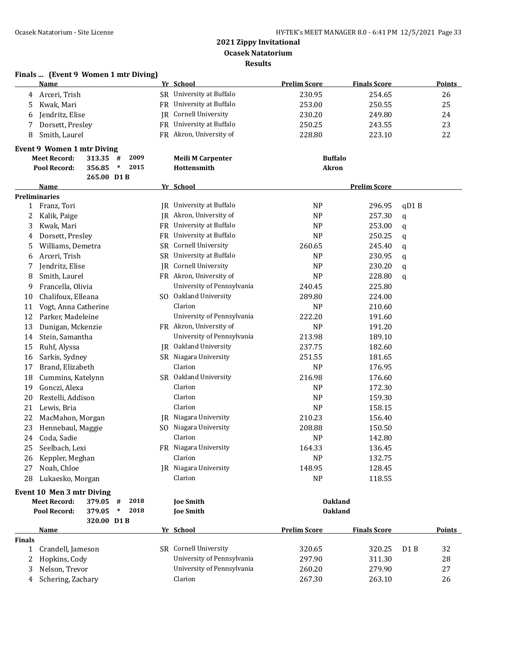| <b>Prelim Score</b><br><b>Finals Score</b><br>Name<br>Yr School<br>230.95<br>Arceri, Trish<br>SR University at Buffalo<br>254.65<br>26<br>4<br>FR University at Buffalo<br>253.00<br>25<br>Kwak, Mari<br>250.55<br>5<br>JR Cornell University<br>Jendritz, Elise<br>230.20<br>249.80<br>6<br>FR University at Buffalo<br>Dorsett, Presley<br>250.25<br>23<br>7<br>243.55<br>FR Akron, University of<br>22<br>Smith, Laurel<br>228.80<br>223.10<br>8<br><b>Event 9 Women 1 mtr Diving</b><br><b>Meet Record:</b><br>2009<br><b>Meili M Carpenter</b><br><b>Buffalo</b><br>313.35<br>#<br>2015<br>356.85<br><b>Akron</b><br>Pool Record:<br>$\ast$<br>Hottensmith<br>265.00 D1B<br>Yr School<br><b>Prelim Score</b><br>Name<br><b>Preliminaries</b><br>JR University at Buffalo<br><b>NP</b><br>296.95<br>qD1B<br>1 Franz, Tori<br>JR Akron, University of<br><b>NP</b><br>257.30<br>2<br>Kalik, Paige<br>q<br>FR University at Buffalo<br><b>NP</b><br>253.00<br>3<br>Kwak, Mari<br>q<br>FR University at Buffalo<br><b>NP</b><br>Dorsett, Presley<br>250.25<br>4<br>q<br>SR Cornell University<br>5<br>Williams, Demetra<br>260.65<br>245.40<br>q<br>SR University at Buffalo<br>Arceri, Trish<br><b>NP</b><br>230.95<br>6<br>q<br>Cornell University<br>Jendritz, Elise<br>IR<br><b>NP</b><br>230.20<br>7<br>q<br>FR Akron, University of<br>Smith, Laurel<br><b>NP</b><br>8<br>228.80<br>q<br>University of Pennsylvania<br>Francella, Olivia<br>240.45<br>225.80<br>9<br>SO Oakland University<br>Chalifoux, Elleana<br>289.80<br>224.00<br>10<br>Clarion<br>Vogt, Anna Catherine<br><b>NP</b><br>210.60<br>11<br>University of Pennsylvania<br>222.20<br>12<br>Parker, Madeleine<br>191.60<br>FR Akron, University of<br>13<br>Dunigan, Mckenzie<br><b>NP</b><br>191.20<br>University of Pennsylvania<br>213.98<br>Stein, Samantha<br>189.10<br>14<br><b>IR</b> Oakland University<br>Ruhf, Alyssa<br>237.75<br>15<br>182.60<br>SR Niagara University<br>Sarkis, Sydney<br>251.55<br>181.65<br>16<br>Clarion<br>Brand, Elizabeth<br><b>NP</b><br>176.95<br>17<br>SR Oakland University<br>Cummins, Katelynn<br>216.98<br>176.60<br>18<br>Gonczi, Alexa<br>Clarion<br>19<br><b>NP</b><br>172.30<br>Clarion<br>Restelli, Addison<br><b>NP</b><br>20<br>159.30<br>Lewis, Bria<br>Clarion<br><b>NP</b><br>21<br>158.15<br>JR Niagara University<br>MacMahon, Morgan<br>210.23<br>156.40<br>22<br>23<br>SO Niagara University<br>208.88<br>150.50<br>Hennebaul, Maggie<br>24<br>Coda, Sadie<br>Clarion<br><b>NP</b><br>142.80<br>FR Niagara University<br>Seelbach, Lexi<br>164.33<br>136.45<br>25<br>Clarion<br>Keppler, Meghan<br><b>NP</b><br>132.75<br>26<br>JR Niagara University<br>Noah, Chloe<br>148.95<br>27<br>128.45<br>Clarion<br>Lukaesko, Morgan<br><b>NP</b><br>28<br>118.55<br>Event 10 Men 3 mtr Diving<br>2018<br><b>Meet Record:</b><br>379.05 #<br><b>Oakland</b><br><b>Joe Smith</b><br>2018<br>Pool Record:<br>379.05<br>$\ast$<br><b>Joe Smith</b><br><b>Oakland</b><br>320.00 D1B<br>Yr School<br><b>Prelim Score</b><br><b>Finals Score</b><br><b>Name</b><br><b>Finals</b><br>SR Cornell University | Finals  (Event 9 Women 1 mtr Diving) |  |        |        |                  |               |
|------------------------------------------------------------------------------------------------------------------------------------------------------------------------------------------------------------------------------------------------------------------------------------------------------------------------------------------------------------------------------------------------------------------------------------------------------------------------------------------------------------------------------------------------------------------------------------------------------------------------------------------------------------------------------------------------------------------------------------------------------------------------------------------------------------------------------------------------------------------------------------------------------------------------------------------------------------------------------------------------------------------------------------------------------------------------------------------------------------------------------------------------------------------------------------------------------------------------------------------------------------------------------------------------------------------------------------------------------------------------------------------------------------------------------------------------------------------------------------------------------------------------------------------------------------------------------------------------------------------------------------------------------------------------------------------------------------------------------------------------------------------------------------------------------------------------------------------------------------------------------------------------------------------------------------------------------------------------------------------------------------------------------------------------------------------------------------------------------------------------------------------------------------------------------------------------------------------------------------------------------------------------------------------------------------------------------------------------------------------------------------------------------------------------------------------------------------------------------------------------------------------------------------------------------------------------------------------------------------------------------------------------------------------------------------------------------------------------------------------------------------------------------------------------------------------------------------------------------------------------------------------------------------------------------------------------------------------------------------------------------------------------------------------------------------------------------------------------------------------------------|--------------------------------------|--|--------|--------|------------------|---------------|
|                                                                                                                                                                                                                                                                                                                                                                                                                                                                                                                                                                                                                                                                                                                                                                                                                                                                                                                                                                                                                                                                                                                                                                                                                                                                                                                                                                                                                                                                                                                                                                                                                                                                                                                                                                                                                                                                                                                                                                                                                                                                                                                                                                                                                                                                                                                                                                                                                                                                                                                                                                                                                                                                                                                                                                                                                                                                                                                                                                                                                                                                                                                              |                                      |  |        |        |                  | <b>Points</b> |
|                                                                                                                                                                                                                                                                                                                                                                                                                                                                                                                                                                                                                                                                                                                                                                                                                                                                                                                                                                                                                                                                                                                                                                                                                                                                                                                                                                                                                                                                                                                                                                                                                                                                                                                                                                                                                                                                                                                                                                                                                                                                                                                                                                                                                                                                                                                                                                                                                                                                                                                                                                                                                                                                                                                                                                                                                                                                                                                                                                                                                                                                                                                              |                                      |  |        |        |                  |               |
|                                                                                                                                                                                                                                                                                                                                                                                                                                                                                                                                                                                                                                                                                                                                                                                                                                                                                                                                                                                                                                                                                                                                                                                                                                                                                                                                                                                                                                                                                                                                                                                                                                                                                                                                                                                                                                                                                                                                                                                                                                                                                                                                                                                                                                                                                                                                                                                                                                                                                                                                                                                                                                                                                                                                                                                                                                                                                                                                                                                                                                                                                                                              |                                      |  |        |        |                  |               |
|                                                                                                                                                                                                                                                                                                                                                                                                                                                                                                                                                                                                                                                                                                                                                                                                                                                                                                                                                                                                                                                                                                                                                                                                                                                                                                                                                                                                                                                                                                                                                                                                                                                                                                                                                                                                                                                                                                                                                                                                                                                                                                                                                                                                                                                                                                                                                                                                                                                                                                                                                                                                                                                                                                                                                                                                                                                                                                                                                                                                                                                                                                                              |                                      |  |        |        |                  | 24            |
|                                                                                                                                                                                                                                                                                                                                                                                                                                                                                                                                                                                                                                                                                                                                                                                                                                                                                                                                                                                                                                                                                                                                                                                                                                                                                                                                                                                                                                                                                                                                                                                                                                                                                                                                                                                                                                                                                                                                                                                                                                                                                                                                                                                                                                                                                                                                                                                                                                                                                                                                                                                                                                                                                                                                                                                                                                                                                                                                                                                                                                                                                                                              |                                      |  |        |        |                  |               |
|                                                                                                                                                                                                                                                                                                                                                                                                                                                                                                                                                                                                                                                                                                                                                                                                                                                                                                                                                                                                                                                                                                                                                                                                                                                                                                                                                                                                                                                                                                                                                                                                                                                                                                                                                                                                                                                                                                                                                                                                                                                                                                                                                                                                                                                                                                                                                                                                                                                                                                                                                                                                                                                                                                                                                                                                                                                                                                                                                                                                                                                                                                                              |                                      |  |        |        |                  |               |
|                                                                                                                                                                                                                                                                                                                                                                                                                                                                                                                                                                                                                                                                                                                                                                                                                                                                                                                                                                                                                                                                                                                                                                                                                                                                                                                                                                                                                                                                                                                                                                                                                                                                                                                                                                                                                                                                                                                                                                                                                                                                                                                                                                                                                                                                                                                                                                                                                                                                                                                                                                                                                                                                                                                                                                                                                                                                                                                                                                                                                                                                                                                              |                                      |  |        |        |                  |               |
|                                                                                                                                                                                                                                                                                                                                                                                                                                                                                                                                                                                                                                                                                                                                                                                                                                                                                                                                                                                                                                                                                                                                                                                                                                                                                                                                                                                                                                                                                                                                                                                                                                                                                                                                                                                                                                                                                                                                                                                                                                                                                                                                                                                                                                                                                                                                                                                                                                                                                                                                                                                                                                                                                                                                                                                                                                                                                                                                                                                                                                                                                                                              |                                      |  |        |        |                  |               |
|                                                                                                                                                                                                                                                                                                                                                                                                                                                                                                                                                                                                                                                                                                                                                                                                                                                                                                                                                                                                                                                                                                                                                                                                                                                                                                                                                                                                                                                                                                                                                                                                                                                                                                                                                                                                                                                                                                                                                                                                                                                                                                                                                                                                                                                                                                                                                                                                                                                                                                                                                                                                                                                                                                                                                                                                                                                                                                                                                                                                                                                                                                                              |                                      |  |        |        |                  |               |
|                                                                                                                                                                                                                                                                                                                                                                                                                                                                                                                                                                                                                                                                                                                                                                                                                                                                                                                                                                                                                                                                                                                                                                                                                                                                                                                                                                                                                                                                                                                                                                                                                                                                                                                                                                                                                                                                                                                                                                                                                                                                                                                                                                                                                                                                                                                                                                                                                                                                                                                                                                                                                                                                                                                                                                                                                                                                                                                                                                                                                                                                                                                              |                                      |  |        |        |                  |               |
|                                                                                                                                                                                                                                                                                                                                                                                                                                                                                                                                                                                                                                                                                                                                                                                                                                                                                                                                                                                                                                                                                                                                                                                                                                                                                                                                                                                                                                                                                                                                                                                                                                                                                                                                                                                                                                                                                                                                                                                                                                                                                                                                                                                                                                                                                                                                                                                                                                                                                                                                                                                                                                                                                                                                                                                                                                                                                                                                                                                                                                                                                                                              |                                      |  |        |        |                  |               |
|                                                                                                                                                                                                                                                                                                                                                                                                                                                                                                                                                                                                                                                                                                                                                                                                                                                                                                                                                                                                                                                                                                                                                                                                                                                                                                                                                                                                                                                                                                                                                                                                                                                                                                                                                                                                                                                                                                                                                                                                                                                                                                                                                                                                                                                                                                                                                                                                                                                                                                                                                                                                                                                                                                                                                                                                                                                                                                                                                                                                                                                                                                                              |                                      |  |        |        |                  |               |
|                                                                                                                                                                                                                                                                                                                                                                                                                                                                                                                                                                                                                                                                                                                                                                                                                                                                                                                                                                                                                                                                                                                                                                                                                                                                                                                                                                                                                                                                                                                                                                                                                                                                                                                                                                                                                                                                                                                                                                                                                                                                                                                                                                                                                                                                                                                                                                                                                                                                                                                                                                                                                                                                                                                                                                                                                                                                                                                                                                                                                                                                                                                              |                                      |  |        |        |                  |               |
|                                                                                                                                                                                                                                                                                                                                                                                                                                                                                                                                                                                                                                                                                                                                                                                                                                                                                                                                                                                                                                                                                                                                                                                                                                                                                                                                                                                                                                                                                                                                                                                                                                                                                                                                                                                                                                                                                                                                                                                                                                                                                                                                                                                                                                                                                                                                                                                                                                                                                                                                                                                                                                                                                                                                                                                                                                                                                                                                                                                                                                                                                                                              |                                      |  |        |        |                  |               |
|                                                                                                                                                                                                                                                                                                                                                                                                                                                                                                                                                                                                                                                                                                                                                                                                                                                                                                                                                                                                                                                                                                                                                                                                                                                                                                                                                                                                                                                                                                                                                                                                                                                                                                                                                                                                                                                                                                                                                                                                                                                                                                                                                                                                                                                                                                                                                                                                                                                                                                                                                                                                                                                                                                                                                                                                                                                                                                                                                                                                                                                                                                                              |                                      |  |        |        |                  |               |
|                                                                                                                                                                                                                                                                                                                                                                                                                                                                                                                                                                                                                                                                                                                                                                                                                                                                                                                                                                                                                                                                                                                                                                                                                                                                                                                                                                                                                                                                                                                                                                                                                                                                                                                                                                                                                                                                                                                                                                                                                                                                                                                                                                                                                                                                                                                                                                                                                                                                                                                                                                                                                                                                                                                                                                                                                                                                                                                                                                                                                                                                                                                              |                                      |  |        |        |                  |               |
|                                                                                                                                                                                                                                                                                                                                                                                                                                                                                                                                                                                                                                                                                                                                                                                                                                                                                                                                                                                                                                                                                                                                                                                                                                                                                                                                                                                                                                                                                                                                                                                                                                                                                                                                                                                                                                                                                                                                                                                                                                                                                                                                                                                                                                                                                                                                                                                                                                                                                                                                                                                                                                                                                                                                                                                                                                                                                                                                                                                                                                                                                                                              |                                      |  |        |        |                  |               |
|                                                                                                                                                                                                                                                                                                                                                                                                                                                                                                                                                                                                                                                                                                                                                                                                                                                                                                                                                                                                                                                                                                                                                                                                                                                                                                                                                                                                                                                                                                                                                                                                                                                                                                                                                                                                                                                                                                                                                                                                                                                                                                                                                                                                                                                                                                                                                                                                                                                                                                                                                                                                                                                                                                                                                                                                                                                                                                                                                                                                                                                                                                                              |                                      |  |        |        |                  |               |
|                                                                                                                                                                                                                                                                                                                                                                                                                                                                                                                                                                                                                                                                                                                                                                                                                                                                                                                                                                                                                                                                                                                                                                                                                                                                                                                                                                                                                                                                                                                                                                                                                                                                                                                                                                                                                                                                                                                                                                                                                                                                                                                                                                                                                                                                                                                                                                                                                                                                                                                                                                                                                                                                                                                                                                                                                                                                                                                                                                                                                                                                                                                              |                                      |  |        |        |                  |               |
|                                                                                                                                                                                                                                                                                                                                                                                                                                                                                                                                                                                                                                                                                                                                                                                                                                                                                                                                                                                                                                                                                                                                                                                                                                                                                                                                                                                                                                                                                                                                                                                                                                                                                                                                                                                                                                                                                                                                                                                                                                                                                                                                                                                                                                                                                                                                                                                                                                                                                                                                                                                                                                                                                                                                                                                                                                                                                                                                                                                                                                                                                                                              |                                      |  |        |        |                  |               |
|                                                                                                                                                                                                                                                                                                                                                                                                                                                                                                                                                                                                                                                                                                                                                                                                                                                                                                                                                                                                                                                                                                                                                                                                                                                                                                                                                                                                                                                                                                                                                                                                                                                                                                                                                                                                                                                                                                                                                                                                                                                                                                                                                                                                                                                                                                                                                                                                                                                                                                                                                                                                                                                                                                                                                                                                                                                                                                                                                                                                                                                                                                                              |                                      |  |        |        |                  |               |
|                                                                                                                                                                                                                                                                                                                                                                                                                                                                                                                                                                                                                                                                                                                                                                                                                                                                                                                                                                                                                                                                                                                                                                                                                                                                                                                                                                                                                                                                                                                                                                                                                                                                                                                                                                                                                                                                                                                                                                                                                                                                                                                                                                                                                                                                                                                                                                                                                                                                                                                                                                                                                                                                                                                                                                                                                                                                                                                                                                                                                                                                                                                              |                                      |  |        |        |                  |               |
|                                                                                                                                                                                                                                                                                                                                                                                                                                                                                                                                                                                                                                                                                                                                                                                                                                                                                                                                                                                                                                                                                                                                                                                                                                                                                                                                                                                                                                                                                                                                                                                                                                                                                                                                                                                                                                                                                                                                                                                                                                                                                                                                                                                                                                                                                                                                                                                                                                                                                                                                                                                                                                                                                                                                                                                                                                                                                                                                                                                                                                                                                                                              |                                      |  |        |        |                  |               |
|                                                                                                                                                                                                                                                                                                                                                                                                                                                                                                                                                                                                                                                                                                                                                                                                                                                                                                                                                                                                                                                                                                                                                                                                                                                                                                                                                                                                                                                                                                                                                                                                                                                                                                                                                                                                                                                                                                                                                                                                                                                                                                                                                                                                                                                                                                                                                                                                                                                                                                                                                                                                                                                                                                                                                                                                                                                                                                                                                                                                                                                                                                                              |                                      |  |        |        |                  |               |
|                                                                                                                                                                                                                                                                                                                                                                                                                                                                                                                                                                                                                                                                                                                                                                                                                                                                                                                                                                                                                                                                                                                                                                                                                                                                                                                                                                                                                                                                                                                                                                                                                                                                                                                                                                                                                                                                                                                                                                                                                                                                                                                                                                                                                                                                                                                                                                                                                                                                                                                                                                                                                                                                                                                                                                                                                                                                                                                                                                                                                                                                                                                              |                                      |  |        |        |                  |               |
|                                                                                                                                                                                                                                                                                                                                                                                                                                                                                                                                                                                                                                                                                                                                                                                                                                                                                                                                                                                                                                                                                                                                                                                                                                                                                                                                                                                                                                                                                                                                                                                                                                                                                                                                                                                                                                                                                                                                                                                                                                                                                                                                                                                                                                                                                                                                                                                                                                                                                                                                                                                                                                                                                                                                                                                                                                                                                                                                                                                                                                                                                                                              |                                      |  |        |        |                  |               |
|                                                                                                                                                                                                                                                                                                                                                                                                                                                                                                                                                                                                                                                                                                                                                                                                                                                                                                                                                                                                                                                                                                                                                                                                                                                                                                                                                                                                                                                                                                                                                                                                                                                                                                                                                                                                                                                                                                                                                                                                                                                                                                                                                                                                                                                                                                                                                                                                                                                                                                                                                                                                                                                                                                                                                                                                                                                                                                                                                                                                                                                                                                                              |                                      |  |        |        |                  |               |
|                                                                                                                                                                                                                                                                                                                                                                                                                                                                                                                                                                                                                                                                                                                                                                                                                                                                                                                                                                                                                                                                                                                                                                                                                                                                                                                                                                                                                                                                                                                                                                                                                                                                                                                                                                                                                                                                                                                                                                                                                                                                                                                                                                                                                                                                                                                                                                                                                                                                                                                                                                                                                                                                                                                                                                                                                                                                                                                                                                                                                                                                                                                              |                                      |  |        |        |                  |               |
|                                                                                                                                                                                                                                                                                                                                                                                                                                                                                                                                                                                                                                                                                                                                                                                                                                                                                                                                                                                                                                                                                                                                                                                                                                                                                                                                                                                                                                                                                                                                                                                                                                                                                                                                                                                                                                                                                                                                                                                                                                                                                                                                                                                                                                                                                                                                                                                                                                                                                                                                                                                                                                                                                                                                                                                                                                                                                                                                                                                                                                                                                                                              |                                      |  |        |        |                  |               |
|                                                                                                                                                                                                                                                                                                                                                                                                                                                                                                                                                                                                                                                                                                                                                                                                                                                                                                                                                                                                                                                                                                                                                                                                                                                                                                                                                                                                                                                                                                                                                                                                                                                                                                                                                                                                                                                                                                                                                                                                                                                                                                                                                                                                                                                                                                                                                                                                                                                                                                                                                                                                                                                                                                                                                                                                                                                                                                                                                                                                                                                                                                                              |                                      |  |        |        |                  |               |
|                                                                                                                                                                                                                                                                                                                                                                                                                                                                                                                                                                                                                                                                                                                                                                                                                                                                                                                                                                                                                                                                                                                                                                                                                                                                                                                                                                                                                                                                                                                                                                                                                                                                                                                                                                                                                                                                                                                                                                                                                                                                                                                                                                                                                                                                                                                                                                                                                                                                                                                                                                                                                                                                                                                                                                                                                                                                                                                                                                                                                                                                                                                              |                                      |  |        |        |                  |               |
|                                                                                                                                                                                                                                                                                                                                                                                                                                                                                                                                                                                                                                                                                                                                                                                                                                                                                                                                                                                                                                                                                                                                                                                                                                                                                                                                                                                                                                                                                                                                                                                                                                                                                                                                                                                                                                                                                                                                                                                                                                                                                                                                                                                                                                                                                                                                                                                                                                                                                                                                                                                                                                                                                                                                                                                                                                                                                                                                                                                                                                                                                                                              |                                      |  |        |        |                  |               |
|                                                                                                                                                                                                                                                                                                                                                                                                                                                                                                                                                                                                                                                                                                                                                                                                                                                                                                                                                                                                                                                                                                                                                                                                                                                                                                                                                                                                                                                                                                                                                                                                                                                                                                                                                                                                                                                                                                                                                                                                                                                                                                                                                                                                                                                                                                                                                                                                                                                                                                                                                                                                                                                                                                                                                                                                                                                                                                                                                                                                                                                                                                                              |                                      |  |        |        |                  |               |
|                                                                                                                                                                                                                                                                                                                                                                                                                                                                                                                                                                                                                                                                                                                                                                                                                                                                                                                                                                                                                                                                                                                                                                                                                                                                                                                                                                                                                                                                                                                                                                                                                                                                                                                                                                                                                                                                                                                                                                                                                                                                                                                                                                                                                                                                                                                                                                                                                                                                                                                                                                                                                                                                                                                                                                                                                                                                                                                                                                                                                                                                                                                              |                                      |  |        |        |                  |               |
|                                                                                                                                                                                                                                                                                                                                                                                                                                                                                                                                                                                                                                                                                                                                                                                                                                                                                                                                                                                                                                                                                                                                                                                                                                                                                                                                                                                                                                                                                                                                                                                                                                                                                                                                                                                                                                                                                                                                                                                                                                                                                                                                                                                                                                                                                                                                                                                                                                                                                                                                                                                                                                                                                                                                                                                                                                                                                                                                                                                                                                                                                                                              |                                      |  |        |        |                  |               |
|                                                                                                                                                                                                                                                                                                                                                                                                                                                                                                                                                                                                                                                                                                                                                                                                                                                                                                                                                                                                                                                                                                                                                                                                                                                                                                                                                                                                                                                                                                                                                                                                                                                                                                                                                                                                                                                                                                                                                                                                                                                                                                                                                                                                                                                                                                                                                                                                                                                                                                                                                                                                                                                                                                                                                                                                                                                                                                                                                                                                                                                                                                                              |                                      |  |        |        |                  |               |
|                                                                                                                                                                                                                                                                                                                                                                                                                                                                                                                                                                                                                                                                                                                                                                                                                                                                                                                                                                                                                                                                                                                                                                                                                                                                                                                                                                                                                                                                                                                                                                                                                                                                                                                                                                                                                                                                                                                                                                                                                                                                                                                                                                                                                                                                                                                                                                                                                                                                                                                                                                                                                                                                                                                                                                                                                                                                                                                                                                                                                                                                                                                              |                                      |  |        |        |                  |               |
|                                                                                                                                                                                                                                                                                                                                                                                                                                                                                                                                                                                                                                                                                                                                                                                                                                                                                                                                                                                                                                                                                                                                                                                                                                                                                                                                                                                                                                                                                                                                                                                                                                                                                                                                                                                                                                                                                                                                                                                                                                                                                                                                                                                                                                                                                                                                                                                                                                                                                                                                                                                                                                                                                                                                                                                                                                                                                                                                                                                                                                                                                                                              |                                      |  |        |        |                  |               |
|                                                                                                                                                                                                                                                                                                                                                                                                                                                                                                                                                                                                                                                                                                                                                                                                                                                                                                                                                                                                                                                                                                                                                                                                                                                                                                                                                                                                                                                                                                                                                                                                                                                                                                                                                                                                                                                                                                                                                                                                                                                                                                                                                                                                                                                                                                                                                                                                                                                                                                                                                                                                                                                                                                                                                                                                                                                                                                                                                                                                                                                                                                                              |                                      |  |        |        |                  |               |
|                                                                                                                                                                                                                                                                                                                                                                                                                                                                                                                                                                                                                                                                                                                                                                                                                                                                                                                                                                                                                                                                                                                                                                                                                                                                                                                                                                                                                                                                                                                                                                                                                                                                                                                                                                                                                                                                                                                                                                                                                                                                                                                                                                                                                                                                                                                                                                                                                                                                                                                                                                                                                                                                                                                                                                                                                                                                                                                                                                                                                                                                                                                              |                                      |  |        |        |                  |               |
|                                                                                                                                                                                                                                                                                                                                                                                                                                                                                                                                                                                                                                                                                                                                                                                                                                                                                                                                                                                                                                                                                                                                                                                                                                                                                                                                                                                                                                                                                                                                                                                                                                                                                                                                                                                                                                                                                                                                                                                                                                                                                                                                                                                                                                                                                                                                                                                                                                                                                                                                                                                                                                                                                                                                                                                                                                                                                                                                                                                                                                                                                                                              |                                      |  |        |        |                  |               |
|                                                                                                                                                                                                                                                                                                                                                                                                                                                                                                                                                                                                                                                                                                                                                                                                                                                                                                                                                                                                                                                                                                                                                                                                                                                                                                                                                                                                                                                                                                                                                                                                                                                                                                                                                                                                                                                                                                                                                                                                                                                                                                                                                                                                                                                                                                                                                                                                                                                                                                                                                                                                                                                                                                                                                                                                                                                                                                                                                                                                                                                                                                                              |                                      |  |        |        |                  |               |
|                                                                                                                                                                                                                                                                                                                                                                                                                                                                                                                                                                                                                                                                                                                                                                                                                                                                                                                                                                                                                                                                                                                                                                                                                                                                                                                                                                                                                                                                                                                                                                                                                                                                                                                                                                                                                                                                                                                                                                                                                                                                                                                                                                                                                                                                                                                                                                                                                                                                                                                                                                                                                                                                                                                                                                                                                                                                                                                                                                                                                                                                                                                              |                                      |  |        |        |                  |               |
|                                                                                                                                                                                                                                                                                                                                                                                                                                                                                                                                                                                                                                                                                                                                                                                                                                                                                                                                                                                                                                                                                                                                                                                                                                                                                                                                                                                                                                                                                                                                                                                                                                                                                                                                                                                                                                                                                                                                                                                                                                                                                                                                                                                                                                                                                                                                                                                                                                                                                                                                                                                                                                                                                                                                                                                                                                                                                                                                                                                                                                                                                                                              |                                      |  |        |        |                  | <b>Points</b> |
|                                                                                                                                                                                                                                                                                                                                                                                                                                                                                                                                                                                                                                                                                                                                                                                                                                                                                                                                                                                                                                                                                                                                                                                                                                                                                                                                                                                                                                                                                                                                                                                                                                                                                                                                                                                                                                                                                                                                                                                                                                                                                                                                                                                                                                                                                                                                                                                                                                                                                                                                                                                                                                                                                                                                                                                                                                                                                                                                                                                                                                                                                                                              | Crandell, Jameson<br>$\mathbf{1}$    |  | 320.65 | 320.25 | D <sub>1</sub> B | 32            |
| University of Pennsylvania<br>Hopkins, Cody<br>297.90<br>2<br>311.30                                                                                                                                                                                                                                                                                                                                                                                                                                                                                                                                                                                                                                                                                                                                                                                                                                                                                                                                                                                                                                                                                                                                                                                                                                                                                                                                                                                                                                                                                                                                                                                                                                                                                                                                                                                                                                                                                                                                                                                                                                                                                                                                                                                                                                                                                                                                                                                                                                                                                                                                                                                                                                                                                                                                                                                                                                                                                                                                                                                                                                                         |                                      |  |        |        |                  | 28            |
| Nelson, Trevor<br>University of Pennsylvania<br>260.20<br>279.90<br>3                                                                                                                                                                                                                                                                                                                                                                                                                                                                                                                                                                                                                                                                                                                                                                                                                                                                                                                                                                                                                                                                                                                                                                                                                                                                                                                                                                                                                                                                                                                                                                                                                                                                                                                                                                                                                                                                                                                                                                                                                                                                                                                                                                                                                                                                                                                                                                                                                                                                                                                                                                                                                                                                                                                                                                                                                                                                                                                                                                                                                                                        |                                      |  |        |        |                  | 27            |
| Clarion<br>Schering, Zachary<br>267.30<br>263.10<br>4                                                                                                                                                                                                                                                                                                                                                                                                                                                                                                                                                                                                                                                                                                                                                                                                                                                                                                                                                                                                                                                                                                                                                                                                                                                                                                                                                                                                                                                                                                                                                                                                                                                                                                                                                                                                                                                                                                                                                                                                                                                                                                                                                                                                                                                                                                                                                                                                                                                                                                                                                                                                                                                                                                                                                                                                                                                                                                                                                                                                                                                                        |                                      |  |        |        |                  | 26            |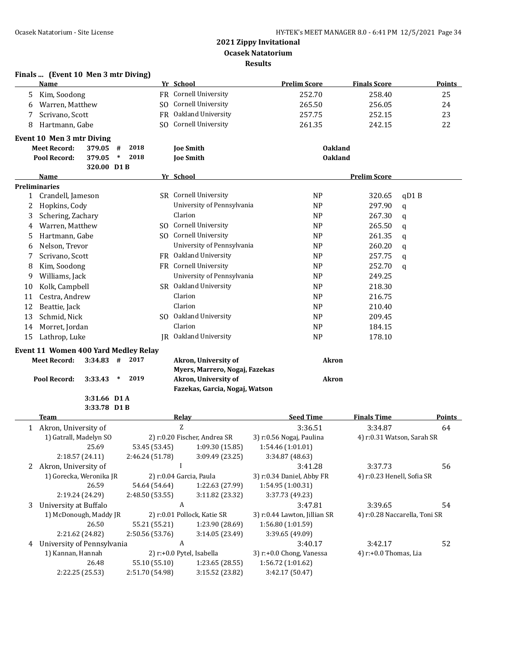|                      | Finals  (Event 10 Men 3 mtr Diving)             |              |                             |                                  |         |                                    |                                     |                                  |                               |
|----------------------|-------------------------------------------------|--------------|-----------------------------|----------------------------------|---------|------------------------------------|-------------------------------------|----------------------------------|-------------------------------|
|                      | <b>Name</b>                                     |              |                             |                                  |         | Yr School                          | <b>Prelim Score</b>                 | <b>Finals Score</b>              | <b>Points</b>                 |
| 5                    | Kim, Soodong                                    |              |                             |                                  |         | FR Cornell University              | 252.70                              | 258.40                           | 25                            |
| 6                    | Warren, Matthew                                 |              |                             |                                  |         | SO Cornell University              | 265.50                              | 256.05                           | 24                            |
|                      | Scrivano, Scott                                 |              |                             |                                  |         | FR Oakland University              | 257.75                              | 252.15                           | 23                            |
| 8                    | Hartmann, Gabe                                  |              |                             |                                  |         | SO Cornell University              | 261.35                              | 242.15                           | 22                            |
|                      | Event 10 Men 3 mtr Diving                       |              |                             |                                  |         |                                    |                                     |                                  |                               |
|                      | <b>Meet Record:</b>                             | 379.05       | #                           | 2018                             |         | <b>Joe Smith</b>                   |                                     | <b>Oakland</b>                   |                               |
|                      | Pool Record:                                    | 379.05       | $\ast$                      | 2018                             |         | <b>Joe Smith</b>                   |                                     | <b>Oakland</b>                   |                               |
|                      |                                                 | 320.00 D1B   |                             |                                  |         |                                    |                                     |                                  |                               |
|                      | Name                                            |              |                             |                                  |         | Yr School                          |                                     | <b>Prelim Score</b>              |                               |
| <b>Preliminaries</b> |                                                 |              |                             |                                  |         | SR Cornell University              |                                     |                                  |                               |
| $\mathbf{1}$         | Crandell, Jameson                               |              |                             |                                  |         |                                    | <b>NP</b>                           | 320.65                           | qD1B                          |
| 2                    | Hopkins, Cody                                   |              |                             |                                  |         | University of Pennsylvania         | <b>NP</b>                           | 297.90                           | $\mathbf q$                   |
| 3                    | Schering, Zachary                               |              |                             |                                  |         | Clarion                            | <b>NP</b>                           | 267.30                           | q                             |
| 4                    | Warren, Matthew                                 |              |                             |                                  |         | SO Cornell University              | <b>NP</b>                           | 265.50                           | $\mathbf q$                   |
| 5                    | Hartmann, Gabe                                  |              |                             |                                  |         | SO Cornell University              | <b>NP</b>                           | 261.35                           | $\mathbf q$                   |
| 6                    | Nelson, Trevor                                  |              |                             |                                  |         | University of Pennsylvania         | <b>NP</b>                           | 260.20                           | q                             |
| 7                    | Scrivano, Scott                                 |              |                             |                                  |         | FR Oakland University              | N <sub>P</sub>                      | 257.75                           | $\mathbf q$                   |
| 8                    | Kim, Soodong                                    |              |                             |                                  |         | FR Cornell University              | N <sub>P</sub>                      | 252.70                           | q                             |
| 9                    | Williams, Jack                                  |              |                             |                                  |         | University of Pennsylvania         | <b>NP</b>                           | 249.25                           |                               |
| 10                   | Kolk, Campbell                                  |              |                             |                                  |         | SR Oakland University              | <b>NP</b>                           | 218.30                           |                               |
| 11                   | Cestra, Andrew                                  |              |                             |                                  |         | Clarion                            | <b>NP</b>                           | 216.75                           |                               |
| 12                   | Beattie, Jack                                   |              |                             |                                  |         | Clarion                            | <b>NP</b>                           | 210.40                           |                               |
| 13                   | Schmid, Nick                                    |              |                             |                                  |         | SO Oakland University              | <b>NP</b>                           | 209.45                           |                               |
| 14                   | Morret, Jordan                                  |              |                             |                                  |         | Clarion                            | <b>NP</b>                           | 184.15                           |                               |
| 15                   | Lathrop, Luke                                   |              |                             |                                  | IR      | Oakland University                 | <b>NP</b>                           | 178.10                           |                               |
|                      | Event 11 Women 400 Yard Medley Relay            |              |                             |                                  |         |                                    |                                     |                                  |                               |
|                      | <b>Meet Record:</b>                             | 3:34.83      | #                           | 2017                             |         | Akron, University of               |                                     | Akron                            |                               |
|                      |                                                 |              |                             |                                  |         | Myers, Marrero, Nogaj, Fazekas     |                                     |                                  |                               |
|                      | Pool Record:                                    | 3:33.43      | $\ast$                      | 2019                             |         | Akron, University of               |                                     | <b>Akron</b>                     |                               |
|                      |                                                 |              |                             |                                  |         | Fazekas, Garcia, Nogaj, Watson     |                                     |                                  |                               |
|                      |                                                 | 3:31.66 D1 A |                             |                                  |         |                                    |                                     |                                  |                               |
|                      |                                                 | 3:33.78 D1B  |                             |                                  |         |                                    |                                     |                                  |                               |
|                      | <b>Team</b>                                     |              |                             |                                  |         | <b>Relay</b><br>Z                  | <b>Seed Time</b>                    | <b>Finals Time</b>               | Points                        |
|                      | 1 Akron, University of                          |              |                             |                                  |         |                                    | 3:36.51                             | 3:34.87                          | 64                            |
|                      | 1) Gatrall, Madelyn SO                          |              |                             |                                  |         | 2) r:0.20 Fischer, Andrea SR       | 3) r:0.56 Nogaj, Paulina            | 4) r:0.31 Watson, Sarah SR       |                               |
|                      |                                                 | 25.69        |                             | 53.45 (53.45)<br>2:46.24 (51.78) |         | 1:09.30 (15.85)<br>3:09.49 (23.25) | 1:54.46 (1:01.01)                   |                                  |                               |
|                      | 2:18.57 (24.11)                                 |              |                             |                                  |         | $\bf{I}$                           | 3:34.87 (48.63)                     |                                  |                               |
| 2                    | Akron, University of                            |              |                             |                                  |         |                                    | 3:41.28                             | 3:37.73                          | 56                            |
|                      | 1) Gorecka, Weronika JR                         |              |                             |                                  |         | 2) r:0.04 Garcia, Paula            | 3) r:0.34 Daniel, Abby FR           | 4) r:0.23 Henell, Sofia SR       |                               |
|                      |                                                 | 26.59        |                             | 54.64 (54.64)                    |         | 1:22.63 (27.99)                    | 1:54.95 (1:00.31)                   |                                  |                               |
|                      | 2:19.24 (24.29)                                 |              |                             | 2:48.50 (53.55)                  |         | 3:11.82 (23.32)<br>A               | 3:37.73 (49.23)                     |                                  |                               |
| 3                    | University at Buffalo<br>1) McDonough, Maddy JR |              | 2) r:0.01 Pollock, Katie SR |                                  | 3:47.81 | 3:39.65                            | 54                                  |                                  |                               |
|                      |                                                 |              |                             |                                  |         |                                    | 3) r:0.44 Lawton, Jillian SR        |                                  | 4) r:0.28 Naccarella, Toni SR |
|                      |                                                 | 26.50        |                             | 55.21 (55.21)                    |         | 1:23.90 (28.69)                    | 1:56.80 (1:01.59)                   |                                  |                               |
|                      | 2:21.62 (24.82)                                 |              |                             | 2:50.56 (53.76)                  |         | 3:14.05 (23.49)<br>A               | 3:39.65 (49.09)                     |                                  |                               |
| 4                    | University of Pennsylvania<br>1) Kannan, Hannah |              |                             |                                  |         | 2) r:+0.0 Pytel, Isabella          | 3:40.17<br>3) r:+0.0 Chong, Vanessa | 3:42.17<br>4) r:+0.0 Thomas, Lia | 52                            |
|                      |                                                 | 26.48        |                             | 55.10 (55.10)                    |         | 1:23.65 (28.55)                    | 1:56.72 (1:01.62)                   |                                  |                               |
|                      | 2:22.25 (25.53)                                 |              |                             | 2:51.70 (54.98)                  |         | 3:15.52 (23.82)                    | 3:42.17 (50.47)                     |                                  |                               |
|                      |                                                 |              |                             |                                  |         |                                    |                                     |                                  |                               |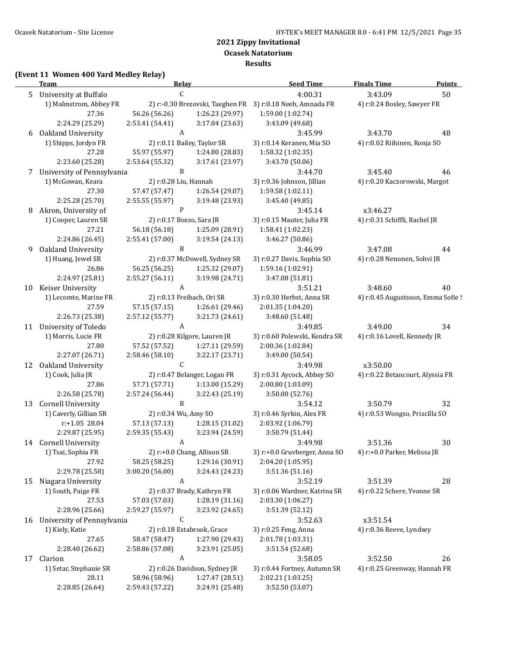**Ocasek Natatorium**

**Results**

## **(Event 11 Women 400 Yard Medley Relay)**

|    | <u>Team</u>                | <u>Relav</u>                  |                               | <b>Seed Time</b>                                           | <b>Finals Time</b>                 | <b>Points</b> |  |
|----|----------------------------|-------------------------------|-------------------------------|------------------------------------------------------------|------------------------------------|---------------|--|
| 5  | University at Buffalo      | C                             |                               |                                                            | 3:43.09<br>50                      |               |  |
|    | 1) Malmstrom, Abbey FR     |                               |                               | 2) r:-0.30 Brezovski, Taeghen FR 3) r:0.18 Neeb, Amnada FR | 4) r:0.24 Bosley, Sawyer FR        |               |  |
|    | 27.36                      | 56.26 (56.26)                 | 1:26.23 (29.97)               | 1:59.00 (1:02.74)                                          |                                    |               |  |
|    | 2:24.29 (25.29)            | 2:53.41 (54.41)               | 3:17.04 (23.63)               | 3:43.09 (49.68)                                            |                                    |               |  |
| 6  | Oakland University         | A                             |                               | 3:45.99                                                    | 3:43.70                            | 48            |  |
|    | 1) Shipps, Jordyn FR       |                               | 2) r:0.11 Bailey, Taylor SR   | 3) r:0.14 Keranen, Mia SO                                  | 4) r:0.02 Riihinen, Ronja SO       |               |  |
|    | 27.28                      | 55.97 (55.97)                 | 1:24.80 (28.83)               | 1:58.32 (1:02.35)                                          |                                    |               |  |
|    | 2:23.60 (25.28)            | 2:53.64 (55.32)               | 3:17.61 (23.97)               | 3:43.70 (50.06)                                            |                                    |               |  |
| 7  | University of Pennsylvania | B                             |                               | 3:44.70                                                    | 3:45.40                            | 46            |  |
|    | 1) McGowan, Keara          | 2) r:0.28 Liu, Hannah         |                               | 3) r:0.36 Johnson, Jillian                                 | 4) r:0.20 Kaczorowski, Margot      |               |  |
|    | 27.30                      | 57.47 (57.47)                 | 1:26.54 (29.07)               | 1:59.58 (1:02.11)                                          |                                    |               |  |
|    | 2:25.28 (25.70)            | 2:55.55 (55.97)               | 3:19.48 (23.93)               | 3:45.40 (49.85)                                            |                                    |               |  |
| 8  | Akron, University of       | $\mathbf{P}$                  |                               | 3:45.14                                                    | x3:46.27                           |               |  |
|    | 1) Cooper, Lauren SR       | 2) r:0.17 Bozso, Sara JR      |                               | 3) r:0.15 Mauter, Julia FR                                 | 4) r:0.31 Schiffli, Rachel JR      |               |  |
|    | 27.21                      | 56.18 (56.18)                 | 1:25.09 (28.91)               | 1:58.41 (1:02.23)                                          |                                    |               |  |
|    | 2:24.86 (26.45)            | 2:55.41 (57.00)               | 3:19.54 (24.13)               | 3:46.27 (50.86)                                            |                                    |               |  |
| 9  | Oakland University         | B                             |                               | 3:46.99                                                    | 3:47.08                            | 44            |  |
|    | 1) Huang, Jewel SR         |                               | 2) r:0.37 McDowell, Sydney SR | 3) r:0.27 Davis, Sophia SO                                 | 4) r:0.28 Nenonen, Sohvi JR        |               |  |
|    | 26.86                      | 56.25 (56.25)                 | 1:25.32 (29.07)               | 1:59.16 (1:02.91)                                          |                                    |               |  |
|    | 2:24.97 (25.81)            | 2:55.27 (56.11)               | 3:19.98 (24.71)               | 3:47.08 (51.81)                                            |                                    |               |  |
| 10 | Keiser University          | A                             |                               | 3:51.21                                                    | 3:48.60                            | 40            |  |
|    | 1) Lecomte, Marine FR      |                               | 2) r:0.13 Freibach, Ori SR    | 3) r:0.30 Herbst, Anna SR                                  | 4) r:0.45 Augustsson, Emma Sofie ! |               |  |
|    | 27.59                      | 57.15 (57.15)                 | 1:26.61 (29.46)               | 2:01.35 (1:04.20)                                          |                                    |               |  |
|    | 2:26.73 (25.38)            | 2:57.12 (55.77)               | 3:21.73 (24.61)               | 3:48.60 (51.48)                                            |                                    |               |  |
| 11 | University of Toledo       | A                             |                               | 3:49.85                                                    | 3:49.00                            | 34            |  |
|    | 1) Morris, Lucie FR        |                               | 2) r:0.28 Kilgore, Lauren JR  | 3) r:0.60 Polewski, Kendra SR                              | 4) r:0.16 Lovell, Kennedy JR       |               |  |
|    | 27.80                      | 57.52 (57.52)                 | 1:27.11 (29.59)               | 2:00.36 (1:02.84)                                          |                                    |               |  |
|    | 2:27.07 (26.71)            | 2:58.46 (58.10)               | 3:22.17 (23.71)               | 3:49.00 (50.54)                                            |                                    |               |  |
| 12 | Oakland University         | $\mathsf C$                   |                               | 3:49.98                                                    | x3:50.00                           |               |  |
|    | 1) Cook, Julia JR          |                               | 2) r:0.47 Belanger, Logan FR  | 3) r:0.31 Aycock, Abbey SO                                 | 4) r:0.22 Betancourt, Alyssia FR   |               |  |
|    | 27.86                      | 57.71 (57.71)                 | 1:13.00 (15.29)               | 2:00.80 (1:03.09)                                          |                                    |               |  |
|    | 2:26.58 (25.78)            | 2:57.24 (56.44)               | 3:22.43 (25.19)               | 3:50.00 (52.76)                                            |                                    |               |  |
| 13 | <b>Cornell University</b>  | B                             |                               | 3:54.12                                                    | 3:50.79                            | 32            |  |
|    | 1) Caverly, Gillian SR     | 2) r:0.34 Wu, Amy SO          |                               | 3) r:0.46 Syrkin, Alex FR                                  | 4) r:0.53 Wongso, Priscilla SO     |               |  |
|    | $r: +1.05$ 28.04           | 57.13 (57.13)                 | 1:28.15 (31.02)               | 2:03.92 (1:06.79)                                          |                                    |               |  |
|    | 2:29.87 (25.95)            | 2:59.35 (55.43)               | 3:23.94 (24.59)               | 3:50.79 (51.44)                                            |                                    |               |  |
|    | 14 Cornell University      | A                             |                               | 3:49.98                                                    | 3:51.36                            | 30            |  |
|    | 1) Tsai, Sophia FR         |                               | 2) r:+0.0 Chang, Allison SR   | 3) r:+0.0 Gruvberger, Anna SO                              | 4) r:+0.0 Parker, Melissa JR       |               |  |
|    | 27.92                      | 58.25 (58.25)                 | 1:29.16 (30.91)               | 2:04.20 (1:05.95)                                          |                                    |               |  |
|    | 2:29.78 (25.58)            | 3:00.20 (56.00)               | 3:24.43 (24.23)               | 3:51.36 (51.16)                                            |                                    |               |  |
| 15 | Niagara University         | A                             |                               | 3:52.19                                                    | 3:51.39                            | 28            |  |
|    | 1) South, Paige FR         |                               | 2) r:0.37 Brady, Kathryn FR   | 3) r:0.06 Wardner, Katrina SR                              | 4) r:0.22 Schere, Yvonne SR        |               |  |
|    | 27.53                      | 57.03 (57.03)                 | 1:28.19 (31.16)               | 2:03.30 (1:06.27)                                          |                                    |               |  |
| 16 | 2:28.96 (25.66)            | 2:59.27 (55.97)               | 3:23.92 (24.65)               | 3:51.39 (52.12)                                            |                                    |               |  |
|    | University of Pennsylvania | С                             |                               | 3:52.63                                                    | x3:51.54                           |               |  |
|    | 1) Kiely, Katie            |                               | 2) r:0.18 Estabrook, Grace    | 3) r:0.25 Feng, Anna                                       | 4) r:0.36 Reeve, Lyndsey           |               |  |
|    | 27.65                      | 58.47 (58.47)                 | 1:27.90 (29.43)               | 2:01.78 (1:03.31)                                          |                                    |               |  |
|    | 2:28.40 (26.62)            | 2:58.86 (57.08)               | 3:23.91 (25.05)               | 3:51.54 (52.68)                                            |                                    |               |  |
| 17 | Clarion                    | A                             |                               | 3:58.05                                                    | 3:52.50                            | 26            |  |
|    | 1) Setar, Stephanie SR     | 2) r:0.26 Davidson, Sydney JR |                               | 3) r:0.44 Fortney, Autumn SR                               | 4) r:0.25 Greenway, Hannah FR      |               |  |
|    | 28.11                      | 58.96 (58.96)                 | 1:27.47 (28.51)               | 2:02.21 (1:03.25)                                          |                                    |               |  |
|    | 2:28.85 (26.64)            | 2:59.43 (57.22)               | 3:24.91 (25.48)               | 3:52.50 (53.07)                                            |                                    |               |  |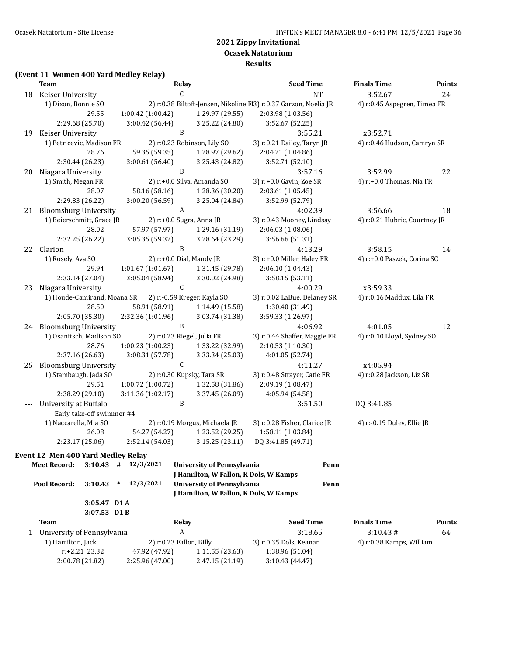**Results**

#### **(Event 11 Women 400 Yard Medley Relay)**

|    | <b>Team</b>                                                                             | Relay                                             |                                       | <b>Seed Time</b>                                | <b>Finals Time</b>            | <b>Points</b> |
|----|-----------------------------------------------------------------------------------------|---------------------------------------------------|---------------------------------------|-------------------------------------------------|-------------------------------|---------------|
| 18 | Keiser University                                                                       | C                                                 |                                       | <b>NT</b>                                       | 3:52.67                       | 24            |
|    | 1) Dixon, Bonnie SO<br>2) r:0.38 Biltoft-Jensen, Nikoline FI3) r:0.37 Garzon, Noelia JR |                                                   |                                       |                                                 | 4) r:0.45 Aspegren, Timea FR  |               |
|    | 29.55                                                                                   | 1:00.42 (1:00.42)                                 | 1:29.97 (29.55)                       | 2:03.98 (1:03.56)                               |                               |               |
|    | 2:29.68 (25.70)                                                                         | 3:00.42 (56.44)                                   | 3:25.22 (24.80)                       | 3:52.67 (52.25)                                 |                               |               |
| 19 | Keiser University                                                                       | B                                                 |                                       | 3:55.21                                         | x3:52.71                      |               |
|    | 1) Petricevic, Madison FR                                                               |                                                   | 2) r:0.23 Robinson, Lily SO           | 3) r:0.21 Dailey, Taryn JR                      | 4) r:0.46 Hudson, Camryn SR   |               |
|    | 28.76                                                                                   | 59.35 (59.35)                                     | 1:28.97 (29.62)                       | 2:04.21 (1:04.86)                               |                               |               |
|    | 2:30.44 (26.23)                                                                         | 3:00.61(56.40)                                    | 3:25.43 (24.82)                       | 3:52.71 (52.10)                                 |                               |               |
| 20 | Niagara University                                                                      | $\, {\bf B}$                                      |                                       | 3:57.16                                         | 3:52.99                       | 22            |
|    | 1) Smith, Megan FR                                                                      |                                                   | 2) r:+0.0 Silva, Amanda SO            | 3) r:+0.0 Gavin, Zoe SR                         | 4) r:+0.0 Thomas, Nia FR      |               |
|    | 28.07                                                                                   | 58.16 (58.16)                                     | 1:28.36 (30.20)                       | 2:03.61 (1:05.45)                               |                               |               |
|    | 2:29.83 (26.22)                                                                         | 3:00.20 (56.59)                                   | 3:25.04 (24.84)                       | 3:52.99 (52.79)                                 |                               |               |
| 21 | <b>Bloomsburg University</b>                                                            | A                                                 |                                       | 4:02.39                                         | 3:56.66                       | 18            |
|    | 1) Beierschmitt, Grace JR                                                               | 2) r:+0.0 Sugra, Anna JR                          |                                       | 3) r:0.43 Mooney, Lindsay                       | 4) r:0.21 Hubric, Courtney JR |               |
|    | 28.02                                                                                   | 57.97 (57.97)                                     | 1:29.16 (31.19)                       | 2:06.03 (1:08.06)                               |                               |               |
|    | 2:32.25 (26.22)                                                                         | 3:05.35 (59.32)<br>B                              | 3:28.64 (23.29)                       | 3:56.66 (51.31)                                 |                               |               |
|    | 22 Clarion                                                                              |                                                   |                                       | 4:13.29                                         | 3:58.15                       | 14            |
|    | 1) Rosely, Ava SO<br>29.94                                                              | 2) r:+0.0 Dial, Mandy JR<br>$1:01.67$ $(1:01.67)$ | 1:31.45 (29.78)                       | 3) r:+0.0 Miller, Haley FR<br>2:06.10 (1:04.43) | 4) r:+0.0 Paszek, Corina SO   |               |
|    | 2:33.14 (27.04)                                                                         | 3:05.04 (58.94)                                   | 3:30.02 (24.98)                       | 3:58.15 (53.11)                                 |                               |               |
| 23 | Niagara University                                                                      | $\mathsf C$                                       |                                       | 4:00.29                                         | x3:59.33                      |               |
|    | 1) Houde-Camirand, Moana SR                                                             |                                                   | 2) r:-0.59 Kreger, Kayla SO           | 3) r:0.02 LaBue, Delaney SR                     | 4) r:0.16 Maddux, Lila FR     |               |
|    | 28.50                                                                                   | 58.91 (58.91)                                     | 1:14.49 (15.58)                       | 1:30.40 (31.49)                                 |                               |               |
|    | 2:05.70 (35.30)                                                                         | 2:32.36 (1:01.96)                                 | 3:03.74 (31.38)                       | 3:59.33 (1:26.97)                               |                               |               |
|    | 24 Bloomsburg University                                                                | $\, {\bf B}$                                      |                                       | 4:06.92                                         | 4:01.05                       | 12            |
|    | 1) Osanitsch, Madison SO                                                                |                                                   | 2) r:0.23 Riegel, Julia FR            | 3) r:0.44 Shaffer, Maggie FR                    | 4) r:0.10 Lloyd, Sydney SO    |               |
|    | 28.76                                                                                   | 1:00.23 (1:00.23)                                 | 1:33.22 (32.99)                       | 2:10.53 (1:10.30)                               |                               |               |
|    | 2:37.16 (26.63)                                                                         | 3:08.31 (57.78)                                   | 3:33.34 (25.03)                       | 4:01.05 (52.74)                                 |                               |               |
| 25 | <b>Bloomsburg University</b>                                                            | С                                                 |                                       | 4:11.27                                         | x4:05.94                      |               |
|    | 1) Stambaugh, Jada SO                                                                   |                                                   | 2) r:0.30 Kupsky, Tara SR             | 3) r:0.48 Strayer, Catie FR                     | 4) r:0.28 Jackson, Liz SR     |               |
|    | 29.51                                                                                   | 1:00.72 (1:00.72)                                 | 1:32.58 (31.86)                       | 2:09.19 (1:08.47)                               |                               |               |
|    | 2:38.29 (29.10)                                                                         | 3:11.36 (1:02.17)                                 | 3:37.45 (26.09)                       | 4:05.94 (54.58)                                 |                               |               |
|    | University at Buffalo                                                                   | B                                                 |                                       | 3:51.50                                         | DQ 3:41.85                    |               |
|    | Early take-off swimmer #4                                                               |                                                   |                                       |                                                 |                               |               |
|    | 1) Naccarella, Mia SO                                                                   |                                                   | 2) r:0.19 Morgus, Michaela JR         | 3) r:0.28 Fisher, Clarice JR                    | 4) r:-0.19 Duley, Ellie JR    |               |
|    | 26.08                                                                                   | 54.27 (54.27)                                     | 1:23.52 (29.25)                       | 1:58.11 (1:03.84)                               |                               |               |
|    | 2:23.17 (25.06)                                                                         | 2:52.14 (54.03)                                   | 3:15.25 (23.11)                       | DQ 3:41.85 (49.71)                              |                               |               |
|    | Event 12 Men 400 Yard Medley Relay                                                      |                                                   |                                       |                                                 |                               |               |
|    | <b>Meet Record:</b><br>3:10.43                                                          | 12/3/2021<br>#                                    | <b>University of Pennsylvania</b>     | Penn                                            |                               |               |
|    |                                                                                         |                                                   | J Hamilton, W Fallon, K Dols, W Kamps |                                                 |                               |               |
|    | Pool Record:<br>3:10.43                                                                 | 12/3/2021<br>$\ast$                               | <b>University of Pennsylvania</b>     | Penn                                            |                               |               |
|    |                                                                                         |                                                   | J Hamilton, W Fallon, K Dols, W Kamps |                                                 |                               |               |
|    | 3:05.47 D1 A                                                                            |                                                   |                                       |                                                 |                               |               |
|    | 3:07.53 D1B                                                                             |                                                   |                                       |                                                 |                               |               |
|    | Team                                                                                    | <b>Relay</b>                                      |                                       | <b>Seed Time</b>                                | <b>Finals Time</b>            | <b>Points</b> |
|    | 1 University of Pennsylvania                                                            | $\boldsymbol{A}$                                  |                                       | 3:18.65                                         | 3:10.43#                      | 64            |
|    | 1) Hamilton, Jack                                                                       | 2) r:0.23 Fallon, Billy                           |                                       | 3) r:0.35 Dols, Keanan                          | 4) r:0.38 Kamps, William      |               |
|    | r:+2.21 23.32                                                                           | 47.92 (47.92)                                     | 1:11.55 (23.63)                       | 1:38.96 (51.04)                                 |                               |               |
|    | 2:00.78 (21.82)                                                                         | 2:25.96 (47.00)                                   | 2:47.15 (21.19)                       | 3:10.43 (44.47)                                 |                               |               |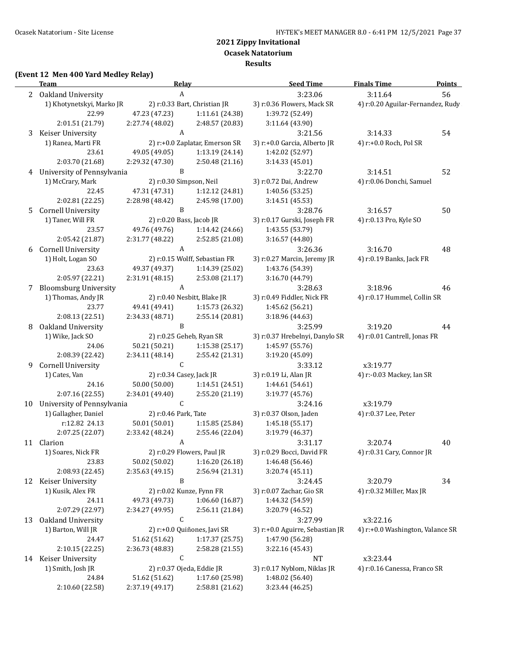**Ocasek Natatorium**

**Results**

### **(Event 12 Men 400 Yard Medley Relay)**

|    | <b>Team</b>                  | <b>Relay</b>             |                                | <b>Seed Time</b>                | <b>Finals Time</b>                | <b>Points</b> |
|----|------------------------------|--------------------------|--------------------------------|---------------------------------|-----------------------------------|---------------|
|    | 2 Oakland University         | A                        |                                | 3:23.06                         | 3:11.64                           | 56            |
|    | 1) Khotynetskyi, Marko JR    |                          | 2) r:0.33 Bart, Christian JR   | 3) r:0.36 Flowers, Mack SR      | 4) r:0.20 Aguilar-Fernandez, Rudy |               |
|    | 22.99                        | 47.23 (47.23)            | 1:11.61 (24.38)                | 1:39.72 (52.49)                 |                                   |               |
|    | 2:01.51 (21.79)              | 2:27.74 (48.02)          | 2:48.57 (20.83)                | 3:11.64 (43.90)                 |                                   |               |
| 3  | Keiser University            | A                        |                                | 3:21.56                         | 3:14.33                           | 54            |
|    | 1) Ranea, Marti FR           |                          | 2) r:+0.0 Zaplatar, Emerson SR | 3) r:+0.0 Garcia, Alberto JR    | 4) r:+0.0 Roch, Pol SR            |               |
|    | 23.61                        | 49.05 (49.05)            | 1:13.19 (24.14)                | 1:42.02 (52.97)                 |                                   |               |
|    | 2:03.70 (21.68)              | 2:29.32 (47.30)          | 2:50.48 (21.16)                | 3:14.33 (45.01)                 |                                   |               |
|    | 4 University of Pennsylvania | B                        |                                | 3:22.70                         | 3:14.51                           | 52            |
|    | 1) McCrary, Mark             | 2) r:0.30 Simpson, Neil  |                                | 3) r:0.72 Dai, Andrew           | 4) r:0.06 Donchi, Samuel          |               |
|    | 22.45                        | 47.31 (47.31)            | 1:12.12 (24.81)                | 1:40.56 (53.25)                 |                                   |               |
|    | 2:02.81 (22.25)              | 2:28.98 (48.42)          | 2:45.98 (17.00)                | 3:14.51 (45.53)                 |                                   |               |
| 5  | <b>Cornell University</b>    | B                        |                                | 3:28.76                         | 3:16.57                           | 50            |
|    | 1) Taner, Will FR            | 2) r:0.20 Bass, Jacob JR |                                | 3) r:0.17 Gurski, Joseph FR     | 4) r:0.13 Pro, Kyle SO            |               |
|    | 23.57                        | 49.76 (49.76)            | 1:14.42 (24.66)                | 1:43.55 (53.79)                 |                                   |               |
|    | 2:05.42 (21.87)              | 2:31.77 (48.22)          | 2:52.85 (21.08)                | 3:16.57 (44.80)                 |                                   |               |
| 6  | <b>Cornell University</b>    | $\boldsymbol{A}$         |                                | 3:26.36                         | 3:16.70                           | 48            |
|    | 1) Holt, Logan SO            |                          | 2) r:0.15 Wolff, Sebastian FR  | 3) r:0.27 Marcin, Jeremy JR     | 4) r:0.19 Banks, Jack FR          |               |
|    | 23.63                        | 49.37 (49.37)            | 1:14.39 (25.02)                | 1:43.76 (54.39)                 |                                   |               |
|    | 2:05.97 (22.21)              | 2:31.91 (48.15)          | 2:53.08 (21.17)                | 3:16.70 (44.79)                 |                                   |               |
| 7  | <b>Bloomsburg University</b> | $\boldsymbol{A}$         |                                | 3:28.63                         | 3:18.96                           | 46            |
|    | 1) Thomas, Andy JR           |                          | 2) r:0.40 Nesbitt, Blake JR    | 3) r:0.49 Fiddler, Nick FR      | 4) r:0.17 Hummel, Collin SR       |               |
|    | 23.77                        | 49.41 (49.41)            | 1:15.73 (26.32)                | 1:45.62 (56.21)                 |                                   |               |
|    | 2:08.13 (22.51)              | 2:34.33 (48.71)          | 2:55.14 (20.81)                | 3:18.96 (44.63)                 |                                   |               |
| 8  | Oakland University           | B                        |                                | 3:25.99                         | 3:19.20                           | 44            |
|    | 1) Wike, Jack SO             |                          | 2) r:0.25 Geheb, Ryan SR       | 3) r:0.37 Hrebelnyi, Danylo SR  | 4) r:0.01 Cantrell, Jonas FR      |               |
|    | 24.06                        | 50.21 (50.21)            | 1:15.38(25.17)                 | 1:45.97 (55.76)                 |                                   |               |
|    | 2:08.39 (22.42)              | 2:34.11 (48.14)          | 2:55.42 (21.31)                | 3:19.20 (45.09)                 |                                   |               |
| 9  | <b>Cornell University</b>    | $\mathsf C$              |                                | 3:33.12                         | x3:19.77                          |               |
|    | 1) Cates, Van                | 2) r:0.34 Casey, Jack JR |                                | 3) r:0.19 Li, Alan JR           | 4) r:-0.03 Mackey, Ian SR         |               |
|    | 24.16                        | 50.00 (50.00)            | 1:14.51 (24.51)                | 1:44.61 (54.61)                 |                                   |               |
|    | 2:07.16 (22.55)              | 2:34.01 (49.40)          | 2:55.20 (21.19)                | 3:19.77 (45.76)                 |                                   |               |
| 10 | University of Pennsylvania   | $\mathsf C$              |                                | 3:24.16                         | x3:19.79                          |               |
|    | 1) Gallagher, Daniel         | 2) r:0.46 Park, Tate     |                                | 3) r:0.37 Olson, Jaden          | 4) r:0.37 Lee, Peter              |               |
|    | r:12.82 24.13                | 50.01 (50.01)            | 1:15.85 (25.84)                | 1:45.18 (55.17)                 |                                   |               |
|    | 2:07.25 (22.07)              | 2:33.42 (48.24)          | 2:55.46 (22.04)                | 3:19.79 (46.37)                 |                                   |               |
|    | 11 Clarion                   | A                        |                                | 3:31.17                         | 3:20.74                           | 40            |
|    | 1) Soares, Nick FR           |                          | 2) r:0.29 Flowers, Paul JR     | 3) r:0.29 Bocci, David FR       | 4) r:0.31 Cary, Connor JR         |               |
|    | 23.83                        | 50.02 (50.02)            | 1:16.20 (26.18)                | 1:46.48 (56.46)                 |                                   |               |
|    | 2:08.93 (22.45)              | 2:35.63 (49.15)          | 2:56.94 (21.31)                | 3:20.74(45.11)                  |                                   |               |
| 12 | Keiser University            | B                        |                                | 3:24.45                         | 3:20.79                           | 34            |
|    | 1) Kusik, Alex FR            |                          | 2) r:0.02 Kunze, Fynn FR       | 3) r:0.07 Zachar, Gio SR        | 4) r:0.32 Miller, Max JR          |               |
|    | 24.11                        | 49.73 (49.73)            | 1:06.60 (16.87)                | 1:44.32 (54.59)                 |                                   |               |
|    | 2:07.29 (22.97)              | 2:34.27 (49.95)          | 2:56.11 (21.84)                | 3:20.79 (46.52)                 |                                   |               |
| 13 | Oakland University           | $\mathsf C$              |                                | 3:27.99                         | x3:22.16                          |               |
|    | 1) Barton, Will JR           |                          | 2) r:+0.0 Quiñones, Javi SR    | 3) r:+0.0 Aguirre, Sebastian JR | 4) r:+0.0 Washington, Valance SR  |               |
|    | 24.47                        | 51.62 (51.62)            | 1:17.37 (25.75)                | 1:47.90 (56.28)                 |                                   |               |
|    | 2:10.15 (22.25)              | 2:36.73 (48.83)          | 2:58.28 (21.55)                | 3:22.16 (45.43)                 |                                   |               |
|    | 14 Keiser University         | $\mathsf C$              |                                | <b>NT</b>                       | x3:23.44                          |               |
|    | 1) Smith, Josh JR            |                          | 2) r:0.37 Ojeda, Eddie JR      | 3) r:0.17 Nyblom, Niklas JR     | 4) r:0.16 Canessa, Franco SR      |               |
|    | 24.84                        | 51.62 (51.62)            | 1:17.60 (25.98)                | 1:48.02 (56.40)                 |                                   |               |
|    | 2:10.60 (22.58)              | 2:37.19 (49.17)          | 2:58.81 (21.62)                | 3:23.44 (46.25)                 |                                   |               |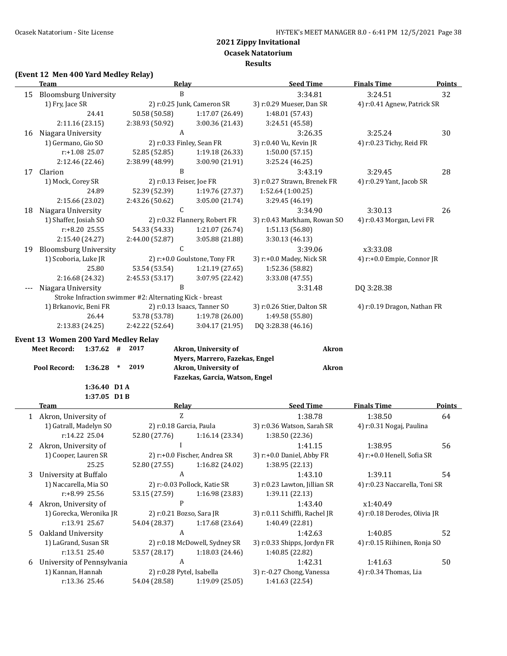**Results**

#### **(Event 12 Men 400 Yard Medley Relay)**

|    | <u>Team</u>                                                             | <b>Relay</b>                                      |                                                                                | <b>Seed Time</b>                   | <b>Finals Time</b>            | <b>Points</b> |
|----|-------------------------------------------------------------------------|---------------------------------------------------|--------------------------------------------------------------------------------|------------------------------------|-------------------------------|---------------|
| 15 | <b>Bloomsburg University</b>                                            | B                                                 |                                                                                | 3:34.81                            | 3:24.51                       | 32            |
|    | 1) Fry, Jace SR                                                         | 2) r:0.25 Junk, Cameron SR                        |                                                                                | 3) r:0.29 Mueser, Dan SR           | 4) r:0.41 Agnew, Patrick SR   |               |
|    | 24.41                                                                   | 50.58 (50.58)                                     | 1:17.07 (26.49)                                                                | 1:48.01 (57.43)                    |                               |               |
|    | 2:11.16 (23.15)                                                         | 2:38.93 (50.92)                                   | 3:00.36 (21.43)                                                                | 3:24.51 (45.58)                    |                               |               |
|    | 16 Niagara University                                                   | A                                                 |                                                                                | 3:26.35                            | 3:25.24                       | 30            |
|    | 1) Germano, Gio SO                                                      | 2) r:0.33 Finley, Sean FR                         |                                                                                | 3) r:0.40 Vu, Kevin JR             | 4) r:0.23 Tichy, Reid FR      |               |
|    | r:+1.08 25.07                                                           | 52.85 (52.85)                                     | 1:19.18 (26.33)                                                                | 1:50.00 (57.15)                    |                               |               |
|    | 2:12.46 (22.46)                                                         | 2:38.99 (48.99)                                   | 3:00.90 (21.91)                                                                | 3:25.24 (46.25)                    |                               |               |
| 17 | Clarion                                                                 | B                                                 |                                                                                | 3:43.19                            | 3:29.45                       | 28            |
|    | 1) Mock, Corey SR                                                       | 2) r:0.13 Feiser, Joe FR                          |                                                                                | 3) r:0.27 Strawn, Brenek FR        | 4) r:0.29 Yant, Jacob SR      |               |
|    | 24.89                                                                   | 52.39 (52.39)                                     | 1:19.76 (27.37)                                                                | 1:52.64 (1:00.25)                  |                               |               |
|    | 2:15.66 (23.02)                                                         | 2:43.26 (50.62)                                   | 3:05.00 (21.74)                                                                | 3:29.45 (46.19)                    |                               |               |
| 18 | Niagara University                                                      | $\mathsf{C}$                                      |                                                                                | 3:34.90                            | 3:30.13                       | 26            |
|    | 1) Shaffer, Josiah SO                                                   | 2) r:0.32 Flannery, Robert FR                     |                                                                                |                                    | 4) r:0.43 Morgan, Levi FR     |               |
|    |                                                                         | r:+8.20 25.55<br>54.33 (54.33)<br>1:21.07 (26.74) |                                                                                |                                    |                               |               |
|    | 2:15.40 (24.27)                                                         | 2:44.00 (52.87)                                   | 3:05.88 (21.88)                                                                | 1:51.13 (56.80)<br>3:30.13 (46.13) |                               |               |
| 19 | <b>Bloomsburg University</b>                                            | $\mathsf C$                                       |                                                                                | 3:39.06                            | x3:33.08                      |               |
|    | 1) Scoboria, Luke JR                                                    | 2) r:+0.0 Goulstone, Tony FR                      |                                                                                | 3) r:+0.0 Madey, Nick SR           | 4) r:+0.0 Empie, Connor JR    |               |
|    | 25.80                                                                   | 53.54 (53.54)                                     | 1:21.19(27.65)                                                                 | 1:52.36 (58.82)                    |                               |               |
|    | 2:16.68 (24.32)                                                         | 2:45.53 (53.17)                                   | 3:07.95 (22.42)                                                                | 3:33.08 (47.55)                    |                               |               |
|    | Niagara University                                                      | B                                                 |                                                                                | 3:31.48                            | DQ 3:28.38                    |               |
|    | Stroke Infraction swimmer #2: Alternating Kick - breast                 |                                                   |                                                                                |                                    |                               |               |
|    | 1) Brkanovic, Beni FR                                                   | 2) r:0.13 Isaacs, Tanner SO                       |                                                                                | 3) r:0.26 Stier, Dalton SR         | 4) r:0.19 Dragon, Nathan FR   |               |
|    | 26.44                                                                   | 53.78 (53.78)                                     | 1:19.78 (26.00)                                                                | 1:49.58 (55.80)                    |                               |               |
|    | 2:13.83 (24.25)                                                         | 2:42.22 (52.64)                                   | 3:04.17 (21.95)                                                                | DQ 3:28.38 (46.16)                 |                               |               |
|    | Event 13 Women 200 Yard Medley Relay                                    |                                                   |                                                                                |                                    |                               |               |
|    | <b>Meet Record:</b><br>$1:37.62$ #<br>Pool Record:<br>1:36.28<br>$\ast$ | 2017<br>2019                                      | Akron, University of<br>Myers, Marrero, Fazekas, Engel<br>Akron, University of | <b>Akron</b><br><b>Akron</b>       |                               |               |
|    |                                                                         |                                                   | Fazekas, Garcia, Watson, Engel                                                 |                                    |                               |               |
|    | 1:36.40 D1 A                                                            |                                                   |                                                                                |                                    |                               |               |
|    | $1:37.05$ D1B                                                           |                                                   |                                                                                |                                    |                               |               |
|    | <b>Team</b>                                                             | Relay                                             |                                                                                | <b>Seed Time</b>                   | <b>Finals Time</b>            | <b>Points</b> |
|    | 1 Akron, University of                                                  | $\rm{Z}$                                          |                                                                                | 1:38.78                            | 1:38.50                       | 64            |
|    | 1) Gatrall, Madelyn SO                                                  | 2) r:0.18 Garcia, Paula                           |                                                                                | 3) r:0.36 Watson, Sarah SR         | 4) r:0.31 Nogaj, Paulina      |               |
|    | r:14.22 25.04                                                           | 52.80 (27.76)                                     | 1:16.14 (23.34)                                                                | 1:38.50 (22.36)                    |                               |               |
|    | 2 Akron, University of                                                  | I                                                 |                                                                                | 1:41.15                            | 1:38.95                       | 56            |
|    | 1) Cooper, Lauren SR                                                    | 2) r:+0.0 Fischer, Andrea SR                      |                                                                                | 3) r:+0.0 Daniel, Abby FR          | 4) r:+0.0 Henell, Sofia SR    |               |
|    | 25.25                                                                   | 52.80 (27.55)                                     | 1:16.82 (24.02)                                                                | 1:38.95 (22.13)                    |                               |               |
| 3  | University at Buffalo                                                   | $\boldsymbol{A}$                                  |                                                                                | 1:43.10                            | 1:39.11                       | 54            |
|    | 1) Naccarella, Mia SO                                                   | 2) r:-0.03 Pollock, Katie SR                      |                                                                                | 3) r:0.23 Lawton, Jillian SR       | 4) r:0.23 Naccarella, Toni SR |               |
|    | r:+8.99 25.56                                                           | 53.15 (27.59)                                     | 1:16.98 (23.83)                                                                | 1:39.11 (22.13)                    |                               |               |
| 4  | Akron, University of                                                    | ${\sf P}$                                         |                                                                                | 1:43.40                            | x1:40.49                      |               |
|    | 1) Gorecka, Weronika JR                                                 | 2) r:0.21 Bozso, Sara JR                          |                                                                                | 3) r:0.11 Schiffli, Rachel JR      | 4) r:0.18 Derodes, Olivia JR  |               |
|    | r:13.91 25.67                                                           | 54.04 (28.37)                                     | 1:17.68 (23.64)                                                                | 1:40.49 (22.81)                    |                               |               |
| 5  | Oakland University                                                      | $\boldsymbol{A}$                                  |                                                                                | 1:42.63                            | 1:40.85                       | 52            |
|    | 1) LaGrand, Susan SR                                                    | 2) r:0.18 McDowell, Sydney SR                     |                                                                                | 3) r:0.33 Shipps, Jordyn FR        | 4) r:0.15 Riihinen, Ronja SO  |               |
|    | r:13.51 25.40                                                           | 53.57 (28.17)                                     | 1:18.03 (24.46)                                                                | 1:40.85 (22.82)                    |                               |               |
| 6  | University of Pennsylvania                                              | $\boldsymbol{A}$                                  |                                                                                | 1:42.31                            | 1:41.63                       | 50            |
|    | 1) Kannan, Hannah                                                       | 2) r:0.28 Pytel, Isabella                         |                                                                                | 3) r:-0.27 Chong, Vanessa          | 4) r:0.34 Thomas, Lia         |               |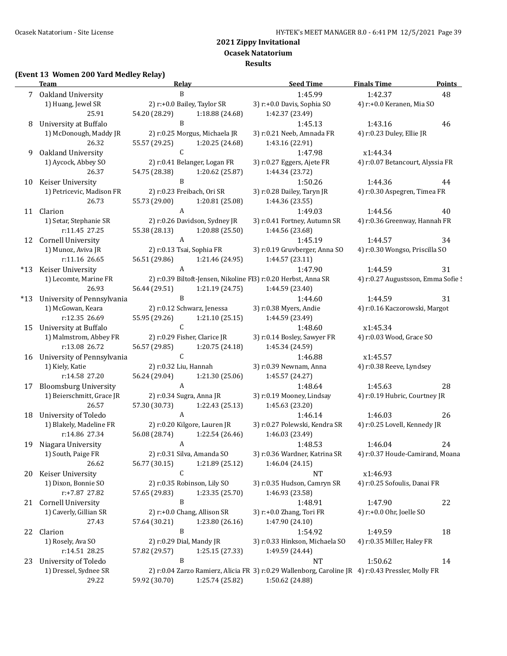# **Ocasek Natatorium**

#### **Results**

# **(Event 13 Women 200 Yard Medley Relay)**

| B<br>1:45.99<br>1:42.37<br>7 Oakland University<br>1) Huang, Jewel SR<br>2) r:+0.0 Bailey, Taylor SR<br>3) r:+0.0 Davis, Sophia SO<br>4) r:+0.0 Keranen, Mia SO<br>25.91<br>54.20 (28.29)<br>1:18.88 (24.68)<br>1:42.37 (23.49)<br>$\mathbf{B}$<br>University at Buffalo<br>1:45.13<br>1:43.16<br>8<br>1) McDonough, Maddy JR<br>3) r:0.21 Neeb, Amnada FR<br>2) r:0.25 Morgus, Michaela JR<br>4) r:0.23 Duley, Ellie JR<br>26.32<br>55.57 (29.25)<br>1:20.25 (24.68)<br>1:43.16 (22.91)<br>$\mathsf{C}$<br>Oakland University<br>1:47.98<br>9<br>x1:44.34<br>1) Aycock, Abbey SO<br>2) r:0.41 Belanger, Logan FR<br>3) r:0.27 Eggers, Ajete FR<br>4) r:0.07 Betancourt, Alyssia FR<br>26.37<br>54.75 (28.38)<br>1:20.62 (25.87)<br>1:44.34 (23.72)<br>$\, {\bf B}$<br>1:50.26<br>Keiser University<br>1:44.36<br>10<br>2) r:0.23 Freibach, Ori SR<br>3) r:0.28 Dailey, Taryn JR<br>4) r:0.30 Aspegren, Timea FR<br>1) Petricevic, Madison FR<br>26.73<br>55.73 (29.00)<br>1:20.81 (25.08)<br>1:44.36 (23.55)<br>$\mathbf{A}$<br>Clarion<br>1:49.03<br>1:44.56<br>11<br>1) Setar, Stephanie SR<br>2) r:0.26 Davidson, Sydney JR<br>3) r:0.41 Fortney, Autumn SR<br>4) r:0.36 Greenway, Hannah FR<br>r:11.45 27.25<br>55.38 (28.13)<br>1:20.88 (25.50)<br>1:44.56 (23.68)<br>$\mathbf{A}$<br><b>Cornell University</b><br>1:45.19<br>1:44.57<br>12<br>1) Munoz, Aviva JR<br>2) r:0.13 Tsai, Sophia FR<br>3) r:0.19 Gruvberger, Anna SO<br>4) r:0.30 Wongso, Priscilla SO<br>r:11.16 26.65<br>56.51 (29.86)<br>1:44.57 (23.11)<br>1:21.46(24.95)<br>A<br>Keiser University<br>1:47.90<br>1:44.59<br>$*13$<br>2) r:0.39 Biltoft-Jensen, Nikoline FI3) r:0.20 Herbst, Anna SR<br>4) r:0.27 Augustsson, Emma Sofie !<br>1) Lecomte, Marine FR<br>56.44 (29.51)<br>26.93<br>1:21.19(24.75)<br>1:44.59 (23.40)<br>$\, {\bf B}$<br>University of Pennsylvania<br>1:44.60<br>1:44.59<br>$*13$<br>1) McGowan, Keara<br>2) r:0.12 Schwarz, Jenessa<br>3) r:0.38 Myers, Andie<br>4) r:0.16 Kaczorowski, Margot<br>r:12.35 26.69<br>55.95 (29.26)<br>1:21.10(25.15)<br>1:44.59 (23.49)<br>$\mathsf C$<br>University at Buffalo<br>1:48.60<br>x1:45.34<br>15<br>1) Malmstrom, Abbey FR<br>2) r:0.29 Fisher, Clarice JR<br>3) r:0.14 Bosley, Sawyer FR<br>4) r:0.03 Wood, Grace SO<br>r:13.08 26.72<br>56.57 (29.85)<br>1:20.75 (24.18)<br>1:45.34 (24.59)<br>$\mathsf C$<br>1:46.88<br>University of Pennsylvania<br>x1:45.57<br>16<br>1) Kiely, Katie<br>2) r:0.32 Liu, Hannah<br>3) r:0.39 Newnam, Anna<br>4) r:0.38 Reeve, Lyndsey<br>r:14.58 27.20<br>56.24 (29.04)<br>1:21.30 (25.06)<br>1:45.57 (24.27)<br>$\boldsymbol{A}$<br>1:48.64<br>1:45.63<br><b>Bloomsburg University</b><br>17<br>1) Beierschmitt, Grace JR<br>2) r:0.34 Sugra, Anna JR<br>3) r:0.19 Mooney, Lindsay<br>4) r:0.19 Hubric, Courtney JR<br>26.57<br>57.30 (30.73)<br>1:22.43 (25.13)<br>1:45.63 (23.20)<br>$\mathbf{A}$<br>University of Toledo<br>1:46.14<br>1:46.03<br>18 | 48<br>46<br>44 |
|--------------------------------------------------------------------------------------------------------------------------------------------------------------------------------------------------------------------------------------------------------------------------------------------------------------------------------------------------------------------------------------------------------------------------------------------------------------------------------------------------------------------------------------------------------------------------------------------------------------------------------------------------------------------------------------------------------------------------------------------------------------------------------------------------------------------------------------------------------------------------------------------------------------------------------------------------------------------------------------------------------------------------------------------------------------------------------------------------------------------------------------------------------------------------------------------------------------------------------------------------------------------------------------------------------------------------------------------------------------------------------------------------------------------------------------------------------------------------------------------------------------------------------------------------------------------------------------------------------------------------------------------------------------------------------------------------------------------------------------------------------------------------------------------------------------------------------------------------------------------------------------------------------------------------------------------------------------------------------------------------------------------------------------------------------------------------------------------------------------------------------------------------------------------------------------------------------------------------------------------------------------------------------------------------------------------------------------------------------------------------------------------------------------------------------------------------------------------------------------------------------------------------------------------------------------------------------------------------------------------------------------------------------------------------------------------------------------------------------------------------------------------------------------------------------------------------------------------------------------------------------------------------------------------------------------------|----------------|
|                                                                                                                                                                                                                                                                                                                                                                                                                                                                                                                                                                                                                                                                                                                                                                                                                                                                                                                                                                                                                                                                                                                                                                                                                                                                                                                                                                                                                                                                                                                                                                                                                                                                                                                                                                                                                                                                                                                                                                                                                                                                                                                                                                                                                                                                                                                                                                                                                                                                                                                                                                                                                                                                                                                                                                                                                                                                                                                                            |                |
|                                                                                                                                                                                                                                                                                                                                                                                                                                                                                                                                                                                                                                                                                                                                                                                                                                                                                                                                                                                                                                                                                                                                                                                                                                                                                                                                                                                                                                                                                                                                                                                                                                                                                                                                                                                                                                                                                                                                                                                                                                                                                                                                                                                                                                                                                                                                                                                                                                                                                                                                                                                                                                                                                                                                                                                                                                                                                                                                            |                |
|                                                                                                                                                                                                                                                                                                                                                                                                                                                                                                                                                                                                                                                                                                                                                                                                                                                                                                                                                                                                                                                                                                                                                                                                                                                                                                                                                                                                                                                                                                                                                                                                                                                                                                                                                                                                                                                                                                                                                                                                                                                                                                                                                                                                                                                                                                                                                                                                                                                                                                                                                                                                                                                                                                                                                                                                                                                                                                                                            |                |
|                                                                                                                                                                                                                                                                                                                                                                                                                                                                                                                                                                                                                                                                                                                                                                                                                                                                                                                                                                                                                                                                                                                                                                                                                                                                                                                                                                                                                                                                                                                                                                                                                                                                                                                                                                                                                                                                                                                                                                                                                                                                                                                                                                                                                                                                                                                                                                                                                                                                                                                                                                                                                                                                                                                                                                                                                                                                                                                                            |                |
|                                                                                                                                                                                                                                                                                                                                                                                                                                                                                                                                                                                                                                                                                                                                                                                                                                                                                                                                                                                                                                                                                                                                                                                                                                                                                                                                                                                                                                                                                                                                                                                                                                                                                                                                                                                                                                                                                                                                                                                                                                                                                                                                                                                                                                                                                                                                                                                                                                                                                                                                                                                                                                                                                                                                                                                                                                                                                                                                            |                |
|                                                                                                                                                                                                                                                                                                                                                                                                                                                                                                                                                                                                                                                                                                                                                                                                                                                                                                                                                                                                                                                                                                                                                                                                                                                                                                                                                                                                                                                                                                                                                                                                                                                                                                                                                                                                                                                                                                                                                                                                                                                                                                                                                                                                                                                                                                                                                                                                                                                                                                                                                                                                                                                                                                                                                                                                                                                                                                                                            |                |
|                                                                                                                                                                                                                                                                                                                                                                                                                                                                                                                                                                                                                                                                                                                                                                                                                                                                                                                                                                                                                                                                                                                                                                                                                                                                                                                                                                                                                                                                                                                                                                                                                                                                                                                                                                                                                                                                                                                                                                                                                                                                                                                                                                                                                                                                                                                                                                                                                                                                                                                                                                                                                                                                                                                                                                                                                                                                                                                                            |                |
|                                                                                                                                                                                                                                                                                                                                                                                                                                                                                                                                                                                                                                                                                                                                                                                                                                                                                                                                                                                                                                                                                                                                                                                                                                                                                                                                                                                                                                                                                                                                                                                                                                                                                                                                                                                                                                                                                                                                                                                                                                                                                                                                                                                                                                                                                                                                                                                                                                                                                                                                                                                                                                                                                                                                                                                                                                                                                                                                            |                |
|                                                                                                                                                                                                                                                                                                                                                                                                                                                                                                                                                                                                                                                                                                                                                                                                                                                                                                                                                                                                                                                                                                                                                                                                                                                                                                                                                                                                                                                                                                                                                                                                                                                                                                                                                                                                                                                                                                                                                                                                                                                                                                                                                                                                                                                                                                                                                                                                                                                                                                                                                                                                                                                                                                                                                                                                                                                                                                                                            |                |
|                                                                                                                                                                                                                                                                                                                                                                                                                                                                                                                                                                                                                                                                                                                                                                                                                                                                                                                                                                                                                                                                                                                                                                                                                                                                                                                                                                                                                                                                                                                                                                                                                                                                                                                                                                                                                                                                                                                                                                                                                                                                                                                                                                                                                                                                                                                                                                                                                                                                                                                                                                                                                                                                                                                                                                                                                                                                                                                                            |                |
|                                                                                                                                                                                                                                                                                                                                                                                                                                                                                                                                                                                                                                                                                                                                                                                                                                                                                                                                                                                                                                                                                                                                                                                                                                                                                                                                                                                                                                                                                                                                                                                                                                                                                                                                                                                                                                                                                                                                                                                                                                                                                                                                                                                                                                                                                                                                                                                                                                                                                                                                                                                                                                                                                                                                                                                                                                                                                                                                            |                |
|                                                                                                                                                                                                                                                                                                                                                                                                                                                                                                                                                                                                                                                                                                                                                                                                                                                                                                                                                                                                                                                                                                                                                                                                                                                                                                                                                                                                                                                                                                                                                                                                                                                                                                                                                                                                                                                                                                                                                                                                                                                                                                                                                                                                                                                                                                                                                                                                                                                                                                                                                                                                                                                                                                                                                                                                                                                                                                                                            |                |
|                                                                                                                                                                                                                                                                                                                                                                                                                                                                                                                                                                                                                                                                                                                                                                                                                                                                                                                                                                                                                                                                                                                                                                                                                                                                                                                                                                                                                                                                                                                                                                                                                                                                                                                                                                                                                                                                                                                                                                                                                                                                                                                                                                                                                                                                                                                                                                                                                                                                                                                                                                                                                                                                                                                                                                                                                                                                                                                                            | 40             |
|                                                                                                                                                                                                                                                                                                                                                                                                                                                                                                                                                                                                                                                                                                                                                                                                                                                                                                                                                                                                                                                                                                                                                                                                                                                                                                                                                                                                                                                                                                                                                                                                                                                                                                                                                                                                                                                                                                                                                                                                                                                                                                                                                                                                                                                                                                                                                                                                                                                                                                                                                                                                                                                                                                                                                                                                                                                                                                                                            |                |
|                                                                                                                                                                                                                                                                                                                                                                                                                                                                                                                                                                                                                                                                                                                                                                                                                                                                                                                                                                                                                                                                                                                                                                                                                                                                                                                                                                                                                                                                                                                                                                                                                                                                                                                                                                                                                                                                                                                                                                                                                                                                                                                                                                                                                                                                                                                                                                                                                                                                                                                                                                                                                                                                                                                                                                                                                                                                                                                                            |                |
|                                                                                                                                                                                                                                                                                                                                                                                                                                                                                                                                                                                                                                                                                                                                                                                                                                                                                                                                                                                                                                                                                                                                                                                                                                                                                                                                                                                                                                                                                                                                                                                                                                                                                                                                                                                                                                                                                                                                                                                                                                                                                                                                                                                                                                                                                                                                                                                                                                                                                                                                                                                                                                                                                                                                                                                                                                                                                                                                            | 34             |
|                                                                                                                                                                                                                                                                                                                                                                                                                                                                                                                                                                                                                                                                                                                                                                                                                                                                                                                                                                                                                                                                                                                                                                                                                                                                                                                                                                                                                                                                                                                                                                                                                                                                                                                                                                                                                                                                                                                                                                                                                                                                                                                                                                                                                                                                                                                                                                                                                                                                                                                                                                                                                                                                                                                                                                                                                                                                                                                                            |                |
|                                                                                                                                                                                                                                                                                                                                                                                                                                                                                                                                                                                                                                                                                                                                                                                                                                                                                                                                                                                                                                                                                                                                                                                                                                                                                                                                                                                                                                                                                                                                                                                                                                                                                                                                                                                                                                                                                                                                                                                                                                                                                                                                                                                                                                                                                                                                                                                                                                                                                                                                                                                                                                                                                                                                                                                                                                                                                                                                            |                |
|                                                                                                                                                                                                                                                                                                                                                                                                                                                                                                                                                                                                                                                                                                                                                                                                                                                                                                                                                                                                                                                                                                                                                                                                                                                                                                                                                                                                                                                                                                                                                                                                                                                                                                                                                                                                                                                                                                                                                                                                                                                                                                                                                                                                                                                                                                                                                                                                                                                                                                                                                                                                                                                                                                                                                                                                                                                                                                                                            | 31             |
|                                                                                                                                                                                                                                                                                                                                                                                                                                                                                                                                                                                                                                                                                                                                                                                                                                                                                                                                                                                                                                                                                                                                                                                                                                                                                                                                                                                                                                                                                                                                                                                                                                                                                                                                                                                                                                                                                                                                                                                                                                                                                                                                                                                                                                                                                                                                                                                                                                                                                                                                                                                                                                                                                                                                                                                                                                                                                                                                            |                |
|                                                                                                                                                                                                                                                                                                                                                                                                                                                                                                                                                                                                                                                                                                                                                                                                                                                                                                                                                                                                                                                                                                                                                                                                                                                                                                                                                                                                                                                                                                                                                                                                                                                                                                                                                                                                                                                                                                                                                                                                                                                                                                                                                                                                                                                                                                                                                                                                                                                                                                                                                                                                                                                                                                                                                                                                                                                                                                                                            |                |
|                                                                                                                                                                                                                                                                                                                                                                                                                                                                                                                                                                                                                                                                                                                                                                                                                                                                                                                                                                                                                                                                                                                                                                                                                                                                                                                                                                                                                                                                                                                                                                                                                                                                                                                                                                                                                                                                                                                                                                                                                                                                                                                                                                                                                                                                                                                                                                                                                                                                                                                                                                                                                                                                                                                                                                                                                                                                                                                                            | 31             |
|                                                                                                                                                                                                                                                                                                                                                                                                                                                                                                                                                                                                                                                                                                                                                                                                                                                                                                                                                                                                                                                                                                                                                                                                                                                                                                                                                                                                                                                                                                                                                                                                                                                                                                                                                                                                                                                                                                                                                                                                                                                                                                                                                                                                                                                                                                                                                                                                                                                                                                                                                                                                                                                                                                                                                                                                                                                                                                                                            |                |
|                                                                                                                                                                                                                                                                                                                                                                                                                                                                                                                                                                                                                                                                                                                                                                                                                                                                                                                                                                                                                                                                                                                                                                                                                                                                                                                                                                                                                                                                                                                                                                                                                                                                                                                                                                                                                                                                                                                                                                                                                                                                                                                                                                                                                                                                                                                                                                                                                                                                                                                                                                                                                                                                                                                                                                                                                                                                                                                                            |                |
|                                                                                                                                                                                                                                                                                                                                                                                                                                                                                                                                                                                                                                                                                                                                                                                                                                                                                                                                                                                                                                                                                                                                                                                                                                                                                                                                                                                                                                                                                                                                                                                                                                                                                                                                                                                                                                                                                                                                                                                                                                                                                                                                                                                                                                                                                                                                                                                                                                                                                                                                                                                                                                                                                                                                                                                                                                                                                                                                            |                |
|                                                                                                                                                                                                                                                                                                                                                                                                                                                                                                                                                                                                                                                                                                                                                                                                                                                                                                                                                                                                                                                                                                                                                                                                                                                                                                                                                                                                                                                                                                                                                                                                                                                                                                                                                                                                                                                                                                                                                                                                                                                                                                                                                                                                                                                                                                                                                                                                                                                                                                                                                                                                                                                                                                                                                                                                                                                                                                                                            |                |
|                                                                                                                                                                                                                                                                                                                                                                                                                                                                                                                                                                                                                                                                                                                                                                                                                                                                                                                                                                                                                                                                                                                                                                                                                                                                                                                                                                                                                                                                                                                                                                                                                                                                                                                                                                                                                                                                                                                                                                                                                                                                                                                                                                                                                                                                                                                                                                                                                                                                                                                                                                                                                                                                                                                                                                                                                                                                                                                                            |                |
|                                                                                                                                                                                                                                                                                                                                                                                                                                                                                                                                                                                                                                                                                                                                                                                                                                                                                                                                                                                                                                                                                                                                                                                                                                                                                                                                                                                                                                                                                                                                                                                                                                                                                                                                                                                                                                                                                                                                                                                                                                                                                                                                                                                                                                                                                                                                                                                                                                                                                                                                                                                                                                                                                                                                                                                                                                                                                                                                            |                |
|                                                                                                                                                                                                                                                                                                                                                                                                                                                                                                                                                                                                                                                                                                                                                                                                                                                                                                                                                                                                                                                                                                                                                                                                                                                                                                                                                                                                                                                                                                                                                                                                                                                                                                                                                                                                                                                                                                                                                                                                                                                                                                                                                                                                                                                                                                                                                                                                                                                                                                                                                                                                                                                                                                                                                                                                                                                                                                                                            |                |
|                                                                                                                                                                                                                                                                                                                                                                                                                                                                                                                                                                                                                                                                                                                                                                                                                                                                                                                                                                                                                                                                                                                                                                                                                                                                                                                                                                                                                                                                                                                                                                                                                                                                                                                                                                                                                                                                                                                                                                                                                                                                                                                                                                                                                                                                                                                                                                                                                                                                                                                                                                                                                                                                                                                                                                                                                                                                                                                                            |                |
|                                                                                                                                                                                                                                                                                                                                                                                                                                                                                                                                                                                                                                                                                                                                                                                                                                                                                                                                                                                                                                                                                                                                                                                                                                                                                                                                                                                                                                                                                                                                                                                                                                                                                                                                                                                                                                                                                                                                                                                                                                                                                                                                                                                                                                                                                                                                                                                                                                                                                                                                                                                                                                                                                                                                                                                                                                                                                                                                            | 28             |
|                                                                                                                                                                                                                                                                                                                                                                                                                                                                                                                                                                                                                                                                                                                                                                                                                                                                                                                                                                                                                                                                                                                                                                                                                                                                                                                                                                                                                                                                                                                                                                                                                                                                                                                                                                                                                                                                                                                                                                                                                                                                                                                                                                                                                                                                                                                                                                                                                                                                                                                                                                                                                                                                                                                                                                                                                                                                                                                                            |                |
|                                                                                                                                                                                                                                                                                                                                                                                                                                                                                                                                                                                                                                                                                                                                                                                                                                                                                                                                                                                                                                                                                                                                                                                                                                                                                                                                                                                                                                                                                                                                                                                                                                                                                                                                                                                                                                                                                                                                                                                                                                                                                                                                                                                                                                                                                                                                                                                                                                                                                                                                                                                                                                                                                                                                                                                                                                                                                                                                            |                |
|                                                                                                                                                                                                                                                                                                                                                                                                                                                                                                                                                                                                                                                                                                                                                                                                                                                                                                                                                                                                                                                                                                                                                                                                                                                                                                                                                                                                                                                                                                                                                                                                                                                                                                                                                                                                                                                                                                                                                                                                                                                                                                                                                                                                                                                                                                                                                                                                                                                                                                                                                                                                                                                                                                                                                                                                                                                                                                                                            | 26             |
| 2) r:0.20 Kilgore, Lauren JR<br>1) Blakely, Madeline FR<br>3) r:0.27 Polewski, Kendra SR<br>4) r:0.25 Lovell, Kennedy JR                                                                                                                                                                                                                                                                                                                                                                                                                                                                                                                                                                                                                                                                                                                                                                                                                                                                                                                                                                                                                                                                                                                                                                                                                                                                                                                                                                                                                                                                                                                                                                                                                                                                                                                                                                                                                                                                                                                                                                                                                                                                                                                                                                                                                                                                                                                                                                                                                                                                                                                                                                                                                                                                                                                                                                                                                   |                |
| r:14.86 27.34<br>56.08 (28.74)<br>1:22.54 (26.46)<br>1:46.03 (23.49)                                                                                                                                                                                                                                                                                                                                                                                                                                                                                                                                                                                                                                                                                                                                                                                                                                                                                                                                                                                                                                                                                                                                                                                                                                                                                                                                                                                                                                                                                                                                                                                                                                                                                                                                                                                                                                                                                                                                                                                                                                                                                                                                                                                                                                                                                                                                                                                                                                                                                                                                                                                                                                                                                                                                                                                                                                                                       |                |
| Niagara University<br>A<br>1:46.04<br>19<br>1:48.53                                                                                                                                                                                                                                                                                                                                                                                                                                                                                                                                                                                                                                                                                                                                                                                                                                                                                                                                                                                                                                                                                                                                                                                                                                                                                                                                                                                                                                                                                                                                                                                                                                                                                                                                                                                                                                                                                                                                                                                                                                                                                                                                                                                                                                                                                                                                                                                                                                                                                                                                                                                                                                                                                                                                                                                                                                                                                        | 24             |
| 1) South, Paige FR<br>2) r:0.31 Silva, Amanda SO<br>3) r:0.36 Wardner, Katrina SR<br>4) r:0.37 Houde-Camirand, Moana                                                                                                                                                                                                                                                                                                                                                                                                                                                                                                                                                                                                                                                                                                                                                                                                                                                                                                                                                                                                                                                                                                                                                                                                                                                                                                                                                                                                                                                                                                                                                                                                                                                                                                                                                                                                                                                                                                                                                                                                                                                                                                                                                                                                                                                                                                                                                                                                                                                                                                                                                                                                                                                                                                                                                                                                                       |                |
| 26.62<br>56.77 (30.15)<br>1:21.89 (25.12)<br>1:46.04 (24.15)                                                                                                                                                                                                                                                                                                                                                                                                                                                                                                                                                                                                                                                                                                                                                                                                                                                                                                                                                                                                                                                                                                                                                                                                                                                                                                                                                                                                                                                                                                                                                                                                                                                                                                                                                                                                                                                                                                                                                                                                                                                                                                                                                                                                                                                                                                                                                                                                                                                                                                                                                                                                                                                                                                                                                                                                                                                                               |                |
| C<br>Keiser University<br><b>NT</b><br>x1:46.93<br>20                                                                                                                                                                                                                                                                                                                                                                                                                                                                                                                                                                                                                                                                                                                                                                                                                                                                                                                                                                                                                                                                                                                                                                                                                                                                                                                                                                                                                                                                                                                                                                                                                                                                                                                                                                                                                                                                                                                                                                                                                                                                                                                                                                                                                                                                                                                                                                                                                                                                                                                                                                                                                                                                                                                                                                                                                                                                                      |                |
| 1) Dixon, Bonnie SO<br>2) r:0.35 Robinson, Lily SO<br>3) r:0.35 Hudson, Camryn SR<br>4) r:0.25 Sofoulis, Danai FR                                                                                                                                                                                                                                                                                                                                                                                                                                                                                                                                                                                                                                                                                                                                                                                                                                                                                                                                                                                                                                                                                                                                                                                                                                                                                                                                                                                                                                                                                                                                                                                                                                                                                                                                                                                                                                                                                                                                                                                                                                                                                                                                                                                                                                                                                                                                                                                                                                                                                                                                                                                                                                                                                                                                                                                                                          |                |
| r:+7.87 27.82<br>57.65 (29.83)<br>1:23.35 (25.70)<br>1:46.93 (23.58)                                                                                                                                                                                                                                                                                                                                                                                                                                                                                                                                                                                                                                                                                                                                                                                                                                                                                                                                                                                                                                                                                                                                                                                                                                                                                                                                                                                                                                                                                                                                                                                                                                                                                                                                                                                                                                                                                                                                                                                                                                                                                                                                                                                                                                                                                                                                                                                                                                                                                                                                                                                                                                                                                                                                                                                                                                                                       |                |
| B<br>Cornell University<br>1:47.90<br>1:48.91<br>21                                                                                                                                                                                                                                                                                                                                                                                                                                                                                                                                                                                                                                                                                                                                                                                                                                                                                                                                                                                                                                                                                                                                                                                                                                                                                                                                                                                                                                                                                                                                                                                                                                                                                                                                                                                                                                                                                                                                                                                                                                                                                                                                                                                                                                                                                                                                                                                                                                                                                                                                                                                                                                                                                                                                                                                                                                                                                        |                |
| 2) r:+0.0 Chang, Allison SR<br>1) Caverly, Gillian SR<br>3) r:+0.0 Zhang, Tori FR<br>4) r:+0.0 Ohr, Joelle SO                                                                                                                                                                                                                                                                                                                                                                                                                                                                                                                                                                                                                                                                                                                                                                                                                                                                                                                                                                                                                                                                                                                                                                                                                                                                                                                                                                                                                                                                                                                                                                                                                                                                                                                                                                                                                                                                                                                                                                                                                                                                                                                                                                                                                                                                                                                                                                                                                                                                                                                                                                                                                                                                                                                                                                                                                              | 22             |
| 57.64 (30.21)<br>1:47.90 (24.10)<br>27.43<br>1:23.80 (26.16)                                                                                                                                                                                                                                                                                                                                                                                                                                                                                                                                                                                                                                                                                                                                                                                                                                                                                                                                                                                                                                                                                                                                                                                                                                                                                                                                                                                                                                                                                                                                                                                                                                                                                                                                                                                                                                                                                                                                                                                                                                                                                                                                                                                                                                                                                                                                                                                                                                                                                                                                                                                                                                                                                                                                                                                                                                                                               |                |
| B<br>Clarion<br>1:54.92<br>1:49.59<br>22                                                                                                                                                                                                                                                                                                                                                                                                                                                                                                                                                                                                                                                                                                                                                                                                                                                                                                                                                                                                                                                                                                                                                                                                                                                                                                                                                                                                                                                                                                                                                                                                                                                                                                                                                                                                                                                                                                                                                                                                                                                                                                                                                                                                                                                                                                                                                                                                                                                                                                                                                                                                                                                                                                                                                                                                                                                                                                   |                |
| 1) Rosely, Ava SO<br>2) r:0.29 Dial, Mandy JR<br>3) r:0.33 Hinkson, Michaela SO<br>4) r:0.35 Miller, Haley FR                                                                                                                                                                                                                                                                                                                                                                                                                                                                                                                                                                                                                                                                                                                                                                                                                                                                                                                                                                                                                                                                                                                                                                                                                                                                                                                                                                                                                                                                                                                                                                                                                                                                                                                                                                                                                                                                                                                                                                                                                                                                                                                                                                                                                                                                                                                                                                                                                                                                                                                                                                                                                                                                                                                                                                                                                              | 18             |
| r:14.51 28.25<br>1:49.59 (24.44)<br>57.82 (29.57)<br>1:25.15 (27.33)                                                                                                                                                                                                                                                                                                                                                                                                                                                                                                                                                                                                                                                                                                                                                                                                                                                                                                                                                                                                                                                                                                                                                                                                                                                                                                                                                                                                                                                                                                                                                                                                                                                                                                                                                                                                                                                                                                                                                                                                                                                                                                                                                                                                                                                                                                                                                                                                                                                                                                                                                                                                                                                                                                                                                                                                                                                                       |                |
| B<br>University of Toledo<br><b>NT</b><br>1:50.62<br>23                                                                                                                                                                                                                                                                                                                                                                                                                                                                                                                                                                                                                                                                                                                                                                                                                                                                                                                                                                                                                                                                                                                                                                                                                                                                                                                                                                                                                                                                                                                                                                                                                                                                                                                                                                                                                                                                                                                                                                                                                                                                                                                                                                                                                                                                                                                                                                                                                                                                                                                                                                                                                                                                                                                                                                                                                                                                                    |                |
| 1) Dressel, Sydnee SR<br>2) r:0.04 Zarzo Ramierz, Alicia FR 3) r:0.29 Wallenborg, Caroline JR 4) r:0.43 Pressler, Molly FR                                                                                                                                                                                                                                                                                                                                                                                                                                                                                                                                                                                                                                                                                                                                                                                                                                                                                                                                                                                                                                                                                                                                                                                                                                                                                                                                                                                                                                                                                                                                                                                                                                                                                                                                                                                                                                                                                                                                                                                                                                                                                                                                                                                                                                                                                                                                                                                                                                                                                                                                                                                                                                                                                                                                                                                                                 | 14             |
| 29.22<br>1:25.74 (25.82)<br>1:50.62 (24.88)<br>59.92 (30.70)                                                                                                                                                                                                                                                                                                                                                                                                                                                                                                                                                                                                                                                                                                                                                                                                                                                                                                                                                                                                                                                                                                                                                                                                                                                                                                                                                                                                                                                                                                                                                                                                                                                                                                                                                                                                                                                                                                                                                                                                                                                                                                                                                                                                                                                                                                                                                                                                                                                                                                                                                                                                                                                                                                                                                                                                                                                                               |                |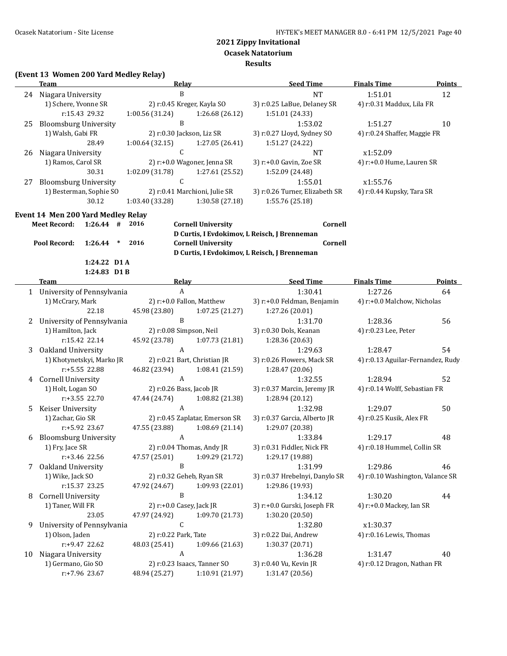**Ocasek Natatorium**

#### **Results**

# **(Event 13 Women 200 Yard Medley Relay)**

|    | <b>Team</b>                              | <b>Relay</b>                   |                 | <b>Seed Time</b>                             | <b>Finals Time</b>                | <b>Points</b> |
|----|------------------------------------------|--------------------------------|-----------------|----------------------------------------------|-----------------------------------|---------------|
|    | 24 Niagara University                    | $\mathbf B$                    |                 | <b>NT</b>                                    | 1:51.01                           | 12            |
|    | 1) Schere, Yvonne SR                     | 2) r:0.45 Kreger, Kayla SO     |                 | 3) r:0.25 LaBue, Delaney SR                  | 4) r:0.31 Maddux, Lila FR         |               |
|    | r:15.43 29.32                            | 1:00.56 (31.24)                | 1:26.68 (26.12) | 1:51.01 (24.33)                              |                                   |               |
| 25 | <b>Bloomsburg University</b>             | B                              |                 | 1:53.02                                      | 1:51.27                           | 10            |
|    | 1) Walsh, Gabi FR                        | 2) r:0.30 Jackson, Liz SR      |                 | 3) r:0.27 Lloyd, Sydney SO                   | 4) r:0.24 Shaffer, Maggie FR      |               |
|    | 28.49                                    | 1:00.64 (32.15)                | 1:27.05 (26.41) | 1:51.27 (24.22)                              |                                   |               |
| 26 | Niagara University                       | $\mathsf{C}$                   |                 | <b>NT</b>                                    | x1:52.09                          |               |
|    | 1) Ramos, Carol SR                       | 2) r:+0.0 Wagoner, Jenna SR    |                 | 3) r:+0.0 Gavin, Zoe SR                      | 4) r:+0.0 Hume, Lauren SR         |               |
|    | 30.31                                    | 1:02.09 (31.78)                | 1:27.61 (25.52) | 1:52.09 (24.48)                              |                                   |               |
| 27 | <b>Bloomsburg University</b>             | $\mathsf C$                    |                 | 1:55.01                                      | x1:55.76                          |               |
|    | 1) Besterman, Sophie SO                  | 2) r:0.41 Marchioni, Julie SR  |                 | 3) r:0.26 Turner, Elizabeth SR               | 4) r:0.44 Kupsky, Tara SR         |               |
|    | 30.12                                    | 1:03.40 (33.28)                | 1:30.58 (27.18) | 1:55.76 (25.18)                              |                                   |               |
|    |                                          |                                |                 |                                              |                                   |               |
|    | Event 14 Men 200 Yard Medley Relay       |                                |                 |                                              |                                   |               |
|    | $1:26.44$ # 2016<br><b>Meet Record:</b>  | <b>Cornell University</b>      |                 | Cornell                                      |                                   |               |
|    |                                          |                                |                 | D Curtis, I Evdokimov, L Reisch, J Brenneman |                                   |               |
|    | 1:26.44 * 2016<br>Pool Record:           | <b>Cornell University</b>      |                 | Cornell                                      |                                   |               |
|    |                                          |                                |                 | D Curtis, I Evdokimov, L Reisch, J Brenneman |                                   |               |
|    | 1:24.22 D1 A                             |                                |                 |                                              |                                   |               |
|    | 1:24.83 D1B                              |                                |                 | Seed Time                                    |                                   |               |
|    | Team                                     | Relay                          |                 |                                              | <b>Finals Time</b>                | <b>Points</b> |
|    | 1 University of Pennsylvania             | $\boldsymbol{A}$               |                 | 1:30.41                                      | 1:27.26                           | 64            |
|    | 1) McCrary, Mark                         | 2) r:+0.0 Fallon, Matthew      |                 | 3) r:+0.0 Feldman, Benjamin                  | 4) r:+0.0 Malchow, Nicholas       |               |
|    | 22.18                                    | 45.98 (23.80)                  | 1:07.25 (21.27) | 1:27.26 (20.01)                              |                                   |               |
| 2  | University of Pennsylvania               | $\mathbf B$                    |                 | 1:31.70                                      | 1:28.36                           | 56            |
|    | 1) Hamilton, Jack                        | 2) r:0.08 Simpson, Neil        |                 | 3) r:0.30 Dols, Keanan                       | 4) r:0.23 Lee, Peter              |               |
|    | r:15.42 22.14                            | 45.92 (23.78)                  | 1:07.73 (21.81) | 1:28.36 (20.63)                              |                                   |               |
| 3  | Oakland University                       | $\mathbf{A}$                   |                 | 1:29.63                                      | 1:28.47                           | 54            |
|    | 1) Khotynetskyi, Marko JR                | 2) r:0.21 Bart, Christian JR   |                 | 3) r:0.26 Flowers, Mack SR                   | 4) r:0.13 Aguilar-Fernandez, Rudy |               |
|    | r:+5.55 22.88                            | 46.82 (23.94)                  | 1:08.41(21.59)  | 1:28.47 (20.06)                              |                                   |               |
| 4  | Cornell University                       | A                              |                 | 1:32.55                                      | 1:28.94                           | 52            |
|    |                                          |                                |                 |                                              | 4) r:0.14 Wolff, Sebastian FR     |               |
|    | 1) Holt, Logan SO                        | 2) r:0.26 Bass, Jacob JR       |                 | 3) r:0.37 Marcin, Jeremy JR                  |                                   |               |
|    | r:+3.55 22.70                            | 47.44 (24.74)                  | 1:08.82 (21.38) | 1:28.94 (20.12)                              |                                   |               |
| 5  | Keiser University                        | A                              |                 | 1:32.98                                      | 1:29.07                           | 50            |
|    | 1) Zachar, Gio SR                        | 2) r:0.45 Zaplatar, Emerson SR |                 | 3) r:0.37 Garcia, Alberto JR                 | 4) r:0.25 Kusik, Alex FR          |               |
|    | r:+5.92 23.67                            | 47.55 (23.88)                  | 1:08.69(21.14)  | 1:29.07 (20.38)                              |                                   |               |
| 6  | <b>Bloomsburg University</b>             | A                              |                 | 1:33.84                                      | 1:29.17                           | 48            |
|    | 1) Fry, Jace SR                          | 2) r:0.04 Thomas, Andy JR      |                 | 3) r:0.31 Fiddler, Nick FR                   | 4) r:0.18 Hummel, Collin SR       |               |
|    | r:+3.46 22.56                            | 47.57 (25.01)                  | 1:09.29 (21.72) | 1:29.17 (19.88)                              |                                   |               |
| 7  | Oakland University                       | B                              |                 | 1:31.99                                      | 1:29.86                           | 46            |
|    | 1) Wike, Jack SO                         | 2) r:0.32 Geheb, Ryan SR       |                 | 3) r:0.37 Hrebelnyi, Danylo SR               | 4) r:0.10 Washington, Valance SR  |               |
|    | r:15.37 23.25                            | 47.92 (24.67)                  | 1:09.93 (22.01) | 1:29.86 (19.93)                              |                                   |               |
| 8  | <b>Cornell University</b>                | B                              |                 | 1:34.12                                      | 1:30.20                           | 44            |
|    | 1) Taner, Will FR                        | 2) r:+0.0 Casey, Jack JR       |                 | 3) r:+0.0 Gurski, Joseph FR                  | 4) r:+0.0 Mackey, Ian SR          |               |
|    | 23.05                                    | 47.97 (24.92)                  | 1:09.70 (21.73) | 1:30.20 (20.50)                              |                                   |               |
| 9  | University of Pennsylvania               | $\mathsf C$                    |                 | 1:32.80                                      | x1:30.37                          |               |
|    | 1) Olson, Jaden                          | 2) r:0.22 Park, Tate           |                 | 3) r:0.22 Dai, Andrew                        | 4) r:0.16 Lewis, Thomas           |               |
|    | r:+9.47 22.62                            | 48.03 (25.41)                  | 1:09.66 (21.63) | 1:30.37 (20.71)                              |                                   |               |
| 10 |                                          | $\boldsymbol{A}$               |                 | 1:36.28                                      | 1:31.47                           | 40            |
|    | Niagara University<br>1) Germano, Gio SO | 2) r:0.23 Isaacs, Tanner SO    |                 | 3) r:0.40 Vu, Kevin JR                       | 4) r:0.12 Dragon, Nathan FR       |               |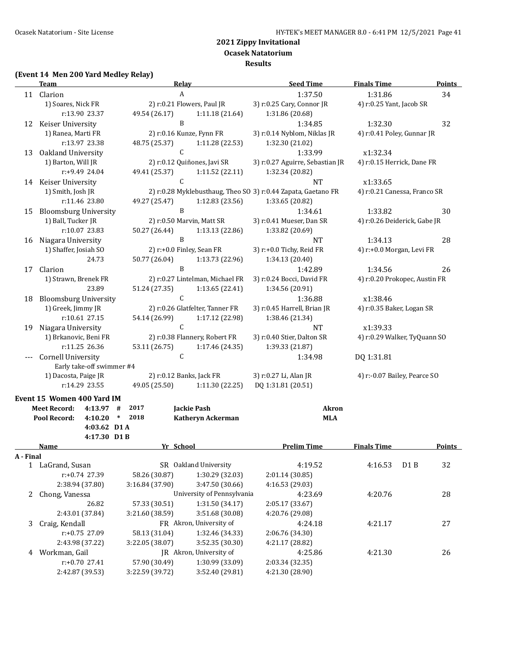**Results**

#### **(Event 14 Men 200 Yard Medley Relay)**

|    | <b>Team</b>                  | Relay                     |                                 | <b>Seed Time</b>                                              | <b>Finals Time</b>           | <b>Points</b>                 |  |
|----|------------------------------|---------------------------|---------------------------------|---------------------------------------------------------------|------------------------------|-------------------------------|--|
|    | 11 Clarion                   | A                         |                                 | 1:37.50                                                       | 1:31.86                      | 34                            |  |
|    | 1) Soares, Nick FR           |                           | 2) r:0.21 Flowers, Paul JR      | 3) r:0.25 Cary, Connor JR                                     | 4) r:0.25 Yant, Jacob SR     |                               |  |
|    | r:13.90 23.37                | 49.54 (26.17)             | 1:11.18(21.64)                  | 1:31.86 (20.68)                                               |                              |                               |  |
| 12 | Keiser University            | B                         |                                 | 1:34.85                                                       | 1:32.30                      | 32                            |  |
|    | 1) Ranea, Marti FR           |                           | 2) r:0.16 Kunze, Fynn FR        | 3) r:0.14 Nyblom, Niklas JR                                   | 4) r:0.41 Poley, Gunnar JR   |                               |  |
|    | r:13.97 23.38                | 48.75 (25.37)             | 1:11.28 (22.53)                 | 1:32.30 (21.02)                                               |                              |                               |  |
| 13 | Oakland University           | C                         |                                 | 1:33.99                                                       | x1:32.34                     |                               |  |
|    | 1) Barton, Will JR           |                           | 2) r:0.12 Quiñones, Javi SR     | 3) r:0.27 Aguirre, Sebastian JR                               | 4) r:0.15 Herrick, Dane FR   |                               |  |
|    | $r: +9.4924.04$              | 49.41 (25.37)             | 1:11.52 (22.11)                 | 1:32.34 (20.82)                                               |                              |                               |  |
| 14 | Keiser University            | C                         |                                 | <b>NT</b>                                                     | x1:33.65                     |                               |  |
|    | 1) Smith, Josh JR            |                           |                                 | 2) r:0.28 Myklebusthaug, Theo SO 3) r:0.44 Zapata, Gaetano FR | 4) r:0.21 Canessa, Franco SR |                               |  |
|    | r:11.46 23.80                | 49.27 (25.47)             | 1:12.83(23.56)                  | 1:33.65 (20.82)                                               |                              |                               |  |
| 15 | <b>Bloomsburg University</b> | B                         |                                 | 1:34.61                                                       | 1:33.82                      | 30                            |  |
|    | 1) Ball, Tucker JR           |                           | 2) r:0.50 Marvin, Matt SR       | 3) r:0.41 Mueser, Dan SR                                      | 4) r:0.26 Deiderick, Gabe JR |                               |  |
|    | r:10.07 23.83                | 50.27 (26.44)             | 1:13.13(22.86)                  | 1:33.82 (20.69)                                               |                              |                               |  |
| 16 | Niagara University           | B                         |                                 | <b>NT</b>                                                     | 1:34.13                      | 28                            |  |
|    | 1) Shaffer, Josiah SO        | 2) r:+0.0 Finley, Sean FR |                                 | 3) r:+0.0 Tichy, Reid FR                                      | 4) r:+0.0 Morgan, Levi FR    |                               |  |
|    | 24.73                        | 50.77 (26.04)             | 1:13.73 (22.96)                 | 1:34.13 (20.40)                                               |                              |                               |  |
| 17 | Clarion                      | $\mathbf{B}$              |                                 | 1:42.89                                                       | 1:34.56                      | 26                            |  |
|    | 1) Strawn, Brenek FR         |                           | 2) r:0.27 Lintelman, Michael FR | 3) r:0.24 Bocci, David FR                                     |                              | 4) r:0.20 Prokopec, Austin FR |  |
|    | 23.89                        | 51.24 (27.35)             | 1:13.65 (22.41)                 | 1:34.56 (20.91)                                               |                              |                               |  |
| 18 | <b>Bloomsburg University</b> | $\mathsf{C}$              |                                 | 1:36.88                                                       | x1:38.46                     |                               |  |
|    | 1) Greek, Jimmy JR           |                           | 2) r:0.26 Glatfelter, Tanner FR | 3) r:0.45 Harrell, Brian JR                                   | 4) r:0.35 Baker, Logan SR    |                               |  |
|    | r:10.61 27.15                | 54.14 (26.99)             | 1:17.12 (22.98)                 | 1:38.46 (21.34)                                               |                              |                               |  |
| 19 | Niagara University           | C                         |                                 | <b>NT</b>                                                     | x1:39.33                     |                               |  |
|    | 1) Brkanovic, Beni FR        |                           | 2) r:0.38 Flannery, Robert FR   | 3) r:0.40 Stier, Dalton SR                                    | 4) r:0.29 Walker, TyQuann SO |                               |  |
|    | r:11.25 26.36                | 53.11 (26.75)             | 1:17.46 (24.35)                 | 1:39.33 (21.87)                                               |                              |                               |  |
|    | <b>Cornell University</b>    | C                         |                                 | 1:34.98                                                       | DQ 1:31.81                   |                               |  |
|    | Early take-off swimmer #4    |                           |                                 |                                                               |                              |                               |  |
|    | 1) Dacosta, Paige JR         | 2) r:0.12 Banks, Jack FR  |                                 | 3) r:0.27 Li, Alan JR                                         | 4) r:-0.07 Bailey, Pearce SO |                               |  |
|    | r:14.29 23.55                | 49.05 (25.50)             | 1:11.30 (22.25)                 | DQ 1:31.81 (20.51)                                            |                              |                               |  |
|    | Event 15 Women 400 Yard IM   |                           |                                 |                                                               |                              |                               |  |

|           | <b>Meet Record:</b><br>Pool Record: | 4:13.97<br>4:10.20<br>4:03.62 D1A | #<br>∗             | 2017<br>2018    |  | Jackie Pash<br><b>Katheryn Ackerman</b> |                    | <b>Akron</b><br><b>MLA</b> |                    |  |        |
|-----------|-------------------------------------|-----------------------------------|--------------------|-----------------|--|-----------------------------------------|--------------------|----------------------------|--------------------|--|--------|
|           |                                     | 4:17.30 D1 B                      |                    |                 |  |                                         |                    |                            |                    |  |        |
| A - Final | Name                                |                                   |                    |                 |  | Yr School                               | <b>Prelim Time</b> |                            | <b>Finals Time</b> |  | Points |
|           | LaGrand, Susan<br>SR.               |                                   | Oakland University | 4:19.52         |  | 4:16.53                                 | D <sub>1</sub> B   | 32                         |                    |  |        |
|           |                                     | $r: +0.74$ 27.39                  |                    | 58.26 (30.87)   |  | 1:30.29 (32.03)                         | 2:01.14 (30.85)    |                            |                    |  |        |
|           |                                     | 2:38.94 (37.80)                   |                    | 3:16.84 (37.90) |  | 3:47.50 (30.66)                         | 4:16.53 (29.03)    |                            |                    |  |        |
| 2         | Chong, Vanessa                      |                                   |                    |                 |  | University of Pennsylvania              | 4:23.69            |                            | 4:20.76            |  | 28     |
|           |                                     | 26.82                             |                    | 57.33 (30.51)   |  | 1:31.50(34.17)                          | 2:05.17 (33.67)    |                            |                    |  |        |
|           |                                     | 2:43.01 (37.84)                   |                    | 3:21.60 (38.59) |  | 3:51.68 (30.08)                         | 4:20.76 (29.08)    |                            |                    |  |        |
| 3         | Craig, Kendall                      |                                   |                    |                 |  | FR Akron, University of                 | 4:24.18            |                            | 4:21.17            |  | 27     |
|           |                                     | $r: +0.75$ 27.09                  |                    | 58.13 (31.04)   |  | 1:32.46 (34.33)                         | 2:06.76 (34.30)    |                            |                    |  |        |
|           |                                     | 2:43.98 (37.22)                   |                    | 3:22.05 (38.07) |  | 3:52.35(30.30)                          | 4:21.17 (28.82)    |                            |                    |  |        |
| 4         | Workman, Gail                       |                                   |                    |                 |  | IR Akron, University of                 | 4:25.86            |                            | 4:21.30            |  | 26     |
|           |                                     | $r: +0.70$ 27.41                  |                    | 57.90 (30.49)   |  | 1:30.99 (33.09)                         | 2:03.34 (32.35)    |                            |                    |  |        |
|           |                                     | 2:42.87 (39.53)                   |                    | 3:22.59 (39.72) |  | 3:52.40 (29.81)                         | 4:21.30 (28.90)    |                            |                    |  |        |
|           |                                     |                                   |                    |                 |  |                                         |                    |                            |                    |  |        |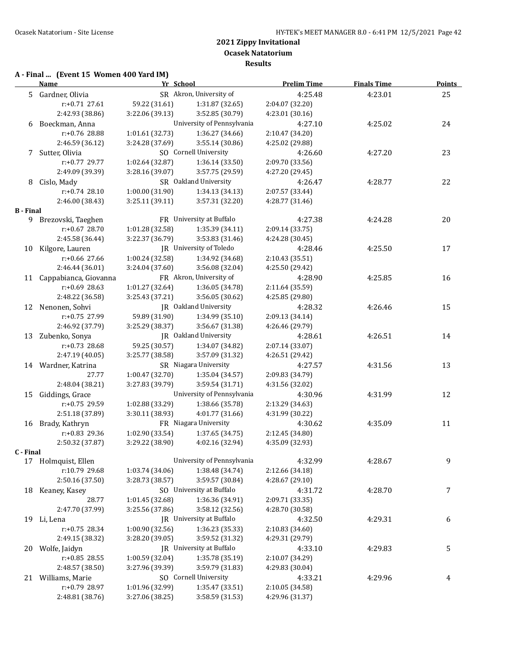# **A - Final ... (Event 15 Women 400 Yard IM)**

|           | <b>Name</b>              | Yr School       |                              | <b>Prelim Time</b> | <b>Finals Time</b> | <b>Points</b> |
|-----------|--------------------------|-----------------|------------------------------|--------------------|--------------------|---------------|
|           | 5 Gardner, Olivia        |                 | SR Akron, University of      | 4:25.48            | 4:23.01            | 25            |
|           | r:+0.71 27.61            | 59.22 (31.61)   | 1:31.87 (32.65)              | 2:04.07 (32.20)    |                    |               |
|           | 2:42.93 (38.86)          | 3:22.06 (39.13) | 3:52.85 (30.79)              | 4:23.01 (30.16)    |                    |               |
|           | 6 Boeckman, Anna         |                 | University of Pennsylvania   | 4:27.10            | 4:25.02            | 24            |
|           | r:+0.76 28.88            | 1:01.61(32.73)  | 1:36.27 (34.66)              | 2:10.47 (34.20)    |                    |               |
|           | 2:46.59 (36.12)          | 3:24.28 (37.69) | 3:55.14 (30.86)              | 4:25.02 (29.88)    |                    |               |
|           | 7 Sutter, Olivia         |                 | SO Cornell University        | 4:26.60            | 4:27.20            | 23            |
|           | r:+0.77 29.77            | 1:02.64 (32.87) | 1:36.14 (33.50)              | 2:09.70 (33.56)    |                    |               |
|           | 2:49.09 (39.39)          | 3:28.16 (39.07) | 3:57.75 (29.59)              | 4:27.20 (29.45)    |                    |               |
| 8         | Cislo, Mady              |                 | SR Oakland University        | 4:26.47            | 4:28.77            | 22            |
|           | $r: +0.74$ 28.10         | 1:00.00 (31.90) | 1:34.13 (34.13)              | 2:07.57 (33.44)    |                    |               |
|           | 2:46.00 (38.43)          | 3:25.11(39.11)  | 3:57.31 (32.20)              | 4:28.77 (31.46)    |                    |               |
| B - Final |                          |                 |                              |                    |                    |               |
|           | 9 Brezovski, Taeghen     |                 | FR University at Buffalo     | 4:27.38            | 4:24.28            | 20            |
|           | r:+0.67 28.70            | 1:01.28 (32.58) | 1:35.39 (34.11)              | 2:09.14 (33.75)    |                    |               |
|           | 2:45.58 (36.44)          | 3:22.37 (36.79) | 3:53.83 (31.46)              | 4:24.28 (30.45)    |                    |               |
|           | 10 Kilgore, Lauren       |                 | JR University of Toledo      | 4:28.46            | 4:25.50            | 17            |
|           | r:+0.66 27.66            | 1:00.24 (32.58) | 1:34.92 (34.68)              | 2:10.43 (35.51)    |                    |               |
|           | 2:46.44 (36.01)          | 3:24.04 (37.60) | 3:56.08 (32.04)              | 4:25.50 (29.42)    |                    |               |
|           | 11 Cappabianca, Giovanna |                 | FR Akron, University of      | 4:28.90            | 4:25.85            | 16            |
|           | $r: +0.69$ 28.63         | 1:01.27 (32.64) | 1:36.05 (34.78)              | 2:11.64 (35.59)    |                    |               |
|           | 2:48.22 (36.58)          | 3:25.43 (37.21) | 3:56.05 (30.62)              | 4:25.85 (29.80)    |                    |               |
|           | 12 Nenonen, Sohvi        |                 | JR Oakland University        | 4:28.32            | 4:26.46            | 15            |
|           | r:+0.75 27.99            | 59.89 (31.90)   | 1:34.99 (35.10)              | 2:09.13 (34.14)    |                    |               |
|           | 2:46.92 (37.79)          | 3:25.29 (38.37) | 3:56.67 (31.38)              | 4:26.46 (29.79)    |                    |               |
|           |                          |                 | <b>IR</b> Oakland University |                    |                    |               |
|           | 13 Zubenko, Sonya        |                 |                              | 4:28.61            | 4:26.51            | 14            |
|           | r:+0.73 28.68            | 59.25 (30.57)   | 1:34.07 (34.82)              | 2:07.14 (33.07)    |                    |               |
|           | 2:47.19 (40.05)          | 3:25.77 (38.58) | 3:57.09 (31.32)              | 4:26.51 (29.42)    |                    |               |
|           | 14 Wardner, Katrina      |                 | SR Niagara University        | 4:27.57            | 4:31.56            | 13            |
|           | 27.77                    | 1:00.47 (32.70) | 1:35.04 (34.57)              | 2:09.83 (34.79)    |                    |               |
|           | 2:48.04 (38.21)          | 3:27.83 (39.79) | 3:59.54 (31.71)              | 4:31.56 (32.02)    |                    |               |
| 15        | Giddings, Grace          |                 | University of Pennsylvania   | 4:30.96            | 4:31.99            | 12            |
|           | r:+0.75 29.59            | 1:02.88 (33.29) | 1:38.66 (35.78)              | 2:13.29 (34.63)    |                    |               |
|           | 2:51.18 (37.89)          | 3:30.11 (38.93) | 4:01.77 (31.66)              | 4:31.99 (30.22)    |                    |               |
|           | 16 Brady, Kathryn        |                 | FR Niagara University        | 4:30.62            | 4:35.09            | 11            |
|           | r:+0.83 29.36            | 1:02.90 (33.54) | 1:37.65 (34.75)              | 2:12.45 (34.80)    |                    |               |
|           | 2:50.32 (37.87)          | 3:29.22 (38.90) | 4:02.16 (32.94)              | 4:35.09 (32.93)    |                    |               |
| C - Final |                          |                 | University of Pennsylvania   |                    |                    |               |
|           | 17 Holmquist, Ellen      |                 |                              | 4:32.99            | 4:28.67            | 9             |
|           | r:10.79 29.68            | 1:03.74 (34.06) | 1:38.48 (34.74)              | 2:12.66 (34.18)    |                    |               |
|           | 2:50.16 (37.50)          | 3:28.73 (38.57) | 3:59.57 (30.84)              | 4:28.67 (29.10)    |                    |               |
|           | 18 Keaney, Kasey         |                 | SO University at Buffalo     | 4:31.72            | 4:28.70            | 7             |
|           | 28.77                    | 1:01.45 (32.68) | 1:36.36 (34.91)              | 2:09.71 (33.35)    |                    |               |
|           | 2:47.70 (37.99)          | 3:25.56 (37.86) | 3:58.12 (32.56)              | 4:28.70 (30.58)    |                    |               |
|           | 19 Li, Lena              |                 | JR University at Buffalo     | 4:32.50            | 4:29.31            | 6             |
|           | $r: +0.75$ 28.34         | 1:00.90 (32.56) | 1:36.23 (35.33)              | 2:10.83 (34.60)    |                    |               |
|           | 2:49.15 (38.32)          | 3:28.20 (39.05) | 3:59.52 (31.32)              | 4:29.31 (29.79)    |                    |               |
| 20        | Wolfe, Jaidyn            |                 | JR University at Buffalo     | 4:33.10            | 4:29.83            | 5             |
|           | r:+0.85 28.55            | 1:00.59 (32.04) | 1:35.78 (35.19)              | 2:10.07 (34.29)    |                    |               |
|           | 2:48.57 (38.50)          | 3:27.96 (39.39) | 3:59.79 (31.83)              | 4:29.83 (30.04)    |                    |               |
|           | 21 Williams, Marie       |                 | SO Cornell University        | 4:33.21            | 4:29.96            | 4             |
|           | r:+0.79 28.97            | 1:01.96 (32.99) | 1:35.47 (33.51)              | 2:10.05 (34.58)    |                    |               |
|           | 2:48.81 (38.76)          | 3:27.06 (38.25) | 3:58.59 (31.53)              | 4:29.96 (31.37)    |                    |               |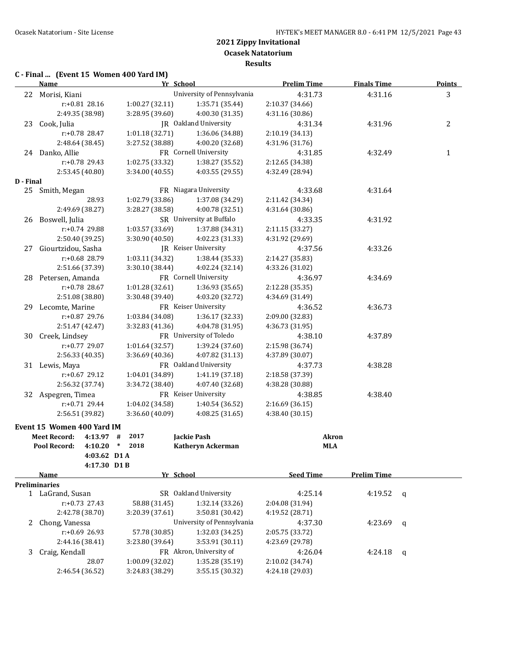# **C - Final ... (Event 15 Women 400 Yard IM)**

| University of Pennsylvania<br>4:31.73<br>3<br>22 Morisi, Kiani<br>4:31.16<br>r:+0.81 28.16<br>1:00.27(32.11)<br>1:35.71 (35.44)<br>2:10.37 (34.66)<br>2:49.35 (38.98)<br>4:00.30 (31.35)<br>3:28.95 (39.60)<br>4:31.16 (30.86)<br>JR Oakland University<br>2<br>23 Cook, Julia<br>4:31.34<br>4:31.96<br>1:01.18 (32.71)<br>r:+0.78 28.47<br>2:10.19 (34.13)<br>1:36.06 (34.88)<br>2:48.64 (38.45)<br>3:27.52 (38.88)<br>4:00.20 (32.68)<br>4:31.96 (31.76)<br>FR Cornell University<br>24 Danko, Allie<br>4:31.85<br>4:32.49<br>1<br>1:02.75 (33.32)<br>r:+0.78 29.43<br>2:12.65 (34.38)<br>1:38.27 (35.52)<br>2:53.45 (40.80)<br>3:34.00 (40.55)<br>4:03.55 (29.55)<br>4:32.49 (28.94)<br>D - Final<br>FR Niagara University<br>4:33.68<br>25 Smith, Megan<br>4:31.64<br>28.93<br>1:02.79 (33.86)<br>1:37.08 (34.29)<br>2:11.42 (34.34)<br>2:49.69 (38.27)<br>3:28.27 (38.58)<br>4:00.78 (32.51)<br>4:31.64 (30.86)<br>SR University at Buffalo<br>26 Boswell, Julia<br>4:33.35<br>4:31.92<br>1:03.57 (33.69)<br>1:37.88 (34.31)<br>r:+0.74 29.88<br>2:11.15 (33.27)<br>2:50.40 (39.25)<br>3:30.90 (40.50)<br>4:02.23 (31.33)<br>4:31.92 (29.69)<br>Giourtzidou, Sasha<br>JR Keiser University<br>4:37.56<br>4:33.26<br>27<br>r:+0.68 28.79<br>1:03.11 (34.32)<br>1:38.44 (35.33)<br>2:14.27 (35.83)<br>2:51.66 (37.39)<br>3:30.10 (38.44)<br>4:02.24 (32.14)<br>4:33.26 (31.02)<br>FR Cornell University<br>28 Petersen, Amanda<br>4:36.97<br>4:34.69<br>r:+0.78 28.67<br>1:01.28 (32.61)<br>1:36.93 (35.65)<br>2:12.28 (35.35)<br>2:51.08 (38.80)<br>3:30.48 (39.40)<br>4:03.20 (32.72)<br>4:34.69 (31.49)<br>FR Keiser University<br>29 Lecomte, Marine<br>4:36.52<br>4:36.73<br>r:+0.87 29.76<br>1:03.84 (34.08)<br>1:36.17 (32.33)<br>2:09.00 (32.83)<br>2:51.47 (42.47)<br>3:32.83 (41.36)<br>4:04.78 (31.95)<br>4:36.73 (31.95)<br>FR University of Toledo<br>30 Creek, Lindsey<br>4:38.10<br>4:37.89<br>r:+0.77 29.07<br>1:39.24 (37.60)<br>1:01.64 (32.57)<br>2:15.98 (36.74)<br>2:56.33 (40.35)<br>3:36.69 (40.36)<br>4:07.82 (31.13)<br>4:37.89 (30.07)<br>FR Oakland University<br>31 Lewis, Maya<br>4:37.73<br>4:38.28<br>r:+0.67 29.12<br>1:04.01 (34.89)<br>1:41.19 (37.18)<br>2:18.58 (37.39)<br>2:56.32 (37.74)<br>3:34.72 (38.40)<br>4:07.40 (32.68)<br>4:38.28 (30.88)<br>FR Keiser University<br>32 Aspegren, Timea<br>4:38.85<br>4:38.40<br>1:04.02 (34.58)<br>$r: +0.71$ 29.44<br>1:40.54 (36.52)<br>2:16.69 (36.15)<br>2:56.51 (39.82)<br>3:36.60 (40.09)<br>4:38.40 (30.15)<br>4:08.25(31.65)<br>Event 15 Women 400 Yard IM<br>2017<br><b>Meet Record:</b><br><b>Jackie Pash</b><br>$4:13.97$ #<br><b>Akron</b><br>2018<br>$\ast$<br>Pool Record:<br>4:10.20<br>Katheryn Ackerman<br><b>MLA</b><br>4:03.62 D1 A<br>4:17.30 D1B<br><b>Seed Time</b><br><b>Name</b><br>Yr School<br><b>Prelim Time</b><br><b>Preliminaries</b><br>SR Oakland University<br>1 LaGrand, Susan<br>4:25.14<br>4:19.52<br>q<br>1:32.14 (33.26)<br>$r: +0.73$ 27.43<br>58.88 (31.45)<br>2:04.08 (31.94)<br>2:42.78 (38.70)<br>3:50.81 (30.42)<br>3:20.39 (37.61)<br>4:19.52 (28.71)<br>University of Pennsylvania<br>2 Chong, Vanessa<br>4:37.30<br>4:23.69<br>q<br>$r: +0.69$ 26.93<br>57.78 (30.85)<br>1:32.03 (34.25)<br>2:05.75 (33.72)<br>3:53.91 (30.11)<br>2:44.16 (38.41)<br>3:23.80 (39.64)<br>4:23.69 (29.78)<br>FR Akron, University of<br>Craig, Kendall<br>3<br>4:26.04<br>4:24.18<br>q<br>28.07<br>1:00.09 (32.02)<br>1:35.28 (35.19)<br>2:10.02 (34.74)<br>2:46.54 (36.52)<br>3:24.83 (38.29)<br>3:55.15 (30.32)<br>4:24.18 (29.03) | <b>Name</b> | Yr School | <b>Prelim Time</b> | <b>Finals Time</b> | <b>Points</b> |
|-----------------------------------------------------------------------------------------------------------------------------------------------------------------------------------------------------------------------------------------------------------------------------------------------------------------------------------------------------------------------------------------------------------------------------------------------------------------------------------------------------------------------------------------------------------------------------------------------------------------------------------------------------------------------------------------------------------------------------------------------------------------------------------------------------------------------------------------------------------------------------------------------------------------------------------------------------------------------------------------------------------------------------------------------------------------------------------------------------------------------------------------------------------------------------------------------------------------------------------------------------------------------------------------------------------------------------------------------------------------------------------------------------------------------------------------------------------------------------------------------------------------------------------------------------------------------------------------------------------------------------------------------------------------------------------------------------------------------------------------------------------------------------------------------------------------------------------------------------------------------------------------------------------------------------------------------------------------------------------------------------------------------------------------------------------------------------------------------------------------------------------------------------------------------------------------------------------------------------------------------------------------------------------------------------------------------------------------------------------------------------------------------------------------------------------------------------------------------------------------------------------------------------------------------------------------------------------------------------------------------------------------------------------------------------------------------------------------------------------------------------------------------------------------------------------------------------------------------------------------------------------------------------------------------------------------------------------------------------------------------------------------------------------------------------------------------------------------------------------------------------------------------------------------------------------------------------------------------------------------------------------------------------------------------------------------------------------------------------------------------------------------------------------------------------------------------------------------------------------------------------------------------------------------------------|-------------|-----------|--------------------|--------------------|---------------|
|                                                                                                                                                                                                                                                                                                                                                                                                                                                                                                                                                                                                                                                                                                                                                                                                                                                                                                                                                                                                                                                                                                                                                                                                                                                                                                                                                                                                                                                                                                                                                                                                                                                                                                                                                                                                                                                                                                                                                                                                                                                                                                                                                                                                                                                                                                                                                                                                                                                                                                                                                                                                                                                                                                                                                                                                                                                                                                                                                                                                                                                                                                                                                                                                                                                                                                                                                                                                                                                                                                                                                     |             |           |                    |                    |               |
|                                                                                                                                                                                                                                                                                                                                                                                                                                                                                                                                                                                                                                                                                                                                                                                                                                                                                                                                                                                                                                                                                                                                                                                                                                                                                                                                                                                                                                                                                                                                                                                                                                                                                                                                                                                                                                                                                                                                                                                                                                                                                                                                                                                                                                                                                                                                                                                                                                                                                                                                                                                                                                                                                                                                                                                                                                                                                                                                                                                                                                                                                                                                                                                                                                                                                                                                                                                                                                                                                                                                                     |             |           |                    |                    |               |
|                                                                                                                                                                                                                                                                                                                                                                                                                                                                                                                                                                                                                                                                                                                                                                                                                                                                                                                                                                                                                                                                                                                                                                                                                                                                                                                                                                                                                                                                                                                                                                                                                                                                                                                                                                                                                                                                                                                                                                                                                                                                                                                                                                                                                                                                                                                                                                                                                                                                                                                                                                                                                                                                                                                                                                                                                                                                                                                                                                                                                                                                                                                                                                                                                                                                                                                                                                                                                                                                                                                                                     |             |           |                    |                    |               |
|                                                                                                                                                                                                                                                                                                                                                                                                                                                                                                                                                                                                                                                                                                                                                                                                                                                                                                                                                                                                                                                                                                                                                                                                                                                                                                                                                                                                                                                                                                                                                                                                                                                                                                                                                                                                                                                                                                                                                                                                                                                                                                                                                                                                                                                                                                                                                                                                                                                                                                                                                                                                                                                                                                                                                                                                                                                                                                                                                                                                                                                                                                                                                                                                                                                                                                                                                                                                                                                                                                                                                     |             |           |                    |                    |               |
|                                                                                                                                                                                                                                                                                                                                                                                                                                                                                                                                                                                                                                                                                                                                                                                                                                                                                                                                                                                                                                                                                                                                                                                                                                                                                                                                                                                                                                                                                                                                                                                                                                                                                                                                                                                                                                                                                                                                                                                                                                                                                                                                                                                                                                                                                                                                                                                                                                                                                                                                                                                                                                                                                                                                                                                                                                                                                                                                                                                                                                                                                                                                                                                                                                                                                                                                                                                                                                                                                                                                                     |             |           |                    |                    |               |
|                                                                                                                                                                                                                                                                                                                                                                                                                                                                                                                                                                                                                                                                                                                                                                                                                                                                                                                                                                                                                                                                                                                                                                                                                                                                                                                                                                                                                                                                                                                                                                                                                                                                                                                                                                                                                                                                                                                                                                                                                                                                                                                                                                                                                                                                                                                                                                                                                                                                                                                                                                                                                                                                                                                                                                                                                                                                                                                                                                                                                                                                                                                                                                                                                                                                                                                                                                                                                                                                                                                                                     |             |           |                    |                    |               |
|                                                                                                                                                                                                                                                                                                                                                                                                                                                                                                                                                                                                                                                                                                                                                                                                                                                                                                                                                                                                                                                                                                                                                                                                                                                                                                                                                                                                                                                                                                                                                                                                                                                                                                                                                                                                                                                                                                                                                                                                                                                                                                                                                                                                                                                                                                                                                                                                                                                                                                                                                                                                                                                                                                                                                                                                                                                                                                                                                                                                                                                                                                                                                                                                                                                                                                                                                                                                                                                                                                                                                     |             |           |                    |                    |               |
|                                                                                                                                                                                                                                                                                                                                                                                                                                                                                                                                                                                                                                                                                                                                                                                                                                                                                                                                                                                                                                                                                                                                                                                                                                                                                                                                                                                                                                                                                                                                                                                                                                                                                                                                                                                                                                                                                                                                                                                                                                                                                                                                                                                                                                                                                                                                                                                                                                                                                                                                                                                                                                                                                                                                                                                                                                                                                                                                                                                                                                                                                                                                                                                                                                                                                                                                                                                                                                                                                                                                                     |             |           |                    |                    |               |
|                                                                                                                                                                                                                                                                                                                                                                                                                                                                                                                                                                                                                                                                                                                                                                                                                                                                                                                                                                                                                                                                                                                                                                                                                                                                                                                                                                                                                                                                                                                                                                                                                                                                                                                                                                                                                                                                                                                                                                                                                                                                                                                                                                                                                                                                                                                                                                                                                                                                                                                                                                                                                                                                                                                                                                                                                                                                                                                                                                                                                                                                                                                                                                                                                                                                                                                                                                                                                                                                                                                                                     |             |           |                    |                    |               |
|                                                                                                                                                                                                                                                                                                                                                                                                                                                                                                                                                                                                                                                                                                                                                                                                                                                                                                                                                                                                                                                                                                                                                                                                                                                                                                                                                                                                                                                                                                                                                                                                                                                                                                                                                                                                                                                                                                                                                                                                                                                                                                                                                                                                                                                                                                                                                                                                                                                                                                                                                                                                                                                                                                                                                                                                                                                                                                                                                                                                                                                                                                                                                                                                                                                                                                                                                                                                                                                                                                                                                     |             |           |                    |                    |               |
|                                                                                                                                                                                                                                                                                                                                                                                                                                                                                                                                                                                                                                                                                                                                                                                                                                                                                                                                                                                                                                                                                                                                                                                                                                                                                                                                                                                                                                                                                                                                                                                                                                                                                                                                                                                                                                                                                                                                                                                                                                                                                                                                                                                                                                                                                                                                                                                                                                                                                                                                                                                                                                                                                                                                                                                                                                                                                                                                                                                                                                                                                                                                                                                                                                                                                                                                                                                                                                                                                                                                                     |             |           |                    |                    |               |
|                                                                                                                                                                                                                                                                                                                                                                                                                                                                                                                                                                                                                                                                                                                                                                                                                                                                                                                                                                                                                                                                                                                                                                                                                                                                                                                                                                                                                                                                                                                                                                                                                                                                                                                                                                                                                                                                                                                                                                                                                                                                                                                                                                                                                                                                                                                                                                                                                                                                                                                                                                                                                                                                                                                                                                                                                                                                                                                                                                                                                                                                                                                                                                                                                                                                                                                                                                                                                                                                                                                                                     |             |           |                    |                    |               |
|                                                                                                                                                                                                                                                                                                                                                                                                                                                                                                                                                                                                                                                                                                                                                                                                                                                                                                                                                                                                                                                                                                                                                                                                                                                                                                                                                                                                                                                                                                                                                                                                                                                                                                                                                                                                                                                                                                                                                                                                                                                                                                                                                                                                                                                                                                                                                                                                                                                                                                                                                                                                                                                                                                                                                                                                                                                                                                                                                                                                                                                                                                                                                                                                                                                                                                                                                                                                                                                                                                                                                     |             |           |                    |                    |               |
|                                                                                                                                                                                                                                                                                                                                                                                                                                                                                                                                                                                                                                                                                                                                                                                                                                                                                                                                                                                                                                                                                                                                                                                                                                                                                                                                                                                                                                                                                                                                                                                                                                                                                                                                                                                                                                                                                                                                                                                                                                                                                                                                                                                                                                                                                                                                                                                                                                                                                                                                                                                                                                                                                                                                                                                                                                                                                                                                                                                                                                                                                                                                                                                                                                                                                                                                                                                                                                                                                                                                                     |             |           |                    |                    |               |
|                                                                                                                                                                                                                                                                                                                                                                                                                                                                                                                                                                                                                                                                                                                                                                                                                                                                                                                                                                                                                                                                                                                                                                                                                                                                                                                                                                                                                                                                                                                                                                                                                                                                                                                                                                                                                                                                                                                                                                                                                                                                                                                                                                                                                                                                                                                                                                                                                                                                                                                                                                                                                                                                                                                                                                                                                                                                                                                                                                                                                                                                                                                                                                                                                                                                                                                                                                                                                                                                                                                                                     |             |           |                    |                    |               |
|                                                                                                                                                                                                                                                                                                                                                                                                                                                                                                                                                                                                                                                                                                                                                                                                                                                                                                                                                                                                                                                                                                                                                                                                                                                                                                                                                                                                                                                                                                                                                                                                                                                                                                                                                                                                                                                                                                                                                                                                                                                                                                                                                                                                                                                                                                                                                                                                                                                                                                                                                                                                                                                                                                                                                                                                                                                                                                                                                                                                                                                                                                                                                                                                                                                                                                                                                                                                                                                                                                                                                     |             |           |                    |                    |               |
|                                                                                                                                                                                                                                                                                                                                                                                                                                                                                                                                                                                                                                                                                                                                                                                                                                                                                                                                                                                                                                                                                                                                                                                                                                                                                                                                                                                                                                                                                                                                                                                                                                                                                                                                                                                                                                                                                                                                                                                                                                                                                                                                                                                                                                                                                                                                                                                                                                                                                                                                                                                                                                                                                                                                                                                                                                                                                                                                                                                                                                                                                                                                                                                                                                                                                                                                                                                                                                                                                                                                                     |             |           |                    |                    |               |
|                                                                                                                                                                                                                                                                                                                                                                                                                                                                                                                                                                                                                                                                                                                                                                                                                                                                                                                                                                                                                                                                                                                                                                                                                                                                                                                                                                                                                                                                                                                                                                                                                                                                                                                                                                                                                                                                                                                                                                                                                                                                                                                                                                                                                                                                                                                                                                                                                                                                                                                                                                                                                                                                                                                                                                                                                                                                                                                                                                                                                                                                                                                                                                                                                                                                                                                                                                                                                                                                                                                                                     |             |           |                    |                    |               |
|                                                                                                                                                                                                                                                                                                                                                                                                                                                                                                                                                                                                                                                                                                                                                                                                                                                                                                                                                                                                                                                                                                                                                                                                                                                                                                                                                                                                                                                                                                                                                                                                                                                                                                                                                                                                                                                                                                                                                                                                                                                                                                                                                                                                                                                                                                                                                                                                                                                                                                                                                                                                                                                                                                                                                                                                                                                                                                                                                                                                                                                                                                                                                                                                                                                                                                                                                                                                                                                                                                                                                     |             |           |                    |                    |               |
|                                                                                                                                                                                                                                                                                                                                                                                                                                                                                                                                                                                                                                                                                                                                                                                                                                                                                                                                                                                                                                                                                                                                                                                                                                                                                                                                                                                                                                                                                                                                                                                                                                                                                                                                                                                                                                                                                                                                                                                                                                                                                                                                                                                                                                                                                                                                                                                                                                                                                                                                                                                                                                                                                                                                                                                                                                                                                                                                                                                                                                                                                                                                                                                                                                                                                                                                                                                                                                                                                                                                                     |             |           |                    |                    |               |
|                                                                                                                                                                                                                                                                                                                                                                                                                                                                                                                                                                                                                                                                                                                                                                                                                                                                                                                                                                                                                                                                                                                                                                                                                                                                                                                                                                                                                                                                                                                                                                                                                                                                                                                                                                                                                                                                                                                                                                                                                                                                                                                                                                                                                                                                                                                                                                                                                                                                                                                                                                                                                                                                                                                                                                                                                                                                                                                                                                                                                                                                                                                                                                                                                                                                                                                                                                                                                                                                                                                                                     |             |           |                    |                    |               |
|                                                                                                                                                                                                                                                                                                                                                                                                                                                                                                                                                                                                                                                                                                                                                                                                                                                                                                                                                                                                                                                                                                                                                                                                                                                                                                                                                                                                                                                                                                                                                                                                                                                                                                                                                                                                                                                                                                                                                                                                                                                                                                                                                                                                                                                                                                                                                                                                                                                                                                                                                                                                                                                                                                                                                                                                                                                                                                                                                                                                                                                                                                                                                                                                                                                                                                                                                                                                                                                                                                                                                     |             |           |                    |                    |               |
|                                                                                                                                                                                                                                                                                                                                                                                                                                                                                                                                                                                                                                                                                                                                                                                                                                                                                                                                                                                                                                                                                                                                                                                                                                                                                                                                                                                                                                                                                                                                                                                                                                                                                                                                                                                                                                                                                                                                                                                                                                                                                                                                                                                                                                                                                                                                                                                                                                                                                                                                                                                                                                                                                                                                                                                                                                                                                                                                                                                                                                                                                                                                                                                                                                                                                                                                                                                                                                                                                                                                                     |             |           |                    |                    |               |
|                                                                                                                                                                                                                                                                                                                                                                                                                                                                                                                                                                                                                                                                                                                                                                                                                                                                                                                                                                                                                                                                                                                                                                                                                                                                                                                                                                                                                                                                                                                                                                                                                                                                                                                                                                                                                                                                                                                                                                                                                                                                                                                                                                                                                                                                                                                                                                                                                                                                                                                                                                                                                                                                                                                                                                                                                                                                                                                                                                                                                                                                                                                                                                                                                                                                                                                                                                                                                                                                                                                                                     |             |           |                    |                    |               |
|                                                                                                                                                                                                                                                                                                                                                                                                                                                                                                                                                                                                                                                                                                                                                                                                                                                                                                                                                                                                                                                                                                                                                                                                                                                                                                                                                                                                                                                                                                                                                                                                                                                                                                                                                                                                                                                                                                                                                                                                                                                                                                                                                                                                                                                                                                                                                                                                                                                                                                                                                                                                                                                                                                                                                                                                                                                                                                                                                                                                                                                                                                                                                                                                                                                                                                                                                                                                                                                                                                                                                     |             |           |                    |                    |               |
|                                                                                                                                                                                                                                                                                                                                                                                                                                                                                                                                                                                                                                                                                                                                                                                                                                                                                                                                                                                                                                                                                                                                                                                                                                                                                                                                                                                                                                                                                                                                                                                                                                                                                                                                                                                                                                                                                                                                                                                                                                                                                                                                                                                                                                                                                                                                                                                                                                                                                                                                                                                                                                                                                                                                                                                                                                                                                                                                                                                                                                                                                                                                                                                                                                                                                                                                                                                                                                                                                                                                                     |             |           |                    |                    |               |
|                                                                                                                                                                                                                                                                                                                                                                                                                                                                                                                                                                                                                                                                                                                                                                                                                                                                                                                                                                                                                                                                                                                                                                                                                                                                                                                                                                                                                                                                                                                                                                                                                                                                                                                                                                                                                                                                                                                                                                                                                                                                                                                                                                                                                                                                                                                                                                                                                                                                                                                                                                                                                                                                                                                                                                                                                                                                                                                                                                                                                                                                                                                                                                                                                                                                                                                                                                                                                                                                                                                                                     |             |           |                    |                    |               |
|                                                                                                                                                                                                                                                                                                                                                                                                                                                                                                                                                                                                                                                                                                                                                                                                                                                                                                                                                                                                                                                                                                                                                                                                                                                                                                                                                                                                                                                                                                                                                                                                                                                                                                                                                                                                                                                                                                                                                                                                                                                                                                                                                                                                                                                                                                                                                                                                                                                                                                                                                                                                                                                                                                                                                                                                                                                                                                                                                                                                                                                                                                                                                                                                                                                                                                                                                                                                                                                                                                                                                     |             |           |                    |                    |               |
|                                                                                                                                                                                                                                                                                                                                                                                                                                                                                                                                                                                                                                                                                                                                                                                                                                                                                                                                                                                                                                                                                                                                                                                                                                                                                                                                                                                                                                                                                                                                                                                                                                                                                                                                                                                                                                                                                                                                                                                                                                                                                                                                                                                                                                                                                                                                                                                                                                                                                                                                                                                                                                                                                                                                                                                                                                                                                                                                                                                                                                                                                                                                                                                                                                                                                                                                                                                                                                                                                                                                                     |             |           |                    |                    |               |
|                                                                                                                                                                                                                                                                                                                                                                                                                                                                                                                                                                                                                                                                                                                                                                                                                                                                                                                                                                                                                                                                                                                                                                                                                                                                                                                                                                                                                                                                                                                                                                                                                                                                                                                                                                                                                                                                                                                                                                                                                                                                                                                                                                                                                                                                                                                                                                                                                                                                                                                                                                                                                                                                                                                                                                                                                                                                                                                                                                                                                                                                                                                                                                                                                                                                                                                                                                                                                                                                                                                                                     |             |           |                    |                    |               |
|                                                                                                                                                                                                                                                                                                                                                                                                                                                                                                                                                                                                                                                                                                                                                                                                                                                                                                                                                                                                                                                                                                                                                                                                                                                                                                                                                                                                                                                                                                                                                                                                                                                                                                                                                                                                                                                                                                                                                                                                                                                                                                                                                                                                                                                                                                                                                                                                                                                                                                                                                                                                                                                                                                                                                                                                                                                                                                                                                                                                                                                                                                                                                                                                                                                                                                                                                                                                                                                                                                                                                     |             |           |                    |                    |               |
|                                                                                                                                                                                                                                                                                                                                                                                                                                                                                                                                                                                                                                                                                                                                                                                                                                                                                                                                                                                                                                                                                                                                                                                                                                                                                                                                                                                                                                                                                                                                                                                                                                                                                                                                                                                                                                                                                                                                                                                                                                                                                                                                                                                                                                                                                                                                                                                                                                                                                                                                                                                                                                                                                                                                                                                                                                                                                                                                                                                                                                                                                                                                                                                                                                                                                                                                                                                                                                                                                                                                                     |             |           |                    |                    |               |
|                                                                                                                                                                                                                                                                                                                                                                                                                                                                                                                                                                                                                                                                                                                                                                                                                                                                                                                                                                                                                                                                                                                                                                                                                                                                                                                                                                                                                                                                                                                                                                                                                                                                                                                                                                                                                                                                                                                                                                                                                                                                                                                                                                                                                                                                                                                                                                                                                                                                                                                                                                                                                                                                                                                                                                                                                                                                                                                                                                                                                                                                                                                                                                                                                                                                                                                                                                                                                                                                                                                                                     |             |           |                    |                    |               |
|                                                                                                                                                                                                                                                                                                                                                                                                                                                                                                                                                                                                                                                                                                                                                                                                                                                                                                                                                                                                                                                                                                                                                                                                                                                                                                                                                                                                                                                                                                                                                                                                                                                                                                                                                                                                                                                                                                                                                                                                                                                                                                                                                                                                                                                                                                                                                                                                                                                                                                                                                                                                                                                                                                                                                                                                                                                                                                                                                                                                                                                                                                                                                                                                                                                                                                                                                                                                                                                                                                                                                     |             |           |                    |                    |               |
|                                                                                                                                                                                                                                                                                                                                                                                                                                                                                                                                                                                                                                                                                                                                                                                                                                                                                                                                                                                                                                                                                                                                                                                                                                                                                                                                                                                                                                                                                                                                                                                                                                                                                                                                                                                                                                                                                                                                                                                                                                                                                                                                                                                                                                                                                                                                                                                                                                                                                                                                                                                                                                                                                                                                                                                                                                                                                                                                                                                                                                                                                                                                                                                                                                                                                                                                                                                                                                                                                                                                                     |             |           |                    |                    |               |
|                                                                                                                                                                                                                                                                                                                                                                                                                                                                                                                                                                                                                                                                                                                                                                                                                                                                                                                                                                                                                                                                                                                                                                                                                                                                                                                                                                                                                                                                                                                                                                                                                                                                                                                                                                                                                                                                                                                                                                                                                                                                                                                                                                                                                                                                                                                                                                                                                                                                                                                                                                                                                                                                                                                                                                                                                                                                                                                                                                                                                                                                                                                                                                                                                                                                                                                                                                                                                                                                                                                                                     |             |           |                    |                    |               |
|                                                                                                                                                                                                                                                                                                                                                                                                                                                                                                                                                                                                                                                                                                                                                                                                                                                                                                                                                                                                                                                                                                                                                                                                                                                                                                                                                                                                                                                                                                                                                                                                                                                                                                                                                                                                                                                                                                                                                                                                                                                                                                                                                                                                                                                                                                                                                                                                                                                                                                                                                                                                                                                                                                                                                                                                                                                                                                                                                                                                                                                                                                                                                                                                                                                                                                                                                                                                                                                                                                                                                     |             |           |                    |                    |               |
|                                                                                                                                                                                                                                                                                                                                                                                                                                                                                                                                                                                                                                                                                                                                                                                                                                                                                                                                                                                                                                                                                                                                                                                                                                                                                                                                                                                                                                                                                                                                                                                                                                                                                                                                                                                                                                                                                                                                                                                                                                                                                                                                                                                                                                                                                                                                                                                                                                                                                                                                                                                                                                                                                                                                                                                                                                                                                                                                                                                                                                                                                                                                                                                                                                                                                                                                                                                                                                                                                                                                                     |             |           |                    |                    |               |
|                                                                                                                                                                                                                                                                                                                                                                                                                                                                                                                                                                                                                                                                                                                                                                                                                                                                                                                                                                                                                                                                                                                                                                                                                                                                                                                                                                                                                                                                                                                                                                                                                                                                                                                                                                                                                                                                                                                                                                                                                                                                                                                                                                                                                                                                                                                                                                                                                                                                                                                                                                                                                                                                                                                                                                                                                                                                                                                                                                                                                                                                                                                                                                                                                                                                                                                                                                                                                                                                                                                                                     |             |           |                    |                    |               |
|                                                                                                                                                                                                                                                                                                                                                                                                                                                                                                                                                                                                                                                                                                                                                                                                                                                                                                                                                                                                                                                                                                                                                                                                                                                                                                                                                                                                                                                                                                                                                                                                                                                                                                                                                                                                                                                                                                                                                                                                                                                                                                                                                                                                                                                                                                                                                                                                                                                                                                                                                                                                                                                                                                                                                                                                                                                                                                                                                                                                                                                                                                                                                                                                                                                                                                                                                                                                                                                                                                                                                     |             |           |                    |                    |               |
|                                                                                                                                                                                                                                                                                                                                                                                                                                                                                                                                                                                                                                                                                                                                                                                                                                                                                                                                                                                                                                                                                                                                                                                                                                                                                                                                                                                                                                                                                                                                                                                                                                                                                                                                                                                                                                                                                                                                                                                                                                                                                                                                                                                                                                                                                                                                                                                                                                                                                                                                                                                                                                                                                                                                                                                                                                                                                                                                                                                                                                                                                                                                                                                                                                                                                                                                                                                                                                                                                                                                                     |             |           |                    |                    |               |
|                                                                                                                                                                                                                                                                                                                                                                                                                                                                                                                                                                                                                                                                                                                                                                                                                                                                                                                                                                                                                                                                                                                                                                                                                                                                                                                                                                                                                                                                                                                                                                                                                                                                                                                                                                                                                                                                                                                                                                                                                                                                                                                                                                                                                                                                                                                                                                                                                                                                                                                                                                                                                                                                                                                                                                                                                                                                                                                                                                                                                                                                                                                                                                                                                                                                                                                                                                                                                                                                                                                                                     |             |           |                    |                    |               |
|                                                                                                                                                                                                                                                                                                                                                                                                                                                                                                                                                                                                                                                                                                                                                                                                                                                                                                                                                                                                                                                                                                                                                                                                                                                                                                                                                                                                                                                                                                                                                                                                                                                                                                                                                                                                                                                                                                                                                                                                                                                                                                                                                                                                                                                                                                                                                                                                                                                                                                                                                                                                                                                                                                                                                                                                                                                                                                                                                                                                                                                                                                                                                                                                                                                                                                                                                                                                                                                                                                                                                     |             |           |                    |                    |               |
|                                                                                                                                                                                                                                                                                                                                                                                                                                                                                                                                                                                                                                                                                                                                                                                                                                                                                                                                                                                                                                                                                                                                                                                                                                                                                                                                                                                                                                                                                                                                                                                                                                                                                                                                                                                                                                                                                                                                                                                                                                                                                                                                                                                                                                                                                                                                                                                                                                                                                                                                                                                                                                                                                                                                                                                                                                                                                                                                                                                                                                                                                                                                                                                                                                                                                                                                                                                                                                                                                                                                                     |             |           |                    |                    |               |
|                                                                                                                                                                                                                                                                                                                                                                                                                                                                                                                                                                                                                                                                                                                                                                                                                                                                                                                                                                                                                                                                                                                                                                                                                                                                                                                                                                                                                                                                                                                                                                                                                                                                                                                                                                                                                                                                                                                                                                                                                                                                                                                                                                                                                                                                                                                                                                                                                                                                                                                                                                                                                                                                                                                                                                                                                                                                                                                                                                                                                                                                                                                                                                                                                                                                                                                                                                                                                                                                                                                                                     |             |           |                    |                    |               |
|                                                                                                                                                                                                                                                                                                                                                                                                                                                                                                                                                                                                                                                                                                                                                                                                                                                                                                                                                                                                                                                                                                                                                                                                                                                                                                                                                                                                                                                                                                                                                                                                                                                                                                                                                                                                                                                                                                                                                                                                                                                                                                                                                                                                                                                                                                                                                                                                                                                                                                                                                                                                                                                                                                                                                                                                                                                                                                                                                                                                                                                                                                                                                                                                                                                                                                                                                                                                                                                                                                                                                     |             |           |                    |                    |               |
|                                                                                                                                                                                                                                                                                                                                                                                                                                                                                                                                                                                                                                                                                                                                                                                                                                                                                                                                                                                                                                                                                                                                                                                                                                                                                                                                                                                                                                                                                                                                                                                                                                                                                                                                                                                                                                                                                                                                                                                                                                                                                                                                                                                                                                                                                                                                                                                                                                                                                                                                                                                                                                                                                                                                                                                                                                                                                                                                                                                                                                                                                                                                                                                                                                                                                                                                                                                                                                                                                                                                                     |             |           |                    |                    |               |
|                                                                                                                                                                                                                                                                                                                                                                                                                                                                                                                                                                                                                                                                                                                                                                                                                                                                                                                                                                                                                                                                                                                                                                                                                                                                                                                                                                                                                                                                                                                                                                                                                                                                                                                                                                                                                                                                                                                                                                                                                                                                                                                                                                                                                                                                                                                                                                                                                                                                                                                                                                                                                                                                                                                                                                                                                                                                                                                                                                                                                                                                                                                                                                                                                                                                                                                                                                                                                                                                                                                                                     |             |           |                    |                    |               |
|                                                                                                                                                                                                                                                                                                                                                                                                                                                                                                                                                                                                                                                                                                                                                                                                                                                                                                                                                                                                                                                                                                                                                                                                                                                                                                                                                                                                                                                                                                                                                                                                                                                                                                                                                                                                                                                                                                                                                                                                                                                                                                                                                                                                                                                                                                                                                                                                                                                                                                                                                                                                                                                                                                                                                                                                                                                                                                                                                                                                                                                                                                                                                                                                                                                                                                                                                                                                                                                                                                                                                     |             |           |                    |                    |               |
|                                                                                                                                                                                                                                                                                                                                                                                                                                                                                                                                                                                                                                                                                                                                                                                                                                                                                                                                                                                                                                                                                                                                                                                                                                                                                                                                                                                                                                                                                                                                                                                                                                                                                                                                                                                                                                                                                                                                                                                                                                                                                                                                                                                                                                                                                                                                                                                                                                                                                                                                                                                                                                                                                                                                                                                                                                                                                                                                                                                                                                                                                                                                                                                                                                                                                                                                                                                                                                                                                                                                                     |             |           |                    |                    |               |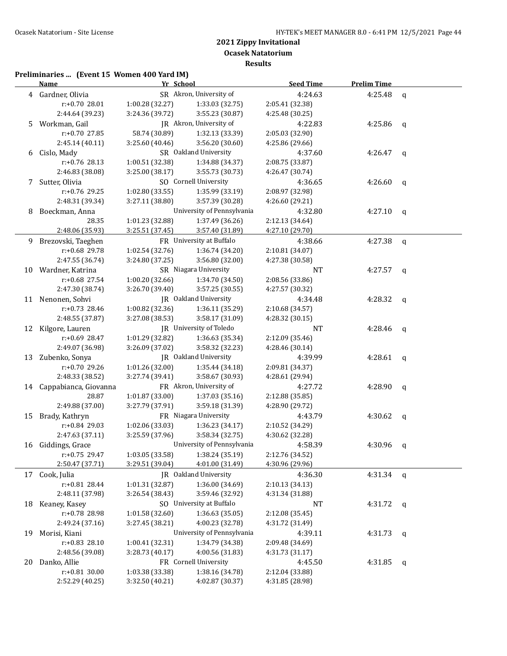**Results**

# **Preliminaries ... (Event 15 Women 400 Yard IM)**

|    | <b>Name</b>              | Yr School       |                                    | <b>Seed Time</b> | <b>Prelim Time</b> |              |
|----|--------------------------|-----------------|------------------------------------|------------------|--------------------|--------------|
|    | 4 Gardner, Olivia        |                 | SR Akron, University of            | 4:24.63          | 4:25.48            | $\mathsf{q}$ |
|    | r:+0.70 28.01            | 1:00.28 (32.27) | 1:33.03 (32.75)                    | 2:05.41 (32.38)  |                    |              |
|    | 2:44.64 (39.23)          | 3:24.36 (39.72) | 3:55.23 (30.87)                    | 4:25.48 (30.25)  |                    |              |
| 5  | Workman, Gail            |                 | JR Akron, University of            | 4:22.83          | 4:25.86            | q            |
|    | r:+0.70 27.85            | 58.74 (30.89)   | 1:32.13 (33.39)                    | 2:05.03 (32.90)  |                    |              |
|    | 2:45.14 (40.11)          | 3:25.60 (40.46) | 3:56.20 (30.60)                    | 4:25.86 (29.66)  |                    |              |
| 6  | Cislo, Mady              |                 | SR Oakland University              | 4:37.60          | 4:26.47            | q            |
|    | r:+0.76 28.13            | 1:00.51 (32.38) | 1:34.88 (34.37)                    | 2:08.75 (33.87)  |                    |              |
|    | 2:46.83 (38.08)          | 3:25.00 (38.17) | 3:55.73 (30.73)                    | 4:26.47 (30.74)  |                    |              |
|    | 7 Sutter, Olivia         |                 | SO Cornell University              | 4:36.65          | 4:26.60            | q            |
|    | r:+0.76 29.25            | 1:02.80 (33.55) | 1:35.99 (33.19)                    | 2:08.97 (32.98)  |                    |              |
|    | 2:48.31 (39.34)          | 3:27.11 (38.80) | 3:57.39 (30.28)<br>4:26.60 (29.21) |                  |                    |              |
| 8  | Boeckman, Anna           |                 | University of Pennsylvania         | 4:32.80          | 4:27.10            | q            |
|    | 28.35                    | 1:01.23 (32.88) | 1:37.49 (36.26)                    | 2:12.13 (34.64)  |                    |              |
|    | 2:48.06 (35.93)          | 3:25.51 (37.45) | 3:57.40 (31.89)                    | 4:27.10 (29.70)  |                    |              |
| 9  | Brezovski, Taeghen       |                 | FR University at Buffalo           | 4:38.66          | 4:27.38            | q            |
|    | r:+0.68 29.78            | 1:02.54(32.76)  | 1:36.74 (34.20)                    | 2:10.81 (34.07)  |                    |              |
|    | 2:47.55 (36.74)          | 3:24.80 (37.25) | 3:56.80 (32.00)                    | 4:27.38 (30.58)  |                    |              |
| 10 | Wardner, Katrina         |                 | SR Niagara University              | NT               | 4:27.57            | q            |
|    | $r: +0.68$ 27.54         | 1:00.20(32.66)  | 1:34.70 (34.50)                    | 2:08.56 (33.86)  |                    |              |
|    | 2:47.30 (38.74)          | 3:26.70 (39.40) | 3:57.25 (30.55)                    | 4:27.57 (30.32)  |                    |              |
|    | 11 Nenonen, Sohvi        |                 | JR Oakland University              | 4:34.48          | 4:28.32            | q            |
|    | r:+0.73 28.46            | 1:00.82(32.36)  | 1:36.11 (35.29)                    | 2:10.68 (34.57)  |                    |              |
|    | 2:48.55 (37.87)          | 3:27.08 (38.53) | 3:58.17 (31.09)                    | 4:28.32 (30.15)  |                    |              |
|    | 12 Kilgore, Lauren       |                 | JR University of Toledo            | NT               | 4:28.46            | q            |
|    | r:+0.69 28.47            | 1:01.29 (32.82) | 1:36.63 (35.34)                    | 2:12.09 (35.46)  |                    |              |
|    | 2:49.07 (36.98)          | 3:26.09 (37.02) | 3:58.32 (32.23)                    | 4:28.46 (30.14)  |                    |              |
|    | 13 Zubenko, Sonya        |                 | JR Oakland University              | 4:39.99          | 4:28.61            | q            |
|    | r:+0.70 29.26            | 1:01.26 (32.00) | 1:35.44 (34.18)                    | 2:09.81 (34.37)  |                    |              |
|    | 2:48.33 (38.52)          | 3:27.74 (39.41) | 3:58.67 (30.93)                    | 4:28.61 (29.94)  |                    |              |
|    | 14 Cappabianca, Giovanna |                 | FR Akron, University of            | 4:27.72          | 4:28.90            | q            |
|    | 28.87                    | 1:01.87 (33.00) | 1:37.03 (35.16)                    | 2:12.88 (35.85)  |                    |              |
|    | 2:49.88 (37.00)          | 3:27.79 (37.91) | 3:59.18 (31.39)                    | 4:28.90 (29.72)  |                    |              |
|    | 15 Brady, Kathryn        |                 | FR Niagara University              | 4:43.79          | 4:30.62            | q            |
|    | r:+0.84 29.03            | 1:02.06 (33.03) | 1:36.23 (34.17)                    | 2:10.52 (34.29)  |                    |              |
|    | 2:47.63 (37.11)          | 3:25.59 (37.96) | 3:58.34 (32.75)                    | 4:30.62 (32.28)  |                    |              |
|    | 16 Giddings, Grace       |                 | University of Pennsylvania         | 4:58.39          | 4:30.96            | q            |
|    | r:+0.75 29.47            | 1:03.05 (33.58) | 1:38.24 (35.19)                    | 2:12.76 (34.52)  |                    |              |
|    | 2:50.47 (37.71)          | 3:29.51 (39.04) | 4:01.00 (31.49)                    | 4:30.96 (29.96)  |                    |              |
| 17 | Cook, Julia              |                 | JR Oakland University              | 4:36.30          | 4:31.34            | q            |
|    | r:+0.81 28.44            | 1:01.31 (32.87) | 1:36.00 (34.69)                    | 2:10.13 (34.13)  |                    |              |
|    | 2:48.11 (37.98)          | 3:26.54 (38.43) | 3:59.46 (32.92)                    | 4:31.34 (31.88)  |                    |              |
| 18 | Keaney, Kasey            |                 | SO University at Buffalo           | NT               | 4:31.72            | q            |
|    | r:+0.78 28.98            | 1:01.58 (32.60) | 1:36.63 (35.05)                    | 2:12.08 (35.45)  |                    |              |
|    | 2:49.24 (37.16)          | 3:27.45 (38.21) | 4:00.23 (32.78)                    | 4:31.72 (31.49)  |                    |              |
| 19 | Morisi, Kiani            |                 | University of Pennsylvania         | 4:39.11          | 4:31.73            | q            |
|    | r:+0.83 28.10            | 1:00.41 (32.31) | 1:34.79 (34.38)                    | 2:09.48 (34.69)  |                    |              |
|    | 2:48.56 (39.08)          | 3:28.73 (40.17) | 4:00.56 (31.83)                    | 4:31.73 (31.17)  |                    |              |
| 20 | Danko, Allie             |                 | FR Cornell University              | 4:45.50          | 4:31.85            | q            |
|    | r:+0.81 30.00            | 1:03.38 (33.38) | 1:38.16 (34.78)                    | 2:12.04 (33.88)  |                    |              |
|    | 2:52.29 (40.25)          | 3:32.50 (40.21) | 4:02.87 (30.37)                    | 4:31.85 (28.98)  |                    |              |
|    |                          |                 |                                    |                  |                    |              |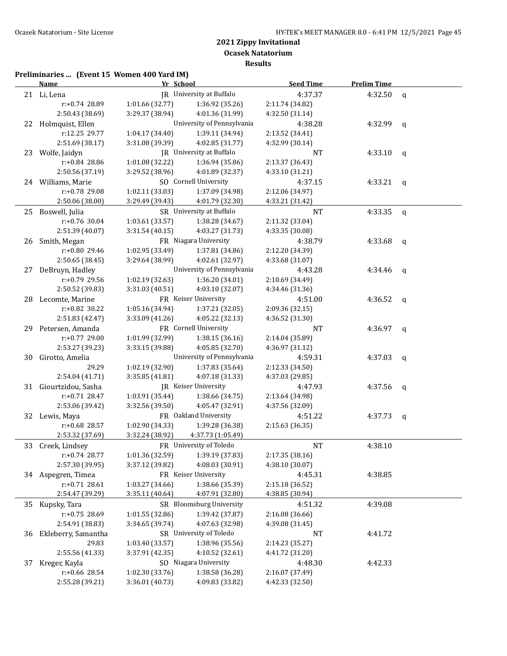**Results**

# **Preliminaries ... (Event 15 Women 400 Yard IM)**

|    | <b>Name</b>                       | Yr School       |                                    | <b>Seed Time</b>           | <b>Prelim Time</b> |              |
|----|-----------------------------------|-----------------|------------------------------------|----------------------------|--------------------|--------------|
|    | 21 Li, Lena                       |                 | JR University at Buffalo           | 4:37.37                    | 4:32.50            | $\mathsf{q}$ |
|    | r:+0.74 28.89                     | 1:01.66(32.77)  | 1:36.92 (35.26)                    | 2:11.74 (34.82)            |                    |              |
|    | 2:50.43 (38.69)                   | 3:29.37 (38.94) | 4:01.36 (31.99)                    | 4:32.50 (31.14)            |                    |              |
|    | 22 Holmquist, Ellen               |                 | University of Pennsylvania         | 4:38.28                    | 4:32.99            | $\mathsf{q}$ |
|    | r:12.25 29.77                     | 1:04.17 (34.40) | 1:39.11 (34.94)                    | 2:13.52 (34.41)            |                    |              |
|    | 2:51.69 (38.17)                   | 3:31.08 (39.39) | 4:02.85 (31.77)                    | 4:32.99 (30.14)            |                    |              |
|    | 23 Wolfe, Jaidyn                  |                 | JR University at Buffalo           | NT                         | 4:33.10            | q            |
|    | r:+0.84 28.86                     | 1:01.08 (32.22) | 1:36.94 (35.86)                    | 2:13.37 (36.43)            |                    |              |
|    | 2:50.56 (37.19)                   | 3:29.52 (38.96) | 4:01.89 (32.37)                    | 4:33.10 (31.21)            |                    |              |
|    | 24 Williams, Marie                |                 | SO Cornell University              | 4:37.15                    | 4:33.21 $q$        |              |
|    | r:+0.78 29.08                     | 1:02.11 (33.03) | 1:37.09 (34.98)                    | 2:12.06 (34.97)            |                    |              |
|    | 2:50.06 (38.00)                   | 3:29.49 (39.43) | 4:01.79 (32.30)                    | 4:33.21 (31.42)            |                    |              |
|    | 25 Boswell, Julia                 |                 | SR University at Buffalo           | $\rm{NT}$                  | 4:33.35            | $\mathbf{q}$ |
|    | r:+0.76 30.04                     | 1:03.61 (33.57) | 1:38.28 (34.67)                    | 2:11.32 (33.04)            |                    |              |
|    | 2:51.39 (40.07)                   | 3:31.54 (40.15) | 4:03.27 (31.73)                    | 4:33.35 (30.08)            |                    |              |
|    | 26 Smith, Megan                   |                 | FR Niagara University              | 4:38.79                    | 4:33.68            | q            |
|    | r:+0.80 29.46                     | 1:02.95 (33.49) | 1:37.81 (34.86)                    | 2:12.20 (34.39)            |                    |              |
|    | 2:50.65 (38.45)                   | 3:29.64 (38.99) | 4:02.61 (32.97)                    | 4:33.68 (31.07)            |                    |              |
|    | 27 DeBruyn, Hadley                |                 | University of Pennsylvania         | 4:43.28                    | 4:34.46            | q            |
|    | r:+0.79 29.56                     | 1:02.19(32.63)  | 1:36.20 (34.01)                    | 2:10.69 (34.49)            |                    |              |
|    | 2:50.52 (39.83)                   | 3:31.03(40.51)  | 4:03.10 (32.07)                    | 4:34.46 (31.36)            |                    |              |
|    | 28 Lecomte, Marine                |                 | FR Keiser University               | 4:51.00                    | 4:36.52            | $\mathsf{q}$ |
|    | $r: +0.82$ 30.22                  | 1:05.16 (34.94) | 1:37.21 (32.05)                    | 2:09.36 (32.15)            |                    |              |
|    | 2:51.83 (42.47)                   | 3:33.09 (41.26) | 4:05.22 (32.13)                    | 4:36.52 (31.30)            |                    |              |
|    | 29 Petersen, Amanda               |                 | FR Cornell University              | NT                         | 4:36.97            | q            |
|    | r:+0.77 29.00                     | 1:01.99 (32.99) | 1:38.15 (36.16)                    | 2:14.04 (35.89)            |                    |              |
|    | 2:53.27 (39.23)                   | 3:33.15 (39.88) | 4:05.85 (32.70)                    | 4:36.97 (31.12)            |                    |              |
| 30 | Girotto, Amelia                   |                 | University of Pennsylvania         | 4:59.31                    | 4:37.03            | $\mathbf q$  |
|    | 29.29                             | 1:02.19 (32.90) | 1:37.83 (35.64)                    | 2:12.33 (34.50)            |                    |              |
|    | 2:54.04 (41.71)                   | 3:35.85 (41.81) | 4:07.18 (31.33)                    | 4:37.03 (29.85)            |                    |              |
|    | 31 Giourtzidou, Sasha             |                 | <b>IR</b> Keiser University        | 4:47.93                    | 4:37.56            | q            |
|    | $r: +0.71$ 28.47                  | 1:03.91 (35.44) | 1:38.66 (34.75)                    | 2:13.64 (34.98)            |                    |              |
|    | 2:53.06 (39.42)                   | 3:32.56 (39.50) | 4:05.47 (32.91)                    | 4:37.56 (32.09)            |                    |              |
|    | 32 Lewis, Maya                    |                 | FR Oakland University              | 4:51.22                    | 4:37.73            | q            |
|    | r:+0.68 28.57                     | 1:02.90 (34.33) | 1:39.28 (36.38)                    | 2:15.63 (36.35)            |                    |              |
|    | 2:53.32 (37.69)                   | 3:32.24 (38.92) | 4:37.73 (1:05.49)                  |                            |                    |              |
|    | 33 Creek, Lindsey                 |                 | FR University of Toledo            | <b>NT</b>                  | 4:38.10            |              |
|    | $r+0.74$ 28.77<br>2:57.30 (39.95) | 1:01.36 (32.59) | 1:39.19 (37.83)<br>4:08.03 (30.91) | 2:17.35 (38.16)            |                    |              |
|    | 34 Aspegren, Timea                | 3:37.12 (39.82) | FR Keiser University               | 4:38.10 (30.07)            |                    |              |
|    | $r: +0.71$ 28.61                  | 1:03.27 (34.66) | 1:38.66 (35.39)                    | 4:45.31<br>2:15.18 (36.52) | 4:38.85            |              |
|    | 2:54.47 (39.29)                   | 3:35.11 (40.64) | 4:07.91 (32.80)                    | 4:38.85 (30.94)            |                    |              |
|    |                                   |                 | SR Bloomsburg University           | 4:51.32                    | 4:39.08            |              |
| 35 | Kupsky, Tara<br>r:+0.75 28.69     | 1:01.55 (32.86) | 1:39.42 (37.87)                    | 2:16.08 (36.66)            |                    |              |
|    | 2:54.91 (38.83)                   | 3:34.65 (39.74) | 4:07.63 (32.98)                    | 4:39.08 (31.45)            |                    |              |
| 36 | Ekleberry, Samantha               |                 | SR University of Toledo            | NT                         | 4:41.72            |              |
|    | 29.83                             | 1:03.40 (33.57) | 1:38.96 (35.56)                    | 2:14.23 (35.27)            |                    |              |
|    | 2:55.56 (41.33)                   | 3:37.91 (42.35) | 4:10.52 (32.61)                    | 4:41.72 (31.20)            |                    |              |
| 37 | Kreger, Kayla                     |                 | SO Niagara University              | 4:48.30                    | 4:42.33            |              |
|    | r:+0.66 28.54                     | 1:02.30 (33.76) | 1:38.58 (36.28)                    | 2:16.07 (37.49)            |                    |              |
|    | 2:55.28 (39.21)                   | 3:36.01 (40.73) | 4:09.83 (33.82)                    | 4:42.33 (32.50)            |                    |              |
|    |                                   |                 |                                    |                            |                    |              |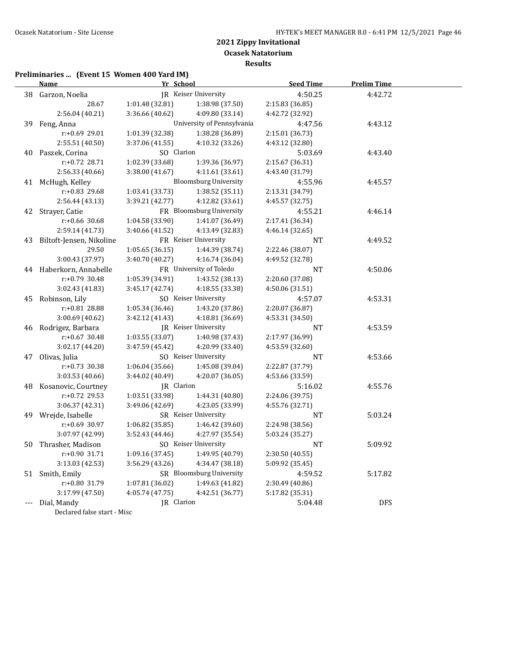**Ocasek Natatorium**

**Results**

# **Preliminaries ... (Event 15 Women 400 Yard IM)**

|    | <b>Name</b>                 | Yr School       |                              | <b>Seed Time</b> | <b>Prelim Time</b> |  |
|----|-----------------------------|-----------------|------------------------------|------------------|--------------------|--|
|    | 38 Garzon, Noelia           |                 | JR Keiser University         | 4:50.25          | 4:42.72            |  |
|    | 28.67                       | 1:01.48(32.81)  | 1:38.98 (37.50)              | 2:15.83 (36.85)  |                    |  |
|    | 2:56.04 (40.21)             | 3:36.66 (40.62) | 4:09.80 (33.14)              | 4:42.72 (32.92)  |                    |  |
|    | 39 Feng, Anna               |                 | University of Pennsylvania   | 4:47.56          | 4:43.12            |  |
|    | r:+0.69 29.01               | 1:01.39 (32.38) | 1:38.28 (36.89)              | 2:15.01 (36.73)  |                    |  |
|    | 2:55.51 (40.50)             | 3:37.06 (41.55) | 4:10.32 (33.26)              | 4:43.12 (32.80)  |                    |  |
|    | 40 Paszek, Corina           | SO Clarion      |                              | 5:03.69          | 4:43.40            |  |
|    | $r: +0.72$ 28.71            | 1:02.39 (33.68) | 1:39.36 (36.97)              | 2:15.67 (36.31)  |                    |  |
|    | 2:56.33 (40.66)             | 3:38.00 (41.67) | 4:11.61 (33.61)              | 4:43.40 (31.79)  |                    |  |
|    | 41 McHugh, Kelley           |                 | <b>Bloomsburg University</b> | 4:55.96          | 4:45.57            |  |
|    | $r: +0.83$ 29.68            | 1:03.41 (33.73) | 1:38.52(35.11)               | 2:13.31 (34.79)  |                    |  |
|    | 2:56.44 (43.13)             | 3:39.21 (42.77) | 4:12.82 (33.61)              | 4:45.57 (32.75)  |                    |  |
|    | 42 Strayer, Catie           |                 | FR Bloomsburg University     | 4:55.21          | 4:46.14            |  |
|    | r:+0.66 30.68               | 1:04.58 (33.90) | 1:41.07 (36.49)              | 2:17.41 (36.34)  |                    |  |
|    | 2:59.14 (41.73)             | 3:40.66 (41.52) | 4:13.49 (32.83)              | 4:46.14 (32.65)  |                    |  |
|    | 43 Biltoft-Jensen, Nikoline |                 | FR Keiser University         | NT               | 4:49.52            |  |
|    | 29.50                       | 1:05.65(36.15)  | 1:44.39 (38.74)              | 2:22.46 (38.07)  |                    |  |
|    | 3:00.43 (37.97)             | 3:40.70 (40.27) | 4:16.74 (36.04)              | 4:49.52 (32.78)  |                    |  |
|    | 44 Haberkorn, Annabelle     |                 | FR University of Toledo      | NT               | 4:50.06            |  |
|    | $r: +0.79$ 30.48            | 1:05.39 (34.91) | 1:43.52 (38.13)              | 2:20.60 (37.08)  |                    |  |
|    | 3:02.43 (41.83)             | 3:45.17 (42.74) | 4:18.55 (33.38)              | 4:50.06 (31.51)  |                    |  |
|    | 45 Robinson, Lily           |                 | SO Keiser University         | 4:57.07          | 4:53.31            |  |
|    | r:+0.81 28.88               | 1:05.34(36.46)  | 1:43.20 (37.86)              | 2:20.07 (36.87)  |                    |  |
|    | 3:00.69(40.62)              | 3:42.12 (41.43) | 4:18.81 (36.69)              | 4:53.31 (34.50)  |                    |  |
|    | 46 Rodrigez, Barbara        |                 | JR Keiser University         | NT               | 4:53.59            |  |
|    | $r: +0.67$ 30.48            | 1:03.55(33.07)  | 1:40.98 (37.43)              | 2:17.97 (36.99)  |                    |  |
|    | 3:02.17 (44.20)             | 3:47.59 (45.42) | 4:20.99 (33.40)              | 4:53.59 (32.60)  |                    |  |
|    | 47 Olivas, Julia            |                 | SO Keiser University         | NT               | 4:53.66            |  |
|    | $r: +0.73$ 30.38            | 1:06.04 (35.66) | 1:45.08 (39.04)              | 2:22.87 (37.79)  |                    |  |
|    | 3:03.53 (40.66)             | 3:44.02 (40.49) | 4:20.07 (36.05)              | 4:53.66 (33.59)  |                    |  |
|    | 48 Kosanovic, Courtney      | JR Clarion      |                              | 5:16.02          | 4:55.76            |  |
|    | r:+0.72 29.53               | 1:03.51 (33.98) | 1:44.31 (40.80)              | 2:24.06 (39.75)  |                    |  |
|    | 3:06.37 (42.31)             | 3:49.06 (42.69) | 4:23.05 (33.99)              | 4:55.76 (32.71)  |                    |  |
|    | 49 Wrejde, Isabelle         |                 | SR Keiser University         | NT               | 5:03.24            |  |
|    | r:+0.69 30.97               | 1:06.82 (35.85) | 1:46.42 (39.60)              | 2:24.98 (38.56)  |                    |  |
|    | 3:07.97 (42.99)             | 3:52.43 (44.46) | 4:27.97 (35.54)              | 5:03.24 (35.27)  |                    |  |
| 50 | Thrasher, Madison           |                 | SO Keiser University         | <b>NT</b>        | 5:09.92            |  |
|    | r:+0.90 31.71               | 1:09.16 (37.45) | 1:49.95 (40.79)              | 2:30.50 (40.55)  |                    |  |
|    | 3:13.03 (42.53)             | 3:56.29(43.26)  | 4:34.47 (38.18)              | 5:09.92 (35.45)  |                    |  |
|    | 51 Smith, Emily             |                 | SR Bloomsburg University     | 4:59.52          | 5:17.82            |  |
|    | r:+0.80 31.79               | 1:07.81 (36.02) | 1:49.63 (41.82)              | 2:30.49 (40.86)  |                    |  |
|    | 3:17.99 (47.50)             | 4:05.74 (47.75) | 4:42.51 (36.77)              | 5:17.82 (35.31)  |                    |  |
|    | Dial, Mandy                 | JR Clarion      |                              | 5:04.48          | <b>DFS</b>         |  |
|    | $D = 1$ . $101 - 11$        |                 |                              |                  |                    |  |

Declared false start - Misc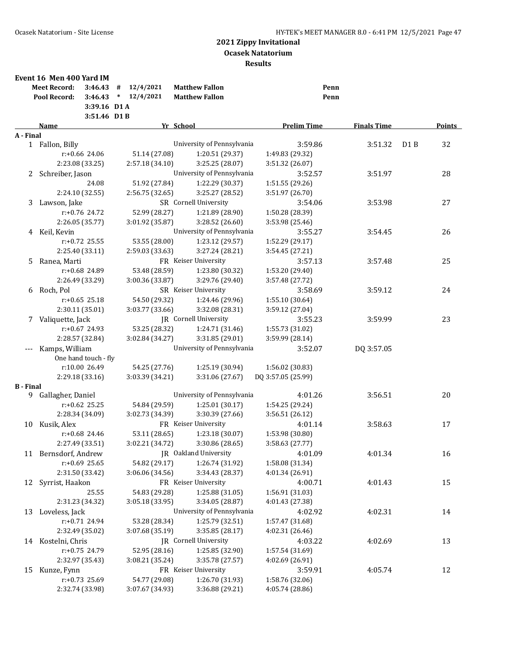|                  | Event 16 Men 400 Yard IM<br><b>Meet Record:</b><br>Pool Record:      | 3:46.43<br>3:46.43<br>3:39.16 D1 A<br>3:51.46 D1B | 12/4/2021<br>#<br>12/4/2021<br>$\ast$ | <b>Matthew Fallon</b><br><b>Matthew Fallon</b> |                                    | Penn<br>Penn       |      |               |
|------------------|----------------------------------------------------------------------|---------------------------------------------------|---------------------------------------|------------------------------------------------|------------------------------------|--------------------|------|---------------|
|                  | Name                                                                 |                                                   |                                       | Yr School                                      | <b>Prelim Time</b>                 | <b>Finals Time</b> |      | <b>Points</b> |
| A - Final        |                                                                      |                                                   |                                       | University of Pennsylvania                     |                                    |                    |      |               |
|                  | 1 Fallon, Billy                                                      |                                                   |                                       |                                                | 3:59.86                            | 3:51.32            | D1 B | 32            |
|                  | 2:23.08 (33.25)                                                      | r:+0.66 24.06                                     | 51.14 (27.08)                         | 1:20.51 (29.37)<br>3:25.25 (28.07)             | 1:49.83 (29.32)                    |                    |      |               |
|                  |                                                                      |                                                   | 2:57.18 (34.10)                       | University of Pennsylvania                     | 3:51.32 (26.07)<br>3:52.57         |                    |      | 28            |
|                  | 2 Schreiber, Jason                                                   | 24.08                                             | 51.92 (27.84)                         | 1:22.29 (30.37)                                | 1:51.55 (29.26)                    | 3:51.97            |      |               |
|                  | 2:24.10 (32.55)                                                      |                                                   | 2:56.75 (32.65)                       | 3:25.27 (28.52)                                | 3:51.97 (26.70)                    |                    |      |               |
| 3                | Lawson, Jake                                                         |                                                   |                                       | SR Cornell University                          | 3:54.06                            | 3:53.98            |      | 27            |
|                  |                                                                      | $r: +0.76$ 24.72                                  | 52.99 (28.27)                         | 1:21.89 (28.90)                                | 1:50.28 (28.39)                    |                    |      |               |
|                  | 2:26.05 (35.77)                                                      |                                                   | 3:01.92 (35.87)                       | 3:28.52 (26.60)                                | 3:53.98 (25.46)                    |                    |      |               |
|                  |                                                                      |                                                   |                                       | University of Pennsylvania                     | 3:55.27                            | 3:54.45            |      | 26            |
|                  | 4 Keil, Kevin                                                        | $r: +0.72$ 25.55                                  | 53.55 (28.00)                         | 1:23.12 (29.57)                                |                                    |                    |      |               |
|                  | 2:25.40 (33.11)                                                      |                                                   | 2:59.03 (33.63)                       | 3:27.24 (28.21)                                | 1:52.29 (29.17)<br>3:54.45 (27.21) |                    |      |               |
| 5.               |                                                                      |                                                   |                                       | FR Keiser University                           | 3:57.13                            | 3:57.48            |      | 25            |
|                  | Ranea, Marti                                                         |                                                   |                                       | 1:23.80 (30.32)                                | 1:53.20 (29.40)                    |                    |      |               |
|                  | r:+0.68 24.89<br>53.48 (28.59)<br>2:26.49 (33.29)<br>3:00.36 (33.87) |                                                   |                                       | 3:29.76 (29.40)                                | 3:57.48 (27.72)                    |                    |      |               |
|                  |                                                                      |                                                   |                                       | SR Keiser University                           | 3:58.69                            | 3:59.12            |      | 24            |
| 6                | Roch, Pol                                                            | $r: +0.65$ 25.18                                  | 54.50 (29.32)                         | 1:24.46 (29.96)                                | 1:55.10 (30.64)                    |                    |      |               |
|                  | 2:30.11 (35.01)                                                      |                                                   | 3:03.77 (33.66)                       | 3:32.08 (28.31)                                | 3:59.12 (27.04)                    |                    |      |               |
|                  | 7 Valiquette, Jack                                                   |                                                   |                                       | JR Cornell University                          | 3:55.23                            | 3:59.99            |      | 23            |
|                  |                                                                      | $r: +0.67$ 24.93                                  | 53.25 (28.32)                         | 1:24.71 (31.46)                                | 1:55.73 (31.02)                    |                    |      |               |
|                  | 2:28.57 (32.84)                                                      |                                                   | 3:02.84 (34.27)                       | 3:31.85 (29.01)                                | 3:59.99 (28.14)                    |                    |      |               |
|                  | Kamps, William                                                       |                                                   |                                       | University of Pennsylvania                     | 3:52.07                            | DQ 3:57.05         |      |               |
|                  |                                                                      | One hand touch - fly                              |                                       |                                                |                                    |                    |      |               |
|                  |                                                                      | r:10.00 26.49                                     | 54.25 (27.76)                         | 1:25.19 (30.94)                                | 1:56.02 (30.83)                    |                    |      |               |
|                  | 2:29.18 (33.16)                                                      |                                                   | 3:03.39 (34.21)                       | 3:31.06 (27.67)                                | DQ 3:57.05 (25.99)                 |                    |      |               |
| <b>B</b> - Final |                                                                      |                                                   |                                       |                                                |                                    |                    |      |               |
| 9                | Gallagher, Daniel                                                    |                                                   |                                       | University of Pennsylvania                     | 4:01.26                            | 3:56.51            |      | 20            |
|                  |                                                                      | $r: +0.62$ 25.25                                  | 54.84 (29.59)                         | 1:25.01 (30.17)                                | 1:54.25 (29.24)                    |                    |      |               |
|                  | 2:28.34 (34.09)                                                      |                                                   | 3:02.73 (34.39)                       | 3:30.39 (27.66)                                | 3:56.51 (26.12)                    |                    |      |               |
| 10               | Kusik, Alex                                                          |                                                   |                                       | FR Keiser University                           | 4:01.14                            | 3:58.63            |      | 17            |
|                  |                                                                      | $r: +0.68$ 24.46                                  | 53.11 (28.65)                         | 1:23.18 (30.07)                                | 1:53.98 (30.80)                    |                    |      |               |
|                  | 2:27.49 (33.51)                                                      |                                                   | 3:02.21 (34.72)                       | 3:30.86 (28.65)                                | 3:58.63 (27.77)                    |                    |      |               |
|                  | 11 Bernsdorf, Andrew                                                 |                                                   |                                       | JR Oakland University                          | 4:01.09                            | 4:01.34            |      | 16            |
|                  |                                                                      | r:+0.69 25.65                                     | 54.82 (29.17)                         | 1:26.74 (31.92)                                | 1:58.08 (31.34)                    |                    |      |               |
|                  | 2:31.50 (33.42)                                                      |                                                   | 3:06.06 (34.56)                       | 3:34.43 (28.37)                                | 4:01.34 (26.91)                    |                    |      |               |
|                  | 12 Syrrist, Haakon                                                   |                                                   |                                       | FR Keiser University                           | 4:00.71                            | 4:01.43            |      | 15            |
|                  |                                                                      | 25.55                                             | 54.83 (29.28)                         | 1:25.88 (31.05)                                | 1:56.91 (31.03)                    |                    |      |               |
|                  | 2:31.23 (34.32)                                                      |                                                   | 3:05.18 (33.95)                       | 3:34.05 (28.87)                                | 4:01.43 (27.38)                    |                    |      |               |
|                  | 13 Loveless, Jack                                                    |                                                   |                                       | University of Pennsylvania                     | 4:02.92                            | 4:02.31            |      | 14            |
|                  |                                                                      | r:+0.71 24.94                                     | 53.28 (28.34)                         | 1:25.79 (32.51)                                | 1:57.47 (31.68)                    |                    |      |               |
|                  | 2:32.49 (35.02)                                                      |                                                   | 3:07.68 (35.19)                       | 3:35.85 (28.17)                                | 4:02.31(26.46)                     |                    |      |               |
|                  | 14 Kostelni, Chris                                                   |                                                   |                                       | JR Cornell University                          | 4:03.22                            | 4:02.69            |      | 13            |
|                  |                                                                      | r:+0.75 24.79                                     | 52.95 (28.16)                         | 1:25.85 (32.90)                                | 1:57.54 (31.69)                    |                    |      |               |
|                  | 2:32.97 (35.43)                                                      |                                                   | 3:08.21 (35.24)                       | 3:35.78 (27.57)                                | 4:02.69 (26.91)                    |                    |      |               |
| 15               | Kunze, Fynn                                                          |                                                   |                                       | FR Keiser University                           | 3:59.91                            | 4:05.74            |      | 12            |
|                  |                                                                      | r:+0.73 25.69                                     | 54.77 (29.08)                         | 1:26.70 (31.93)                                | 1:58.76 (32.06)                    |                    |      |               |
|                  | 2:32.74 (33.98)                                                      |                                                   | 3:07.67 (34.93)                       | 3:36.88 (29.21)                                | 4:05.74 (28.86)                    |                    |      |               |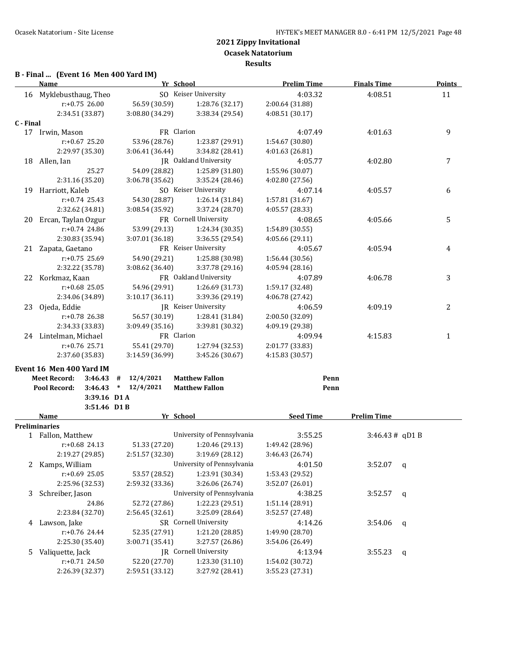# **B - Final ... (Event 16 Men 400 Yard IM)**

|           | <b>Name</b>                    | Yr School       |                              | <b>Prelim Time</b> | <b>Finals Time</b> | <b>Points</b> |
|-----------|--------------------------------|-----------------|------------------------------|--------------------|--------------------|---------------|
|           | 16 Myklebusthaug, Theo         |                 | SO Keiser University         | 4:03.32            | 4:08.51            | 11            |
|           | $r: +0.75$ 26.00               | 56.59 (30.59)   | 1:28.76 (32.17)              | 2:00.64 (31.88)    |                    |               |
|           | 2:34.51 (33.87)                | 3:08.80 (34.29) | 3:38.34 (29.54)              | 4:08.51 (30.17)    |                    |               |
| C - Final |                                |                 |                              |                    |                    |               |
|           | 17 Irwin, Mason                | FR Clarion      |                              | 4:07.49            | 4:01.63            | 9             |
|           | $r: +0.67$ 25.20               | 53.96 (28.76)   | 1:23.87 (29.91)              | 1:54.67 (30.80)    |                    |               |
|           | 2:29.97 (35.30)                | 3:06.41 (36.44) | 3:34.82 (28.41)              | 4:01.63 (26.81)    |                    |               |
|           | 18 Allen, Ian                  |                 | JR Oakland University        | 4:05.77            | 4:02.80            | 7             |
|           | 25.27                          | 54.09 (28.82)   | 1:25.89 (31.80)              | 1:55.96 (30.07)    |                    |               |
|           | 2:31.16 (35.20)                | 3:06.78 (35.62) | 3:35.24 (28.46)              | 4:02.80 (27.56)    |                    |               |
|           | 19 Harriott, Kaleb             |                 | SO Keiser University         | 4:07.14            | 4:05.57            | 6             |
|           | $r: +0.74$ 25.43               | 54.30 (28.87)   | 1:26.14 (31.84)              | 1:57.81 (31.67)    |                    |               |
|           | 2:32.62 (34.81)                | 3:08.54 (35.92) | 3:37.24 (28.70)              | 4:05.57 (28.33)    |                    |               |
|           |                                |                 |                              |                    |                    |               |
| 20        | Ercan, Taylan Ozgur            |                 | FR Cornell University        | 4:08.65            | 4:05.66            | 5             |
|           | r:+0.74 24.86                  | 53.99 (29.13)   | 1:24.34 (30.35)              | 1:54.89 (30.55)    |                    |               |
|           | 2:30.83 (35.94)                | 3:07.01 (36.18) | 3:36.55 (29.54)              | 4:05.66 (29.11)    |                    |               |
|           | 21 Zapata, Gaetano             |                 | FR Keiser University         | 4:05.67            | 4:05.94            | 4             |
|           | $r: +0.75$ 25.69               | 54.90 (29.21)   | 1:25.88 (30.98)              | 1:56.44 (30.56)    |                    |               |
|           | 2:32.22 (35.78)                | 3:08.62 (36.40) | 3:37.78 (29.16)              | 4:05.94 (28.16)    |                    |               |
|           | 22 Korkmaz, Kaan               |                 | FR Oakland University        | 4:07.89            | 4:06.78            | 3             |
|           | $r: +0.68$ 25.05               | 54.96 (29.91)   | 1:26.69 (31.73)              | 1:59.17 (32.48)    |                    |               |
|           | 2:34.06 (34.89)                | 3:10.17 (36.11) | 3:39.36 (29.19)              | 4:06.78 (27.42)    |                    |               |
| 23        | Ojeda, Eddie                   |                 | JR Keiser University         | 4:06.59            | 4:09.19            | 2             |
|           | r:+0.78 26.38                  | 56.57 (30.19)   | 1:28.41 (31.84)              | 2:00.50 (32.09)    |                    |               |
|           | 2:34.33 (33.83)                | 3:09.49 (35.16) | 3:39.81 (30.32)              | 4:09.19 (29.38)    |                    |               |
|           | 24 Lintelman, Michael          | FR Clarion      |                              | 4:09.94            | 4:15.83            | $\mathbf{1}$  |
|           | $r: +0.76$ 25.71               | 55.41 (29.70)   | 1:27.94 (32.53)              | 2:01.77 (33.83)    |                    |               |
|           | 2:37.60 (35.83)                | 3:14.59 (36.99) | 3:45.26 (30.67)              | 4:15.83 (30.57)    |                    |               |
|           |                                |                 |                              |                    |                    |               |
|           | Event 16 Men 400 Yard IM       |                 |                              |                    |                    |               |
|           | <b>Meet Record:</b><br>3:46.43 | 12/4/2021<br>#  | <b>Matthew Fallon</b>        | Penn               |                    |               |
|           | Pool Record:<br>3:46.43        | $*$ 12/4/2021   | <b>Matthew Fallon</b>        | Penn               |                    |               |
|           | 3:39.16 D1 A                   |                 |                              |                    |                    |               |
|           | 3:51.46 D1B                    |                 |                              |                    |                    |               |
|           | <b>Name</b>                    | Yr School       |                              | <b>Seed Time</b>   | <b>Prelim Time</b> |               |
|           | <b>Preliminaries</b>           |                 |                              |                    |                    |               |
|           | 1 Fallon, Matthew              |                 | University of Pennsylvania   | 3:55.25            | $3:46.43#$ qD1 B   |               |
|           | $r: +0.68$ 24.13               | 51.33 (27.20)   | 1:20.46 (29.13)              | 1:49.42 (28.96)    |                    |               |
|           | 2:19.27 (29.85)                | 2:51.57 (32.30) | 3:19.69 (28.12)              | 3:46.43 (26.74)    |                    |               |
|           | 2 Kamps, William               |                 | University of Pennsylvania   | 4:01.50            | 3:52.07            | q             |
|           | $r: +0.69$ 25.05               | 53.57 (28.52)   | 1:23.91 (30.34)              | 1:53.43 (29.52)    |                    |               |
|           | 2:25.96 (32.53)                | 2:59.32 (33.36) | 3:26.06 (26.74)              | 3:52.07 (26.01)    |                    |               |
| 3         | Schreiber, Jason               |                 | University of Pennsylvania   | 4:38.25            | 3:52.57            | q             |
|           | 24.86                          | 52.72 (27.86)   | 1:22.23 (29.51)              | 1:51.14 (28.91)    |                    |               |
|           | 2:23.84 (32.70)                | 2:56.45 (32.61) | 3:25.09 (28.64)              | 3:52.57 (27.48)    |                    |               |
|           | 4 Lawson, Jake                 |                 | SR Cornell University        | 4:14.26            | 3:54.06            | q             |
|           | r:+0.76 24.44                  | 52.35 (27.91)   | 1:21.20 (28.85)              | 1:49.90 (28.70)    |                    |               |
|           | 2:25.30 (35.40)                | 3:00.71 (35.41) | 3:27.57 (26.86)              | 3:54.06 (26.49)    |                    |               |
| 5         |                                |                 | <b>IR</b> Cornell University | 4:13.94            |                    |               |
|           | Valiquette, Jack               |                 |                              |                    | 3:55.23            | q             |
|           | r:+0.71 24.50                  | 52.20 (27.70)   | 1:23.30 (31.10)              | 1:54.02 (30.72)    |                    |               |
|           | 2:26.39 (32.37)                | 2:59.51 (33.12) | 3:27.92 (28.41)              | 3:55.23 (27.31)    |                    |               |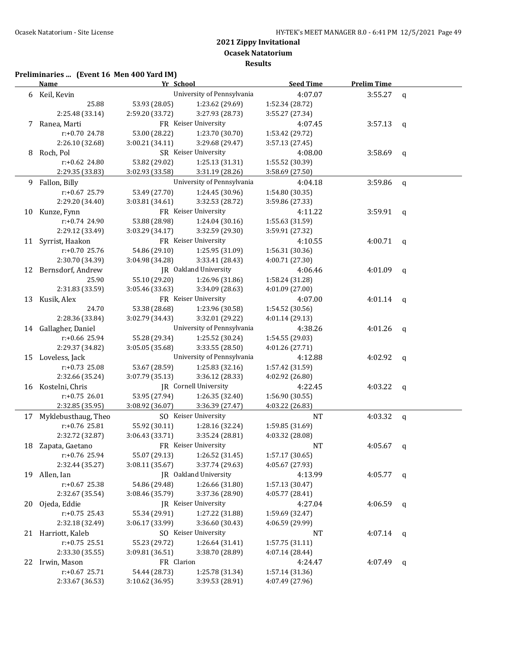# **Preliminaries ... (Event 16 Men 400 Yard IM)**

|    | <b>Name</b>            | Yr School       |                              | <b>Seed Time</b> | <b>Prelim Time</b> |              |
|----|------------------------|-----------------|------------------------------|------------------|--------------------|--------------|
|    | 6 Keil, Kevin          |                 | University of Pennsylvania   | 4:07.07          | 3:55.27            | q            |
|    | 25.88                  | 53.93 (28.05)   | 1:23.62 (29.69)              | 1:52.34 (28.72)  |                    |              |
|    | 2:25.48 (33.14)        | 2:59.20 (33.72) | 3:27.93 (28.73)              | 3:55.27 (27.34)  |                    |              |
|    | 7 Ranea, Marti         |                 | FR Keiser University         | 4:07.45          | 3:57.13            | $\mathbf{q}$ |
|    | r:+0.70 24.78          | 53.00 (28.22)   | 1:23.70 (30.70)              | 1:53.42 (29.72)  |                    |              |
|    | 2:26.10 (32.68)        | 3:00.21 (34.11) | 3:29.68 (29.47)              | 3:57.13 (27.45)  |                    |              |
|    | 8 Roch, Pol            |                 | SR Keiser University         | 4:08.00          | $3:58.69$ q        |              |
|    | r:+0.62 24.80          | 53.82 (29.02)   | 1:25.13 (31.31)              | 1:55.52 (30.39)  |                    |              |
|    | 2:29.35 (33.83)        | 3:02.93 (33.58) | 3:31.19 (28.26)              | 3:58.69 (27.50)  |                    |              |
|    | 9 Fallon, Billy        |                 | University of Pennsylvania   | 4:04.18          | 3:59.86            | $\mathsf{q}$ |
|    | r:+0.67 25.79          | 53.49 (27.70)   | 1:24.45 (30.96)              | 1:54.80 (30.35)  |                    |              |
|    | 2:29.20 (34.40)        | 3:03.81 (34.61) | 3:32.53 (28.72)              | 3:59.86 (27.33)  |                    |              |
|    | 10 Kunze, Fynn         |                 | FR Keiser University         | 4:11.22          | $3:59.91$ q        |              |
|    | r:+0.74 24.90          | 53.88 (28.98)   | 1:24.04 (30.16)              | 1:55.63 (31.59)  |                    |              |
|    | 2:29.12 (33.49)        | 3:03.29 (34.17) | 3:32.59 (29.30)              | 3:59.91 (27.32)  |                    |              |
|    | 11 Syrrist, Haakon     |                 | FR Keiser University         | 4:10.55          | 4:00.71            | q            |
|    | $r: +0.70$ 25.76       | 54.86 (29.10)   | 1:25.95 (31.09)              | 1:56.31 (30.36)  |                    |              |
|    | 2:30.70 (34.39)        | 3:04.98 (34.28) | 3:33.41 (28.43)              | 4:00.71 (27.30)  |                    |              |
|    | 12 Bernsdorf, Andrew   |                 | JR Oakland University        | 4:06.46          | 4:01.09            | q            |
|    | 25.90                  | 55.10 (29.20)   | 1:26.96 (31.86)              | 1:58.24 (31.28)  |                    |              |
|    | 2:31.83 (33.59)        | 3:05.46(33.63)  | 3:34.09 (28.63)              | 4:01.09 (27.00)  |                    |              |
|    | 13 Kusik, Alex         |                 | FR Keiser University         | 4:07.00          | 4:01.14            | $\mathsf{q}$ |
|    | 24.70                  | 53.38 (28.68)   | 1:23.96 (30.58)              | 1:54.52 (30.56)  |                    |              |
|    | 2:28.36 (33.84)        | 3:02.79 (34.43) | 3:32.01 (29.22)              | 4:01.14 (29.13)  |                    |              |
|    | 14 Gallagher, Daniel   |                 | University of Pennsylvania   | 4:38.26          | 4:01.26            | q            |
|    | r:+0.66 25.94          | 55.28 (29.34)   | 1:25.52 (30.24)              | 1:54.55 (29.03)  |                    |              |
|    | 2:29.37 (34.82)        | 3:05.05 (35.68) | 3:33.55 (28.50)              | 4:01.26 (27.71)  |                    |              |
|    | 15 Loveless, Jack      |                 | University of Pennsylvania   | 4:12.88          | 4:02.92            | q            |
|    | $r: +0.73$ 25.08       | 53.67 (28.59)   | 1:25.83 (32.16)              | 1:57.42 (31.59)  |                    |              |
|    | 2:32.66 (35.24)        | 3:07.79 (35.13) | 3:36.12 (28.33)              | 4:02.92 (26.80)  |                    |              |
|    | 16 Kostelni, Chris     |                 | <b>IR</b> Cornell University | 4:22.45          | 4:03.22            | q            |
|    | $r: +0.75$ 26.01       | 53.95 (27.94)   | 1:26.35 (32.40)              | 1:56.90 (30.55)  |                    |              |
|    | 2:32.85 (35.95)        | 3:08.92 (36.07) | 3:36.39 (27.47)              | 4:03.22 (26.83)  |                    |              |
|    | 17 Myklebusthaug, Theo |                 | SO Keiser University         | <b>NT</b>        | 4:03.32            | $\mathsf{q}$ |
|    | $r: +0.76$ 25.81       | 55.92 (30.11)   | 1:28.16 (32.24)              | 1:59.85 (31.69)  |                    |              |
|    | 2:32.72 (32.87)        | 3:06.43 (33.71) | 3:35.24 (28.81)              | 4:03.32 (28.08)  |                    |              |
|    | 18 Zapata, Gaetano     |                 | FR Keiser University         | <b>NT</b>        | 4:05.67            | q            |
|    | r:+0.76 25.94          | 55.07 (29.13)   | 1:26.52 (31.45)              | 1:57.17 (30.65)  |                    |              |
|    | 2:32.44 (35.27)        | 3:08.11 (35.67) | 3:37.74 (29.63)              | 4:05.67 (27.93)  |                    |              |
|    | 19 Allen, Ian          |                 | JR Oakland University        | 4:13.99          | 4:05.77            | q            |
|    | r:+0.67 25.38          | 54.86 (29.48)   | 1:26.66 (31.80)              | 1:57.13 (30.47)  |                    |              |
|    | 2:32.67 (35.54)        | 3:08.46 (35.79) | 3:37.36 (28.90)              | 4:05.77 (28.41)  |                    |              |
| 20 | Ojeda, Eddie           |                 | JR Keiser University         | 4:27.04          | 4:06.59            | q            |
|    | $r: +0.75$ 25.43       | 55.34 (29.91)   | 1:27.22 (31.88)              | 1:59.69 (32.47)  |                    |              |
|    | 2:32.18 (32.49)        | 3:06.17 (33.99) | 3:36.60 (30.43)              | 4:06.59 (29.99)  |                    |              |
|    | 21 Harriott, Kaleb     |                 | SO Keiser University         | <b>NT</b>        | 4:07.14            | q            |
|    | $r: +0.75$ 25.51       | 55.23 (29.72)   | 1:26.64 (31.41)              | 1:57.75 (31.11)  |                    |              |
|    | 2:33.30 (35.55)        | 3:09.81 (36.51) | 3:38.70 (28.89)              | 4:07.14 (28.44)  |                    |              |
| 22 | Irwin, Mason           | FR Clarion      |                              | 4:24.47          | 4:07.49            | q            |
|    | $r+0.67$ 25.71         | 54.44 (28.73)   | 1:25.78 (31.34)              | 1:57.14 (31.36)  |                    |              |
|    | 2:33.67 (36.53)        | 3:10.62 (36.95) | 3:39.53 (28.91)              | 4:07.49 (27.96)  |                    |              |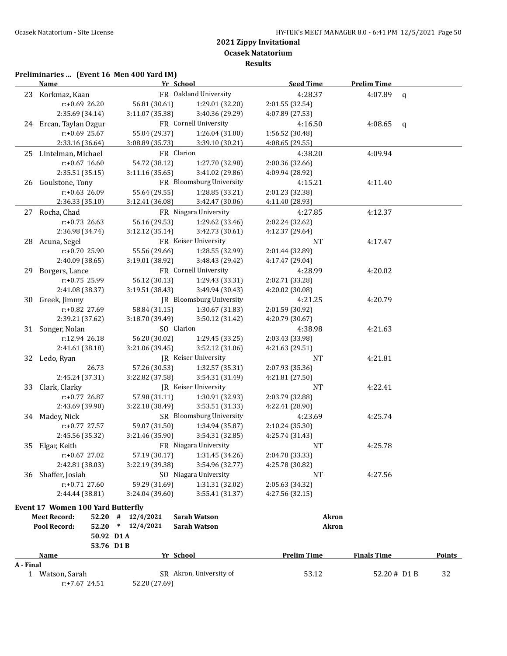**Results**

# **Preliminaries ... (Event 16 Men 400 Yard IM)**

|           | <b>Name</b>                              | Yr School       |                          | <b>Seed Time</b>   | <b>Prelim Time</b> |              |               |
|-----------|------------------------------------------|-----------------|--------------------------|--------------------|--------------------|--------------|---------------|
|           | 23 Korkmaz, Kaan                         |                 | FR Oakland University    | 4:28.37            | 4:07.89            | $\mathsf{q}$ |               |
|           | r:+0.69 26.20                            | 56.81 (30.61)   | 1:29.01 (32.20)          | 2:01.55 (32.54)    |                    |              |               |
|           | 2:35.69 (34.14)                          | 3:11.07 (35.38) | 3:40.36 (29.29)          | 4:07.89 (27.53)    |                    |              |               |
|           | 24 Ercan, Taylan Ozgur                   |                 | FR Cornell University    | 4:16.50            | 4:08.65            | $\mathbf{q}$ |               |
|           | r:+0.69 25.67                            | 55.04 (29.37)   | 1:26.04 (31.00)          | 1:56.52 (30.48)    |                    |              |               |
|           | 2:33.16 (36.64)                          | 3:08.89 (35.73) | 3:39.10 (30.21)          | 4:08.65 (29.55)    |                    |              |               |
|           | 25 Lintelman, Michael                    | FR Clarion      |                          | 4:38.20            | 4:09.94            |              |               |
|           | $r: +0.67$ 16.60                         | 54.72 (38.12)   | 1:27.70 (32.98)          | 2:00.36 (32.66)    |                    |              |               |
|           | 2:35.51 (35.15)                          | 3:11.16 (35.65) | 3:41.02 (29.86)          | 4:09.94 (28.92)    |                    |              |               |
|           | 26 Goulstone, Tony                       |                 | FR Bloomsburg University | 4:15.21            | 4:11.40            |              |               |
|           | $r: +0.63$ 26.09                         | 55.64 (29.55)   | 1:28.85 (33.21)          | 2:01.23 (32.38)    |                    |              |               |
|           | 2:36.33 (35.10)                          | 3:12.41 (36.08) | 3:42.47 (30.06)          | 4:11.40 (28.93)    |                    |              |               |
|           | 27 Rocha, Chad                           |                 | FR Niagara University    | 4:27.85            | 4:12.37            |              |               |
|           | $r: +0.73$ 26.63                         | 56.16 (29.53)   | 1:29.62 (33.46)          | 2:02.24 (32.62)    |                    |              |               |
|           | 2:36.98 (34.74)                          | 3:12.12 (35.14) | 3:42.73 (30.61)          | 4:12.37 (29.64)    |                    |              |               |
|           | 28 Acuna, Segel                          |                 | FR Keiser University     | NT                 | 4:17.47            |              |               |
|           | r:+0.70 25.90                            | 55.56 (29.66)   | 1:28.55 (32.99)          | 2:01.44 (32.89)    |                    |              |               |
|           | 2:40.09 (38.65)                          | 3:19.01 (38.92) | 3:48.43 (29.42)          | 4:17.47 (29.04)    |                    |              |               |
| 29        | Borgers, Lance                           |                 | FR Cornell University    | 4:28.99            | 4:20.02            |              |               |
|           | $r: +0.75$ 25.99                         | 56.12 (30.13)   | 1:29.43 (33.31)          | 2:02.71 (33.28)    |                    |              |               |
|           | 2:41.08 (38.37)                          | 3:19.51(38.43)  | 3:49.94 (30.43)          | 4:20.02 (30.08)    |                    |              |               |
| 30        | Greek, Jimmy                             |                 | JR Bloomsburg University | 4:21.25            | 4:20.79            |              |               |
|           | r:+0.82 27.69                            | 58.84 (31.15)   | 1:30.67 (31.83)          | 2:01.59 (30.92)    |                    |              |               |
|           | 2:39.21 (37.62)                          | 3:18.70 (39.49) | 3:50.12 (31.42)          | 4:20.79 (30.67)    |                    |              |               |
|           | 31 Songer, Nolan                         | SO Clarion      |                          | 4:38.98            | 4:21.63            |              |               |
|           | r:12.94 26.18                            | 56.20 (30.02)   | 1:29.45 (33.25)          | 2:03.43 (33.98)    |                    |              |               |
|           | 2:41.61 (38.18)                          | 3:21.06 (39.45) | 3:52.12 (31.06)          | 4:21.63 (29.51)    |                    |              |               |
|           | 32 Ledo, Ryan                            |                 | JR Keiser University     | NT                 | 4:21.81            |              |               |
|           | 26.73                                    | 57.26 (30.53)   | 1:32.57 (35.31)          | 2:07.93 (35.36)    |                    |              |               |
|           | 2:45.24 (37.31)                          | 3:22.82 (37.58) | 3:54.31 (31.49)          | 4:21.81 (27.50)    |                    |              |               |
| 33        | Clark, Clarky                            |                 | JR Keiser University     | <b>NT</b>          | 4:22.41            |              |               |
|           | r:+0.77 26.87                            | 57.98 (31.11)   | 1:30.91 (32.93)          | 2:03.79 (32.88)    |                    |              |               |
|           | 2:43.69 (39.90)                          | 3:22.18 (38.49) | 3:53.51 (31.33)          | 4:22.41 (28.90)    |                    |              |               |
|           | 34 Madey, Nick                           |                 | SR Bloomsburg University | 4:23.69            | 4:25.74            |              |               |
|           | r:+0.77 27.57                            | 59.07 (31.50)   | 1:34.94 (35.87)          | 2:10.24 (35.30)    |                    |              |               |
|           | 2:45.56 (35.32)                          | 3:21.46 (35.90) | 3:54.31 (32.85)          | 4:25.74 (31.43)    |                    |              |               |
|           | 35 Elgar, Keith                          |                 | FR Niagara University    | NT                 | 4:25.78            |              |               |
|           | $r: +0.67$ 27.02                         | 57.19 (30.17)   | 1:31.45 (34.26)          | 2:04.78 (33.33)    |                    |              |               |
|           | 2:42.81 (38.03)                          | 3:22.19 (39.38) | 3:54.96 (32.77)          | 4:25.78 (30.82)    |                    |              |               |
| 36        | Shaffer, Josiah                          |                 | SO Niagara University    | NT                 | 4:27.56            |              |               |
|           | $r: +0.71$ 27.60                         | 59.29 (31.69)   | 1:31.31 (32.02)          | 2:05.63 (34.32)    |                    |              |               |
|           | 2:44.44 (38.81)                          | 3:24.04 (39.60) | 3:55.41 (31.37)          | 4:27.56 (32.15)    |                    |              |               |
|           | <b>Event 17 Women 100 Yard Butterfly</b> |                 |                          |                    |                    |              |               |
|           | <b>Meet Record:</b><br>52.20             | #<br>12/4/2021  | <b>Sarah Watson</b>      | Akron              |                    |              |               |
|           | Pool Record:<br>52.20                    | * $12/4/2021$   | <b>Sarah Watson</b>      | <b>Akron</b>       |                    |              |               |
|           | 50.92 D1A                                |                 |                          |                    |                    |              |               |
|           | 53.76 D1B                                |                 |                          |                    |                    |              |               |
|           | Name                                     | Yr School       |                          | <b>Prelim Time</b> | <b>Finals Time</b> |              | <b>Points</b> |
| A - Final |                                          |                 |                          |                    |                    |              |               |
|           | 1 Watson, Sarah                          |                 | SR Akron, University of  | 53.12              | 52.20# D1 B        |              | 32            |
|           | r:+7.67 24.51                            | 52.20 (27.69)   |                          |                    |                    |              |               |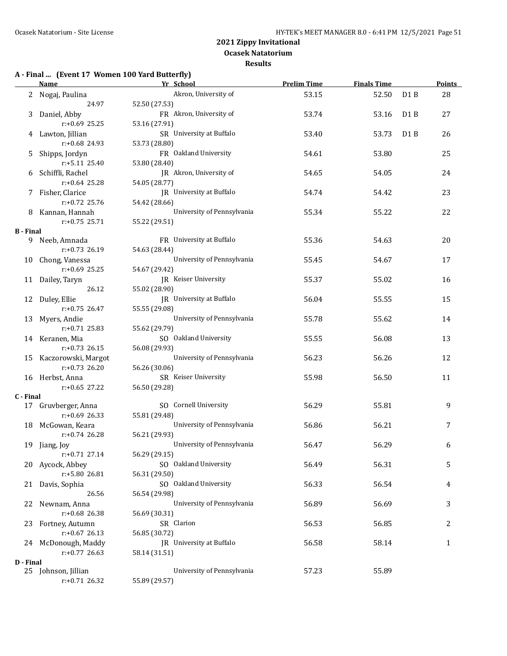#### **Results**

#### **A - Final ... (Event 17 Women 100 Yard Butterfly)**

|                  | <b>Name</b>            | Yr School                       | <b>Prelim Time</b> | <b>Finals Time</b> |                  | <b>Points</b> |
|------------------|------------------------|---------------------------------|--------------------|--------------------|------------------|---------------|
|                  | 2 Nogaj, Paulina       | Akron, University of            | 53.15              | 52.50              | D1B              | 28            |
|                  | 24.97                  | 52.50 (27.53)                   |                    |                    |                  |               |
| 3                | Daniel, Abby           | FR Akron, University of         | 53.74              | 53.16              | D <sub>1</sub> B | 27            |
|                  | $r: +0.69$ 25.25       | 53.16 (27.91)                   |                    |                    |                  |               |
|                  | 4 Lawton, Jillian      | SR University at Buffalo        | 53.40              | 53.73              | D <sub>1</sub> B | 26            |
|                  | r:+0.68 24.93          | 53.73 (28.80)                   |                    |                    |                  |               |
| 5.               | Shipps, Jordyn         | FR Oakland University           | 54.61              | 53.80              |                  | 25            |
|                  | r:+5.11 25.40          | 53.80 (28.40)                   |                    |                    |                  |               |
|                  |                        | JR Akron, University of         |                    |                    |                  |               |
|                  | 6 Schiffli, Rachel     |                                 | 54.65              | 54.05              |                  | 24            |
|                  | r:+0.64 25.28          | 54.05 (28.77)                   |                    |                    |                  |               |
|                  | 7 Fisher, Clarice      | JR University at Buffalo        | 54.74              | 54.42              |                  | 23            |
|                  | r:+0.72 25.76          | 54.42 (28.66)                   |                    |                    |                  |               |
|                  | 8 Kannan, Hannah       | University of Pennsylvania      | 55.34              | 55.22              |                  | 22            |
|                  | $r: +0.75$ 25.71       | 55.22 (29.51)                   |                    |                    |                  |               |
| <b>B</b> - Final |                        |                                 |                    |                    |                  |               |
|                  | 9 Neeb, Amnada         | FR University at Buffalo        | 55.36              | 54.63              |                  | 20            |
|                  | r:+0.73 26.19          | 54.63 (28.44)                   |                    |                    |                  |               |
|                  | 10 Chong, Vanessa      | University of Pennsylvania      | 55.45              | 54.67              |                  | 17            |
|                  | $r: +0.69$ 25.25       | 54.67 (29.42)                   |                    |                    |                  |               |
|                  | 11 Dailey, Taryn       | JR Keiser University            | 55.37              | 55.02              |                  | 16            |
|                  | 26.12                  | 55.02 (28.90)                   |                    |                    |                  |               |
|                  | 12 Duley, Ellie        | <b>IR</b> University at Buffalo | 56.04              | 55.55              |                  | 15            |
|                  | $r: +0.75$ 26.47       | 55.55 (29.08)                   |                    |                    |                  |               |
|                  | 13 Myers, Andie        | University of Pennsylvania      | 55.78              | 55.62              |                  | 14            |
|                  | $r: +0.71$ 25.83       | 55.62 (29.79)                   |                    |                    |                  |               |
|                  | 14 Keranen, Mia        | SO Oakland University           | 55.55              | 56.08              |                  | 13            |
|                  | $r: +0.73$ 26.15       | 56.08 (29.93)                   |                    |                    |                  |               |
|                  | 15 Kaczorowski, Margot | University of Pennsylvania      | 56.23              | 56.26              |                  | 12            |
|                  | $r: +0.73$ 26.20       | 56.26 (30.06)                   |                    |                    |                  |               |
|                  | 16 Herbst, Anna        | SR Keiser University            | 55.98              | 56.50              |                  | 11            |
|                  | r:+0.65 27.22          | 56.50 (29.28)                   |                    |                    |                  |               |
| C - Final        |                        |                                 |                    |                    |                  |               |
|                  | 17 Gruvberger, Anna    | SO Cornell University           | 56.29              | 55.81              |                  | 9             |
|                  | $r: +0.69$ 26.33       | 55.81 (29.48)                   |                    |                    |                  |               |
|                  | 18 McGowan, Keara      | University of Pennsylvania      | 56.86              | 56.21              |                  | 7             |
|                  | $r: +0.74$ 26.28       | 56.21 (29.93)                   |                    |                    |                  |               |
|                  | 19 Jiang, Joy          | University of Pennsylvania      | 56.47              | 56.29              |                  | 6             |
|                  | r:+0.71 27.14          | 56.29 (29.15)                   |                    |                    |                  |               |
|                  | 20 Aycock, Abbey       | SO Oakland University           | 56.49              | 56.31              |                  | 5             |
|                  | r:+5.80 26.81          | 56.31 (29.50)                   |                    |                    |                  |               |
|                  | 21 Davis, Sophia       | SO Oakland University           | 56.33              | 56.54              |                  | 4             |
|                  | 26.56                  | 56.54 (29.98)                   |                    |                    |                  |               |
|                  |                        | University of Pennsylvania      |                    |                    |                  |               |
| 22               | Newnam, Anna           |                                 | 56.89              | 56.69              |                  | 3             |
|                  | $r: +0.68$ 26.38       | 56.69 (30.31)                   |                    |                    |                  |               |
| 23               | Fortney, Autumn        | SR Clarion                      | 56.53              | 56.85              |                  | 2             |
|                  | $r: +0.67$ 26.13       | 56.85 (30.72)                   |                    |                    |                  |               |
|                  | 24 McDonough, Maddy    | JR University at Buffalo        | 56.58              | 58.14              |                  | $\mathbf{1}$  |
|                  | $r: +0.77$ 26.63       | 58.14 (31.51)                   |                    |                    |                  |               |
| D - Final        |                        |                                 |                    |                    |                  |               |
|                  | 25 Johnson, Jillian    | University of Pennsylvania      | 57.23              | 55.89              |                  |               |
|                  | $r: +0.71$ 26.32       | 55.89 (29.57)                   |                    |                    |                  |               |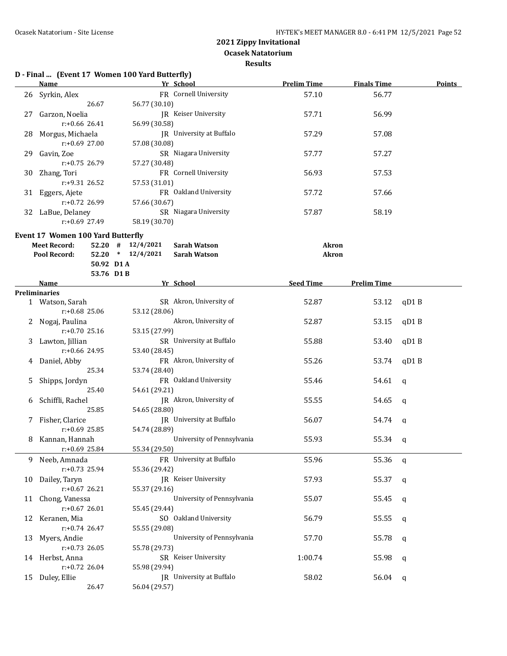**Results**

|    | D - Final  (Event 17 Women 100 Yard Butterfly)<br><b>Name</b> |                       | Yr School                       | <b>Prelim Time</b> | <b>Finals Time</b> | <b>Points</b> |
|----|---------------------------------------------------------------|-----------------------|---------------------------------|--------------------|--------------------|---------------|
|    |                                                               |                       |                                 |                    |                    |               |
| 26 | Syrkin, Alex                                                  |                       | FR Cornell University           | 57.10              | 56.77              |               |
|    | 26.67                                                         | 56.77 (30.10)         |                                 |                    | 56.99              |               |
| 27 | Garzon, Noelia<br>r:+0.66 26.41                               | 56.99 (30.58)         | JR Keiser University            | 57.71              |                    |               |
|    |                                                               |                       | JR University at Buffalo        |                    |                    |               |
| 28 | Morgus, Michaela<br>r:+0.69 27.00                             | 57.08 (30.08)         |                                 | 57.29              | 57.08              |               |
|    |                                                               |                       |                                 |                    |                    |               |
| 29 | Gavin, Zoe                                                    |                       | SR Niagara University           | 57.77              | 57.27              |               |
|    | r:+0.75 26.79                                                 | 57.27 (30.48)         | FR Cornell University           |                    |                    |               |
| 30 | Zhang, Tori                                                   |                       |                                 | 56.93              | 57.53              |               |
|    | r:+9.31 26.52                                                 | 57.53 (31.01)         |                                 |                    |                    |               |
|    | 31 Eggers, Ajete                                              |                       | FR Oakland University           | 57.72              | 57.66              |               |
|    | r:+0.72 26.99                                                 | 57.66 (30.67)         |                                 |                    |                    |               |
|    | 32 LaBue, Delaney                                             |                       | SR Niagara University           | 57.87              | 58.19              |               |
|    | $r: +0.69$ 27.49                                              | 58.19 (30.70)         |                                 |                    |                    |               |
|    | <b>Event 17 Women 100 Yard Butterfly</b>                      |                       |                                 |                    |                    |               |
|    | <b>Meet Record:</b>                                           | $52.20$ # $12/4/2021$ | <b>Sarah Watson</b>             | Akron              |                    |               |
|    | Pool Record:                                                  | 52.20 * 12/4/2021     | <b>Sarah Watson</b>             | <b>Akron</b>       |                    |               |
|    |                                                               | 50.92 D1A             |                                 |                    |                    |               |
|    |                                                               | 53.76 D1B             |                                 |                    |                    |               |
|    | <b>Name</b>                                                   |                       | Yr School                       | <b>Seed Time</b>   | <b>Prelim Time</b> |               |
|    | <b>Preliminaries</b>                                          |                       |                                 |                    |                    |               |
|    | 1 Watson, Sarah                                               |                       | SR Akron, University of         | 52.87              | 53.12              | qD1B          |
|    | r:+0.68 25.06                                                 | 53.12 (28.06)         |                                 |                    |                    |               |
|    | 2 Nogaj, Paulina                                              |                       | Akron, University of            | 52.87              | 53.15              | qD1B          |
|    | r:+0.70 25.16                                                 | 53.15 (27.99)         |                                 |                    |                    |               |
| 3  | Lawton, Jillian                                               |                       | SR University at Buffalo        | 55.88              | 53.40              | qD1B          |
|    | r:+0.66 24.95                                                 | 53.40 (28.45)         |                                 |                    |                    |               |
| 4  | Daniel, Abby                                                  |                       | FR Akron, University of         | 55.26              | 53.74              | qD1B          |
|    | 25.34                                                         | 53.74 (28.40)         |                                 |                    |                    |               |
| 5  | Shipps, Jordyn                                                |                       | FR Oakland University           | 55.46              | 54.61              | q             |
|    | 25.40                                                         | 54.61 (29.21)         |                                 |                    |                    |               |
| 6  | Schiffli, Rachel                                              |                       | JR Akron, University of         | 55.55              | 54.65              | q             |
|    | 25.85                                                         | 54.65 (28.80)         |                                 |                    |                    |               |
|    | 7 Fisher, Clarice                                             |                       | JR University at Buffalo        | 56.07              | 54.74              | a             |
|    | $r: +0.69$ 25.85                                              | 54.74 (28.89)         |                                 |                    |                    |               |
|    | 8 Kannan, Hannah                                              |                       | University of Pennsylvania      | 55.93              | 55.34 q            |               |
|    | $r: +0.69$ 25.84                                              | 55.34 (29.50)         |                                 |                    |                    |               |
|    | 9 Neeb, Amnada                                                |                       | FR University at Buffalo        | 55.96              | 55.36 q            |               |
|    | r:+0.73 25.94                                                 | 55.36 (29.42)         |                                 |                    |                    |               |
|    | 10 Dailey, Taryn                                              |                       | JR Keiser University            | 57.93              | 55.37              | q             |
|    | $r: +0.67$ 26.21                                              | 55.37 (29.16)         |                                 |                    |                    |               |
|    | 11 Chong, Vanessa                                             |                       | University of Pennsylvania      | 55.07              | 55.45              | q             |
|    | $r: +0.67$ 26.01                                              | 55.45 (29.44)         |                                 |                    |                    |               |
|    | 12 Keranen, Mia                                               |                       | SO Oakland University           | 56.79              | 55.55              | q             |
|    | $r: +0.74$ 26.47                                              | 55.55 (29.08)         |                                 |                    |                    |               |
|    | 13 Myers, Andie                                               |                       | University of Pennsylvania      | 57.70              | 55.78              | q             |
|    | $r: +0.73$ 26.05                                              | 55.78 (29.73)         |                                 |                    |                    |               |
|    | 14 Herbst, Anna                                               |                       | SR Keiser University            | 1:00.74            | 55.98              | q             |
|    | $r: +0.72$ 26.04                                              | 55.98 (29.94)         |                                 |                    |                    |               |
|    | 15 Duley, Ellie                                               |                       | <b>IR</b> University at Buffalo | 58.02              | 56.04              | q             |
|    | 26.47                                                         | 56.04 (29.57)         |                                 |                    |                    |               |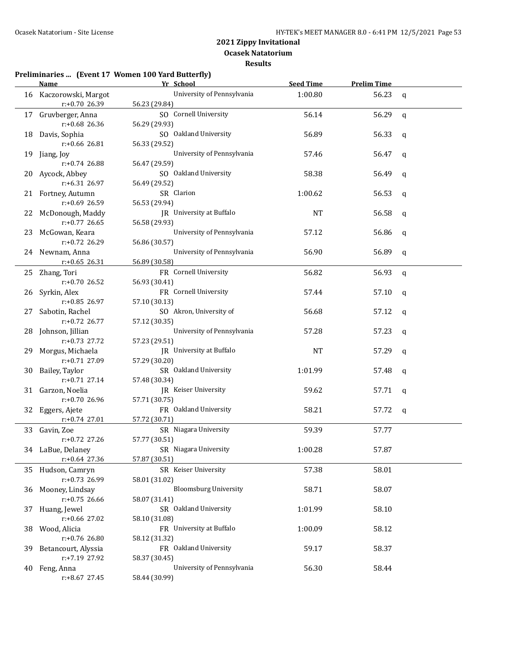**Results**

#### **Preliminaries ... (Event 17 Women 100 Yard Butterfly)**

|    | Name                                 | Yr School                                   | <b>Seed Time</b> | <b>Prelim Time</b> |              |
|----|--------------------------------------|---------------------------------------------|------------------|--------------------|--------------|
|    | 16 Kaczorowski, Margot               | University of Pennsylvania                  | 1:00.80          | 56.23              | $\mathsf{q}$ |
|    | r:+0.70 26.39                        | 56.23 (29.84)                               |                  |                    |              |
|    | 17 Gruvberger, Anna                  | SO Cornell University                       | 56.14            | 56.29              | $\mathbf q$  |
|    | $r: +0.68$ 26.36                     | 56.29 (29.93)                               |                  |                    |              |
| 18 | Davis, Sophia                        | SO Oakland University                       | 56.89            | 56.33              | q            |
|    | $r: +0.66$ 26.81                     | 56.33 (29.52)                               |                  |                    |              |
| 19 | Jiang, Joy                           | University of Pennsylvania                  | 57.46            | 56.47              | q            |
|    | r:+0.74 26.88                        | 56.47 (29.59)                               |                  |                    |              |
| 20 | Aycock, Abbey                        | SO Oakland University                       | 58.38            | 56.49              | q            |
|    | r:+6.31 26.97                        | 56.49 (29.52)                               |                  |                    |              |
|    | 21 Fortney, Autumn                   | SR Clarion                                  | 1:00.62          | 56.53              | q            |
|    | r:+0.69 26.59                        | 56.53 (29.94)                               |                  |                    |              |
|    | 22 McDonough, Maddy                  | JR University at Buffalo                    | NT               | 56.58              | q            |
|    | $r: +0.77$ 26.65                     | 56.58 (29.93)                               |                  |                    |              |
| 23 | McGowan, Keara                       | University of Pennsylvania                  | 57.12            | 56.86              | q            |
|    | $r: +0.72$ 26.29                     | 56.86 (30.57)                               |                  |                    |              |
|    | 24 Newnam, Anna                      | University of Pennsylvania                  | 56.90            | 56.89              | q            |
|    | $r: +0.65$ 26.31                     | 56.89 (30.58)                               |                  |                    |              |
|    | 25 Zhang, Tori                       | FR Cornell University                       | 56.82            | 56.93              | $\mathbf q$  |
|    | r:+0.70 26.52                        | 56.93 (30.41)                               |                  |                    |              |
| 26 | Syrkin, Alex                         | FR Cornell University                       | 57.44            | 57.10              | q            |
|    | r:+0.85 26.97                        | 57.10 (30.13)                               |                  |                    |              |
| 27 | Sabotin, Rachel<br>r:+0.72 26.77     | SO Akron, University of                     | 56.68            | 57.12              | q            |
|    |                                      | 57.12 (30.35)<br>University of Pennsylvania | 57.28            |                    |              |
|    | 28 Johnson, Jillian<br>r:+0.73 27.72 | 57.23 (29.51)                               |                  | 57.23              | q            |
|    | 29 Morgus, Michaela                  | JR University at Buffalo                    | NT               | 57.29              |              |
|    | r:+0.71 27.09                        | 57.29 (30.20)                               |                  |                    | q            |
| 30 | Bailey, Taylor                       | SR Oakland University                       | 1:01.99          | 57.48              | q            |
|    | $r: +0.71$ 27.14                     | 57.48 (30.34)                               |                  |                    |              |
|    | 31 Garzon, Noelia                    | JR Keiser University                        | 59.62            | 57.71              | q            |
|    | r:+0.70 26.96                        | 57.71 (30.75)                               |                  |                    |              |
|    | 32 Eggers, Ajete                     | FR Oakland University                       | 58.21            | 57.72              | q            |
|    | r:+0.74 27.01                        | 57.72 (30.71)                               |                  |                    |              |
|    | 33 Gavin, Zoe                        | SR Niagara University                       | 59.39            | 57.77              |              |
|    | r:+0.72 27.26                        | 57.77 (30.51)                               |                  |                    |              |
|    | 34 LaBue, Delaney                    | SR Niagara University                       | 1:00.28          | 57.87              |              |
|    | $r$ :+0.64 27.36                     | 57.87 (30.51)                               |                  |                    |              |
|    | 35 Hudson, Camryn                    | SR Keiser University                        | 57.38            | 58.01              |              |
|    | r:+0.73 26.99                        | 58.01 (31.02)                               |                  |                    |              |
|    | 36 Mooney, Lindsay                   | <b>Bloomsburg University</b>                | 58.71            | 58.07              |              |
|    | r:+0.75 26.66                        | 58.07 (31.41)                               |                  |                    |              |
|    | 37 Huang, Jewel                      | SR Oakland University                       | 1:01.99          | 58.10              |              |
|    | r:+0.66 27.02                        | 58.10 (31.08)                               |                  |                    |              |
| 38 | Wood, Alicia                         | FR University at Buffalo                    | 1:00.09          | 58.12              |              |
|    | r:+0.76 26.80                        | 58.12 (31.32)                               |                  |                    |              |
| 39 | Betancourt, Alyssia                  | FR Oakland University                       | 59.17            | 58.37              |              |
|    | r:+7.19 27.92                        | 58.37 (30.45)                               |                  |                    |              |
|    | 40 Feng, Anna                        | University of Pennsylvania                  | 56.30            | 58.44              |              |
|    | r:+8.67 27.45                        | 58.44 (30.99)                               |                  |                    |              |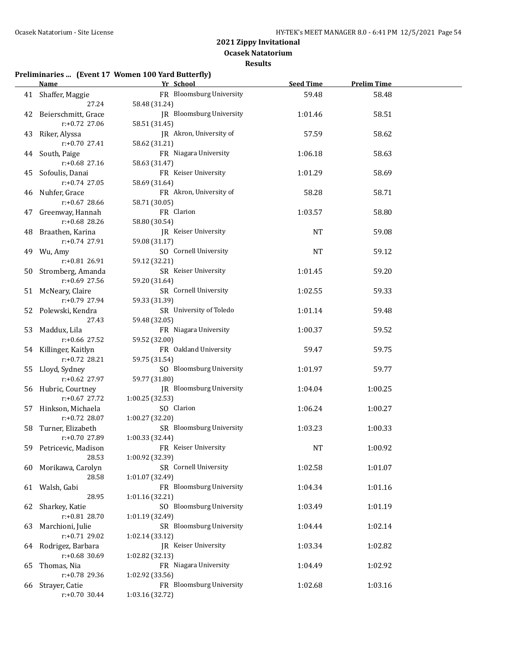**Ocasek Natatorium**

**Results**

#### **Preliminaries ... (Event 17 Women 100 Yard Butterfly)**

|    | Name and the second state of the second state of the second state of the second state of the second state of the second state of the second state of the second state of the second state of the second state of the second st | Yr School                | <b>Seed Time</b> | <b>Prelim Time</b> |  |
|----|--------------------------------------------------------------------------------------------------------------------------------------------------------------------------------------------------------------------------------|--------------------------|------------------|--------------------|--|
|    | 41 Shaffer, Maggie                                                                                                                                                                                                             | FR Bloomsburg University | 59.48            | 58.48              |  |
|    | 27.24                                                                                                                                                                                                                          | 58.48 (31.24)            |                  |                    |  |
|    | 42 Beierschmitt, Grace                                                                                                                                                                                                         | JR Bloomsburg University | 1:01.46          | 58.51              |  |
|    | $r: +0.72$ 27.06                                                                                                                                                                                                               | 58.51 (31.45)            |                  |                    |  |
|    | 43 Riker, Alyssa                                                                                                                                                                                                               | JR Akron, University of  | 57.59            | 58.62              |  |
|    | $r: +0.70$ 27.41                                                                                                                                                                                                               | 58.62 (31.21)            |                  |                    |  |
|    | 44 South, Paige                                                                                                                                                                                                                | FR Niagara University    | 1:06.18          | 58.63              |  |
|    | $r: +0.68$ 27.16                                                                                                                                                                                                               | 58.63 (31.47)            |                  |                    |  |
|    | 45 Sofoulis, Danai                                                                                                                                                                                                             | FR Keiser University     | 1:01.29          | 58.69              |  |
|    | r:+0.74 27.05                                                                                                                                                                                                                  | 58.69 (31.64)            |                  |                    |  |
|    | 46 Nuhfer, Grace                                                                                                                                                                                                               | FR Akron, University of  | 58.28            | 58.71              |  |
|    | r:+0.67 28.66                                                                                                                                                                                                                  | 58.71 (30.05)            |                  |                    |  |
|    | 47 Greenway, Hannah                                                                                                                                                                                                            | FR Clarion               | 1:03.57          | 58.80              |  |
|    | r:+0.68 28.26                                                                                                                                                                                                                  | 58.80 (30.54)            |                  |                    |  |
|    | 48 Braathen, Karina                                                                                                                                                                                                            | JR Keiser University     | NT               | 59.08              |  |
|    | r:+0.74 27.91                                                                                                                                                                                                                  | 59.08 (31.17)            |                  |                    |  |
|    | 49 Wu, Amy                                                                                                                                                                                                                     | SO Cornell University    | <b>NT</b>        | 59.12              |  |
|    | r:+0.81 26.91                                                                                                                                                                                                                  | 59.12 (32.21)            |                  |                    |  |
|    | 50 Stromberg, Amanda                                                                                                                                                                                                           | SR Keiser University     | 1:01.45          | 59.20              |  |
|    | $r: +0.69$ 27.56                                                                                                                                                                                                               | 59.20 (31.64)            |                  |                    |  |
|    | 51 McNeary, Claire                                                                                                                                                                                                             | SR Cornell University    | 1:02.55          | 59.33              |  |
|    | r:+0.79 27.94                                                                                                                                                                                                                  | 59.33 (31.39)            |                  |                    |  |
|    | 52 Polewski, Kendra                                                                                                                                                                                                            | SR University of Toledo  | 1:01.14          | 59.48              |  |
|    | 27.43                                                                                                                                                                                                                          | 59.48 (32.05)            |                  |                    |  |
|    | 53 Maddux, Lila                                                                                                                                                                                                                | FR Niagara University    | 1:00.37          | 59.52              |  |
|    | r:+0.66 27.52                                                                                                                                                                                                                  | 59.52 (32.00)            |                  |                    |  |
|    | 54 Killinger, Kaitlyn                                                                                                                                                                                                          | FR Oakland University    | 59.47            | 59.75              |  |
|    | $r: +0.72$ 28.21                                                                                                                                                                                                               | 59.75 (31.54)            |                  |                    |  |
|    | 55 Lloyd, Sydney                                                                                                                                                                                                               | SO Bloomsburg University | 1:01.97          | 59.77              |  |
|    | $r: +0.62$ 27.97                                                                                                                                                                                                               | 59.77 (31.80)            |                  |                    |  |
|    | 56 Hubric, Courtney                                                                                                                                                                                                            | JR Bloomsburg University | 1:04.04          | 1:00.25            |  |
|    | $r: +0.67$ 27.72                                                                                                                                                                                                               | 1:00.25 (32.53)          |                  |                    |  |
| 57 | Hinkson, Michaela                                                                                                                                                                                                              | SO Clarion               | 1:06.24          | 1:00.27            |  |
|    | $r: +0.72$ 28.07                                                                                                                                                                                                               | 1:00.27 (32.20)          |                  |                    |  |
|    | 58 Turner, Elizabeth                                                                                                                                                                                                           | SR Bloomsburg University | 1:03.23          | 1:00.33            |  |
|    | $r: +0.70$ 27.89                                                                                                                                                                                                               | 1:00.33 (32.44)          |                  |                    |  |
|    | 59 Petricevic, Madison                                                                                                                                                                                                         | FR Keiser University     | NT               | 1:00.92            |  |
|    | 28.53                                                                                                                                                                                                                          | 1:00.92 (32.39)          |                  |                    |  |
|    | 60 Morikawa, Carolyn                                                                                                                                                                                                           | SR Cornell University    | 1:02.58          | 1:01.07            |  |
|    | 28.58                                                                                                                                                                                                                          | 1:01.07 (32.49)          |                  |                    |  |
|    | 61 Walsh, Gabi                                                                                                                                                                                                                 | FR Bloomsburg University | 1:04.34          | 1:01.16            |  |
|    | 28.95                                                                                                                                                                                                                          | 1:01.16 (32.21)          |                  |                    |  |
| 62 | Sharkey, Katie                                                                                                                                                                                                                 | SO Bloomsburg University | 1:03.49          | 1:01.19            |  |
|    | r:+0.81 28.70                                                                                                                                                                                                                  | 1:01.19 (32.49)          |                  |                    |  |
| 63 | Marchioni, Julie                                                                                                                                                                                                               | SR Bloomsburg University | 1:04.44          | 1:02.14            |  |
|    | r:+0.71 29.02                                                                                                                                                                                                                  | 1:02.14(33.12)           |                  |                    |  |
| 64 | Rodrigez, Barbara                                                                                                                                                                                                              | JR Keiser University     | 1:03.34          | 1:02.82            |  |
|    | $r: +0.68$ 30.69                                                                                                                                                                                                               | 1:02.82 (32.13)          |                  |                    |  |
| 65 | Thomas, Nia                                                                                                                                                                                                                    | FR Niagara University    | 1:04.49          | 1:02.92            |  |
|    | r:+0.78 29.36                                                                                                                                                                                                                  | 1:02.92 (33.56)          |                  |                    |  |
| 66 | Strayer, Catie                                                                                                                                                                                                                 | FR Bloomsburg University | 1:02.68          | 1:03.16            |  |
|    | $r: +0.70$ 30.44                                                                                                                                                                                                               | 1:03.16 (32.72)          |                  |                    |  |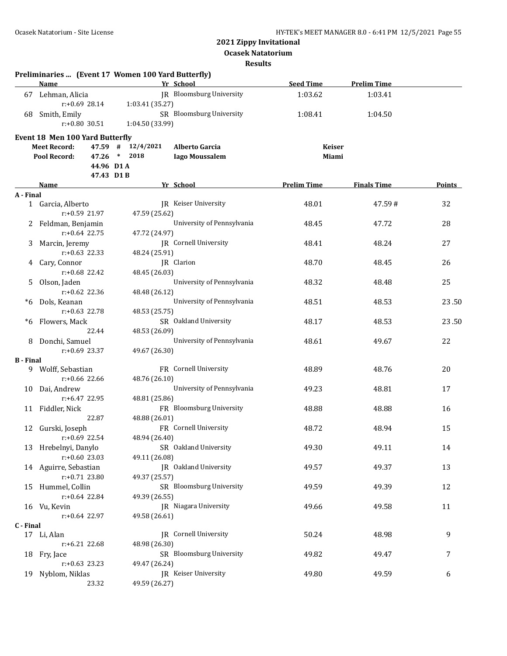**Ocasek Natatorium**

#### **Results**

|                  | Preliminaries  (Event 17 Women 100 Yard Butterfly)<br>Name |                 | Yr School                    | <b>Seed Time</b>   | <b>Prelim Time</b> |               |
|------------------|------------------------------------------------------------|-----------------|------------------------------|--------------------|--------------------|---------------|
|                  | 67 Lehman, Alicia                                          |                 | JR Bloomsburg University     | 1:03.62            | 1:03.41            |               |
|                  | $r: +0.69$ 28.14                                           | 1:03.41 (35.27) |                              |                    |                    |               |
|                  | 68 Smith, Emily                                            |                 | SR Bloomsburg University     | 1:08.41            | 1:04.50            |               |
|                  | $r: +0.80$ 30.51                                           | 1:04.50 (33.99) |                              |                    |                    |               |
|                  | Event 18 Men 100 Yard Butterfly                            |                 |                              |                    |                    |               |
|                  | <b>Meet Record:</b><br>47.59 #                             | 12/4/2021       | <b>Alberto Garcia</b>        | <b>Keiser</b>      |                    |               |
|                  | Pool Record:<br>47.26                                      | $*$ 2018        | <b>Iago Moussalem</b>        | Miami              |                    |               |
|                  | 44.96 D1A                                                  |                 |                              |                    |                    |               |
|                  | 47.43 D1B                                                  |                 |                              |                    |                    |               |
|                  | Name                                                       |                 | Yr School                    | <b>Prelim Time</b> | <b>Finals Time</b> | <b>Points</b> |
| A - Final        |                                                            |                 |                              |                    |                    |               |
|                  | 1 Garcia, Alberto                                          |                 | <b>IR</b> Keiser University  | 48.01              | 47.59#             | 32            |
|                  | $r: +0.59$ 21.97                                           | 47.59 (25.62)   |                              |                    |                    |               |
|                  | 2 Feldman, Benjamin                                        |                 | University of Pennsylvania   | 48.45              | 47.72              | 28            |
|                  | $r: +0.64$ 22.75                                           | 47.72 (24.97)   |                              |                    |                    |               |
| 3                | Marcin, Jeremy                                             |                 | JR Cornell University        | 48.41              | 48.24              | 27            |
|                  | $r: +0.63$ 22.33                                           | 48.24 (25.91)   |                              |                    |                    |               |
| 4                | Cary, Connor                                               |                 | JR Clarion                   | 48.70              | 48.45              | 26            |
|                  | r:+0.68 22.42                                              | 48.45 (26.03)   |                              |                    |                    |               |
| 5.               | Olson, Jaden                                               |                 | University of Pennsylvania   | 48.32              | 48.48              | 25            |
|                  | $r: +0.62$ 22.36                                           | 48.48 (26.12)   |                              |                    |                    |               |
|                  | *6 Dols, Keanan<br>$r: +0.63$ 22.78                        |                 | University of Pennsylvania   | 48.51              | 48.53              | 23.50         |
| *6               | Flowers, Mack                                              | 48.53 (25.75)   | SR Oakland University        | 48.17              | 48.53              | 23.50         |
|                  | 22.44                                                      | 48.53 (26.09)   |                              |                    |                    |               |
| 8                | Donchi, Samuel                                             |                 | University of Pennsylvania   | 48.61              | 49.67              | 22            |
|                  | $r: +0.69$ 23.37                                           | 49.67 (26.30)   |                              |                    |                    |               |
| <b>B</b> - Final |                                                            |                 |                              |                    |                    |               |
|                  | 9 Wolff, Sebastian                                         |                 | FR Cornell University        | 48.89              | 48.76              | 20            |
|                  | $r: +0.66$ 22.66                                           | 48.76 (26.10)   |                              |                    |                    |               |
|                  | 10 Dai, Andrew                                             |                 | University of Pennsylvania   | 49.23              | 48.81              | 17            |
|                  | r:+6.47 22.95                                              | 48.81 (25.86)   |                              |                    |                    |               |
|                  | 11 Fiddler, Nick                                           |                 | FR Bloomsburg University     | 48.88              | 48.88              | 16            |
|                  | 22.87                                                      | 48.88 (26.01)   |                              |                    |                    |               |
|                  | 12 Gurski, Joseph                                          |                 | FR Cornell University        | 48.72              | 48.94              | 15            |
|                  | $r: +0.69$ 22.54                                           | 48.94 (26.40)   |                              |                    |                    |               |
|                  | 13 Hrebelnyi, Danylo                                       |                 | SR Oakland University        | 49.30              | 49.11              | 14            |
|                  | r:+0.60 23.03                                              | 49.11 (26.08)   |                              |                    |                    |               |
|                  | 14 Aguirre, Sebastian                                      |                 | JR Oakland University        | 49.57              | 49.37              | 13            |
|                  | r:+0.71 23.80                                              | 49.37 (25.57)   | SR Bloomsburg University     |                    |                    |               |
|                  | 15 Hummel, Collin<br>r:+0.64 22.84                         | 49.39 (26.55)   |                              | 49.59              | 49.39              | 12            |
|                  | 16 Vu, Kevin                                               |                 | <b>IR</b> Niagara University | 49.66              | 49.58              | 11            |
|                  | r:+0.64 22.97                                              | 49.58 (26.61)   |                              |                    |                    |               |
| C - Final        |                                                            |                 |                              |                    |                    |               |
|                  | 17 Li, Alan                                                |                 | <b>IR</b> Cornell University | 50.24              | 48.98              | 9             |
|                  | r:+6.21 22.68                                              | 48.98 (26.30)   |                              |                    |                    |               |
|                  | 18 Fry, Jace                                               |                 | SR Bloomsburg University     | 49.82              | 49.47              | 7             |
|                  | $r: +0.63$ 23.23                                           | 49.47 (26.24)   |                              |                    |                    |               |
| 19               | Nyblom, Niklas                                             |                 | JR Keiser University         | 49.80              | 49.59              | 6             |
|                  | 23.32                                                      | 49.59 (26.27)   |                              |                    |                    |               |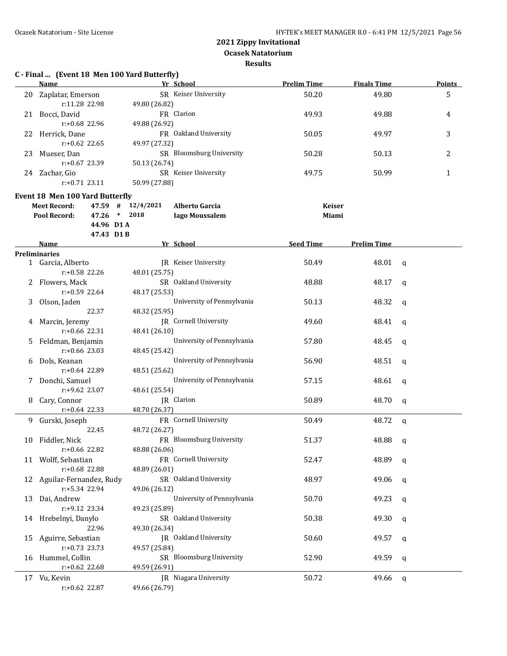**Results**

# **C - Final ... (Event 18 Men 100 Yard Butterfly)**

|    | Name                                                        | Yr School                                  | <b>Prelim Time</b>     | <b>Finals Time</b> | <b>Points</b> |
|----|-------------------------------------------------------------|--------------------------------------------|------------------------|--------------------|---------------|
|    | 20 Zaplatar, Emerson                                        | SR Keiser University                       | 50.20                  | 49.80              | 5             |
|    | r:11.28 22.98                                               | 49.80 (26.82)                              |                        |                    |               |
|    | 21 Bocci, David                                             | FR Clarion                                 | 49.93                  | 49.88              | 4             |
|    | r:+0.68 22.96                                               | 49.88 (26.92)                              |                        |                    |               |
|    | 22 Herrick, Dane                                            | FR Oakland University                      | 50.05                  | 49.97              | 3             |
|    | $r: +0.62$ 22.65                                            | 49.97 (27.32)                              |                        |                    |               |
|    | 23 Mueser, Dan                                              | SR Bloomsburg University                   | 50.28                  | 50.13              | 2             |
|    | r:+0.67 23.39                                               | 50.13 (26.74)                              |                        |                    |               |
|    | 24 Zachar, Gio                                              | SR Keiser University                       | 49.75                  | 50.99              | $\mathbf{1}$  |
|    | $r: +0.71$ 23.11                                            | 50.99 (27.88)                              |                        |                    |               |
|    |                                                             |                                            |                        |                    |               |
|    | <b>Event 18 Men 100 Yard Butterfly</b>                      |                                            |                        |                    |               |
|    | <b>Meet Record:</b><br>47.59 #<br>Pool Record:<br>$47.26$ * | 12/4/2021<br><b>Alberto Garcia</b><br>2018 | <b>Keiser</b><br>Miami |                    |               |
|    | 44.96 D1A                                                   | <b>Iago Moussalem</b>                      |                        |                    |               |
|    | 47.43 D1B                                                   |                                            |                        |                    |               |
|    | Name                                                        | Yr School                                  | <b>Seed Time</b>       | <b>Prelim Time</b> |               |
|    | <b>Preliminaries</b>                                        |                                            |                        |                    |               |
|    | 1 Garcia, Alberto                                           | <b>IR</b> Keiser University                | 50.49                  | 48.01              | q             |
|    | r:+0.58 22.26                                               | 48.01 (25.75)                              |                        |                    |               |
|    | 2 Flowers, Mack                                             | SR Oakland University                      | 48.88                  | 48.17              | $\mathbf{q}$  |
|    | $r: +0.59$ 22.64                                            | 48.17 (25.53)                              |                        |                    |               |
| 3  | Olson, Jaden                                                | University of Pennsylvania                 | 50.13                  | 48.32              | $\mathbf q$   |
|    | 22.37                                                       | 48.32 (25.95)                              |                        |                    |               |
|    | 4 Marcin, Jeremy                                            | JR Cornell University                      | 49.60                  | 48.41              | q             |
|    | $r: +0.66$ 22.31                                            | 48.41 (26.10)                              |                        |                    |               |
| 5  | Feldman, Benjamin                                           | University of Pennsylvania                 | 57.80                  | 48.45              | q             |
|    | $r: +0.66$ 23.03                                            | 48.45 (25.42)                              |                        |                    |               |
|    | 6 Dols, Keanan                                              | University of Pennsylvania                 | 56.90                  | 48.51              | q             |
|    | $r: +0.64$ 22.89                                            | 48.51 (25.62)                              |                        |                    |               |
|    | 7 Donchi, Samuel                                            | University of Pennsylvania                 | 57.15                  | 48.61              | $\mathbf q$   |
|    | r:+9.62 23.07                                               | 48.61 (25.54)                              |                        |                    |               |
| 8  | Cary, Connor                                                | JR Clarion                                 | 50.89                  | 48.70              | q             |
|    | $r: +0.64$ 22.33                                            | 48.70 (26.37)                              |                        |                    |               |
| 9. | Gurski, Joseph                                              | FR Cornell University                      | 50.49                  | 48.72              |               |
|    | 22.45                                                       | 48.72 (26.27)                              |                        |                    | $\mathbf q$   |
|    | 10 Fiddler, Nick                                            | FR Bloomsburg University                   | 51.37                  | 48.88              | q             |
|    | r:+0.66 22.82                                               | 48.88 (26.06)                              |                        |                    |               |
|    | 11 Wolff, Sebastian                                         | FR Cornell University                      | 52.47                  | 48.89              |               |
|    | r:+0.68 22.88                                               | 48.89 (26.01)                              |                        |                    | q             |
| 12 | Aguilar-Fernandez, Rudy                                     | SR Oakland University                      | 48.97                  | 49.06              |               |
|    | r:+5.34 22.94                                               | 49.06 (26.12)                              |                        |                    | q             |
| 13 | Dai, Andrew                                                 | University of Pennsylvania                 | 50.70                  | 49.23              |               |
|    | r:+9.12 23.34                                               | 49.23 (25.89)                              |                        |                    | q             |
|    | Hrebelnyi, Danylo                                           | SR Oakland University                      | 50.38                  | 49.30              |               |
| 14 | 22.96                                                       | 49.30 (26.34)                              |                        |                    | q             |
|    | Aguirre, Sebastian                                          | JR Oakland University                      |                        |                    |               |
| 15 | $r: +0.73$ 23.73                                            | 49.57 (25.84)                              | 50.60                  | 49.57              | q             |
|    | Hummel, Collin                                              | SR Bloomsburg University                   |                        | 49.59              |               |
| 16 | $r: +0.62$ 22.68                                            | 49.59 (26.91)                              | 52.90                  |                    | q             |
|    |                                                             | JR Niagara University                      |                        |                    |               |
|    | 17 Vu, Kevin                                                |                                            | 50.72                  | 49.66              | q             |
|    | r:+0.62 22.87                                               | 49.66 (26.79)                              |                        |                    |               |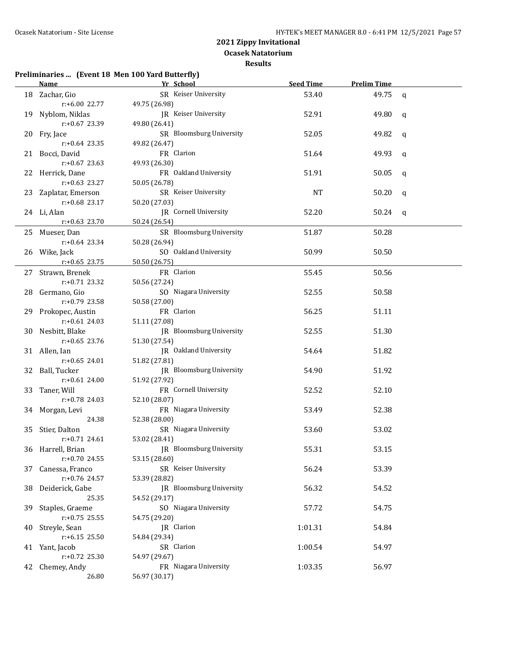#### **Results**

#### **Preliminaries ... (Event 18 Men 100 Yard Butterfly)**

|    | Name <b>Name</b>                   | Yr School                              | <b>Seed Time</b> | <b>Prelim Time</b> |   |
|----|------------------------------------|----------------------------------------|------------------|--------------------|---|
|    | 18 Zachar, Gio                     | SR Keiser University                   | 53.40            | 49.75              | q |
|    | r:+6.00 22.77                      | 49.75 (26.98)                          |                  |                    |   |
|    | 19 Nyblom, Niklas                  | JR Keiser University                   | 52.91            | 49.80              | q |
|    | r:+0.67 23.39                      | 49.80 (26.41)                          |                  |                    |   |
|    | 20 Fry, Jace                       | SR Bloomsburg University               | 52.05            | 49.82              | q |
|    | $r: +0.64$ 23.35                   | 49.82 (26.47)                          |                  |                    |   |
|    | 21 Bocci, David                    | FR Clarion                             | 51.64            | 49.93              | q |
|    | $r: +0.67$ 23.63                   | 49.93 (26.30)                          |                  |                    |   |
|    | 22 Herrick, Dane                   | FR Oakland University                  | 51.91            | 50.05              | q |
|    | $r: +0.63$ 23.27                   | 50.05 (26.78)                          |                  |                    |   |
|    | 23 Zaplatar, Emerson               | SR Keiser University                   | NT               | 50.20              | q |
|    | r:+0.68 23.17                      | 50.20 (27.03)                          |                  |                    |   |
|    | 24 Li, Alan                        | JR Cornell University                  | 52.20            | 50.24              | q |
|    | $r: +0.63$ 23.70                   | 50.24 (26.54)                          |                  |                    |   |
|    | 25 Mueser, Dan                     | SR Bloomsburg University               | 51.87            | 50.28              |   |
|    | $r.+0.64$ 23.34                    | 50.28 (26.94)                          |                  |                    |   |
|    | 26 Wike, Jack                      | SO Oakland University                  | 50.99            | 50.50              |   |
|    | $r: +0.65$ 23.75                   | 50.50 (26.75)                          |                  |                    |   |
|    | 27 Strawn, Brenek                  | FR Clarion                             | 55.45            | 50.56              |   |
|    | r:+0.71 23.32                      | 50.56 (27.24)                          |                  |                    |   |
|    | 28 Germano, Gio                    | SO Niagara University                  | 52.55            | 50.58              |   |
|    | r:+0.79 23.58                      | 50.58 (27.00)                          |                  |                    |   |
|    | 29 Prokopec, Austin                | FR Clarion                             | 56.25            | 51.11              |   |
|    | $r: +0.61$ 24.03                   | 51.11 (27.08)                          |                  |                    |   |
|    | 30 Nesbitt, Blake                  | JR Bloomsburg University               | 52.55            | 51.30              |   |
|    | $r: +0.65$ 23.76                   | 51.30 (27.54)                          |                  |                    |   |
|    | 31 Allen, Ian                      | JR Oakland University                  | 54.64            | 51.82              |   |
|    | $r: +0.65$ 24.01                   | 51.82 (27.81)                          |                  |                    |   |
|    | 32 Ball, Tucker                    | JR Bloomsburg University               | 54.90            | 51.92              |   |
|    | $r: +0.61$ 24.00                   | 51.92 (27.92)                          |                  |                    |   |
|    | 33 Taner, Will                     | FR Cornell University                  | 52.52            | 52.10              |   |
|    | r:+0.78 24.03                      | 52.10 (28.07)                          |                  |                    |   |
|    | 34 Morgan, Levi                    | FR Niagara University                  | 53.49            | 52.38              |   |
|    | 24.38                              | 52.38 (28.00)                          |                  |                    |   |
|    | 35 Stier, Dalton                   | SR Niagara University                  | 53.60            | 53.02              |   |
|    | $r: +0.71$ 24.61                   | 53.02 (28.41)                          |                  |                    |   |
|    | 36 Harrell, Brian                  | JR Bloomsburg University               | 55.31            | 53.15              |   |
|    | $r: +0.70$ 24.55                   | 53.15 (28.60)                          |                  |                    |   |
| 37 | Canessa, Franco                    | SR Keiser University                   | 56.24            | 53.39              |   |
|    | r:+0.76 24.57                      | 53.39 (28.82)                          |                  |                    |   |
| 38 | Deiderick, Gabe                    | JR Bloomsburg University               | 56.32            | 54.52              |   |
|    | 25.35                              | 54.52 (29.17)                          |                  |                    |   |
| 39 | Staples, Graeme                    | SO Niagara University                  | 57.72            | 54.75              |   |
|    | $r: +0.75$ 25.55                   | 54.75 (29.20)                          |                  |                    |   |
| 40 | Streyle, Sean                      | JR Clarion                             | 1:01.31          | 54.84              |   |
|    | $r: +6.15$ 25.50                   | 54.84 (29.34)                          |                  |                    |   |
|    | 41 Yant, Jacob<br>$r: +0.72$ 25.30 | SR Clarion                             | 1:00.54          | 54.97              |   |
|    |                                    | 54.97 (29.67)<br>FR Niagara University | 1:03.35          | 56.97              |   |
| 42 | Chemey, Andy<br>26.80              | 56.97 (30.17)                          |                  |                    |   |
|    |                                    |                                        |                  |                    |   |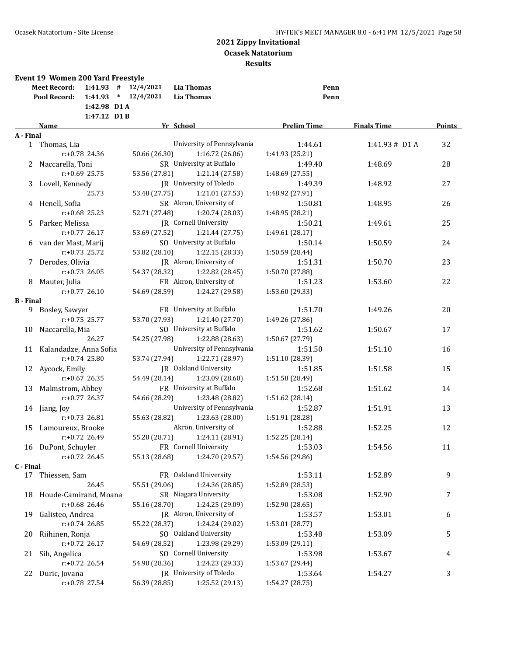| 1:42.98 D1 A<br>1:47.12 D1B<br><b>Prelim Time</b><br>Yr School<br><b>Finals Time</b><br><b>Name</b><br>A - Final<br>University of Pennsylvania<br>1:44.61<br>1:41.93# D1 A<br>32<br>1 Thomas, Lia<br>$r: +0.78$ 24.36<br>50.66 (26.30)<br>1:16.72 (26.06)<br>1:41.93 (25.21)<br>SR University at Buffalo<br>2 Naccarella, Toni<br>1:49.40<br>1:48.69<br>28<br>$r: +0.69$ 25.75<br>53.56 (27.81)<br>1:21.14 (27.58)<br>1:48.69 (27.55)<br>JR University of Toledo<br>3 Lovell, Kennedy<br>27<br>1:49.39<br>1:48.92<br>25.73<br>53.48 (27.75)<br>1:21.01 (27.53)<br>1:48.92 (27.91)<br>SR Akron, University of<br>4 Henell, Sofia<br>1:50.81<br>26<br>1:48.95<br>$r: +0.68$ 25.23<br>52.71 (27.48)<br>1:20.74 (28.03)<br>1:48.95 (28.21)<br><b>IR</b> Cornell University<br>Parker, Melissa<br>1:50.21<br>25<br>1:49.61<br>5.<br>$r: +0.77$ 26.17<br>53.69 (27.52)<br>1:21.44(27.75)<br>1:49.61 (28.17)<br>SO University at Buffalo<br>6 van der Mast, Marij<br>1:50.14<br>24<br>1:50.59<br>r:+0.73 25.72<br>53.82 (28.10)<br>1:22.15 (28.33)<br>1:50.59 (28.44)<br>JR Akron, University of<br>7 Derodes, Olivia<br>1:51.31<br>23<br>1:50.70<br>$r: +0.73$ 26.05<br>54.37 (28.32)<br>1:22.82 (28.45)<br>1:50.70 (27.88)<br>FR Akron, University of<br>22<br>1:51.23<br>8 Mauter, Julia<br>1:53.60<br>$r: +0.77$ 26.10<br>54.69 (28.59)<br>1:24.27 (29.58)<br>1:53.60 (29.33)<br><b>B</b> - Final<br>Bosley, Sawyer<br>FR University at Buffalo<br>1:51.70<br>1:49.26<br>20<br>9<br>1:21.40 (27.70)<br>$r: +0.75$ 25.77<br>53.70 (27.93)<br>1:49.26 (27.86)<br>SO University at Buffalo<br>Naccarella, Mia<br>10<br>1:51.62<br>1:50.67<br>17<br>26.27<br>54.25 (27.98)<br>1:22.88 (28.63)<br>1:50.67 (27.79)<br>University of Pennsylvania<br>11 Kalandadze, Anna Sofia<br>1:51.50<br>1:51.10<br>16<br>$r: +0.74$ 25.80<br>1:22.71 (28.97)<br>53.74 (27.94)<br>1:51.10 (28.39)<br><b>IR</b> Oakland University<br>12 Aycock, Emily<br>1:51.85<br>1:51.58<br>15<br>$r: +0.67$ 26.35<br>54.49 (28.14)<br>1:23.09 (28.60)<br>1:51.58 (28.49)<br>FR University at Buffalo<br>13 Malmstrom, Abbey<br>1:52.68<br>1:51.62<br>14<br>$r: +0.77$ 26.37<br>54.66 (28.29)<br>1:23.48 (28.82)<br>1:51.62 (28.14)<br>University of Pennsylvania<br>1:52.87<br>1:51.91<br>13<br>14 Jiang, Joy<br>$r: +0.73$ 26.81<br>55.63 (28.82)<br>1:23.63 (28.00)<br>1:51.91 (28.28)<br>Akron, University of<br>1:52.25<br>15<br>Lamoureux, Brooke<br>1:52.88<br>12<br>55.20 (28.71)<br>1:52.25 (28.14)<br>$r: +0.72$ 26.49<br>1:24.11 (28.91)<br>FR Cornell University<br>16 DuPont, Schuyler<br>1:53.03<br>1:54.56<br>11<br>$r: +0.72$ 26.45<br>55.13 (28.68)<br>1:24.70 (29.57)<br>1:54.56 (29.86)<br>C - Final<br>FR Oakland University<br>1:53.11<br>9<br>17 Thiessen, Sam<br>1:52.89<br>26.45<br>55.51 (29.06)<br>1:24.36 (28.85)<br>1:52.89 (28.53)<br>SR Niagara University<br>18 Houde-Camirand, Moana<br>1:53.08<br>1:52.90<br>7<br>r:+0.68 26.46<br>1:24.25 (29.09)<br>55.16 (28.70)<br>1:52.90 (28.65)<br>Galisteo, Andrea<br>JR Akron, University of<br>19<br>1:53.57<br>1:53.01<br>6<br>$r: +0.74$ 26.85<br>55.22 (28.37)<br>1:24.24 (29.02)<br>1:53.01 (28.77)<br>Riihinen, Ronja<br>SO Oakland University<br>1:53.09<br>5<br>20<br>1:53.48<br>$r: +0.72$ 26.17<br>1:23.98 (29.29)<br>54.69 (28.52)<br>1:53.09 (29.11)<br>SO Cornell University<br>Sih, Angelica<br>1:53.98<br>1:53.67<br>21<br>4<br>$r: +0.72$ 26.54<br>54.90 (28.36)<br>1:24.23 (29.33)<br>1:53.67 (29.44)<br>JR University of Toledo<br>22 Duric, Jovana<br>1:53.64<br>1:54.27<br>3<br>56.39 (28.85)<br>1:25.52 (29.13)<br>1:54.27 (28.75)<br>$r: +0.78$ 27.54 | <b>Event 19 Women 200 Yard Freestyle</b><br>$1:41.93$ # $12/4/2021$<br><b>Meet Record:</b><br>$1:41.93$ * $12/4/2021$<br>Pool Record: | <b>Lia Thomas</b><br><b>Lia Thomas</b> | Penn<br>Penn |               |
|--------------------------------------------------------------------------------------------------------------------------------------------------------------------------------------------------------------------------------------------------------------------------------------------------------------------------------------------------------------------------------------------------------------------------------------------------------------------------------------------------------------------------------------------------------------------------------------------------------------------------------------------------------------------------------------------------------------------------------------------------------------------------------------------------------------------------------------------------------------------------------------------------------------------------------------------------------------------------------------------------------------------------------------------------------------------------------------------------------------------------------------------------------------------------------------------------------------------------------------------------------------------------------------------------------------------------------------------------------------------------------------------------------------------------------------------------------------------------------------------------------------------------------------------------------------------------------------------------------------------------------------------------------------------------------------------------------------------------------------------------------------------------------------------------------------------------------------------------------------------------------------------------------------------------------------------------------------------------------------------------------------------------------------------------------------------------------------------------------------------------------------------------------------------------------------------------------------------------------------------------------------------------------------------------------------------------------------------------------------------------------------------------------------------------------------------------------------------------------------------------------------------------------------------------------------------------------------------------------------------------------------------------------------------------------------------------------------------------------------------------------------------------------------------------------------------------------------------------------------------------------------------------------------------------------------------------------------------------------------------------------------------------------------------------------------------------------------------------------------------------------------------------------------------------------------------------------------------------------------------------------------------------------------------------------------------------------------------------------------------------------------------------------------------------------------------------------------------------------------------------------------------------------------------------------------------------------------------------------------------|---------------------------------------------------------------------------------------------------------------------------------------|----------------------------------------|--------------|---------------|
|                                                                                                                                                                                                                                                                                                                                                                                                                                                                                                                                                                                                                                                                                                                                                                                                                                                                                                                                                                                                                                                                                                                                                                                                                                                                                                                                                                                                                                                                                                                                                                                                                                                                                                                                                                                                                                                                                                                                                                                                                                                                                                                                                                                                                                                                                                                                                                                                                                                                                                                                                                                                                                                                                                                                                                                                                                                                                                                                                                                                                                                                                                                                                                                                                                                                                                                                                                                                                                                                                                                                                                                                                    |                                                                                                                                       |                                        |              |               |
|                                                                                                                                                                                                                                                                                                                                                                                                                                                                                                                                                                                                                                                                                                                                                                                                                                                                                                                                                                                                                                                                                                                                                                                                                                                                                                                                                                                                                                                                                                                                                                                                                                                                                                                                                                                                                                                                                                                                                                                                                                                                                                                                                                                                                                                                                                                                                                                                                                                                                                                                                                                                                                                                                                                                                                                                                                                                                                                                                                                                                                                                                                                                                                                                                                                                                                                                                                                                                                                                                                                                                                                                                    |                                                                                                                                       |                                        |              | <b>Points</b> |
|                                                                                                                                                                                                                                                                                                                                                                                                                                                                                                                                                                                                                                                                                                                                                                                                                                                                                                                                                                                                                                                                                                                                                                                                                                                                                                                                                                                                                                                                                                                                                                                                                                                                                                                                                                                                                                                                                                                                                                                                                                                                                                                                                                                                                                                                                                                                                                                                                                                                                                                                                                                                                                                                                                                                                                                                                                                                                                                                                                                                                                                                                                                                                                                                                                                                                                                                                                                                                                                                                                                                                                                                                    |                                                                                                                                       |                                        |              |               |
|                                                                                                                                                                                                                                                                                                                                                                                                                                                                                                                                                                                                                                                                                                                                                                                                                                                                                                                                                                                                                                                                                                                                                                                                                                                                                                                                                                                                                                                                                                                                                                                                                                                                                                                                                                                                                                                                                                                                                                                                                                                                                                                                                                                                                                                                                                                                                                                                                                                                                                                                                                                                                                                                                                                                                                                                                                                                                                                                                                                                                                                                                                                                                                                                                                                                                                                                                                                                                                                                                                                                                                                                                    |                                                                                                                                       |                                        |              |               |
|                                                                                                                                                                                                                                                                                                                                                                                                                                                                                                                                                                                                                                                                                                                                                                                                                                                                                                                                                                                                                                                                                                                                                                                                                                                                                                                                                                                                                                                                                                                                                                                                                                                                                                                                                                                                                                                                                                                                                                                                                                                                                                                                                                                                                                                                                                                                                                                                                                                                                                                                                                                                                                                                                                                                                                                                                                                                                                                                                                                                                                                                                                                                                                                                                                                                                                                                                                                                                                                                                                                                                                                                                    |                                                                                                                                       |                                        |              |               |
|                                                                                                                                                                                                                                                                                                                                                                                                                                                                                                                                                                                                                                                                                                                                                                                                                                                                                                                                                                                                                                                                                                                                                                                                                                                                                                                                                                                                                                                                                                                                                                                                                                                                                                                                                                                                                                                                                                                                                                                                                                                                                                                                                                                                                                                                                                                                                                                                                                                                                                                                                                                                                                                                                                                                                                                                                                                                                                                                                                                                                                                                                                                                                                                                                                                                                                                                                                                                                                                                                                                                                                                                                    |                                                                                                                                       |                                        |              |               |
|                                                                                                                                                                                                                                                                                                                                                                                                                                                                                                                                                                                                                                                                                                                                                                                                                                                                                                                                                                                                                                                                                                                                                                                                                                                                                                                                                                                                                                                                                                                                                                                                                                                                                                                                                                                                                                                                                                                                                                                                                                                                                                                                                                                                                                                                                                                                                                                                                                                                                                                                                                                                                                                                                                                                                                                                                                                                                                                                                                                                                                                                                                                                                                                                                                                                                                                                                                                                                                                                                                                                                                                                                    |                                                                                                                                       |                                        |              |               |
|                                                                                                                                                                                                                                                                                                                                                                                                                                                                                                                                                                                                                                                                                                                                                                                                                                                                                                                                                                                                                                                                                                                                                                                                                                                                                                                                                                                                                                                                                                                                                                                                                                                                                                                                                                                                                                                                                                                                                                                                                                                                                                                                                                                                                                                                                                                                                                                                                                                                                                                                                                                                                                                                                                                                                                                                                                                                                                                                                                                                                                                                                                                                                                                                                                                                                                                                                                                                                                                                                                                                                                                                                    |                                                                                                                                       |                                        |              |               |
|                                                                                                                                                                                                                                                                                                                                                                                                                                                                                                                                                                                                                                                                                                                                                                                                                                                                                                                                                                                                                                                                                                                                                                                                                                                                                                                                                                                                                                                                                                                                                                                                                                                                                                                                                                                                                                                                                                                                                                                                                                                                                                                                                                                                                                                                                                                                                                                                                                                                                                                                                                                                                                                                                                                                                                                                                                                                                                                                                                                                                                                                                                                                                                                                                                                                                                                                                                                                                                                                                                                                                                                                                    |                                                                                                                                       |                                        |              |               |
|                                                                                                                                                                                                                                                                                                                                                                                                                                                                                                                                                                                                                                                                                                                                                                                                                                                                                                                                                                                                                                                                                                                                                                                                                                                                                                                                                                                                                                                                                                                                                                                                                                                                                                                                                                                                                                                                                                                                                                                                                                                                                                                                                                                                                                                                                                                                                                                                                                                                                                                                                                                                                                                                                                                                                                                                                                                                                                                                                                                                                                                                                                                                                                                                                                                                                                                                                                                                                                                                                                                                                                                                                    |                                                                                                                                       |                                        |              |               |
|                                                                                                                                                                                                                                                                                                                                                                                                                                                                                                                                                                                                                                                                                                                                                                                                                                                                                                                                                                                                                                                                                                                                                                                                                                                                                                                                                                                                                                                                                                                                                                                                                                                                                                                                                                                                                                                                                                                                                                                                                                                                                                                                                                                                                                                                                                                                                                                                                                                                                                                                                                                                                                                                                                                                                                                                                                                                                                                                                                                                                                                                                                                                                                                                                                                                                                                                                                                                                                                                                                                                                                                                                    |                                                                                                                                       |                                        |              |               |
|                                                                                                                                                                                                                                                                                                                                                                                                                                                                                                                                                                                                                                                                                                                                                                                                                                                                                                                                                                                                                                                                                                                                                                                                                                                                                                                                                                                                                                                                                                                                                                                                                                                                                                                                                                                                                                                                                                                                                                                                                                                                                                                                                                                                                                                                                                                                                                                                                                                                                                                                                                                                                                                                                                                                                                                                                                                                                                                                                                                                                                                                                                                                                                                                                                                                                                                                                                                                                                                                                                                                                                                                                    |                                                                                                                                       |                                        |              |               |
|                                                                                                                                                                                                                                                                                                                                                                                                                                                                                                                                                                                                                                                                                                                                                                                                                                                                                                                                                                                                                                                                                                                                                                                                                                                                                                                                                                                                                                                                                                                                                                                                                                                                                                                                                                                                                                                                                                                                                                                                                                                                                                                                                                                                                                                                                                                                                                                                                                                                                                                                                                                                                                                                                                                                                                                                                                                                                                                                                                                                                                                                                                                                                                                                                                                                                                                                                                                                                                                                                                                                                                                                                    |                                                                                                                                       |                                        |              |               |
|                                                                                                                                                                                                                                                                                                                                                                                                                                                                                                                                                                                                                                                                                                                                                                                                                                                                                                                                                                                                                                                                                                                                                                                                                                                                                                                                                                                                                                                                                                                                                                                                                                                                                                                                                                                                                                                                                                                                                                                                                                                                                                                                                                                                                                                                                                                                                                                                                                                                                                                                                                                                                                                                                                                                                                                                                                                                                                                                                                                                                                                                                                                                                                                                                                                                                                                                                                                                                                                                                                                                                                                                                    |                                                                                                                                       |                                        |              |               |
|                                                                                                                                                                                                                                                                                                                                                                                                                                                                                                                                                                                                                                                                                                                                                                                                                                                                                                                                                                                                                                                                                                                                                                                                                                                                                                                                                                                                                                                                                                                                                                                                                                                                                                                                                                                                                                                                                                                                                                                                                                                                                                                                                                                                                                                                                                                                                                                                                                                                                                                                                                                                                                                                                                                                                                                                                                                                                                                                                                                                                                                                                                                                                                                                                                                                                                                                                                                                                                                                                                                                                                                                                    |                                                                                                                                       |                                        |              |               |
|                                                                                                                                                                                                                                                                                                                                                                                                                                                                                                                                                                                                                                                                                                                                                                                                                                                                                                                                                                                                                                                                                                                                                                                                                                                                                                                                                                                                                                                                                                                                                                                                                                                                                                                                                                                                                                                                                                                                                                                                                                                                                                                                                                                                                                                                                                                                                                                                                                                                                                                                                                                                                                                                                                                                                                                                                                                                                                                                                                                                                                                                                                                                                                                                                                                                                                                                                                                                                                                                                                                                                                                                                    |                                                                                                                                       |                                        |              |               |
|                                                                                                                                                                                                                                                                                                                                                                                                                                                                                                                                                                                                                                                                                                                                                                                                                                                                                                                                                                                                                                                                                                                                                                                                                                                                                                                                                                                                                                                                                                                                                                                                                                                                                                                                                                                                                                                                                                                                                                                                                                                                                                                                                                                                                                                                                                                                                                                                                                                                                                                                                                                                                                                                                                                                                                                                                                                                                                                                                                                                                                                                                                                                                                                                                                                                                                                                                                                                                                                                                                                                                                                                                    |                                                                                                                                       |                                        |              |               |
|                                                                                                                                                                                                                                                                                                                                                                                                                                                                                                                                                                                                                                                                                                                                                                                                                                                                                                                                                                                                                                                                                                                                                                                                                                                                                                                                                                                                                                                                                                                                                                                                                                                                                                                                                                                                                                                                                                                                                                                                                                                                                                                                                                                                                                                                                                                                                                                                                                                                                                                                                                                                                                                                                                                                                                                                                                                                                                                                                                                                                                                                                                                                                                                                                                                                                                                                                                                                                                                                                                                                                                                                                    |                                                                                                                                       |                                        |              |               |
|                                                                                                                                                                                                                                                                                                                                                                                                                                                                                                                                                                                                                                                                                                                                                                                                                                                                                                                                                                                                                                                                                                                                                                                                                                                                                                                                                                                                                                                                                                                                                                                                                                                                                                                                                                                                                                                                                                                                                                                                                                                                                                                                                                                                                                                                                                                                                                                                                                                                                                                                                                                                                                                                                                                                                                                                                                                                                                                                                                                                                                                                                                                                                                                                                                                                                                                                                                                                                                                                                                                                                                                                                    |                                                                                                                                       |                                        |              |               |
|                                                                                                                                                                                                                                                                                                                                                                                                                                                                                                                                                                                                                                                                                                                                                                                                                                                                                                                                                                                                                                                                                                                                                                                                                                                                                                                                                                                                                                                                                                                                                                                                                                                                                                                                                                                                                                                                                                                                                                                                                                                                                                                                                                                                                                                                                                                                                                                                                                                                                                                                                                                                                                                                                                                                                                                                                                                                                                                                                                                                                                                                                                                                                                                                                                                                                                                                                                                                                                                                                                                                                                                                                    |                                                                                                                                       |                                        |              |               |
|                                                                                                                                                                                                                                                                                                                                                                                                                                                                                                                                                                                                                                                                                                                                                                                                                                                                                                                                                                                                                                                                                                                                                                                                                                                                                                                                                                                                                                                                                                                                                                                                                                                                                                                                                                                                                                                                                                                                                                                                                                                                                                                                                                                                                                                                                                                                                                                                                                                                                                                                                                                                                                                                                                                                                                                                                                                                                                                                                                                                                                                                                                                                                                                                                                                                                                                                                                                                                                                                                                                                                                                                                    |                                                                                                                                       |                                        |              |               |
|                                                                                                                                                                                                                                                                                                                                                                                                                                                                                                                                                                                                                                                                                                                                                                                                                                                                                                                                                                                                                                                                                                                                                                                                                                                                                                                                                                                                                                                                                                                                                                                                                                                                                                                                                                                                                                                                                                                                                                                                                                                                                                                                                                                                                                                                                                                                                                                                                                                                                                                                                                                                                                                                                                                                                                                                                                                                                                                                                                                                                                                                                                                                                                                                                                                                                                                                                                                                                                                                                                                                                                                                                    |                                                                                                                                       |                                        |              |               |
|                                                                                                                                                                                                                                                                                                                                                                                                                                                                                                                                                                                                                                                                                                                                                                                                                                                                                                                                                                                                                                                                                                                                                                                                                                                                                                                                                                                                                                                                                                                                                                                                                                                                                                                                                                                                                                                                                                                                                                                                                                                                                                                                                                                                                                                                                                                                                                                                                                                                                                                                                                                                                                                                                                                                                                                                                                                                                                                                                                                                                                                                                                                                                                                                                                                                                                                                                                                                                                                                                                                                                                                                                    |                                                                                                                                       |                                        |              |               |
|                                                                                                                                                                                                                                                                                                                                                                                                                                                                                                                                                                                                                                                                                                                                                                                                                                                                                                                                                                                                                                                                                                                                                                                                                                                                                                                                                                                                                                                                                                                                                                                                                                                                                                                                                                                                                                                                                                                                                                                                                                                                                                                                                                                                                                                                                                                                                                                                                                                                                                                                                                                                                                                                                                                                                                                                                                                                                                                                                                                                                                                                                                                                                                                                                                                                                                                                                                                                                                                                                                                                                                                                                    |                                                                                                                                       |                                        |              |               |
|                                                                                                                                                                                                                                                                                                                                                                                                                                                                                                                                                                                                                                                                                                                                                                                                                                                                                                                                                                                                                                                                                                                                                                                                                                                                                                                                                                                                                                                                                                                                                                                                                                                                                                                                                                                                                                                                                                                                                                                                                                                                                                                                                                                                                                                                                                                                                                                                                                                                                                                                                                                                                                                                                                                                                                                                                                                                                                                                                                                                                                                                                                                                                                                                                                                                                                                                                                                                                                                                                                                                                                                                                    |                                                                                                                                       |                                        |              |               |
|                                                                                                                                                                                                                                                                                                                                                                                                                                                                                                                                                                                                                                                                                                                                                                                                                                                                                                                                                                                                                                                                                                                                                                                                                                                                                                                                                                                                                                                                                                                                                                                                                                                                                                                                                                                                                                                                                                                                                                                                                                                                                                                                                                                                                                                                                                                                                                                                                                                                                                                                                                                                                                                                                                                                                                                                                                                                                                                                                                                                                                                                                                                                                                                                                                                                                                                                                                                                                                                                                                                                                                                                                    |                                                                                                                                       |                                        |              |               |
|                                                                                                                                                                                                                                                                                                                                                                                                                                                                                                                                                                                                                                                                                                                                                                                                                                                                                                                                                                                                                                                                                                                                                                                                                                                                                                                                                                                                                                                                                                                                                                                                                                                                                                                                                                                                                                                                                                                                                                                                                                                                                                                                                                                                                                                                                                                                                                                                                                                                                                                                                                                                                                                                                                                                                                                                                                                                                                                                                                                                                                                                                                                                                                                                                                                                                                                                                                                                                                                                                                                                                                                                                    |                                                                                                                                       |                                        |              |               |
|                                                                                                                                                                                                                                                                                                                                                                                                                                                                                                                                                                                                                                                                                                                                                                                                                                                                                                                                                                                                                                                                                                                                                                                                                                                                                                                                                                                                                                                                                                                                                                                                                                                                                                                                                                                                                                                                                                                                                                                                                                                                                                                                                                                                                                                                                                                                                                                                                                                                                                                                                                                                                                                                                                                                                                                                                                                                                                                                                                                                                                                                                                                                                                                                                                                                                                                                                                                                                                                                                                                                                                                                                    |                                                                                                                                       |                                        |              |               |
|                                                                                                                                                                                                                                                                                                                                                                                                                                                                                                                                                                                                                                                                                                                                                                                                                                                                                                                                                                                                                                                                                                                                                                                                                                                                                                                                                                                                                                                                                                                                                                                                                                                                                                                                                                                                                                                                                                                                                                                                                                                                                                                                                                                                                                                                                                                                                                                                                                                                                                                                                                                                                                                                                                                                                                                                                                                                                                                                                                                                                                                                                                                                                                                                                                                                                                                                                                                                                                                                                                                                                                                                                    |                                                                                                                                       |                                        |              |               |
|                                                                                                                                                                                                                                                                                                                                                                                                                                                                                                                                                                                                                                                                                                                                                                                                                                                                                                                                                                                                                                                                                                                                                                                                                                                                                                                                                                                                                                                                                                                                                                                                                                                                                                                                                                                                                                                                                                                                                                                                                                                                                                                                                                                                                                                                                                                                                                                                                                                                                                                                                                                                                                                                                                                                                                                                                                                                                                                                                                                                                                                                                                                                                                                                                                                                                                                                                                                                                                                                                                                                                                                                                    |                                                                                                                                       |                                        |              |               |
|                                                                                                                                                                                                                                                                                                                                                                                                                                                                                                                                                                                                                                                                                                                                                                                                                                                                                                                                                                                                                                                                                                                                                                                                                                                                                                                                                                                                                                                                                                                                                                                                                                                                                                                                                                                                                                                                                                                                                                                                                                                                                                                                                                                                                                                                                                                                                                                                                                                                                                                                                                                                                                                                                                                                                                                                                                                                                                                                                                                                                                                                                                                                                                                                                                                                                                                                                                                                                                                                                                                                                                                                                    |                                                                                                                                       |                                        |              |               |
|                                                                                                                                                                                                                                                                                                                                                                                                                                                                                                                                                                                                                                                                                                                                                                                                                                                                                                                                                                                                                                                                                                                                                                                                                                                                                                                                                                                                                                                                                                                                                                                                                                                                                                                                                                                                                                                                                                                                                                                                                                                                                                                                                                                                                                                                                                                                                                                                                                                                                                                                                                                                                                                                                                                                                                                                                                                                                                                                                                                                                                                                                                                                                                                                                                                                                                                                                                                                                                                                                                                                                                                                                    |                                                                                                                                       |                                        |              |               |
|                                                                                                                                                                                                                                                                                                                                                                                                                                                                                                                                                                                                                                                                                                                                                                                                                                                                                                                                                                                                                                                                                                                                                                                                                                                                                                                                                                                                                                                                                                                                                                                                                                                                                                                                                                                                                                                                                                                                                                                                                                                                                                                                                                                                                                                                                                                                                                                                                                                                                                                                                                                                                                                                                                                                                                                                                                                                                                                                                                                                                                                                                                                                                                                                                                                                                                                                                                                                                                                                                                                                                                                                                    |                                                                                                                                       |                                        |              |               |
|                                                                                                                                                                                                                                                                                                                                                                                                                                                                                                                                                                                                                                                                                                                                                                                                                                                                                                                                                                                                                                                                                                                                                                                                                                                                                                                                                                                                                                                                                                                                                                                                                                                                                                                                                                                                                                                                                                                                                                                                                                                                                                                                                                                                                                                                                                                                                                                                                                                                                                                                                                                                                                                                                                                                                                                                                                                                                                                                                                                                                                                                                                                                                                                                                                                                                                                                                                                                                                                                                                                                                                                                                    |                                                                                                                                       |                                        |              |               |
|                                                                                                                                                                                                                                                                                                                                                                                                                                                                                                                                                                                                                                                                                                                                                                                                                                                                                                                                                                                                                                                                                                                                                                                                                                                                                                                                                                                                                                                                                                                                                                                                                                                                                                                                                                                                                                                                                                                                                                                                                                                                                                                                                                                                                                                                                                                                                                                                                                                                                                                                                                                                                                                                                                                                                                                                                                                                                                                                                                                                                                                                                                                                                                                                                                                                                                                                                                                                                                                                                                                                                                                                                    |                                                                                                                                       |                                        |              |               |
|                                                                                                                                                                                                                                                                                                                                                                                                                                                                                                                                                                                                                                                                                                                                                                                                                                                                                                                                                                                                                                                                                                                                                                                                                                                                                                                                                                                                                                                                                                                                                                                                                                                                                                                                                                                                                                                                                                                                                                                                                                                                                                                                                                                                                                                                                                                                                                                                                                                                                                                                                                                                                                                                                                                                                                                                                                                                                                                                                                                                                                                                                                                                                                                                                                                                                                                                                                                                                                                                                                                                                                                                                    |                                                                                                                                       |                                        |              |               |
|                                                                                                                                                                                                                                                                                                                                                                                                                                                                                                                                                                                                                                                                                                                                                                                                                                                                                                                                                                                                                                                                                                                                                                                                                                                                                                                                                                                                                                                                                                                                                                                                                                                                                                                                                                                                                                                                                                                                                                                                                                                                                                                                                                                                                                                                                                                                                                                                                                                                                                                                                                                                                                                                                                                                                                                                                                                                                                                                                                                                                                                                                                                                                                                                                                                                                                                                                                                                                                                                                                                                                                                                                    |                                                                                                                                       |                                        |              |               |
|                                                                                                                                                                                                                                                                                                                                                                                                                                                                                                                                                                                                                                                                                                                                                                                                                                                                                                                                                                                                                                                                                                                                                                                                                                                                                                                                                                                                                                                                                                                                                                                                                                                                                                                                                                                                                                                                                                                                                                                                                                                                                                                                                                                                                                                                                                                                                                                                                                                                                                                                                                                                                                                                                                                                                                                                                                                                                                                                                                                                                                                                                                                                                                                                                                                                                                                                                                                                                                                                                                                                                                                                                    |                                                                                                                                       |                                        |              |               |
|                                                                                                                                                                                                                                                                                                                                                                                                                                                                                                                                                                                                                                                                                                                                                                                                                                                                                                                                                                                                                                                                                                                                                                                                                                                                                                                                                                                                                                                                                                                                                                                                                                                                                                                                                                                                                                                                                                                                                                                                                                                                                                                                                                                                                                                                                                                                                                                                                                                                                                                                                                                                                                                                                                                                                                                                                                                                                                                                                                                                                                                                                                                                                                                                                                                                                                                                                                                                                                                                                                                                                                                                                    |                                                                                                                                       |                                        |              |               |
|                                                                                                                                                                                                                                                                                                                                                                                                                                                                                                                                                                                                                                                                                                                                                                                                                                                                                                                                                                                                                                                                                                                                                                                                                                                                                                                                                                                                                                                                                                                                                                                                                                                                                                                                                                                                                                                                                                                                                                                                                                                                                                                                                                                                                                                                                                                                                                                                                                                                                                                                                                                                                                                                                                                                                                                                                                                                                                                                                                                                                                                                                                                                                                                                                                                                                                                                                                                                                                                                                                                                                                                                                    |                                                                                                                                       |                                        |              |               |
|                                                                                                                                                                                                                                                                                                                                                                                                                                                                                                                                                                                                                                                                                                                                                                                                                                                                                                                                                                                                                                                                                                                                                                                                                                                                                                                                                                                                                                                                                                                                                                                                                                                                                                                                                                                                                                                                                                                                                                                                                                                                                                                                                                                                                                                                                                                                                                                                                                                                                                                                                                                                                                                                                                                                                                                                                                                                                                                                                                                                                                                                                                                                                                                                                                                                                                                                                                                                                                                                                                                                                                                                                    |                                                                                                                                       |                                        |              |               |
|                                                                                                                                                                                                                                                                                                                                                                                                                                                                                                                                                                                                                                                                                                                                                                                                                                                                                                                                                                                                                                                                                                                                                                                                                                                                                                                                                                                                                                                                                                                                                                                                                                                                                                                                                                                                                                                                                                                                                                                                                                                                                                                                                                                                                                                                                                                                                                                                                                                                                                                                                                                                                                                                                                                                                                                                                                                                                                                                                                                                                                                                                                                                                                                                                                                                                                                                                                                                                                                                                                                                                                                                                    |                                                                                                                                       |                                        |              |               |
|                                                                                                                                                                                                                                                                                                                                                                                                                                                                                                                                                                                                                                                                                                                                                                                                                                                                                                                                                                                                                                                                                                                                                                                                                                                                                                                                                                                                                                                                                                                                                                                                                                                                                                                                                                                                                                                                                                                                                                                                                                                                                                                                                                                                                                                                                                                                                                                                                                                                                                                                                                                                                                                                                                                                                                                                                                                                                                                                                                                                                                                                                                                                                                                                                                                                                                                                                                                                                                                                                                                                                                                                                    |                                                                                                                                       |                                        |              |               |
|                                                                                                                                                                                                                                                                                                                                                                                                                                                                                                                                                                                                                                                                                                                                                                                                                                                                                                                                                                                                                                                                                                                                                                                                                                                                                                                                                                                                                                                                                                                                                                                                                                                                                                                                                                                                                                                                                                                                                                                                                                                                                                                                                                                                                                                                                                                                                                                                                                                                                                                                                                                                                                                                                                                                                                                                                                                                                                                                                                                                                                                                                                                                                                                                                                                                                                                                                                                                                                                                                                                                                                                                                    |                                                                                                                                       |                                        |              |               |
|                                                                                                                                                                                                                                                                                                                                                                                                                                                                                                                                                                                                                                                                                                                                                                                                                                                                                                                                                                                                                                                                                                                                                                                                                                                                                                                                                                                                                                                                                                                                                                                                                                                                                                                                                                                                                                                                                                                                                                                                                                                                                                                                                                                                                                                                                                                                                                                                                                                                                                                                                                                                                                                                                                                                                                                                                                                                                                                                                                                                                                                                                                                                                                                                                                                                                                                                                                                                                                                                                                                                                                                                                    |                                                                                                                                       |                                        |              |               |
|                                                                                                                                                                                                                                                                                                                                                                                                                                                                                                                                                                                                                                                                                                                                                                                                                                                                                                                                                                                                                                                                                                                                                                                                                                                                                                                                                                                                                                                                                                                                                                                                                                                                                                                                                                                                                                                                                                                                                                                                                                                                                                                                                                                                                                                                                                                                                                                                                                                                                                                                                                                                                                                                                                                                                                                                                                                                                                                                                                                                                                                                                                                                                                                                                                                                                                                                                                                                                                                                                                                                                                                                                    |                                                                                                                                       |                                        |              |               |
|                                                                                                                                                                                                                                                                                                                                                                                                                                                                                                                                                                                                                                                                                                                                                                                                                                                                                                                                                                                                                                                                                                                                                                                                                                                                                                                                                                                                                                                                                                                                                                                                                                                                                                                                                                                                                                                                                                                                                                                                                                                                                                                                                                                                                                                                                                                                                                                                                                                                                                                                                                                                                                                                                                                                                                                                                                                                                                                                                                                                                                                                                                                                                                                                                                                                                                                                                                                                                                                                                                                                                                                                                    |                                                                                                                                       |                                        |              |               |
|                                                                                                                                                                                                                                                                                                                                                                                                                                                                                                                                                                                                                                                                                                                                                                                                                                                                                                                                                                                                                                                                                                                                                                                                                                                                                                                                                                                                                                                                                                                                                                                                                                                                                                                                                                                                                                                                                                                                                                                                                                                                                                                                                                                                                                                                                                                                                                                                                                                                                                                                                                                                                                                                                                                                                                                                                                                                                                                                                                                                                                                                                                                                                                                                                                                                                                                                                                                                                                                                                                                                                                                                                    |                                                                                                                                       |                                        |              |               |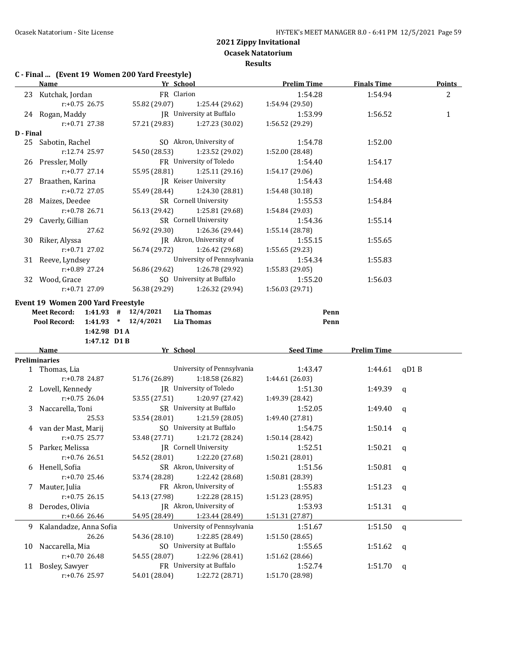**Results**

# **C - Final ... (Event 19 Women 200 Yard Freestyle)**

|           | <b>Name</b>                                    |               | Yr School                                   | <b>Prelim Time</b>         | <b>Finals Time</b> | Points       |
|-----------|------------------------------------------------|---------------|---------------------------------------------|----------------------------|--------------------|--------------|
|           | 23 Kutchak, Jordan                             |               | FR Clarion                                  | 1:54.28                    | 1:54.94            | 2            |
|           | $r: +0.75$ 26.75                               | 55.82 (29.07) | 1:25.44 (29.62)                             | 1:54.94 (29.50)            |                    |              |
|           | 24 Rogan, Maddy                                |               | JR University at Buffalo                    | 1:53.99                    | 1:56.52            | $\mathbf{1}$ |
|           | $r: +0.71$ 27.38                               | 57.21 (29.83) | 1:27.23 (30.02)                             | 1:56.52 (29.29)            |                    |              |
| D - Final |                                                |               |                                             |                            |                    |              |
|           | 25 Sabotin, Rachel                             |               | SO Akron, University of                     | 1:54.78                    | 1:52.00            |              |
|           | r:12.74 25.97                                  | 54.50 (28.53) | 1:23.52 (29.02)                             | 1:52.00 (28.48)            |                    |              |
|           | 26 Pressler, Molly                             |               | FR University of Toledo                     | 1:54.40                    | 1:54.17            |              |
|           | $r: +0.77$ 27.14                               | 55.95 (28.81) | 1:25.11 (29.16)                             | 1:54.17 (29.06)            |                    |              |
|           | 27 Braathen, Karina                            |               | JR Keiser University                        | 1:54.43                    | 1:54.48            |              |
|           | $r: +0.72$ 27.05                               | 55.49 (28.44) | 1:24.30 (28.81)                             | 1:54.48 (30.18)            |                    |              |
|           | 28 Maizes, Deedee                              |               | SR Cornell University                       | 1:55.53                    | 1:54.84            |              |
|           | $r: +0.78$ 26.71                               | 56.13 (29.42) | 1:25.81 (29.68)                             | 1:54.84 (29.03)            |                    |              |
|           | 29 Caverly, Gillian                            |               | SR Cornell University                       | 1:54.36                    | 1:55.14            |              |
|           | 27.62                                          | 56.92 (29.30) | 1:26.36 (29.44)                             | 1:55.14 (28.78)            |                    |              |
|           | 30 Riker, Alyssa                               |               | JR Akron, University of                     | 1:55.15                    | 1:55.65            |              |
|           | $r: +0.71$ 27.02                               | 56.74 (29.72) | 1:26.42 (29.68)                             | 1:55.65 (29.23)            |                    |              |
|           | 31 Reeve, Lyndsey                              |               | University of Pennsylvania                  | 1:54.34                    | 1:55.83            |              |
|           | $r: +0.89$ 27.24                               | 56.86 (29.62) | 1:26.78 (29.92)                             | 1:55.83 (29.05)            |                    |              |
|           | 32 Wood, Grace                                 |               | SO University at Buffalo                    | 1:55.20                    | 1:56.03            |              |
|           | $r: +0.71$ 27.09                               |               | 56.38 (29.29) 1:26.32 (29.94)               | 1:56.03 (29.71)            |                    |              |
|           |                                                |               |                                             |                            |                    |              |
|           | Event 19 Women 200 Yard Freestyle              |               |                                             |                            |                    |              |
|           | Meet Record: 1:41.93 # 12/4/2021               |               | <b>Lia Thomas</b>                           | Penn                       |                    |              |
|           | $1:41.93$ * $12/4/2021$<br><b>Pool Record:</b> |               | <b>Lia Thomas</b>                           | Penn                       |                    |              |
|           | 1:42.98 D1 A                                   |               |                                             |                            |                    |              |
|           | 1:47.12 D1B<br>Name                            |               | Yr School                                   | <b>Seed Time</b>           | <b>Prelim Time</b> |              |
|           | <b>Preliminaries</b>                           |               |                                             |                            |                    |              |
|           | 1 Thomas, Lia                                  |               | University of Pennsylvania                  | 1:43.47                    | 1:44.61            | qD1B         |
|           | $r: +0.78$ 24.87                               | 51.76 (26.89) | 1:18.58 (26.82)                             | 1:44.61 (26.03)            |                    |              |
|           | 2 Lovell, Kennedy                              |               | JR University of Toledo                     | 1:51.30                    | 1:49.39            | $\mathbf q$  |
|           | $r: +0.75$ 26.04                               | 53.55 (27.51) | 1:20.97 (27.42)                             | 1:49.39 (28.42)            |                    |              |
|           | 3 Naccarella, Toni                             |               | SR University at Buffalo                    | 1:52.05                    | 1:49.40            | $\mathbf q$  |
|           | 25.53                                          | 53.54 (28.01) | 1:21.59 (28.05)                             | 1:49.40 (27.81)            |                    |              |
|           | 4 van der Mast, Marij                          |               | SO University at Buffalo                    | 1:54.75                    | 1:50.14            | q            |
|           | $r: +0.75$ 25.77                               | 53.48 (27.71) | 1:21.72 (28.24)                             | 1:50.14 (28.42)            |                    |              |
|           | 5 Parker, Melissa                              |               | <b>IR</b> Cornell University                | 1:52.51                    | 1:50.21            |              |
|           | r:+0.76 26.51                                  | 54.52 (28.01) | 1:22.20 (27.68)                             | 1:50.21 (28.01)            |                    | q            |
|           | 6 Henell, Sofia                                |               | SR Akron, University of                     | 1:51.56                    | 1:50.81            |              |
|           | r:+0.70 25.46                                  | 53.74 (28.28) | 1:22.42 (28.68)                             | 1:50.81 (28.39)            |                    | q            |
|           |                                                |               | FR Akron, University of                     |                            |                    |              |
| 7         | Mauter, Julia                                  |               | 1:22.28 (28.15)                             | 1:55.83                    | 1:51.23            | q            |
|           | $r: +0.75$ 26.15                               | 54.13 (27.98) | JR Akron, University of                     | 1:51.23 (28.95)            |                    |              |
| 8         | Derodes, Olivia                                |               |                                             | 1:53.93                    | 1:51.31            | q            |
|           | r:+0.66 26.46                                  | 54.95 (28.49) | 1:23.44 (28.49)                             | 1:51.31 (27.87)            |                    |              |
| 9.        | Kalandadze, Anna Sofia                         |               | University of Pennsylvania                  | 1:51.67                    | 1:51.50            | $\mathsf{q}$ |
|           |                                                |               |                                             | 1:51.50 (28.65)            |                    |              |
|           | 26.26                                          | 54.36 (28.10) | 1:22.85 (28.49)                             |                            |                    |              |
|           | 10 Naccarella, Mia                             |               | SO University at Buffalo                    | 1:55.65                    | 1:51.62            | q            |
|           | r:+0.70 26.48                                  | 54.55 (28.07) | 1:22.96 (28.41)                             | 1:51.62 (28.66)            |                    |              |
| 11        | Bosley, Sawyer<br>r:+0.76 25.97                | 54.01 (28.04) | FR University at Buffalo<br>1:22.72 (28.71) | 1:52.74<br>1:51.70 (28.98) | 1:51.70            | q            |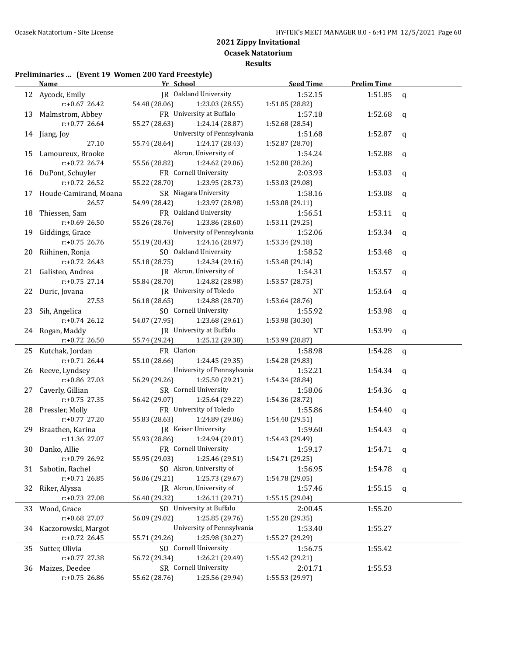**Results**

# **Preliminaries ... (Event 19 Women 200 Yard Freestyle)**

|    | <b>Name</b>              | Yr School     |                            | <b>Seed Time</b> | <b>Prelim Time</b> |              |
|----|--------------------------|---------------|----------------------------|------------------|--------------------|--------------|
|    | 12 Aycock, Emily         |               | JR Oakland University      | 1:52.15          | 1:51.85            | q            |
|    | $r: +0.67$ 26.42         | 54.48 (28.06) | 1:23.03 (28.55)            | 1:51.85 (28.82)  |                    |              |
|    | 13 Malmstrom, Abbey      |               | FR University at Buffalo   | 1:57.18          | 1:52.68            | q            |
|    | $r: +0.77$ 26.64         | 55.27 (28.63) | 1:24.14 (28.87)            | 1:52.68 (28.54)  |                    |              |
|    | 14 Jiang, Joy            |               | University of Pennsylvania | 1:51.68          | 1:52.87            | q            |
|    | 27.10                    | 55.74 (28.64) | 1:24.17 (28.43)            | 1:52.87 (28.70)  |                    |              |
|    | 15 Lamoureux, Brooke     |               | Akron, University of       | 1:54.24          | 1:52.88            | q            |
|    | r:+0.72 26.74            | 55.56 (28.82) | 1:24.62 (29.06)            | 1:52.88 (28.26)  |                    |              |
|    | 16 DuPont, Schuyler      |               | FR Cornell University      | 2:03.93          | 1:53.03            | q            |
|    | $r+0.72$ 26.52           | 55.22 (28.70) | 1:23.95 (28.73)            | 1:53.03 (29.08)  |                    |              |
|    | 17 Houde-Camirand, Moana |               | SR Niagara University      | 1:58.16          | 1:53.08            | $\mathbf q$  |
|    | 26.57                    | 54.99 (28.42) | 1:23.97 (28.98)            | 1:53.08 (29.11)  |                    |              |
|    | 18 Thiessen, Sam         |               | FR Oakland University      | 1:56.51          | 1:53.11            | q            |
|    | $r: +0.69$ 26.50         | 55.26 (28.76) | 1:23.86 (28.60)            | 1:53.11 (29.25)  |                    |              |
|    | 19 Giddings, Grace       |               | University of Pennsylvania | 1:52.06          | 1:53.34            | q            |
|    | $r: +0.75$ 26.76         | 55.19 (28.43) | 1:24.16 (28.97)            | 1:53.34 (29.18)  |                    |              |
|    | 20 Riihinen, Ronja       |               | SO Oakland University      | 1:58.52          | 1:53.48            | q            |
|    | $r: +0.72$ 26.43         | 55.18 (28.75) | 1:24.34 (29.16)            | 1:53.48 (29.14)  |                    |              |
|    | 21 Galisteo, Andrea      |               | JR Akron, University of    | 1:54.31          | 1:53.57            | q            |
|    | $r: +0.75$ 27.14         | 55.84 (28.70) | 1:24.82 (28.98)            | 1:53.57 (28.75)  |                    |              |
|    | 22 Duric, Jovana         |               | JR University of Toledo    | NT               | 1:53.64            | q            |
|    | 27.53                    | 56.18 (28.65) | 1:24.88 (28.70)            | 1:53.64 (28.76)  |                    |              |
|    | 23 Sih, Angelica         |               | SO Cornell University      | 1:55.92          | 1:53.98            | q            |
|    | $r: +0.74$ 26.12         | 54.07 (27.95) | 1:23.68 (29.61)            | 1:53.98 (30.30)  |                    |              |
|    | 24 Rogan, Maddy          |               | JR University at Buffalo   | NT               | 1:53.99            | q            |
|    | $r+0.72$ 26.50           | 55.74 (29.24) | 1:25.12 (29.38)            | 1:53.99 (28.87)  |                    |              |
|    | 25 Kutchak, Jordan       | FR Clarion    |                            | 1:58.98          | 1:54.28            | $\mathsf{q}$ |
|    | $r: +0.71$ 26.44         | 55.10 (28.66) | 1:24.45 (29.35)            | 1:54.28 (29.83)  |                    |              |
|    | 26 Reeve, Lyndsey        |               | University of Pennsylvania | 1:52.21          | 1:54.34            | q            |
|    | r:+0.86 27.03            | 56.29 (29.26) | 1:25.50 (29.21)            | 1:54.34 (28.84)  |                    |              |
|    | 27 Caverly, Gillian      |               | SR Cornell University      | 1:58.06          | 1:54.36            | q            |
|    | $r: +0.75$ 27.35         | 56.42 (29.07) | 1:25.64 (29.22)            | 1:54.36 (28.72)  |                    |              |
|    | 28 Pressler, Molly       |               | FR University of Toledo    | 1:55.86          | 1:54.40            | q            |
|    | $r: +0.77$ 27.20         | 55.83 (28.63) | 1:24.89 (29.06)            | 1:54.40 (29.51)  |                    |              |
|    | 29 Braathen, Karina      |               | JR Keiser University       | 1:59.60          | 1:54.43            | q            |
|    | r:11.36 27.07            | 55.93 (28.86) | 1:24.94 (29.01)            | 1:54.43 (29.49)  |                    |              |
|    | 30 Danko, Allie          |               | FR Cornell University      | 1:59.17          | 1:54.71 $q$        |              |
|    | $r: +0.79$ 26.92         | 55.95 (29.03) | 1:25.46 (29.51)            | 1:54.71 (29.25)  |                    |              |
|    | 31 Sabotin, Rachel       |               | SO Akron, University of    | 1:56.95          | 1:54.78            | q            |
|    | $r: +0.71$ 26.85         | 56.06 (29.21) | 1:25.73 (29.67)            | 1:54.78 (29.05)  |                    |              |
|    | 32 Riker, Alyssa         |               | JR Akron, University of    | 1:57.46          | 1:55.15            | q            |
|    | r:+0.73 27.08            | 56.40 (29.32) | 1:26.11 (29.71)            | 1:55.15 (29.04)  |                    |              |
| 33 | Wood, Grace              |               | SO University at Buffalo   | 2:00.45          | 1:55.20            |              |
|    | r:+0.68 27.07            | 56.09 (29.02) | 1:25.85 (29.76)            | 1:55.20 (29.35)  |                    |              |
| 34 | Kaczorowski, Margot      |               | University of Pennsylvania | 1:53.40          | 1:55.27            |              |
|    | $r.+0.72$ 26.45          | 55.71 (29.26) | 1:25.98 (30.27)            | 1:55.27 (29.29)  |                    |              |
| 35 | Sutter, Olivia           |               | SO Cornell University      | 1:56.75          | 1:55.42            |              |
|    | r:+0.77 27.38            | 56.72 (29.34) | 1:26.21 (29.49)            | 1:55.42 (29.21)  |                    |              |
| 36 | Maizes, Deedee           |               | SR Cornell University      | 2:01.71          | 1:55.53            |              |
|    | $r: +0.75$ 26.86         | 55.62 (28.76) | 1:25.56 (29.94)            | 1:55.53 (29.97)  |                    |              |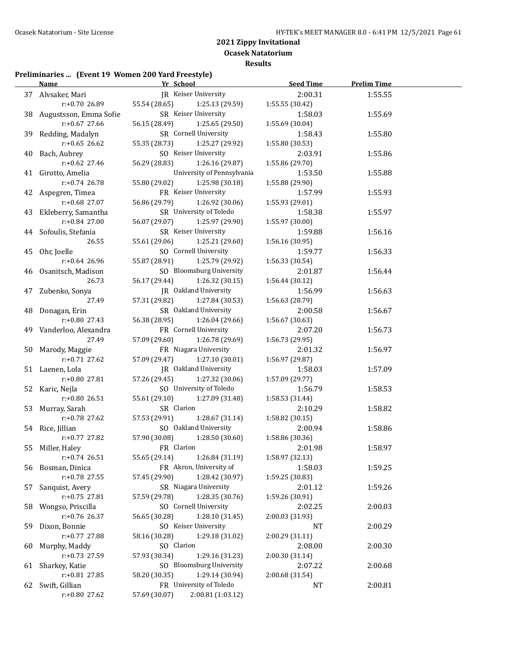**Results**

#### **Preliminaries ... (Event 19 Women 200 Yard Freestyle)**

|    | <u>Name</u>               | <u>Yr School</u>                   | <b>Seed Time</b> | <b>Prelim Time</b> |  |
|----|---------------------------|------------------------------------|------------------|--------------------|--|
|    | 37 Alvsaker, Mari         | JR Keiser University               | 2:00.31          | 1:55.55            |  |
|    | $r: +0.70$ 26.89          | 55.54 (28.65)<br>1:25.13 (29.59)   | 1:55.55 (30.42)  |                    |  |
|    | 38 Augustsson, Emma Sofie | SR Keiser University               | 1:58.03          | 1:55.69            |  |
|    | $r: +0.67$ 27.66          | 56.15 (28.49)<br>1:25.65 (29.50)   | 1:55.69 (30.04)  |                    |  |
|    | 39 Redding, Madalyn       | SR Cornell University              | 1:58.43          | 1:55.80            |  |
|    | $r: +0.65$ 26.62          | 55.35 (28.73)<br>1:25.27 (29.92)   | 1:55.80 (30.53)  |                    |  |
| 40 | Bach, Aubrey              | SO Keiser University               | 2:03.91          | 1:55.86            |  |
|    | r:+0.62 27.46             | 56.29 (28.83)<br>1:26.16 (29.87)   | 1:55.86 (29.70)  |                    |  |
|    | 41 Girotto, Amelia        | University of Pennsylvania         | 1:53.50          | 1:55.88            |  |
|    | $r: +0.74$ 26.78          | 55.80 (29.02)<br>1:25.98 (30.18)   | 1:55.88 (29.90)  |                    |  |
|    | 42 Aspegren, Timea        | FR Keiser University               | 1:57.99          | 1:55.93            |  |
|    | r:+0.68 27.07             | 56.86 (29.79)<br>1:26.92 (30.06)   | 1:55.93 (29.01)  |                    |  |
| 43 | Ekleberry, Samantha       | SR University of Toledo            | 1:58.38          | 1:55.97            |  |
|    | r:+0.84 27.00             | 56.07 (29.07)<br>1:25.97 (29.90)   | 1:55.97 (30.00)  |                    |  |
|    | 44 Sofoulis, Stefania     | SR Keiser University               | 1:59.88          | 1:56.16            |  |
|    | 26.55                     | 55.61 (29.06)<br>1:25.21 (29.60)   | 1:56.16 (30.95)  |                    |  |
|    | 45 Ohr, Joelle            | SO Cornell University              | 1:59.77          | 1:56.33            |  |
|    | $r: +0.64$ 26.96          | 55.87 (28.91)<br>1:25.79 (29.92)   | 1:56.33 (30.54)  |                    |  |
|    | 46 Osanitsch, Madison     | SO Bloomsburg University           | 2:01.87          | 1:56.44            |  |
|    | 26.73                     | 56.17 (29.44)<br>1:26.32 (30.15)   | 1:56.44 (30.12)  |                    |  |
|    | 47 Zubenko, Sonya         | JR Oakland University              | 1:56.99          | 1:56.63            |  |
|    | 27.49                     | 57.31 (29.82)<br>1:27.84 (30.53)   | 1:56.63 (28.79)  |                    |  |
|    | 48 Donagan, Erin          | SR Oakland University              | 2:00.58          | 1:56.67            |  |
|    | r:+0.80 27.43             | 56.38 (28.95)<br>1:26.04 (29.66)   | 1:56.67 (30.63)  |                    |  |
|    | 49 Vanderloo, Alexandra   | FR Cornell University              | 2:07.20          | 1:56.73            |  |
|    | 27.49                     | 57.09 (29.60)<br>1:26.78 (29.69)   | 1:56.73 (29.95)  |                    |  |
|    | 50 Marody, Maggie         | FR Niagara University              | 2:01.32          | 1:56.97            |  |
|    | $r: +0.71$ 27.62          | 1:27.10 (30.01)<br>57.09 (29.47)   | 1:56.97 (29.87)  |                    |  |
|    | 51 Laenen, Lola           | JR Oakland University              | 1:58.03          | 1:57.09            |  |
|    | r:+0.80 27.81             | 57.26 (29.45)<br>1:27.32 (30.06)   | 1:57.09 (29.77)  |                    |  |
|    | 52 Karic, Nejla           | SO University of Toledo            | 1:56.79          | 1:58.53            |  |
|    | $r: +0.80$ 26.51          | 55.61 (29.10)<br>1:27.09 (31.48)   | 1:58.53 (31.44)  |                    |  |
|    | 53 Murray, Sarah          | SR Clarion                         | 2:10.29          | 1:58.82            |  |
|    | r:+0.78 27.62             | 57.53 (29.91)<br>1:28.67 (31.14)   | 1:58.82 (30.15)  |                    |  |
|    | 54 Rice, Jillian          | SO Oakland University              | 2:00.94          | 1:58.86            |  |
|    | $r: +0.77$ 27.82          | 57.90 (30.08)<br>1:28.50(30.60)    | 1:58.86 (30.36)  |                    |  |
|    | 55 Miller, Haley          | FR Clarion                         | 2:01.98          | 1:58.97            |  |
|    | $r+0.74$ 26.51            | 1:26.84 (31.19)<br>55.65 (29.14)   | 1:58.97 (32.13)  |                    |  |
|    | 56 Bosman, Dinica         | FR Akron, University of            | 1:58.03          | 1:59.25            |  |
|    | r:+0.78 27.55             | 57.45 (29.90)<br>1:28.42 (30.97)   | 1:59.25 (30.83)  |                    |  |
| 57 | Sanquist, Avery           | SR Niagara University              | 2:01.12          | 1:59.26            |  |
|    | $r: +0.75$ 27.81          | 57.59 (29.78)<br>1:28.35 (30.76)   | 1:59.26 (30.91)  |                    |  |
| 58 | Wongso, Priscilla         | SO Cornell University              | 2:02.25          | 2:00.03            |  |
|    | r:+0.76 26.37             | 1:28.10 (31.45)<br>56.65 (30.28)   | 2:00.03 (31.93)  |                    |  |
| 59 | Dixon, Bonnie             | SO Keiser University               | <b>NT</b>        | 2:00.29            |  |
|    | r:+0.77 27.88             | 58.16 (30.28)<br>1:29.18 (31.02)   | 2:00.29 (31.11)  |                    |  |
| 60 | Murphy, Maddy             | SO Clarion                         | 2:08.00          | 2:00.30            |  |
|    | r:+0.73 27.59             | 1:29.16 (31.23)<br>57.93 (30.34)   | 2:00.30 (31.14)  |                    |  |
| 61 | Sharkey, Katie            | SO Bloomsburg University           | 2:07.22          | 2:00.68            |  |
|    | r:+0.81 27.85             | 1:29.14 (30.94)<br>58.20 (30.35)   | 2:00.68 (31.54)  |                    |  |
| 62 | Swift, Gillian            | FR University of Toledo            | NT               | 2:00.81            |  |
|    | r:+0.80 27.62             | 2:00.81 (1:03.12)<br>57.69 (30.07) |                  |                    |  |
|    |                           |                                    |                  |                    |  |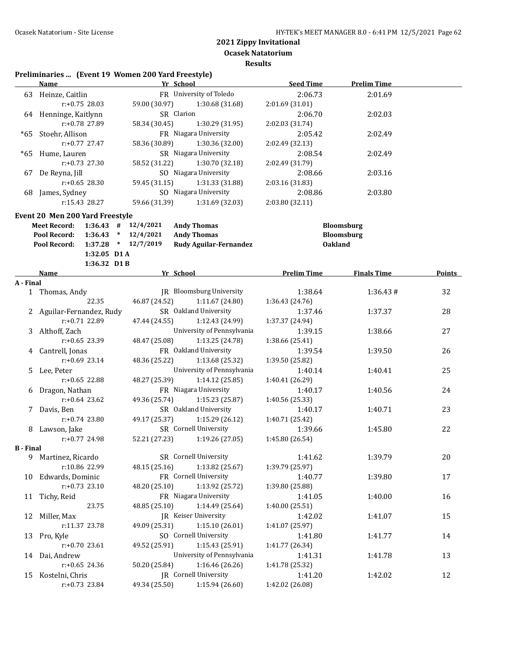**Results**

# **Preliminaries ... (Event 19 Women 200 Yard Freestyle)**

|           | <b>Name</b>                                                       |               | Yr School                                | <b>Seed Time</b>           | <b>Prelim Time</b> |        |
|-----------|-------------------------------------------------------------------|---------------|------------------------------------------|----------------------------|--------------------|--------|
|           | 63 Heinze, Caitlin                                                |               | FR University of Toledo                  | 2:06.73                    | 2:01.69            |        |
|           | $r: +0.75$ 28.03                                                  | 59.00 (30.97) | 1:30.68 (31.68)                          | 2:01.69 (31.01)            |                    |        |
|           | 64 Henninge, Kaitlynn                                             |               | SR Clarion                               | 2:06.70                    | 2:02.03            |        |
|           | r:+0.78 27.89                                                     | 58.34 (30.45) | 1:30.29 (31.95)                          | 2:02.03 (31.74)            |                    |        |
|           | *65 Stoehr, Allison                                               |               | FR Niagara University                    | 2:05.42                    | 2:02.49            |        |
|           | $r: +0.77$ 27.47                                                  | 58.36 (30.89) | 1:30.36 (32.00)                          | 2:02.49 (32.13)            |                    |        |
|           | *65 Hume, Lauren                                                  |               | SR Niagara University                    | 2:08.54                    | 2:02.49            |        |
|           | $r: +0.73$ 27.30                                                  | 58.52 (31.22) | 1:30.70 (32.18)                          | 2:02.49 (31.79)            |                    |        |
|           | 67 De Reyna, Jill                                                 |               | SO Niagara University                    | 2:08.66                    | 2:03.16            |        |
|           | $r: +0.65$ 28.30                                                  | 59.45 (31.15) | 1:31.33 (31.88)                          | 2:03.16 (31.83)            |                    |        |
|           | 68 James, Sydney                                                  |               | SO Niagara University                    | 2:08.86                    | 2:03.80            |        |
|           | r:15.43 28.27                                                     | 59.66 (31.39) | 1:31.69 (32.03)                          | 2:03.80 (32.11)            |                    |        |
|           |                                                                   |               |                                          |                            |                    |        |
|           | Event 20 Men 200 Yard Freestyle                                   |               |                                          |                            |                    |        |
|           | $1:36.43$ # $12/4/2021$<br><b>Meet Record:</b>                    |               | <b>Andy Thomas</b>                       |                            | Bloomsburg         |        |
|           | Pool Record:<br>$1:36.43$ * $12/4/2021$                           |               | <b>Andy Thomas</b>                       |                            | Bloomsburg         |        |
|           | Pool Record: 1:37.28 * 12/7/2019                                  |               | Rudy Aguilar-Fernandez                   | <b>Oakland</b>             |                    |        |
|           | 1:32.05 D1A                                                       |               |                                          |                            |                    |        |
|           | 1:36.32 D1B                                                       |               |                                          |                            |                    |        |
|           | Name <b>Solution School School School Prelim Time Finals Time</b> |               |                                          |                            |                    | Points |
| A - Final | 1 Thomas, Andy                                                    |               | JR Bloomsburg University                 |                            | 1:36.43#           | 32     |
|           | 22.35                                                             | 46.87 (24.52) | 1:11.67(24.80)                           | 1:38.64<br>1:36.43 (24.76) |                    |        |
|           | 2 Aguilar-Fernandez, Rudy                                         |               | SR Oakland University                    | 1:37.46                    | 1:37.37            | 28     |
|           | $r: +0.71$ 22.89                                                  | 47.44 (24.55) | 1:12.43 (24.99)                          | 1:37.37 (24.94)            |                    |        |
|           | 3 Althoff, Zach                                                   |               | University of Pennsylvania               |                            |                    |        |
|           |                                                                   |               |                                          | 1:39.15                    | 1:38.66            | 27     |
|           | r:+0.65 23.39                                                     | 48.47 (25.08) | 1:13.25 (24.78)<br>FR Oakland University | 1:38.66 (25.41)            |                    |        |
|           | 4 Cantrell, Jonas                                                 |               |                                          | 1:39.54                    | 1:39.50            | 26     |
|           | $r: +0.69$ 23.14                                                  | 48.36 (25.22) | 1:13.68 (25.32)                          | 1:39.50 (25.82)            |                    |        |
|           | 5 Lee, Peter                                                      |               | University of Pennsylvania               | 1:40.14                    | 1:40.41            | 25     |
|           | $r: +0.65$ 22.88                                                  | 48.27 (25.39) | 1:14.12 (25.85)                          | 1:40.41 (26.29)            |                    |        |
|           | 6 Dragon, Nathan                                                  |               | FR Niagara University                    | 1:40.17                    | 1:40.56            | 24     |
|           | $r: +0.64$ 23.62                                                  |               | 49.36 (25.74) 1:15.23 (25.87)            | 1:40.56 (25.33)            |                    |        |
|           | 7 Davis, Ben                                                      |               | SR Oakland University                    | 1:40.17                    | 1:40.71            | 23     |
|           | $r: +0.74$ 23.80                                                  |               | 49.17 (25.37) 1:15.29 (26.12)            | 1:40.71 (25.42)            |                    |        |
|           | 8 Lawson, Jake                                                    |               | SR Cornell University                    | 1:39.66                    | 1:45.80            | 22     |
|           | $r: +0.77$ 24.98                                                  | 52.21 (27.23) | 1:19.26 (27.05)                          | 1:45.80 (26.54)            |                    |        |
| B - Final |                                                                   |               | SR Cornell University                    |                            |                    |        |
|           | 9 Martinez, Ricardo<br>r:10.86 22.99                              |               | 1:13.82 (25.67)                          | 1:41.62                    | 1:39.79            | 20     |
|           |                                                                   | 48.15 (25.16) | FR Cornell University                    | 1:39.79 (25.97)            |                    |        |
|           | 10 Edwards, Dominic                                               |               |                                          | 1:40.77                    | 1:39.80            | 17     |
|           | $r: +0.73$ 23.10                                                  | 48.20 (25.10) | 1:13.92 (25.72)                          | 1:39.80 (25.88)            |                    |        |
| 11        | Tichy, Reid                                                       |               | FR Niagara University                    | 1:41.05                    | 1:40.00            | 16     |
|           | 23.75                                                             | 48.85 (25.10) | 1:14.49 (25.64)                          | 1:40.00 (25.51)            |                    |        |
| 12        | Miller, Max                                                       |               | JR Keiser University                     | 1:42.02                    | 1:41.07            | 15     |
|           | r:11.37 23.78                                                     | 49.09 (25.31) | 1:15.10 (26.01)                          | 1:41.07 (25.97)            |                    |        |
| 13        | Pro, Kyle                                                         |               | SO Cornell University                    | 1:41.80                    | 1:41.77            | 14     |
|           | r:+0.70 23.61                                                     | 49.52 (25.91) | 1:15.43 (25.91)                          | 1:41.77 (26.34)            |                    |        |
| 14        | Dai, Andrew                                                       |               | University of Pennsylvania               | 1:41.31                    | 1:41.78            | 13     |
|           | r:+0.65 24.36                                                     | 50.20 (25.84) | 1:16.46 (26.26)                          | 1:41.78 (25.32)            |                    |        |
|           | 15 Kostelni, Chris                                                |               | JR Cornell University                    | 1:41.20                    | 1:42.02            | 12     |
|           | r:+0.73 23.84                                                     | 49.34 (25.50) | 1:15.94 (26.60)                          | 1:42.02 (26.08)            |                    |        |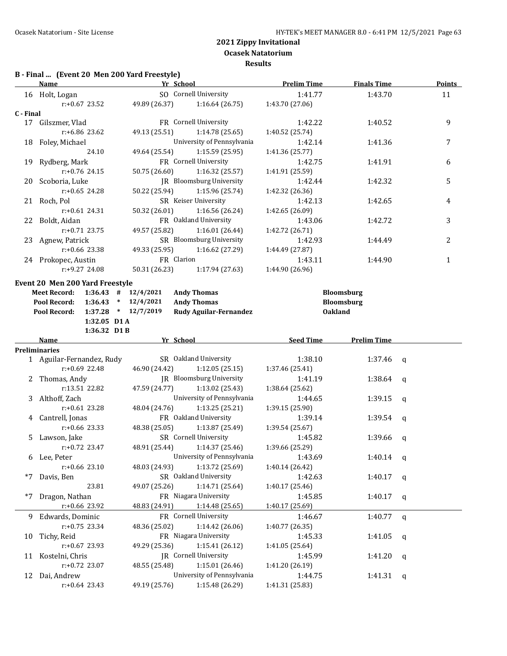# **B - Final ... (Event 20 Men 200 Yard Freestyle)**

|           | <b>Name</b>                                    |               | Yr School                     | <b>Prelim Time</b> | <b>Finals Time</b> | <b>Points</b> |
|-----------|------------------------------------------------|---------------|-------------------------------|--------------------|--------------------|---------------|
|           | 16 Holt, Logan                                 |               | SO Cornell University         | 1:41.77            | 1:43.70            | 11            |
|           | $r: +0.67$ 23.52                               | 49.89 (26.37) | 1:16.64(26.75)                | 1:43.70 (27.06)    |                    |               |
| C - Final |                                                |               |                               |                    |                    |               |
|           | 17 Gilszmer, Vlad                              |               | FR Cornell University         | 1:42.22            | 1:40.52            | 9             |
|           | r:+6.86 23.62                                  | 49.13 (25.51) | 1:14.78 (25.65)               | 1:40.52 (25.74)    |                    |               |
|           | 18 Foley, Michael                              |               | University of Pennsylvania    | 1:42.14            | 1:41.36            | 7             |
|           | 24.10                                          | 49.64 (25.54) | 1:15.59 (25.95)               | 1:41.36 (25.77)    |                    |               |
|           | 19 Rydberg, Mark                               |               | FR Cornell University         | 1:42.75            | 1:41.91            | 6             |
|           | $r: +0.76$ 24.15                               | 50.75 (26.60) | 1:16.32 (25.57)               | 1:41.91 (25.59)    |                    |               |
|           | 20 Scoboria, Luke                              |               | JR Bloomsburg University      | 1:42.44            | 1:42.32            | 5             |
|           | $r: +0.65$ 24.28                               | 50.22 (25.94) | 1:15.96 (25.74)               | 1:42.32 (26.36)    |                    |               |
|           | 21 Roch, Pol                                   |               | SR Keiser University          | 1:42.13            | 1:42.65            | 4             |
|           | $r: +0.61$ 24.31                               |               | 50.32 (26.01) 1:16.56 (26.24) | 1:42.65 (26.09)    |                    |               |
|           | 22 Boldt, Aidan                                |               | FR Oakland University         | 1:43.06            | 1:42.72            | 3             |
|           | $r: +0.71$ 23.75                               | 49.57 (25.82) | 1:16.01(26.44)                | 1:42.72 (26.71)    |                    |               |
|           | 23 Agnew, Patrick                              |               | SR Bloomsburg University      | 1:42.93            | 1:44.49            | 2             |
|           | $r: +0.66$ 23.38                               | 49.33 (25.95) | 1:16.62 (27.29)               | 1:44.49 (27.87)    |                    |               |
|           | 24 Prokopec, Austin                            |               | FR Clarion                    | 1:43.11            | 1:44.90            | $\mathbf{1}$  |
|           | r:+9.27 24.08                                  | 50.31 (26.23) | 1:17.94 (27.63)               | 1:44.90 (26.96)    |                    |               |
|           | Event 20 Men 200 Yard Freestyle                |               |                               |                    |                    |               |
|           | $1:36.43$ # $12/4/2021$<br><b>Meet Record:</b> |               | <b>Andy Thomas</b>            |                    | <b>Bloomsburg</b>  |               |
|           | Pool Record:<br>$1:36.43$ *                    | 12/4/2021     | <b>Andy Thomas</b>            |                    | Bloomsburg         |               |
|           | Pool Record:<br>$1:37.28$ * $12/7/2019$        |               | Rudy Aguilar-Fernandez        | <b>Oakland</b>     |                    |               |
|           | 1:32.05 D1 A                                   |               |                               |                    |                    |               |
|           | 1:36.32 D1B                                    |               |                               |                    |                    |               |
|           | <b>Name</b>                                    |               | Yr School                     | <b>Seed Time</b>   | <b>Prelim Time</b> |               |
|           | <b>Preliminaries</b>                           |               |                               |                    |                    |               |
|           | 1 Aguilar-Fernandez, Rudy                      |               | SR Oakland University         | 1:38.10            | 1:37.46            | q             |
|           | $r: +0.69$ 22.48                               | 46.90 (24.42) | 1:12.05(25.15)                | 1:37.46 (25.41)    |                    |               |
|           | 2 Thomas, Andy                                 |               | JR Bloomsburg University      | 1:41.19            | 1:38.64            | q             |
|           | r:13.51 22.82                                  | 47.59 (24.77) | 1:13.02 (25.43)               | 1:38.64 (25.62)    |                    |               |
|           | 3 Althoff, Zach                                |               | University of Pennsylvania    | 1:44.65            | 1:39.15            | q             |
|           | $r: +0.61$ 23.28                               | 48.04 (24.76) | 1:13.25 (25.21)               | 1:39.15 (25.90)    |                    |               |
|           | 4 Cantrell, Jonas                              |               | FR Oakland University         | 1:39.14            | 1:39.54            | q             |
|           | $r: +0.66$ 23.33                               | 48.38 (25.05) | 1:13.87 (25.49)               | 1:39.54 (25.67)    |                    |               |
|           | 5 Lawson, Jake                                 |               | SR Cornell University         | 1:45.82            | 1:39.66            | $\mathbf q$   |
|           | $r: +0.72$ 23.47                               | 48.91 (25.44) | 1:14.37 (25.46)               | 1:39.66 (25.29)    |                    |               |
|           | 6 Lee, Peter                                   |               | University of Pennsylvania    | 1:43.69            | 1:40.14            | q             |
|           | $r: +0.66$ 23.10                               | 48.03 (24.93) | 1:13.72 (25.69)               | 1:40.14 (26.42)    |                    |               |
| *7        | Davis, Ben                                     |               | SR Oakland University         | 1:42.63            | 1:40.17            | q             |
|           | 23.81                                          | 49.07 (25.26) | 1:14.71 (25.64)               | 1:40.17 (25.46)    |                    |               |
|           | *7 Dragon, Nathan                              |               | FR Niagara University         | 1:45.85            | 1:40.17            | q             |
|           | r:+0.66 23.92                                  | 48.83 (24.91) | 1:14.48 (25.65)               | 1:40.17 (25.69)    |                    |               |
|           | 9 Edwards, Dominic                             |               | FR Cornell University         | 1:46.67            | 1:40.77            | q             |
|           | $r: +0.75$ 23.34                               | 48.36 (25.02) | 1:14.42 (26.06)               | 1:40.77 (26.35)    |                    |               |
| 10        | Tichy, Reid                                    |               | FR Niagara University         | 1:45.33            | 1:41.05            | q             |
|           | $r: +0.67$ 23.93                               | 49.29 (25.36) | 1:15.41 (26.12)               | 1:41.05 (25.64)    |                    |               |
|           | 11 Kostelni, Chris                             |               | IR Cornell University         | 1:45.99            | 1:41.20            | q             |
|           |                                                |               | 1:15.01 (26.46)               | 1:41.20 (26.19)    |                    |               |
|           | $r.+0.72$ 23.07                                | 48.55 (25.48) |                               |                    |                    |               |
|           | 12 Dai, Andrew                                 |               | University of Pennsylvania    | 1:44.75            | 1:41.31            | q             |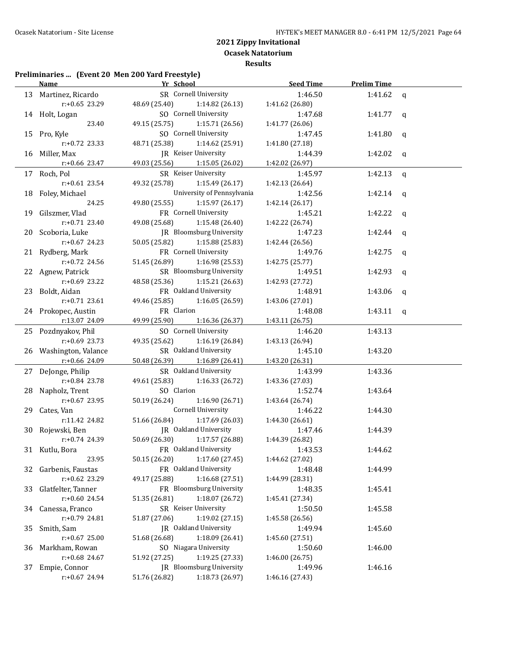**Results**

### **Preliminaries ... (Event 20 Men 200 Yard Freestyle)**

|     | Name <u>and</u>        | Yr School                        | <b>Seed Time</b> | <b>Prelim Time</b> |             |
|-----|------------------------|----------------------------------|------------------|--------------------|-------------|
|     | 13 Martinez, Ricardo   | SR Cornell University            | 1:46.50          | 1:41.62            | $\mathbf q$ |
|     | $r: +0.65$ 23.29       | 48.69 (25.40)<br>1:14.82 (26.13) | 1:41.62 (26.80)  |                    |             |
|     | 14 Holt, Logan         | SO Cornell University            | 1:47.68          | 1:41.77            | q           |
|     | 23.40                  | 49.15 (25.75)<br>1:15.71 (26.56) | 1:41.77 (26.06)  |                    |             |
|     | 15 Pro, Kyle           | SO Cornell University            | 1:47.45          | 1:41.80            | $\mathbf q$ |
|     | $r: +0.72$ 23.33       | 48.71 (25.38)<br>1:14.62 (25.91) | 1:41.80 (27.18)  |                    |             |
|     | 16 Miller, Max         | JR Keiser University             | 1:44.39          | 1:42.02            | $\mathbf q$ |
|     | $r: +0.66$ 23.47       | 49.03 (25.56)<br>1:15.05 (26.02) | 1:42.02 (26.97)  |                    |             |
|     | 17 Roch, Pol           | SR Keiser University             | 1:45.97          | 1:42.13            | $\mathbf q$ |
|     | $r: +0.61$ 23.54       | 49.32 (25.78)<br>1:15.49 (26.17) | 1:42.13 (26.64)  |                    |             |
| 18  | Foley, Michael         | University of Pennsylvania       | 1:42.56          | 1:42.14            | q           |
|     | 24.25                  | 1:15.97(26.17)<br>49.80 (25.55)  | 1:42.14 (26.17)  |                    |             |
| 19  | Gilszmer, Vlad         | FR Cornell University            | 1:45.21          | 1:42.22            | q           |
|     | r:+0.71 23.40          | 49.08 (25.68)<br>1:15.48 (26.40) | 1:42.22 (26.74)  |                    |             |
| 20  | Scoboria, Luke         | JR Bloomsburg University         | 1:47.23          | 1:42.44            | q           |
|     | $r: +0.67$ 24.23       | 50.05 (25.82)<br>1:15.88 (25.83) | 1:42.44 (26.56)  |                    |             |
|     | 21 Rydberg, Mark       | FR Cornell University            | 1:49.76          | 1:42.75            | q           |
|     | r:+0.72 24.56          | 51.45 (26.89)<br>1:16.98(25.53)  | 1:42.75 (25.77)  |                    |             |
|     | 22 Agnew, Patrick      | SR Bloomsburg University         | 1:49.51          | 1:42.93            | q           |
|     | r:+0.69 23.22          | 48.58 (25.36)<br>1:15.21 (26.63) | 1:42.93 (27.72)  |                    |             |
| 23  | Boldt, Aidan           | FR Oakland University            | 1:48.91          | 1:43.06            | q           |
|     | $r: +0.71$ 23.61       | 49.46 (25.85)<br>1:16.05 (26.59) | 1:43.06 (27.01)  |                    |             |
|     | 24 Prokopec, Austin    | FR Clarion                       | 1:48.08          | 1:43.11            | q           |
|     | r:13.07 24.09          | 49.99 (25.90)<br>1:16.36 (26.37) | 1:43.11 (26.75)  |                    |             |
|     | 25 Pozdnyakov, Phil    | SO Cornell University            | 1:46.20          | 1:43.13            |             |
|     | r:+0.69 23.73          | 49.35 (25.62)<br>1:16.19 (26.84) | 1:43.13 (26.94)  |                    |             |
|     | 26 Washington, Valance | SR Oakland University            | 1:45.10          | 1:43.20            |             |
|     | r:+0.66 24.09          | 50.48 (26.39)<br>1:16.89 (26.41) | 1:43.20 (26.31)  |                    |             |
|     | 27 DeJonge, Philip     | SR Oakland University            | 1:43.99          | 1:43.36            |             |
|     | r:+0.84 23.78          | 49.61 (25.83)<br>1:16.33(26.72)  | 1:43.36 (27.03)  |                    |             |
| 28. | Napholz, Trent         | SO Clarion                       | 1:52.74          | 1:43.64            |             |
|     | r:+0.67 23.95          | 50.19 (26.24)<br>1:16.90 (26.71) | 1:43.64 (26.74)  |                    |             |
| 29  | Cates, Van             | Cornell University               | 1:46.22          | 1:44.30            |             |
|     | r:11.42 24.82          | 51.66 (26.84)<br>1:17.69 (26.03) | 1:44.30 (26.61)  |                    |             |
|     | 30 Rojewski, Ben       | JR Oakland University            | 1:47.46          | 1:44.39            |             |
|     | r:+0.74 24.39          | 50.69 (26.30)<br>1:17.57(26.88)  | 1:44.39 (26.82)  |                    |             |
|     | 31 Kutlu, Bora         | FR Oakland University            | 1:43.53          | 1:44.62            |             |
|     | 23.95                  | 1:17.60 (27.45)<br>50.15 (26.20) | 1:44.62 (27.02)  |                    |             |
| 32  | Garbenis, Faustas      | FR Oakland University            | 1:48.48          | 1:44.99            |             |
|     | r:+0.62 23.29          | 49.17 (25.88)<br>1:16.68(27.51)  | 1:44.99 (28.31)  |                    |             |
| 33  | Glatfelter, Tanner     | FR Bloomsburg University         | 1:48.35          | 1:45.41            |             |
|     | r:+0.60 24.54          | 51.35 (26.81)<br>1:18.07 (26.72) | 1:45.41 (27.34)  |                    |             |
| 34  | Canessa, Franco        | SR Keiser University             | 1:50.50          | 1:45.58            |             |
|     | r:+0.79 24.81          | 1:19.02 (27.15)<br>51.87 (27.06) | 1:45.58 (26.56)  |                    |             |
| 35  | Smith, Sam             | JR Oakland University            | 1:49.94          | 1:45.60            |             |
|     | $r: +0.67$ 25.00       | 51.68 (26.68)<br>1:18.09 (26.41) | 1:45.60 (27.51)  |                    |             |
|     | 36 Markham, Rowan      | SO Niagara University            | 1:50.60          | 1:46.00            |             |
|     | r:+0.68 24.67          | 1:19.25 (27.33)<br>51.92 (27.25) | 1:46.00 (26.75)  |                    |             |
| 37  | Empie, Connor          | JR Bloomsburg University         | 1:49.96          | 1:46.16            |             |
|     | r:+0.67 24.94          | 51.76 (26.82)<br>1:18.73 (26.97) | 1:46.16 (27.43)  |                    |             |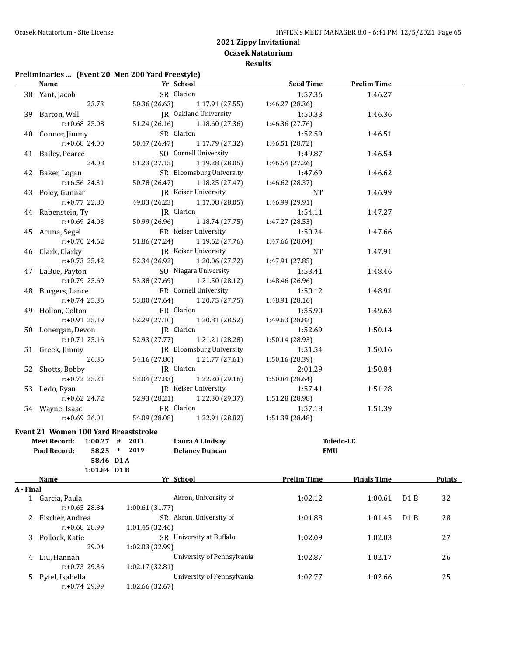**Ocasek Natatorium**

**Results**

# **Preliminaries ... (Event 20 Men 200 Yard Freestyle)**

|           | <b>Name</b>                                 | Yr School                                      | <b>Seed Time</b>   | <b>Prelim Time</b> |                  |               |
|-----------|---------------------------------------------|------------------------------------------------|--------------------|--------------------|------------------|---------------|
|           | 38 Yant, Jacob                              | SR Clarion                                     | 1:57.36            | 1:46.27            |                  |               |
|           | 23.73                                       | 50.36 (26.63)<br>1:17.91(27.55)                | 1:46.27 (28.36)    |                    |                  |               |
|           | 39 Barton, Will                             | JR Oakland University                          | 1:50.33            | 1:46.36            |                  |               |
|           | $r: +0.68$ 25.08                            | 51.24 (26.16) 1:18.60 (27.36)                  | 1:46.36 (27.76)    |                    |                  |               |
|           | 40 Connor, Jimmy                            | SR Clarion                                     | 1:52.59            | 1:46.51            |                  |               |
|           | r:+0.68 24.00                               | 50.47 (26.47)<br>1:17.79 (27.32)               | 1:46.51 (28.72)    |                    |                  |               |
|           | 41 Bailey, Pearce                           | SO Cornell University                          | 1:49.87            | 1:46.54            |                  |               |
|           | 24.08                                       | 51.23 (27.15)<br>1:19.28(28.05)                | 1:46.54 (27.26)    |                    |                  |               |
|           |                                             | SR Bloomsburg University                       | 1:47.69            | 1:46.62            |                  |               |
|           | 42 Baker, Logan<br>r:+6.56 24.31            | 50.78 (26.47)                                  | 1:46.62 (28.37)    |                    |                  |               |
|           |                                             | 1:18.25 (27.47)<br><b>IR</b> Keiser University |                    |                    |                  |               |
|           | 43 Poley, Gunnar                            |                                                | NT                 | 1:46.99            |                  |               |
|           | $r: +0.77$ 22.80                            | 49.03 (26.23)<br>1:17.08(28.05)                | 1:46.99 (29.91)    |                    |                  |               |
|           | 44 Rabenstein, Ty                           | JR Clarion                                     | 1:54.11            | 1:47.27            |                  |               |
|           | $r: +0.69$ 24.03                            | 50.99 (26.96) 1:18.74 (27.75)                  | 1:47.27 (28.53)    |                    |                  |               |
|           | 45 Acuna, Segel                             | FR Keiser University                           | 1:50.24            | 1:47.66            |                  |               |
|           | $r: +0.70$ 24.62                            | 51.86 (27.24) 1:19.62 (27.76)                  | 1:47.66 (28.04)    |                    |                  |               |
|           | 46 Clark, Clarky                            | IR Keiser University                           | <b>NT</b>          | 1:47.91            |                  |               |
|           | $r: +0.73$ 25.42                            | 52.34 (26.92) 1:20.06 (27.72)                  | 1:47.91 (27.85)    |                    |                  |               |
|           | 47 LaBue, Payton                            | SO Niagara University                          | 1:53.41            | 1:48.46            |                  |               |
|           | $r: +0.79$ 25.69                            | 53.38 (27.69) 1:21.50 (28.12)                  | 1:48.46 (26.96)    |                    |                  |               |
|           | 48 Borgers, Lance                           | FR Cornell University                          | 1:50.12            | 1:48.91            |                  |               |
|           | $r: +0.74$ 25.36                            | 53.00 (27.64) 1:20.75 (27.75)                  | 1:48.91 (28.16)    |                    |                  |               |
|           | 49 Hollon, Colton                           | FR Clarion                                     | 1:55.90            | 1:49.63            |                  |               |
|           | $r: +0.91$ 25.19                            | 52.29 (27.10) 1:20.81 (28.52)                  | 1:49.63 (28.82)    |                    |                  |               |
|           | 50 Lonergan, Devon                          | JR Clarion                                     | 1:52.69            | 1:50.14            |                  |               |
|           | $r: +0.71$ 25.16                            | 52.93 (27.77) 1:21.21 (28.28)                  | 1:50.14 (28.93)    |                    |                  |               |
|           | 51 Greek, Jimmy                             | JR Bloomsburg University                       | 1:51.54            | 1:50.16            |                  |               |
|           | 26.36                                       | 54.16 (27.80)<br>1:21.77 (27.61)               | 1:50.16 (28.39)    |                    |                  |               |
|           | 52 Shotts, Bobby                            | JR Clarion                                     | 2:01.29            | 1:50.84            |                  |               |
|           | $r: +0.72$ 25.21                            | 53.04 (27.83) 1:22.20 (29.16)                  | 1:50.84 (28.64)    |                    |                  |               |
|           | 53 Ledo, Ryan                               | JR Keiser University                           | 1:57.41            | 1:51.28            |                  |               |
|           | $r: +0.62$ 24.72                            | 52.93 (28.21) 1:22.30 (29.37)                  | 1:51.28 (28.98)    |                    |                  |               |
|           | 54 Wayne, Isaac                             | FR Clarion                                     | 1:57.18            | 1:51.39            |                  |               |
|           | r:+0.69 26.01                               | 54.09 (28.08) 1:22.91 (28.82)                  | 1:51.39 (28.48)    |                    |                  |               |
|           | <b>Event 21 Women 100 Yard Breaststroke</b> |                                                |                    |                    |                  |               |
|           | Meet Record: 1:00.27 # 2011                 | Laura A Lindsay                                |                    | <b>Toledo-LE</b>   |                  |               |
|           | Pool Record: 58.25 * 2019                   | <b>Delaney Duncan</b>                          |                    | EMU                |                  |               |
|           | 58.46 D1 A                                  |                                                |                    |                    |                  |               |
|           | 1:01.84 D1 B                                |                                                |                    |                    |                  |               |
|           | Name                                        | Yr School                                      | <b>Prelim Time</b> | <b>Finals Time</b> |                  | <b>Points</b> |
| A - Final |                                             |                                                |                    |                    |                  |               |
|           | 1 Garcia, Paula                             | Akron, University of                           | 1:02.12            | 1:00.61            | D <sub>1</sub> B | 32            |
|           | r:+0.65 28.84                               | 1:00.61(31.77)                                 |                    |                    |                  |               |
|           | 2 Fischer, Andrea                           | SR Akron, University of                        | 1:01.88            | 1:01.45            | D1B              | 28            |
|           | r:+0.68 28.99                               | 1:01.45 (32.46)                                |                    |                    |                  |               |
| 3         | Pollock, Katie                              | SR University at Buffalo                       | 1:02.09            | 1:02.03            |                  | 27            |
|           | 29.04                                       | 1:02.03 (32.99)                                |                    |                    |                  |               |
| 4         | Liu, Hannah                                 | University of Pennsylvania                     | 1:02.87            | 1:02.17            |                  | 26            |
|           | r:+0.73 29.36                               | 1:02.17 (32.81)                                |                    |                    |                  |               |
| 5.        | Pytel, Isabella                             | University of Pennsylvania                     | 1:02.77            | 1:02.66            |                  | 25            |
|           | r:+0.74 29.99                               | 1:02.66 (32.67)                                |                    |                    |                  |               |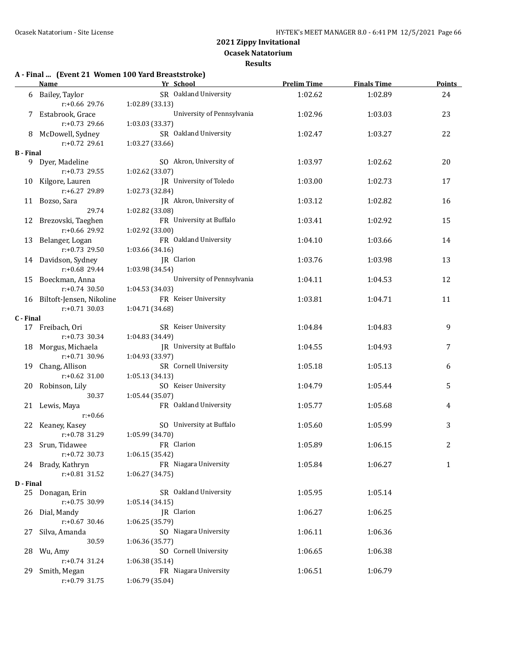**Results**

### **A - Final ... (Event 21 Women 100 Yard Breaststroke)**

|                  | <b>Name</b>                            | Yr School                                   | <b>Prelim Time</b> | <b>Finals Time</b> | <b>Points</b> |
|------------------|----------------------------------------|---------------------------------------------|--------------------|--------------------|---------------|
|                  | 6 Bailey, Taylor                       | SR Oakland University                       | 1:02.62            | 1:02.89            | 24            |
|                  | r:+0.66 29.76                          | 1:02.89 (33.13)                             |                    |                    |               |
|                  | 7 Estabrook, Grace                     | University of Pennsylvania                  | 1:02.96            | 1:03.03            | 23            |
|                  | $r: +0.73$ 29.66                       | 1:03.03 (33.37)                             |                    |                    |               |
|                  | 8 McDowell, Sydney                     | SR Oakland University                       | 1:02.47            | 1:03.27            | 22            |
|                  | r:+0.72 29.61                          | 1:03.27 (33.66)                             |                    |                    |               |
| <b>B</b> - Final |                                        |                                             |                    |                    |               |
|                  | 9 Dyer, Madeline                       | SO Akron, University of                     | 1:03.97            | 1:02.62            | 20            |
|                  | $r: +0.73$ 29.55                       | 1:02.62 (33.07)                             |                    |                    |               |
|                  | 10 Kilgore, Lauren                     | JR University of Toledo                     | 1:03.00            | 1:02.73            | 17            |
|                  | $r: +6.27$ 29.89                       | 1:02.73 (32.84)                             |                    |                    |               |
|                  | 11 Bozso, Sara                         | JR Akron, University of                     | 1:03.12            | 1:02.82            | 16            |
|                  | 29.74                                  | 1:02.82 (33.08)<br>FR University at Buffalo |                    |                    |               |
|                  | 12 Brezovski, Taeghen<br>r:+0.66 29.92 | 1:02.92 (33.00)                             | 1:03.41            | 1:02.92            | 15            |
|                  |                                        | FR Oakland University                       |                    | 1:03.66            |               |
|                  | 13 Belanger, Logan<br>$r: +0.73$ 29.50 | 1:03.66 (34.16)                             | 1:04.10            |                    | 14            |
|                  | 14 Davidson, Sydney                    | JR Clarion                                  | 1:03.76            | 1:03.98            | 13            |
|                  | $r: +0.68$ 29.44                       | 1:03.98 (34.54)                             |                    |                    |               |
|                  | 15 Boeckman, Anna                      | University of Pennsylvania                  | 1:04.11            | 1:04.53            | 12            |
|                  | $r: +0.74$ 30.50                       | 1:04.53 (34.03)                             |                    |                    |               |
|                  | 16 Biltoft-Jensen, Nikoline            | FR Keiser University                        | 1:03.81            | 1:04.71            | 11            |
|                  | $r: +0.71$ 30.03                       | 1:04.71 (34.68)                             |                    |                    |               |
| C - Final        |                                        |                                             |                    |                    |               |
|                  | 17 Freibach, Ori                       | SR Keiser University                        | 1:04.84            | 1:04.83            | 9             |
|                  | $r: +0.73$ 30.34                       | 1:04.83 (34.49)                             |                    |                    |               |
|                  | 18 Morgus, Michaela                    | JR University at Buffalo                    | 1:04.55            | 1:04.93            | 7             |
|                  | r:+0.71 30.96                          | 1:04.93 (33.97)                             |                    |                    |               |
|                  | 19 Chang, Allison                      | SR Cornell University                       | 1:05.18            | 1:05.13            | 6             |
|                  | $r: +0.62$ 31.00                       | 1:05.13 (34.13)                             |                    |                    |               |
|                  | 20 Robinson, Lily                      | SO Keiser University                        | 1:04.79            | 1:05.44            | 5             |
|                  | 30.37                                  | 1:05.44 (35.07)                             |                    |                    |               |
|                  | 21 Lewis, Maya                         | FR Oakland University                       | 1:05.77            | 1:05.68            | 4             |
|                  | $r: +0.66$                             |                                             |                    |                    |               |
|                  | 22 Keaney, Kasey                       | SO University at Buffalo                    | 1:05.60            | 1:05.99            | 3             |
|                  | r:+0.78 31.29                          | 1:05.99 (34.70)                             |                    |                    |               |
|                  | 23 Srun, Tidawee                       | FR Clarion                                  | 1:05.89            | 1:06.15            | 2             |
|                  | $r: +0.72$ 30.73                       | 1:06.15 (35.42)                             |                    |                    |               |
|                  | 24 Brady, Kathryn                      | FR Niagara University                       | 1:05.84            | 1:06.27            | 1             |
| D - Final        | r:+0.81 31.52                          | 1:06.27 (34.75)                             |                    |                    |               |
| 25               | Donagan, Erin                          | SR Oakland University                       | 1:05.95            | 1:05.14            |               |
|                  | $r: +0.75$ 30.99                       | 1:05.14(34.15)                              |                    |                    |               |
| 26               | Dial, Mandy                            | JR Clarion                                  | 1:06.27            | 1:06.25            |               |
|                  | $r: +0.67$ 30.46                       | 1:06.25 (35.79)                             |                    |                    |               |
| 27               | Silva, Amanda                          | SO Niagara University                       | 1:06.11            | 1:06.36            |               |
|                  | 30.59                                  | 1:06.36 (35.77)                             |                    |                    |               |
| 28               | Wu, Amy                                | SO Cornell University                       | 1:06.65            | 1:06.38            |               |
|                  | r:+0.74 31.24                          | 1:06.38 (35.14)                             |                    |                    |               |
| 29               | Smith, Megan                           | FR Niagara University                       | 1:06.51            | 1:06.79            |               |
|                  | $r: +0.79$ 31.75                       | 1:06.79 (35.04)                             |                    |                    |               |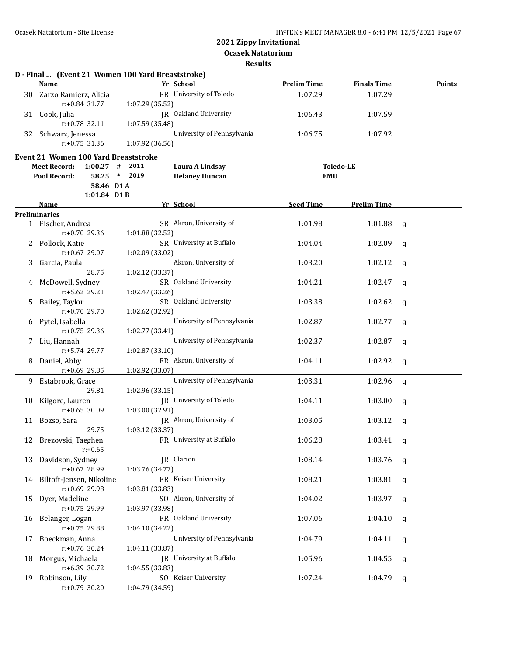**Ocasek Natatorium**

**Results**

|    | Name                                                        | D - Final  (Event 21 Women 100 Yard Breaststroke)<br>Yr School  | <b>Prelim Time</b> | <b>Finals Time</b> | <b>Points</b> |
|----|-------------------------------------------------------------|-----------------------------------------------------------------|--------------------|--------------------|---------------|
|    | 30 Zarzo Ramierz, Alicia                                    | FR University of Toledo                                         | 1:07.29            | 1:07.29            |               |
|    | r:+0.84 31.77                                               | 1:07.29 (35.52)                                                 |                    |                    |               |
|    | 31 Cook, Julia<br>r:+0.78 32.11                             | JR Oakland University<br>1:07.59 (35.48)                        | 1:06.43            | 1:07.59            |               |
| 32 | Schwarz, Jenessa<br>$r: +0.75$ 31.36                        | University of Pennsylvania<br>1:07.92 (36.56)                   | 1:06.75            | 1:07.92            |               |
|    |                                                             |                                                                 |                    |                    |               |
|    | <b>Event 21 Women 100 Yard Breaststroke</b>                 |                                                                 |                    |                    |               |
|    | <b>Meet Record:</b><br>$1:00.27$ #<br>58.25<br>Pool Record: | 2011<br>Laura A Lindsay<br>2019<br>$*$<br><b>Delaney Duncan</b> | <b>EMU</b>         | <b>Toledo-LE</b>   |               |
|    | 58.46 D1A                                                   |                                                                 |                    |                    |               |
|    | 1:01.84 D1B                                                 |                                                                 |                    |                    |               |
|    | <b>Name</b>                                                 | Yr School                                                       | <b>Seed Time</b>   | <b>Prelim Time</b> |               |
|    | <b>Preliminaries</b>                                        |                                                                 |                    |                    |               |
|    | 1 Fischer, Andrea                                           | SR Akron, University of                                         | 1:01.98            | 1:01.88            | q             |
|    | $r: +0.70$ 29.36                                            | 1:01.88 (32.52)                                                 |                    |                    |               |
| 2  | Pollock, Katie                                              | SR University at Buffalo                                        | 1:04.04            | 1:02.09            | q             |
|    | $r: +0.67$ 29.07                                            | 1:02.09 (33.02)                                                 |                    |                    |               |
| 3  | Garcia, Paula                                               | Akron, University of                                            | 1:03.20            | 1:02.12            | q             |
|    | 28.75                                                       | 1:02.12 (33.37)                                                 |                    |                    |               |
| 4  | McDowell, Sydney                                            | SR Oakland University                                           | 1:04.21            | 1:02.47            | q             |
|    | $r: +5.62$ 29.21                                            | 1:02.47 (33.26)                                                 |                    |                    |               |
| 5  | Bailey, Taylor                                              | SR Oakland University                                           | 1:03.38            | 1:02.62            | q             |
|    | $r: +0.70$ 29.70                                            | 1:02.62 (32.92)<br>University of Pennsylvania                   | 1:02.87            |                    |               |
| 6  | Pytel, Isabella<br>$r: +0.75$ 29.36                         | 1:02.77 (33.41)                                                 |                    | 1:02.77            | q             |
| 7. | Liu, Hannah                                                 | University of Pennsylvania                                      | 1:02.37            | 1:02.87            | q             |
|    | r:+5.74 29.77                                               | 1:02.87 (33.10)                                                 |                    |                    |               |
| 8  | Daniel, Abby                                                | FR Akron, University of                                         | 1:04.11            | 1:02.92            | q             |
|    | r:+0.69 29.85                                               | 1:02.92 (33.07)                                                 |                    |                    |               |
| 9  | Estabrook, Grace                                            | University of Pennsylvania                                      | 1:03.31            | 1:02.96            | q             |
|    | 29.81                                                       | 1:02.96 (33.15)                                                 |                    |                    |               |
|    | 10 Kilgore, Lauren                                          | JR University of Toledo                                         | 1:04.11            | 1:03.00            | q             |
|    | $r: +0.65$ 30.09                                            | 1:03.00 (32.91)                                                 |                    |                    |               |
|    | 11 Bozso, Sara                                              | JR Akron, University of                                         | 1:03.05            | 1:03.12            | q             |
|    | 29.75                                                       | 1:03.12 (33.37)                                                 |                    |                    |               |
|    | 12 Brezovski, Taeghen                                       | FR University at Buffalo                                        | 1:06.28            | 1:03.41 $q$        |               |
|    | $r: +0.65$                                                  |                                                                 |                    |                    |               |
| 13 | Davidson, Sydney                                            | IR Clarion                                                      | 1:08.14            | 1:03.76            | q             |
|    | r:+0.67 28.99                                               | 1:03.76 (34.77)                                                 |                    |                    |               |
|    | 14 Biltoft-Jensen, Nikoline                                 | FR Keiser University                                            | 1:08.21            | 1:03.81            | q             |
|    | r:+0.69 29.98                                               | 1:03.81 (33.83)                                                 |                    |                    |               |
| 15 | Dyer, Madeline                                              | SO Akron, University of                                         | 1:04.02            | 1:03.97            | q             |
|    | r:+0.75 29.99                                               | 1:03.97 (33.98)                                                 |                    |                    |               |
|    | 16 Belanger, Logan                                          | FR Oakland University                                           | 1:07.06            | 1:04.10            | q             |
|    | $r: +0.75$ 29.88                                            | 1:04.10 (34.22)<br>University of Pennsylvania                   |                    |                    |               |
|    | 17 Boeckman, Anna<br>$r: +0.76$ 30.24                       | 1:04.11 (33.87)                                                 | 1:04.79            | 1:04.11            | $\mathbf{q}$  |
| 18 | Morgus, Michaela                                            | <b>IR</b> University at Buffalo                                 | 1:05.96            | 1:04.55            |               |
|    | r:+6.39 30.72                                               | 1:04.55 (33.83)                                                 |                    |                    | q             |
| 19 | Robinson, Lily                                              | SO Keiser University                                            | 1:07.24            | 1:04.79            | q             |
|    | $r: +0.79$ 30.20                                            | 1:04.79 (34.59)                                                 |                    |                    |               |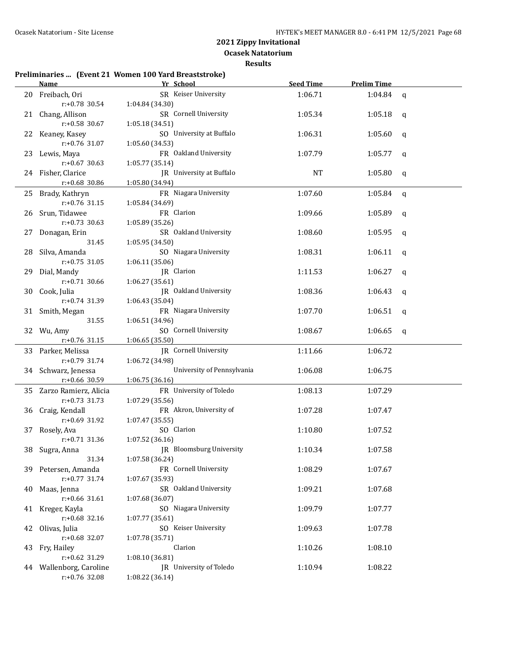**Ocasek Natatorium**

#### **Results**

#### **Preliminaries ... (Event 21 Women 100 Yard Breaststroke)**

|     | Name                                 | Yr School                  | <b>Seed Time</b> | <b>Prelim Time</b> |             |
|-----|--------------------------------------|----------------------------|------------------|--------------------|-------------|
| 20  | Freibach, Ori                        | SR Keiser University       | 1:06.71          | 1:04.84            | $\mathbf q$ |
|     | r:+0.78 30.54                        | 1:04.84 (34.30)            |                  |                    |             |
|     | 21 Chang, Allison                    | SR Cornell University      | 1:05.34          | 1:05.18            | q           |
|     | r:+0.58 30.67                        | 1:05.18 (34.51)            |                  |                    |             |
| 22  | Keaney, Kasey                        | SO University at Buffalo   | 1:06.31          | 1:05.60            | q           |
|     | r:+0.76 31.07                        | 1:05.60 (34.53)            |                  |                    |             |
| 23  | Lewis, Maya                          | FR Oakland University      | 1:07.79          | 1:05.77            | q           |
|     | $r: +0.67$ 30.63                     | 1:05.77 (35.14)            |                  |                    |             |
|     | 24 Fisher, Clarice                   | JR University at Buffalo   | <b>NT</b>        | 1:05.80            | q           |
|     | r:+0.68 30.86                        | 1:05.80 (34.94)            |                  |                    |             |
| 25  | Brady, Kathryn                       | FR Niagara University      | 1:07.60          | 1:05.84            | $\mathbf q$ |
|     | $r: +0.76$ 31.15                     | 1:05.84 (34.69)            |                  |                    |             |
| 26- | Srun, Tidawee                        | FR Clarion                 | 1:09.66          | 1:05.89            | q           |
|     | $r: +0.73$ 30.63                     | 1:05.89 (35.26)            |                  |                    |             |
| 27  | Donagan, Erin                        | SR Oakland University      | 1:08.60          | 1:05.95            | q           |
|     | 31.45                                | 1:05.95 (34.50)            |                  |                    |             |
| 28  | Silva, Amanda                        | SO Niagara University      | 1:08.31          | 1:06.11            | q           |
|     | $r: +0.75$ 31.05                     | 1:06.11 (35.06)            |                  |                    |             |
| 29  | Dial, Mandy                          | JR Clarion                 | 1:11.53          | 1:06.27            | q           |
|     | $r: +0.71$ 30.66                     | 1:06.27 (35.61)            |                  |                    |             |
| 30  | Cook, Julia                          | JR Oakland University      | 1:08.36          | 1:06.43            | q           |
|     | r:+0.74 31.39                        | 1:06.43 (35.04)            |                  |                    |             |
|     | 31 Smith, Megan                      | FR Niagara University      | 1:07.70          | 1:06.51            | q           |
|     | 31.55                                | 1:06.51 (34.96)            |                  |                    |             |
|     | 32 Wu, Amy                           | SO Cornell University      | 1:08.67          | 1:06.65            | q           |
|     | $r: +0.76$ 31.15                     | 1:06.65(35.50)             |                  |                    |             |
|     | 33 Parker, Melissa                   | JR Cornell University      | 1:11.66          | 1:06.72            |             |
|     | r:+0.79 31.74                        | 1:06.72 (34.98)            |                  |                    |             |
|     | 34 Schwarz, Jenessa                  | University of Pennsylvania | 1:06.08          | 1:06.75            |             |
|     | r:+0.66 30.59                        | 1:06.75 (36.16)            |                  |                    |             |
|     | 35 Zarzo Ramierz, Alicia             | FR University of Toledo    | 1:08.13          | 1:07.29            |             |
|     | $r: +0.73$ 31.73                     | 1:07.29 (35.56)            |                  |                    |             |
|     | 36 Craig, Kendall                    | FR Akron, University of    | 1:07.28          | 1:07.47            |             |
|     | r:+0.69 31.92                        | 1:07.47 (35.55)            |                  |                    |             |
| 37  | Rosely, Ava                          | SO Clarion                 | 1:10.80          | 1:07.52            |             |
|     | $r: +0.71$ 31.36                     | 1:07.52 (36.16)            |                  |                    |             |
|     | 38 Sugra, Anna                       | JR Bloomsburg University   | 1:10.34          | 1:07.58            |             |
|     | 31.34                                | 1:07.58 (36.24)            |                  |                    |             |
|     | 39 Petersen, Amanda                  | FR Cornell University      | 1:08.29          | 1:07.67            |             |
|     | r:+0.77 31.74                        | 1:07.67 (35.93)            |                  |                    |             |
|     | 40 Maas, Jenna                       | SR Oakland University      | 1:09.21          | 1:07.68            |             |
|     | r:+0.66 31.61                        | 1:07.68 (36.07)            |                  |                    |             |
|     | 41 Kreger, Kayla<br>$r: +0.68$ 32.16 | SO Niagara University      | 1:09.79          | 1:07.77            |             |
|     |                                      | 1:07.77 (35.61)            |                  |                    |             |
|     | 42 Olivas, Julia<br>$r: +0.68$ 32.07 | SO Keiser University       | 1:09.63          | 1:07.78            |             |
|     |                                      | 1:07.78 (35.71)<br>Clarion | 1:10.26          | 1:08.10            |             |
| 43. | Fry, Hailey<br>$r: +0.62$ 31.29      | 1:08.10 (36.81)            |                  |                    |             |
|     | 44 Wallenborg, Caroline              | JR University of Toledo    | 1:10.94          | 1:08.22            |             |
|     | r:+0.76 32.08                        | 1:08.22 (36.14)            |                  |                    |             |
|     |                                      |                            |                  |                    |             |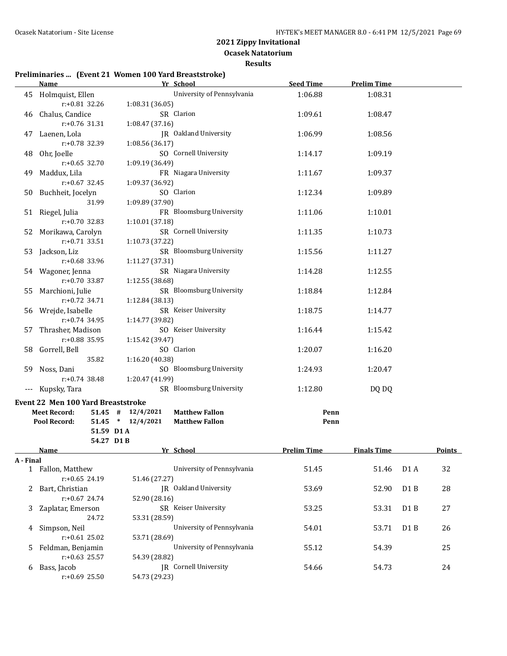**Ocasek Natatorium**

**Results**

#### **Preliminaries ... (Event 21 Women 100 Yard Breaststroke)**

r:+0.69 25.50 54.73 (29.23)

|           | <b>Name</b>                        | Yr School                                      | <b>Seed Time</b>   | <b>Prelim Time</b> |     |        |
|-----------|------------------------------------|------------------------------------------------|--------------------|--------------------|-----|--------|
|           | 45 Holmquist, Ellen                | University of Pennsylvania                     | 1:06.88            | 1:08.31            |     |        |
|           | r:+0.81 32.26                      | 1:08.31 (36.05)                                |                    |                    |     |        |
|           | 46 Chalus, Candice                 | SR Clarion                                     | 1:09.61            | 1:08.47            |     |        |
|           | r:+0.76 31.31                      | 1:08.47 (37.16)                                |                    |                    |     |        |
|           | 47 Laenen, Lola                    | <b>IR</b> Oakland University                   | 1:06.99            | 1:08.56            |     |        |
|           | r:+0.78 32.39                      | 1:08.56 (36.17)                                |                    |                    |     |        |
| 48        | Ohr, Joelle                        | SO Cornell University                          | 1:14.17            | 1:09.19            |     |        |
|           | $r: +0.65$ 32.70                   | 1:09.19 (36.49)                                |                    |                    |     |        |
| 49        | Maddux, Lila                       | FR Niagara University                          | 1:11.67            | 1:09.37            |     |        |
|           | $r: +0.67$ 32.45                   | 1:09.37 (36.92)                                |                    |                    |     |        |
|           |                                    | SO Clarion                                     | 1:12.34            | 1:09.89            |     |        |
|           | 50 Buchheit, Jocelyn<br>31.99      |                                                |                    |                    |     |        |
|           |                                    | 1:09.89 (37.90)                                |                    |                    |     |        |
|           | 51 Riegel, Julia                   | FR Bloomsburg University                       | 1:11.06            | 1:10.01            |     |        |
|           | r:+0.70 32.83                      | 1:10.01 (37.18)                                |                    |                    |     |        |
|           | 52 Morikawa, Carolyn               | SR Cornell University                          | 1:11.35            | 1:10.73            |     |        |
|           | $r: +0.71$ 33.51                   | 1:10.73 (37.22)                                |                    |                    |     |        |
|           | 53 Jackson, Liz                    | SR Bloomsburg University                       | 1:15.56            | 1:11.27            |     |        |
|           | r:+0.68 33.96                      | 1:11.27 (37.31)                                |                    |                    |     |        |
|           | 54 Wagoner, Jenna                  | SR Niagara University                          | 1:14.28            | 1:12.55            |     |        |
|           | r:+0.70 33.87                      | 1:12.55(38.68)                                 |                    |                    |     |        |
|           | 55 Marchioni, Julie                | SR Bloomsburg University                       | 1:18.84            | 1:12.84            |     |        |
|           | $r: +0.72$ 34.71                   | 1:12.84 (38.13)                                |                    |                    |     |        |
|           | 56 Wrejde, Isabelle                | SR Keiser University                           | 1:18.75            | 1:14.77            |     |        |
|           | $r: +0.74$ 34.95                   | 1:14.77 (39.82)                                |                    |                    |     |        |
| 57        | Thrasher, Madison                  | SO Keiser University                           | 1:16.44            | 1:15.42            |     |        |
|           | r:+0.88 35.95                      | 1:15.42 (39.47)                                |                    |                    |     |        |
|           | 58 Gorrell, Bell                   | SO Clarion                                     | 1:20.07            | 1:16.20            |     |        |
|           | 35.82                              | 1:16.20 (40.38)                                |                    |                    |     |        |
|           | 59 Noss, Dani                      | SO Bloomsburg University                       | 1:24.93            | 1:20.47            |     |        |
|           | $r: +0.74$ 38.48                   | 1:20.47 (41.99)                                |                    |                    |     |        |
| ---       | Kupsky, Tara                       | SR Bloomsburg University                       | 1:12.80            | DQ DQ              |     |        |
|           |                                    |                                                |                    |                    |     |        |
|           | Event 22 Men 100 Yard Breaststroke |                                                |                    |                    |     |        |
|           | <b>Meet Record:</b>                | $51.45$ # $12/4/2021$<br><b>Matthew Fallon</b> |                    | Penn               |     |        |
|           | Pool Record:                       | 51.45 * 12/4/2021<br><b>Matthew Fallon</b>     |                    | Penn               |     |        |
|           | 51.59 D1A                          |                                                |                    |                    |     |        |
|           | 54.27 D1B                          |                                                |                    |                    |     |        |
|           | Name                               | Yr School                                      | <b>Prelim Time</b> | <b>Finals Time</b> |     | Points |
| A - Final |                                    |                                                |                    |                    |     |        |
|           | 1 Fallon, Matthew                  | University of Pennsylvania                     | 51.45              | 51.46              | D1A | 32     |
|           | r:+0.65 24.19                      | 51.46 (27.27)                                  |                    |                    |     |        |
| 2         | Bart, Christian                    | JR Oakland University                          | 53.69              | 52.90              | D1B | 28     |
|           | r:+0.67 24.74                      | 52.90 (28.16)                                  |                    |                    |     |        |
| 3         | Zaplatar, Emerson                  | SR Keiser University                           | 53.25              | 53.31              | D1B | 27     |
|           | 24.72                              | 53.31 (28.59)                                  |                    |                    |     |        |
| 4         | Simpson, Neil                      | University of Pennsylvania                     | 54.01              | 53.71              | D1B | 26     |
|           | $r: +0.61$ 25.02                   | 53.71 (28.69)                                  |                    |                    |     |        |
| 5         | Feldman, Benjamin                  | University of Pennsylvania                     | 55.12              | 54.39              |     | 25     |
|           | $r: +0.63$ 25.57                   | 54.39 (28.82)                                  |                    |                    |     |        |

6 Bass, Jacob JR Cornell University 54.66 54.73 24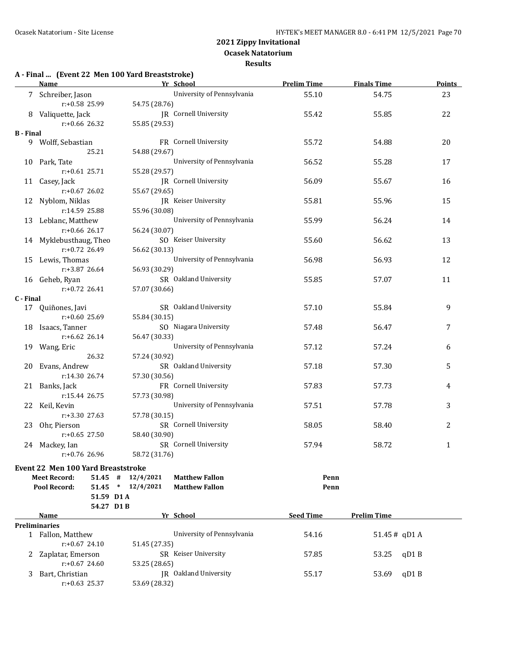**Results**

### **A - Final ... (Event 22 Men 100 Yard Breaststroke)**

|           | <b>Name</b>                               | Yr School                                      | <b>Prelim Time</b> | <b>Finals Time</b> | <b>Points</b> |
|-----------|-------------------------------------------|------------------------------------------------|--------------------|--------------------|---------------|
|           | 7 Schreiber, Jason                        | University of Pennsylvania                     | 55.10              | 54.75              | 23            |
|           | r:+0.58 25.99                             | 54.75 (28.76)                                  |                    |                    |               |
|           | 8 Valiquette, Jack                        | JR Cornell University                          | 55.42              | 55.85              | 22            |
|           | r:+0.66 26.32                             | 55.85 (29.53)                                  |                    |                    |               |
| B - Final |                                           |                                                |                    |                    |               |
|           | 9 Wolff, Sebastian                        | FR Cornell University                          | 55.72              | 54.88              | 20            |
|           | 25.21                                     | 54.88 (29.67)                                  |                    |                    |               |
|           | 10 Park, Tate                             | University of Pennsylvania                     | 56.52              | 55.28              | 17            |
|           | $r: +0.61$ 25.71                          | 55.28 (29.57)                                  |                    |                    |               |
|           | 11 Casey, Jack                            | JR Cornell University                          | 56.09              | 55.67              | 16            |
|           | $r: +0.67$ 26.02                          | 55.67 (29.65)                                  |                    |                    |               |
|           | 12 Nyblom, Niklas                         | JR Keiser University                           | 55.81              | 55.96              | 15            |
|           | r:14.59 25.88                             | 55.96 (30.08)                                  |                    |                    |               |
|           | 13 Leblanc, Matthew                       | University of Pennsylvania                     | 55.99              | 56.24              | 14            |
|           | $r: +0.66$ 26.17                          | 56.24 (30.07)                                  |                    |                    |               |
|           | 14 Myklebusthaug, Theo                    | SO Keiser University                           | 55.60              | 56.62              | 13            |
|           | r:+0.72 26.49                             | 56.62 (30.13)                                  |                    |                    |               |
|           | 15 Lewis, Thomas                          | University of Pennsylvania                     | 56.98              | 56.93              | 12            |
|           | r:+3.87 26.64                             | 56.93 (30.29)                                  |                    |                    |               |
|           | 16 Geheb, Ryan                            | SR Oakland University                          | 55.85              | 57.07              | 11            |
|           | $r: +0.72$ 26.41                          | 57.07 (30.66)                                  |                    |                    |               |
| C - Final |                                           |                                                |                    |                    |               |
|           | 17 Quiñones, Javi                         | SR Oakland University                          | 57.10              | 55.84              | 9             |
|           | $r: +0.60$ 25.69                          | 55.84 (30.15)                                  |                    |                    |               |
|           | 18 Isaacs, Tanner                         | SO Niagara University                          | 57.48              | 56.47              | 7             |
|           | r:+6.62 26.14                             | 56.47 (30.33)                                  |                    |                    |               |
|           | 19 Wang, Eric                             | University of Pennsylvania                     | 57.12              | 57.24              | 6             |
|           | 26.32                                     | 57.24 (30.92)                                  |                    |                    |               |
|           | 20 Evans, Andrew                          | SR Oakland University                          | 57.18              | 57.30              | 5             |
|           | r:14.30 26.74                             | 57.30 (30.56)                                  |                    |                    |               |
|           | 21 Banks, Jack                            | FR Cornell University                          | 57.83              | 57.73              | 4             |
|           | r:15.44 26.75                             | 57.73 (30.98)                                  |                    |                    |               |
|           | 22 Keil, Kevin                            | University of Pennsylvania                     | 57.51              | 57.78              | 3             |
|           | r:+3.30 27.63                             | 57.78 (30.15)                                  |                    |                    |               |
|           | 23 Ohr, Pierson                           | SR Cornell University                          | 58.05              | 58.40              | 2             |
|           | $r: +0.65$ 27.50                          | 58.40 (30.90)                                  |                    |                    |               |
|           | 24 Mackey, Ian                            | SR Cornell University                          | 57.94              | 58.72              | $\mathbf{1}$  |
|           | r:+0.76 26.96                             | 58.72 (31.76)                                  |                    |                    |               |
|           | <b>Event 22 Men 100 Yard Breaststroke</b> |                                                |                    |                    |               |
|           | $51.45$ #<br><b>Meet Record:</b>          | 12/4/2021<br><b>Matthew Fallon</b>             | Penn               |                    |               |
|           | Pool Record:                              | $51.45$ * $12/4/2021$<br><b>Matthew Fallon</b> | Penn               |                    |               |
|           | 51.59 D1 A                                |                                                |                    |                    |               |
|           | 54.27 D1B                                 |                                                |                    |                    |               |
|           | Name                                      | Yr School                                      | <b>Seed Time</b>   | <b>Prelim Time</b> |               |
|           | Preliminaries                             |                                                |                    |                    |               |
|           | 1 Fallon, Matthew                         | University of Pennsylvania                     | 54.16              | $51.45#$ qD1 A     |               |
|           | $r: +0.67$ 24.10                          | 51.45 (27.35)                                  |                    |                    |               |
| 2         | Zaplatar, Emerson                         | SR Keiser University                           | 57.85              | 53.25<br>qD1B      |               |
|           | $r: +0.67$ 24.60                          | 53.25 (28.65)                                  |                    |                    |               |
| 3         | Bart, Christian                           | JR Oakland University                          | 55.17              | qD1B<br>53.69      |               |
|           | $r: +0.63$ 25.37                          | 53.69 (28.32)                                  |                    |                    |               |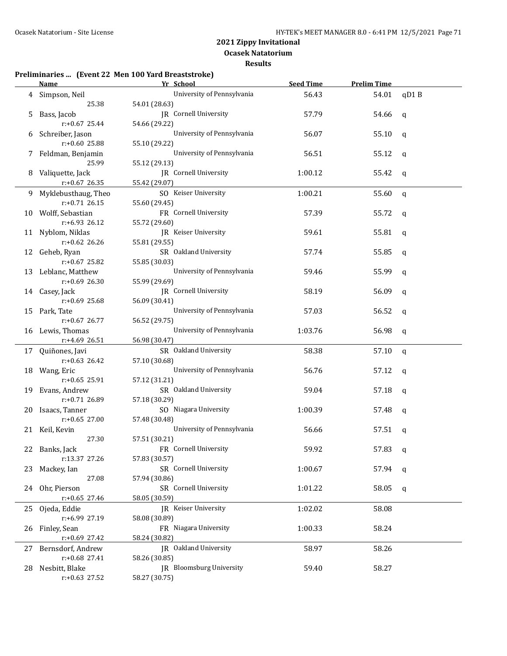**Results**

# **Preliminaries ... (Event 22 Men 100 Yard Breaststroke)**

|    | <b>Name</b>                     | Yr School                              | <b>Seed Time</b> | <b>Prelim Time</b> |             |
|----|---------------------------------|----------------------------------------|------------------|--------------------|-------------|
|    | 4 Simpson, Neil                 | University of Pennsylvania             | 56.43            | 54.01              | qD1B        |
|    | 25.38                           | 54.01 (28.63)                          |                  |                    |             |
| 5  | Bass, Jacob                     | JR Cornell University                  | 57.79            | 54.66              | q           |
|    | $r: +0.67$ 25.44                | 54.66 (29.22)                          |                  |                    |             |
| 6  | Schreiber, Jason                | University of Pennsylvania             | 56.07            | 55.10              | q           |
|    | r:+0.60 25.88                   | 55.10 (29.22)                          |                  |                    |             |
|    | Feldman, Benjamin               | University of Pennsylvania             | 56.51            | 55.12              | q           |
|    | 25.99                           | 55.12 (29.13)                          |                  |                    |             |
| 8  | Valiquette, Jack                | JR Cornell University                  | 1:00.12          | 55.42              | q           |
|    | $r$ :+0.67 26.35                | 55.42 (29.07)                          |                  |                    |             |
|    | 9 Myklebusthaug, Theo           | SO Keiser University                   | 1:00.21          | 55.60              | q           |
|    | $r: +0.71$ 26.15                | 55.60 (29.45)                          |                  |                    |             |
|    | 10 Wolff, Sebastian             | FR Cornell University                  | 57.39            | 55.72              | q           |
|    | r:+6.93 26.12                   | 55.72 (29.60)                          |                  |                    |             |
|    | 11 Nyblom, Niklas               | JR Keiser University                   | 59.61            | 55.81              | q           |
|    | $r: +0.62$ 26.26                | 55.81 (29.55)                          |                  |                    |             |
|    | 12 Geheb, Ryan                  | SR Oakland University                  | 57.74            | 55.85              | q           |
|    | $r: +0.67$ 25.82                | 55.85 (30.03)                          |                  |                    |             |
| 13 | Leblanc, Matthew                | University of Pennsylvania             | 59.46            | 55.99              | q           |
|    | $r: +0.69$ 26.30                | 55.99 (29.69)                          |                  |                    |             |
|    | 14 Casey, Jack                  | JR Cornell University                  | 58.19            | 56.09              | q           |
|    | r:+0.69 25.68                   | 56.09 (30.41)                          |                  |                    |             |
|    | 15 Park, Tate                   | University of Pennsylvania             | 57.03            | 56.52              | q           |
|    | $r: +0.67$ 26.77                | 56.52 (29.75)                          |                  |                    |             |
|    | 16 Lewis, Thomas                | University of Pennsylvania             | 1:03.76          | 56.98              | q           |
|    | r:+4.69 26.51                   | 56.98 (30.47)                          |                  |                    |             |
| 17 | Quiñones, Javi                  | SR Oakland University                  | 58.38            | 57.10              | q           |
|    | $r: +0.63$ 26.42                | 57.10 (30.68)                          |                  |                    |             |
|    | 18 Wang, Eric                   | University of Pennsylvania             | 56.76            | 57.12              | q           |
|    | $r: +0.65$ 25.91                | 57.12 (31.21)                          |                  |                    |             |
|    | 19 Evans, Andrew                | SR Oakland University                  | 59.04            | 57.18              | q           |
|    | r:+0.71 26.89                   | 57.18 (30.29)                          |                  |                    |             |
| 20 | Isaacs, Tanner                  | SO Niagara University                  | 1:00.39          | 57.48              | q           |
|    | $r: +0.65$ 27.00                | 57.48 (30.48)                          |                  |                    |             |
|    | 21 Keil, Kevin<br>27.30         | University of Pennsylvania             | 56.66            | 57.51              | q           |
|    |                                 | 57.51 (30.21)<br>FR Cornell University |                  |                    |             |
|    | 22 Banks, Jack<br>r:13.37 27.26 | 57.83 (30.57)                          | 59.92            | 57.83              | $\mathbf q$ |
| 23 | Mackey, Ian                     | SR Cornell University                  | 1:00.67          | 57.94              |             |
|    | 27.08                           | 57.94 (30.86)                          |                  |                    | q           |
|    | 24 Ohr, Pierson                 | SR Cornell University                  | 1:01.22          | 58.05              |             |
|    | $r: +0.65$ 27.46                | 58.05 (30.59)                          |                  |                    | q           |
|    | 25 Ojeda, Eddie                 | JR Keiser University                   | 1:02.02          | 58.08              |             |
|    | r:+6.99 27.19                   | 58.08 (30.89)                          |                  |                    |             |
| 26 | Finley, Sean                    | FR Niagara University                  | 1:00.33          | 58.24              |             |
|    | r:+0.69 27.42                   | 58.24 (30.82)                          |                  |                    |             |
| 27 | Bernsdorf, Andrew               | <b>IR</b> Oakland University           | 58.97            | 58.26              |             |
|    | r:+0.68 27.41                   | 58.26 (30.85)                          |                  |                    |             |
| 28 | Nesbitt, Blake                  | <b>IR</b> Bloomsburg University        | 59.40            | 58.27              |             |
|    | $r: +0.63$ 27.52                | 58.27 (30.75)                          |                  |                    |             |
|    |                                 |                                        |                  |                    |             |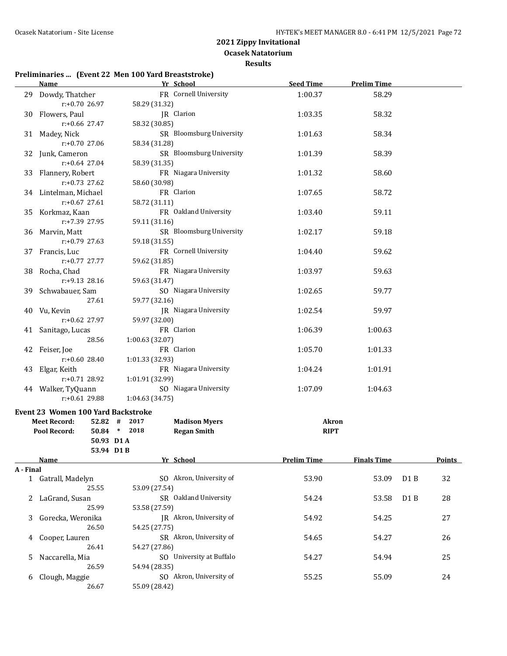**Ocasek Natatorium**

**Results**

# **Preliminaries ... (Event 22 Men 100 Yard Breaststroke)**

|           | <b>Name</b>                                                                                         | Yr School                                                                    | <b>Seed Time</b>            | <b>Prelim Time</b> |     |               |
|-----------|-----------------------------------------------------------------------------------------------------|------------------------------------------------------------------------------|-----------------------------|--------------------|-----|---------------|
|           | 29 Dowdy, Thatcher<br>r:+0.70 26.97                                                                 | FR Cornell University<br>58.29 (31.32)                                       | 1:00.37                     | 58.29              |     |               |
|           | 30 Flowers, Paul<br>$r: +0.66$ 27.47                                                                | JR Clarion<br>58.32 (30.85)                                                  | 1:03.35                     | 58.32              |     |               |
|           | 31 Madey, Nick<br>r:+0.70 27.06                                                                     | SR Bloomsburg University<br>58.34 (31.28)                                    | 1:01.63                     | 58.34              |     |               |
|           | 32 Junk, Cameron<br>$r: +0.64$ 27.04                                                                | SR Bloomsburg University<br>58.39 (31.35)                                    | 1:01.39                     | 58.39              |     |               |
|           | 33 Flannery, Robert<br>$r: +0.73$ 27.62                                                             | FR Niagara University<br>58.60 (30.98)                                       | 1:01.32                     | 58.60              |     |               |
|           | 34 Lintelman, Michael<br>$r: +0.67$ 27.61                                                           | FR Clarion<br>58.72 (31.11)                                                  | 1:07.65                     | 58.72              |     |               |
|           | 35 Korkmaz, Kaan<br>r:+7.39 27.95                                                                   | FR Oakland University<br>59.11 (31.16)                                       | 1:03.40                     | 59.11              |     |               |
|           | 36 Marvin, Matt<br>$r: +0.79$ 27.63                                                                 | SR Bloomsburg University<br>59.18 (31.55)                                    | 1:02.17                     | 59.18              |     |               |
|           | 37 Francis, Luc<br>$r: +0.77$ 27.77                                                                 | FR Cornell University<br>59.62 (31.85)                                       | 1:04.40                     | 59.62              |     |               |
|           | 38 Rocha, Chad<br>$r: +9.13$ 28.16                                                                  | FR Niagara University<br>59.63 (31.47)                                       | 1:03.97                     | 59.63              |     |               |
|           | 39 Schwabauer, Sam<br>27.61                                                                         | SO Niagara University<br>59.77 (32.16)                                       | 1:02.65                     | 59.77              |     |               |
|           | 40 Vu, Kevin<br>$r: +0.62$ 27.97                                                                    | <b>IR</b> Niagara University<br>59.97 (32.00)                                | 1:02.54                     | 59.97              |     |               |
|           | 41 Sanitago, Lucas<br>28.56                                                                         | FR Clarion<br>1:00.63 (32.07)                                                | 1:06.39                     | 1:00.63            |     |               |
|           | 42 Feiser, Joe<br>r:+0.60 28.40                                                                     | FR Clarion<br>1:01.33 (32.93)                                                | 1:05.70                     | 1:01.33            |     |               |
|           | 43 Elgar, Keith<br>$r: +0.71$ 28.92                                                                 | FR Niagara University<br>1:01.91 (32.99)                                     | 1:04.24                     | 1:01.91            |     |               |
|           | 44 Walker, TyQuann<br>$r: +0.61$ 29.88                                                              | SO Niagara University<br>1:04.63 (34.75)                                     | 1:07.09                     | 1:04.63            |     |               |
|           | Event 23 Women 100 Yard Backstroke<br><b>Meet Record:</b><br>Pool Record:<br>50.93 D1A<br>53.94 D1B | $52.82$ # 2017<br><b>Madison Myers</b><br>50.84 * 2018<br><b>Regan Smith</b> | <b>Akron</b><br><b>RIPT</b> |                    |     |               |
|           | Name                                                                                                | Yr School                                                                    | <b>Prelim Time</b>          | <b>Finals Time</b> |     | <b>Points</b> |
| A - Final |                                                                                                     |                                                                              |                             |                    |     |               |
|           | 1 Gatrall, Madelyn<br>25.55                                                                         | SO Akron, University of<br>53.09 (27.54)                                     | 53.90                       | 53.09              | D1B | 32            |
|           | 2 LaGrand, Susan<br>25.99                                                                           | SR Oakland University<br>53.58 (27.59)                                       | 54.24                       | 53.58              | D1B | 28            |
| 3         | Gorecka, Weronika<br>26.50                                                                          | JR Akron, University of<br>54.25 (27.75)                                     | 54.92                       | 54.25              |     | 27            |
| 4         | Cooper, Lauren<br>26.41                                                                             | SR Akron, University of<br>54.27 (27.86)                                     | 54.65                       | 54.27              |     | 26            |
| 5         | Naccarella, Mia<br>26.59                                                                            | SO University at Buffalo<br>54.94 (28.35)                                    | 54.27                       | 54.94              |     | 25            |
| 6         | Clough, Maggie<br>26.67                                                                             | SO Akron, University of<br>55.09 (28.42)                                     | 55.25                       | 55.09              |     | 24            |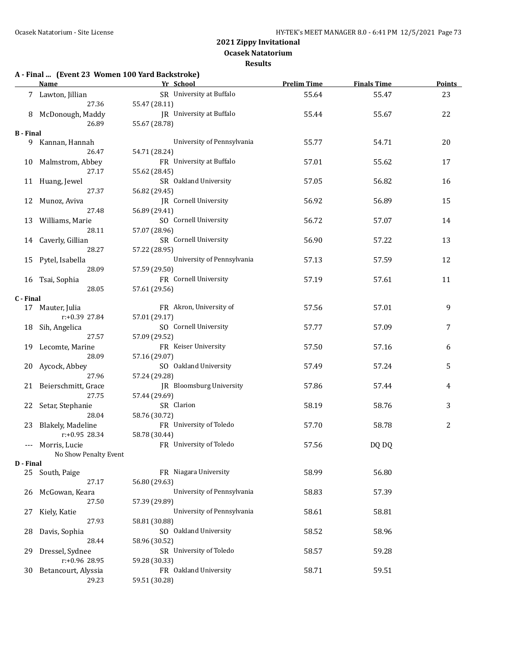**Results**

#### **A - Final ... (Event 23 Women 100 Yard Backstroke)**

|                  | <u>Name </u><br><u> 1980 - Johann Barn, mars an t-Amerikaansk ferskeider (</u> | Yr School                                 | <b>Prelim Time</b> | <b>Finals Time</b> | <b>Points</b> |
|------------------|--------------------------------------------------------------------------------|-------------------------------------------|--------------------|--------------------|---------------|
|                  | 7 Lawton, Jillian                                                              | SR University at Buffalo                  | 55.64              | 55.47              | 23            |
|                  | 27.36                                                                          | 55.47 (28.11)                             |                    |                    |               |
| 8                | McDonough, Maddy                                                               | JR University at Buffalo                  | 55.44              | 55.67              | 22            |
|                  | 26.89                                                                          | 55.67 (28.78)                             |                    |                    |               |
| <b>B</b> - Final |                                                                                |                                           |                    |                    |               |
|                  | 9 Kannan, Hannah                                                               | University of Pennsylvania                | 55.77              | 54.71              | 20            |
|                  | 26.47                                                                          | 54.71 (28.24)                             |                    |                    |               |
|                  | 10 Malmstrom, Abbey                                                            | FR University at Buffalo                  | 57.01              | 55.62              | 17            |
|                  | 27.17                                                                          | 55.62 (28.45)                             |                    |                    |               |
|                  | 11 Huang, Jewel<br>27.37                                                       | SR Oakland University<br>56.82 (29.45)    | 57.05              | 56.82              | 16            |
|                  | 12 Munoz, Aviva                                                                | JR Cornell University                     | 56.92              | 56.89              | 15            |
|                  | 27.48                                                                          | 56.89 (29.41)                             |                    |                    |               |
|                  | 13 Williams, Marie                                                             | SO Cornell University                     | 56.72              | 57.07              | 14            |
|                  | 28.11                                                                          | 57.07 (28.96)                             |                    |                    |               |
|                  | 14 Caverly, Gillian                                                            | SR Cornell University                     | 56.90              | 57.22              | 13            |
|                  | 28.27                                                                          | 57.22 (28.95)                             |                    |                    |               |
|                  | 15 Pytel, Isabella                                                             | University of Pennsylvania                | 57.13              | 57.59              | 12            |
|                  | 28.09                                                                          | 57.59 (29.50)                             |                    |                    |               |
|                  | 16 Tsai, Sophia                                                                | FR Cornell University                     | 57.19              | 57.61              | 11            |
|                  | 28.05                                                                          | 57.61 (29.56)                             |                    |                    |               |
| C - Final        |                                                                                |                                           |                    |                    |               |
|                  | 17 Mauter, Julia                                                               | FR Akron, University of                   | 57.56              | 57.01              | 9             |
|                  | r:+0.39 27.84                                                                  | 57.01 (29.17)                             |                    |                    |               |
|                  | 18 Sih, Angelica                                                               | SO Cornell University                     | 57.77              | 57.09              | 7             |
|                  | 27.57                                                                          | 57.09 (29.52)                             |                    |                    |               |
|                  | 19 Lecomte, Marine                                                             | FR Keiser University                      | 57.50              | 57.16              | 6             |
|                  | 28.09                                                                          | 57.16 (29.07)                             |                    |                    |               |
| 20               | Aycock, Abbey                                                                  | SO Oakland University                     | 57.49              | 57.24              | 5             |
|                  | 27.96                                                                          | 57.24 (29.28)                             |                    |                    |               |
|                  | 21 Beierschmitt, Grace<br>27.75                                                | JR Bloomsburg University<br>57.44 (29.69) | 57.86              | 57.44              | 4             |
|                  | 22 Setar, Stephanie                                                            | SR Clarion                                | 58.19              | 58.76              | 3             |
|                  | 28.04                                                                          | 58.76 (30.72)                             |                    |                    |               |
|                  | 23 Blakely, Madeline                                                           | FR University of Toledo                   | 57.70              | 58.78              | 2             |
|                  | $r: +0.95$ 28.34                                                               | 58.78 (30.44)                             |                    |                    |               |
|                  | --- Morris, Lucie                                                              | FR University of Toledo                   | 57.56              | DQ DQ              |               |
|                  | No Show Penalty Event                                                          |                                           |                    |                    |               |
| D - Final        |                                                                                |                                           |                    |                    |               |
| 25               | South, Paige                                                                   | FR Niagara University                     | 58.99              | 56.80              |               |
|                  | 27.17                                                                          | 56.80 (29.63)                             |                    |                    |               |
| 26               | McGowan, Keara                                                                 | University of Pennsylvania                | 58.83              | 57.39              |               |
|                  | 27.50                                                                          | 57.39 (29.89)                             |                    |                    |               |
| 27               | Kiely, Katie                                                                   | University of Pennsylvania                | 58.61              | 58.81              |               |
|                  | 27.93                                                                          | 58.81 (30.88)                             |                    |                    |               |
| 28               | Davis, Sophia                                                                  | SO Oakland University                     | 58.52              | 58.96              |               |
|                  | 28.44                                                                          | 58.96 (30.52)                             |                    |                    |               |
| 29               | Dressel, Sydnee                                                                | SR University of Toledo                   | 58.57              | 59.28              |               |
|                  | r:+0.96 28.95                                                                  | 59.28 (30.33)<br>FR Oakland University    |                    |                    |               |
| 30               | Betancourt, Alyssia<br>29.23                                                   | 59.51 (30.28)                             | 58.71              | 59.51              |               |
|                  |                                                                                |                                           |                    |                    |               |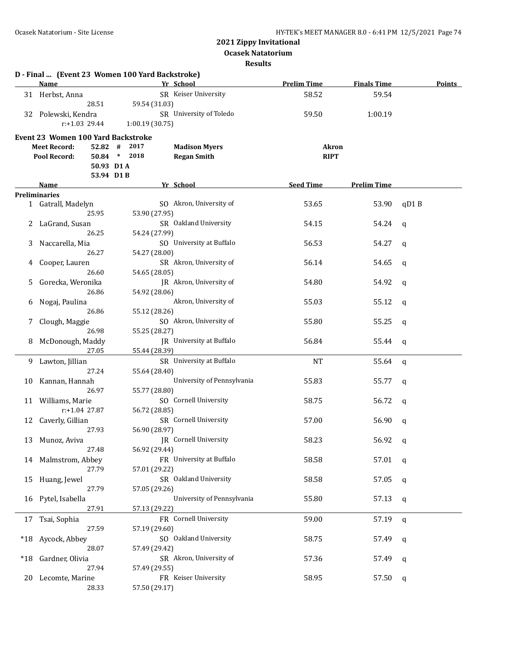**Ocasek Natatorium**

|       | <b>Name</b>                               | D - Final  (Event 23 Women 100 Yard Backstroke)<br>Yr School | <b>Prelim Time</b> | <b>Finals Time</b> | <b>Points</b> |
|-------|-------------------------------------------|--------------------------------------------------------------|--------------------|--------------------|---------------|
|       | 31 Herbst, Anna                           | SR Keiser University                                         | 58.52              | 59.54              |               |
|       | 28.51                                     | 59.54 (31.03)                                                |                    |                    |               |
|       | 32 Polewski, Kendra                       | SR University of Toledo                                      | 59.50              | 1:00.19            |               |
|       | $r: +1.03$ 29.44                          | 1:00.19 (30.75)                                              |                    |                    |               |
|       | <b>Event 23 Women 100 Yard Backstroke</b> |                                                              |                    |                    |               |
|       | <b>Meet Record:</b><br>$52.82$ #          | 2017<br><b>Madison Myers</b>                                 | <b>Akron</b>       |                    |               |
|       | Pool Record:                              | 50.84 * 2018<br><b>Regan Smith</b>                           | <b>RIPT</b>        |                    |               |
|       | 50.93 D1A                                 |                                                              |                    |                    |               |
|       | 53.94 D1B                                 |                                                              |                    |                    |               |
|       | <b>Name</b>                               | Yr School                                                    | <b>Seed Time</b>   | <b>Prelim Time</b> |               |
|       | <b>Preliminaries</b>                      |                                                              |                    |                    |               |
|       | 1 Gatrall, Madelyn                        | SO Akron, University of                                      | 53.65              | 53.90              | qD1B          |
|       | 25.95                                     | 53.90 (27.95)                                                |                    |                    |               |
| 2     | LaGrand, Susan                            | SR Oakland University                                        | 54.15              | 54.24              | q             |
|       | 26.25                                     | 54.24 (27.99)                                                |                    |                    |               |
| 3     | Naccarella, Mia                           | SO University at Buffalo                                     | 56.53              | 54.27              | q             |
|       | 26.27                                     | 54.27 (28.00)                                                |                    |                    |               |
| 4     | Cooper, Lauren                            | SR Akron, University of                                      | 56.14              | 54.65              | q             |
|       | 26.60                                     | 54.65 (28.05)                                                |                    |                    |               |
| 5.    | Gorecka, Weronika                         | JR Akron, University of                                      | 54.80              | 54.92              | q             |
|       | 26.86                                     | 54.92 (28.06)                                                |                    |                    |               |
| 6     | Nogaj, Paulina                            | Akron, University of                                         | 55.03              | 55.12              | q             |
|       | 26.86                                     | 55.12 (28.26)                                                |                    |                    |               |
| 7     | Clough, Maggie                            | SO Akron, University of                                      | 55.80              | 55.25              | q             |
|       | 26.98                                     | 55.25 (28.27)                                                |                    |                    |               |
| 8     | McDonough, Maddy                          | JR University at Buffalo                                     | 56.84              | 55.44              | q             |
|       | 27.05                                     | 55.44 (28.39)                                                |                    |                    |               |
| 9     | Lawton, Jillian                           | SR University at Buffalo                                     | <b>NT</b>          | 55.64              | q             |
|       | 27.24                                     | 55.64 (28.40)                                                |                    |                    |               |
| 10    | Kannan, Hannah                            | University of Pennsylvania                                   | 55.83              | 55.77              | q             |
|       | 26.97                                     | 55.77 (28.80)                                                |                    |                    |               |
|       | 11 Williams, Marie                        | SO Cornell University                                        | 58.75              | 56.72              | q             |
|       | r:+1.04 27.87                             | 56.72 (28.85)                                                |                    |                    |               |
|       | 12 Caverly, Gillian                       | SR Cornell University                                        | 57.00              | 56.90              | q             |
|       | 27.93                                     | 56.90 (28.97)                                                |                    |                    |               |
|       | 13 Munoz, Aviva                           | JR Cornell University                                        | 58.23              | 56.92              | q             |
|       | 27.48                                     | 56.92 (29.44)                                                |                    |                    |               |
| 14    | Malmstrom, Abbey                          | FR University at Buffalo                                     | 58.58              | 57.01              | q             |
|       | 27.79                                     | 57.01 (29.22)                                                |                    |                    |               |
| 15    | Huang, Jewel<br>27.79                     | SR Oakland University                                        | 58.58              | 57.05              | q             |
|       | Pytel, Isabella                           | 57.05 (29.26)<br>University of Pennsylvania                  |                    |                    |               |
| 16    | 27.91                                     | 57.13 (29.22)                                                | 55.80              | 57.13              | q             |
|       |                                           | FR Cornell University                                        | 59.00              |                    |               |
| 17    | Tsai, Sophia<br>27.59                     |                                                              |                    | 57.19              | q             |
| $*18$ | Aycock, Abbey                             | 57.19 (29.60)<br>SO Oakland University                       | 58.75              |                    |               |
|       | 28.07                                     | 57.49 (29.42)                                                |                    | 57.49              | q             |
| *18   | Gardner, Olivia                           | SR Akron, University of                                      | 57.36              | 57.49              |               |
|       | 27.94                                     | 57.49 (29.55)                                                |                    |                    | q             |
| 20    | Lecomte, Marine                           | FR Keiser University                                         | 58.95              | 57.50              | q             |
|       | 28.33                                     | 57.50 (29.17)                                                |                    |                    |               |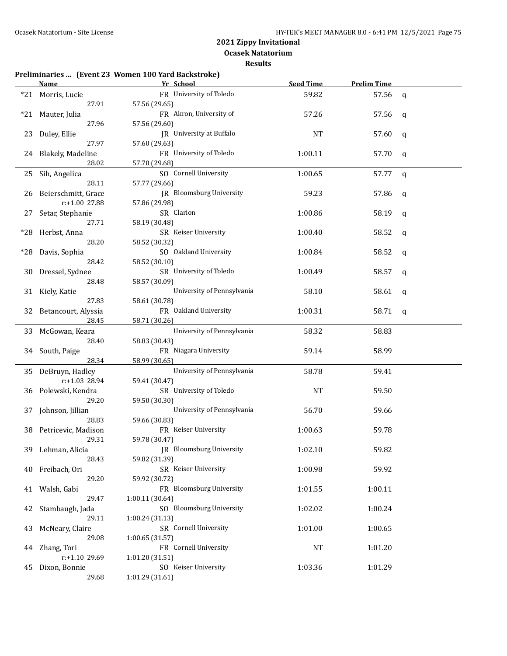**Ocasek Natatorium**

|       |                           | Preliminaries  (Event 23 Women 100 Yard Backstroke) |                  |                    |              |
|-------|---------------------------|-----------------------------------------------------|------------------|--------------------|--------------|
|       | <u>Name</u>               | Yr School                                           | <b>Seed Time</b> | <b>Prelim Time</b> |              |
|       | *21 Morris, Lucie         | FR University of Toledo                             | 59.82            | 57.56              | $\mathsf{q}$ |
|       | 27.91                     | 57.56 (29.65)                                       |                  |                    |              |
| $*21$ | Mauter, Julia             | FR Akron, University of                             | 57.26            | 57.56              | q            |
|       | 27.96                     | 57.56 (29.60)                                       |                  |                    |              |
| 23    | Duley, Ellie              | JR University at Buffalo                            | <b>NT</b>        | 57.60              | q            |
|       | 27.97                     | 57.60 (29.63)                                       |                  |                    |              |
| 24    | Blakely, Madeline         | FR University of Toledo                             | 1:00.11          | 57.70              | q            |
|       | 28.02                     | 57.70 (29.68)                                       |                  |                    |              |
| 25    | Sih, Angelica             | SO Cornell University                               | 1:00.65          | 57.77              | q            |
|       | 28.11                     | 57.77 (29.66)                                       |                  |                    |              |
| 26    | Beierschmitt, Grace       | JR Bloomsburg University                            | 59.23            | 57.86              | q            |
|       | r:+1.00 27.88             | 57.86 (29.98)                                       |                  |                    |              |
|       |                           | SR Clarion                                          |                  |                    |              |
| 27    | Setar, Stephanie<br>27.71 |                                                     | 1:00.86          | 58.19              | q            |
|       |                           | 58.19 (30.48)                                       |                  |                    |              |
| *28   | Herbst, Anna              | SR Keiser University                                | 1:00.40          | 58.52              | q            |
|       | 28.20                     | 58.52 (30.32)                                       |                  |                    |              |
| *28   | Davis, Sophia             | SO Oakland University                               | 1:00.84          | 58.52              | q            |
|       | 28.42                     | 58.52 (30.10)                                       |                  |                    |              |
| 30    | Dressel, Sydnee           | SR University of Toledo                             | 1:00.49          | 58.57              | q            |
|       | 28.48                     | 58.57 (30.09)                                       |                  |                    |              |
|       | 31 Kiely, Katie           | University of Pennsylvania                          | 58.10            | 58.61              | q            |
|       | 27.83                     | 58.61 (30.78)                                       |                  |                    |              |
|       | 32 Betancourt, Alyssia    | FR Oakland University                               | 1:00.31          | 58.71              | q            |
|       | 28.45                     | 58.71 (30.26)                                       |                  |                    |              |
|       | 33 McGowan, Keara         | University of Pennsylvania                          | 58.32            | 58.83              |              |
|       | 28.40                     | 58.83 (30.43)                                       |                  |                    |              |
| 34    | South, Paige              | FR Niagara University                               | 59.14            | 58.99              |              |
|       | 28.34                     | 58.99 (30.65)                                       |                  |                    |              |
|       | 35 DeBruyn, Hadley        | University of Pennsylvania                          | 58.78            | 59.41              |              |
|       | r:+1.03 28.94             | 59.41 (30.47)                                       |                  |                    |              |
| 36    | Polewski, Kendra          | SR University of Toledo                             | NT               | 59.50              |              |
|       | 29.20                     | 59.50 (30.30)                                       |                  |                    |              |
| 37    | Johnson, Jillian          | University of Pennsylvania                          | 56.70            | 59.66              |              |
|       | 28.83                     | 59.66 (30.83)                                       |                  |                    |              |
| 38    | Petricevic, Madison       | FR Keiser University                                | 1:00.63          | 59.78              |              |
|       | 29.31                     | 59.78 (30.47)                                       |                  |                    |              |
|       | 39 Lehman, Alicia         | JR Bloomsburg University                            | 1:02.10          | 59.82              |              |
|       | 28.43                     | 59.82 (31.39)                                       |                  |                    |              |
| 40    | Freibach, Ori             | SR Keiser University                                | 1:00.98          | 59.92              |              |
|       | 29.20                     | 59.92 (30.72)                                       |                  |                    |              |
| 41    | Walsh, Gabi               | FR Bloomsburg University                            | 1:01.55          | 1:00.11            |              |
|       | 29.47                     | 1:00.11 (30.64)                                     |                  |                    |              |
|       | Stambaugh, Jada           | SO Bloomsburg University                            | 1:02.02          | 1:00.24            |              |
| 42    |                           |                                                     |                  |                    |              |
|       | 29.11                     | 1:00.24 (31.13)                                     |                  |                    |              |
| 43    | McNeary, Claire           | SR Cornell University                               | 1:01.00          | 1:00.65            |              |
|       | 29.08                     | 1:00.65(31.57)                                      |                  |                    |              |
| 44    | Zhang, Tori               | FR Cornell University                               | NT               | 1:01.20            |              |
|       | r:+1.10 29.69             | 1:01.20 (31.51)                                     |                  |                    |              |
| 45    | Dixon, Bonnie             | SO Keiser University                                | 1:03.36          | 1:01.29            |              |
|       | 29.68                     | 1:01.29 (31.61)                                     |                  |                    |              |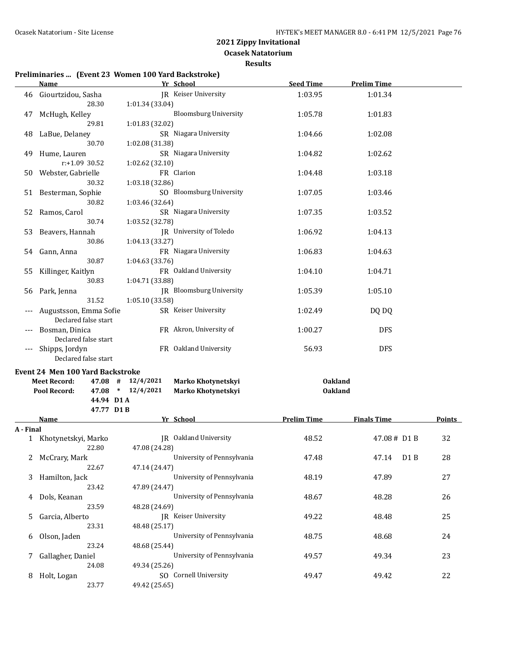**Ocasek Natatorium**

#### **Results**

## **Preliminaries ... (Event 23 Women 100 Yard Backstroke)**

|           | <b>Name</b>                                                    | Yr School                                       | <b>Seed Time</b>   | <b>Prelim Time</b>        |               |
|-----------|----------------------------------------------------------------|-------------------------------------------------|--------------------|---------------------------|---------------|
| 46        | Giourtzidou, Sasha<br>28.30                                    | JR Keiser University<br>1:01.34 (33.04)         | 1:03.95            | 1:01.34                   |               |
| 47        | McHugh, Kelley<br>29.81                                        | <b>Bloomsburg University</b><br>1:01.83 (32.02) | 1:05.78            | 1:01.83                   |               |
| 48        | LaBue, Delaney<br>30.70                                        | SR Niagara University<br>1:02.08 (31.38)        | 1:04.66            | 1:02.08                   |               |
| 49        | Hume, Lauren<br>$r: +1.09$ 30.52                               | SR Niagara University<br>1:02.62 (32.10)        | 1:04.82            | 1:02.62                   |               |
|           | 50 Webster, Gabrielle<br>30.32                                 | FR Clarion<br>1:03.18 (32.86)                   | 1:04.48            | 1:03.18                   |               |
|           | 51 Besterman, Sophie<br>30.82                                  | SO Bloomsburg University<br>1:03.46 (32.64)     | 1:07.05            | 1:03.46                   |               |
| 52        | Ramos, Carol<br>30.74                                          | SR Niagara University<br>1:03.52 (32.78)        | 1:07.35            | 1:03.52                   |               |
| 53        | Beavers, Hannah<br>30.86                                       | JR University of Toledo<br>1:04.13 (33.27)      | 1:06.92            | 1:04.13                   |               |
| 54        | Gann, Anna<br>30.87                                            | FR Niagara University<br>1:04.63 (33.76)        | 1:06.83            | 1:04.63                   |               |
| 55        | Killinger, Kaitlyn<br>30.83                                    | FR Oakland University<br>1:04.71 (33.88)        | 1:04.10            | 1:04.71                   |               |
|           | 56 Park, Jenna<br>31.52                                        | JR Bloomsburg University<br>1:05.10 (33.58)     | 1:05.39            | 1:05.10                   |               |
|           | Augustsson, Emma Sofie<br>Declared false start                 | SR Keiser University                            | 1:02.49            | DQ DQ                     |               |
|           | Bosman, Dinica<br>Declared false start                         | FR Akron, University of                         | 1:00.27            | <b>DFS</b>                |               |
| ---       | Shipps, Jordyn<br>Declared false start                         | FR Oakland University                           | 56.93              | <b>DFS</b>                |               |
|           | <b>Event 24 Men 100 Yard Backstroke</b><br><b>Meet Record:</b> | $47.08$ # $12/4/2021$<br>Marko Khotynetskyi     | <b>Oakland</b>     |                           |               |
|           | Pool Record:<br>44.94 D1A                                      | $47.08$ * $12/4/2021$<br>Marko Khotynetskyi     | <b>Oakland</b>     |                           |               |
|           | 47.77 D1B<br>Name                                              | Yr School                                       | <b>Prelim Time</b> | <b>Finals Time</b>        | <b>Points</b> |
| A - Final |                                                                |                                                 |                    |                           |               |
|           | 1 Khotynetskyi, Marko<br>22.80                                 | JR Oakland University<br>47.08 (24.28)          | 48.52              | 47.08# D1 B               | 32            |
| 2         | McCrary, Mark<br>22.67                                         | University of Pennsylvania<br>47.14 (24.47)     | 47.48              | D <sub>1</sub> B<br>47.14 | 28            |
| 3         | Hamilton, Jack<br>23.42                                        | University of Pennsylvania<br>47.89 (24.47)     | 48.19              | 47.89                     | 27            |
| 4         | Dols, Keanan<br>23.59                                          | University of Pennsylvania<br>48.28 (24.69)     | 48.67              | 48.28                     | 26            |
| 5         | Garcia, Alberto<br>23.31                                       | JR Keiser University<br>48.48 (25.17)           | 49.22              | 48.48                     | 25            |
| 6         | Olson, Jaden<br>23.24                                          | University of Pennsylvania<br>48.68 (25.44)     | 48.75              | 48.68                     | 24            |
| 7         | Gallagher, Daniel<br>24.08                                     | University of Pennsylvania<br>49.34 (25.26)     | 49.57              | 49.34                     | 23            |
| 8         | Holt, Logan<br>23.77                                           | SO Cornell University<br>49.42 (25.65)          | 49.47              | 49.42                     | 22            |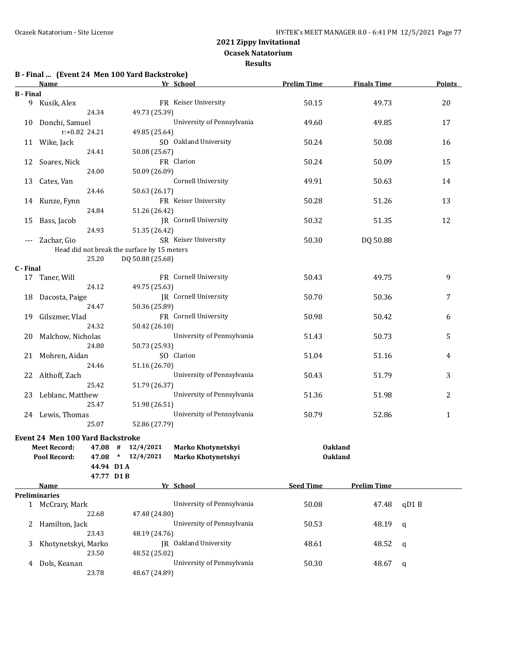### **Ocasek Natatorium**

|  |  | B - Final  (Event 24 Men 100 Yard Backstroke) |  |
|--|--|-----------------------------------------------|--|
|  |  |                                               |  |

|                  | <u>Name</u>                      |                                             | Yr School                  | <b>Prelim Time</b> | <b>Finals Time</b> | <b>Points</b> |
|------------------|----------------------------------|---------------------------------------------|----------------------------|--------------------|--------------------|---------------|
| <b>B</b> - Final |                                  |                                             |                            |                    |                    |               |
|                  | 9 Kusik, Alex                    |                                             | FR Keiser University       | 50.15              | 49.73              | 20            |
|                  | 24.34                            | 49.73 (25.39)                               |                            |                    |                    |               |
|                  | 10 Donchi, Samuel                |                                             | University of Pennsylvania | 49.60              | 49.85              | 17            |
|                  | $r: +0.82$ 24.21                 | 49.85 (25.64)                               |                            |                    |                    |               |
|                  |                                  |                                             |                            |                    |                    |               |
|                  | 11 Wike, Jack                    |                                             | SO Oakland University      | 50.24              | 50.08              | 16            |
|                  | 24.41                            | 50.08 (25.67)                               |                            |                    |                    |               |
|                  | 12 Soares, Nick                  |                                             | FR Clarion                 | 50.24              | 50.09              | 15            |
|                  | 24.00                            | 50.09 (26.09)                               |                            |                    |                    |               |
| 13               | Cates, Van                       |                                             | <b>Cornell University</b>  | 49.91              | 50.63              | 14            |
|                  | 24.46                            | 50.63 (26.17)                               |                            |                    |                    |               |
|                  | 14 Kunze, Fynn                   |                                             | FR Keiser University       | 50.28              | 51.26              | 13            |
|                  | 24.84                            | 51.26 (26.42)                               |                            |                    |                    |               |
| 15               | Bass, Jacob                      |                                             | JR Cornell University      | 50.32              | 51.35              | 12            |
|                  | 24.93                            | 51.35 (26.42)                               |                            |                    |                    |               |
|                  |                                  |                                             |                            |                    |                    |               |
| $---$            | Zachar, Gio                      |                                             | SR Keiser University       | 50.30              | DQ 50.88           |               |
|                  |                                  | Head did not break the surface by 15 meters |                            |                    |                    |               |
|                  | 25.20                            | DQ 50.88 (25.68)                            |                            |                    |                    |               |
| C - Final        |                                  |                                             |                            |                    |                    |               |
|                  | 17 Taner, Will                   |                                             | FR Cornell University      | 50.43              | 49.75              | 9             |
|                  | 24.12                            | 49.75 (25.63)                               |                            |                    |                    |               |
|                  | 18 Dacosta, Paige                |                                             | JR Cornell University      | 50.70              | 50.36              | 7             |
|                  | 24.47                            | 50.36 (25.89)                               |                            |                    |                    |               |
|                  | 19 Gilszmer, Vlad                |                                             | FR Cornell University      | 50.98              | 50.42              | 6             |
|                  | 24.32                            | 50.42 (26.10)                               |                            |                    |                    |               |
|                  | 20 Malchow, Nicholas             |                                             | University of Pennsylvania | 51.43              | 50.73              | 5             |
|                  | 24.80                            | 50.73 (25.93)                               |                            |                    |                    |               |
|                  | 21 Mohren, Aidan                 |                                             | SO Clarion                 | 51.04              | 51.16              | 4             |
|                  |                                  |                                             |                            |                    |                    |               |
|                  | 24.46                            | 51.16 (26.70)                               |                            |                    |                    |               |
|                  | 22 Althoff, Zach                 |                                             | University of Pennsylvania | 50.43              | 51.79              | 3             |
|                  | 25.42                            | 51.79 (26.37)                               |                            |                    |                    |               |
|                  | 23 Leblanc, Matthew              |                                             | University of Pennsylvania | 51.36              | 51.98              | 2             |
|                  | 25.47                            | 51.98 (26.51)                               |                            |                    |                    |               |
|                  | 24 Lewis, Thomas                 |                                             | University of Pennsylvania | 50.79              | 52.86              | $\mathbf{1}$  |
|                  | 25.07                            | 52.86 (27.79)                               |                            |                    |                    |               |
|                  |                                  |                                             |                            |                    |                    |               |
|                  | Event 24 Men 100 Yard Backstroke |                                             |                            |                    |                    |               |
|                  | Meet Record:                     | 47.08 # 12/4/2021                           | Marko Khotynetskyi         | <b>Oakland</b>     |                    |               |
|                  | Pool Record:                     | 47.08 * 12/4/2021                           | Marko Khotynetskyi         | <b>Oakland</b>     |                    |               |
|                  |                                  | 44.94 D1A                                   |                            |                    |                    |               |
|                  |                                  | 47.77 D1B                                   |                            |                    |                    |               |
|                  | Name                             |                                             | Yr School                  | <b>Seed Time</b>   | <b>Prelim Time</b> |               |
|                  | Preliminaries                    |                                             |                            |                    |                    |               |
|                  | 1 McCrary, Mark                  |                                             | University of Pennsylvania | 50.08              | 47.48              | qD1B          |
|                  | 22.68                            | 47.48 (24.80)                               |                            |                    |                    |               |
| 2                | Hamilton, Jack                   |                                             | University of Pennsylvania | 50.53              | 48.19              | q             |
|                  | 23.43                            | 48.19 (24.76)                               |                            |                    |                    |               |
| 3                | Khotynetskyi, Marko              |                                             | JR Oakland University      | 48.61              | 48.52              |               |
|                  |                                  |                                             |                            |                    |                    | q             |
|                  | 23.50                            | 48.52 (25.02)                               |                            |                    |                    |               |
| 4                | Dols, Keanan                     |                                             | University of Pennsylvania | 50.30              | 48.67              | q             |
|                  | 23.78                            | 48.67 (24.89)                               |                            |                    |                    |               |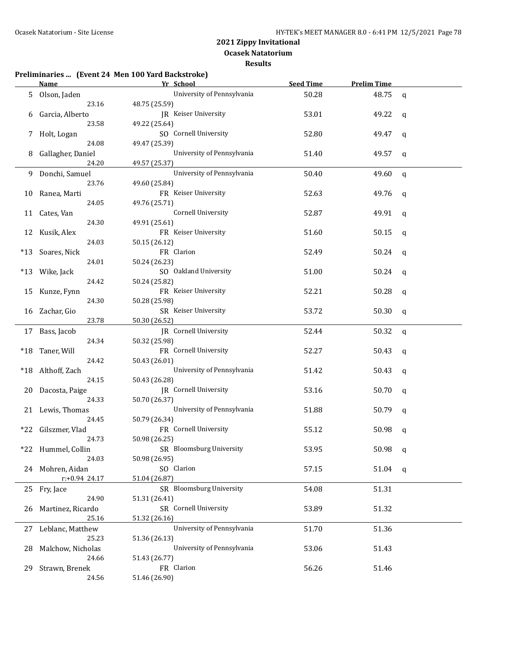|                    |                     | Preliminaries  (Event 24 Men 100 Yard Backstroke) |                  |                    |              |
|--------------------|---------------------|---------------------------------------------------|------------------|--------------------|--------------|
| Name               |                     | Yr School                                         | <b>Seed Time</b> | <b>Prelim Time</b> |              |
| 5.                 | Olson, Jaden        | University of Pennsylvania                        | 50.28            | 48.75              | $\mathsf{q}$ |
|                    | 23.16               | 48.75 (25.59)                                     |                  |                    |              |
| 6                  | Garcia, Alberto     | JR Keiser University                              | 53.01            | 49.22              | q            |
|                    | 23.58               | 49.22 (25.64)                                     |                  |                    |              |
| 7                  | Holt, Logan         | SO Cornell University                             | 52.80            | 49.47              | q            |
|                    | 24.08               | 49.47 (25.39)                                     |                  |                    |              |
| 8                  | Gallagher, Daniel   | University of Pennsylvania                        | 51.40            | 49.57              | q            |
|                    | 24.20               | 49.57 (25.37)                                     |                  |                    |              |
| 9                  | Donchi, Samuel      | University of Pennsylvania                        | 50.40            | 49.60              | $\mathsf{q}$ |
|                    | 23.76               | 49.60 (25.84)                                     |                  |                    |              |
| 10                 | Ranea, Marti        | FR Keiser University                              | 52.63            | 49.76              | q            |
|                    | 24.05               | 49.76 (25.71)                                     |                  |                    |              |
| Cates, Van<br>11   |                     | Cornell University                                | 52.87            | 49.91              | q            |
|                    | 24.30               | 49.91 (25.61)                                     |                  |                    |              |
| Kusik, Alex<br>12  |                     | FR Keiser University                              | 51.60            | 50.15              | q            |
|                    | 24.03               | 50.15 (26.12)                                     |                  |                    |              |
| *13                | Soares, Nick        | FR Clarion                                        | 52.49            | 50.24              | q            |
|                    | 24.01               | 50.24 (26.23)                                     |                  |                    |              |
| Wike, Jack<br>*13  |                     | SO Oakland University                             | 51.00            | 50.24              | q            |
|                    | 24.42               | 50.24 (25.82)                                     |                  |                    |              |
| 15                 | Kunze, Fynn         | FR Keiser University                              | 52.21            | 50.28              | q            |
|                    | 24.30               | 50.28 (25.98)                                     |                  |                    |              |
| 16 Zachar, Gio     |                     | SR Keiser University                              | 53.72            | 50.30              | q            |
|                    | 23.78               | 50.30 (26.52)                                     |                  |                    |              |
| 17 Bass, Jacob     |                     | JR Cornell University                             | 52.44            | 50.32              | $\mathbf{q}$ |
|                    | 24.34               | 50.32 (25.98)                                     |                  |                    |              |
| Taner, Will<br>*18 |                     | FR Cornell University                             | 52.27            | 50.43              | q            |
|                    | 24.42               | 50.43 (26.01)                                     |                  |                    |              |
| *18                | Althoff, Zach       | University of Pennsylvania                        | 51.42            | 50.43              | q            |
|                    | 24.15               | 50.43 (26.28)                                     |                  |                    |              |
| 20                 | Dacosta, Paige      | JR Cornell University                             | 53.16            | 50.70              | q            |
|                    | 24.33               | 50.70 (26.37)                                     |                  |                    |              |
| 21                 | Lewis, Thomas       | University of Pennsylvania                        | 51.88            | 50.79              | q            |
|                    | 24.45               | 50.79 (26.34)                                     |                  |                    |              |
| *22                | Gilszmer, Vlad      | FR Cornell University                             | 55.12            | 50.98              | q            |
|                    | 24.73               | 50.98 (26.25)                                     |                  |                    |              |
| *22 Hummel, Collin |                     | SR Bloomsburg University                          | 53.95            | 50.98              | q            |
|                    | 24.03               | 50.98 (26.95)                                     |                  |                    |              |
| 24 Mohren, Aidan   |                     | SO Clarion                                        | 57.15            | 51.04              | q            |
|                    | r:+0.94 24.17       | 51.04 (26.87)                                     |                  |                    |              |
| 25 Fry, Jace       |                     | SR Bloomsburg University                          | 54.08            | 51.31              |              |
|                    | 24.90               | 51.31 (26.41)                                     |                  |                    |              |
| 26                 | Martinez, Ricardo   | SR Cornell University                             | 53.89            | 51.32              |              |
|                    | 25.16               | 51.32 (26.16)                                     |                  |                    |              |
|                    | 27 Leblanc, Matthew | University of Pennsylvania                        | 51.70            | 51.36              |              |
|                    | 25.23               | 51.36 (26.13)                                     |                  |                    |              |
| 28                 | Malchow, Nicholas   | University of Pennsylvania                        | 53.06            | 51.43              |              |
|                    | 24.66               | 51.43 (26.77)                                     |                  |                    |              |
|                    |                     |                                                   |                  |                    |              |
| 29.                | Strawn, Brenek      | FR Clarion                                        | 56.26            | 51.46              |              |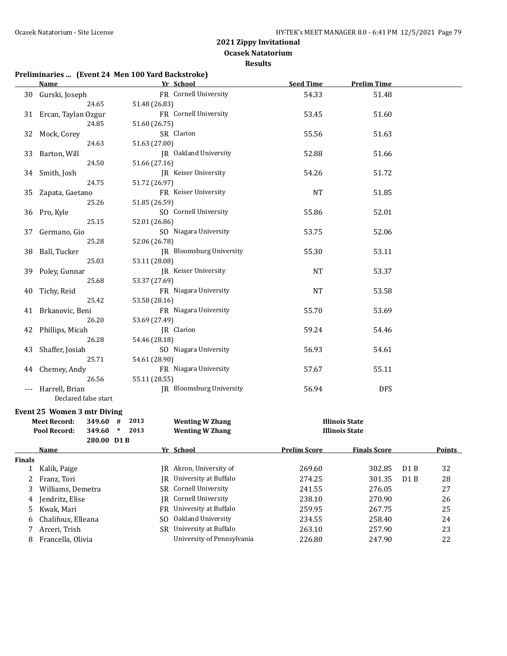**Ocasek Natatorium**

**Results**

| Preliminaries  (Event 24 Men 100 Yard Backstroke) |  |  |
|---------------------------------------------------|--|--|
|                                                   |  |  |

|                | <b>Name</b>                          | Yr School                            | <b>Seed Time</b>    | <b>Prelim Time</b>    |     |               |
|----------------|--------------------------------------|--------------------------------------|---------------------|-----------------------|-----|---------------|
|                | 30 Gurski, Joseph                    | FR Cornell University                | 54.33               | 51.48                 |     |               |
|                | 24.65                                | 51.48 (26.83)                        |                     |                       |     |               |
|                | 31 Ercan, Taylan Ozgur               | FR Cornell University                | 53.45               | 51.60                 |     |               |
|                | 24.85                                | 51.60 (26.75)                        |                     |                       |     |               |
| 32             | Mock, Corey                          | SR Clarion                           | 55.56               | 51.63                 |     |               |
|                | 24.63                                | 51.63 (27.00)                        |                     |                       |     |               |
| 33             | Barton, Will                         | JR Oakland University                | 52.88               | 51.66                 |     |               |
|                | 24.50                                | 51.66 (27.16)                        |                     |                       |     |               |
|                | 34 Smith, Josh                       | JR Keiser University                 | 54.26               | 51.72                 |     |               |
|                | 24.75                                | 51.72 (26.97)                        |                     |                       |     |               |
|                | 35 Zapata, Gaetano                   | FR Keiser University                 | NT                  | 51.85                 |     |               |
|                | 25.26                                | 51.85 (26.59)                        |                     |                       |     |               |
|                | 36 Pro, Kyle                         | SO Cornell University                | 55.86               | 52.01                 |     |               |
|                | 25.15                                | 52.01 (26.86)                        |                     |                       |     |               |
| 37             | Germano, Gio                         | SO Niagara University                | 53.75               | 52.06                 |     |               |
|                | 25.28                                | 52.06 (26.78)                        |                     |                       |     |               |
|                | 38 Ball, Tucker                      | JR Bloomsburg University             | 55.30               | 53.11                 |     |               |
|                | 25.03                                | 53.11 (28.08)                        |                     |                       |     |               |
|                | 39 Poley, Gunnar                     | JR Keiser University                 | NT                  | 53.37                 |     |               |
|                | 25.68                                | 53.37 (27.69)                        |                     |                       |     |               |
| 40             | Tichy, Reid                          | FR Niagara University                | NT                  | 53.58                 |     |               |
|                | 25.42                                | 53.58 (28.16)                        |                     |                       |     |               |
|                | 41 Brkanovic, Beni                   | FR Niagara University                | 55.70               | 53.69                 |     |               |
|                | 26.20                                | 53.69 (27.49)                        |                     |                       |     |               |
|                | 42 Phillips, Micah                   | JR Clarion                           | 59.24               | 54.46                 |     |               |
|                | 26.28                                | 54.46 (28.18)                        |                     |                       |     |               |
|                | 43 Shaffer, Josiah                   | SO Niagara University                | 56.93               | 54.61                 |     |               |
|                | 25.71                                | 54.61 (28.90)                        |                     |                       |     |               |
|                | 44 Chemey, Andy                      | FR Niagara University                | 57.67               | 55.11                 |     |               |
|                | 26.56                                | 55.11 (28.55)                        |                     |                       |     |               |
| ---            | Harrell, Brian                       | JR Bloomsburg University             | 56.94               | <b>DFS</b>            |     |               |
|                | Declared false start                 |                                      |                     |                       |     |               |
|                | <b>Event 25 Women 3 mtr Diving</b>   |                                      |                     |                       |     |               |
|                | <b>Meet Record:</b><br>349.60 # 2013 | <b>Wenting W Zhang</b>               |                     | <b>Illinois State</b> |     |               |
|                | Pool Record:<br>349.60 * 2013        | <b>Wenting W Zhang</b>               |                     | <b>Illinois State</b> |     |               |
|                | 280.00 D1B                           |                                      |                     |                       |     |               |
|                | <u>Name</u>                          | Vr School                            | <b>Prelim Score</b> | <b>Finals Score</b>   |     | <b>Points</b> |
| <b>Finals</b>  |                                      |                                      |                     |                       |     |               |
| 1              | Kalik, Paige                         | JR Akron, University of              | 269.60              | 302.85                | D1B | 32            |
| 2              | Franz, Tori                          | University at Buffalo<br>IR          | 274.25              | 301.35                | D1B | 28            |
| 3              | Williams, Demetra                    | Cornell University<br>SR             | 241.55              | 276.05                |     | 27            |
| 4              | Jendritz, Elise                      | <b>Cornell University</b><br>IR      | 238.10              | 270.90                |     | 26            |
| 5              | Kwak, Mari                           | University at Buffalo<br>FR          | 259.95              | 267.75                |     | 25            |
| 6              | Chalifoux, Elleana                   | Oakland University<br>S <sub>0</sub> | 234.55              | 258.40                |     | 24            |
| $\overline{7}$ | Arceri, Trish                        | University at Buffalo<br><b>SR</b>   | 263.10              | 257.90                |     | 23            |
|                |                                      |                                      |                     |                       |     |               |

8 Francella, Olivia University of Pennsylvania 226.80 247.90 22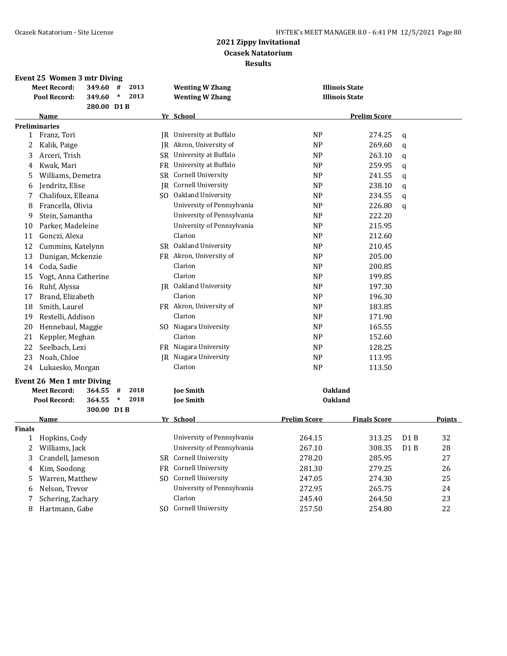|               | Event 25 Women 3 mtr Diving |            |             |      |           |                            |                     |                       |                  |               |
|---------------|-----------------------------|------------|-------------|------|-----------|----------------------------|---------------------|-----------------------|------------------|---------------|
|               | <b>Meet Record:</b>         | 349.60     | #           | 2013 |           | <b>Wenting W Zhang</b>     |                     | <b>Illinois State</b> |                  |               |
|               | Pool Record:                | 349.60     | $\ast$      | 2013 |           | <b>Wenting W Zhang</b>     |                     | <b>Illinois State</b> |                  |               |
|               |                             | 280.00 D1B |             |      |           |                            |                     |                       |                  |               |
|               | Name                        |            |             |      |           | Yr School                  |                     | <b>Prelim Score</b>   |                  |               |
|               | <b>Preliminaries</b>        |            |             |      |           |                            |                     |                       |                  |               |
| $\mathbf{1}$  | Franz, Tori                 |            |             |      |           | JR University at Buffalo   | <b>NP</b>           | 274.25                | q                |               |
| 2             | Kalik, Paige                |            |             |      |           | JR Akron, University of    | <b>NP</b>           | 269.60                | q                |               |
| 3             | Arceri, Trish               |            |             |      |           | SR University at Buffalo   | <b>NP</b>           | 263.10                | q                |               |
| 4             | Kwak, Mari                  |            |             |      | FR        | University at Buffalo      | <b>NP</b>           | 259.95                | q                |               |
| 5             | Williams, Demetra           |            |             |      | SR        | Cornell University         | <b>NP</b>           | 241.55                | q                |               |
| 6             | Jendritz, Elise             |            |             |      | IR        | Cornell University         | <b>NP</b>           | 238.10                | q                |               |
| 7             | Chalifoux, Elleana          |            |             |      |           | SO Oakland University      | <b>NP</b>           | 234.55                | q                |               |
| 8             | Francella, Olivia           |            |             |      |           | University of Pennsylvania | <b>NP</b>           | 226.80                | q                |               |
| 9             | Stein, Samantha             |            |             |      |           | University of Pennsylvania | <b>NP</b>           | 222.20                |                  |               |
| 10            | Parker, Madeleine           |            |             |      |           | University of Pennsylvania | NP                  | 215.95                |                  |               |
| 11            | Gonczi, Alexa               |            |             |      |           | Clarion                    | N <sub>P</sub>      | 212.60                |                  |               |
| 12            | Cummins, Katelynn           |            |             |      |           | SR Oakland University      | <b>NP</b>           | 210.45                |                  |               |
| 13            | Dunigan, Mckenzie           |            |             |      |           | FR Akron, University of    | <b>NP</b>           | 205.00                |                  |               |
| 14            | Coda, Sadie                 |            |             |      |           | Clarion                    | <b>NP</b>           | 200.85                |                  |               |
| 15            | Vogt, Anna Catherine        |            |             |      |           | Clarion                    | NP                  | 199.85                |                  |               |
| 16            | Ruhf, Alyssa                |            |             |      |           | JR Oakland University      | NP                  | 197.30                |                  |               |
| 17            | Brand, Elizabeth            |            |             |      |           | Clarion                    | <b>NP</b>           | 196.30                |                  |               |
| 18            | Smith, Laurel               |            |             |      |           | FR Akron, University of    | NP                  | 183.85                |                  |               |
| 19            | Restelli, Addison           |            |             |      |           | Clarion                    | <b>NP</b>           | 171.90                |                  |               |
| 20            | Hennebaul, Maggie           |            |             |      |           | SO Niagara University      | NP                  | 165.55                |                  |               |
| 21            | Keppler, Meghan             |            |             |      |           | Clarion                    | <b>NP</b>           | 152.60                |                  |               |
| 22            | Seelbach, Lexi              |            |             |      |           | FR Niagara University      | N <sub>P</sub>      | 128.25                |                  |               |
| 23            | Noah, Chloe                 |            |             |      |           | JR Niagara University      | N <sub>P</sub>      | 113.95                |                  |               |
| 24            | Lukaesko, Morgan            |            |             |      |           | Clarion                    | <b>NP</b>           | 113.50                |                  |               |
|               |                             |            |             |      |           |                            |                     |                       |                  |               |
|               | Event 26 Men 1 mtr Diving   |            |             |      |           |                            |                     |                       |                  |               |
|               | <b>Meet Record:</b>         | 364.55     | #<br>$\ast$ | 2018 |           | <b>Joe Smith</b>           | <b>Oakland</b>      |                       |                  |               |
|               | Pool Record:                | 364.55     |             | 2018 |           | <b>Joe Smith</b>           | <b>Oakland</b>      |                       |                  |               |
|               | <b>Name</b>                 | 300.00 D1B |             |      |           | Yr School                  | <b>Prelim Score</b> | <b>Finals Score</b>   |                  | <b>Points</b> |
| <b>Finals</b> |                             |            |             |      |           |                            |                     |                       |                  |               |
| $\mathbf{1}$  | Hopkins, Cody               |            |             |      |           | University of Pennsylvania | 264.15              | 313.25                | D <sub>1</sub> B | 32            |
| 2             | Williams, Jack              |            |             |      |           | University of Pennsylvania | 267.10              | 308.35                | D1B              | 28            |
| 3             | Crandell, Jameson           |            |             |      |           | SR Cornell University      | 278.20              | 285.95                |                  | 27            |
| 4             | Kim, Soodong                |            |             |      | <b>FR</b> | Cornell University         | 281.30              | 279.25                |                  | 26            |
| 5             | Warren, Matthew             |            |             |      |           | SO Cornell University      | 247.05              | 274.30                |                  | 25            |
|               | Nelson, Trevor              |            |             |      |           | University of Pennsylvania | 272.95              | 265.75                |                  | 24            |
| 6             | Schering, Zachary           |            |             |      |           | Clarion                    | 245.40              |                       |                  |               |
| 7             |                             |            |             |      |           | SO Cornell University      |                     | 264.50                |                  | 23            |
| 8             | Hartmann, Gabe              |            |             |      |           |                            | 257.50              | 254.80                |                  | 22            |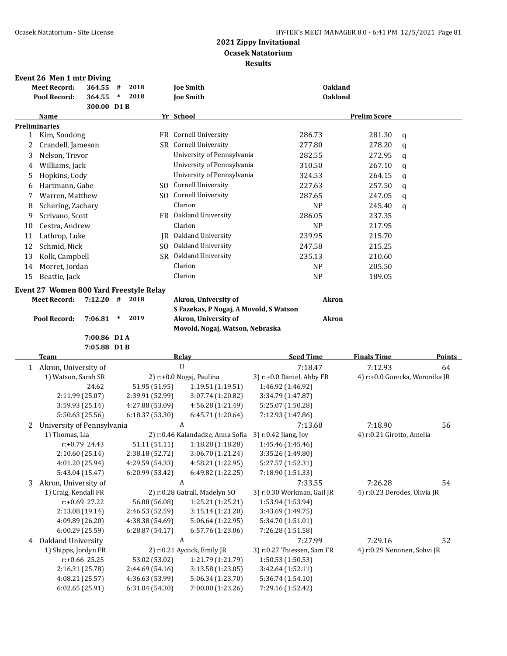|    | Event 26 Men 1 mtr Diving               |            |        |      |                |                                        |                |                     |   |
|----|-----------------------------------------|------------|--------|------|----------------|----------------------------------------|----------------|---------------------|---|
|    | <b>Meet Record:</b>                     | 364.55     | #      | 2018 |                | <b>Joe Smith</b>                       | <b>Oakland</b> |                     |   |
|    | Pool Record:                            | 364.55     | $\ast$ | 2018 |                | <b>Joe Smith</b>                       | <b>Oakland</b> |                     |   |
|    |                                         | 300.00 D1B |        |      |                |                                        |                |                     |   |
|    | Name                                    |            |        |      |                | Yr School                              |                | <b>Prelim Score</b> |   |
|    | <b>Preliminaries</b>                    |            |        |      |                |                                        |                |                     |   |
| 1  | Kim, Soodong                            |            |        |      | FR.            | <b>Cornell University</b>              | 286.73         | 281.30              | q |
| 2  | Crandell, Jameson                       |            |        |      | SR.            | Cornell University                     | 277.80         | 278.20              | a |
| 3  | Nelson, Trevor                          |            |        |      |                | University of Pennsylvania             | 282.55         | 272.95              | q |
| 4  | Williams, Jack                          |            |        |      |                | University of Pennsylvania             | 310.50         | 267.10              | a |
| 5. | Hopkins, Cody                           |            |        |      |                | University of Pennsylvania             | 324.53         | 264.15              | q |
| 6  | Hartmann, Gabe                          |            |        |      | SO.            | <b>Cornell University</b>              | 227.63         | 257.50              | a |
| 7  | Warren, Matthew                         |            |        |      | SO.            | Cornell University                     | 287.65         | 247.05              | a |
| 8  | Schering, Zachary                       |            |        |      |                | Clarion                                | <b>NP</b>      | 245.40              | q |
| 9  | Scrivano, Scott                         |            |        |      | <b>FR</b>      | Oakland University                     | 286.05         | 237.35              |   |
| 10 | Cestra, Andrew                          |            |        |      |                | Clarion                                | <b>NP</b>      | 217.95              |   |
| 11 | Lathrop, Luke                           |            |        |      | IR.            | Oakland University                     | 239.95         | 215.70              |   |
| 12 | Schmid, Nick                            |            |        |      | S <sub>O</sub> | Oakland University                     | 247.58         | 215.25              |   |
| 13 | Kolk, Campbell                          |            |        |      | SR.            | Oakland University                     | 235.13         | 210.60              |   |
| 14 | Morret, Jordan                          |            |        |      |                | Clarion                                | <b>NP</b>      | 205.50              |   |
| 15 | Beattie, Jack                           |            |        |      |                | Clarion                                | <b>NP</b>      | 189.05              |   |
|    | Event 27 Women 800 Yard Freestyle Relay |            |        |      |                |                                        |                |                     |   |
|    | <b>Meet Record:</b>                     | 7:12.20    | #      | 2018 |                | Akron, University of                   | <b>Akron</b>   |                     |   |
|    |                                         |            |        |      |                | S Fazekas, P Nogaj, A Movold, S Watson |                |                     |   |
|    | Pool Record:<br>7:06.81                 |            | ∗      | 2019 |                | Akron, University of                   | <b>Akron</b>   |                     |   |

**Movold, Nogaj, Watson, Nebraska**

**7:00.86 D1 A 7:05.88 D1 B**

÷,

|   | <b>Team</b>                |                 | <b>Relay</b>                     | <b>Seed Time</b>           | <b>Finals Time</b>             | <b>Points</b> |
|---|----------------------------|-----------------|----------------------------------|----------------------------|--------------------------------|---------------|
|   | Akron, University of       |                 | U                                | 7:18.47                    | 7:12.93                        | 64            |
|   | 1) Watson, Sarah SR        |                 | 2) r:+0.0 Nogaj, Paulina         | 3) r:+0.0 Daniel, Abby FR  | 4) r:+0.0 Gorecka, Weronika JR |               |
|   | 24.62                      | 51.95 (51.95)   | 1:19.51 (1:19.51)                | 1:46.92 (1:46.92)          |                                |               |
|   | 2:11.99 (25.07)            | 2:39.91 (52.99) | 3:07.74 (1:20.82)                | 3:34.79 (1:47.87)          |                                |               |
|   | 3:59.93 (25.14)            | 4:27.88 (53.09) | 4:56.28 (1:21.49)                | 5:25.07 (1:50.28)          |                                |               |
|   | 5:50.63 (25.56)            | 6:18.37 (53.30) | 6:45.71 (1:20.64)                | 7:12.93 (1:47.86)          |                                |               |
| 2 | University of Pennsylvania |                 | A                                | 7:13.68                    | 7:18.90                        | 56            |
|   | 1) Thomas, Lia             |                 | 2) r:0.46 Kalandadze, Anna Sofia | 3) $r:0.42$ Jiang, Joy     | 4) r:0.21 Girotto, Amelia      |               |
|   | $r: +0.79$ 24.43           | 51.11 (51.11)   | 1:18.28 (1:18.28)                | 1:45.46 (1:45.46)          |                                |               |
|   | 2:10.60 (25.14)            | 2:38.18 (52.72) | 3:06.70 (1:21.24)                | 3:35.26 (1:49.80)          |                                |               |
|   | 4:01.20 (25.94)            | 4:29.59 (54.33) | 4:58.21(1:22.95)                 | 5:27.57 (1:52.31)          |                                |               |
|   | 5:43.04 (15.47)            | 6:20.99 (53.42) | 6:49.82 (1:22.25)                | 7:18.90 (1:51.33)          |                                |               |
| 3 | Akron, University of       |                 | A                                | 7:33.55                    | 7:26.28                        | 54            |
|   | 1) Craig, Kendall FR       |                 | 2) r:0.28 Gatrall, Madelyn SO    | 3) r:0.30 Workman, Gail JR | 4) r:0.23 Derodes, Olivia JR   |               |
|   | $r: +0.69$ 27.22           | 56.08 (56.08)   | 1:25.21 (1:25.21)                | 1:53.94 (1:53.94)          |                                |               |
|   | 2:13.08 (19.14)            | 2:46.53 (52.59) | 3:15.14 (1:21.20)                | 3:43.69 (1:49.75)          |                                |               |
|   | 4:09.89 (26.20)            | 4:38.38 (54.69) | 5:06.64 (1:22.95)                | 5:34.70 (1:51.01)          |                                |               |
|   | 6:00.29 (25.59)            | 6:28.87(54.17)  | 6:57.76 (1:23.06)                | 7:26.28 (1:51.58)          |                                |               |
| 4 | Oakland University         |                 | A                                | 7:27.99                    | 7:29.16                        | 52            |
|   | 1) Shipps, Jordyn FR       |                 | 2) r:0.21 Aycock, Emily JR       | 3) r:0.27 Thiessen, Sam FR | 4) r:0.29 Nenonen, Sohvi JR    |               |
|   | $r: +0.66$ 25.25           | 53.02 (53.02)   | 1:21.79 (1:21.79)                | 1:50.53 (1:50.53)          |                                |               |
|   | 2:16.31 (25.78)            | 2:44.69 (54.16) | 3:13.58 (1:23.05)                | 3:42.64 (1:52.11)          |                                |               |
|   | 4:08.21 (25.57)            | 4:36.63 (53.99) | 5:06.34 (1:23.70)                | 5:36.74 (1:54.10)          |                                |               |
|   | 6:02.65 (25.91)            | 6:31.04 (54.30) | 7:00.00 (1:23.26)                | 7:29.16 (1:52.42)          |                                |               |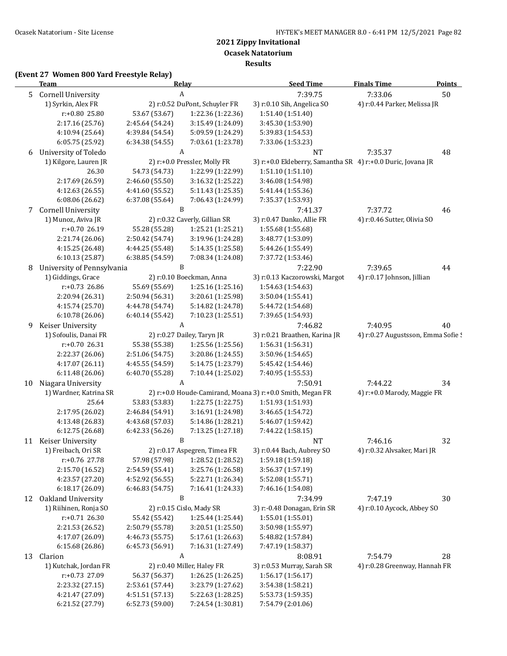**Ocasek Natatorium**

**Results**

# **(Event 27 Women 800 Yard Freestyle Relay)**

|    | <b>Team</b>                        |                                    | Relay                                  | <b>Seed Time</b>                                            | <b>Finals Time</b>                 | <b>Points</b> |
|----|------------------------------------|------------------------------------|----------------------------------------|-------------------------------------------------------------|------------------------------------|---------------|
| 5  | <b>Cornell University</b>          |                                    | A                                      | 7:39.75                                                     | 7:33.06                            | 50            |
|    | 1) Syrkin, Alex FR                 |                                    | 2) r:0.52 DuPont, Schuyler FR          | 3) r:0.10 Sih, Angelica SO                                  | 4) r:0.44 Parker, Melissa JR       |               |
|    | r:+0.80 25.80                      | 53.67 (53.67)                      | 1:22.36 (1:22.36)                      | 1:51.40 (1:51.40)                                           |                                    |               |
|    | 2:17.16 (25.76)                    | 2:45.64 (54.24)                    | 3:15.49 (1:24.09)                      | 3:45.30 (1:53.90)                                           |                                    |               |
|    | 4:10.94 (25.64)                    | 4:39.84 (54.54)                    | 5:09.59 (1:24.29)                      | 5:39.83 (1:54.53)                                           |                                    |               |
|    | 6:05.75 (25.92)                    | 6:34.38 (54.55)                    | 7:03.61 (1:23.78)                      | 7:33.06 (1:53.23)                                           |                                    |               |
| 6  | University of Toledo               |                                    | A                                      | <b>NT</b>                                                   | 7:35.37                            | 48            |
|    | 1) Kilgore, Lauren JR              |                                    | 2) r:+0.0 Pressler, Molly FR           | 3) r:+0.0 Ekleberry, Samantha SR 4) r:+0.0 Duric, Jovana JR |                                    |               |
|    | 26.30                              | 54.73 (54.73)                      | 1:22.99 (1:22.99)                      | 1:51.10 (1:51.10)                                           |                                    |               |
|    | 2:17.69 (26.59)                    | 2:46.60 (55.50)                    | 3:16.32 (1:25.22)                      | 3:46.08 (1:54.98)                                           |                                    |               |
|    | 4:12.63 (26.55)                    | 4:41.60 (55.52)                    | 5:11.43 (1:25.35)                      | 5:41.44 (1:55.36)                                           |                                    |               |
|    | 6:08.06(26.62)                     | 6:37.08 (55.64)                    | 7:06.43 (1:24.99)                      | 7:35.37 (1:53.93)                                           |                                    |               |
| 7  | <b>Cornell University</b>          |                                    | B                                      | 7:41.37                                                     | 7:37.72                            | 46            |
|    | 1) Munoz, Aviva JR                 |                                    | 2) r:0.32 Caverly, Gillian SR          | 3) r:0.47 Danko, Allie FR                                   | 4) r:0.46 Sutter, Olivia SO        |               |
|    | r:+0.70 26.19                      | 55.28 (55.28)                      | 1:25.21 (1:25.21)                      | 1:55.68 (1:55.68)                                           |                                    |               |
|    | 2:21.74 (26.06)                    | 2:50.42 (54.74)                    | 3:19.96 (1:24.28)                      | 3:48.77 (1:53.09)                                           |                                    |               |
|    | 4:15.25 (26.48)                    | 4:44.25 (55.48)                    | 5:14.35 (1:25.58)                      | 5:44.26 (1:55.49)                                           |                                    |               |
|    | 6:10.13 (25.87)                    | 6:38.85 (54.59)                    | 7:08.34 (1:24.08)                      | 7:37.72 (1:53.46)                                           |                                    |               |
| 8  | University of Pennsylvania         |                                    | B                                      | 7:22.90                                                     | 7:39.65                            | 44            |
|    | 1) Giddings, Grace                 |                                    | 2) r:0.10 Boeckman, Anna               | 3) r:0.13 Kaczorowski, Margot                               | 4) r:0.17 Johnson, Jillian         |               |
|    | r:+0.73 26.86                      | 55.69 (55.69)                      | 1:25.16 (1:25.16)                      |                                                             |                                    |               |
|    | 2:20.94 (26.31)                    |                                    |                                        | 1:54.63 (1:54.63)                                           |                                    |               |
|    |                                    | 2:50.94 (56.31)                    | 3:20.61 (1:25.98)                      | 3:50.04 (1:55.41)                                           |                                    |               |
|    | 4:15.74 (25.70)                    | 4:44.78 (54.74)                    | 5:14.82 (1:24.78)                      | 5:44.72 (1:54.68)                                           |                                    |               |
|    | 6:10.78 (26.06)                    | 6:40.14(55.42)                     | 7:10.23 (1:25.51)                      | 7:39.65 (1:54.93)                                           |                                    |               |
| 9  | Keiser University                  |                                    | A                                      | 7:46.82                                                     | 7:40.95                            | 40            |
|    | 1) Sofoulis, Danai FR              |                                    | 2) r:0.27 Dailey, Taryn JR             | 3) r:0.21 Braathen, Karina JR                               | 4) r:0.27 Augustsson, Emma Sofie ! |               |
|    | r:+0.70 26.31                      | 55.38 (55.38)                      | 1:25.56 (1:25.56)                      | 1:56.31 (1:56.31)                                           |                                    |               |
|    | 2:22.37 (26.06)                    | 2:51.06 (54.75)                    | 3:20.86 (1:24.55)                      | 3:50.96 (1:54.65)                                           |                                    |               |
|    | 4:17.07 (26.11)                    | 4:45.55 (54.59)                    | 5:14.75 (1:23.79)                      | 5:45.42 (1:54.46)                                           |                                    |               |
|    | 6:11.48 (26.06)                    | 6:40.70 (55.28)                    | 7:10.44 (1:25.02)                      | 7:40.95 (1:55.53)                                           |                                    |               |
| 10 | Niagara University                 |                                    | A                                      | 7:50.91                                                     | 7:44.22                            | 34            |
|    | 1) Wardner, Katrina SR             |                                    |                                        | 2) r:+0.0 Houde-Camirand, Moana 3) r:+0.0 Smith, Megan FR   | 4) r:+0.0 Marody, Maggie FR        |               |
|    | 25.64                              | 53.83 (53.83)                      | 1:22.75 (1:22.75)                      | 1:51.93 (1:51.93)                                           |                                    |               |
|    | 2:17.95 (26.02)                    | 2:46.84 (54.91)                    | 3:16.91 (1:24.98)                      | 3:46.65 (1:54.72)                                           |                                    |               |
|    | 4:13.48 (26.83)                    | 4:43.68 (57.03)                    | 5:14.86 (1:28.21)                      | 5:46.07 (1:59.42)                                           |                                    |               |
|    | 6:12.75(26.68)                     | 6:42.33 (56.26)                    | 7:13.25 (1:27.18)                      | 7:44.22 (1:58.15)                                           |                                    |               |
| 11 | Keiser University                  |                                    | B                                      | NT                                                          | 7:46.16                            | 32            |
|    | 1) Freibach, Ori SR                |                                    | 2) r:0.17 Aspegren, Timea FR           | 3) r:0.44 Bach, Aubrey SO                                   | 4) r:0.32 Alvsaker, Mari JR        |               |
|    | r:+0.76 27.78                      | 57.98 (57.98)                      | 1:28.52 (1:28.52)                      | 1:59.18 (1:59.18)                                           |                                    |               |
|    | 2:15.70 (16.52)                    | 2:54.59 (55.41)                    | 3:25.76 (1:26.58)                      | 3:56.37 (1:57.19)                                           |                                    |               |
|    | 4:23.57 (27.20)                    | 4:52.92 (56.55)                    | 5:22.71 (1:26.34)                      | 5:52.08 (1:55.71)                                           |                                    |               |
|    | 6:18.17 (26.09)                    | 6:46.83 (54.75)                    | 7:16.41 (1:24.33)                      | 7:46.16 (1:54.08)                                           |                                    |               |
| 12 | Oakland University                 |                                    | B                                      | 7:34.99                                                     | 7:47.19                            | 30            |
|    | 1) Riihinen, Ronja SO              |                                    | 2) r:0.15 Cislo, Mady SR               | 3) r:-0.48 Donagan, Erin SR                                 | 4) r:0.10 Aycock, Abbey SO         |               |
|    | $r: +0.71$ 26.30                   | 55.42 (55.42)                      | 1:25.44 (1:25.44)                      | 1:55.01 (1:55.01)                                           |                                    |               |
|    | 2:21.53 (26.52)                    | 2:50.79 (55.78)                    | 3:20.51 (1:25.50)                      | 3:50.98 (1:55.97)                                           |                                    |               |
|    | 4:17.07 (26.09)                    | 4:46.73 (55.75)                    | 5:17.61 (1:26.63)                      | 5:48.82 (1:57.84)                                           |                                    |               |
|    | 6:15.68 (26.86)                    | 6:45.73 (56.91)                    | 7:16.31 (1:27.49)                      | 7:47.19 (1:58.37)                                           |                                    |               |
| 13 | Clarion                            |                                    | A                                      | 8:08.91                                                     | 7:54.79                            | 28            |
|    | 1) Kutchak, Jordan FR              |                                    | 2) r:0.40 Miller, Haley FR             | 3) r:0.53 Murray, Sarah SR                                  | 4) r:0.28 Greenway, Hannah FR      |               |
|    | r:+0.73 27.09                      | 56.37 (56.37)                      | 1:26.25 (1:26.25)                      | 1:56.17 (1:56.17)                                           |                                    |               |
|    |                                    |                                    |                                        |                                                             |                                    |               |
|    |                                    |                                    |                                        |                                                             |                                    |               |
|    | 2:23.32 (27.15)<br>4:21.47 (27.09) | 2:53.61 (57.44)<br>4:51.51 (57.13) | 3:23.79 (1:27.62)<br>5:22.63 (1:28.25) | 3:54.38 (1:58.21)<br>5:53.73 (1:59.35)                      |                                    |               |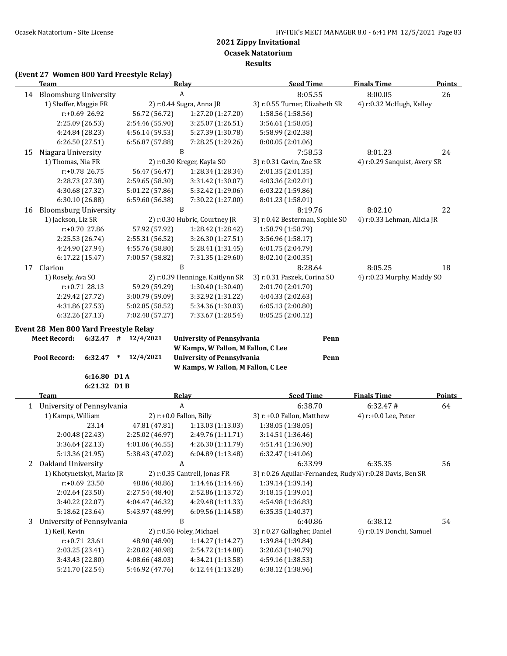**Results**

#### **(Event 27 Women 800 Yard Freestyle Relay)**

|    | <b>Team</b>                                                              |                         | Relay                                                                                                        | <b>Seed Time</b>                                          | <b>Finals Time</b>           | <b>Points</b> |
|----|--------------------------------------------------------------------------|-------------------------|--------------------------------------------------------------------------------------------------------------|-----------------------------------------------------------|------------------------------|---------------|
|    | 14 Bloomsburg University                                                 |                         | $\boldsymbol{A}$                                                                                             | 8:05.55                                                   | 8:00.05                      | 26            |
|    | 1) Shaffer, Maggie FR                                                    |                         | 2) r:0.44 Sugra, Anna JR                                                                                     | 3) r:0.55 Turner, Elizabeth SR                            | 4) r:0.32 McHugh, Kelley     |               |
|    | r:+0.69 26.92                                                            | 56.72 (56.72)           | 1:27.20 (1:27.20)                                                                                            | 1:58.56 (1:58.56)                                         |                              |               |
|    | 2:25.09 (26.53)                                                          | 2:54.46 (55.90)         | 3:25.07 (1:26.51)                                                                                            | 3:56.61 (1:58.05)                                         |                              |               |
|    | 4:24.84 (28.23)                                                          | 4:56.14 (59.53)         | 5:27.39 (1:30.78)                                                                                            | 5:58.99 (2:02.38)                                         |                              |               |
|    | 6:26.50 (27.51)                                                          | 6:56.87 (57.88)         | 7:28.25 (1:29.26)                                                                                            | 8:00.05 (2:01.06)                                         |                              |               |
| 15 | Niagara University                                                       |                         | $\, {\bf B}$                                                                                                 | 7:58.53                                                   | 8:01.23                      | 24            |
|    | 1) Thomas, Nia FR                                                        |                         | 2) r:0.30 Kreger, Kayla SO                                                                                   | 3) r:0.31 Gavin, Zoe SR                                   | 4) r:0.29 Sanquist, Avery SR |               |
|    | r:+0.78 26.75                                                            | 56.47 (56.47)           | 1:28.34 (1:28.34)                                                                                            | 2:01.35 (2:01.35)                                         |                              |               |
|    | 2:28.73 (27.38)                                                          | 2:59.65 (58.30)         | 3:31.42 (1:30.07)                                                                                            | 4:03.36 (2:02.01)                                         |                              |               |
|    | 4:30.68 (27.32)                                                          | 5:01.22 (57.86)         | 5:32.42 (1:29.06)                                                                                            | 6:03.22 (1:59.86)                                         |                              |               |
|    | 6:30.10 (26.88)                                                          | 6:59.60 (56.38)         | 7:30.22 (1:27.00)                                                                                            | 8:01.23 (1:58.01)                                         |                              |               |
| 16 | <b>Bloomsburg University</b>                                             |                         | $\, {\bf B}$                                                                                                 | 8:19.76                                                   | 8:02.10                      | 22            |
|    | 1) Jackson, Liz SR                                                       |                         | 2) r:0.30 Hubric, Courtney JR                                                                                | 3) r:0.42 Besterman, Sophie SO                            | 4) r:0.33 Lehman, Alicia JR  |               |
|    | r:+0.70 27.86                                                            | 57.92 (57.92)           | 1:28.42 (1:28.42)                                                                                            | 1:58.79 (1:58.79)                                         |                              |               |
|    | 2:25.53 (26.74)                                                          | 2:55.31 (56.52)         | 3:26.30 (1:27.51)                                                                                            | 3:56.96 (1:58.17)                                         |                              |               |
|    | 4:24.90 (27.94)                                                          | 4:55.76 (58.80)         | 5:28.41 (1:31.45)                                                                                            | 6:01.75 (2:04.79)                                         |                              |               |
|    | 6:17.22 (15.47)                                                          | 7:00.57 (58.82)         | 7:31.35 (1:29.60)                                                                                            | 8:02.10 (2:00.35)                                         |                              |               |
| 17 | Clarion                                                                  |                         | $\, {\bf B}$                                                                                                 | 8:28.64                                                   | 8:05.25                      | 18            |
|    | 1) Rosely, Ava SO                                                        |                         | 2) r:0.39 Henninge, Kaitlynn SR                                                                              | 3) r:0.31 Paszek, Corina SO                               | 4) r:0.23 Murphy, Maddy SO   |               |
|    | $r: +0.71$ 28.13                                                         | 59.29 (59.29)           | 1:30.40 (1:30.40)                                                                                            | 2:01.70 (2:01.70)                                         |                              |               |
|    | 2:29.42 (27.72)                                                          | 3:00.79 (59.09)         | 3:32.92 (1:31.22)                                                                                            | 4:04.33 (2:02.63)                                         |                              |               |
|    | 4:31.86 (27.53)                                                          | 5:02.85 (58.52)         | 5:34.36 (1:30.03)                                                                                            | 6:05.13 (2:00.80)                                         |                              |               |
|    | 6:32.26 (27.13)                                                          | 7:02.40 (57.27)         | 7:33.67 (1:28.54)                                                                                            | 8:05.25 (2:00.12)                                         |                              |               |
|    | <b>Meet Record:</b><br>6:32.47<br>#<br>Pool Record:<br>6:32.47<br>$\ast$ | 12/4/2021<br>12/4/2021  | <b>University of Pennsylvania</b><br>W Kamps, W Fallon, M Fallon, C Lee<br><b>University of Pennsylvania</b> | Penn<br>Penn                                              |                              |               |
|    |                                                                          |                         | W Kamps, W Fallon, M Fallon, C Lee                                                                           |                                                           |                              |               |
|    | 6:16.80 D1A                                                              |                         |                                                                                                              |                                                           |                              |               |
|    | 6:21.32 D1B                                                              |                         |                                                                                                              |                                                           |                              |               |
|    | <b>Team</b>                                                              |                         | <b>Relay</b>                                                                                                 | <b>Seed Time</b>                                          | <b>Finals Time</b>           | <b>Points</b> |
|    | 1 University of Pennsylvania                                             |                         | $\boldsymbol{A}$                                                                                             | 6:38.70                                                   | 6:32.47#                     | 64            |
|    | 1) Kamps, William                                                        | 2) r:+0.0 Fallon, Billy |                                                                                                              | 3) r:+0.0 Fallon, Matthew                                 | 4) r:+0.0 Lee, Peter         |               |
|    | 23.14                                                                    | 47.81 (47.81)           | 1:13.03(1:13.03)                                                                                             | 1:38.05 (1:38.05)                                         |                              |               |
|    | 2:00.48 (22.43)                                                          | 2:25.02 (46.97)         | 2:49.76 (1:11.71)                                                                                            | 3:14.51 (1:36.46)                                         |                              |               |
|    | 3:36.64 (22.13)                                                          | 4:01.06 (46.55)         | 4:26.30 (1:11.79)                                                                                            | 4:51.41 (1:36.90)                                         |                              |               |
|    | 5:13.36 (21.95)                                                          | 5:38.43 (47.02)         | 6:04.89 (1:13.48)                                                                                            | 6:32.47 (1:41.06)                                         |                              |               |
| 2  | Oakland University                                                       |                         | A                                                                                                            | 6:33.99                                                   | 6:35.35                      | 56            |
|    | 1) Khotynetskyi, Marko JR                                                |                         | 2) r:0.35 Cantrell, Jonas FR                                                                                 | 3) r:0.26 Aguilar-Fernandez, Rudy 4) r:0.28 Davis, Ben SR |                              |               |
|    | r:+0.69 23.50                                                            | 48.86 (48.86)           | 1:14.46 (1:14.46)                                                                                            | 1:39.14 (1:39.14)                                         |                              |               |
|    | 2:02.64 (23.50)                                                          | 2:27.54 (48.40)         | 2:52.86 (1:13.72)                                                                                            | 3:18.15 (1:39.01)                                         |                              |               |
|    | 3:40.22 (22.07)                                                          | 4:04.47 (46.32)         | 4:29.48 (1:11.33)                                                                                            | 4:54.98 (1:36.83)                                         |                              |               |
|    | 5:18.62 (23.64)                                                          | 5:43.97 (48.99)         | 6:09.56 (1:14.58)                                                                                            | 6:35.35 (1:40.37)                                         |                              |               |
| 3  | University of Pennsylvania                                               |                         | B                                                                                                            | 6:40.86                                                   | 6:38.12                      | 54            |
|    | 1) Keil, Kevin                                                           |                         | 2) r:0.56 Foley, Michael                                                                                     | 3) r:0.27 Gallagher, Daniel                               | 4) r:0.19 Donchi, Samuel     |               |
|    | $r: +0.71$ 23.61                                                         | 48.90 (48.90)           | 1:14.27 (1:14.27)                                                                                            | 1:39.84 (1:39.84)                                         |                              |               |
|    | 2:03.25 (23.41)                                                          | 2:28.82 (48.98)         | 2:54.72 (1:14.88)                                                                                            | 3:20.63 (1:40.79)                                         |                              |               |
|    | 3:43.43 (22.80)                                                          | 4:08.66 (48.03)         | 4:34.21 (1:13.58)                                                                                            | 4:59.16 (1:38.53)                                         |                              |               |
|    | 5:21.70 (22.54)                                                          | 5:46.92 (47.76)         | 6:12.44 (1:13.28)                                                                                            | 6:38.12 (1:38.96)                                         |                              |               |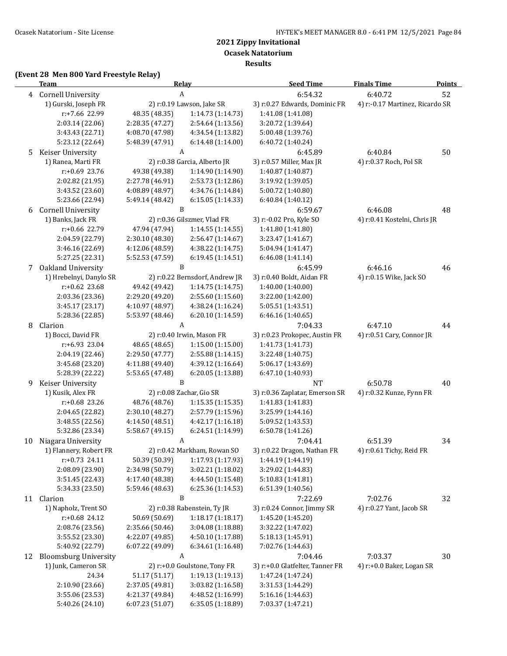**Ocasek Natatorium**

**Results**

# **(Event 28 Men 800 Yard Freestyle Relay)**

|    | <b>Team</b>               |                 | Relay                          | <b>Seed Time</b>                | <b>Finals Time</b>              | <b>Points</b> |
|----|---------------------------|-----------------|--------------------------------|---------------------------------|---------------------------------|---------------|
|    | 4 Cornell University      |                 | $\boldsymbol{A}$               | 6:54.32                         | 6:40.72                         | 52            |
|    | 1) Gurski, Joseph FR      |                 | 2) r:0.19 Lawson, Jake SR      | 3) r:0.27 Edwards, Dominic FR   | 4) r:-0.17 Martinez, Ricardo SR |               |
|    | r:+7.66 22.99             | 48.35 (48.35)   | 1:14.73 (1:14.73)              | 1:41.08 (1:41.08)               |                                 |               |
|    | 2:03.14 (22.06)           | 2:28.35 (47.27) | 2:54.64 (1:13.56)              | 3:20.72 (1:39.64)               |                                 |               |
|    | 3:43.43 (22.71)           | 4:08.70 (47.98) | 4:34.54 (1:13.82)              | 5:00.48 (1:39.76)               |                                 |               |
|    | 5:23.12 (22.64)           | 5:48.39 (47.91) | 6:14.48 (1:14.00)              | 6:40.72 (1:40.24)               |                                 |               |
| 5  | Keiser University         |                 | A                              | 6:45.89                         | 6:40.84                         | 50            |
|    | 1) Ranea, Marti FR        |                 | 2) r:0.38 Garcia, Alberto JR   | 3) r:0.57 Miller, Max JR        | 4) r:0.37 Roch, Pol SR          |               |
|    | $r: +0.69$ 23.76          | 49.38 (49.38)   | 1:14.90 (1:14.90)              | 1:40.87 (1:40.87)               |                                 |               |
|    | 2:02.82 (21.95)           | 2:27.78 (46.91) | 2:53.73 (1:12.86)              | 3:19.92 (1:39.05)               |                                 |               |
|    | 3:43.52 (23.60)           | 4:08.89 (48.97) | 4:34.76 (1:14.84)              | 5:00.72 (1:40.80)               |                                 |               |
|    | 5:23.66 (22.94)           | 5:49.14 (48.42) | 6:15.05 (1:14.33)              | 6:40.84 (1:40.12)               |                                 |               |
| 6  | <b>Cornell University</b> |                 | B                              | 6:59.67                         | 6:46.08                         | 48            |
|    | 1) Banks, Jack FR         |                 | 2) r:0.36 Gilszmer, Vlad FR    | 3) r:-0.02 Pro, Kyle SO         | 4) r:0.41 Kostelni, Chris JR    |               |
|    | r:+0.66 22.79             | 47.94 (47.94)   | 1:14.55 (1:14.55)              | 1:41.80 (1:41.80)               |                                 |               |
|    | 2:04.59 (22.79)           | 2:30.10 (48.30) | 2:56.47 (1:14.67)              | 3:23.47 (1:41.67)               |                                 |               |
|    | 3:46.16 (22.69)           | 4:12.06 (48.59) | 4:38.22 (1:14.75)              | 5:04.94 (1:41.47)               |                                 |               |
|    | 5:27.25 (22.31)           | 5:52.53 (47.59) | 6:19.45 (1:14.51)              | 6:46.08 (1:41.14)               |                                 |               |
| 7  | Oakland University        |                 | B                              | 6:45.99                         | 6:46.16                         | 46            |
|    | 1) Hrebelnyi, Danylo SR   |                 | 2) r:0.22 Bernsdorf, Andrew JR | 3) r:0.40 Boldt, Aidan FR       | 4) r:0.15 Wike, Jack SO         |               |
|    | $r: +0.62$ 23.68          | 49.42 (49.42)   | 1:14.75 (1:14.75)              | 1:40.00 (1:40.00)               |                                 |               |
|    | 2:03.36 (23.36)           | 2:29.20 (49.20) | 2:55.60 (1:15.60)              | 3:22.00 (1:42.00)               |                                 |               |
|    | 3:45.17 (23.17)           | 4:10.97 (48.97) | 4:38.24 (1:16.24)              | 5:05.51 (1:43.51)               |                                 |               |
|    | 5:28.36 (22.85)           | 5:53.97 (48.46) | 6:20.10 (1:14.59)              | 6:46.16 (1:40.65)               |                                 |               |
| 8  | Clarion                   |                 | A                              | 7:04.33                         | 6:47.10                         | 44            |
|    | 1) Bocci, David FR        |                 | 2) r:0.40 Irwin, Mason FR      | 3) r:0.23 Prokopec, Austin FR   | 4) r:0.51 Cary, Connor JR       |               |
|    | r:+6.93 23.04             | 48.65 (48.65)   | 1:15.00 (1:15.00)              | 1:41.73 (1:41.73)               |                                 |               |
|    | 2:04.19 (22.46)           | 2:29.50 (47.77) | 2:55.88 (1:14.15)              | 3:22.48 (1:40.75)               |                                 |               |
|    | 3:45.68 (23.20)           | 4:11.88 (49.40) | 4:39.12 (1:16.64)              | 5:06.17 (1:43.69)               |                                 |               |
|    | 5:28.39 (22.22)           | 5:53.65 (47.48) | 6:20.05 (1:13.88)              | 6:47.10 (1:40.93)               |                                 |               |
| 9  | Keiser University         |                 | B                              | NT                              | 6:50.78                         | 40            |
|    | 1) Kusik, Alex FR         |                 | 2) r:0.08 Zachar, Gio SR       | 3) r:0.36 Zaplatar, Emerson SR  | 4) r:0.32 Kunze, Fynn FR        |               |
|    | r:+0.68 23.26             | 48.76 (48.76)   | 1:15.35 (1:15.35)              | 1:41.83 (1:41.83)               |                                 |               |
|    | 2:04.65 (22.82)           | 2:30.10 (48.27) | 2:57.79 (1:15.96)              | 3:25.99 (1:44.16)               |                                 |               |
|    | 3:48.55 (22.56)           | 4:14.50 (48.51) | 4:42.17 (1:16.18)              | 5:09.52 (1:43.53)               |                                 |               |
|    | 5:32.86 (23.34)           | 5:58.67 (49.15) | 6:24.51 (1:14.99)              | 6:50.78 (1:41.26)               |                                 |               |
| 10 | Niagara University        |                 | A                              | 7:04.41                         | 6:51.39                         | 34            |
|    | 1) Flannery, Robert FR    |                 | 2) r:0.42 Markham, Rowan SO    | 3) r:0.22 Dragon, Nathan FR     | 4) r:0.61 Tichy, Reid FR        |               |
|    | $r: +0.73$ 24.11          | 50.39 (50.39)   | 1:17.93 (1:17.93)              | 1:44.19 (1:44.19)               |                                 |               |
|    | 2:08.09 (23.90)           | 2:34.98 (50.79) | 3:02.21 (1:18.02)              | 3:29.02 (1:44.83)               |                                 |               |
|    | 3:51.45 (22.43)           | 4:17.40 (48.38) | 4:44.50 (1:15.48)              | 5:10.83 (1:41.81)               |                                 |               |
|    | 5:34.33 (23.50)           | 5:59.46 (48.63) | 6:25.36 (1:14.53)              | 6:51.39 (1:40.56)               |                                 |               |
| 11 | Clarion                   |                 | B                              | 7:22.69                         | 7:02.76                         | 32            |
|    | 1) Napholz, Trent SO      |                 | 2) r:0.38 Rabenstein, Ty JR    | 3) r:0.24 Connor, Jimmy SR      | 4) r:0.27 Yant, Jacob SR        |               |
|    | $r: +0.68$ 24.12          | 50.69 (50.69)   | 1:18.17(1:18.17)               | 1:45.20 (1:45.20)               |                                 |               |
|    | 2:08.76 (23.56)           | 2:35.66 (50.46) | 3:04.08 (1:18.88)              | 3:32.22 (1:47.02)               |                                 |               |
|    | 3:55.52 (23.30)           | 4:22.07 (49.85) | 4:50.10 (1:17.88)              | 5:18.13 (1:45.91)               |                                 |               |
|    | 5:40.92 (22.79)           | 6:07.22 (49.09) | 6:34.61 (1:16.48)              | 7:02.76 (1:44.63)               |                                 |               |
|    | 12 Bloomsburg University  |                 | A                              | 7:04.46                         | 7:03.37                         | 30            |
|    | 1) Junk, Cameron SR       |                 | 2) r:+0.0 Goulstone, Tony FR   | 3) r:+0.0 Glatfelter, Tanner FR | 4) r:+0.0 Baker, Logan SR       |               |
|    | 24.34                     | 51.17 (51.17)   | 1:19.13 (1:19.13)              | 1:47.24 (1:47.24)               |                                 |               |
|    | 2:10.90 (23.66)           | 2:37.05 (49.81) | 3:03.82 (1:16.58)              | 3:31.53 (1:44.29)               |                                 |               |
|    | 3:55.06 (23.53)           | 4:21.37 (49.84) | 4:48.52 (1:16.99)              | 5:16.16 (1:44.63)               |                                 |               |
|    | 5:40.26 (24.10)           | 6:07.23 (51.07) | 6:35.05 (1:18.89)              | 7:03.37 (1:47.21)               |                                 |               |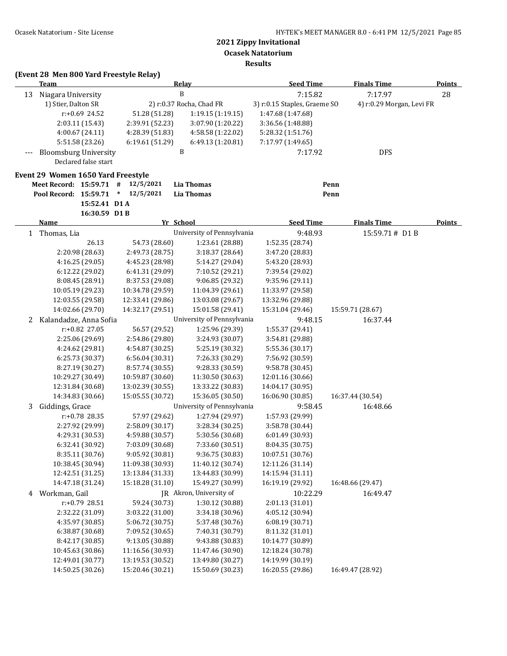**Ocasek Natatorium**

**Results**

## **(Event 28 Men 800 Yard Freestyle Relay)**

|   | <b>Team</b>                          |                      |                                      | Relay                                | <b>Seed Time</b>                     | <b>Finals Time</b>        | <b>Points</b> |
|---|--------------------------------------|----------------------|--------------------------------------|--------------------------------------|--------------------------------------|---------------------------|---------------|
|   | 13 Niagara University                |                      |                                      | B                                    | 7:15.82                              | 7:17.97                   | 28            |
|   | 1) Stier, Dalton SR                  |                      |                                      | 2) r:0.37 Rocha, Chad FR             | 3) r:0.15 Staples, Graeme SO         | 4) r:0.29 Morgan, Levi FR |               |
|   |                                      | r:+0.69 24.52        | 51.28 (51.28)                        | 1:19.15 (1:19.15)                    | 1:47.68 (1:47.68)                    |                           |               |
|   | 2:03.11 (15.43)                      |                      | 2:39.91 (52.23)                      | 3:07.90 (1:20.22)                    | 3:36.56 (1:48.88)                    |                           |               |
|   | 4:00.67(24.11)                       |                      | 4:28.39 (51.83)                      | 4:58.58 (1:22.02)                    | 5:28.32 (1:51.76)                    |                           |               |
|   |                                      | 5:51.58 (23.26)      | 6:19.61 (51.29)                      | 6:49.13 (1:20.81)                    | 7:17.97 (1:49.65)                    |                           |               |
|   | <b>Bloomsburg University</b>         |                      |                                      | B                                    | 7:17.92                              | <b>DFS</b>                |               |
|   |                                      | Declared false start |                                      |                                      |                                      |                           |               |
|   | Event 29 Women 1650 Yard Freestyle   |                      |                                      |                                      |                                      |                           |               |
|   | Meet Record: 15:59.71 #              |                      | 12/5/2021                            | <b>Lia Thomas</b>                    |                                      | Penn                      |               |
|   | Pool Record: 15:59.71                |                      | $*$ 12/5/2021                        | <b>Lia Thomas</b>                    |                                      | Penn                      |               |
|   |                                      | 15:52.41 D1A         |                                      |                                      |                                      |                           |               |
|   |                                      | 16:30.59 D1B         |                                      |                                      |                                      |                           |               |
|   | <b>Name</b>                          |                      |                                      | Yr School                            | <b>Seed Time</b>                     | <b>Finals Time</b>        | <b>Points</b> |
|   | 1 Thomas, Lia                        |                      |                                      | University of Pennsylvania           | 9:48.93                              | 15:59.71# D1 B            |               |
|   |                                      | 26.13                | 54.73 (28.60)                        | 1:23.61 (28.88)                      | 1:52.35 (28.74)                      |                           |               |
|   |                                      | 2:20.98 (28.63)      | 2:49.73 (28.75)                      | 3:18.37 (28.64)                      | 3:47.20 (28.83)                      |                           |               |
|   | 4:16.25 (29.05)                      |                      | 4:45.23 (28.98)                      | 5:14.27 (29.04)                      | 5:43.20 (28.93)                      |                           |               |
|   | 6:12.22 (29.02)                      |                      | 6:41.31 (29.09)                      | 7:10.52 (29.21)                      | 7:39.54 (29.02)                      |                           |               |
|   | 8:08.45 (28.91)                      |                      | 8:37.53 (29.08)                      | 9:06.85 (29.32)                      | 9:35.96 (29.11)                      |                           |               |
|   | 10:05.19 (29.23)                     |                      | 10:34.78 (29.59)                     | 11:04.39 (29.61)                     | 11:33.97 (29.58)                     |                           |               |
|   | 12:03.55 (29.58)                     |                      | 12:33.41 (29.86)                     | 13:03.08 (29.67)                     | 13:32.96 (29.88)                     |                           |               |
|   | 14:02.66 (29.70)                     |                      | 14:32.17 (29.51)                     | 15:01.58 (29.41)                     | 15:31.04 (29.46)                     | 15:59.71 (28.67)          |               |
| 2 | Kalandadze, Anna Sofia               |                      |                                      | University of Pennsylvania           | 9:48.15                              | 16:37.44                  |               |
|   |                                      | r:+0.82 27.05        | 56.57 (29.52)                        | 1:25.96 (29.39)                      | 1:55.37 (29.41)                      |                           |               |
|   | 2:25.06 (29.69)                      |                      | 2:54.86 (29.80)                      | 3:24.93 (30.07)                      | 3:54.81 (29.88)                      |                           |               |
|   | 4:24.62 (29.81)                      |                      | 4:54.87 (30.25)                      | 5:25.19 (30.32)                      | 5:55.36 (30.17)                      |                           |               |
|   | 6:25.73 (30.37)                      |                      | 6:56.04 (30.31)                      | 7:26.33 (30.29)                      | 7:56.92 (30.59)                      |                           |               |
|   | 8:27.19 (30.27)                      |                      | 8:57.74 (30.55)                      | 9:28.33 (30.59)                      | 9:58.78 (30.45)                      |                           |               |
|   | 10:29.27 (30.49)                     |                      | 10:59.87 (30.60)                     | 11:30.50 (30.63)                     | 12:01.16 (30.66)                     |                           |               |
|   | 12:31.84 (30.68)<br>14:34.83 (30.66) |                      | 13:02.39 (30.55)<br>15:05.55 (30.72) | 13:33.22 (30.83)<br>15:36.05 (30.50) | 14:04.17 (30.95)<br>16:06.90 (30.85) | 16:37.44 (30.54)          |               |
|   | Giddings, Grace                      |                      |                                      | University of Pennsylvania           | 9:58.45                              | 16:48.66                  |               |
| 3 |                                      | r:+0.78 28.35        | 57.97 (29.62)                        | 1:27.94 (29.97)                      | 1:57.93 (29.99)                      |                           |               |
|   | 2:27.92 (29.99)                      |                      | 2:58.09 (30.17)                      | 3:28.34 (30.25)                      | 3:58.78 (30.44)                      |                           |               |
|   | 4:29.31 (30.53)                      |                      | 4:59.88 (30.57)                      | 5:30.56 (30.68)                      | 6:01.49 (30.93)                      |                           |               |
|   | 6:32.41 (30.92)                      |                      | 7:03.09 (30.68)                      | 7:33.60 (30.51)                      | 8:04.35 (30.75)                      |                           |               |
|   | 8:35.11 (30.76)                      |                      | 9:05.92 (30.81)                      | 9:36.75 (30.83)                      | 10:07.51 (30.76)                     |                           |               |
|   | 10:38.45 (30.94)                     |                      | 11:09.38 (30.93)                     | 11:40.12 (30.74)                     | 12:11.26 (31.14)                     |                           |               |
|   | 12:42.51 (31.25)                     |                      | 13:13.84 (31.33)                     | 13:44.83 (30.99)                     | 14:15.94 (31.11)                     |                           |               |
|   | 14:47.18 (31.24)                     |                      | 15:18.28 (31.10)                     | 15:49.27 (30.99)                     | 16:19.19 (29.92)                     | 16:48.66 (29.47)          |               |
| 4 | Workman, Gail                        |                      |                                      | JR Akron, University of              | 10:22.29                             | 16:49.47                  |               |
|   |                                      | r:+0.79 28.51        | 59.24 (30.73)                        | 1:30.12 (30.88)                      | 2:01.13 (31.01)                      |                           |               |
|   | 2:32.22 (31.09)                      |                      | 3:03.22 (31.00)                      | 3:34.18 (30.96)                      | 4:05.12 (30.94)                      |                           |               |
|   | 4:35.97 (30.85)                      |                      | 5:06.72 (30.75)                      | 5:37.48 (30.76)                      | 6:08.19 (30.71)                      |                           |               |
|   | 6:38.87 (30.68)                      |                      | 7:09.52 (30.65)                      | 7:40.31 (30.79)                      | 8:11.32 (31.01)                      |                           |               |
|   | 8:42.17 (30.85)                      |                      | 9:13.05 (30.88)                      | 9:43.88 (30.83)                      | 10:14.77 (30.89)                     |                           |               |
|   | 10:45.63 (30.86)                     |                      | 11:16.56 (30.93)                     | 11:47.46 (30.90)                     | 12:18.24 (30.78)                     |                           |               |
|   | 12:49.01 (30.77)                     |                      | 13:19.53 (30.52)                     | 13:49.80 (30.27)                     | 14:19.99 (30.19)                     |                           |               |
|   | 14:50.25 (30.26)                     |                      | 15:20.46 (30.21)                     | 15:50.69 (30.23)                     | 16:20.55 (29.86)                     | 16:49.47 (28.92)          |               |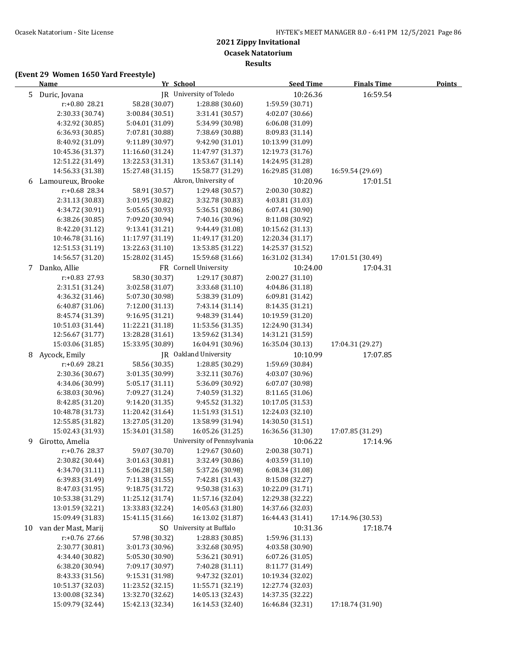**Results**

|    | <b>Name</b>         |                  | Yr School                  | <b>Seed Time</b> | <b>Finals Time</b> | <b>Points</b> |
|----|---------------------|------------------|----------------------------|------------------|--------------------|---------------|
|    | 5 Duric, Jovana     |                  | JR University of Toledo    | 10:26.36         | 16:59.54           |               |
|    | r:+0.80 28.21       | 58.28 (30.07)    | 1:28.88 (30.60)            | 1:59.59 (30.71)  |                    |               |
|    | 2:30.33 (30.74)     | 3:00.84 (30.51)  | 3:31.41 (30.57)            | 4:02.07 (30.66)  |                    |               |
|    | 4:32.92 (30.85)     | 5:04.01 (31.09)  | 5:34.99 (30.98)            | 6:06.08 (31.09)  |                    |               |
|    | 6:36.93 (30.85)     | 7:07.81 (30.88)  | 7:38.69 (30.88)            | 8:09.83 (31.14)  |                    |               |
|    | 8:40.92 (31.09)     | 9:11.89 (30.97)  | 9:42.90 (31.01)            | 10:13.99 (31.09) |                    |               |
|    | 10:45.36 (31.37)    | 11:16.60 (31.24) | 11:47.97 (31.37)           | 12:19.73 (31.76) |                    |               |
|    | 12:51.22 (31.49)    | 13:22.53 (31.31) | 13:53.67 (31.14)           | 14:24.95 (31.28) |                    |               |
|    | 14:56.33 (31.38)    | 15:27.48 (31.15) | 15:58.77 (31.29)           | 16:29.85 (31.08) | 16:59.54 (29.69)   |               |
| 6  | Lamoureux, Brooke   |                  | Akron, University of       | 10:20.96         | 17:01.51           |               |
|    | r:+0.68 28.34       | 58.91 (30.57)    | 1:29.48 (30.57)            | 2:00.30 (30.82)  |                    |               |
|    | 2:31.13 (30.83)     | 3:01.95 (30.82)  | 3:32.78 (30.83)            | 4:03.81 (31.03)  |                    |               |
|    | 4:34.72 (30.91)     | 5:05.65 (30.93)  | 5:36.51 (30.86)            | 6:07.41 (30.90)  |                    |               |
|    | 6:38.26 (30.85)     | 7:09.20 (30.94)  | 7:40.16 (30.96)            | 8:11.08 (30.92)  |                    |               |
|    | 8:42.20 (31.12)     | 9:13.41 (31.21)  | 9:44.49 (31.08)            | 10:15.62 (31.13) |                    |               |
|    | 10:46.78 (31.16)    | 11:17.97 (31.19) | 11:49.17 (31.20)           | 12:20.34 (31.17) |                    |               |
|    | 12:51.53 (31.19)    | 13:22.63 (31.10) | 13:53.85 (31.22)           | 14:25.37 (31.52) |                    |               |
|    | 14:56.57 (31.20)    | 15:28.02 (31.45) | 15:59.68 (31.66)           | 16:31.02 (31.34) | 17:01.51 (30.49)   |               |
| 7  | Danko, Allie        |                  | FR Cornell University      | 10:24.00         | 17:04.31           |               |
|    | r:+0.83 27.93       | 58.30 (30.37)    | 1:29.17 (30.87)            | 2:00.27 (31.10)  |                    |               |
|    | 2:31.51 (31.24)     | 3:02.58 (31.07)  | 3:33.68 (31.10)            | 4:04.86 (31.18)  |                    |               |
|    | 4:36.32 (31.46)     | 5:07.30 (30.98)  | 5:38.39 (31.09)            | 6:09.81 (31.42)  |                    |               |
|    | 6:40.87 (31.06)     | 7:12.00 (31.13)  | 7:43.14 (31.14)            | 8:14.35 (31.21)  |                    |               |
|    | 8:45.74 (31.39)     | 9:16.95 (31.21)  | 9:48.39 (31.44)            | 10:19.59 (31.20) |                    |               |
|    | 10:51.03 (31.44)    | 11:22.21 (31.18) | 11:53.56 (31.35)           | 12:24.90 (31.34) |                    |               |
|    | 12:56.67 (31.77)    | 13:28.28 (31.61) | 13:59.62 (31.34)           | 14:31.21 (31.59) |                    |               |
|    | 15:03.06 (31.85)    | 15:33.95 (30.89) | 16:04.91 (30.96)           | 16:35.04 (30.13) | 17:04.31 (29.27)   |               |
| 8  | Aycock, Emily       |                  | JR Oakland University      | 10:10.99         | 17:07.85           |               |
|    | r:+0.69 28.21       | 58.56 (30.35)    | 1:28.85 (30.29)            | 1:59.69 (30.84)  |                    |               |
|    | 2:30.36 (30.67)     | 3:01.35 (30.99)  | 3:32.11 (30.76)            | 4:03.07 (30.96)  |                    |               |
|    | 4:34.06 (30.99)     | 5:05.17 (31.11)  | 5:36.09 (30.92)            | 6:07.07 (30.98)  |                    |               |
|    | 6:38.03 (30.96)     | 7:09.27 (31.24)  | 7:40.59 (31.32)            | 8:11.65 (31.06)  |                    |               |
|    | 8:42.85 (31.20)     | 9:14.20 (31.35)  | 9:45.52 (31.32)            | 10:17.05 (31.53) |                    |               |
|    | 10:48.78 (31.73)    | 11:20.42 (31.64) | 11:51.93 (31.51)           | 12:24.03 (32.10) |                    |               |
|    | 12:55.85 (31.82)    | 13:27.05 (31.20) | 13:58.99 (31.94)           | 14:30.50 (31.51) |                    |               |
|    | 15:02.43 (31.93)    | 15:34.01 (31.58) | 16:05.26 (31.25)           | 16:36.56 (31.30) | 17:07.85 (31.29)   |               |
| 9  | Girotto, Amelia     |                  | University of Pennsylvania | 10:06.22         | 17:14.96           |               |
|    | r:+0.76 28.37       | 59.07 (30.70)    | 1:29.67 (30.60)            | 2:00.38 (30.71)  |                    |               |
|    | 2:30.82 (30.44)     | 3:01.63 (30.81)  | 3:32.49 (30.86)            | 4:03.59 (31.10)  |                    |               |
|    | 4:34.70 (31.11)     | 5:06.28 (31.58)  | 5:37.26 (30.98)            | 6:08.34 (31.08)  |                    |               |
|    | 6:39.83 (31.49)     | 7:11.38 (31.55)  | 7:42.81 (31.43)            | 8:15.08 (32.27)  |                    |               |
|    | 8:47.03 (31.95)     | 9:18.75 (31.72)  | 9:50.38 (31.63)            | 10:22.09 (31.71) |                    |               |
|    | 10:53.38 (31.29)    | 11:25.12 (31.74) | 11:57.16 (32.04)           | 12:29.38 (32.22) |                    |               |
|    | 13:01.59 (32.21)    | 13:33.83 (32.24) | 14:05.63 (31.80)           | 14:37.66 (32.03) |                    |               |
|    | 15:09.49 (31.83)    | 15:41.15 (31.66) | 16:13.02 (31.87)           | 16:44.43 (31.41) | 17:14.96 (30.53)   |               |
| 10 | van der Mast, Marij |                  | SO University at Buffalo   | 10:31.36         | 17:18.74           |               |
|    | r:+0.76 27.66       | 57.98 (30.32)    | 1:28.83 (30.85)            | 1:59.96 (31.13)  |                    |               |
|    | 2:30.77 (30.81)     | 3:01.73 (30.96)  | 3:32.68 (30.95)            | 4:03.58 (30.90)  |                    |               |
|    | 4:34.40 (30.82)     | 5:05.30 (30.90)  | 5:36.21 (30.91)            | 6:07.26 (31.05)  |                    |               |
|    | 6:38.20 (30.94)     | 7:09.17 (30.97)  | 7:40.28 (31.11)            | 8:11.77 (31.49)  |                    |               |
|    | 8:43.33 (31.56)     | 9:15.31 (31.98)  | 9:47.32 (32.01)            | 10:19.34 (32.02) |                    |               |
|    | 10:51.37 (32.03)    | 11:23.52 (32.15) | 11:55.71 (32.19)           | 12:27.74 (32.03) |                    |               |
|    | 13:00.08 (32.34)    | 13:32.70 (32.62) | 14:05.13 (32.43)           | 14:37.35 (32.22) |                    |               |
|    | 15:09.79 (32.44)    | 15:42.13 (32.34) | 16:14.53 (32.40)           | 16:46.84 (32.31) | 17:18.74 (31.90)   |               |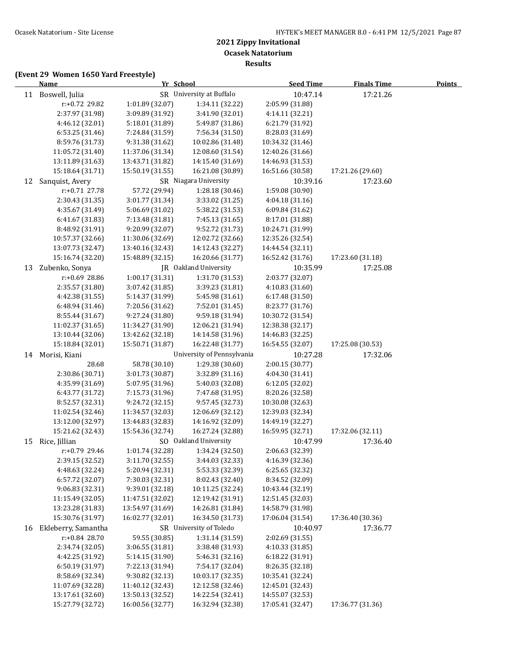**Ocasek Natatorium**

**Results**

|    | <b>Name</b>                      | Yr School        |                            | <b>Seed Time</b>                   | <b>Finals Time</b> | <b>Points</b> |
|----|----------------------------------|------------------|----------------------------|------------------------------------|--------------------|---------------|
|    | 11 Boswell, Julia                |                  | SR University at Buffalo   | 10:47.14                           | 17:21.26           |               |
|    | r:+0.72 29.82                    | 1:01.89 (32.07)  | 1:34.11 (32.22)            | 2:05.99 (31.88)                    |                    |               |
|    | 2:37.97 (31.98)                  | 3:09.89 (31.92)  | 3:41.90 (32.01)            | 4:14.11 (32.21)                    |                    |               |
|    | 4:46.12 (32.01)                  | 5:18.01 (31.89)  | 5:49.87 (31.86)            | 6:21.79 (31.92)                    |                    |               |
|    | 6:53.25 (31.46)                  | 7:24.84 (31.59)  | 7:56.34 (31.50)            | 8:28.03 (31.69)                    |                    |               |
|    | 8:59.76 (31.73)                  | 9:31.38 (31.62)  | 10:02.86 (31.48)           | 10:34.32 (31.46)                   |                    |               |
|    | 11:05.72 (31.40)                 | 11:37.06 (31.34) | 12:08.60 (31.54)           | 12:40.26 (31.66)                   |                    |               |
|    | 13:11.89 (31.63)                 | 13:43.71 (31.82) | 14:15.40 (31.69)           | 14:46.93 (31.53)                   |                    |               |
|    | 15:18.64 (31.71)                 | 15:50.19 (31.55) | 16:21.08 (30.89)           | 16:51.66 (30.58)                   | 17:21.26 (29.60)   |               |
| 12 | Sanquist, Avery                  |                  | SR Niagara University      | 10:39.16                           | 17:23.60           |               |
|    | $r: +0.71$ 27.78                 | 57.72 (29.94)    | 1:28.18 (30.46)            | 1:59.08 (30.90)                    |                    |               |
|    | 2:30.43 (31.35)                  | 3:01.77 (31.34)  | 3:33.02 (31.25)            | 4:04.18 (31.16)                    |                    |               |
|    | 4:35.67 (31.49)                  | 5:06.69 (31.02)  | 5:38.22 (31.53)            | 6:09.84 (31.62)                    |                    |               |
|    | 6:41.67 (31.83)                  | 7:13.48 (31.81)  | 7:45.13 (31.65)            | 8:17.01 (31.88)                    |                    |               |
|    | 8:48.92 (31.91)                  | 9:20.99 (32.07)  | 9:52.72 (31.73)            | 10:24.71 (31.99)                   |                    |               |
|    | 10:57.37 (32.66)                 | 11:30.06 (32.69) | 12:02.72 (32.66)           | 12:35.26 (32.54)                   |                    |               |
|    | 13:07.73 (32.47)                 | 13:40.16 (32.43) | 14:12.43 (32.27)           | 14:44.54 (32.11)                   |                    |               |
|    | 15:16.74 (32.20)                 | 15:48.89 (32.15) | 16:20.66 (31.77)           | 16:52.42 (31.76)                   | 17:23.60 (31.18)   |               |
| 13 | Zubenko, Sonya                   |                  | JR Oakland University      | 10:35.99                           | 17:25.08           |               |
|    | r:+0.69 28.86                    | 1:00.17 (31.31)  | 1:31.70 (31.53)            | 2:03.77 (32.07)                    |                    |               |
|    | 2:35.57 (31.80)                  | 3:07.42 (31.85)  | 3:39.23 (31.81)            | 4:10.83 (31.60)                    |                    |               |
|    | 4:42.38 (31.55)                  | 5:14.37 (31.99)  | 5:45.98 (31.61)            | 6:17.48 (31.50)                    |                    |               |
|    | 6:48.94 (31.46)                  | 7:20.56 (31.62)  | 7:52.01 (31.45)            | 8:23.77 (31.76)                    |                    |               |
|    | 8:55.44 (31.67)                  | 9:27.24 (31.80)  | 9:59.18 (31.94)            | 10:30.72 (31.54)                   |                    |               |
|    | 11:02.37 (31.65)                 | 11:34.27 (31.90) | 12:06.21 (31.94)           | 12:38.38 (32.17)                   |                    |               |
|    | 13:10.44 (32.06)                 | 13:42.62 (32.18) | 14:14.58 (31.96)           | 14:46.83 (32.25)                   |                    |               |
|    | 15:18.84 (32.01)                 | 15:50.71 (31.87) | 16:22.48 (31.77)           | 16:54.55 (32.07)                   | 17:25.08 (30.53)   |               |
|    | 14 Morisi, Kiani                 |                  | University of Pennsylvania | 10:27.28                           |                    |               |
|    | 28.68                            | 58.78 (30.10)    | 1:29.38 (30.60)            |                                    | 17:32.06           |               |
|    | 2:30.86 (30.71)                  | 3:01.73 (30.87)  | 3:32.89 (31.16)            | 2:00.15 (30.77)<br>4:04.30 (31.41) |                    |               |
|    | 4:35.99 (31.69)                  | 5:07.95 (31.96)  | 5:40.03 (32.08)            | 6:12.05 (32.02)                    |                    |               |
|    | 6:43.77 (31.72)                  | 7:15.73 (31.96)  | 7:47.68 (31.95)            | 8:20.26 (32.58)                    |                    |               |
|    | 8:52.57 (32.31)                  | 9:24.72 (32.15)  | 9:57.45 (32.73)            | 10:30.08 (32.63)                   |                    |               |
|    | 11:02.54 (32.46)                 | 11:34.57 (32.03) | 12:06.69 (32.12)           | 12:39.03 (32.34)                   |                    |               |
|    | 13:12.00 (32.97)                 | 13:44.83 (32.83) | 14:16.92 (32.09)           | 14:49.19 (32.27)                   |                    |               |
|    | 15:21.62 (32.43)                 | 15:54.36 (32.74) | 16:27.24 (32.88)           | 16:59.95 (32.71)                   | 17:32.06 (32.11)   |               |
| 15 | Rice, Jillian                    |                  | SO Oakland University      | 10:47.99                           | 17:36.40           |               |
|    |                                  | 1:01.74 (32.28)  | 1:34.24 (32.50)            | 2:06.63 (32.39)                    |                    |               |
|    | r:+0.79 29.46<br>2:39.15 (32.52) | 3:11.70 (32.55)  | 3:44.03 (32.33)            | 4:16.39 (32.36)                    |                    |               |
|    | 4:48.63 (32.24)                  | 5:20.94 (32.31)  | 5:53.33 (32.39)            | 6:25.65 (32.32)                    |                    |               |
|    | 6:57.72 (32.07)                  | 7:30.03 (32.31)  | 8:02.43 (32.40)            | 8:34.52 (32.09)                    |                    |               |
|    | 9:06.83 (32.31)                  | 9:39.01 (32.18)  | 10:11.25 (32.24)           | 10:43.44 (32.19)                   |                    |               |
|    | 11:15.49 (32.05)                 | 11:47.51 (32.02) | 12:19.42 (31.91)           | 12:51.45 (32.03)                   |                    |               |
|    | 13:23.28 (31.83)                 | 13:54.97 (31.69) | 14:26.81 (31.84)           | 14:58.79 (31.98)                   |                    |               |
|    | 15:30.76 (31.97)                 | 16:02.77 (32.01) | 16:34.50 (31.73)           | 17:06.04 (31.54)                   | 17:36.40 (30.36)   |               |
|    | 16 Ekleberry, Samantha           |                  | SR University of Toledo    |                                    |                    |               |
|    |                                  |                  |                            | 10:40.97                           | 17:36.77           |               |
|    | r:+0.84 28.70                    | 59.55 (30.85)    | 1:31.14 (31.59)            | 2:02.69 (31.55)                    |                    |               |
|    | 2:34.74 (32.05)                  | 3:06.55 (31.81)  | 3:38.48 (31.93)            | 4:10.33 (31.85)                    |                    |               |
|    | 4:42.25 (31.92)                  | 5:14.15 (31.90)  | 5:46.31 (32.16)            | 6:18.22 (31.91)                    |                    |               |
|    | 6:50.19 (31.97)                  | 7:22.13 (31.94)  | 7:54.17 (32.04)            | 8:26.35 (32.18)                    |                    |               |
|    | 8:58.69 (32.34)                  | 9:30.82 (32.13)  | 10:03.17 (32.35)           | 10:35.41 (32.24)                   |                    |               |
|    | 11:07.69 (32.28)                 | 11:40.12 (32.43) | 12:12.58 (32.46)           | 12:45.01 (32.43)                   |                    |               |
|    | 13:17.61 (32.60)                 | 13:50.13 (32.52) | 14:22.54 (32.41)           | 14:55.07 (32.53)                   |                    |               |
|    | 15:27.79 (32.72)                 | 16:00.56 (32.77) | 16:32.94 (32.38)           | 17:05.41 (32.47)                   | 17:36.77 (31.36)   |               |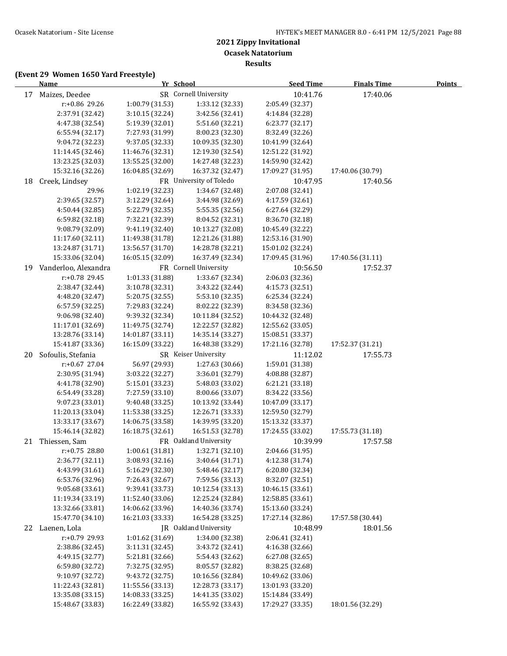**Results**

|    | <b>Name</b>          |                  | Yr School               | <b>Seed Time</b> | <b>Finals Time</b> | <b>Points</b> |
|----|----------------------|------------------|-------------------------|------------------|--------------------|---------------|
|    | 17 Maizes, Deedee    |                  | SR Cornell University   | 10:41.76         | 17:40.06           |               |
|    | r:+0.86 29.26        | 1:00.79 (31.53)  | 1:33.12 (32.33)         | 2:05.49 (32.37)  |                    |               |
|    | 2:37.91 (32.42)      | 3:10.15 (32.24)  | 3:42.56 (32.41)         | 4:14.84 (32.28)  |                    |               |
|    | 4:47.38 (32.54)      | 5:19.39 (32.01)  | 5:51.60 (32.21)         | 6:23.77 (32.17)  |                    |               |
|    | 6:55.94 (32.17)      | 7:27.93 (31.99)  | 8:00.23 (32.30)         | 8:32.49 (32.26)  |                    |               |
|    | 9:04.72 (32.23)      | 9:37.05 (32.33)  | 10:09.35 (32.30)        | 10:41.99 (32.64) |                    |               |
|    | 11:14.45 (32.46)     | 11:46.76 (32.31) | 12:19.30 (32.54)        | 12:51.22 (31.92) |                    |               |
|    | 13:23.25 (32.03)     | 13:55.25 (32.00) | 14:27.48 (32.23)        | 14:59.90 (32.42) |                    |               |
|    | 15:32.16 (32.26)     | 16:04.85 (32.69) | 16:37.32 (32.47)        | 17:09.27 (31.95) | 17:40.06 (30.79)   |               |
| 18 | Creek, Lindsey       |                  | FR University of Toledo | 10:47.95         | 17:40.56           |               |
|    | 29.96                | 1:02.19 (32.23)  | 1:34.67 (32.48)         | 2:07.08 (32.41)  |                    |               |
|    | 2:39.65 (32.57)      | 3:12.29 (32.64)  | 3:44.98 (32.69)         | 4:17.59 (32.61)  |                    |               |
|    | 4:50.44 (32.85)      | 5:22.79 (32.35)  | 5:55.35 (32.56)         | 6:27.64 (32.29)  |                    |               |
|    | 6:59.82 (32.18)      | 7:32.21 (32.39)  | 8:04.52 (32.31)         | 8:36.70 (32.18)  |                    |               |
|    | 9:08.79 (32.09)      | 9:41.19 (32.40)  | 10:13.27 (32.08)        | 10:45.49 (32.22) |                    |               |
|    | 11:17.60 (32.11)     | 11:49.38 (31.78) | 12:21.26 (31.88)        | 12:53.16 (31.90) |                    |               |
|    | 13:24.87 (31.71)     | 13:56.57 (31.70) | 14:28.78 (32.21)        | 15:01.02 (32.24) |                    |               |
|    | 15:33.06 (32.04)     | 16:05.15 (32.09) | 16:37.49 (32.34)        | 17:09.45 (31.96) | 17:40.56 (31.11)   |               |
| 19 | Vanderloo, Alexandra |                  | FR Cornell University   | 10:56.50         | 17:52.37           |               |
|    | r:+0.78 29.45        | 1:01.33 (31.88)  | 1:33.67 (32.34)         | 2:06.03 (32.36)  |                    |               |
|    | 2:38.47 (32.44)      | 3:10.78 (32.31)  | 3:43.22 (32.44)         | 4:15.73 (32.51)  |                    |               |
|    | 4:48.20 (32.47)      | 5:20.75 (32.55)  | 5:53.10 (32.35)         | 6:25.34 (32.24)  |                    |               |
|    | 6:57.59 (32.25)      | 7:29.83 (32.24)  | 8:02.22 (32.39)         | 8:34.58 (32.36)  |                    |               |
|    | 9:06.98 (32.40)      | 9:39.32 (32.34)  | 10:11.84 (32.52)        | 10:44.32 (32.48) |                    |               |
|    | 11:17.01 (32.69)     | 11:49.75 (32.74) | 12:22.57 (32.82)        | 12:55.62 (33.05) |                    |               |
|    | 13:28.76 (33.14)     | 14:01.87 (33.11) | 14:35.14 (33.27)        | 15:08.51 (33.37) |                    |               |
|    | 15:41.87 (33.36)     | 16:15.09 (33.22) | 16:48.38 (33.29)        | 17:21.16 (32.78) | 17:52.37 (31.21)   |               |
| 20 | Sofoulis, Stefania   |                  | SR Keiser University    | 11:12.02         | 17:55.73           |               |
|    | r:+0.67 27.04        | 56.97 (29.93)    | 1:27.63 (30.66)         | 1:59.01 (31.38)  |                    |               |
|    | 2:30.95 (31.94)      | 3:03.22 (32.27)  | 3:36.01 (32.79)         | 4:08.88 (32.87)  |                    |               |
|    | 4:41.78 (32.90)      | 5:15.01 (33.23)  | 5:48.03 (33.02)         | 6:21.21 (33.18)  |                    |               |
|    | 6:54.49 (33.28)      | 7:27.59 (33.10)  | 8:00.66 (33.07)         | 8:34.22 (33.56)  |                    |               |
|    | 9:07.23 (33.01)      | 9:40.48 (33.25)  | 10:13.92 (33.44)        | 10:47.09 (33.17) |                    |               |
|    | 11:20.13 (33.04)     | 11:53.38 (33.25) | 12:26.71 (33.33)        | 12:59.50 (32.79) |                    |               |
|    | 13:33.17 (33.67)     | 14:06.75 (33.58) | 14:39.95 (33.20)        | 15:13.32 (33.37) |                    |               |
|    | 15:46.14 (32.82)     | 16:18.75 (32.61) | 16:51.53 (32.78)        | 17:24.55 (33.02) | 17:55.73 (31.18)   |               |
| 21 | Thiessen, Sam        |                  | FR Oakland University   | 10:39.99         | 17:57.58           |               |
|    | $r: +0.75$ 28.80     | 1:00.61 (31.81)  | 1:32.71 (32.10)         | 2:04.66 (31.95)  |                    |               |
|    | 2:36.77 (32.11)      | 3:08.93 (32.16)  | 3:40.64 (31.71)         | 4:12.38 (31.74)  |                    |               |
|    | 4:43.99 (31.61)      | 5:16.29 (32.30)  | 5:48.46 (32.17)         | 6:20.80 (32.34)  |                    |               |
|    | 6:53.76 (32.96)      | 7:26.43 (32.67)  | 7:59.56 (33.13)         | 8:32.07 (32.51)  |                    |               |
|    | 9:05.68 (33.61)      | 9:39.41 (33.73)  | 10:12.54 (33.13)        | 10:46.15 (33.61) |                    |               |
|    | 11:19.34 (33.19)     | 11:52.40 (33.06) | 12:25.24 (32.84)        | 12:58.85 (33.61) |                    |               |
|    | 13:32.66 (33.81)     | 14:06.62 (33.96) | 14:40.36 (33.74)        | 15:13.60 (33.24) |                    |               |
|    | 15:47.70 (34.10)     | 16:21.03 (33.33) | 16:54.28 (33.25)        | 17:27.14 (32.86) | 17:57.58 (30.44)   |               |
|    | 22 Laenen, Lola      |                  | JR Oakland University   | 10:48.99         | 18:01.56           |               |
|    | r:+0.79 29.93        | 1:01.62 (31.69)  | 1:34.00 (32.38)         | 2:06.41 (32.41)  |                    |               |
|    | 2:38.86 (32.45)      | 3:11.31 (32.45)  | 3:43.72 (32.41)         | 4:16.38 (32.66)  |                    |               |
|    | 4:49.15 (32.77)      | 5:21.81 (32.66)  | 5:54.43 (32.62)         | 6:27.08 (32.65)  |                    |               |
|    | 6:59.80 (32.72)      | 7:32.75 (32.95)  | 8:05.57 (32.82)         | 8:38.25 (32.68)  |                    |               |
|    | 9:10.97 (32.72)      | 9:43.72 (32.75)  | 10:16.56 (32.84)        | 10:49.62 (33.06) |                    |               |
|    | 11:22.43 (32.81)     | 11:55.56 (33.13) | 12:28.73 (33.17)        | 13:01.93 (33.20) |                    |               |
|    | 13:35.08 (33.15)     | 14:08.33 (33.25) | 14:41.35 (33.02)        | 15:14.84 (33.49) |                    |               |
|    | 15:48.67 (33.83)     | 16:22.49 (33.82) | 16:55.92 (33.43)        | 17:29.27 (33.35) | 18:01.56 (32.29)   |               |
|    |                      |                  |                         |                  |                    |               |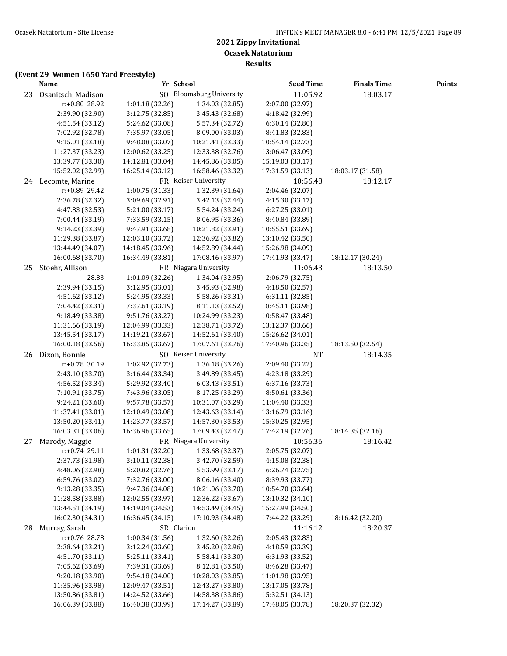**Results**

|    | <b>Name</b>        | Yr School        |                                 | <b>Seed Time</b> | <b>Finals Time</b> | <b>Points</b> |
|----|--------------------|------------------|---------------------------------|------------------|--------------------|---------------|
| 23 | Osanitsch, Madison |                  | SO Bloomsburg University        | 11:05.92         | 18:03.17           |               |
|    | r:+0.80 28.92      | 1:01.18 (32.26)  | 1:34.03 (32.85)                 | 2:07.00 (32.97)  |                    |               |
|    | 2:39.90 (32.90)    | 3:12.75 (32.85)  | 3:45.43 (32.68)                 | 4:18.42 (32.99)  |                    |               |
|    | 4:51.54 (33.12)    | 5:24.62 (33.08)  | 5:57.34 (32.72)                 | 6:30.14 (32.80)  |                    |               |
|    | 7:02.92 (32.78)    | 7:35.97 (33.05)  | 8:09.00 (33.03)                 | 8:41.83 (32.83)  |                    |               |
|    | 9:15.01 (33.18)    | 9:48.08 (33.07)  | 10:21.41 (33.33)                | 10:54.14 (32.73) |                    |               |
|    | 11:27.37 (33.23)   | 12:00.62 (33.25) | 12:33.38 (32.76)                | 13:06.47 (33.09) |                    |               |
|    | 13:39.77 (33.30)   | 14:12.81 (33.04) | 14:45.86 (33.05)                | 15:19.03 (33.17) |                    |               |
|    | 15:52.02 (32.99)   | 16:25.14 (33.12) | 16:58.46 (33.32)                | 17:31.59 (33.13) | 18:03.17 (31.58)   |               |
|    | 24 Lecomte, Marine |                  | FR Keiser University            | 10:56.48         | 18:12.17           |               |
|    | r:+0.89 29.42      | 1:00.75 (31.33)  | 1:32.39 (31.64)                 | 2:04.46 (32.07)  |                    |               |
|    | 2:36.78 (32.32)    | 3:09.69 (32.91)  | 3:42.13 (32.44)                 | 4:15.30 (33.17)  |                    |               |
|    | 4:47.83 (32.53)    | 5:21.00 (33.17)  | 5:54.24 (33.24)                 | 6:27.25(33.01)   |                    |               |
|    | 7:00.44 (33.19)    | 7:33.59 (33.15)  | 8:06.95 (33.36)                 | 8:40.84 (33.89)  |                    |               |
|    | 9:14.23 (33.39)    | 9:47.91 (33.68)  | 10:21.82 (33.91)                | 10:55.51 (33.69) |                    |               |
|    | 11:29.38 (33.87)   | 12:03.10 (33.72) | 12:36.92 (33.82)                | 13:10.42 (33.50) |                    |               |
|    | 13:44.49 (34.07)   | 14:18.45 (33.96) | 14:52.89 (34.44)                | 15:26.98 (34.09) |                    |               |
|    | 16:00.68 (33.70)   | 16:34.49 (33.81) | 17:08.46 (33.97)                | 17:41.93 (33.47) | 18:12.17 (30.24)   |               |
| 25 | Stoehr, Allison    |                  | FR Niagara University           | 11:06.43         | 18:13.50           |               |
|    | 28.83              | 1:01.09 (32.26)  | 1:34.04 (32.95)                 | 2:06.79 (32.75)  |                    |               |
|    | 2:39.94 (33.15)    | 3:12.95 (33.01)  | 3:45.93 (32.98)                 | 4:18.50 (32.57)  |                    |               |
|    | 4:51.62 (33.12)    | 5:24.95 (33.33)  | 5:58.26 (33.31)                 | 6:31.11(32.85)   |                    |               |
|    | 7:04.42 (33.31)    | 7:37.61 (33.19)  | 8:11.13 (33.52)                 | 8:45.11 (33.98)  |                    |               |
|    | 9:18.49 (33.38)    | 9:51.76 (33.27)  | 10:24.99 (33.23)                | 10:58.47 (33.48) |                    |               |
|    | 11:31.66 (33.19)   | 12:04.99 (33.33) | 12:38.71 (33.72)                | 13:12.37 (33.66) |                    |               |
|    | 13:45.54 (33.17)   | 14:19.21 (33.67) | 14:52.61 (33.40)                | 15:26.62 (34.01) |                    |               |
|    | 16:00.18 (33.56)   | 16:33.85 (33.67) | 17:07.61 (33.76)                | 17:40.96 (33.35) | 18:13.50 (32.54)   |               |
| 26 | Dixon, Bonnie      |                  | SO Keiser University            | <b>NT</b>        | 18:14.35           |               |
|    | r:+0.78 30.19      | 1:02.92 (32.73)  | 1:36.18 (33.26)                 | 2:09.40 (33.22)  |                    |               |
|    | 2:43.10 (33.70)    | 3:16.44 (33.34)  | 3:49.89 (33.45)                 | 4:23.18 (33.29)  |                    |               |
|    | 4:56.52 (33.34)    | 5:29.92 (33.40)  | 6:03.43 (33.51)                 | 6:37.16 (33.73)  |                    |               |
|    | 7:10.91 (33.75)    | 7:43.96 (33.05)  | 8:17.25 (33.29)                 | 8:50.61 (33.36)  |                    |               |
|    | 9:24.21 (33.60)    | 9:57.78 (33.57)  | 10:31.07 (33.29)                | 11:04.40 (33.33) |                    |               |
|    | 11:37.41 (33.01)   | 12:10.49 (33.08) | 12:43.63 (33.14)                | 13:16.79 (33.16) |                    |               |
|    | 13:50.20 (33.41)   | 14:23.77 (33.57) | 14:57.30 (33.53)                | 15:30.25 (32.95) |                    |               |
|    | 16:03.31 (33.06)   | 16:36.96 (33.65) | 17:09.43 (32.47)                | 17:42.19 (32.76) | 18:14.35 (32.16)   |               |
| 27 | Marody, Maggie     |                  | FR Niagara University           | 10:56.36         | 18:16.42           |               |
|    | r:+0.74 29.11      |                  | 1:01.31 (32.20) 1:33.68 (32.37) | 2:05.75 (32.07)  |                    |               |
|    | 2:37.73 (31.98)    | 3:10.11 (32.38)  | 3:42.70 (32.59)                 | 4:15.08 (32.38)  |                    |               |
|    | 4:48.06 (32.98)    | 5:20.82 (32.76)  | 5:53.99 (33.17)                 | 6:26.74 (32.75)  |                    |               |
|    | 6:59.76 (33.02)    | 7:32.76 (33.00)  | 8:06.16 (33.40)                 | 8:39.93 (33.77)  |                    |               |
|    | 9:13.28 (33.35)    | 9:47.36 (34.08)  | 10:21.06 (33.70)                | 10:54.70 (33.64) |                    |               |
|    | 11:28.58 (33.88)   | 12:02.55 (33.97) | 12:36.22 (33.67)                | 13:10.32 (34.10) |                    |               |
|    | 13:44.51 (34.19)   | 14:19.04 (34.53) | 14:53.49 (34.45)                | 15:27.99 (34.50) |                    |               |
|    | 16:02.30 (34.31)   | 16:36.45 (34.15) | 17:10.93 (34.48)                | 17:44.22 (33.29) | 18:16.42 (32.20)   |               |
| 28 | Murray, Sarah      | SR Clarion       |                                 | 11:16.12         | 18:20.37           |               |
|    | r:+0.76 28.78      | 1:00.34 (31.56)  | 1:32.60 (32.26)                 | 2:05.43 (32.83)  |                    |               |
|    | 2:38.64 (33.21)    | 3:12.24 (33.60)  | 3:45.20 (32.96)                 | 4:18.59 (33.39)  |                    |               |
|    | 4:51.70 (33.11)    | 5:25.11 (33.41)  | 5:58.41 (33.30)                 | 6:31.93 (33.52)  |                    |               |
|    | 7:05.62 (33.69)    | 7:39.31 (33.69)  | 8:12.81 (33.50)                 | 8:46.28 (33.47)  |                    |               |
|    | 9:20.18 (33.90)    | 9:54.18 (34.00)  | 10:28.03 (33.85)                | 11:01.98 (33.95) |                    |               |
|    | 11:35.96 (33.98)   | 12:09.47 (33.51) | 12:43.27 (33.80)                | 13:17.05 (33.78) |                    |               |
|    | 13:50.86 (33.81)   | 14:24.52 (33.66) | 14:58.38 (33.86)                | 15:32.51 (34.13) |                    |               |
|    | 16:06.39 (33.88)   | 16:40.38 (33.99) | 17:14.27 (33.89)                | 17:48.05 (33.78) | 18:20.37 (32.32)   |               |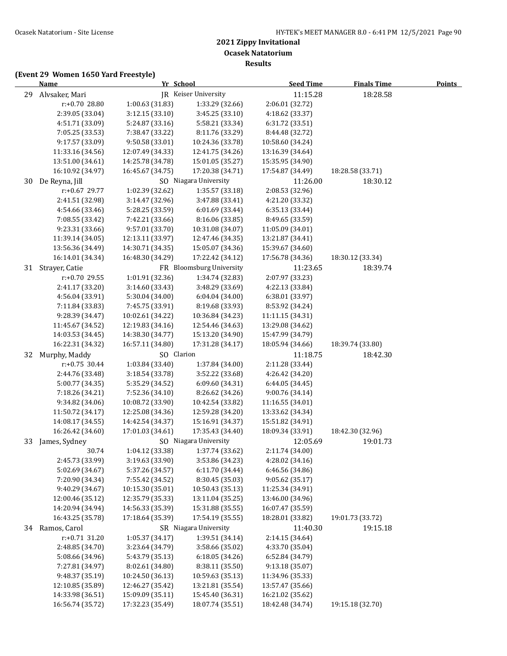**Results**

|    | <u>Name</u>                          | Yr School                            |                                      | <b>Seed Time</b>                     | <b>Finals Time</b> | <b>Points</b> |
|----|--------------------------------------|--------------------------------------|--------------------------------------|--------------------------------------|--------------------|---------------|
| 29 | Alvsaker, Mari                       |                                      | JR Keiser University                 | 11:15.28                             | 18:28.58           |               |
|    | r:+0.70 28.80                        | 1:00.63 (31.83)                      | 1:33.29 (32.66)                      | 2:06.01 (32.72)                      |                    |               |
|    | 2:39.05 (33.04)                      | 3:12.15 (33.10)                      | 3:45.25 (33.10)                      | 4:18.62 (33.37)                      |                    |               |
|    | 4:51.71 (33.09)                      | 5:24.87 (33.16)                      | 5:58.21 (33.34)                      | 6:31.72 (33.51)                      |                    |               |
|    | 7:05.25 (33.53)                      | 7:38.47 (33.22)                      | 8:11.76 (33.29)                      | 8:44.48 (32.72)                      |                    |               |
|    | 9:17.57 (33.09)                      | 9:50.58 (33.01)                      | 10:24.36 (33.78)                     | 10:58.60 (34.24)                     |                    |               |
|    | 11:33.16 (34.56)                     | 12:07.49 (34.33)                     | 12:41.75 (34.26)                     | 13:16.39 (34.64)                     |                    |               |
|    | 13:51.00 (34.61)                     | 14:25.78 (34.78)                     | 15:01.05 (35.27)                     | 15:35.95 (34.90)                     |                    |               |
|    | 16:10.92 (34.97)                     | 16:45.67 (34.75)                     | 17:20.38 (34.71)                     | 17:54.87 (34.49)                     | 18:28.58 (33.71)   |               |
| 30 | De Reyna, Jill                       |                                      | SO Niagara University                | 11:26.00                             | 18:30.12           |               |
|    | r:+0.67 29.77                        | 1:02.39 (32.62)                      | 1:35.57 (33.18)                      | 2:08.53 (32.96)                      |                    |               |
|    | 2:41.51 (32.98)                      | 3:14.47 (32.96)                      | 3:47.88 (33.41)                      | 4:21.20 (33.32)                      |                    |               |
|    | 4:54.66 (33.46)                      | 5:28.25 (33.59)                      | 6:01.69 (33.44)                      | 6:35.13 (33.44)                      |                    |               |
|    | 7:08.55 (33.42)                      | 7:42.21 (33.66)                      | 8:16.06 (33.85)                      | 8:49.65 (33.59)                      |                    |               |
|    | 9:23.31 (33.66)                      | 9:57.01 (33.70)                      | 10:31.08 (34.07)                     | 11:05.09 (34.01)                     |                    |               |
|    | 11:39.14 (34.05)                     | 12:13.11 (33.97)                     | 12:47.46 (34.35)                     | 13:21.87 (34.41)                     |                    |               |
|    | 13:56.36 (34.49)                     | 14:30.71 (34.35)                     | 15:05.07 (34.36)                     | 15:39.67 (34.60)                     |                    |               |
|    | 16:14.01 (34.34)                     | 16:48.30 (34.29)                     | 17:22.42 (34.12)                     | 17:56.78 (34.36)                     | 18:30.12 (33.34)   |               |
|    | 31 Strayer, Catie                    |                                      | FR Bloomsburg University             | 11:23.65                             | 18:39.74           |               |
|    | $r: +0.70$ 29.55                     | 1:01.91 (32.36)                      | 1:34.74 (32.83)                      | 2:07.97 (33.23)                      |                    |               |
|    | 2:41.17 (33.20)                      | 3:14.60 (33.43)                      | 3:48.29 (33.69)                      | 4:22.13 (33.84)                      |                    |               |
|    | 4:56.04 (33.91)                      | 5:30.04 (34.00)                      | 6:04.04 (34.00)                      | 6:38.01 (33.97)                      |                    |               |
|    | 7:11.84 (33.83)                      | 7:45.75 (33.91)                      | 8:19.68 (33.93)                      | 8:53.92 (34.24)                      |                    |               |
|    | 9:28.39 (34.47)                      | 10:02.61 (34.22)                     | 10:36.84 (34.23)                     | 11:11.15 (34.31)                     |                    |               |
|    | 11:45.67 (34.52)<br>14:03.53 (34.45) | 12:19.83 (34.16)<br>14:38.30 (34.77) | 12:54.46 (34.63)<br>15:13.20 (34.90) | 13:29.08 (34.62)<br>15:47.99 (34.79) |                    |               |
|    | 16:22.31 (34.32)                     | 16:57.11 (34.80)                     | 17:31.28 (34.17)                     | 18:05.94 (34.66)                     | 18:39.74 (33.80)   |               |
| 32 | Murphy, Maddy                        | SO Clarion                           |                                      | 11:18.75                             | 18:42.30           |               |
|    | $r: +0.75$ 30.44                     | 1:03.84 (33.40)                      | 1:37.84 (34.00)                      | 2:11.28 (33.44)                      |                    |               |
|    | 2:44.76 (33.48)                      | 3:18.54 (33.78)                      | 3:52.22 (33.68)                      | 4:26.42 (34.20)                      |                    |               |
|    | 5:00.77 (34.35)                      | 5:35.29 (34.52)                      | 6:09.60 (34.31)                      | 6:44.05 (34.45)                      |                    |               |
|    | 7:18.26 (34.21)                      | 7:52.36 (34.10)                      | 8:26.62 (34.26)                      | 9:00.76 (34.14)                      |                    |               |
|    | 9:34.82 (34.06)                      | 10:08.72 (33.90)                     | 10:42.54 (33.82)                     | 11:16.55 (34.01)                     |                    |               |
|    | 11:50.72 (34.17)                     | 12:25.08 (34.36)                     | 12:59.28 (34.20)                     | 13:33.62 (34.34)                     |                    |               |
|    | 14:08.17 (34.55)                     | 14:42.54 (34.37)                     | 15:16.91 (34.37)                     | 15:51.82 (34.91)                     |                    |               |
|    | 16:26.42 (34.60)                     | 17:01.03 (34.61)                     | 17:35.43 (34.40)                     | 18:09.34 (33.91)                     | 18:42.30 (32.96)   |               |
|    | 33 James, Sydney                     |                                      | SO Niagara University                | 12:05.69                             | 19:01.73           |               |
|    | 30.74                                | 1:04.12 (33.38)                      | 1:37.74 (33.62)                      | 2:11.74 (34.00)                      |                    |               |
|    | 2:45.73 (33.99)                      | 3:19.63 (33.90)                      | 3:53.86 (34.23)                      | 4:28.02 (34.16)                      |                    |               |
|    | 5:02.69 (34.67)                      | 5:37.26 (34.57)                      | 6:11.70 (34.44)                      | 6:46.56 (34.86)                      |                    |               |
|    | 7:20.90 (34.34)                      | 7:55.42 (34.52)                      | 8:30.45 (35.03)                      | 9:05.62 (35.17)                      |                    |               |
|    | 9:40.29 (34.67)                      | 10:15.30 (35.01)                     | 10:50.43 (35.13)                     | 11:25.34 (34.91)                     |                    |               |
|    | 12:00.46 (35.12)                     | 12:35.79 (35.33)                     | 13:11.04 (35.25)                     | 13:46.00 (34.96)                     |                    |               |
|    | 14:20.94 (34.94)                     | 14:56.33 (35.39)                     | 15:31.88 (35.55)                     | 16:07.47 (35.59)                     |                    |               |
|    | 16:43.25 (35.78)                     | 17:18.64 (35.39)                     | 17:54.19 (35.55)                     | 18:28.01 (33.82)                     | 19:01.73 (33.72)   |               |
|    | 34 Ramos, Carol                      |                                      | SR Niagara University                | 11:40.30                             | 19:15.18           |               |
|    | $r: +0.71$ 31.20                     | 1:05.37(34.17)                       | 1:39.51 (34.14)                      | 2:14.15 (34.64)                      |                    |               |
|    | 2:48.85 (34.70)                      | 3:23.64 (34.79)                      | 3:58.66 (35.02)                      | 4:33.70 (35.04)                      |                    |               |
|    | 5:08.66 (34.96)                      | 5:43.79 (35.13)                      | 6:18.05 (34.26)                      | 6:52.84 (34.79)                      |                    |               |
|    | 7:27.81 (34.97)                      | 8:02.61 (34.80)                      | 8:38.11 (35.50)                      | 9:13.18 (35.07)                      |                    |               |
|    | 9:48.37 (35.19)                      | 10:24.50 (36.13)                     | 10:59.63 (35.13)                     | 11:34.96 (35.33)                     |                    |               |
|    | 12:10.85 (35.89)<br>14:33.98 (36.51) | 12:46.27 (35.42)<br>15:09.09 (35.11) | 13:21.81 (35.54)<br>15:45.40 (36.31) | 13:57.47 (35.66)<br>16:21.02 (35.62) |                    |               |
|    | 16:56.74 (35.72)                     | 17:32.23 (35.49)                     | 18:07.74 (35.51)                     | 18:42.48 (34.74)                     | 19:15.18 (32.70)   |               |
|    |                                      |                                      |                                      |                                      |                    |               |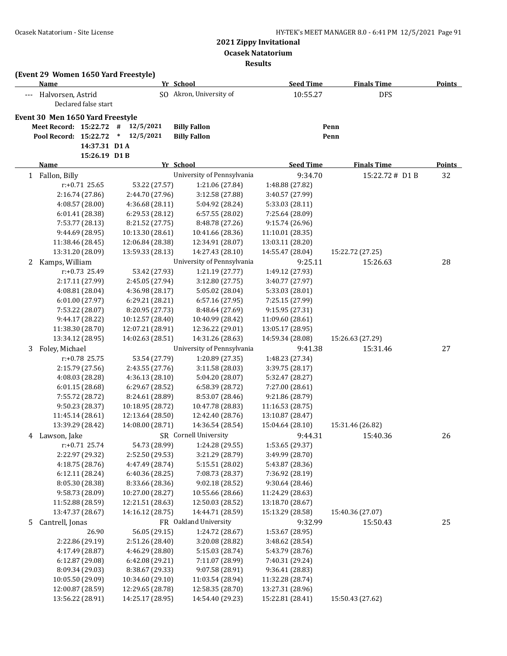|   | <b>Name</b>                      |                                      | (Event 29 Women 1650 Yard Freestyle) | Yr School                            | <b>Seed Time</b>                     | <b>Finals Time</b> | <b>Points</b> |
|---|----------------------------------|--------------------------------------|--------------------------------------|--------------------------------------|--------------------------------------|--------------------|---------------|
|   | --- Halvorsen, Astrid            | Declared false start                 |                                      | SO Akron, University of              | 10:55.27                             | <b>DFS</b>         |               |
|   | Event 30 Men 1650 Yard Freestyle |                                      |                                      |                                      |                                      |                    |               |
|   | Meet Record: 15:22.72 #          |                                      | 12/5/2021                            | <b>Billy Fallon</b>                  |                                      | Penn               |               |
|   | Pool Record: 15:22.72            |                                      | $\ast$<br>12/5/2021                  | <b>Billy Fallon</b>                  |                                      | Penn               |               |
|   |                                  | 14:37.31 D1A                         |                                      |                                      |                                      |                    |               |
|   |                                  | 15:26.19 D1B                         |                                      |                                      |                                      |                    |               |
|   | Name                             |                                      |                                      | Yr School                            | <b>Seed Time</b>                     | <b>Finals Time</b> | <b>Points</b> |
|   | 1 Fallon, Billy                  |                                      |                                      | University of Pennsylvania           | 9:34.70                              | 15:22.72# D1B      | 32            |
|   |                                  | $r: +0.71$ 25.65                     | 53.22 (27.57)                        | 1:21.06 (27.84)                      | 1:48.88 (27.82)                      |                    |               |
|   |                                  | 2:16.74 (27.86)                      | 2:44.70 (27.96)                      | 3:12.58 (27.88)                      | 3:40.57 (27.99)                      |                    |               |
|   |                                  | 4:08.57 (28.00)                      | 4:36.68 (28.11)                      | 5:04.92 (28.24)                      | 5:33.03 (28.11)                      |                    |               |
|   |                                  | 6:01.41 (28.38)                      | 6:29.53 (28.12)                      | 6:57.55 (28.02)                      | 7:25.64 (28.09)                      |                    |               |
|   |                                  | 7:53.77 (28.13)                      | 8:21.52 (27.75)                      | 8:48.78 (27.26)                      | 9:15.74 (26.96)                      |                    |               |
|   |                                  | 9:44.69 (28.95)                      | 10:13.30 (28.61)                     | 10:41.66 (28.36)                     | 11:10.01 (28.35)                     |                    |               |
|   |                                  | 11:38.46 (28.45)                     | 12:06.84 (28.38)                     | 12:34.91 (28.07)                     | 13:03.11 (28.20)                     |                    |               |
|   |                                  | 13:31.20 (28.09)                     | 13:59.33 (28.13)                     | 14:27.43 (28.10)                     | 14:55.47 (28.04)                     | 15:22.72 (27.25)   |               |
| 2 | Kamps, William                   |                                      |                                      | University of Pennsylvania           | 9:25.11                              | 15:26.63           | 28            |
|   |                                  | $r: +0.73$ 25.49                     | 53.42 (27.93)                        | 1:21.19 (27.77)                      | 1:49.12 (27.93)                      |                    |               |
|   |                                  | 2:17.11 (27.99)                      | 2:45.05 (27.94)                      | 3:12.80 (27.75)                      | 3:40.77 (27.97)                      |                    |               |
|   |                                  | 4:08.81 (28.04)                      | 4:36.98 (28.17)                      | 5:05.02 (28.04)                      | 5:33.03 (28.01)                      |                    |               |
|   |                                  | 6:01.00 (27.97)                      | 6:29.21 (28.21)                      | 6:57.16 (27.95)                      | 7:25.15 (27.99)                      |                    |               |
|   |                                  | 7:53.22 (28.07)                      | 8:20.95 (27.73)                      | 8:48.64 (27.69)                      | 9:15.95 (27.31)                      |                    |               |
|   |                                  | 9:44.17 (28.22)                      | 10:12.57 (28.40)                     | 10:40.99 (28.42)                     | 11:09.60 (28.61)                     |                    |               |
|   |                                  | 11:38.30 (28.70)                     | 12:07.21 (28.91)                     | 12:36.22 (29.01)                     | 13:05.17 (28.95)                     |                    |               |
|   |                                  | 13:34.12 (28.95)                     | 14:02.63 (28.51)                     | 14:31.26 (28.63)                     | 14:59.34 (28.08)                     | 15:26.63 (27.29)   |               |
| 3 | Foley, Michael                   |                                      |                                      | University of Pennsylvania           | 9:41.38                              | 15:31.46           | 27            |
|   |                                  | r:+0.78 25.75                        | 53.54 (27.79)                        | 1:20.89 (27.35)                      | 1:48.23 (27.34)                      |                    |               |
|   |                                  | 2:15.79 (27.56)                      | 2:43.55 (27.76)                      | 3:11.58 (28.03)                      | 3:39.75 (28.17)                      |                    |               |
|   |                                  | 4:08.03 (28.28)                      | 4:36.13 (28.10)                      | 5:04.20 (28.07)                      | 5:32.47 (28.27)                      |                    |               |
|   |                                  | 6:01.15 (28.68)                      | 6:29.67 (28.52)                      | 6:58.39 (28.72)                      | 7:27.00 (28.61)                      |                    |               |
|   |                                  | 7:55.72 (28.72)                      | 8:24.61 (28.89)                      | 8:53.07 (28.46)                      | 9:21.86 (28.79)                      |                    |               |
|   |                                  | 9:50.23 (28.37)                      | 10:18.95 (28.72)                     | 10:47.78 (28.83)                     | 11:16.53 (28.75)                     |                    |               |
|   |                                  | 11:45.14 (28.61)                     | 12:13.64 (28.50)                     | 12:42.40 (28.76)                     | 13:10.87 (28.47)                     |                    |               |
|   |                                  | 13:39.29 (28.42)                     | 14:08.00 (28.71)                     | 14:36.54 (28.54)                     | 15:04.64 (28.10)                     | 15:31.46 (26.82)   |               |
|   | 4 Lawson, Jake                   |                                      |                                      | SR Cornell University                | 9:44.31                              | 15:40.36           | 26            |
|   |                                  | r:+0.71 25.74                        | 54.73 (28.99)                        | 1:24.28 (29.55)                      | 1:53.65 (29.37)                      |                    |               |
|   |                                  | 2:22.97 (29.32)                      | 2:52.50 (29.53)                      | 3:21.29 (28.79)                      | 3:49.99 (28.70)                      |                    |               |
|   |                                  | 4:18.75 (28.76)                      | 4:47.49 (28.74)                      | 5:15.51 (28.02)                      | 5:43.87 (28.36)                      |                    |               |
|   |                                  | 6:12.11 (28.24)                      | 6:40.36 (28.25)                      | 7:08.73 (28.37)                      | 7:36.92 (28.19)                      |                    |               |
|   |                                  | 8:05.30 (28.38)                      | 8:33.66 (28.36)                      | 9:02.18 (28.52)                      | 9:30.64 (28.46)                      |                    |               |
|   |                                  | 9:58.73 (28.09)                      | 10:27.00 (28.27)                     | 10:55.66 (28.66)                     | 11:24.29 (28.63)<br>13:18.70 (28.67) |                    |               |
|   |                                  | 11:52.88 (28.59)<br>13:47.37 (28.67) | 12:21.51 (28.63)<br>14:16.12 (28.75) | 12:50.03 (28.52)<br>14:44.71 (28.59) | 15:13.29 (28.58)                     | 15:40.36 (27.07)   |               |
|   | Cantrell, Jonas                  |                                      |                                      | FR Oakland University                |                                      |                    |               |
| 5 |                                  |                                      |                                      |                                      | 9:32.99                              | 15:50.43           | 25            |
|   |                                  | 26.90<br>2:22.86 (29.19)             | 56.05 (29.15)<br>2:51.26 (28.40)     | 1:24.72 (28.67)<br>3:20.08 (28.82)   | 1:53.67 (28.95)<br>3:48.62 (28.54)   |                    |               |
|   |                                  |                                      | 4:46.29 (28.80)                      | 5:15.03 (28.74)                      | 5:43.79 (28.76)                      |                    |               |
|   |                                  | 4:17.49 (28.87)<br>6:12.87 (29.08)   | 6:42.08 (29.21)                      | 7:11.07 (28.99)                      | 7:40.31 (29.24)                      |                    |               |
|   |                                  | 8:09.34 (29.03)                      | 8:38.67 (29.33)                      | 9:07.58 (28.91)                      | 9:36.41 (28.83)                      |                    |               |
|   |                                  | 10:05.50 (29.09)                     | 10:34.60 (29.10)                     | 11:03.54 (28.94)                     | 11:32.28 (28.74)                     |                    |               |
|   |                                  | 12:00.87 (28.59)                     | 12:29.65 (28.78)                     | 12:58.35 (28.70)                     | 13:27.31 (28.96)                     |                    |               |
|   |                                  | 13:56.22 (28.91)                     | 14:25.17 (28.95)                     | 14:54.40 (29.23)                     | 15:22.81 (28.41)                     | 15:50.43 (27.62)   |               |
|   |                                  |                                      |                                      |                                      |                                      |                    |               |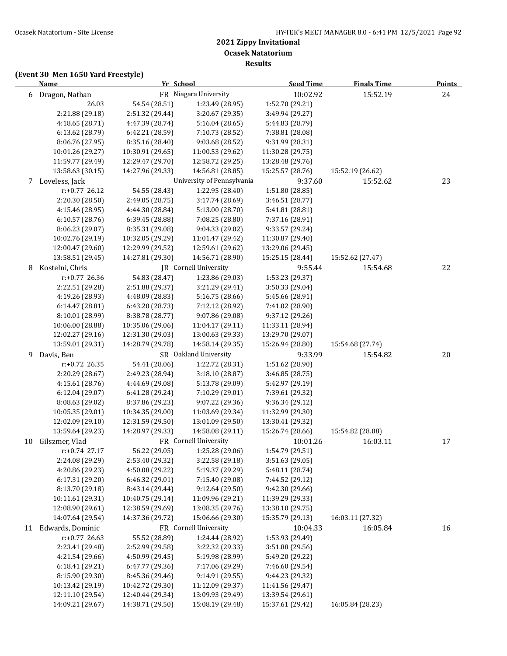|    | <b>Name</b>         | Yr School        |                            | <b>Seed Time</b> | <b>Finals Time</b> | <b>Points</b> |
|----|---------------------|------------------|----------------------------|------------------|--------------------|---------------|
|    | 6 Dragon, Nathan    |                  | FR Niagara University      | 10:02.92         | 15:52.19           | 24            |
|    | 26.03               | 54.54 (28.51)    | 1:23.49 (28.95)            | 1:52.70 (29.21)  |                    |               |
|    | 2:21.88 (29.18)     | 2:51.32 (29.44)  | 3:20.67 (29.35)            | 3:49.94 (29.27)  |                    |               |
|    | 4:18.65 (28.71)     | 4:47.39 (28.74)  | 5:16.04 (28.65)            | 5:44.83 (28.79)  |                    |               |
|    | 6:13.62 (28.79)     | 6:42.21 (28.59)  | 7:10.73 (28.52)            | 7:38.81 (28.08)  |                    |               |
|    | 8:06.76 (27.95)     | 8:35.16 (28.40)  | 9:03.68 (28.52)            | 9:31.99 (28.31)  |                    |               |
|    | 10:01.26 (29.27)    | 10:30.91 (29.65) | 11:00.53 (29.62)           | 11:30.28 (29.75) |                    |               |
|    | 11:59.77 (29.49)    | 12:29.47 (29.70) | 12:58.72 (29.25)           | 13:28.48 (29.76) |                    |               |
|    | 13:58.63 (30.15)    | 14:27.96 (29.33) | 14:56.81 (28.85)           | 15:25.57 (28.76) | 15:52.19 (26.62)   |               |
|    | 7 Loveless, Jack    |                  | University of Pennsylvania | 9:37.60          | 15:52.62           | 23            |
|    | $r: +0.77$ 26.12    | 54.55 (28.43)    | 1:22.95 (28.40)            | 1:51.80 (28.85)  |                    |               |
|    | 2:20.30 (28.50)     | 2:49.05 (28.75)  | 3:17.74 (28.69)            | 3:46.51 (28.77)  |                    |               |
|    | 4:15.46 (28.95)     | 4:44.30 (28.84)  | 5:13.00 (28.70)            | 5:41.81 (28.81)  |                    |               |
|    | 6:10.57 (28.76)     | 6:39.45 (28.88)  | 7:08.25 (28.80)            | 7:37.16 (28.91)  |                    |               |
|    | 8:06.23 (29.07)     | 8:35.31 (29.08)  | 9:04.33 (29.02)            | 9:33.57 (29.24)  |                    |               |
|    | 10:02.76 (29.19)    | 10:32.05 (29.29) | 11:01.47 (29.42)           | 11:30.87 (29.40) |                    |               |
|    | 12:00.47 (29.60)    | 12:29.99 (29.52) | 12:59.61 (29.62)           | 13:29.06 (29.45) |                    |               |
|    | 13:58.51 (29.45)    | 14:27.81 (29.30) | 14:56.71 (28.90)           | 15:25.15 (28.44) | 15:52.62 (27.47)   |               |
| 8  | Kostelni, Chris     |                  | JR Cornell University      | 9:55.44          | 15:54.68           | 22            |
|    | r:+0.77 26.36       | 54.83 (28.47)    | 1:23.86 (29.03)            | 1:53.23 (29.37)  |                    |               |
|    | 2:22.51 (29.28)     | 2:51.88 (29.37)  | 3:21.29 (29.41)            | 3:50.33 (29.04)  |                    |               |
|    | 4:19.26 (28.93)     | 4:48.09 (28.83)  | 5:16.75 (28.66)            | 5:45.66 (28.91)  |                    |               |
|    | 6:14.47 (28.81)     | 6:43.20 (28.73)  | 7:12.12 (28.92)            | 7:41.02 (28.90)  |                    |               |
|    | 8:10.01 (28.99)     | 8:38.78 (28.77)  | 9:07.86 (29.08)            | 9:37.12 (29.26)  |                    |               |
|    | 10:06.00 (28.88)    | 10:35.06 (29.06) | 11:04.17 (29.11)           | 11:33.11 (28.94) |                    |               |
|    | 12:02.27 (29.16)    | 12:31.30 (29.03) | 13:00.63 (29.33)           | 13:29.70 (29.07) |                    |               |
|    | 13:59.01 (29.31)    | 14:28.79 (29.78) | 14:58.14 (29.35)           | 15:26.94 (28.80) | 15:54.68 (27.74)   |               |
| 9  | Davis, Ben          |                  | SR Oakland University      | 9:33.99          | 15:54.82           | 20            |
|    | $r: +0.72$ 26.35    | 54.41 (28.06)    | 1:22.72 (28.31)            | 1:51.62 (28.90)  |                    |               |
|    | 2:20.29 (28.67)     | 2:49.23 (28.94)  | 3:18.10 (28.87)            | 3:46.85 (28.75)  |                    |               |
|    | 4:15.61 (28.76)     | 4:44.69 (29.08)  | 5:13.78 (29.09)            | 5:42.97 (29.19)  |                    |               |
|    | 6:12.04 (29.07)     | 6:41.28 (29.24)  | 7:10.29 (29.01)            | 7:39.61 (29.32)  |                    |               |
|    | 8:08.63 (29.02)     | 8:37.86 (29.23)  | 9:07.22 (29.36)            | 9:36.34 (29.12)  |                    |               |
|    | 10:05.35 (29.01)    | 10:34.35 (29.00) | 11:03.69 (29.34)           | 11:32.99 (29.30) |                    |               |
|    | 12:02.09 (29.10)    | 12:31.59 (29.50) | 13:01.09 (29.50)           | 13:30.41 (29.32) |                    |               |
|    | 13:59.64 (29.23)    | 14:28.97 (29.33) | 14:58.08 (29.11)           | 15:26.74 (28.66) | 15:54.82 (28.08)   |               |
| 10 | Gilszmer, Vlad      |                  | FR Cornell University      | 10:01.26         | 16:03.11           | 17            |
|    | $r: +0.74$ 27.17    | 56.22 (29.05)    | 1:25.28 (29.06)            | 1:54.79 (29.51)  |                    |               |
|    | 2:24.08 (29.29)     | 2:53.40 (29.32)  | 3:22.58 (29.18)            | 3:51.63 (29.05)  |                    |               |
|    | 4:20.86 (29.23)     | 4:50.08 (29.22)  | 5:19.37 (29.29)            | 5:48.11 (28.74)  |                    |               |
|    | 6:17.31 (29.20)     | 6:46.32 (29.01)  | 7:15.40 (29.08)            | 7:44.52 (29.12)  |                    |               |
|    | 8:13.70 (29.18)     | 8:43.14 (29.44)  | 9:12.64 (29.50)            | 9:42.30 (29.66)  |                    |               |
|    | 10:11.61 (29.31)    | 10:40.75 (29.14) | 11:09.96 (29.21)           | 11:39.29 (29.33) |                    |               |
|    | 12:08.90 (29.61)    | 12:38.59 (29.69) | 13:08.35 (29.76)           | 13:38.10 (29.75) |                    |               |
|    | 14:07.64 (29.54)    | 14:37.36 (29.72) | 15:06.66 (29.30)           | 15:35.79 (29.13) | 16:03.11 (27.32)   |               |
|    | 11 Edwards, Dominic |                  | FR Cornell University      | 10:04.33         | 16:05.84           | 16            |
|    | $r: +0.77$ 26.63    | 55.52 (28.89)    | 1:24.44 (28.92)            | 1:53.93 (29.49)  |                    |               |
|    | 2:23.41 (29.48)     | 2:52.99 (29.58)  | 3:22.32 (29.33)            | 3:51.88 (29.56)  |                    |               |
|    | 4:21.54 (29.66)     | 4:50.99 (29.45)  | 5:19.98 (28.99)            | 5:49.20 (29.22)  |                    |               |
|    | 6:18.41 (29.21)     | 6:47.77 (29.36)  | 7:17.06 (29.29)            | 7:46.60 (29.54)  |                    |               |
|    | 8:15.90 (29.30)     | 8:45.36 (29.46)  | 9:14.91 (29.55)            | 9:44.23 (29.32)  |                    |               |
|    | 10:13.42 (29.19)    | 10:42.72 (29.30) | 11:12.09 (29.37)           | 11:41.56 (29.47) |                    |               |
|    | 12:11.10 (29.54)    | 12:40.44 (29.34) | 13:09.93 (29.49)           | 13:39.54 (29.61) |                    |               |
|    | 14:09.21 (29.67)    | 14:38.71 (29.50) | 15:08.19 (29.48)           | 15:37.61 (29.42) | 16:05.84 (28.23)   |               |
|    |                     |                  |                            |                  |                    |               |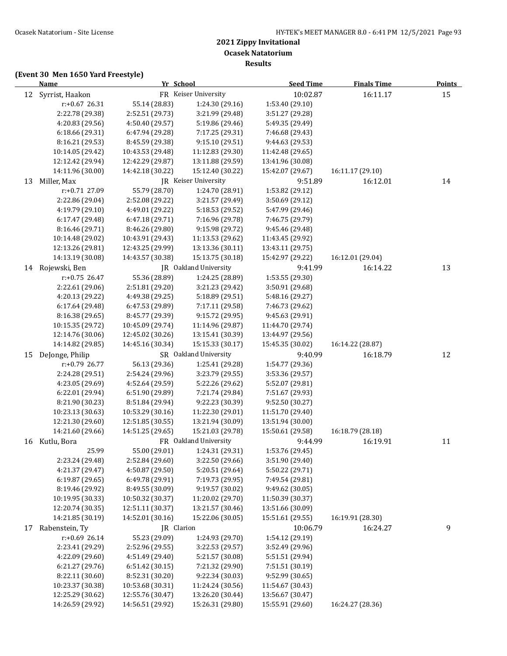**Results**

|    | <b>Name</b>        |                  | Yr School                   | <b>Seed Time</b> | <b>Finals Time</b> | <b>Points</b> |
|----|--------------------|------------------|-----------------------------|------------------|--------------------|---------------|
|    | 12 Syrrist, Haakon |                  | FR Keiser University        | 10:02.87         | 16:11.17           | 15            |
|    | r:+0.67 26.31      | 55.14 (28.83)    | 1:24.30 (29.16)             | 1:53.40 (29.10)  |                    |               |
|    | 2:22.78 (29.38)    | 2:52.51 (29.73)  | 3:21.99 (29.48)             | 3:51.27 (29.28)  |                    |               |
|    | 4:20.83 (29.56)    | 4:50.40 (29.57)  | 5:19.86 (29.46)             | 5:49.35 (29.49)  |                    |               |
|    | 6:18.66 (29.31)    | 6:47.94 (29.28)  | 7:17.25 (29.31)             | 7:46.68 (29.43)  |                    |               |
|    | 8:16.21 (29.53)    | 8:45.59 (29.38)  | 9:15.10 (29.51)             | 9:44.63 (29.53)  |                    |               |
|    | 10:14.05 (29.42)   | 10:43.53 (29.48) | 11:12.83 (29.30)            | 11:42.48 (29.65) |                    |               |
|    | 12:12.42 (29.94)   | 12:42.29 (29.87) | 13:11.88 (29.59)            | 13:41.96 (30.08) |                    |               |
|    | 14:11.96 (30.00)   | 14:42.18 (30.22) | 15:12.40 (30.22)            | 15:42.07 (29.67) | 16:11.17 (29.10)   |               |
| 13 | Miller, Max        |                  | <b>IR</b> Keiser University | 9:51.89          | 16:12.01           | 14            |
|    | r:+0.71 27.09      | 55.79 (28.70)    | 1:24.70 (28.91)             | 1:53.82 (29.12)  |                    |               |
|    | 2:22.86 (29.04)    | 2:52.08 (29.22)  | 3:21.57 (29.49)             | 3:50.69 (29.12)  |                    |               |
|    | 4:19.79 (29.10)    | 4:49.01 (29.22)  | 5:18.53 (29.52)             | 5:47.99 (29.46)  |                    |               |
|    | 6:17.47 (29.48)    | 6:47.18 (29.71)  | 7:16.96 (29.78)             | 7:46.75 (29.79)  |                    |               |
|    | 8:16.46 (29.71)    | 8:46.26 (29.80)  | 9:15.98 (29.72)             | 9:45.46 (29.48)  |                    |               |
|    | 10:14.48 (29.02)   | 10:43.91 (29.43) | 11:13.53 (29.62)            | 11:43.45 (29.92) |                    |               |
|    | 12:13.26 (29.81)   | 12:43.25 (29.99) | 13:13.36 (30.11)            | 13:43.11 (29.75) |                    |               |
|    | 14:13.19 (30.08)   | 14:43.57 (30.38) | 15:13.75 (30.18)            | 15:42.97 (29.22) | 16:12.01 (29.04)   |               |
|    | 14 Rojewski, Ben   |                  | JR Oakland University       | 9:41.99          | 16:14.22           | 13            |
|    | $r: +0.75$ 26.47   | 55.36 (28.89)    | 1:24.25 (28.89)             | 1:53.55 (29.30)  |                    |               |
|    | 2:22.61 (29.06)    | 2:51.81 (29.20)  | 3:21.23 (29.42)             | 3:50.91 (29.68)  |                    |               |
|    | 4:20.13 (29.22)    | 4:49.38 (29.25)  | 5:18.89 (29.51)             | 5:48.16 (29.27)  |                    |               |
|    | 6:17.64 (29.48)    | 6:47.53 (29.89)  | 7:17.11 (29.58)             | 7:46.73 (29.62)  |                    |               |
|    | 8:16.38 (29.65)    | 8:45.77 (29.39)  | 9:15.72 (29.95)             | 9:45.63 (29.91)  |                    |               |
|    | 10:15.35 (29.72)   | 10:45.09 (29.74) | 11:14.96 (29.87)            | 11:44.70 (29.74) |                    |               |
|    | 12:14.76 (30.06)   | 12:45.02 (30.26) | 13:15.41 (30.39)            | 13:44.97 (29.56) |                    |               |
|    | 14:14.82 (29.85)   | 14:45.16 (30.34) | 15:15.33 (30.17)            | 15:45.35 (30.02) | 16:14.22 (28.87)   |               |
| 15 | DeJonge, Philip    |                  | SR Oakland University       | 9:40.99          | 16:18.79           | 12            |
|    | r:+0.79 26.77      | 56.13 (29.36)    | 1:25.41 (29.28)             | 1:54.77 (29.36)  |                    |               |
|    | 2:24.28 (29.51)    | 2:54.24 (29.96)  | 3:23.79 (29.55)             | 3:53.36 (29.57)  |                    |               |
|    | 4:23.05 (29.69)    | 4:52.64 (29.59)  | 5:22.26 (29.62)             | 5:52.07 (29.81)  |                    |               |
|    | 6:22.01 (29.94)    | 6:51.90 (29.89)  | 7:21.74 (29.84)             | 7:51.67 (29.93)  |                    |               |
|    | 8:21.90 (30.23)    | 8:51.84 (29.94)  | 9:22.23 (30.39)             | 9:52.50 (30.27)  |                    |               |
|    | 10:23.13 (30.63)   | 10:53.29 (30.16) | 11:22.30 (29.01)            | 11:51.70 (29.40) |                    |               |
|    | 12:21.30 (29.60)   | 12:51.85 (30.55) | 13:21.94 (30.09)            | 13:51.94 (30.00) |                    |               |
|    | 14:21.60 (29.66)   | 14:51.25 (29.65) | 15:21.03 (29.78)            | 15:50.61 (29.58) | 16:18.79 (28.18)   |               |
|    | 16 Kutlu, Bora     |                  | FR Oakland University       | 9:44.99          | 16:19.91           | 11            |
|    | 25.99              | 55.00 (29.01)    | 1:24.31 (29.31)             | 1:53.76 (29.45)  |                    |               |
|    | 2:23.24 (29.48)    | 2:52.84 (29.60)  | 3:22.50 (29.66)             | 3:51.90 (29.40)  |                    |               |
|    | 4:21.37 (29.47)    | 4:50.87 (29.50)  | 5:20.51 (29.64)             | 5:50.22 (29.71)  |                    |               |
|    | 6:19.87 (29.65)    | 6:49.78 (29.91)  | 7:19.73 (29.95)             | 7:49.54 (29.81)  |                    |               |
|    | 8:19.46 (29.92)    | 8:49.55 (30.09)  | 9:19.57 (30.02)             | 9:49.62 (30.05)  |                    |               |
|    | 10:19.95 (30.33)   | 10:50.32 (30.37) | 11:20.02 (29.70)            | 11:50.39 (30.37) |                    |               |
|    | 12:20.74 (30.35)   | 12:51.11 (30.37) | 13:21.57 (30.46)            | 13:51.66 (30.09) |                    |               |
|    | 14:21.85 (30.19)   | 14:52.01 (30.16) | 15:22.06 (30.05)            | 15:51.61 (29.55) | 16:19.91 (28.30)   |               |
| 17 | Rabenstein, Ty     |                  | JR Clarion                  | 10:06.79         | 16:24.27           | 9             |
|    | $r: +0.69$ 26.14   | 55.23 (29.09)    | 1:24.93 (29.70)             | 1:54.12 (29.19)  |                    |               |
|    | 2:23.41 (29.29)    | 2:52.96 (29.55)  | 3:22.53 (29.57)             | 3:52.49 (29.96)  |                    |               |
|    | 4:22.09 (29.60)    | 4:51.49 (29.40)  | 5:21.57 (30.08)             | 5:51.51 (29.94)  |                    |               |
|    | 6:21.27 (29.76)    | 6:51.42 (30.15)  | 7:21.32 (29.90)             | 7:51.51 (30.19)  |                    |               |
|    | 8:22.11 (30.60)    | 8:52.31 (30.20)  | 9:22.34 (30.03)             | 9:52.99 (30.65)  |                    |               |
|    | 10:23.37 (30.38)   | 10:53.68 (30.31) | 11:24.24 (30.56)            | 11:54.67 (30.43) |                    |               |
|    | 12:25.29 (30.62)   | 12:55.76 (30.47) | 13:26.20 (30.44)            | 13:56.67 (30.47) |                    |               |
|    | 14:26.59 (29.92)   | 14:56.51 (29.92) | 15:26.31 (29.80)            | 15:55.91 (29.60) | 16:24.27 (28.36)   |               |
|    |                    |                  |                             |                  |                    |               |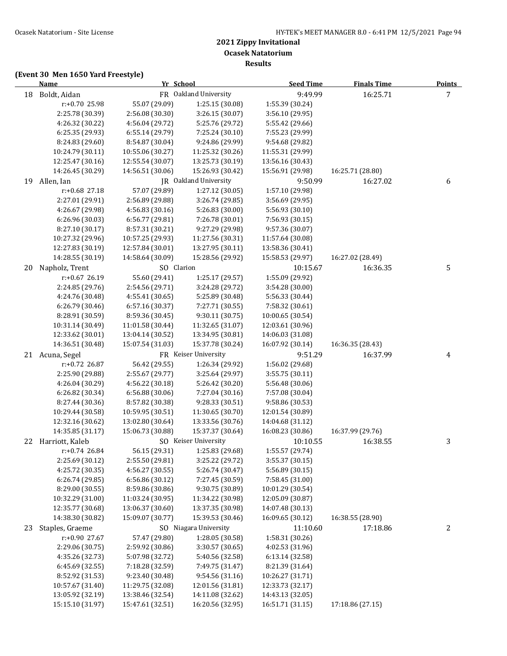**Results**

|    | <b>Name</b>      | Yr School        |                       | <b>Seed Time</b> | <b>Finals Time</b> | <b>Points</b> |
|----|------------------|------------------|-----------------------|------------------|--------------------|---------------|
| 18 | Boldt, Aidan     |                  | FR Oakland University | 9:49.99          | 16:25.71           | 7             |
|    | r:+0.70 25.98    | 55.07 (29.09)    | 1:25.15 (30.08)       | 1:55.39 (30.24)  |                    |               |
|    | 2:25.78 (30.39)  | 2:56.08 (30.30)  | 3:26.15 (30.07)       | 3:56.10 (29.95)  |                    |               |
|    | 4:26.32 (30.22)  | 4:56.04 (29.72)  | 5:25.76 (29.72)       | 5:55.42 (29.66)  |                    |               |
|    | 6:25.35 (29.93)  | 6:55.14 (29.79)  | 7:25.24 (30.10)       | 7:55.23 (29.99)  |                    |               |
|    | 8:24.83 (29.60)  | 8:54.87 (30.04)  | 9:24.86 (29.99)       | 9:54.68 (29.82)  |                    |               |
|    | 10:24.79 (30.11) | 10:55.06 (30.27) | 11:25.32 (30.26)      | 11:55.31 (29.99) |                    |               |
|    | 12:25.47 (30.16) | 12:55.54 (30.07) | 13:25.73 (30.19)      | 13:56.16 (30.43) |                    |               |
|    | 14:26.45 (30.29) | 14:56.51 (30.06) | 15:26.93 (30.42)      | 15:56.91 (29.98) | 16:25.71 (28.80)   |               |
| 19 | Allen, Ian       |                  | JR Oakland University | 9:50.99          | 16:27.02           | 6             |
|    | r:+0.68 27.18    | 57.07 (29.89)    | 1:27.12 (30.05)       | 1:57.10 (29.98)  |                    |               |
|    | 2:27.01 (29.91)  | 2:56.89 (29.88)  | 3:26.74 (29.85)       | 3:56.69 (29.95)  |                    |               |
|    | 4:26.67 (29.98)  | 4:56.83 (30.16)  | 5:26.83 (30.00)       | 5:56.93 (30.10)  |                    |               |
|    | 6:26.96 (30.03)  | 6:56.77 (29.81)  | 7:26.78 (30.01)       | 7:56.93 (30.15)  |                    |               |
|    | 8:27.10 (30.17)  | 8:57.31 (30.21)  | 9:27.29 (29.98)       | 9:57.36 (30.07)  |                    |               |
|    | 10:27.32 (29.96) | 10:57.25 (29.93) | 11:27.56 (30.31)      | 11:57.64 (30.08) |                    |               |
|    | 12:27.83 (30.19) | 12:57.84 (30.01) | 13:27.95 (30.11)      | 13:58.36 (30.41) |                    |               |
|    | 14:28.55 (30.19) | 14:58.64 (30.09) | 15:28.56 (29.92)      | 15:58.53 (29.97) | 16:27.02 (28.49)   |               |
| 20 | Napholz, Trent   | SO Clarion       |                       | 10:15.67         | 16:36.35           | 5             |
|    | $r: +0.67$ 26.19 | 55.60 (29.41)    | 1:25.17 (29.57)       | 1:55.09 (29.92)  |                    |               |
|    | 2:24.85 (29.76)  | 2:54.56 (29.71)  | 3:24.28 (29.72)       | 3:54.28 (30.00)  |                    |               |
|    | 4:24.76 (30.48)  | 4:55.41 (30.65)  | 5:25.89 (30.48)       | 5:56.33 (30.44)  |                    |               |
|    | 6:26.79 (30.46)  | 6:57.16 (30.37)  | 7:27.71 (30.55)       | 7:58.32 (30.61)  |                    |               |
|    | 8:28.91 (30.59)  | 8:59.36 (30.45)  | 9:30.11 (30.75)       | 10:00.65 (30.54) |                    |               |
|    | 10:31.14 (30.49) | 11:01.58 (30.44) | 11:32.65 (31.07)      | 12:03.61 (30.96) |                    |               |
|    | 12:33.62 (30.01) | 13:04.14 (30.52) | 13:34.95 (30.81)      | 14:06.03 (31.08) |                    |               |
|    | 14:36.51 (30.48) | 15:07.54 (31.03) | 15:37.78 (30.24)      | 16:07.92 (30.14) | 16:36.35 (28.43)   |               |
|    | 21 Acuna, Segel  |                  | FR Keiser University  | 9:51.29          | 16:37.99           | 4             |
|    | r:+0.72 26.87    | 56.42 (29.55)    | 1:26.34 (29.92)       | 1:56.02 (29.68)  |                    |               |
|    | 2:25.90 (29.88)  | 2:55.67 (29.77)  | 3:25.64 (29.97)       | 3:55.75 (30.11)  |                    |               |
|    | 4:26.04 (30.29)  | 4:56.22 (30.18)  | 5:26.42 (30.20)       | 5:56.48 (30.06)  |                    |               |
|    | 6:26.82 (30.34)  | 6:56.88 (30.06)  | 7:27.04 (30.16)       | 7:57.08 (30.04)  |                    |               |
|    | 8:27.44 (30.36)  | 8:57.82 (30.38)  | 9:28.33 (30.51)       | 9:58.86 (30.53)  |                    |               |
|    | 10:29.44 (30.58) | 10:59.95 (30.51) | 11:30.65 (30.70)      | 12:01.54 (30.89) |                    |               |
|    | 12:32.16 (30.62) | 13:02.80 (30.64) | 13:33.56 (30.76)      | 14:04.68 (31.12) |                    |               |
|    | 14:35.85 (31.17) | 15:06.73 (30.88) | 15:37.37 (30.64)      | 16:08.23 (30.86) | 16:37.99 (29.76)   |               |
| 22 | Harriott, Kaleb  |                  | SO Keiser University  | 10:10.55         | 16:38.55           | 3             |
|    | $r: +0.74$ 26.84 | 56.15 (29.31)    | 1:25.83 (29.68)       | 1:55.57 (29.74)  |                    |               |
|    | 2:25.69 (30.12)  | 2:55.50 (29.81)  | 3:25.22 (29.72)       | 3:55.37 (30.15)  |                    |               |
|    | 4:25.72 (30.35)  | 4:56.27 (30.55)  | 5:26.74 (30.47)       | 5:56.89 (30.15)  |                    |               |
|    | 6:26.74(29.85)   | 6:56.86 (30.12)  | 7:27.45 (30.59)       | 7:58.45 (31.00)  |                    |               |
|    | 8:29.00 (30.55)  | 8:59.86 (30.86)  | 9:30.75 (30.89)       | 10:01.29 (30.54) |                    |               |
|    | 10:32.29 (31.00) | 11:03.24 (30.95) | 11:34.22 (30.98)      | 12:05.09 (30.87) |                    |               |
|    | 12:35.77 (30.68) | 13:06.37 (30.60) | 13:37.35 (30.98)      | 14:07.48 (30.13) |                    |               |
|    | 14:38.30 (30.82) | 15:09.07 (30.77) | 15:39.53 (30.46)      | 16:09.65 (30.12) | 16:38.55 (28.90)   |               |
| 23 | Staples, Graeme  |                  | SO Niagara University | 11:10.60         | 17:18.86           | 2             |
|    | r:+0.90 27.67    | 57.47 (29.80)    | 1:28.05 (30.58)       | 1:58.31 (30.26)  |                    |               |
|    | 2:29.06 (30.75)  | 2:59.92 (30.86)  | 3:30.57 (30.65)       | 4:02.53 (31.96)  |                    |               |
|    | 4:35.26 (32.73)  | 5:07.98 (32.72)  | 5:40.56 (32.58)       | 6:13.14 (32.58)  |                    |               |
|    | 6:45.69 (32.55)  | 7:18.28 (32.59)  | 7:49.75 (31.47)       | 8:21.39 (31.64)  |                    |               |
|    | 8:52.92 (31.53)  | 9:23.40 (30.48)  | 9:54.56 (31.16)       | 10:26.27 (31.71) |                    |               |
|    | 10:57.67 (31.40) | 11:29.75 (32.08) | 12:01.56 (31.81)      | 12:33.73 (32.17) |                    |               |
|    | 13:05.92 (32.19) | 13:38.46 (32.54) | 14:11.08 (32.62)      | 14:43.13 (32.05) |                    |               |
|    | 15:15.10 (31.97) | 15:47.61 (32.51) | 16:20.56 (32.95)      | 16:51.71 (31.15) | 17:18.86 (27.15)   |               |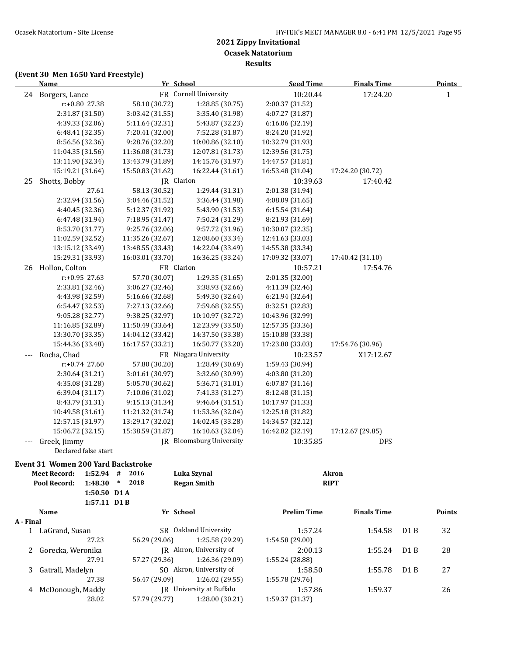**Results**

|           | <b>Name</b>                               | Yr School        |                                 | <b>Seed Time</b>   | <b>Finals Time</b> |                  | <b>Points</b> |
|-----------|-------------------------------------------|------------------|---------------------------------|--------------------|--------------------|------------------|---------------|
|           | 24 Borgers, Lance                         |                  | FR Cornell University           | 10:20.44           | 17:24.20           |                  | $\mathbf{1}$  |
|           | r:+0.80 27.38                             | 58.10 (30.72)    | 1:28.85 (30.75)                 | 2:00.37 (31.52)    |                    |                  |               |
|           | 2:31.87 (31.50)                           | 3:03.42 (31.55)  | 3:35.40 (31.98)                 | 4:07.27 (31.87)    |                    |                  |               |
|           | 4:39.33 (32.06)                           | 5:11.64 (32.31)  | 5:43.87 (32.23)                 | 6:16.06 (32.19)    |                    |                  |               |
|           | 6:48.41 (32.35)                           | 7:20.41 (32.00)  | 7:52.28 (31.87)                 | 8:24.20 (31.92)    |                    |                  |               |
|           | 8:56.56 (32.36)                           | 9:28.76 (32.20)  | 10:00.86 (32.10)                | 10:32.79 (31.93)   |                    |                  |               |
|           | 11:04.35 (31.56)                          | 11:36.08 (31.73) | 12:07.81 (31.73)                | 12:39.56 (31.75)   |                    |                  |               |
|           | 13:11.90 (32.34)                          | 13:43.79 (31.89) | 14:15.76 (31.97)                | 14:47.57 (31.81)   |                    |                  |               |
|           | 15:19.21 (31.64)                          | 15:50.83 (31.62) | 16:22.44 (31.61)                | 16:53.48 (31.04)   | 17:24.20 (30.72)   |                  |               |
| 25        | Shotts, Bobby                             | JR Clarion       |                                 | 10:39.63           | 17:40.42           |                  |               |
|           | 27.61                                     | 58.13 (30.52)    | 1:29.44 (31.31)                 | 2:01.38 (31.94)    |                    |                  |               |
|           | 2:32.94 (31.56)                           | 3:04.46 (31.52)  | 3:36.44 (31.98)                 | 4:08.09 (31.65)    |                    |                  |               |
|           | 4:40.45 (32.36)                           | 5:12.37 (31.92)  | 5:43.90 (31.53)                 | 6:15.54 (31.64)    |                    |                  |               |
|           | 6:47.48 (31.94)                           | 7:18.95 (31.47)  | 7:50.24 (31.29)                 | 8:21.93 (31.69)    |                    |                  |               |
|           | 8:53.70 (31.77)                           | 9:25.76 (32.06)  | 9:57.72 (31.96)                 | 10:30.07 (32.35)   |                    |                  |               |
|           | 11:02.59 (32.52)                          | 11:35.26 (32.67) | 12:08.60 (33.34)                | 12:41.63 (33.03)   |                    |                  |               |
|           | 13:15.12 (33.49)                          | 13:48.55 (33.43) | 14:22.04 (33.49)                | 14:55.38 (33.34)   |                    |                  |               |
|           | 15:29.31 (33.93)                          | 16:03.01 (33.70) | 16:36.25 (33.24)                | 17:09.32 (33.07)   | 17:40.42 (31.10)   |                  |               |
|           |                                           |                  |                                 |                    |                    |                  |               |
| 26        | Hollon, Colton                            | FR Clarion       |                                 | 10:57.21           | 17:54.76           |                  |               |
|           | r:+0.95 27.63                             | 57.70 (30.07)    | 1:29.35 (31.65)                 | 2:01.35 (32.00)    |                    |                  |               |
|           | 2:33.81 (32.46)                           | 3:06.27 (32.46)  | 3:38.93 (32.66)                 | 4:11.39 (32.46)    |                    |                  |               |
|           | 4:43.98 (32.59)                           | 5:16.66 (32.68)  | 5:49.30 (32.64)                 | 6:21.94 (32.64)    |                    |                  |               |
|           | 6:54.47 (32.53)                           | 7:27.13 (32.66)  | 7:59.68 (32.55)                 | 8:32.51 (32.83)    |                    |                  |               |
|           | 9:05.28 (32.77)                           | 9:38.25 (32.97)  | 10:10.97 (32.72)                | 10:43.96 (32.99)   |                    |                  |               |
|           | 11:16.85 (32.89)                          | 11:50.49 (33.64) | 12:23.99 (33.50)                | 12:57.35 (33.36)   |                    |                  |               |
|           | 13:30.70 (33.35)                          | 14:04.12 (33.42) | 14:37.50 (33.38)                | 15:10.88 (33.38)   |                    |                  |               |
|           | 15:44.36 (33.48)                          | 16:17.57 (33.21) | 16:50.77 (33.20)                | 17:23.80 (33.03)   | 17:54.76 (30.96)   |                  |               |
|           | Rocha, Chad                               |                  | FR Niagara University           | 10:23.57           | X17:12.67          |                  |               |
|           | $r+0.74$ 27.60                            | 57.80 (30.20)    | 1:28.49 (30.69)                 | 1:59.43 (30.94)    |                    |                  |               |
|           | 2:30.64 (31.21)                           | 3:01.61 (30.97)  | 3:32.60 (30.99)                 | 4:03.80 (31.20)    |                    |                  |               |
|           | 4:35.08 (31.28)                           | 5:05.70 (30.62)  | 5:36.71 (31.01)                 | 6:07.87 (31.16)    |                    |                  |               |
|           | 6:39.04 (31.17)                           | 7:10.06 (31.02)  | 7:41.33 (31.27)                 | 8:12.48 (31.15)    |                    |                  |               |
|           | 8:43.79 (31.31)                           | 9:15.13 (31.34)  | 9:46.64 (31.51)                 | 10:17.97 (31.33)   |                    |                  |               |
|           | 10:49.58 (31.61)                          | 11:21.32 (31.74) | 11:53.36 (32.04)                | 12:25.18 (31.82)   |                    |                  |               |
|           | 12:57.15 (31.97)                          | 13:29.17 (32.02) | 14:02.45 (33.28)                | 14:34.57 (32.12)   |                    |                  |               |
|           | 15:06.72 (32.15)                          | 15:38.59 (31.87) | 16:10.63 (32.04)                | 16:42.82 (32.19)   | 17:12.67 (29.85)   |                  |               |
|           | Greek, Jimmy                              |                  | <b>JR</b> Bloomsburg University | 10:35.85           | DFS                |                  |               |
|           | Declared false start                      |                  |                                 |                    |                    |                  |               |
|           | <b>Event 31 Women 200 Yard Backstroke</b> |                  |                                 |                    |                    |                  |               |
|           | <b>Meet Record:</b><br>$1:52.94$ #        | 2016             | Luka Szynal                     |                    | <b>Akron</b>       |                  |               |
|           | 1:48.30<br>Pool Record:                   | 2018<br>$*$      | <b>Regan Smith</b>              |                    | <b>RIPT</b>        |                  |               |
|           | 1:50.50 D1 A                              |                  |                                 |                    |                    |                  |               |
|           | 1:57.11 D1B                               |                  |                                 |                    |                    |                  |               |
|           | Name                                      | Yr School        |                                 | <b>Prelim Time</b> | <b>Finals Time</b> |                  | <b>Points</b> |
| A - Final |                                           |                  |                                 |                    |                    |                  |               |
|           | 1 LaGrand, Susan                          |                  | SR Oakland University           | 1:57.24            | 1:54.58            | D1B              | 32            |
|           | 27.23                                     | 56.29 (29.06)    | 1:25.58 (29.29)                 | 1:54.58 (29.00)    |                    |                  |               |
| 2         | Gorecka, Weronika                         |                  | JR Akron, University of         | 2:00.13            | 1:55.24            | D <sub>1</sub> B | 28            |
|           | 27.91                                     | 57.27 (29.36)    | 1:26.36 (29.09)                 | 1:55.24 (28.88)    |                    |                  |               |
| 3         | Gatrall, Madelyn                          |                  | SO Akron, University of         | 1:58.50            | 1:55.78            | D <sub>1</sub> B | 27            |
|           | 27.38                                     | 56.47 (29.09)    | 1:26.02 (29.55)                 | 1:55.78 (29.76)    |                    |                  |               |
| 4         | McDonough, Maddy                          |                  | JR University at Buffalo        | 1:57.86            | 1:59.37            |                  | 26            |
|           | 28.02                                     | 57.79 (29.77)    | 1:28.00 (30.21)                 | 1:59.37 (31.37)    |                    |                  |               |
|           |                                           |                  |                                 |                    |                    |                  |               |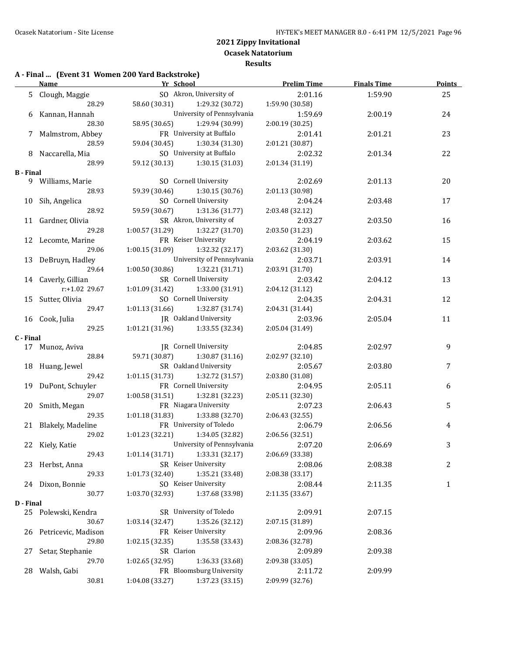## **A - Final ... (Event 31 Women 200 Yard Backstroke)**

|                  | <b>Name</b>            | Yr School                               |                            | <b>Prelim Time</b> | <b>Finals Time</b> | <b>Points</b> |
|------------------|------------------------|-----------------------------------------|----------------------------|--------------------|--------------------|---------------|
|                  | 5 Clough, Maggie       |                                         | SO Akron, University of    | 2:01.16            | 1:59.90            | 25            |
|                  | 28.29                  | 58.60 (30.31)                           | 1:29.32 (30.72)            | 1:59.90 (30.58)    |                    |               |
|                  | 6 Kannan, Hannah       |                                         | University of Pennsylvania | 1:59.69            | 2:00.19            | 24            |
|                  | 28.30                  | 58.95 (30.65) 1:29.94 (30.99)           |                            | 2:00.19 (30.25)    |                    |               |
|                  | 7 Malmstrom, Abbey     |                                         | FR University at Buffalo   | 2:01.41            | 2:01.21            | 23            |
|                  | 28.59                  | 59.04 (30.45)                           | 1:30.34 (31.30)            | 2:01.21 (30.87)    |                    |               |
|                  | 8 Naccarella, Mia      |                                         | SO University at Buffalo   | 2:02.32            | 2:01.34            | 22            |
|                  | 28.99                  | 59.12 (30.13) 1:30.15 (31.03)           |                            | 2:01.34 (31.19)    |                    |               |
| <b>B</b> - Final |                        |                                         |                            |                    |                    |               |
|                  | 9 Williams, Marie      |                                         | SO Cornell University      | 2:02.69            | 2:01.13            | 20            |
|                  | 28.93                  | 59.39 (30.46) 1:30.15 (30.76)           |                            | 2:01.13 (30.98)    |                    |               |
|                  | 10 Sih, Angelica       |                                         | SO Cornell University      | 2:04.24            | 2:03.48            | 17            |
|                  | 28.92                  | 59.59 (30.67) 1:31.36 (31.77)           |                            | 2:03.48 (32.12)    |                    |               |
|                  | 11 Gardner, Olivia     |                                         | SR Akron, University of    | 2:03.27            | 2:03.50            | 16            |
|                  | 29.28                  | $1:00.57(31.29)$ $1:32.27(31.70)$       |                            | 2:03.50 (31.23)    |                    |               |
|                  | 12 Lecomte, Marine     |                                         | FR Keiser University       | 2:04.19            | 2:03.62            | 15            |
|                  | 29.06                  | $1:00.15(31.09)$ $1:32.32(32.17)$       |                            | 2:03.62 (31.30)    |                    |               |
|                  | 13 DeBruyn, Hadley     |                                         | University of Pennsylvania | 2:03.71            | 2:03.91            | 14            |
|                  | 29.64                  | $1:00.50(30.86)$ $1:32.21(31.71)$       |                            | 2:03.91 (31.70)    |                    |               |
|                  | 14 Caverly, Gillian    |                                         | SR Cornell University      | 2:03.42            | 2:04.12            | 13            |
|                  | r:+1.02 29.67          | $1:01.09$ $(31.42)$ $1:33.00$ $(31.91)$ |                            | 2:04.12 (31.12)    |                    |               |
|                  | 15 Sutter, Olivia      |                                         | SO Cornell University      | 2:04.35            | 2:04.31            | 12            |
|                  | 29.47                  | 1:01.13 (31.66) 1:32.87 (31.74)         |                            | 2:04.31 (31.44)    |                    |               |
|                  | 16 Cook, Julia         | JR Oakland University                   |                            | 2:03.96            | 2:05.04            | 11            |
|                  | 29.25                  | $1:01.21(31.96)$ $1:33.55(32.34)$       |                            | 2:05.04 (31.49)    |                    |               |
| C - Final        |                        |                                         |                            |                    |                    |               |
|                  | 17 Munoz, Aviva        |                                         | JR Cornell University      | 2:04.85            | 2:02.97            | 9             |
|                  | 28.84                  | 59.71 (30.87) 1:30.87 (31.16)           |                            | 2:02.97 (32.10)    |                    |               |
|                  | 18 Huang, Jewel        |                                         | SR Oakland University      | 2:05.67            | 2:03.80            | 7             |
|                  | 29.42                  | $1:01.15(31.73)$ $1:32.72(31.57)$       |                            | 2:03.80 (31.08)    |                    |               |
|                  | 19 DuPont, Schuyler    |                                         | FR Cornell University      | 2:04.95            | 2:05.11            | 6             |
|                  | 29.07                  | 1:00.58 (31.51)                         | 1:32.81 (32.23)            | 2:05.11 (32.30)    |                    |               |
|                  | 20 Smith, Megan        |                                         | FR Niagara University      | 2:07.23            | 2:06.43            | 5             |
|                  | 29.35                  | 1:01.18 (31.83)                         | 1:33.88 (32.70)            | 2:06.43 (32.55)    |                    |               |
|                  | 21 Blakely, Madeline   |                                         | FR University of Toledo    | 2:06.79            | 2:06.56            | 4             |
|                  | 29.02                  | 1:01.23(32.21)                          | 1:34.05 (32.82)            | 2:06.56 (32.51)    |                    |               |
|                  | 22 Kiely, Katie        |                                         | University of Pennsylvania | 2:07.20            | 2:06.69            | 3             |
|                  | 29.43                  | 1:01.14(31.71)                          | 1:33.31 (32.17)            | 2:06.69 (33.38)    |                    |               |
|                  | 23 Herbst, Anna        |                                         | SR Keiser University       | 2:08.06            | 2:08.38            | 2             |
|                  | 29.33                  | 1:01.73 (32.40)                         | 1:35.21 (33.48)            | 2:08.38 (33.17)    |                    |               |
|                  | 24 Dixon, Bonnie       |                                         | SO Keiser University       | 2:08.44            | 2:11.35            | 1             |
|                  | 30.77                  | 1:03.70 (32.93)                         | 1:37.68 (33.98)            | 2:11.35 (33.67)    |                    |               |
| D - Final        |                        |                                         |                            |                    |                    |               |
|                  | 25 Polewski, Kendra    |                                         | SR University of Toledo    | 2:09.91            | 2:07.15            |               |
|                  | 30.67                  | 1:03.14 (32.47)                         | 1:35.26 (32.12)            | 2:07.15 (31.89)    |                    |               |
|                  | 26 Petricevic, Madison |                                         | FR Keiser University       | 2:09.96            | 2:08.36            |               |
|                  | 29.80                  | 1:02.15 (32.35)                         | 1:35.58 (33.43)            | 2:08.36 (32.78)    |                    |               |
| 27               | Setar, Stephanie       | SR Clarion                              |                            | 2:09.89            | 2:09.38            |               |
|                  | 29.70                  | 1:02.65 (32.95)                         | 1:36.33 (33.68)            | 2:09.38 (33.05)    |                    |               |
| 28               | Walsh, Gabi            |                                         | FR Bloomsburg University   | 2:11.72            | 2:09.99            |               |
|                  | 30.81                  | 1:04.08 (33.27)                         | 1:37.23 (33.15)            | 2:09.99 (32.76)    |                    |               |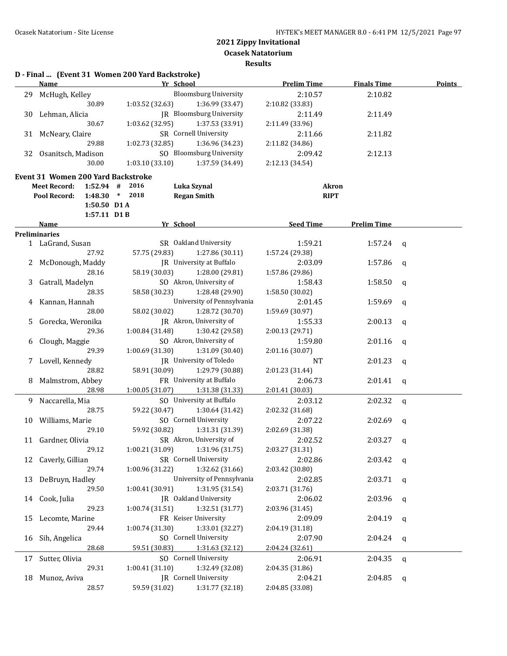**D - Final ... (Event 31 Women 200 Yard Backstroke)**

# **2021 Zippy Invitational**

**Ocasek Natatorium**

|    | <b>Name</b>                                                      | Yr School                                             | <b>Prelim Time</b>          | <b>Finals Time</b> | <b>Points</b> |
|----|------------------------------------------------------------------|-------------------------------------------------------|-----------------------------|--------------------|---------------|
|    | 29 McHugh, Kelley                                                | <b>Bloomsburg University</b>                          | 2:10.57                     | 2:10.82            |               |
|    | 30.89                                                            | 1:03.52(32.63)<br>1:36.99 (33.47)                     | 2:10.82 (33.83)             |                    |               |
|    | 30 Lehman, Alicia                                                | JR Bloomsburg University                              | 2:11.49                     | 2:11.49            |               |
|    | 30.67                                                            | 1:03.62 (32.95)<br>1:37.53 (33.91)                    | 2:11.49 (33.96)             |                    |               |
|    | 31 McNeary, Claire                                               | SR Cornell University                                 | 2:11.66                     | 2:11.82            |               |
|    | 29.88                                                            | 1:02.73 (32.85)<br>1:36.96 (34.23)                    | 2:11.82 (34.86)             |                    |               |
|    | 32 Osanitsch, Madison                                            | SO Bloomsburg University                              | 2:09.42                     | 2:12.13            |               |
|    | 30.00                                                            | 1:03.10(33.10)<br>1:37.59 (34.49)                     | 2:12.13 (34.54)             |                    |               |
|    |                                                                  |                                                       |                             |                    |               |
|    | <b>Event 31 Women 200 Yard Backstroke</b><br><b>Meet Record:</b> | 2016                                                  |                             |                    |               |
|    | $1:52.94$ #<br>Pool Record:                                      | Luka Szynal<br>$1:48.30$ * 2018<br><b>Regan Smith</b> | <b>Akron</b><br><b>RIPT</b> |                    |               |
|    |                                                                  |                                                       |                             |                    |               |
|    | $1:50.50$ D1A<br>1:57.11 D1B                                     |                                                       |                             |                    |               |
|    | Name                                                             | Yr School                                             | <b>Seed Time</b>            | <b>Prelim Time</b> |               |
|    | <b>Preliminaries</b>                                             |                                                       |                             |                    |               |
|    | 1 LaGrand, Susan                                                 | SR Oakland University                                 | 1:59.21                     | 1:57.24            | q             |
|    | 27.92                                                            | 57.75 (29.83)<br>1:27.86 (30.11)                      | 1:57.24 (29.38)             |                    |               |
|    | 2 McDonough, Maddy                                               | JR University at Buffalo                              | 2:03.09                     | 1:57.86            |               |
|    | 28.16                                                            | 58.19 (30.03)<br>1:28.00 (29.81)                      | 1:57.86 (29.86)             |                    | q             |
| 3  | Gatrall, Madelyn                                                 | SO Akron, University of                               | 1:58.43                     | 1:58.50            |               |
|    | 28.35                                                            | 58.58 (30.23)<br>1:28.48 (29.90)                      | 1:58.50 (30.02)             |                    | q             |
|    | Kannan, Hannah                                                   | University of Pennsylvania                            | 2:01.45                     | 1:59.69            |               |
| 4  | 28.00                                                            | 58.02 (30.02)<br>1:28.72 (30.70)                      | 1:59.69 (30.97)             |                    | $\mathbf q$   |
|    | Gorecka, Weronika                                                | JR Akron, University of                               | 1:55.33                     | 2:00.13            |               |
| 5  | 29.36                                                            | 1:00.84(31.48)<br>1:30.42 (29.58)                     | 2:00.13 (29.71)             |                    | q             |
|    |                                                                  | SO Akron, University of                               |                             |                    |               |
| 6  | Clough, Maggie                                                   |                                                       | 1:59.80                     | 2:01.16            | q             |
|    | 29.39                                                            | 1:00.69(31.30)<br>1:31.09 (30.40)                     | 2:01.16 (30.07)             |                    |               |
| 7  | Lovell, Kennedy                                                  | JR University of Toledo                               | NT                          | 2:01.23            | q             |
|    | 28.82                                                            | 58.91 (30.09)<br>1:29.79 (30.88)                      | 2:01.23 (31.44)             |                    |               |
| 8  | Malmstrom, Abbey                                                 | FR University at Buffalo                              | 2:06.73                     | 2:01.41            | q             |
|    | 28.98                                                            | 1:00.05(31.07)<br>1:31.38 (31.33)                     | 2:01.41 (30.03)             |                    |               |
| 9. | Naccarella, Mia                                                  | SO University at Buffalo                              | 2:03.12                     | 2:02.32            | q             |
|    | 28.75                                                            | 59.22 (30.47)<br>1:30.64 (31.42)                      | 2:02.32 (31.68)             |                    |               |
|    | 10 Williams, Marie                                               | SO Cornell University                                 | 2:07.22                     | 2:02.69            | q             |
|    | 29.10                                                            | 59.92 (30.82)<br>1:31.31 (31.39)                      | 2:02.69 (31.38)             |                    |               |
|    | 11 Gardner, Olivia                                               | SR Akron, University of                               | 2:02.52                     | 2:03.27            | q             |
|    | 29.12                                                            | $1:00.21(31.09)$ $1:31.96(31.75)$                     | 2:03.27 (31.31)             |                    |               |
| 12 | Caverly, Gillian                                                 | SR Cornell University                                 | 2:02.86                     | 2:03.42            | q             |
|    | 29.74                                                            | 1:32.62 (31.66)<br>1:00.96 (31.22)                    | 2:03.42 (30.80)             |                    |               |
| 13 | DeBruyn, Hadley                                                  | University of Pennsylvania                            | 2:02.85                     | 2:03.71            | q             |
|    | 29.50                                                            | 1:31.95 (31.54)<br>1:00.41 (30.91)                    | 2:03.71 (31.76)             |                    |               |
| 14 | Cook, Julia                                                      | <b>IR</b> Oakland University                          | 2:06.02                     | 2:03.96            | q             |
|    | 29.23                                                            | 1:00.74(31.51)<br>1:32.51 (31.77)                     | 2:03.96 (31.45)             |                    |               |
| 15 | Lecomte, Marine                                                  | FR Keiser University                                  | 2:09.09                     | 2:04.19            | $\mathbf q$   |
|    | 29.44                                                            | 1:00.74 (31.30)<br>1:33.01 (32.27)                    | 2:04.19 (31.18)             |                    |               |
| 16 | Sih, Angelica                                                    | SO Cornell University                                 | 2:07.90                     | 2:04.24            | q             |
|    | 28.68                                                            | 59.51 (30.83)<br>1:31.63 (32.12)                      | 2:04.24 (32.61)             |                    |               |
| 17 | Sutter, Olivia                                                   | SO Cornell University                                 | 2:06.91                     | 2:04.35            | $\mathbf q$   |
|    | 29.31                                                            | 1:32.49 (32.08)<br>1:00.41(31.10)                     | 2:04.35 (31.86)             |                    |               |
| 18 | Munoz, Aviva                                                     | JR Cornell University                                 | 2:04.21                     | 2:04.85            | q             |
|    | 28.57                                                            | 59.59 (31.02)<br>1:31.77 (32.18)                      | 2:04.85 (33.08)             |                    |               |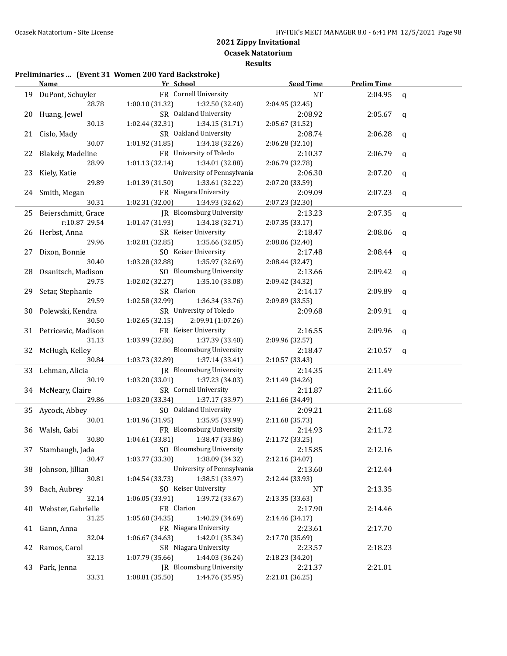**Ocasek Natatorium Results**

## **Preliminaries ... (Event 31 Women 200 Yard Backstroke)**

|    | Name                   | Yr School                           | <b>Seed Time</b> | <b>Prelim Time</b> |             |
|----|------------------------|-------------------------------------|------------------|--------------------|-------------|
|    | 19 DuPont, Schuyler    | FR Cornell University               | NT               | 2:04.95            | $\mathbf q$ |
|    | 28.78                  | 1:00.10(31.32)<br>1:32.50 (32.40)   | 2:04.95 (32.45)  |                    |             |
|    | 20 Huang, Jewel        | SR Oakland University               | 2:08.92          | 2:05.67            | q           |
|    | 30.13                  | 1:02.44(32.31)<br>1:34.15 (31.71)   | 2:05.67 (31.52)  |                    |             |
|    | 21 Cislo, Mady         | SR Oakland University               | 2:08.74          | 2:06.28            | q           |
|    | 30.07                  | 1:01.92(31.85)<br>1:34.18 (32.26)   | 2:06.28 (32.10)  |                    |             |
|    | 22 Blakely, Madeline   | FR University of Toledo             | 2:10.37          | 2:06.79            | q           |
|    | 28.99                  | 1:01.13(32.14)<br>1:34.01 (32.88)   | 2:06.79 (32.78)  |                    |             |
|    | 23 Kiely, Katie        | University of Pennsylvania          | 2:06.30          | 2:07.20            | q           |
|    | 29.89                  | 1:01.39(31.50)<br>1:33.61 (32.22)   | 2:07.20 (33.59)  |                    |             |
|    | 24 Smith, Megan        | FR Niagara University               | 2:09.09          | 2:07.23            | q           |
|    | 30.31                  | 1:02.31 (32.00)<br>1:34.93 (32.62)  | 2:07.23 (32.30)  |                    |             |
|    | 25 Beierschmitt, Grace | JR Bloomsburg University            | 2:13.23          | 2:07.35            | q           |
|    | r:10.87 29.54          | 1:01.47 (31.93)<br>1:34.18 (32.71)  | 2:07.35 (33.17)  |                    |             |
|    | 26 Herbst, Anna        | SR Keiser University                | 2:18.47          | 2:08.06            | q           |
|    | 29.96                  | 1:02.81 (32.85)<br>1:35.66 (32.85)  | 2:08.06 (32.40)  |                    |             |
| 27 | Dixon, Bonnie          | SO Keiser University                | 2:17.48          | 2:08.44            | q           |
|    | 30.40                  | 1:03.28 (32.88)<br>1:35.97 (32.69)  | 2:08.44 (32.47)  |                    |             |
| 28 | Osanitsch, Madison     | SO Bloomsburg University            | 2:13.66          | 2:09.42            | q           |
|    | 29.75                  | 1:02.02(32.27)<br>1:35.10 (33.08)   | 2:09.42 (34.32)  |                    |             |
|    | 29 Setar, Stephanie    | SR Clarion                          | 2:14.17          | 2:09.89            | $\mathbf q$ |
|    | 29.59                  | 1:02.58 (32.99)<br>1:36.34 (33.76)  | 2:09.89 (33.55)  |                    |             |
|    | 30 Polewski, Kendra    | SR University of Toledo             | 2:09.68          | 2:09.91            | q           |
|    | 30.50                  | 2:09.91 (1:07.26)<br>1:02.65(32.15) |                  |                    |             |
|    | 31 Petricevic, Madison | FR Keiser University                | 2:16.55          | 2:09.96            | q           |
|    | 31.13                  | 1:03.99 (32.86)<br>1:37.39 (33.40)  | 2:09.96 (32.57)  |                    |             |
|    | 32 McHugh, Kelley      | <b>Bloomsburg University</b>        | 2:18.47          | 2:10.57            | q           |
|    | 30.84                  | 1:37.14 (33.41)<br>1:03.73 (32.89)  | 2:10.57 (33.43)  |                    |             |
|    | 33 Lehman, Alicia      | JR Bloomsburg University            | 2:14.35          | 2:11.49            |             |
|    | 30.19                  | 1:03.20 (33.01)<br>1:37.23 (34.03)  | 2:11.49 (34.26)  |                    |             |
|    | 34 McNeary, Claire     | SR Cornell University               | 2:11.87          | 2:11.66            |             |
|    | 29.86                  | 1:03.20 (33.34)<br>1:37.17 (33.97)  | 2:11.66 (34.49)  |                    |             |
|    | 35 Aycock, Abbey       | SO Oakland University               | 2:09.21          | 2:11.68            |             |
|    | 30.01                  | 1:01.96 (31.95)<br>1:35.95 (33.99)  | 2:11.68 (35.73)  |                    |             |
|    | 36 Walsh, Gabi         | FR Bloomsburg University            | 2:14.93          | 2:11.72            |             |
|    | 30.80                  | 1:04.61(33.81)<br>1:38.47 (33.86)   | 2:11.72 (33.25)  |                    |             |
|    | 37 Stambaugh, Jada     | SO Bloomsburg University            | 2:15.85          | 2:12.16            |             |
|    | 30.47                  | 1:38.09 (34.32)<br>1:03.77(33.30)   | 2:12.16 (34.07)  |                    |             |
| 38 | Johnson, Jillian       | University of Pennsylvania          | 2:13.60          | 2:12.44            |             |
|    | 30.81                  | 1:38.51 (33.97)<br>1:04.54 (33.73)  | 2:12.44 (33.93)  |                    |             |
| 39 | Bach, Aubrey           | SO Keiser University                | NT               | 2:13.35            |             |
|    | 32.14                  | 1:39.72 (33.67)<br>1:06.05 (33.91)  | 2:13.35 (33.63)  |                    |             |
| 40 | Webster, Gabrielle     | FR Clarion                          | 2:17.90          | 2:14.46            |             |
|    | 31.25                  | 1:05.60(34.35)<br>1:40.29 (34.69)   | 2:14.46 (34.17)  |                    |             |
|    | 41 Gann, Anna          | FR Niagara University               | 2:23.61          | 2:17.70            |             |
|    | 32.04                  | 1:06.67 (34.63)<br>1:42.01 (35.34)  | 2:17.70 (35.69)  |                    |             |
| 42 | Ramos, Carol           | SR Niagara University               | 2:23.57          | 2:18.23            |             |
|    | 32.13                  | 1:44.03 (36.24)<br>1:07.79 (35.66)  | 2:18.23 (34.20)  |                    |             |
| 43 | Park, Jenna            | JR Bloomsburg University            | 2:21.37          | 2:21.01            |             |
|    | 33.31                  | 1:08.81 (35.50)<br>1:44.76 (35.95)  | 2:21.01 (36.25)  |                    |             |
|    |                        |                                     |                  |                    |             |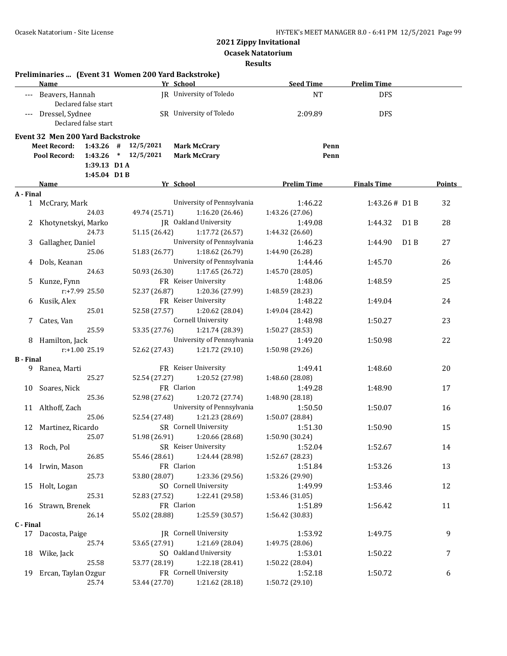**Ocasek Natatorium**

|                  | Preliminaries  (Event 31 Women 200 Yard Backstroke)<br><b>Name</b> | Yr School               |                               | <b>Seed Time</b>   | <b>Prelim Time</b>          |        |
|------------------|--------------------------------------------------------------------|-------------------------|-------------------------------|--------------------|-----------------------------|--------|
|                  | --- Beavers, Hannah<br>Declared false start                        |                         | JR University of Toledo       | <b>NT</b>          | <b>DFS</b>                  |        |
|                  | --- Dressel, Sydnee<br>Declared false start                        |                         | SR University of Toledo       | 2:09.89            | <b>DFS</b>                  |        |
|                  | <b>Event 32 Men 200 Yard Backstroke</b>                            |                         |                               |                    |                             |        |
|                  | <b>Meet Record:</b>                                                | $1:43.26$ # $12/5/2021$ | <b>Mark McCrary</b>           | Penn               |                             |        |
|                  | Pool Record:                                                       | $1:43.26$ * $12/5/2021$ | <b>Mark McCrary</b>           | Penn               |                             |        |
|                  | 1:39.13 D1 A                                                       |                         |                               |                    |                             |        |
|                  | 1:45.04 D1B                                                        |                         |                               |                    |                             |        |
| A - Final        | Name                                                               | Yr School               |                               | <b>Prelim Time</b> | <b>Finals Time</b>          | Points |
|                  | 1 McCrary, Mark                                                    |                         | University of Pennsylvania    | 1:46.22            | 1:43.26# D1 B               | 32     |
|                  | 24.03                                                              | 49.74 (25.71)           | 1:16.20(26.46)                | 1:43.26 (27.06)    |                             |        |
|                  | 2 Khotynetskyi, Marko                                              |                         | JR Oakland University         | 1:49.08            | 1:44.32<br>D <sub>1</sub> B | 28     |
|                  | 24.73                                                              | 51.15 (26.42)           | 1:17.72 (26.57)               | 1:44.32 (26.60)    |                             |        |
| 3                | Gallagher, Daniel                                                  |                         | University of Pennsylvania    | 1:46.23            | D <sub>1</sub> B<br>1:44.90 | 27     |
|                  | 25.06                                                              | 51.83 (26.77)           | 1:18.62 (26.79)               | 1:44.90 (26.28)    |                             |        |
| 4                | Dols, Keanan                                                       |                         | University of Pennsylvania    | 1:44.46            | 1:45.70                     | 26     |
|                  | 24.63                                                              | 50.93 (26.30)           | 1:17.65 (26.72)               | 1:45.70 (28.05)    |                             |        |
| 5                | Kunze, Fynn                                                        |                         | FR Keiser University          | 1:48.06            | 1:48.59                     | 25     |
|                  | $r: +7.99$ 25.50                                                   | 52.37 (26.87)           | 1:20.36 (27.99)               | 1:48.59 (28.23)    |                             |        |
|                  | 6 Kusik, Alex                                                      |                         | FR Keiser University          | 1:48.22            | 1:49.04                     | 24     |
|                  | 25.01                                                              | 52.58 (27.57)           | 1:20.62 (28.04)               | 1:49.04 (28.42)    |                             |        |
|                  | 7 Cates, Van                                                       |                         | Cornell University            | 1:48.98            | 1:50.27                     | 23     |
|                  | 25.59                                                              | 53.35 (27.76)           | 1:21.74 (28.39)               | 1:50.27 (28.53)    |                             |        |
|                  | 8 Hamilton, Jack                                                   |                         | University of Pennsylvania    | 1:49.20            | 1:50.98                     | 22     |
|                  | $r: +1.00$ 25.19                                                   | 52.62 (27.43)           | 1:21.72(29.10)                | 1:50.98 (29.26)    |                             |        |
| <b>B</b> - Final |                                                                    |                         |                               |                    |                             |        |
| 9                | Ranea, Marti                                                       |                         | FR Keiser University          | 1:49.41            | 1:48.60                     | 20     |
|                  | 25.27                                                              | 52.54 (27.27)           | 1:20.52 (27.98)               | 1:48.60 (28.08)    |                             |        |
|                  | 10 Soares, Nick                                                    | FR Clarion              |                               | 1:49.28            | 1:48.90                     | 17     |
|                  | 25.36                                                              | 52.98 (27.62)           | 1:20.72 (27.74)               | 1:48.90 (28.18)    |                             |        |
|                  | 11 Althoff, Zach                                                   |                         | University of Pennsylvania    | 1:50.50            | 1:50.07                     | 16     |
|                  | 25.06                                                              | 52.54 (27.48)           | 1:21.23 (28.69)               | 1:50.07 (28.84)    |                             |        |
|                  | 12 Martinez, Ricardo                                               |                         | SR Cornell University         | 1:51.30            | 1:50.90                     | 15     |
|                  | 25.07                                                              | 51.98 (26.91)           | 1:20.66 (28.68)               | 1:50.90 (30.24)    |                             |        |
|                  | 13 Roch, Pol                                                       |                         | SR Keiser University          | 1:52.04            | 1:52.67                     | 14     |
|                  | 26.85                                                              | 55.46 (28.61)           | 1:24.44 (28.98)               | 1:52.67 (28.23)    |                             |        |
|                  | 14 Irwin, Mason                                                    | FR Clarion              |                               | 1:51.84            | 1:53.26                     | 13     |
|                  | 25.73                                                              | 53.80 (28.07)           | 1:23.36 (29.56)               | 1:53.26 (29.90)    |                             |        |
|                  | 15 Holt, Logan                                                     |                         | SO Cornell University         | 1:49.99            | 1:53.46                     | 12     |
|                  | 25.31                                                              | 52.83 (27.52)           | 1:22.41 (29.58)               | 1:53.46 (31.05)    |                             |        |
|                  | 16 Strawn, Brenek                                                  | FR Clarion              |                               | 1:51.89            | 1:56.42                     | 11     |
|                  | 26.14                                                              | 55.02 (28.88)           | 1:25.59 (30.57)               | 1:56.42 (30.83)    |                             |        |
| C - Final        |                                                                    |                         |                               |                    |                             |        |
|                  | 17 Dacosta, Paige                                                  |                         | <b>IR</b> Cornell University  | 1:53.92            | 1:49.75                     | 9      |
|                  | 25.74                                                              | 53.65 (27.91)           | 1:21.69 (28.04)               | 1:49.75 (28.06)    |                             |        |
|                  | 18 Wike, Jack                                                      |                         | SO Oakland University         | 1:53.01            | 1:50.22                     | 7      |
|                  | 25.58                                                              | 53.77 (28.19)           | 1:22.18 (28.41)               | 1:50.22 (28.04)    |                             |        |
| 19               | Ercan, Taylan Ozgur                                                |                         | FR Cornell University         | 1:52.18            | 1:50.72                     | 6      |
|                  | 25.74                                                              |                         | 53.44 (27.70) 1:21.62 (28.18) | 1:50.72 (29.10)    |                             |        |
|                  |                                                                    |                         |                               |                    |                             |        |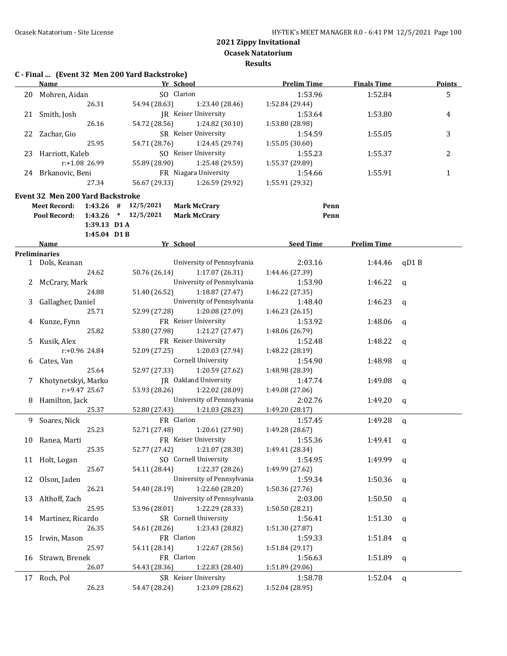**Ocasek Natatorium**

|    | C - Final  (Event 32 Men 200 Yard Backstroke)<br><b>Name</b> |                  |                         |               | Yr School  |                             | <b>Prelim Time</b> |      | <b>Finals Time</b> |              | <b>Points</b> |
|----|--------------------------------------------------------------|------------------|-------------------------|---------------|------------|-----------------------------|--------------------|------|--------------------|--------------|---------------|
| 20 | Mohren, Aidan                                                |                  |                         |               | SO Clarion |                             | 1:53.96            |      | 1:52.84            |              | 5             |
|    |                                                              | 26.31            |                         | 54.94 (28.63) |            | 1:23.40 (28.46)             | 1:52.84 (29.44)    |      |                    |              |               |
| 21 | Smith, Josh                                                  |                  |                         |               |            | <b>IR</b> Keiser University | 1:53.64            |      | 1:53.80            |              | 4             |
|    |                                                              | 26.16            |                         | 54.72 (28.56) |            | 1:24.82(30.10)              | 1:53.80 (28.98)    |      |                    |              |               |
|    | 22 Zachar, Gio                                               |                  |                         |               |            | SR Keiser University        | 1:54.59            |      | 1:55.05            |              | 3             |
|    |                                                              | 25.95            |                         | 54.71 (28.76) |            | 1:24.45 (29.74)             | 1:55.05 (30.60)    |      |                    |              |               |
|    |                                                              |                  |                         |               |            | SO Keiser University        |                    |      |                    |              | 2             |
| 23 | Harriott, Kaleb                                              | $r: +1.08$ 26.99 |                         |               |            | 1:25.48 (29.59)             | 1:55.23            |      | 1:55.37            |              |               |
|    |                                                              |                  |                         | 55.89 (28.90) |            | FR Niagara University       | 1:55.37 (29.89)    |      |                    |              |               |
|    | 24 Brkanovic, Beni                                           |                  |                         |               |            |                             | 1:54.66            |      | 1:55.91            |              | $\mathbf{1}$  |
|    |                                                              | 27.34            |                         | 56.67 (29.33) |            | 1:26.59 (29.92)             | 1:55.91 (29.32)    |      |                    |              |               |
|    | <b>Event 32 Men 200 Yard Backstroke</b>                      |                  |                         |               |            |                             |                    |      |                    |              |               |
|    | <b>Meet Record:</b>                                          |                  | $1:43.26$ # $12/5/2021$ |               |            | <b>Mark McCrary</b>         |                    | Penn |                    |              |               |
|    | Pool Record:                                                 |                  | $1:43.26$ * $12/5/2021$ |               |            | <b>Mark McCrary</b>         |                    | Penn |                    |              |               |
|    |                                                              | 1:39.13 D1 A     |                         |               |            |                             |                    |      |                    |              |               |
|    |                                                              | 1:45.04 D1B      |                         |               |            |                             |                    |      |                    |              |               |
|    | Name                                                         |                  |                         |               | Yr School  |                             | <b>Seed Time</b>   |      | <b>Prelim Time</b> |              |               |
|    | <b>Preliminaries</b>                                         |                  |                         |               |            |                             |                    |      |                    |              |               |
|    | 1 Dols, Keanan                                               |                  |                         |               |            | University of Pennsylvania  | 2:03.16            |      | 1:44.46            | qD1B         |               |
|    |                                                              | 24.62            |                         | 50.76 (26.14) |            | 1:17.07(26.31)              | 1:44.46 (27.39)    |      |                    |              |               |
|    | 2 McCrary, Mark                                              |                  |                         |               |            | University of Pennsylvania  | 1:53.90            |      | 1:46.22            | $\mathsf{q}$ |               |
|    |                                                              | 24.88            |                         | 51.40 (26.52) |            | 1:18.87(27.47)              | 1:46.22 (27.35)    |      |                    |              |               |
| 3  | Gallagher, Daniel                                            |                  |                         |               |            | University of Pennsylvania  | 1:48.40            |      | 1:46.23            | $\mathsf{q}$ |               |
|    |                                                              | 25.71            |                         | 52.99 (27.28) |            | 1:20.08 (27.09)             | 1:46.23 (26.15)    |      |                    |              |               |
| 4  | Kunze, Fynn                                                  |                  |                         |               |            | FR Keiser University        | 1:53.92            |      | 1:48.06            | $\mathbf q$  |               |
|    |                                                              | 25.82            |                         | 53.80 (27.98) |            | 1:21.27 (27.47)             | 1:48.06 (26.79)    |      |                    |              |               |
| 5  | Kusik, Alex                                                  |                  |                         |               |            | FR Keiser University        | 1:52.48            |      | 1:48.22            | $\mathsf{q}$ |               |
|    |                                                              | r:+0.96 24.84    |                         | 52.09 (27.25) |            | 1:20.03 (27.94)             | 1:48.22 (28.19)    |      |                    |              |               |
| 6  | Cates, Van                                                   |                  |                         |               |            | <b>Cornell University</b>   | 1:54.90            |      | 1:48.98            | q            |               |
|    |                                                              | 25.64            |                         | 52.97 (27.33) |            | 1:20.59 (27.62)             | 1:48.98 (28.39)    |      |                    |              |               |
| 7  | Khotynetskyi, Marko                                          |                  |                         |               |            | JR Oakland University       | 1:47.74            |      | 1:49.08            | $\mathbf q$  |               |
|    |                                                              | r:+9.47 25.67    |                         | 53.93 (28.26) |            | 1:22.02 (28.09)             | 1:49.08 (27.06)    |      |                    |              |               |
|    | 8 Hamilton, Jack                                             |                  |                         |               |            | University of Pennsylvania  | 2:02.76            |      | 1:49.20            |              |               |
|    |                                                              | 25.37            |                         | 52.80 (27.43) |            | 1:21.03 (28.23)             | 1:49.20 (28.17)    |      |                    | $\mathbf q$  |               |
|    |                                                              |                  |                         |               |            |                             |                    |      |                    |              |               |
|    | 9 Soares, Nick                                               |                  |                         |               | FR Clarion |                             | 1:57.45            |      | 1:49.28            | $\mathsf{q}$ |               |
|    |                                                              | 25.23            |                         | 52.71 (27.48) |            | 1:20.61 (27.90)             | 1:49.28 (28.67)    |      |                    |              |               |
|    | 10 Ranea, Marti                                              |                  |                         |               |            | FR Keiser University        | 1:55.36            |      | 1:49.41 $q$        |              |               |
|    |                                                              | 25.35            |                         | 52.77 (27.42) |            | 1:21.07 (28.30)             | 1:49.41 (28.34)    |      |                    |              |               |
|    | 11 Holt, Logan                                               |                  |                         |               |            | SO Cornell University       | 1:54.95            |      | 1:49.99 $q$        |              |               |
|    |                                                              | 25.67            |                         | 54.11 (28.44) |            | 1:22.37 (28.26)             | 1:49.99 (27.62)    |      |                    |              |               |
| 12 | Olson, Jaden                                                 |                  |                         |               |            | University of Pennsylvania  | 1:59.34            |      | 1:50.36            | q            |               |
|    |                                                              | 26.21            |                         | 54.40 (28.19) |            | 1:22.60 (28.20)             | 1:50.36 (27.76)    |      |                    |              |               |
| 13 | Althoff, Zach                                                |                  |                         |               |            | University of Pennsylvania  | 2:03.00            |      | 1:50.50            | q            |               |
|    |                                                              | 25.95            |                         | 53.96 (28.01) |            | 1:22.29 (28.33)             | 1:50.50 (28.21)    |      |                    |              |               |
| 14 | Martinez, Ricardo                                            |                  |                         |               |            | SR Cornell University       | 1:56.41            |      | 1:51.30            | q            |               |
|    |                                                              | 26.35            |                         | 54.61 (28.26) |            | 1:23.43 (28.82)             | 1:51.30 (27.87)    |      |                    |              |               |
| 15 | Irwin, Mason                                                 |                  |                         |               | FR Clarion |                             | 1:59.33            |      | 1:51.84            | q            |               |
|    |                                                              | 25.97            |                         | 54.11 (28.14) |            | 1:22.67 (28.56)             | 1:51.84 (29.17)    |      |                    |              |               |
| 16 | Strawn, Brenek                                               |                  |                         |               | FR Clarion |                             | 1:56.63            |      | 1:51.89            | q            |               |
|    |                                                              | 26.07            |                         | 54.43 (28.36) |            | 1:22.83 (28.40)             | 1:51.89 (29.06)    |      |                    |              |               |
| 17 | Roch, Pol                                                    |                  |                         |               |            | SR Keiser University        | 1:58.78            |      | 1:52.04            | q            |               |
|    |                                                              | 26.23            |                         | 54.47 (28.24) |            | 1:23.09 (28.62)             | 1:52.04 (28.95)    |      |                    |              |               |
|    |                                                              |                  |                         |               |            |                             |                    |      |                    |              |               |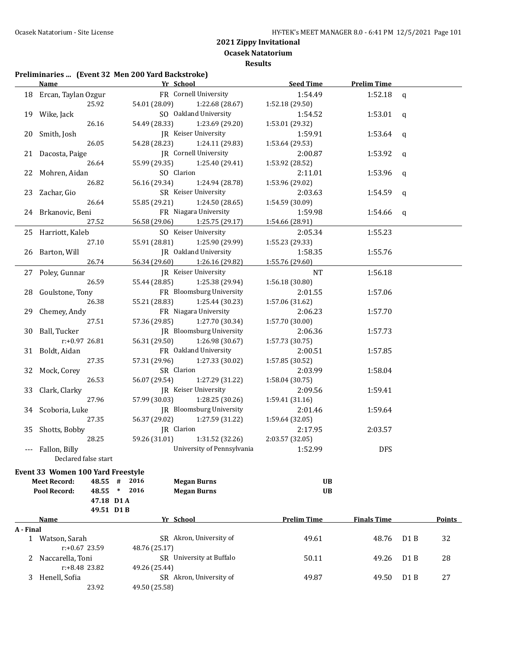**Ocasek Natatorium**

**Results**

#### **Preliminaries ... (Event 32 Men 200 Yard Backstroke)**

|           | Name                                | Yr School The Chamber of the Chamber of the Chamber of the Chamber of the Chamber of the Chamber of the Chamber of the Chamber of the Chamber of the Chamber of the Chamber of the Chamber of the Chamber of the Chamber of th | <b>Seed Time</b>   | <b>Prelim Time</b> |                  |               |
|-----------|-------------------------------------|--------------------------------------------------------------------------------------------------------------------------------------------------------------------------------------------------------------------------------|--------------------|--------------------|------------------|---------------|
|           | 18 Ercan, Taylan Ozgur              | FR Cornell University                                                                                                                                                                                                          | 1:54.49            | 1:52.18            | $\mathsf{q}$     |               |
|           | 25.92                               | 54.01 (28.09)<br>1:22.68 (28.67)                                                                                                                                                                                               | 1:52.18 (29.50)    |                    |                  |               |
|           | 19 Wike, Jack                       | SO Oakland University                                                                                                                                                                                                          | 1:54.52            | 1:53.01            | q                |               |
|           | 26.16                               | 54.49 (28.33)<br>1:23.69 (29.20)                                                                                                                                                                                               | 1:53.01 (29.32)    |                    |                  |               |
|           | 20 Smith, Josh                      | JR Keiser University                                                                                                                                                                                                           | 1:59.91            | 1:53.64            | q                |               |
|           | 26.05                               | 54.28 (28.23)<br>1:24.11 (29.83)                                                                                                                                                                                               | 1:53.64 (29.53)    |                    |                  |               |
|           | 21 Dacosta, Paige                   | JR Cornell University                                                                                                                                                                                                          | 2:00.87            | 1:53.92            | q                |               |
|           | 26.64                               | 55.99 (29.35)<br>1:25.40 (29.41)                                                                                                                                                                                               | 1:53.92 (28.52)    |                    |                  |               |
|           | 22 Mohren, Aidan                    | SO Clarion                                                                                                                                                                                                                     | 2:11.01            | 1:53.96            | q                |               |
|           | 26.82                               | 56.16 (29.34)<br>1:24.94 (28.78)                                                                                                                                                                                               | 1:53.96 (29.02)    |                    |                  |               |
|           | 23 Zachar, Gio                      | SR Keiser University                                                                                                                                                                                                           | 2:03.63            | 1:54.59            | q                |               |
|           | 26.64                               | 55.85 (29.21)<br>1:24.50 (28.65)                                                                                                                                                                                               | 1:54.59 (30.09)    |                    |                  |               |
|           | 24 Brkanovic, Beni                  | FR Niagara University                                                                                                                                                                                                          | 1:59.98            | 1:54.66            | q                |               |
|           | 27.52                               | 56.58 (29.06)<br>1:25.75 (29.17)                                                                                                                                                                                               | 1:54.66 (28.91)    |                    |                  |               |
|           | 25 Harriott, Kaleb                  | SO Keiser University                                                                                                                                                                                                           | 2:05.34            | 1:55.23            |                  |               |
|           | 27.10                               | 55.91 (28.81)<br>1:25.90 (29.99)                                                                                                                                                                                               | 1:55.23 (29.33)    |                    |                  |               |
|           | 26 Barton, Will                     | JR Oakland University                                                                                                                                                                                                          | 1:58.35            | 1:55.76            |                  |               |
|           | 26.74                               | 56.34 (29.60)<br>1:26.16 (29.82)                                                                                                                                                                                               | 1:55.76 (29.60)    |                    |                  |               |
|           | 27 Poley, Gunnar                    | JR Keiser University                                                                                                                                                                                                           | <b>NT</b>          | 1:56.18            |                  |               |
|           | 26.59                               | 55.44 (28.85)<br>1:25.38 (29.94)                                                                                                                                                                                               | 1:56.18 (30.80)    |                    |                  |               |
| 28        | Goulstone, Tony                     | FR Bloomsburg University                                                                                                                                                                                                       | 2:01.55            | 1:57.06            |                  |               |
|           | 26.38                               | 55.21 (28.83)<br>1:25.44 (30.23)                                                                                                                                                                                               | 1:57.06 (31.62)    |                    |                  |               |
|           | 29 Chemey, Andy                     | FR Niagara University                                                                                                                                                                                                          | 2:06.23            | 1:57.70            |                  |               |
|           | 27.51                               | 57.36 (29.85)<br>1:27.70 (30.34)                                                                                                                                                                                               | 1:57.70 (30.00)    |                    |                  |               |
|           | 30 Ball, Tucker                     | JR Bloomsburg University                                                                                                                                                                                                       | 2:06.36            | 1:57.73            |                  |               |
|           | r:+0.97 26.81                       | 56.31 (29.50)<br>1:26.98 (30.67)                                                                                                                                                                                               | 1:57.73 (30.75)    |                    |                  |               |
|           | 31 Boldt, Aidan                     | FR Oakland University                                                                                                                                                                                                          | 2:00.51            | 1:57.85            |                  |               |
|           | 27.35                               | 57.31 (29.96)<br>1:27.33 (30.02)                                                                                                                                                                                               | 1:57.85 (30.52)    |                    |                  |               |
|           | 32 Mock, Corey                      | SR Clarion                                                                                                                                                                                                                     | 2:03.99            | 1:58.04            |                  |               |
|           | 26.53                               | 56.07 (29.54)<br>1:27.29 (31.22)                                                                                                                                                                                               | 1:58.04 (30.75)    |                    |                  |               |
|           | 33 Clark, Clarky                    | JR Keiser University                                                                                                                                                                                                           | 2:09.56            | 1:59.41            |                  |               |
|           | 27.96                               | 57.99 (30.03)<br>1:28.25 (30.26)                                                                                                                                                                                               | 1:59.41 (31.16)    |                    |                  |               |
|           | 34 Scoboria, Luke                   | JR Bloomsburg University                                                                                                                                                                                                       | 2:01.46            | 1:59.64            |                  |               |
|           | 27.35                               | 56.37 (29.02)<br>1:27.59 (31.22)                                                                                                                                                                                               | 1:59.64 (32.05)    |                    |                  |               |
|           | 35 Shotts, Bobby                    | JR Clarion                                                                                                                                                                                                                     | 2:17.95            | 2:03.57            |                  |               |
|           | 28.25                               | 59.26 (31.01)<br>1:31.52 (32.26)                                                                                                                                                                                               | 2:03.57 (32.05)    |                    |                  |               |
|           | --- Fallon, Billy                   | University of Pennsylvania                                                                                                                                                                                                     | 1:52.99            | <b>DFS</b>         |                  |               |
|           | Declared false start                |                                                                                                                                                                                                                                |                    |                    |                  |               |
|           | Event 33 Women 100 Yard Freestyle   |                                                                                                                                                                                                                                |                    |                    |                  |               |
|           | <b>Meet Record:</b><br>48.55 #      | 2016<br><b>Megan Burns</b>                                                                                                                                                                                                     | <b>UB</b>          |                    |                  |               |
|           | Pool Record:<br>48.55               | $*$ 2016<br><b>Megan Burns</b>                                                                                                                                                                                                 | <b>UB</b>          |                    |                  |               |
|           | 47.18 D1 A                          |                                                                                                                                                                                                                                |                    |                    |                  |               |
|           | 49.51 D1B                           |                                                                                                                                                                                                                                |                    |                    |                  |               |
|           | <b>Name</b>                         | Yr School                                                                                                                                                                                                                      | <b>Prelim Time</b> | <b>Finals Time</b> |                  | <b>Points</b> |
| A - Final |                                     | SR Akron, University of                                                                                                                                                                                                        |                    |                    |                  |               |
|           | 1 Watson, Sarah<br>$r: +0.67$ 23.59 | 48.76 (25.17)                                                                                                                                                                                                                  | 49.61              | 48.76              | D1B              | 32            |
|           |                                     | SR University at Buffalo                                                                                                                                                                                                       | 50.11              |                    |                  |               |
|           | 2 Naccarella, Toni<br>r:+8.48 23.82 | 49.26 (25.44)                                                                                                                                                                                                                  |                    | 49.26              | D1 B             | 28            |
| 3.        | Henell, Sofia                       | SR Akron, University of                                                                                                                                                                                                        | 49.87              | 49.50              | D <sub>1</sub> B | 27            |
|           | 23.92                               | 49.50 (25.58)                                                                                                                                                                                                                  |                    |                    |                  |               |
|           |                                     |                                                                                                                                                                                                                                |                    |                    |                  |               |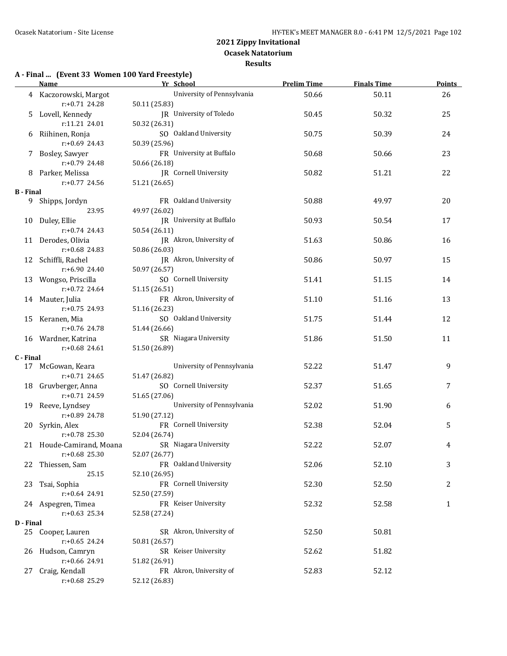**Results**

## **A - Final ... (Event 33 Women 100 Yard Freestyle)**

|                  | <b>Name</b>              | Yr School                    | <b>Prelim Time</b> | <b>Finals Time</b> | <b>Points</b> |
|------------------|--------------------------|------------------------------|--------------------|--------------------|---------------|
|                  | 4 Kaczorowski, Margot    | University of Pennsylvania   | 50.66              | 50.11              | 26            |
|                  | r:+0.71 24.28            | 50.11 (25.83)                |                    |                    |               |
| 5                | Lovell, Kennedy          | JR University of Toledo      | 50.45              | 50.32              | 25            |
|                  | r:11.21 24.01            | 50.32 (26.31)                |                    |                    |               |
|                  | Riihinen, Ronja          | SO Oakland University        | 50.75              | 50.39              | 24            |
| 6                |                          |                              |                    |                    |               |
|                  | r:+0.69 24.43            | 50.39 (25.96)                |                    |                    |               |
| 7.               | Bosley, Sawyer           | FR University at Buffalo     | 50.68              | 50.66              | 23            |
|                  | $r: +0.79$ 24.48         | 50.66 (26.18)                |                    |                    |               |
|                  | 8 Parker, Melissa        | <b>IR</b> Cornell University | 50.82              | 51.21              | 22            |
|                  | $r: +0.77$ 24.56         | 51.21 (26.65)                |                    |                    |               |
| <b>B</b> - Final |                          |                              |                    |                    |               |
|                  | 9 Shipps, Jordyn         | FR Oakland University        | 50.88              | 49.97              | 20            |
|                  | 23.95                    | 49.97 (26.02)                |                    |                    |               |
|                  | 10 Duley, Ellie          | JR University at Buffalo     | 50.93              | 50.54              | 17            |
|                  | $r: +0.74$ 24.43         | 50.54 (26.11)                |                    |                    |               |
|                  | 11 Derodes, Olivia       | JR Akron, University of      | 51.63              | 50.86              | 16            |
|                  | $r: +0.68$ 24.83         | 50.86 (26.03)                |                    |                    |               |
|                  | 12 Schiffli, Rachel      | JR Akron, University of      | 50.86              | 50.97              | 15            |
|                  | $r: +6.90$ 24.40         | 50.97 (26.57)                |                    |                    |               |
|                  |                          | SO Cornell University        |                    |                    |               |
|                  | 13 Wongso, Priscilla     |                              | 51.41              | 51.15              | 14            |
|                  | $r: +0.72$ 24.64         | 51.15 (26.51)                |                    |                    |               |
|                  | 14 Mauter, Julia         | FR Akron, University of      | 51.10              | 51.16              | 13            |
|                  | $r: +0.75$ 24.93         | 51.16 (26.23)                |                    |                    |               |
|                  | 15 Keranen, Mia          | SO Oakland University        | 51.75              | 51.44              | 12            |
|                  | $r: +0.76$ 24.78         | 51.44 (26.66)                |                    |                    |               |
|                  | 16 Wardner, Katrina      | SR Niagara University        | 51.86              | 51.50              | 11            |
|                  | $r: +0.68$ 24.61         | 51.50 (26.89)                |                    |                    |               |
| C - Final        |                          |                              |                    |                    |               |
|                  | 17 McGowan, Keara        | University of Pennsylvania   | 52.22              | 51.47              | 9             |
|                  | $r: +0.71$ 24.65         | 51.47 (26.82)                |                    |                    |               |
|                  | 18 Gruvberger, Anna      | SO Cornell University        | 52.37              | 51.65              | 7             |
|                  | r:+0.71 24.59            | 51.65 (27.06)                |                    |                    |               |
| 19               | Reeve, Lyndsey           | University of Pennsylvania   | 52.02              | 51.90              | 6             |
|                  | r:+0.89 24.78            | 51.90 (27.12)                |                    |                    |               |
|                  | 20 Syrkin, Alex          | FR Cornell University        | 52.38              | 52.04              | 5             |
|                  | r:+0.78 25.30            |                              |                    |                    |               |
|                  |                          | 52.04 (26.74)                |                    |                    |               |
|                  | 21 Houde-Camirand, Moana | SR Niagara University        | 52.22              | 52.07              | 4             |
|                  | $r: +0.68$ 25.30         | 52.07 (26.77)                |                    |                    |               |
|                  | 22 Thiessen, Sam         | FR Oakland University        | 52.06              | 52.10              | 3             |
|                  | 25.15                    | 52.10 (26.95)                |                    |                    |               |
| 23               | Tsai, Sophia             | FR Cornell University        | 52.30              | 52.50              | 2             |
|                  | r:+0.64 24.91            | 52.50 (27.59)                |                    |                    |               |
|                  | 24 Aspegren, Timea       | FR Keiser University         | 52.32              | 52.58              | 1             |
|                  | $r: +0.63$ 25.34         | 52.58 (27.24)                |                    |                    |               |
| D - Final        |                          |                              |                    |                    |               |
|                  | 25 Cooper, Lauren        | SR Akron, University of      | 52.50              | 50.81              |               |
|                  | $r: +0.65$ 24.24         | 50.81 (26.57)                |                    |                    |               |
|                  | 26 Hudson, Camryn        | SR Keiser University         | 52.62              | 51.82              |               |
|                  | r:+0.66 24.91            | 51.82 (26.91)                |                    |                    |               |
| 27               | Craig, Kendall           | FR Akron, University of      | 52.83              | 52.12              |               |
|                  | r:+0.68 25.29            | 52.12 (26.83)                |                    |                    |               |
|                  |                          |                              |                    |                    |               |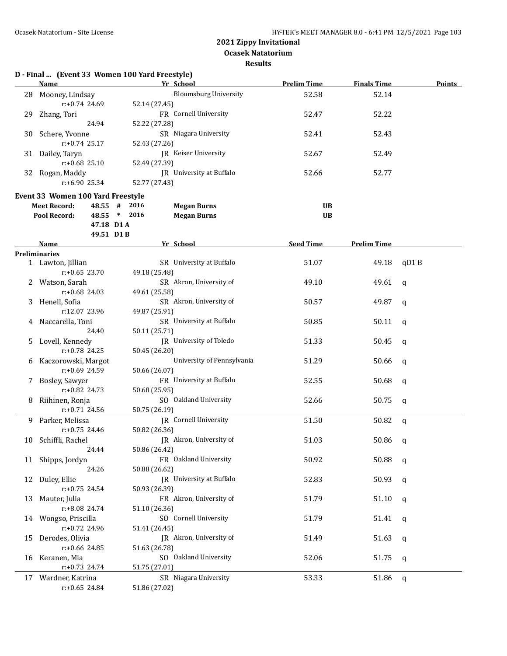**Ocasek Natatorium**

|    | D - Final  (Event 33 Women 100 Yard Freestyle)<br><b>Name</b> |                   | Yr School                    | <b>Prelim Time</b> | <b>Finals Time</b> | <b>Points</b> |
|----|---------------------------------------------------------------|-------------------|------------------------------|--------------------|--------------------|---------------|
| 28 | Mooney, Lindsay                                               |                   | <b>Bloomsburg University</b> | 52.58              | 52.14              |               |
|    | $r: +0.74$ 24.69                                              | 52.14 (27.45)     |                              |                    |                    |               |
| 29 | Zhang, Tori                                                   |                   | FR Cornell University        | 52.47              | 52.22              |               |
|    | 24.94                                                         | 52.22 (27.28)     |                              |                    |                    |               |
| 30 | Schere, Yvonne                                                |                   | SR Niagara University        | 52.41              | 52.43              |               |
|    | $r: +0.74$ 25.17                                              |                   |                              |                    |                    |               |
|    |                                                               | 52.43 (27.26)     |                              |                    |                    |               |
| 31 | Dailey, Taryn                                                 |                   | JR Keiser University         | 52.67              | 52.49              |               |
|    | $r: +0.68$ 25.10                                              | 52.49 (27.39)     |                              |                    |                    |               |
|    | 32 Rogan, Maddy                                               |                   | JR University at Buffalo     | 52.66              | 52.77              |               |
|    | $r: +6.90$ 25.34                                              | 52.77 (27.43)     |                              |                    |                    |               |
|    | Event 33 Women 100 Yard Freestyle                             |                   |                              |                    |                    |               |
|    | <b>Meet Record:</b>                                           | 2016<br>$48.55$ # | <b>Megan Burns</b>           | <b>UB</b>          |                    |               |
|    | Pool Record:                                                  | $48.55$ *<br>2016 | <b>Megan Burns</b>           | <b>UB</b>          |                    |               |
|    |                                                               | 47.18 D1 A        |                              |                    |                    |               |
|    |                                                               | 49.51 D1B         |                              |                    |                    |               |
|    | Name                                                          |                   | Yr School                    | <b>Seed Time</b>   | <b>Prelim Time</b> |               |
|    | <b>Preliminaries</b>                                          |                   |                              |                    |                    |               |
|    | 1 Lawton, Jillian                                             |                   | SR University at Buffalo     | 51.07              | 49.18              | qD1B          |
|    | $r: +0.65$ 23.70                                              | 49.18 (25.48)     |                              |                    |                    |               |
|    | Watson, Sarah                                                 |                   | SR Akron, University of      | 49.10              | 49.61              | a             |
|    | $r: +0.68$ 24.03                                              | 49.61 (25.58)     |                              |                    |                    |               |
| 3. | Henell, Sofia                                                 |                   | SR Akron, University of      | 50.57              | 49.87              | q             |
|    | r:12.07 23.96                                                 | 49.87 (25.91)     |                              |                    |                    |               |
| 4  | Naccarella, Toni                                              |                   | SR University at Buffalo     | 50.85              | 50.11              | q             |
|    | 24.40                                                         | 50.11 (25.71)     |                              |                    |                    |               |
| 5. | Lovell, Kennedy                                               |                   | JR University of Toledo      | 51.33              | 50.45              | q             |
|    | r:+0.78 24.25                                                 | 50.45 (26.20)     |                              |                    |                    |               |
| 6  | Kaczorowski, Margot                                           |                   | University of Pennsylvania   | 51.29              | 50.66              | q             |
|    | r:+0.69 24.59                                                 | 50.66 (26.07)     |                              |                    |                    |               |
|    | 7 Bosley, Sawyer                                              |                   | FR University at Buffalo     | 52.55              | 50.68              | q             |
|    | r:+0.82 24.73                                                 | 50.68 (25.95)     |                              |                    |                    |               |
| 8  | Riihinen, Ronja                                               |                   | SO Oakland University        | 52.66              | 50.75              | q             |
|    | r:+0.71 24.56                                                 | 50.75 (26.19)     |                              |                    |                    |               |
|    |                                                               |                   |                              |                    |                    |               |
|    | 9 Parker, Melissa                                             |                   | JR Cornell University        | 51.50              | 50.82              | q             |
|    | r:+0.75 24.46                                                 | 50.82 (26.36)     |                              |                    |                    |               |
|    | 10 Schiffli, Rachel                                           |                   | JR Akron, University of      | 51.03              | 50.86 q            |               |
|    | 24.44                                                         | 50.86 (26.42)     |                              |                    |                    |               |
|    | 11 Shipps, Jordyn                                             |                   | FR Oakland University        | 50.92              | 50.88              | q             |
|    | 24.26                                                         | 50.88 (26.62)     |                              |                    |                    |               |
| 12 | Duley, Ellie                                                  |                   | JR University at Buffalo     | 52.83              | 50.93              | q             |
|    | $r: +0.75$ 24.54                                              | 50.93 (26.39)     |                              |                    |                    |               |
| 13 | Mauter, Julia                                                 |                   | FR Akron, University of      | 51.79              | 51.10              | q             |
|    | r:+8.08 24.74                                                 | 51.10 (26.36)     |                              |                    |                    |               |
| 14 | Wongso, Priscilla                                             |                   | SO Cornell University        | 51.79              | 51.41              | q             |
|    | r:+0.72 24.96                                                 | 51.41 (26.45)     |                              |                    |                    |               |
| 15 | Derodes, Olivia                                               |                   | JR Akron, University of      | 51.49              | 51.63              | q             |
|    | $r: +0.66$ 24.85                                              | 51.63 (26.78)     |                              |                    |                    |               |
| 16 | Keranen, Mia                                                  |                   | SO Oakland University        | 52.06              | 51.75              | q             |
|    | $r+0.73$ 24.74                                                | 51.75 (27.01)     |                              |                    |                    |               |
|    | 17 Wardner, Katrina                                           |                   | SR Niagara University        | 53.33              | 51.86              | q             |
|    | $r: +0.65$ 24.84                                              | 51.86 (27.02)     |                              |                    |                    |               |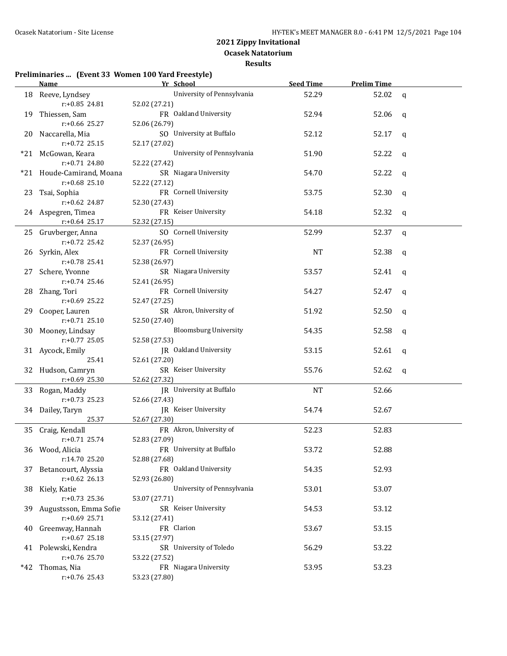**Results**

#### **Preliminaries ... (Event 33 Women 100 Yard Freestyle)**

|     | Name and the same state of the state of the state of the state of the state of the state of the state of the state of the state of the state of the state of the state of the state of the state of the state of the state of | Yr School                    | <b>Seed Time</b> | <b>Prelim Time</b> |              |
|-----|-------------------------------------------------------------------------------------------------------------------------------------------------------------------------------------------------------------------------------|------------------------------|------------------|--------------------|--------------|
|     | 18 Reeve, Lyndsey                                                                                                                                                                                                             | University of Pennsylvania   | 52.29            | 52.02              | $\mathbf{q}$ |
|     | $r: +0.85$ 24.81                                                                                                                                                                                                              | 52.02 (27.21)                |                  |                    |              |
|     | 19 Thiessen, Sam                                                                                                                                                                                                              | FR Oakland University        | 52.94            | 52.06              | q            |
|     | r:+0.66 25.27                                                                                                                                                                                                                 | 52.06 (26.79)                |                  |                    |              |
|     | 20 Naccarella, Mia                                                                                                                                                                                                            | SO University at Buffalo     | 52.12            | 52.17              | q            |
|     | $r: +0.72$ 25.15                                                                                                                                                                                                              | 52.17 (27.02)                |                  |                    |              |
|     | *21 McGowan, Keara                                                                                                                                                                                                            | University of Pennsylvania   | 51.90            | 52.22              | q            |
|     | $r: +0.71$ 24.80                                                                                                                                                                                                              | 52.22 (27.42)                |                  |                    |              |
|     | *21 Houde-Camirand, Moana                                                                                                                                                                                                     | SR Niagara University        | 54.70            | 52.22              | q            |
|     | $r: +0.68$ 25.10                                                                                                                                                                                                              | 52.22 (27.12)                |                  |                    |              |
|     | 23 Tsai, Sophia                                                                                                                                                                                                               | FR Cornell University        | 53.75            | 52.30              | q            |
|     | r:+0.62 24.87                                                                                                                                                                                                                 | 52.30 (27.43)                |                  |                    |              |
|     | 24 Aspegren, Timea                                                                                                                                                                                                            | FR Keiser University         | 54.18            | 52.32              | q            |
|     | $r$ :+0.64 25.17                                                                                                                                                                                                              | 52.32 (27.15)                |                  |                    |              |
|     | 25 Gruvberger, Anna                                                                                                                                                                                                           | SO Cornell University        | 52.99            | 52.37              | $\mathbf q$  |
|     | r:+0.72 25.42                                                                                                                                                                                                                 | 52.37 (26.95)                |                  |                    |              |
|     | 26 Syrkin, Alex                                                                                                                                                                                                               | FR Cornell University        | <b>NT</b>        | 52.38              | q            |
|     | r:+0.78 25.41                                                                                                                                                                                                                 | 52.38 (26.97)                |                  |                    |              |
|     | 27 Schere, Yvonne                                                                                                                                                                                                             | SR Niagara University        | 53.57            | 52.41              | q            |
|     | $r: +0.74$ 25.46                                                                                                                                                                                                              | 52.41 (26.95)                |                  |                    |              |
|     | 28 Zhang, Tori                                                                                                                                                                                                                | FR Cornell University        | 54.27            | 52.47              | $\mathbf q$  |
|     | $r: +0.69$ 25.22                                                                                                                                                                                                              | 52.47 (27.25)                |                  |                    |              |
|     | 29 Cooper, Lauren                                                                                                                                                                                                             | SR Akron, University of      | 51.92            | 52.50              | q            |
|     | $r: +0.71$ 25.10                                                                                                                                                                                                              | 52.50 (27.40)                |                  |                    |              |
| 30  | Mooney, Lindsay                                                                                                                                                                                                               | <b>Bloomsburg University</b> | 54.35            | 52.58              | q            |
|     | $r: +0.77$ 25.05                                                                                                                                                                                                              | 52.58 (27.53)                |                  |                    |              |
|     | 31 Aycock, Emily                                                                                                                                                                                                              | JR Oakland University        | 53.15            | 52.61              | q            |
|     | 25.41                                                                                                                                                                                                                         | 52.61 (27.20)                |                  |                    |              |
|     | 32 Hudson, Camryn                                                                                                                                                                                                             | SR Keiser University         | 55.76            | 52.62              | q            |
|     | r:+0.69 25.30                                                                                                                                                                                                                 | 52.62 (27.32)                |                  |                    |              |
|     | 33 Rogan, Maddy                                                                                                                                                                                                               | JR University at Buffalo     | <b>NT</b>        | 52.66              |              |
|     | $r: +0.73$ 25.23                                                                                                                                                                                                              | 52.66 (27.43)                |                  |                    |              |
|     | 34 Dailey, Taryn                                                                                                                                                                                                              | JR Keiser University         | 54.74            | 52.67              |              |
|     | 25.37                                                                                                                                                                                                                         | 52.67 (27.30)                |                  |                    |              |
|     | 35 Craig, Kendall                                                                                                                                                                                                             | FR Akron, University of      | 52.23            | 52.83              |              |
|     | $r: +0.71$ 25.74                                                                                                                                                                                                              | 52.83 (27.09)                |                  |                    |              |
|     | 36 Wood, Alicia                                                                                                                                                                                                               | FR University at Buffalo     | 53.72            | 52.88              |              |
|     | r:14.70 25.20                                                                                                                                                                                                                 | 52.88 (27.68)                |                  |                    |              |
| 37  | Betancourt, Alyssia                                                                                                                                                                                                           | FR Oakland University        | 54.35            | 52.93              |              |
|     | $r: +0.62$ 26.13                                                                                                                                                                                                              | 52.93 (26.80)                |                  |                    |              |
| 38  | Kiely, Katie                                                                                                                                                                                                                  | University of Pennsylvania   | 53.01            | 53.07              |              |
|     | $r: +0.73$ 25.36                                                                                                                                                                                                              | 53.07 (27.71)                |                  |                    |              |
| 39  | Augustsson, Emma Sofie                                                                                                                                                                                                        | SR Keiser University         | 54.53            | 53.12              |              |
|     | $r: +0.69$ 25.71                                                                                                                                                                                                              | 53.12 (27.41)                |                  |                    |              |
| 40  | Greenway, Hannah                                                                                                                                                                                                              | FR Clarion                   | 53.67            | 53.15              |              |
|     | $r: +0.67$ 25.18                                                                                                                                                                                                              | 53.15 (27.97)                |                  |                    |              |
|     | 41 Polewski, Kendra                                                                                                                                                                                                           | SR University of Toledo      | 56.29            | 53.22              |              |
|     | $r: +0.76$ 25.70                                                                                                                                                                                                              | 53.22 (27.52)                |                  |                    |              |
| *42 | Thomas, Nia                                                                                                                                                                                                                   | FR Niagara University        | 53.95            | 53.23              |              |
|     | $r: +0.76$ 25.43                                                                                                                                                                                                              | 53.23 (27.80)                |                  |                    |              |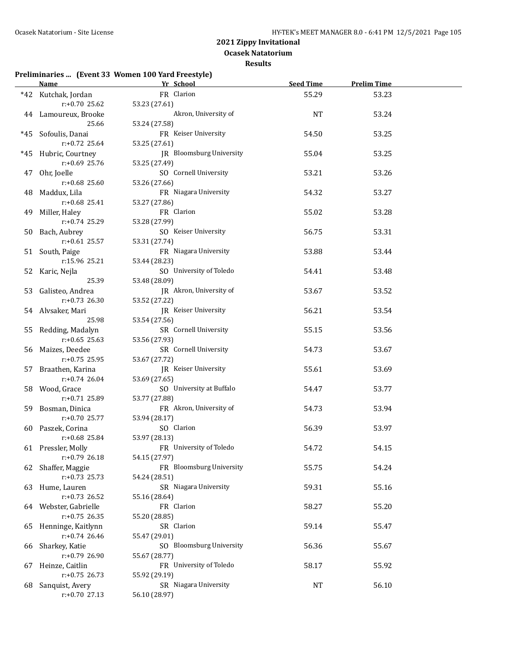**Ocasek Natatorium**

#### **Results**

#### **Preliminaries ... (Event 33 Women 100 Yard Freestyle)**

|    | Name and the state of the state of the state of the state of the state of the state of the state of the state of the state of the state of the state of the state of the state of the state of the state of the state of the s | Yr School<br><u> 1989 - Johann Barbara, martxa a</u> | <b>Seed Time</b> | <b>Prelim Time</b> |  |
|----|--------------------------------------------------------------------------------------------------------------------------------------------------------------------------------------------------------------------------------|------------------------------------------------------|------------------|--------------------|--|
|    | *42 Kutchak, Jordan                                                                                                                                                                                                            | FR Clarion                                           | 55.29            | 53.23              |  |
|    | r:+0.70 25.62                                                                                                                                                                                                                  | 53.23 (27.61)                                        |                  |                    |  |
|    | 44 Lamoureux, Brooke                                                                                                                                                                                                           | Akron, University of                                 | NT               | 53.24              |  |
|    | 25.66                                                                                                                                                                                                                          | 53.24 (27.58)                                        |                  |                    |  |
|    | *45 Sofoulis, Danai                                                                                                                                                                                                            | FR Keiser University                                 | 54.50            | 53.25              |  |
|    | $r: +0.72$ 25.64                                                                                                                                                                                                               | 53.25 (27.61)                                        |                  |                    |  |
|    | *45 Hubric, Courtney                                                                                                                                                                                                           | JR Bloomsburg University                             | 55.04            | 53.25              |  |
|    | $r: +0.69$ 25.76                                                                                                                                                                                                               | 53.25 (27.49)                                        |                  |                    |  |
|    | 47 Ohr, Joelle                                                                                                                                                                                                                 | SO Cornell University                                | 53.21            | 53.26              |  |
|    | $r: +0.68$ 25.60                                                                                                                                                                                                               | 53.26 (27.66)                                        |                  |                    |  |
|    | 48 Maddux, Lila                                                                                                                                                                                                                | FR Niagara University                                | 54.32            | 53.27              |  |
|    | $r: +0.68$ 25.41                                                                                                                                                                                                               | 53.27 (27.86)                                        |                  |                    |  |
|    | 49 Miller, Haley                                                                                                                                                                                                               | FR Clarion                                           | 55.02            | 53.28              |  |
|    | r:+0.74 25.29                                                                                                                                                                                                                  | 53.28 (27.99)                                        |                  |                    |  |
|    | 50 Bach, Aubrey                                                                                                                                                                                                                | SO Keiser University                                 | 56.75            | 53.31              |  |
|    | $r: +0.61$ 25.57                                                                                                                                                                                                               | 53.31 (27.74)                                        |                  |                    |  |
|    | 51 South, Paige                                                                                                                                                                                                                | FR Niagara University                                | 53.88            | 53.44              |  |
|    | r:15.96 25.21                                                                                                                                                                                                                  | 53.44 (28.23)                                        |                  |                    |  |
|    | 52 Karic, Nejla                                                                                                                                                                                                                | SO University of Toledo                              | 54.41            | 53.48              |  |
|    | 25.39                                                                                                                                                                                                                          | 53.48 (28.09)                                        |                  |                    |  |
|    | 53 Galisteo, Andrea                                                                                                                                                                                                            | JR Akron, University of                              | 53.67            | 53.52              |  |
|    | $r: +0.73$ 26.30                                                                                                                                                                                                               | 53.52 (27.22)                                        |                  |                    |  |
|    | 54 Alvsaker, Mari                                                                                                                                                                                                              | JR Keiser University                                 | 56.21            | 53.54              |  |
|    | 25.98                                                                                                                                                                                                                          | 53.54 (27.56)                                        |                  |                    |  |
|    | 55 Redding, Madalyn                                                                                                                                                                                                            | SR Cornell University                                | 55.15            | 53.56              |  |
|    | $r: +0.65$ 25.63                                                                                                                                                                                                               | 53.56 (27.93)                                        |                  |                    |  |
|    | 56 Maizes, Deedee                                                                                                                                                                                                              | SR Cornell University                                | 54.73            | 53.67              |  |
|    | $r: +0.75$ 25.95                                                                                                                                                                                                               | 53.67 (27.72)                                        |                  |                    |  |
|    | 57 Braathen, Karina                                                                                                                                                                                                            | JR Keiser University                                 | 55.61            | 53.69              |  |
|    | $r: +0.74$ 26.04                                                                                                                                                                                                               | 53.69 (27.65)                                        |                  |                    |  |
|    | 58 Wood, Grace                                                                                                                                                                                                                 | SO University at Buffalo                             | 54.47            | 53.77              |  |
|    | r:+0.71 25.89                                                                                                                                                                                                                  | 53.77 (27.88)                                        |                  |                    |  |
|    | 59 Bosman, Dinica                                                                                                                                                                                                              | FR Akron, University of                              | 54.73            | 53.94              |  |
|    | $r: +0.70$ 25.77                                                                                                                                                                                                               | 53.94 (28.17)                                        |                  |                    |  |
|    | 60 Paszek, Corina<br>$r: +0.68$ 25.84                                                                                                                                                                                          | SO Clarion                                           | 56.39            | 53.97              |  |
|    |                                                                                                                                                                                                                                | 53.97 (28.13)                                        |                  |                    |  |
|    | 61 Pressler, Molly<br>$r: +0.79$ 26.18                                                                                                                                                                                         | FR University of Toledo                              | 54.72            | 54.15              |  |
|    |                                                                                                                                                                                                                                | 54.15 (27.97)<br>FR Bloomsburg University            | 55.75            | 54.24              |  |
| 62 | Shaffer, Maggie<br>$r: +0.73$ 25.73                                                                                                                                                                                            | 54.24 (28.51)                                        |                  |                    |  |
|    | Hume, Lauren                                                                                                                                                                                                                   | SR Niagara University                                | 59.31            | 55.16              |  |
| 63 | r:+0.73 26.52                                                                                                                                                                                                                  | 55.16 (28.64)                                        |                  |                    |  |
|    | 64 Webster, Gabrielle                                                                                                                                                                                                          | FR Clarion                                           | 58.27            | 55.20              |  |
|    | $r: +0.75$ 26.35                                                                                                                                                                                                               | 55.20 (28.85)                                        |                  |                    |  |
| 65 | Henninge, Kaitlynn                                                                                                                                                                                                             | SR Clarion                                           | 59.14            | 55.47              |  |
|    | r:+0.74 26.46                                                                                                                                                                                                                  | 55.47 (29.01)                                        |                  |                    |  |
| 66 | Sharkey, Katie                                                                                                                                                                                                                 | SO Bloomsburg University                             | 56.36            | 55.67              |  |
|    | r:+0.79 26.90                                                                                                                                                                                                                  | 55.67 (28.77)                                        |                  |                    |  |
| 67 | Heinze, Caitlin                                                                                                                                                                                                                | FR University of Toledo                              | 58.17            | 55.92              |  |
|    | $r: +0.75$ 26.73                                                                                                                                                                                                               | 55.92 (29.19)                                        |                  |                    |  |
| 68 | Sanquist, Avery                                                                                                                                                                                                                | SR Niagara University                                | NT               | 56.10              |  |
|    | r:+0.70 27.13                                                                                                                                                                                                                  | 56.10 (28.97)                                        |                  |                    |  |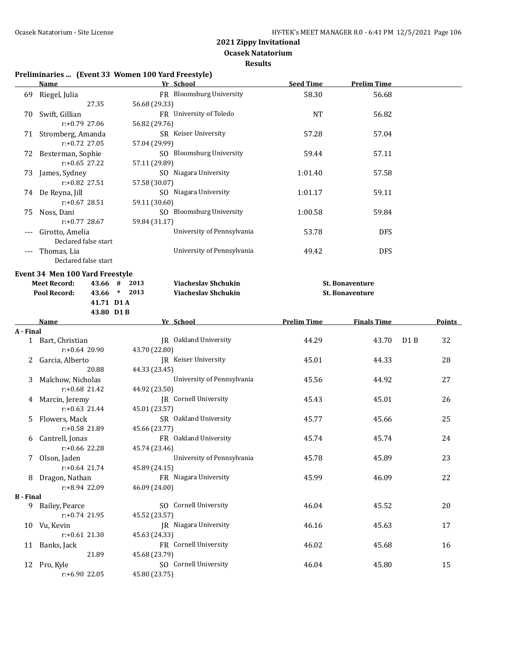**Ocasek Natatorium**

**Results**

## **Preliminaries ... (Event 33 Women 100 Yard Freestyle)**

|                  | <b>Name</b>                       | Yr School                                   | <b>Seed Time</b>   | <b>Prelim Time</b>     |                  |        |
|------------------|-----------------------------------|---------------------------------------------|--------------------|------------------------|------------------|--------|
|                  | 69 Riegel, Julia                  | FR Bloomsburg University                    | 58.30              | 56.68                  |                  |        |
|                  | 27.35                             | 56.68 (29.33)                               |                    |                        |                  |        |
|                  | 70 Swift, Gillian                 | FR University of Toledo                     | <b>NT</b>          | 56.82                  |                  |        |
|                  | $r: +0.79$ 27.06                  | 56.82 (29.76)                               |                    |                        |                  |        |
|                  | 71 Stromberg, Amanda              | SR Keiser University                        | 57.28              | 57.04                  |                  |        |
|                  | $r: +0.72$ 27.05                  | 57.04 (29.99)                               |                    |                        |                  |        |
|                  | 72 Besterman, Sophie              | SO Bloomsburg University                    | 59.44              | 57.11                  |                  |        |
|                  | $r: +0.65$ 27.22                  | 57.11 (29.89)                               |                    |                        |                  |        |
|                  | 73 James, Sydney                  | SO Niagara University                       | 1:01.40            | 57.58                  |                  |        |
|                  | r:+0.82 27.51                     | 57.58 (30.07)                               |                    |                        |                  |        |
|                  | 74 De Reyna, Jill                 | SO Niagara University                       | 1:01.17            | 59.11                  |                  |        |
|                  | r:+0.67 28.51                     | 59.11 (30.60)                               |                    |                        |                  |        |
| 75               | Noss, Dani                        | SO Bloomsburg University                    | 1:00.58            | 59.84                  |                  |        |
|                  | r:+0.77 28.67                     | 59.84 (31.17)                               |                    |                        |                  |        |
| $---$            | Girotto, Amelia                   | University of Pennsylvania                  | 53.78              | <b>DFS</b>             |                  |        |
|                  | Declared false start              |                                             |                    |                        |                  |        |
|                  | --- Thomas, Lia                   | University of Pennsylvania                  | 49.42              | <b>DFS</b>             |                  |        |
|                  | Declared false start              |                                             |                    |                        |                  |        |
|                  | Event 34 Men 100 Yard Freestyle   |                                             |                    |                        |                  |        |
|                  | <b>Meet Record:</b>               | 43.66 # 2013<br><b>Viacheslav Shchukin</b>  |                    | <b>St. Bonaventure</b> |                  |        |
|                  | Pool Record:                      | 43.66 * 2013<br><b>Viacheslav Shchukin</b>  |                    | <b>St. Bonaventure</b> |                  |        |
|                  | 41.71 D1A                         |                                             |                    |                        |                  |        |
|                  | 43.80 D1B                         |                                             |                    |                        |                  |        |
|                  | Name                              | Yr School                                   | <b>Prelim Time</b> | <b>Finals Time</b>     |                  | Points |
| A - Final        |                                   |                                             |                    |                        |                  |        |
|                  | 1 Bart, Christian                 | JR Oakland University                       | 44.29              | 43.70                  | D <sub>1</sub> B | 32     |
|                  | $r: +0.64$ 20.90                  | 43.70 (22.80)                               |                    |                        |                  |        |
|                  | 2 Garcia, Alberto                 | JR Keiser University                        | 45.01              | 44.33                  |                  | 28     |
|                  | 20.88                             | 44.33 (23.45)                               |                    |                        |                  |        |
| 3                | Malchow, Nicholas                 | University of Pennsylvania                  | 45.56              | 44.92                  |                  | 27     |
|                  | $r: +0.68$ 21.42                  | 44.92 (23.50)                               |                    |                        |                  |        |
|                  | 4 Marcin, Jeremy                  | JR Cornell University                       | 45.43              | 45.01                  |                  | 26     |
|                  | $r: +0.63$ 21.44                  | 45.01 (23.57)                               |                    |                        |                  |        |
|                  | Flowers, Mack<br>r:+0.58 21.89    | SR Oakland University                       | 45.77              | 45.66                  |                  | 25     |
|                  |                                   | 45.66 (23.77)<br>FR Oakland University      |                    |                        |                  |        |
| 6                | Cantrell, Jonas<br>r:+0.66 22.28  |                                             | 45.74              | 45.74                  |                  | 24     |
|                  |                                   | 45.74 (23.46)<br>University of Pennsylvania |                    |                        |                  |        |
|                  | 7 Olson, Jaden<br>$r.+0.64$ 21.74 | 45.89 (24.15)                               | 45.78              | 45.89                  |                  | 23     |
|                  | 8 Dragon, Nathan                  | FR Niagara University                       | 45.99              | 46.09                  |                  | 22     |
|                  | r:+8.94 22.09                     | 46.09 (24.00)                               |                    |                        |                  |        |
| <b>B</b> - Final |                                   |                                             |                    |                        |                  |        |
|                  | 9 Bailey, Pearce                  | SO Cornell University                       | 46.04              | 45.52                  |                  | 20     |
|                  | $r: +0.74$ 21.95                  | 45.52 (23.57)                               |                    |                        |                  |        |
|                  | 10 Vu, Kevin                      | JR Niagara University                       | 46.16              | 45.63                  |                  | 17     |
|                  | $r: +0.61$ 21.30                  | 45.63 (24.33)                               |                    |                        |                  |        |
|                  | 11 Banks, Jack                    | FR Cornell University                       | 46.02              | 45.68                  |                  | 16     |
|                  | 21.89                             |                                             |                    |                        |                  |        |
|                  |                                   | 45.68 (23.79)                               |                    |                        |                  |        |
|                  | 12 Pro, Kyle                      | SO Cornell University                       | 46.04              | 45.80                  |                  | 15     |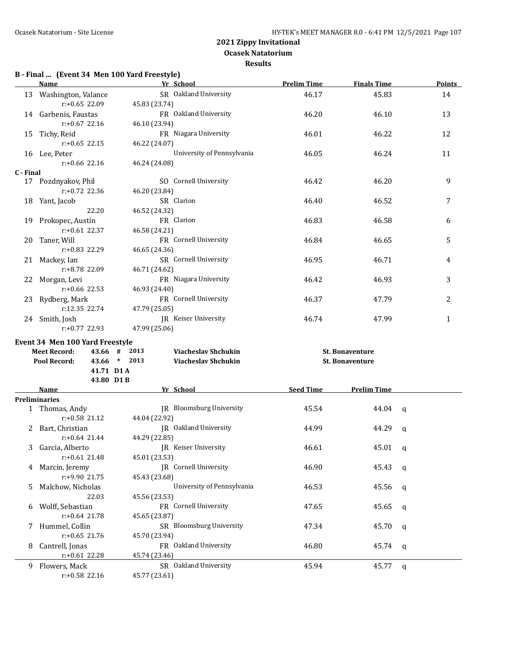**Results**

## **B - Final ... (Event 34 Men 100 Yard Freestyle)**

|           | <b>Name</b>                                                          | Yr School                                   | <b>Prelim Time</b> | <b>Finals Time</b>     | <b>Points</b> |  |
|-----------|----------------------------------------------------------------------|---------------------------------------------|--------------------|------------------------|---------------|--|
|           | 13 Washington, Valance<br>$r: +0.65$ 22.09                           | SR Oakland University<br>45.83 (23.74)      | 46.17              | 45.83                  | 14            |  |
|           | 14 Garbenis, Faustas<br>$r: +0.67$ 22.16                             | FR Oakland University<br>46.10 (23.94)      | 46.20              | 46.10                  | 13            |  |
|           | 15 Tichy, Reid<br>$r: +0.65$ 22.15                                   | FR Niagara University<br>46.22 (24.07)      | 46.01              | 46.22                  | 12            |  |
|           | 16 Lee, Peter<br>$r: +0.66$ 22.16                                    | University of Pennsylvania<br>46.24 (24.08) | 46.05              | 46.24                  | 11            |  |
| C - Final |                                                                      |                                             |                    |                        |               |  |
|           | 17 Pozdnyakov, Phil<br>$r: +0.72$ 22.36                              | SO Cornell University<br>46.20 (23.84)      | 46.42              | 46.20                  | 9             |  |
|           | 18 Yant, Jacob                                                       | SR Clarion                                  | 46.40              | 46.52                  | 7             |  |
|           | 22.20                                                                | 46.52 (24.32)                               |                    |                        |               |  |
|           | 19 Prokopec, Austin                                                  | FR Clarion                                  | 46.83              | 46.58                  | 6             |  |
|           | $r: +0.61$ 22.37                                                     | 46.58 (24.21)                               |                    |                        |               |  |
|           | 20 Taner, Will                                                       | FR Cornell University                       | 46.84              | 46.65                  | 5             |  |
|           | r:+0.83 22.29                                                        | 46.65 (24.36)                               |                    |                        |               |  |
|           | 21 Mackey, Ian                                                       | SR Cornell University                       | 46.95              | 46.71                  | 4             |  |
|           | r:+8.78 22.09                                                        | 46.71 (24.62)                               |                    |                        |               |  |
|           | 22 Morgan, Levi                                                      | FR Niagara University                       | 46.42              | 46.93                  | 3             |  |
|           | $r: +0.66$ 22.53                                                     | 46.93 (24.40)                               |                    |                        |               |  |
|           | 23 Rydberg, Mark                                                     | FR Cornell University                       | 46.37              | 47.79                  | 2             |  |
|           | r:12.35 22.74                                                        | 47.79 (25.05)                               |                    |                        |               |  |
|           | 24 Smith, Josh                                                       | JR Keiser University                        | 46.74              | 47.99                  | 1             |  |
|           | r:+0.77 22.93                                                        | 47.99 (25.06)                               |                    |                        |               |  |
|           | Event 34 Men 100 Yard Freestyle                                      |                                             |                    |                        |               |  |
|           | 2013<br><b>Viacheslav Shchukin</b><br><b>Meet Record:</b><br>43.66 # |                                             | St. Bonaventure    |                        |               |  |
|           | Pool Record:                                                         | 43.66 * 2013<br><b>Viacheslav Shchukin</b>  |                    | <b>St. Bonaventure</b> |               |  |
|           | 41.71 D1A                                                            |                                             |                    |                        |               |  |
|           | 43.80 D1B                                                            |                                             |                    |                        |               |  |
|           | Name                                                                 | Yr School                                   | <b>Seed Time</b>   | <b>Prelim Time</b>     |               |  |
|           | <b>Preliminaries</b>                                                 |                                             |                    |                        |               |  |
|           | 1 Thomas, Andy                                                       | <b>IR</b> Bloomsburg University             | 45.54              | 44.04                  | q             |  |
|           | $r: +0.58$ 21.12                                                     | 44.04 (22.92)                               |                    |                        |               |  |
|           | 2 Bart, Christian                                                    | JR Oakland University                       | 44.99              | 44.29                  | q             |  |
|           | $r: +0.64$ 21.44                                                     | 44.29 (22.85)                               |                    |                        |               |  |
|           | 3 Garcia, Alberto                                                    | JR Keiser University                        | 46.61              | 45.01                  | q             |  |
|           | $r: +0.61$ 21.48                                                     | 45.01 (23.53)                               |                    |                        |               |  |
| 4         | Marcin, Jeremy                                                       | JR Cornell University                       | 46.90              | 45.43                  | q             |  |
|           | r:+9.90 21.75                                                        | 45.43 (23.68)                               |                    |                        |               |  |
| 5         | Malchow, Nicholas                                                    | University of Pennsylvania                  | 46.53              | 45.56                  | q             |  |
|           | 22.03                                                                | 45.56 (23.53)                               |                    |                        |               |  |
| 6         | Wolff, Sebastian                                                     | FR Cornell University                       | 47.65              | 45.65                  | q             |  |
|           | $r: +0.64$ 21.78                                                     | 45.65 (23.87)                               |                    |                        |               |  |
| 7         | Hummel, Collin                                                       | SR Bloomsburg University                    | 47.34              | 45.70                  | q             |  |
|           | $r: +0.65$ 21.76                                                     | 45.70 (23.94)                               |                    |                        |               |  |
| 8         | Cantrell, Jonas                                                      | FR Oakland University                       | 46.80              | 45.74                  | q             |  |
|           | $r: +0.61$ 22.28                                                     | 45.74 (23.46)                               |                    |                        |               |  |
|           | 9 Flowers, Mack                                                      | SR Oakland University                       | 45.94              | 45.77                  | q             |  |
|           | r:+0.58 22.16                                                        | 45.77 (23.61)                               |                    |                        |               |  |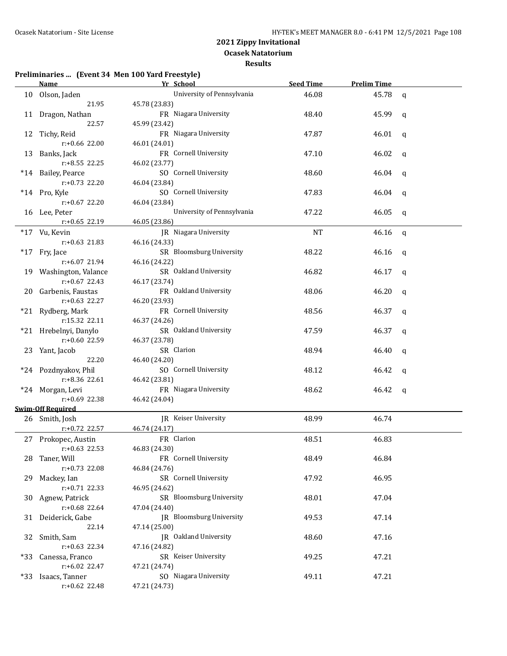**Results**

### **Preliminaries ... (Event 34 Men 100 Yard Freestyle)**

|     | Name and the same state of the state of the state of the state of the state of the state of the state of the state of the state of the state of the state of the state of the state of the state of the state of the state of | Yr School                  | <b>Seed Time</b> | <b>Prelim Time</b> |              |
|-----|-------------------------------------------------------------------------------------------------------------------------------------------------------------------------------------------------------------------------------|----------------------------|------------------|--------------------|--------------|
|     | 10 Olson, Jaden                                                                                                                                                                                                               | University of Pennsylvania | 46.08            | 45.78              | $\mathsf{q}$ |
|     | 21.95                                                                                                                                                                                                                         | 45.78 (23.83)              |                  |                    |              |
|     | 11 Dragon, Nathan                                                                                                                                                                                                             | FR Niagara University      | 48.40            | 45.99              | q            |
|     | 22.57                                                                                                                                                                                                                         | 45.99 (23.42)              |                  |                    |              |
|     | 12 Tichy, Reid                                                                                                                                                                                                                | FR Niagara University      | 47.87            | 46.01              | $\mathbf{q}$ |
|     | r:+0.66 22.00                                                                                                                                                                                                                 | 46.01 (24.01)              |                  |                    |              |
|     | 13 Banks, Jack                                                                                                                                                                                                                | FR Cornell University      | 47.10            | 46.02              | q            |
|     | $r: +8.55$ 22.25                                                                                                                                                                                                              | 46.02 (23.77)              |                  |                    |              |
|     | *14 Bailey, Pearce                                                                                                                                                                                                            | SO Cornell University      | 48.60            | 46.04              | q            |
|     | r:+0.73 22.20                                                                                                                                                                                                                 | 46.04 (23.84)              |                  |                    |              |
|     | *14 Pro, Kyle                                                                                                                                                                                                                 | SO Cornell University      | 47.83            | 46.04              | q            |
|     | $r: +0.67$ 22.20                                                                                                                                                                                                              | 46.04 (23.84)              |                  |                    |              |
|     | 16 Lee, Peter                                                                                                                                                                                                                 | University of Pennsylvania | 47.22            | 46.05              | q            |
|     | r:+0.65 22.19                                                                                                                                                                                                                 | 46.05 (23.86)              |                  |                    |              |
|     | *17 Vu, Kevin                                                                                                                                                                                                                 | JR Niagara University      | <b>NT</b>        | 46.16              | q            |
|     | $r: +0.63$ 21.83                                                                                                                                                                                                              | 46.16 (24.33)              |                  |                    |              |
|     | *17 Fry, Jace                                                                                                                                                                                                                 | SR Bloomsburg University   | 48.22            | 46.16              | q            |
|     | r:+6.07 21.94                                                                                                                                                                                                                 | 46.16 (24.22)              |                  |                    |              |
|     | 19 Washington, Valance                                                                                                                                                                                                        | SR Oakland University      | 46.82            | 46.17              | q            |
|     | $r: +0.67$ 22.43                                                                                                                                                                                                              | 46.17 (23.74)              |                  |                    |              |
|     | 20 Garbenis, Faustas                                                                                                                                                                                                          | FR Oakland University      | 48.06            | 46.20              | q            |
|     | r:+0.63 22.27                                                                                                                                                                                                                 | 46.20 (23.93)              |                  |                    |              |
|     | *21 Rydberg, Mark                                                                                                                                                                                                             | FR Cornell University      | 48.56            | 46.37              | q            |
|     | r:15.32 22.11                                                                                                                                                                                                                 | 46.37 (24.26)              |                  |                    |              |
|     | *21 Hrebelnyi, Danylo                                                                                                                                                                                                         | SR Oakland University      | 47.59            | 46.37              | q            |
|     | r:+0.60 22.59                                                                                                                                                                                                                 | 46.37 (23.78)              |                  |                    |              |
|     | 23 Yant, Jacob                                                                                                                                                                                                                | SR Clarion                 | 48.94            | 46.40              | q            |
|     | 22.20                                                                                                                                                                                                                         | 46.40 (24.20)              |                  |                    |              |
|     | *24 Pozdnyakov, Phil                                                                                                                                                                                                          | SO Cornell University      | 48.12            | 46.42              | q            |
|     | r:+8.36 22.61                                                                                                                                                                                                                 | 46.42 (23.81)              |                  |                    |              |
|     | *24 Morgan, Levi                                                                                                                                                                                                              | FR Niagara University      | 48.62            | 46.42              | q            |
|     | r:+0.69 22.38                                                                                                                                                                                                                 | 46.42 (24.04)              |                  |                    |              |
|     | <b>Swim-Off Required</b>                                                                                                                                                                                                      |                            |                  |                    |              |
|     | 26 Smith, Josh                                                                                                                                                                                                                | IR Keiser University       | 48.99            | 46.74              |              |
|     | r:+0.72 22.57                                                                                                                                                                                                                 | 46.74 (24.17)              |                  |                    |              |
|     | 27 Prokopec, Austin                                                                                                                                                                                                           | FR Clarion                 | 48.51            | 46.83              |              |
|     | $r: +0.63$ 22.53                                                                                                                                                                                                              | 46.83 (24.30)              |                  |                    |              |
| 28  | Taner, Will                                                                                                                                                                                                                   | FR Cornell University      | 48.49            | 46.84              |              |
|     | r:+0.73 22.08                                                                                                                                                                                                                 | 46.84 (24.76)              |                  |                    |              |
| 29. | Mackey, Ian                                                                                                                                                                                                                   | SR Cornell University      | 47.92            | 46.95              |              |
|     | r:+0.71 22.33                                                                                                                                                                                                                 | 46.95 (24.62)              |                  |                    |              |
| 30  | Agnew, Patrick                                                                                                                                                                                                                | SR Bloomsburg University   | 48.01            | 47.04              |              |
|     | r:+0.68 22.64                                                                                                                                                                                                                 | 47.04 (24.40)              |                  |                    |              |
|     | 31 Deiderick, Gabe                                                                                                                                                                                                            | JR Bloomsburg University   | 49.53            | 47.14              |              |
|     | 22.14                                                                                                                                                                                                                         | 47.14 (25.00)              |                  |                    |              |
|     | 32 Smith, Sam                                                                                                                                                                                                                 | JR Oakland University      | 48.60            | 47.16              |              |
|     | $r: +0.63$ 22.34                                                                                                                                                                                                              | 47.16 (24.82)              |                  |                    |              |
|     | *33 Canessa, Franco                                                                                                                                                                                                           | SR Keiser University       | 49.25            | 47.21              |              |
|     | r:+6.02 22.47                                                                                                                                                                                                                 | 47.21 (24.74)              |                  |                    |              |
|     | *33 Isaacs, Tanner                                                                                                                                                                                                            | SO Niagara University      | 49.11            | 47.21              |              |
|     | r:+0.62 22.48                                                                                                                                                                                                                 | 47.21 (24.73)              |                  |                    |              |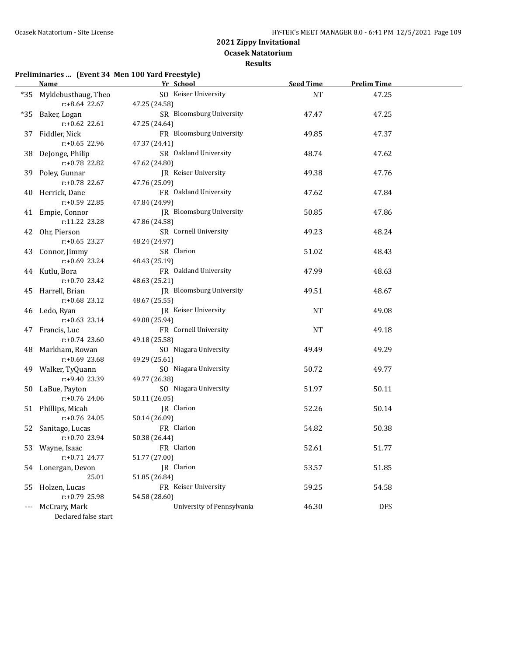**Results**

# **Preliminaries ... (Event 34 Men 100 Yard Freestyle)**

|    | <b>Name</b>             | Yr School                  | <b>Seed Time</b> | <b>Prelim Time</b> |  |
|----|-------------------------|----------------------------|------------------|--------------------|--|
|    | *35 Myklebusthaug, Theo | SO Keiser University       | <b>NT</b>        | 47.25              |  |
|    | r:+8.64 22.67           | 47.25 (24.58)              |                  |                    |  |
|    | *35 Baker, Logan        | SR Bloomsburg University   | 47.47            | 47.25              |  |
|    | $r: +0.62$ 22.61        | 47.25 (24.64)              |                  |                    |  |
|    | 37 Fiddler, Nick        | FR Bloomsburg University   | 49.85            | 47.37              |  |
|    | $r: +0.65$ 22.96        | 47.37 (24.41)              |                  |                    |  |
|    | 38 DeJonge, Philip      | SR Oakland University      | 48.74            | 47.62              |  |
|    | r:+0.78 22.82           | 47.62 (24.80)              |                  |                    |  |
|    | 39 Poley, Gunnar        | JR Keiser University       | 49.38            | 47.76              |  |
|    | r:+0.78 22.67           | 47.76 (25.09)              |                  |                    |  |
|    | 40 Herrick, Dane        | FR Oakland University      | 47.62            | 47.84              |  |
|    | r:+0.59 22.85           | 47.84 (24.99)              |                  |                    |  |
|    | 41 Empie, Connor        | JR Bloomsburg University   | 50.85            | 47.86              |  |
|    | r:11.22 23.28           | 47.86 (24.58)              |                  |                    |  |
|    | 42 Ohr, Pierson         | SR Cornell University      | 49.23            | 48.24              |  |
|    | $r: +0.65$ 23.27        | 48.24 (24.97)              |                  |                    |  |
|    | 43 Connor, Jimmy        | SR Clarion                 | 51.02            | 48.43              |  |
|    | $r: +0.69$ 23.24        | 48.43 (25.19)              |                  |                    |  |
|    | 44 Kutlu, Bora          | FR Oakland University      | 47.99            | 48.63              |  |
|    | $r: +0.70$ 23.42        | 48.63 (25.21)              |                  |                    |  |
|    | 45 Harrell, Brian       | JR Bloomsburg University   | 49.51            | 48.67              |  |
|    | $r: +0.68$ 23.12        | 48.67 (25.55)              |                  |                    |  |
|    | 46 Ledo, Ryan           | JR Keiser University       | <b>NT</b>        | 49.08              |  |
|    | $r: +0.63$ 23.14        | 49.08 (25.94)              |                  |                    |  |
|    | 47 Francis, Luc         | FR Cornell University      | <b>NT</b>        | 49.18              |  |
|    | $r: +0.74$ 23.60        | 49.18 (25.58)              |                  |                    |  |
|    | 48 Markham, Rowan       | SO Niagara University      | 49.49            | 49.29              |  |
|    | r:+0.69 23.68           | 49.29 (25.61)              |                  |                    |  |
|    | 49 Walker, TyQuann      | SO Niagara University      | 50.72            | 49.77              |  |
|    | r:+9.40 23.39           | 49.77 (26.38)              |                  |                    |  |
|    | 50 LaBue, Payton        | SO Niagara University      | 51.97            | 50.11              |  |
|    | $r: +0.76$ 24.06        | 50.11 (26.05)              |                  |                    |  |
|    | 51 Phillips, Micah      | JR Clarion                 | 52.26            | 50.14              |  |
|    | r:+0.76 24.05           | 50.14 (26.09)              |                  |                    |  |
|    | 52 Sanitago, Lucas      | FR Clarion                 | 54.82            | 50.38              |  |
|    | r:+0.70 23.94           | 50.38 (26.44)              |                  |                    |  |
|    | 53 Wayne, Isaac         | FR Clarion                 | 52.61            | 51.77              |  |
|    | $r: +0.71$ 24.77        | 51.77 (27.00)              |                  |                    |  |
|    | 54 Lonergan, Devon      | JR Clarion                 | 53.57            | 51.85              |  |
|    | 25.01                   | 51.85 (26.84)              |                  |                    |  |
| 55 | Holzen, Lucas           | FR Keiser University       | 59.25            | 54.58              |  |
|    | r:+0.79 25.98           | 54.58 (28.60)              |                  |                    |  |
|    | McCrary, Mark           | University of Pennsylvania | 46.30            | <b>DFS</b>         |  |
|    | Declared false start    |                            |                  |                    |  |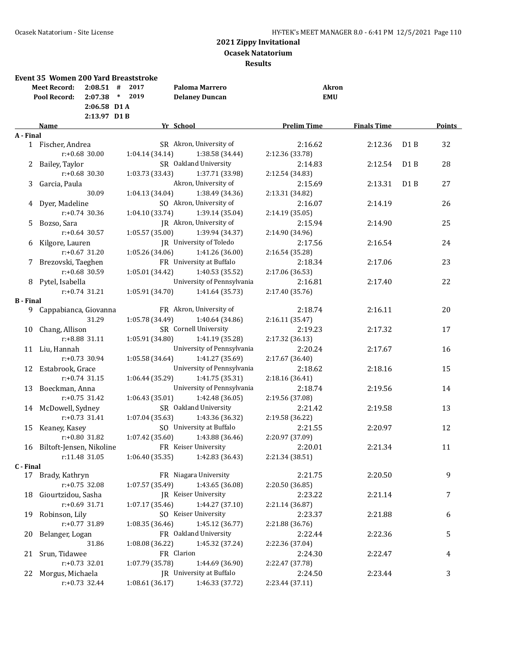|                  | <b>Event 35 Women 200 Yard Breaststroke</b><br><b>Meet Record:</b><br>Pool Record: | $2:08.51$ #<br>2:07.38<br>$2:06.58$ D1A<br>$2:13.97$ D1B | 2017<br>2019<br>$\ast$ | <b>Paloma Marrero</b><br><b>Delaney Duncan</b> |                    | Akron<br><b>EMU</b> |                  |               |
|------------------|------------------------------------------------------------------------------------|----------------------------------------------------------|------------------------|------------------------------------------------|--------------------|---------------------|------------------|---------------|
|                  | <b>Name</b>                                                                        |                                                          |                        | Yr School                                      | <b>Prelim Time</b> | <b>Finals Time</b>  |                  | <b>Points</b> |
| A - Final        |                                                                                    |                                                          |                        |                                                |                    |                     |                  |               |
|                  | 1 Fischer, Andrea                                                                  |                                                          |                        | SR Akron, University of                        | 2:16.62            | 2:12.36             | D <sub>1</sub> B | 32            |
|                  | $r: +0.68$ 30.00                                                                   |                                                          | 1:04.14(34.14)         | 1:38.58 (34.44)                                | 2:12.36 (33.78)    |                     |                  |               |
| 2                | Bailey, Taylor                                                                     |                                                          |                        | SR Oakland University                          | 2:14.83            | 2:12.54             | D <sub>1</sub> B | 28            |
|                  | $r: +0.68$ 30.30                                                                   |                                                          | 1:03.73 (33.43)        | 1:37.71 (33.98)                                | 2:12.54 (34.83)    |                     |                  |               |
| 3                | Garcia, Paula                                                                      |                                                          |                        | Akron, University of                           | 2:15.69            | 2:13.31             | D <sub>1</sub> B | 27            |
|                  |                                                                                    | 30.09                                                    | 1:04.13 (34.04)        | 1:38.49 (34.36)                                | 2:13.31 (34.82)    |                     |                  |               |
|                  | 4 Dyer, Madeline                                                                   |                                                          |                        | SO Akron, University of                        | 2:16.07            | 2:14.19             |                  | 26            |
|                  | $r: +0.74$ 30.36                                                                   |                                                          | 1:04.10 (33.74)        | 1:39.14 (35.04)                                | 2:14.19 (35.05)    |                     |                  |               |
| 5.               | Bozso, Sara                                                                        |                                                          |                        | JR Akron, University of                        | 2:15.94            | 2:14.90             |                  | 25            |
|                  | $r: +0.64$ 30.57                                                                   |                                                          | 1:05.57 (35.00)        | 1:39.94 (34.37)                                | 2:14.90 (34.96)    |                     |                  |               |
| 6                | Kilgore, Lauren                                                                    |                                                          |                        | JR University of Toledo                        | 2:17.56            | 2:16.54             |                  | 24            |
|                  | $r: +0.67$ 31.20                                                                   |                                                          | 1:05.26 (34.06)        | 1:41.26 (36.00)                                | 2:16.54 (35.28)    |                     |                  |               |
| 7                | Brezovski, Taeghen                                                                 |                                                          |                        | FR University at Buffalo                       | 2:18.34            | 2:17.06             |                  | 23            |
|                  | r:+0.68 30.59                                                                      |                                                          | 1:05.01 (34.42)        | 1:40.53 (35.52)                                | 2:17.06 (36.53)    |                     |                  |               |
|                  | 8 Pytel, Isabella                                                                  |                                                          |                        | University of Pennsylvania                     | 2:16.81            | 2:17.40             |                  | 22            |
|                  | $r: +0.74$ 31.21                                                                   |                                                          | 1:05.91 (34.70)        | 1:41.64 (35.73)                                | 2:17.40 (35.76)    |                     |                  |               |
| <b>B</b> - Final |                                                                                    |                                                          |                        |                                                |                    |                     |                  |               |
| 9.               | Cappabianca, Giovanna                                                              |                                                          |                        | FR Akron, University of                        | 2:18.74            | 2:16.11             |                  | 20            |
|                  |                                                                                    | 31.29                                                    | 1:05.78 (34.49)        | 1:40.64 (34.86)                                | 2:16.11 (35.47)    |                     |                  |               |
| 10               | Chang, Allison                                                                     |                                                          |                        | SR Cornell University                          | 2:19.23            | 2:17.32             |                  | 17            |
|                  | r:+8.88 31.11                                                                      |                                                          | 1:05.91 (34.80)        | 1:41.19 (35.28)                                | 2:17.32 (36.13)    |                     |                  |               |
|                  | 11 Liu, Hannah                                                                     |                                                          |                        | University of Pennsylvania                     | 2:20.24            | 2:17.67             |                  | 16            |
|                  | $r: +0.73$ 30.94                                                                   |                                                          | 1:05.58 (34.64)        | 1:41.27 (35.69)                                | 2:17.67 (36.40)    |                     |                  |               |
|                  | 12 Estabrook, Grace                                                                |                                                          |                        | University of Pennsylvania                     | 2:18.62            | 2:18.16             |                  | 15            |
|                  | $r: +0.74$ 31.15                                                                   |                                                          | 1:06.44 (35.29)        | 1:41.75 (35.31)                                | 2:18.16 (36.41)    |                     |                  |               |
|                  | 13 Boeckman, Anna                                                                  |                                                          |                        | University of Pennsylvania                     | 2:18.74            | 2:19.56             |                  | 14            |
|                  | $r: +0.75$ 31.42                                                                   |                                                          | 1:06.43(35.01)         | 1:42.48 (36.05)                                | 2:19.56 (37.08)    |                     |                  |               |
|                  | 14 McDowell, Sydney                                                                |                                                          |                        | SR Oakland University                          | 2:21.42            | 2:19.58             |                  | 13            |
|                  | $r: +0.73$ 31.41                                                                   |                                                          | 1:07.04 (35.63)        | 1:43.36 (36.32)                                | 2:19.58 (36.22)    |                     |                  |               |
| 15               | Keaney, Kasey                                                                      |                                                          |                        | SO University at Buffalo                       | 2:21.55            | 2:20.97             |                  | 12            |
|                  | r:+0.80 31.82                                                                      |                                                          | 1:07.42 (35.60)        | 1:43.88 (36.46)                                | 2:20.97 (37.09)    |                     |                  |               |
|                  | 16 Biltoft-Jensen, Nikoline                                                        |                                                          |                        | FR Keiser University                           | 2:20.01            | 2:21.34             |                  | 11            |
|                  | r:11.48 31.05                                                                      |                                                          | 1:06.40 (35.35)        | 1:42.83 (36.43)                                | 2:21.34 (38.51)    |                     |                  |               |
| C - Final        |                                                                                    |                                                          |                        |                                                |                    |                     |                  |               |
|                  | 17 Brady, Kathryn                                                                  |                                                          |                        | FR Niagara University                          | 2:21.75            | 2:20.50             |                  | 9             |
|                  | $r: +0.75$ 32.08                                                                   |                                                          | 1:07.57(35.49)         | 1:43.65 (36.08)                                | 2:20.50 (36.85)    |                     |                  |               |
|                  | 18 Giourtzidou, Sasha                                                              |                                                          |                        | <b>IR</b> Keiser University                    | 2:23.22            | 2:21.14             |                  | 7             |
|                  | r:+0.69 31.71                                                                      |                                                          | 1:07.17 (35.46)        | 1:44.27 (37.10)                                | 2:21.14 (36.87)    |                     |                  |               |
|                  | 19 Robinson, Lily                                                                  |                                                          |                        | SO Keiser University                           | 2:23.37            | 2:21.88             |                  | 6             |
|                  | r:+0.77 31.89                                                                      |                                                          | 1:08.35 (36.46)        | 1:45.12 (36.77)                                | 2:21.88 (36.76)    |                     |                  |               |
|                  | 20 Belanger, Logan                                                                 |                                                          |                        | FR Oakland University                          | 2:22.44            | 2:22.36             |                  | 5             |
|                  |                                                                                    | 31.86                                                    | 1:08.08 (36.22)        | 1:45.32 (37.24)                                | 2:22.36 (37.04)    |                     |                  |               |
|                  | 21 Srun, Tidawee                                                                   |                                                          |                        | FR Clarion                                     | 2:24.30            | 2:22.47             |                  | 4             |
|                  | $r: +0.73$ 32.01                                                                   |                                                          | 1:07.79 (35.78)        | 1:44.69 (36.90)                                | 2:22.47 (37.78)    |                     |                  |               |
|                  | 22 Morgus, Michaela                                                                |                                                          |                        | JR University at Buffalo                       | 2:24.50            | 2:23.44             |                  | 3             |
|                  | $r: +0.73$ 32.44                                                                   |                                                          | 1:08.61 (36.17)        | 1:46.33 (37.72)                                | 2:23.44 (37.11)    |                     |                  |               |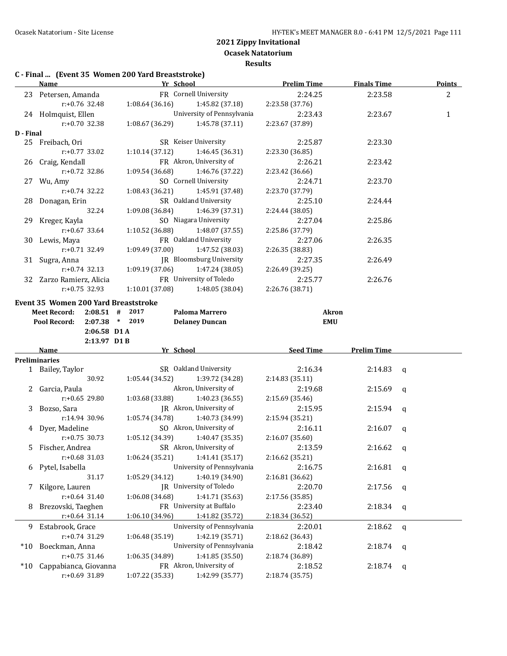**Ocasek Natatorium Results**

# **C - Final ... (Event 35 Women 200 Yard Breaststroke)**

|           | <b>Name</b>                                 | Yr School       |                                | <b>Prelim Time</b> | <b>Finals Time</b> | <b>Points</b>  |
|-----------|---------------------------------------------|-----------------|--------------------------------|--------------------|--------------------|----------------|
|           | 23 Petersen, Amanda                         |                 | FR Cornell University          | 2:24.25            | 2:23.58            | $\overline{2}$ |
|           | r:+0.76 32.48                               | 1:08.64(36.16)  | 1:45.82 (37.18)                | 2:23.58 (37.76)    |                    |                |
|           | 24 Holmquist, Ellen                         |                 | University of Pennsylvania     | 2:23.43            | 2:23.67            | 1              |
|           | $r: +0.70$ 32.38                            | 1:08.67 (36.29) | 1:45.78 (37.11)                | 2:23.67 (37.89)    |                    |                |
| D - Final |                                             |                 |                                |                    |                    |                |
|           | 25 Freibach, Ori                            |                 | SR Keiser University           | 2:25.87            | 2:23.30            |                |
|           | $r: +0.77$ 33.02                            | 1:10.14(37.12)  | 1:46.45 (36.31)                | 2:23.30 (36.85)    |                    |                |
|           | 26 Craig, Kendall                           |                 | FR Akron, University of        | 2:26.21            | 2:23.42            |                |
|           | $r: +0.72$ 32.86                            | 1:09.54 (36.68) | 1:46.76 (37.22)                | 2:23.42 (36.66)    |                    |                |
|           | 27 Wu, Amy                                  |                 | SO Cornell University          | 2:24.71            | 2:23.70            |                |
|           | r:+0.74 32.22                               | 1:08.43(36.21)  | 1:45.91 (37.48)                | 2:23.70 (37.79)    |                    |                |
|           | 28 Donagan, Erin                            |                 | SR Oakland University          | 2:25.10            | 2:24.44            |                |
|           | 32.24                                       | 1:09.08(36.84)  | 1:46.39 (37.31)                | 2:24.44 (38.05)    |                    |                |
|           | 29 Kreger, Kayla                            |                 | SO Niagara University          | 2:27.04            | 2:25.86            |                |
|           | $r: +0.67$ 33.64                            | 1:10.52 (36.88) | 1:48.07 (37.55)                | 2:25.86 (37.79)    |                    |                |
|           | 30 Lewis, Maya                              |                 | FR Oakland University          | 2:27.06            | 2:26.35            |                |
|           | $r: +0.71$ 32.49                            | 1:09.49(37.00)  | 1:47.52 (38.03)                | 2:26.35 (38.83)    |                    |                |
|           | 31 Sugra, Anna                              |                 | JR Bloomsburg University       | 2:27.35            | 2:26.49            |                |
|           | $r: +0.74$ 32.13                            | 1:09.19(37.06)  | 1:47.24 (38.05)                | 2:26.49 (39.25)    |                    |                |
|           | 32 Zarzo Ramierz, Alicia                    |                 | FR University of Toledo        | 2:25.77            | 2:26.76            |                |
|           | $r: +0.75$ 32.93                            | 1:10.01(37.08)  | 1:48.05 (38.04)                | 2:26.76 (38.71)    |                    |                |
|           |                                             |                 |                                |                    |                    |                |
|           | <b>Event 35 Women 200 Yard Breaststroke</b> |                 |                                |                    |                    |                |
|           | <b>Meet Record:</b><br>$2:08.51$ # 2017     |                 | Paloma Marrero                 | <b>Akron</b>       |                    |                |
|           | $2:07.38$ * 2019<br>Pool Record:            |                 | <b>Delaney Duncan</b>          | <b>EMU</b>         |                    |                |
|           | $2:06.58$ D1A                               |                 |                                |                    |                    |                |
|           | $2:13.97$ D1 B                              |                 |                                |                    |                    |                |
|           | Name                                        | Yr School       |                                | <b>Seed Time</b>   | <b>Prelim Time</b> |                |
|           | <b>Preliminaries</b>                        |                 |                                |                    |                    |                |
|           | 1 Bailey, Taylor                            |                 | SR Oakland University          | 2:16.34            | 2:14.83            | q              |
|           | 30.92                                       | 1:05.44 (34.52) | 1:39.72 (34.28)                | 2:14.83 (35.11)    |                    |                |
|           | 2 Garcia, Paula                             |                 | Akron, University of           | 2:19.68            | 2:15.69            | q              |
|           | $r: +0.65$ 29.80                            | 1:03.68 (33.88) | 1:40.23 (36.55)                | 2:15.69 (35.46)    |                    |                |
|           | 3 Bozso, Sara                               |                 | JR Akron, University of        | 2:15.95            | 2:15.94            | $\mathsf{q}$   |
|           | r:14.94 30.96                               | 1:05.74 (34.78) | 1:40.73 (34.99)                | 2:15.94 (35.21)    |                    |                |
|           | 4 Dyer, Madeline                            |                 | SO Akron, University of        | 2:16.11            | 2:16.07            | $\mathsf{q}$   |
|           | $r: +0.75$ 30.73                            | 1:05.12 (34.39) | 1:40.47 (35.35)                | 2:16.07 (35.60)    |                    |                |
|           | 5 Fischer, Andrea                           |                 | SR Akron, University of        | 2:13.59            | 2:16.62            | q              |
|           | $r: +0.68$ 31.03                            | 1:06.24(35.21)  | 1:41.41 (35.17)                | 2:16.62 (35.21)    |                    |                |
| 6         | Pytel, Isabella                             |                 | University of Pennsylvania     | 2:16.75            | 2:16.81            | q              |
|           | 31.17                                       | 1:05.29 (34.12) | 1:40.19 (34.90)                | 2:16.81 (36.62)    |                    |                |
| 7         | Kilgore, Lauren                             |                 | <b>IR</b> University of Toledo | 2:20.70            | 2:17.56            | q              |
|           | $r: +0.64$ 31.40                            | 1:06.08 (34.68) | 1:41.71 (35.63)                | 2:17.56 (35.85)    |                    |                |
| 8         | Brezovski, Taeghen                          |                 | FR University at Buffalo       | 2:23.40            | 2:18.34            | $\mathbf q$    |
|           | $r: +0.64$ 31.14                            | 1:06.10 (34.96) | 1:41.82 (35.72)                | 2:18.34 (36.52)    |                    |                |
| 9         | Estabrook, Grace                            |                 | University of Pennsylvania     | 2:20.01            | 2:18.62            | q              |
|           | r:+0.74 31.29                               | 1:06.48 (35.19) | 1:42.19 (35.71)                | 2:18.62 (36.43)    |                    |                |
| $*10$     | Boeckman, Anna                              |                 | University of Pennsylvania     | 2:18.42            | 2:18.74            | q              |
|           | r:+0.75 31.46                               | 1:06.35 (34.89) | 1:41.85 (35.50)                | 2:18.74 (36.89)    |                    |                |
| $*10$     | Cappabianca, Giovanna                       |                 | FR Akron, University of        | 2:18.52            | 2:18.74            | q              |
|           | r:+0.69 31.89                               | 1:07.22 (35.33) | 1:42.99 (35.77)                | 2:18.74 (35.75)    |                    |                |
|           |                                             |                 |                                |                    |                    |                |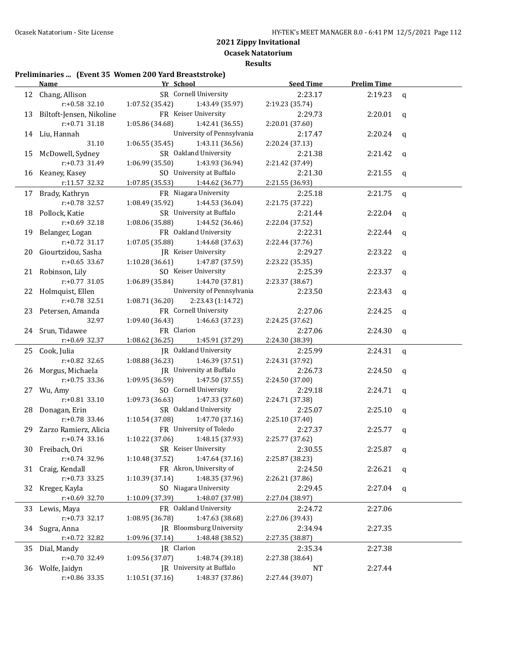**Ocasek Natatorium Results**

# **Preliminaries ... (Event 35 Women 200 Yard Breaststroke)**

|    | <b>Name</b>                  | Yr School                         |                                          | <b>Seed Time</b>           | <b>Prelim Time</b> |              |
|----|------------------------------|-----------------------------------|------------------------------------------|----------------------------|--------------------|--------------|
|    | 12 Chang, Allison            |                                   | SR Cornell University                    | 2:23.17                    | 2:19.23            | $\mathbf{q}$ |
|    | $r: +0.58$ 32.10             | 1:07.52 (35.42)                   | 1:43.49 (35.97)                          | 2:19.23 (35.74)            |                    |              |
|    | 13 Biltoft-Jensen, Nikoline  |                                   | FR Keiser University                     | 2:29.73                    | $2:20.01$ q        |              |
|    | $r: +0.71$ 31.18             | 1:05.86 (34.68)                   | 1:42.41 (36.55)                          | 2:20.01 (37.60)            |                    |              |
|    | 14 Liu, Hannah               |                                   | University of Pennsylvania               | 2:17.47                    | $2:20.24$ q        |              |
|    | 31.10                        | 1:06.55(35.45)                    | 1:43.11 (36.56)                          | 2:20.24 (37.13)            |                    |              |
|    | 15 McDowell, Sydney          |                                   | SR Oakland University                    | 2:21.38                    | 2:21.42            | $\mathbf{q}$ |
|    | r:+0.73 31.49                | 1:06.99(35.50)                    | 1:43.93 (36.94)                          | 2:21.42 (37.49)            |                    |              |
|    | 16 Keaney, Kasey             |                                   | SO University at Buffalo                 | 2:21.30                    | 2:21.55            | q            |
|    | r:11.57 32.32                | $1:07.85(35.53)$ $1:44.62(36.77)$ |                                          | 2:21.55 (36.93)            |                    |              |
|    | 17 Brady, Kathryn            |                                   | FR Niagara University                    | 2:25.18                    | 2:21.75            | q            |
|    | r:+0.78 32.57                | 1:08.49 (35.92)                   | 1:44.53 (36.04)                          | 2:21.75 (37.22)            |                    |              |
|    | 18 Pollock, Katie            |                                   | SR University at Buffalo                 | 2:21.44                    | 2:22.04            | $\mathbf{q}$ |
|    | $r: +0.69$ 32.18             | 1:08.06(35.88)                    | 1:44.52 (36.46)                          | 2:22.04 (37.52)            |                    |              |
|    | 19 Belanger, Logan           |                                   | FR Oakland University                    | 2:22.31                    | 2:22.44            | $\mathbf{q}$ |
|    | $r: +0.72$ 31.17             | 1:07.05(35.88)                    | 1:44.68 (37.63)                          | 2:22.44 (37.76)            |                    |              |
|    | 20 Giourtzidou, Sasha        |                                   | JR Keiser University                     | 2:29.27                    | 2:23.22            | $\mathbf q$  |
|    | $r: +0.65$ 33.67             | 1:10.28(36.61)                    | 1:47.87 (37.59)                          | 2:23.22 (35.35)            |                    |              |
|    | 21 Robinson, Lily            |                                   | SO Keiser University                     | 2:25.39                    | 2:23.37            | $\mathbf q$  |
|    | $r: +0.77$ 31.05             | 1:06.89(35.84)                    | 1:44.70 (37.81)                          | 2:23.37 (38.67)            |                    |              |
|    | 22 Holmquist, Ellen          |                                   | University of Pennsylvania               | 2:23.50                    | 2:23.43            | $\mathbf{q}$ |
|    | $r: +0.78$ 32.51             | 1:08.71 (36.20)                   | 2:23.43 (1:14.72)                        |                            |                    |              |
|    | 23 Petersen, Amanda          |                                   | FR Cornell University                    | 2:27.06                    | 2:24.25            | $\mathbf{q}$ |
|    | 32.97                        | $1:09.40(36.43)$ $1:46.63(37.23)$ |                                          | 2:24.25 (37.62)            |                    |              |
|    | 24 Srun, Tidawee             | FR Clarion                        |                                          | 2:27.06                    | 2:24.30            | q            |
|    | $r: +0.69$ 32.37             | 1:08.62 (36.25) 1:45.91 (37.29)   |                                          | 2:24.30 (38.39)            |                    |              |
|    | 25 Cook, Julia               |                                   | <b>IR</b> Oakland University             | 2:25.99                    | 2:24.31            | q            |
|    | $r: +0.82$ 32.65             | 1:08.88(36.23)                    | 1:46.39 (37.51)                          | 2:24.31 (37.92)            |                    |              |
|    | 26 Morgus, Michaela          |                                   | JR University at Buffalo                 | 2:26.73                    | 2:24.50            | q            |
|    | $r: +0.75$ 33.36             | 1:09.95(36.59)                    | 1:47.50 (37.55)                          | 2:24.50 (37.00)            |                    |              |
|    | 27 Wu, Amy                   |                                   | SO Cornell University                    | 2:29.18                    | 2:24.71            | q            |
|    | $r: +0.81$ 33.10             | $1:09.73(36.63)$ $1:47.33(37.60)$ |                                          | 2:24.71 (37.38)            |                    |              |
|    | 28 Donagan, Erin             |                                   | SR Oakland University                    | 2:25.07                    | 2:25.10            | $\mathbf{q}$ |
|    | $r: +0.78$ 33.46             | 1:10.54 (37.08)                   | 1:47.70 (37.16)                          | 2:25.10 (37.40)            |                    |              |
|    | 29 Zarzo Ramierz, Alicia     |                                   | FR University of Toledo                  | 2:27.37                    | 2:25.77            | q            |
|    | $r: +0.74$ 33.16             | 1:10.22(37.06)                    | 1:48.15 (37.93)                          | 2:25.77 (37.62)            |                    |              |
|    | 30 Freibach. Ori             | SR Keiser University              |                                          | 2:30.55                    | $2:25.87$ q        |              |
|    | $r: +0.74$ 32.96             | 1:10.48 (37.52)                   | 1:47.64 (37.16)                          | 2:25.87 (38.23)            |                    |              |
|    | 31 Craig, Kendall            |                                   | FR Akron, University of                  | 2:24.50                    | 2:26.21            | q            |
|    | $r: +0.73$ 33.25             | 1:10.39 (37.14)                   | 1:48.35 (37.96)                          | 2:26.21 (37.86)            |                    |              |
| 32 | Kreger, Kayla                | 1:10.09 (37.39)                   | SO Niagara University                    | 2:29.45                    | 2:27.04            | q            |
|    | $r: +0.69$ 32.70             |                                   | 1:48.07 (37.98)                          | 2:27.04 (38.97)            |                    |              |
| 33 | Lewis, Maya                  |                                   | FR Oakland University<br>1:47.63 (38.68) | 2:24.72                    | 2:27.06            |              |
|    | $r: +0.73$ 32.17             | 1:08.95 (36.78)                   | JR Bloomsburg University                 | 2:27.06 (39.43)<br>2:34.94 |                    |              |
| 34 | Sugra, Anna<br>r:+0.72 32.82 | 1:09.96 (37.14)                   |                                          |                            | 2:27.35            |              |
|    |                              | JR Clarion                        | 1:48.48 (38.52)                          | 2:27.35 (38.87)<br>2:35.34 |                    |              |
| 35 | Dial, Mandy<br>r:+0.70 32.49 | 1:09.56 (37.07)                   | 1:48.74 (39.18)                          |                            | 2:27.38            |              |
|    | 36 Wolfe, Jaidyn             |                                   | JR University at Buffalo                 | 2:27.38 (38.64)<br>NT      | 2:27.44            |              |
|    | r:+0.86 33.35                | 1:10.51 (37.16)                   | 1:48.37 (37.86)                          | 2:27.44 (39.07)            |                    |              |
|    |                              |                                   |                                          |                            |                    |              |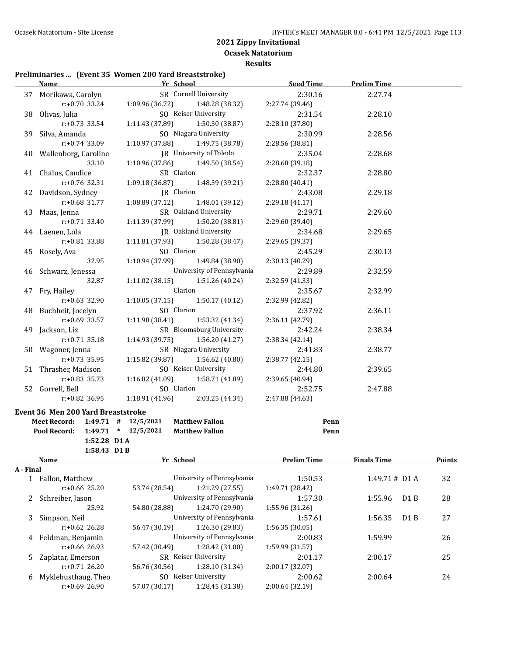**Ocasek Natatorium Results**

# **Preliminaries ... (Event 35 Women 200 Yard Breaststroke)**

| Name                               |                         | Yr School Manual Art School         | Seed Time       | <b>Prelim Time</b> |  |
|------------------------------------|-------------------------|-------------------------------------|-----------------|--------------------|--|
| 37 Morikawa, Carolyn               |                         | SR Cornell University               | 2:30.16         | 2:27.74            |  |
| $r: +0.70$ 33.24                   |                         | 1:09.96 (36.72) 1:48.28 (38.32)     | 2:27.74 (39.46) |                    |  |
| 38 Olivas, Julia                   |                         | SO Keiser University                | 2:31.54         | 2:28.10            |  |
| $r: +0.73$ 33.54                   | 1:11.43 (37.89)         | 1:50.30 (38.87)                     | 2:28.10 (37.80) |                    |  |
| 39 Silva, Amanda                   |                         | SO Niagara University               | 2:30.99         | 2:28.56            |  |
| $r: +0.74$ 33.09                   |                         | $1:10.97(37.88)$ $1:49.75(38.78)$   | 2:28.56 (38.81) |                    |  |
| 40 Wallenborg, Caroline            |                         | JR University of Toledo             | 2:35.04         | 2:28.68            |  |
| 33.10                              |                         | 1:10.96 (37.86) 1:49.50 (38.54)     | 2:28.68 (39.18) |                    |  |
| 41 Chalus, Candice                 |                         | SR Clarion                          | 2:32.37         | 2:28.80            |  |
| $r: +0.76$ 32.31                   | 1:09.18(36.87)          | 1:48.39 (39.21)                     | 2:28.80(40.41)  |                    |  |
| 42 Davidson, Sydney                |                         | JR Clarion                          | 2:43.08         | 2:29.18            |  |
| $r: +0.68$ 31.77                   | 1:08.89 (37.12)         | 1:48.01 (39.12)                     | 2:29.18(41.17)  |                    |  |
| 43 Maas, Jenna                     |                         | SR Oakland University               | 2:29.71         | 2:29.60            |  |
| $r: +0.71$ 33.40                   |                         | $1:11.39$ (37.99) $1:50.20$ (38.81) | 2:29.60 (39.40) |                    |  |
| 44 Laenen, Lola                    |                         | JR Oakland University               | 2:34.68         | 2:29.65            |  |
| r:+0.81 33.88                      |                         | 1:11.81 (37.93) 1:50.28 (38.47)     | 2:29.65 (39.37) |                    |  |
| 45 Rosely, Ava                     |                         | SO Clarion                          | 2:45.29         | 2:30.13            |  |
| 32.95                              |                         | $1:10.94(37.99)$ 1:49.84 (38.90)    | 2:30.13 (40.29) |                    |  |
| 46 Schwarz, Jenessa                |                         | University of Pennsylvania          | 2:29.89         | 2:32.59            |  |
| 32.87                              | 1:11.02 (38.15)         | 1:51.26 (40.24)                     | 2:32.59 (41.33) |                    |  |
| 47 Fry, Hailey                     |                         | Clarion                             | 2:35.67         | 2:32.99            |  |
| $r: +0.63$ 32.90                   |                         | $1:10.05(37.15)$ $1:50.17(40.12)$   | 2:32.99 (42.82) |                    |  |
| 48 Buchheit, Jocelyn               |                         | SO Clarion                          | 2:37.92         | 2:36.11            |  |
| r:+0.69 33.57                      |                         | $1:11.98(38.41)$ $1:53.32(41.34)$   | 2:36.11 (42.79) |                    |  |
| 49 Jackson, Liz                    |                         | SR Bloomsburg University            | 2:42.24         | 2:38.34            |  |
| $r: +0.71$ 35.18                   |                         | $1:14.93(39.75)$ $1:56.20(41.27)$   | 2:38.34 (42.14) |                    |  |
| 50 Wagoner, Jenna                  |                         | SR Niagara University               | 2:41.83         | 2:38.77            |  |
| $r: +0.73$ 35.95                   |                         | $1:15.82$ (39.87) $1:56.62$ (40.80) | 2:38.77(42.15)  |                    |  |
| 51 Thrasher, Madison               |                         | SO Keiser University                | 2:44.80         | 2:39.65            |  |
| $r: +0.83$ 35.73                   |                         | $1:16.82$ (41.09) $1:58.71$ (41.89) | 2:39.65 (40.94) |                    |  |
| 52 Gorrell, Bell                   |                         | SO Clarion                          | 2:52.75         | 2:47.88            |  |
| $r+0.82$ 36.95                     |                         | $1:18.91(41.96)$ $2:03.25(44.34)$   | 2:47.88 (44.63) |                    |  |
| Event 36 Men 200 Yard Breaststroke |                         |                                     |                 |                    |  |
| Meet Record: 1:49.71 # 12/5/2021   |                         | <b>Matthew Fallon</b>               | Penn            |                    |  |
| Pool Record:                       | $1:49.71$ * $12/5/2021$ | <b>Matthew Fallon</b>               | Penn            |                    |  |
| 1:52.28 D1A                        |                         |                                     |                 |                    |  |
| 1:58.43 D1B                        |                         |                                     |                 |                    |  |

|           | <b>Name</b>         |               | Yr School                  |                 | <b>Finals Time</b>       | <b>Points</b> |
|-----------|---------------------|---------------|----------------------------|-----------------|--------------------------|---------------|
| A - Final |                     |               |                            |                 |                          |               |
|           | Fallon, Matthew     |               | University of Pennsylvania | 1:50.53         | $1:49.71 \# \text{D1 A}$ | 32            |
|           | $r: +0.66$ 25.20    | 53.74 (28.54) | 1:21.29(27.55)             | 1:49.71 (28.42) |                          |               |
|           | Schreiber, Jason    |               | University of Pennsylvania | 1:57.30         | 1:55.96<br>D1B           | 28            |
|           | 25.92               | 54.80 (28.88) | 1:24.70 (29.90)            | 1:55.96 (31.26) |                          |               |
| 3         | Simpson, Neil       |               | University of Pennsylvania | 1:57.61         | 1:56.35<br>D1B           | 27            |
|           | $r: +0.62$ 26.28    | 56.47 (30.19) | 1:26.30 (29.83)            | 1:56.35(30.05)  |                          |               |
| 4         | Feldman, Benjamin   |               | University of Pennsylvania | 2:00.83         | 1:59.99                  | 26            |
|           | $r: +0.66$ 26.93    | 57.42 (30.49) | 1:28.42 (31.00)            | 1:59.99 (31.57) |                          |               |
|           | Zaplatar, Emerson   |               | SR Keiser University       | 2:01.17         | 2:00.17                  | 25            |
|           | $r: +0.71$ 26.20    | 56.76 (30.56) | 1:28.10 (31.34)            | 2:00.17 (32.07) |                          |               |
| 6         | Myklebusthaug, Theo | SO.           | Keiser University          |                 | 2:00.64                  | 24            |
|           | $r: +0.69$ 26.90    | 57.07 (30.17) | 1:28.45 (31.38)            | 2:00.64 (32.19) |                          |               |
|           |                     |               |                            |                 |                          |               |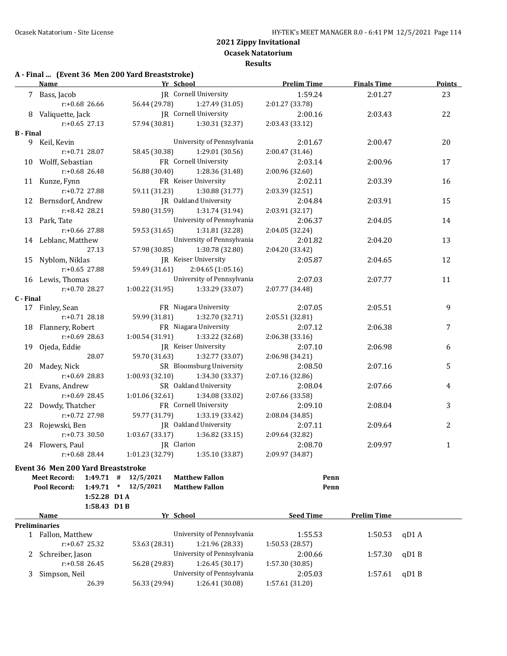**Results**

# **A - Final ... (Event 36 Men 200 Yard Breaststroke)**

|                  | <b>Name</b>                        | Yr School       |                                     | <b>Prelim Time</b> | <b>Finals Time</b> | <b>Points</b> |
|------------------|------------------------------------|-----------------|-------------------------------------|--------------------|--------------------|---------------|
|                  | 7 Bass, Jacob                      |                 | JR Cornell University               | 1:59.24            | 2:01.27            | 23            |
|                  | $r: +0.68$ 26.66                   | 56.44 (29.78)   | 1:27.49 (31.05)                     | 2:01.27 (33.78)    |                    |               |
|                  | 8 Valiquette, Jack                 |                 | JR Cornell University               | 2:00.16            | 2:03.43            | 22            |
|                  | $r: +0.65$ 27.13                   |                 | 57.94 (30.81) 1:30.31 (32.37)       | 2:03.43 (33.12)    |                    |               |
| <b>B</b> - Final |                                    |                 |                                     |                    |                    |               |
|                  | 9 Keil, Kevin                      |                 | University of Pennsylvania          | 2:01.67            | 2:00.47            | 20            |
|                  | r:+0.71 28.07                      | 58.45 (30.38)   | 1:29.01(30.56)                      | 2:00.47 (31.46)    |                    |               |
|                  | 10 Wolff, Sebastian                |                 | FR Cornell University               | 2:03.14            | 2:00.96            | 17            |
|                  | r:+0.68 26.48                      | 56.88 (30.40)   | 1:28.36 (31.48)                     | 2:00.96 (32.60)    |                    |               |
|                  | 11 Kunze, Fynn                     |                 | FR Keiser University                | 2:02.11            | 2:03.39            | 16            |
|                  | r:+0.72 27.88                      | 59.11 (31.23)   | 1:30.88(31.77)                      | 2:03.39 (32.51)    |                    |               |
|                  | 12 Bernsdorf, Andrew               |                 | JR Oakland University               | 2:04.84            | 2:03.91            | 15            |
|                  | r:+8.42 28.21                      | 59.80 (31.59)   | 1:31.74 (31.94)                     | 2:03.91 (32.17)    |                    |               |
|                  | 13 Park, Tate                      |                 | University of Pennsylvania          | 2:06.37            | 2:04.05            | 14            |
|                  | r:+0.66 27.88                      | 59.53 (31.65)   | 1:31.81 (32.28)                     | 2:04.05 (32.24)    |                    |               |
|                  | 14 Leblanc, Matthew                |                 | University of Pennsylvania          | 2:01.82            | 2:04.20            | 13            |
|                  | 27.13                              | 57.98 (30.85)   | 1:30.78 (32.80)                     | 2:04.20 (33.42)    |                    |               |
|                  | 15 Nyblom, Niklas                  |                 | JR Keiser University                | 2:05.87            | 2:04.65            | 12            |
|                  | $r: +0.65$ 27.88                   | 59.49 (31.61)   | 2:04.65(1:05.16)                    |                    |                    |               |
|                  | 16 Lewis, Thomas                   |                 | University of Pennsylvania          | 2:07.03            | 2:07.77            | 11            |
|                  | $r: +0.70$ 28.27                   |                 | $1:00.22$ (31.95) $1:33.29$ (33.07) | 2:07.77 (34.48)    |                    |               |
| C - Final        |                                    |                 |                                     |                    |                    |               |
|                  | 17 Finley, Sean                    |                 | FR Niagara University               | 2:07.05            | 2:05.51            | 9             |
|                  | r:+0.71 28.18                      | 59.99 (31.81)   | 1:32.70 (32.71)                     | 2:05.51 (32.81)    |                    |               |
|                  | 18 Flannery, Robert                |                 | FR Niagara University               | 2:07.12            | 2:06.38            | 7             |
|                  | r:+0.69 28.63                      | 1:00.54(31.91)  | 1:33.22 (32.68)                     | 2:06.38 (33.16)    |                    |               |
|                  | 19 Ojeda, Eddie                    |                 | JR Keiser University                | 2:07.10            | 2:06.98            | 6             |
|                  | 28.07                              | 59.70 (31.63)   | 1:32.77 (33.07)                     | 2:06.98 (34.21)    |                    |               |
|                  | 20 Madey, Nick                     |                 | SR Bloomsburg University            | 2:08.50            | 2:07.16            | 5             |
|                  | r:+0.69 28.83                      | 1:00.93(32.10)  | 1:34.30 (33.37)                     | 2:07.16 (32.86)    |                    |               |
|                  | 21 Evans, Andrew                   |                 | SR Oakland University               | 2:08.04            | 2:07.66            | 4             |
|                  | r:+0.69 28.45                      | 1:01.06 (32.61) | 1:34.08 (33.02)                     | 2:07.66 (33.58)    |                    |               |
|                  | 22 Dowdy, Thatcher                 |                 | FR Cornell University               | 2:09.10            | 2:08.04            | 3             |
|                  | r:+0.72 27.98                      | 59.77 (31.79)   | 1:33.19 (33.42)                     | 2:08.04 (34.85)    |                    |               |
|                  | 23 Rojewski, Ben                   |                 | JR Oakland University               | 2:07.11            | 2:09.64            | 2             |
|                  | $r: +0.73$ 30.50                   | 1:03.67(33.17)  | 1:36.82(33.15)                      | 2:09.64 (32.82)    |                    |               |
|                  | 24 Flowers, Paul                   | JR Clarion      |                                     | 2:08.70            | 2:09.97            | $\mathbf{1}$  |
|                  | $r: +0.68$ 28.44                   | 1:01.23(32.79)  | 1:35.10 (33.87)                     | 2:09.97 (34.87)    |                    |               |
|                  | Event 26 Men 200 Vard Preaststroke |                 |                                     |                    |                    |               |

#### **Event 36 Men 200 Yard Breaststroke**

| <b>Meet Record:</b>  | 1:49.71          | #      | 12/5/2021     | <b>Matthew Fallon</b>      | Penn             |                    |       |  |
|----------------------|------------------|--------|---------------|----------------------------|------------------|--------------------|-------|--|
| Pool Record:         | 1:49.71          | $\ast$ | 12/5/2021     | <b>Matthew Fallon</b>      | Penn             |                    |       |  |
|                      | 1:52.28 D1 A     |        |               |                            |                  |                    |       |  |
|                      | $1:58.43$ D1B    |        |               |                            |                  |                    |       |  |
| <b>Name</b>          |                  |        |               | Yr School                  | <b>Seed Time</b> | <b>Prelim Time</b> |       |  |
| <b>Preliminaries</b> |                  |        |               |                            |                  |                    |       |  |
| Fallon, Matthew      |                  |        |               | University of Pennsylvania | 1:55.53          | 1:50.53            | qD1 A |  |
|                      | $r: +0.67$ 25.32 |        | 53.63 (28.31) | 1:21.96 (28.33)            | 1:50.53(28.57)   |                    |       |  |
| 2 Schreiber, Jason   |                  |        |               | University of Pennsylvania | 2:00.66          | 1:57.30            | qD1B  |  |
|                      | $r: +0.58$ 26.45 |        | 56.28 (29.83) | 1:26.45(30.17)             | 1:57.30(30.85)   |                    |       |  |
| Simpson, Neil        |                  |        |               | University of Pennsylvania | 2:05.03          | 1:57.61            | qD1B  |  |
|                      | 26.39            |        | 56.33 (29.94) | 1:26.41 (30.08)            | 1:57.61 (31.20)  |                    |       |  |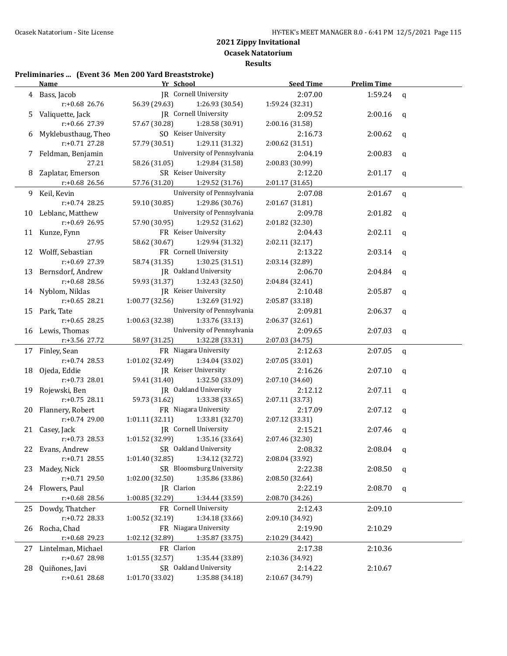**Ocasek Natatorium Results**

# **Preliminaries ... (Event 36 Men 200 Yard Breaststroke)**

|    | <b>Name</b>                         | Yr School                                                     | <b>Seed Time</b>           | <b>Prelim Time</b> |              |
|----|-------------------------------------|---------------------------------------------------------------|----------------------------|--------------------|--------------|
|    | 4 Bass, Jacob                       | JR Cornell University                                         | 2:07.00                    | 1:59.24 $q$        |              |
|    | $r: +0.68$ 26.76                    | 56.39 (29.63)<br>1:26.93 (30.54)                              | 1:59.24 (32.31)            |                    |              |
|    | 5 Valiquette, Jack                  | JR Cornell University                                         | 2:09.52                    | 2:00.16            | q            |
|    | r:+0.66 27.39                       | 57.67 (30.28)<br>1:28.58 (30.91)                              | 2:00.16 (31.58)            |                    |              |
| 6  | Myklebusthaug, Theo                 | SO Keiser University                                          | 2:16.73                    | 2:00.62            | $\mathsf{q}$ |
|    | r:+0.71 27.28                       | 57.79 (30.51)<br>1:29.11 (31.32)                              | 2:00.62 (31.51)            |                    |              |
|    | 7 Feldman, Benjamin                 | University of Pennsylvania                                    | 2:04.19                    | 2:00.83            | $\mathsf{q}$ |
|    | 27.21                               | 58.26 (31.05)<br>1:29.84 (31.58)                              | 2:00.83 (30.99)            |                    |              |
|    | 8 Zaplatar, Emerson                 | SR Keiser University                                          | 2:12.20                    | $2:01.17$ q        |              |
|    | r:+0.68 26.56                       | 57.76 (31.20)<br>1:29.52 (31.76)                              | 2:01.17 (31.65)            |                    |              |
|    | 9 Keil, Kevin                       | University of Pennsylvania                                    | 2:07.08                    | $2:01.67$ q        |              |
|    | r:+0.74 28.25                       | 59.10 (30.85)<br>1:29.86 (30.76)                              | 2:01.67 (31.81)            |                    |              |
|    | 10 Leblanc, Matthew                 | University of Pennsylvania                                    | 2:09.78                    | 2:01.82            | $\mathbf{q}$ |
|    | r:+0.69 26.95                       | 57.90 (30.95)<br>1:29.52 (31.62)                              | 2:01.82 (32.30)            |                    |              |
|    | 11 Kunze, Fynn                      | FR Keiser University                                          | 2:04.43                    | 2:02.11            | $\mathbf{q}$ |
|    | 27.95                               | 58.62 (30.67)<br>1:29.94 (31.32)                              | 2:02.11 (32.17)            |                    |              |
|    | 12 Wolff, Sebastian                 | FR Cornell University                                         | 2:13.22                    | 2:03.14            | $\mathbf{q}$ |
|    | r:+0.69 27.39                       | 58.74 (31.35)<br>1:30.25 (31.51)                              | 2:03.14 (32.89)            |                    |              |
|    | 13 Bernsdorf, Andrew                | JR Oakland University                                         | 2:06.70                    | 2:04.84            | q            |
|    | r:+0.68 28.56                       | 59.93 (31.37)<br>1:32.43 (32.50)                              | 2:04.84 (32.41)            |                    |              |
|    | 14 Nyblom, Niklas                   | JR Keiser University                                          | 2:10.48                    | 2:05.87            | $\mathbf q$  |
|    | $r: +0.65$ 28.21                    | 1:00.77(32.56)<br>1:32.69 (31.92)                             | 2:05.87 (33.18)            |                    |              |
|    | 15 Park, Tate                       | University of Pennsylvania                                    | 2:09.81                    | 2:06.37            | q            |
|    | $r: +0.65$ 28.25                    | 1:00.63(32.38)<br>1:33.76 (33.13)                             | 2:06.37 (32.61)            |                    |              |
|    | 16 Lewis, Thomas                    | University of Pennsylvania                                    | 2:09.65                    | 2:07.03            | $\mathbf{q}$ |
|    | r:+3.56 27.72                       | 58.97 (31.25)<br>1:32.28 (33.31)                              | 2:07.03 (34.75)            |                    |              |
|    | 17 Finley, Sean                     | FR Niagara University                                         | 2:12.63                    | 2:07.05            | $\mathbf{q}$ |
|    | $r: +0.74$ 28.53                    | 1:01.02(32.49)<br>1:34.04 (33.02)                             | 2:07.05 (33.01)            |                    |              |
|    | 18 Ojeda, Eddie                     | JR Keiser University                                          | 2:16.26                    | 2:07.10            | q            |
|    | $r: +0.73$ 28.01                    | 59.41 (31.40)<br>1:32.50 (33.09)                              | 2:07.10 (34.60)            |                    |              |
|    | 19 Rojewski, Ben                    | JR Oakland University                                         | 2:12.12                    | 2:07.11            | q            |
|    | $r: +0.75$ 28.11                    | 59.73 (31.62)<br>1:33.38 (33.65)                              | 2:07.11 (33.73)            |                    |              |
|    | 20 Flannery, Robert                 | FR Niagara University                                         | 2:17.09                    | 2:07.12            | q            |
|    | $r: +0.74$ 29.00                    | 1:01.11(32.11)<br>1:33.81 (32.70)                             | 2:07.12 (33.31)            |                    |              |
|    | 21 Casey, Jack                      | JR Cornell University                                         | 2:15.21                    | 2:07.46            | q            |
|    | $r: +0.73$ 28.53                    | $1:01.52(32.99)$ $1:35.16(33.64)$                             | 2:07.46 (32.30)            |                    |              |
|    | 22 Evans, Andrew                    | SR Oakland University                                         | 2:08.32                    | 2:08.04            | q            |
|    | $r: +0.71$ 28.55                    | 1:34.12 (32.72)<br>1:01.40(32.85)<br>SR Bloomsburg University | 2:08.04 (33.92)<br>2:22.38 |                    |              |
| 23 | Madey, Nick                         | 1:35.86 (33.86)                                               |                            | 2:08.50            | q            |
|    | r:+0.71 29.50                       | 1:02.00 (32.50)<br>JR Clarion                                 | 2:08.50 (32.64)            |                    |              |
| 24 | Flowers, Paul                       | 1:00.85 (32.29)                                               | 2:22.19                    | 2:08.70            | q            |
|    | r:+0.68 28.56                       | 1:34.44 (33.59)                                               | 2:08.70 (34.26)            |                    |              |
| 25 | Dowdy, Thatcher<br>r:+0.72 28.33    | FR Cornell University<br>1:34.18 (33.66)<br>1:00.52 (32.19)   | 2:12.43<br>2:09.10 (34.92) | 2:09.10            |              |
|    | Rocha, Chad                         | FR Niagara University                                         | 2:19.90                    | 2:10.29            |              |
| 26 | r:+0.68 29.23                       | 1:02.12 (32.89)<br>1:35.87 (33.75)                            | 2:10.29 (34.42)            |                    |              |
|    |                                     | FR Clarion                                                    |                            |                    |              |
| 27 | Lintelman, Michael<br>r:+0.67 28.98 | 1:01.55 (32.57)<br>1:35.44 (33.89)                            | 2:17.38<br>2:10.36 (34.92) | 2:10.36            |              |
| 28 | Quiñones, Javi                      | SR Oakland University                                         | 2:14.22                    | 2:10.67            |              |
|    | $r: +0.61$ 28.68                    | 1:35.88 (34.18)<br>1:01.70 (33.02)                            | 2:10.67 (34.79)            |                    |              |
|    |                                     |                                                               |                            |                    |              |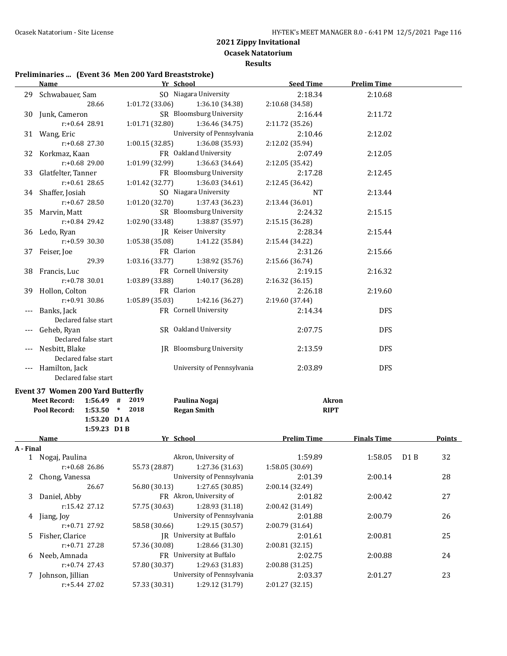**Ocasek Natatorium**

**Results**

# **Preliminaries ... (Event 36 Men 200 Yard Breaststroke)**

|           | <b>Name</b>                              | Yr School                          | <b>Seed Time</b>   | <b>Prelim Time</b> |     |               |
|-----------|------------------------------------------|------------------------------------|--------------------|--------------------|-----|---------------|
|           | 29 Schwabauer, Sam                       | SO Niagara University              | 2:18.34            | 2:10.68            |     |               |
|           | 28.66                                    | 1:01.72 (33.06)<br>1:36.10 (34.38) | 2:10.68 (34.58)    |                    |     |               |
|           | 30 Junk, Cameron                         | SR Bloomsburg University           | 2:16.44            | 2:11.72            |     |               |
|           | r:+0.64 28.91                            | 1:01.71 (32.80)<br>1:36.46 (34.75) | 2:11.72 (35.26)    |                    |     |               |
|           | 31 Wang, Eric                            | University of Pennsylvania         | 2:10.46            | 2:12.02            |     |               |
|           | r:+0.68 27.30                            | 1:36.08 (35.93)<br>1:00.15(32.85)  | 2:12.02 (35.94)    |                    |     |               |
|           | 32 Korkmaz, Kaan                         | FR Oakland University              | 2:07.49            | 2:12.05            |     |               |
|           | r:+0.68 29.00                            | 1:01.99 (32.99)<br>1:36.63 (34.64) | 2:12.05 (35.42)    |                    |     |               |
| 33        | Glatfelter, Tanner                       | FR Bloomsburg University           | 2:17.28            | 2:12.45            |     |               |
|           | $r: +0.61$ 28.65                         | 1:01.42 (32.77)<br>1:36.03 (34.61) | 2:12.45 (36.42)    |                    |     |               |
|           | 34 Shaffer, Josiah                       | SO Niagara University              | <b>NT</b>          | 2:13.44            |     |               |
|           | r:+0.67 28.50                            | 1:01.20 (32.70)<br>1:37.43 (36.23) | 2:13.44 (36.01)    |                    |     |               |
| 35        | Marvin, Matt                             | SR Bloomsburg University           | 2:24.32            | 2:15.15            |     |               |
|           | r:+0.84 29.42                            | 1:02.90 (33.48)<br>1:38.87 (35.97) | 2:15.15 (36.28)    |                    |     |               |
|           | 36 Ledo, Ryan                            | JR Keiser University               | 2:28.34            | 2:15.44            |     |               |
|           | $r: +0.59$ 30.30                         | 1:05.38 (35.08)<br>1:41.22 (35.84) | 2:15.44 (34.22)    |                    |     |               |
| 37        | Feiser, Joe                              | FR Clarion                         | 2:31.26            | 2:15.66            |     |               |
|           | 29.39                                    | 1:03.16 (33.77)<br>1:38.92 (35.76) | 2:15.66 (36.74)    |                    |     |               |
|           | 38 Francis, Luc                          | FR Cornell University              | 2:19.15            | 2:16.32            |     |               |
|           | $r: +0.78$ 30.01                         | 1:03.89 (33.88)<br>1:40.17 (36.28) | 2:16.32 (36.15)    |                    |     |               |
| 39        | Hollon, Colton                           | FR Clarion                         | 2:26.18            | 2:19.60            |     |               |
|           | r:+0.91 30.86                            | 1:05.89 (35.03)<br>1:42.16 (36.27) | 2:19.60 (37.44)    |                    |     |               |
|           |                                          | FR Cornell University              | 2:14.34            | <b>DFS</b>         |     |               |
| ---       | Banks, Jack<br>Declared false start      |                                    |                    |                    |     |               |
|           |                                          | SR Oakland University              |                    |                    |     |               |
|           | Geheb, Ryan                              |                                    | 2:07.75            | <b>DFS</b>         |     |               |
|           | Declared false start                     | <b>IR</b> Bloomsburg University    |                    |                    |     |               |
|           | Nesbitt, Blake                           |                                    | 2:13.59            | <b>DFS</b>         |     |               |
|           | Declared false start                     | University of Pennsylvania         |                    |                    |     |               |
| $\cdots$  | Hamilton, Jack                           |                                    | 2:03.89            | <b>DFS</b>         |     |               |
|           | Declared false start                     |                                    |                    |                    |     |               |
|           | <b>Event 37 Women 200 Yard Butterfly</b> |                                    |                    |                    |     |               |
|           | <b>Meet Record:</b><br>$1:56.49$ #       | 2019<br>Paulina Nogaj              | Akron              |                    |     |               |
|           | $1:53.50$ * 2018<br>Pool Record:         | <b>Regan Smith</b>                 | <b>RIPT</b>        |                    |     |               |
|           | 1:53.20 D1 A                             |                                    |                    |                    |     |               |
|           | $1:59.23$ D1B                            |                                    |                    |                    |     |               |
|           | Name                                     | Yr School                          | <b>Prelim Time</b> | <b>Finals Time</b> |     | <b>Points</b> |
| A - Final | 1 Nogaj, Paulina                         | Akron, University of               | 1:59.89            | 1:58.05            | D1B | 32            |
|           | r:+0.68 26.86                            | 55.73 (28.87)<br>1:27.36 (31.63)   | 1:58.05 (30.69)    |                    |     |               |
|           |                                          | University of Pennsylvania         |                    |                    |     |               |
| 2         | Chong, Vanessa                           |                                    | 2:01.39            | 2:00.14            |     | 28            |
|           | 26.67                                    | 56.80 (30.13)<br>1:27.65 (30.85)   | 2:00.14 (32.49)    |                    |     |               |
| 3         | Daniel, Abby                             | FR Akron, University of            | 2:01.82            | 2:00.42            |     | 27            |
|           | r:15.42 27.12                            | 1:28.93 (31.18)<br>57.75 (30.63)   | 2:00.42 (31.49)    |                    |     |               |
| 4         | Jiang, Joy                               | University of Pennsylvania         | 2:01.88            | 2:00.79            |     | 26            |
|           | r:+0.71 27.92                            | 1:29.15 (30.57)<br>58.58 (30.66)   | 2:00.79 (31.64)    |                    |     |               |
| 5         | Fisher, Clarice                          | JR University at Buffalo           | 2:01.61            | 2:00.81            |     | 25            |
|           | r:+0.71 27.28                            | 57.36 (30.08)<br>1:28.66 (31.30)   | 2:00.81 (32.15)    |                    |     |               |
| 6         | Neeb, Amnada                             | FR University at Buffalo           | 2:02.75            | 2:00.88            |     | 24            |
|           | $r: +0.74$ 27.43                         | 57.80 (30.37)<br>1:29.63 (31.83)   | 2:00.88 (31.25)    |                    |     |               |
|           | 7 Johnson, Jillian                       | University of Pennsylvania         | 2:03.37            | 2:01.27            |     | 23            |
|           | r:+5.44 27.02                            | 1:29.12 (31.79)<br>57.33 (30.31)   | 2:01.27 (32.15)    |                    |     |               |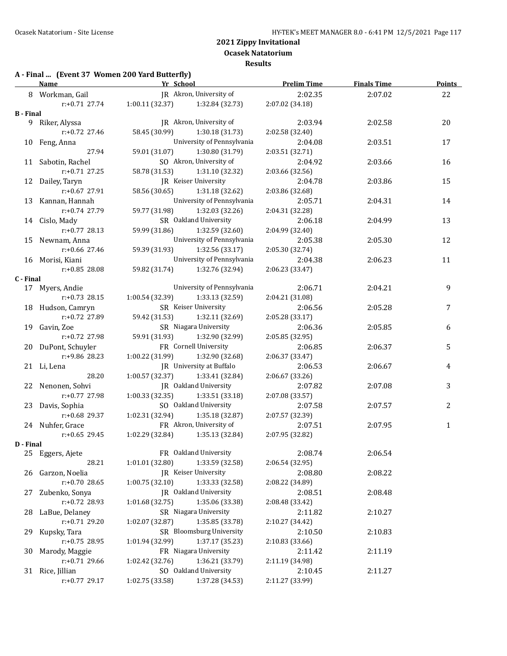# **A - Final ... (Event 37 Women 200 Yard Butterfly)**

|           | <b>Name</b>                       | Yr School       |                                     | <b>Prelim Time</b>         | <b>Finals Time</b> | <b>Points</b> |
|-----------|-----------------------------------|-----------------|-------------------------------------|----------------------------|--------------------|---------------|
|           | 8 Workman, Gail                   |                 | JR Akron, University of             | 2:02.35                    | 2:07.02            | 22            |
|           | r:+0.71 27.74                     |                 | $1:00.11(32.37)$ $1:32.84(32.73)$   | 2:07.02 (34.18)            |                    |               |
| B - Final |                                   |                 |                                     |                            |                    |               |
|           | 9 Riker, Alyssa                   |                 | JR Akron, University of             | 2:03.94                    | 2:02.58            | 20            |
|           | $r: +0.72$ 27.46                  |                 | 58.45 (30.99) 1:30.18 (31.73)       | 2:02.58 (32.40)            |                    |               |
|           | 10 Feng, Anna                     |                 | University of Pennsylvania          | 2:04.08                    | 2:03.51            | 17            |
|           | 27.94                             |                 | 59.01 (31.07) 1:30.80 (31.79)       | 2:03.51 (32.71)            |                    |               |
|           | 11 Sabotin, Rachel                |                 | SO Akron, University of             | 2:04.92                    | 2:03.66            | 16            |
|           | $r: +0.71$ 27.25                  |                 | 58.78 (31.53) 1:31.10 (32.32)       | 2:03.66 (32.56)            |                    |               |
|           | 12 Dailey, Taryn                  |                 | JR Keiser University                | 2:04.78                    | 2:03.86            | 15            |
|           | r:+0.67 27.91                     |                 | 58.56 (30.65) 1:31.18 (32.62)       | 2:03.86 (32.68)            |                    |               |
|           | 13 Kannan, Hannah                 |                 | University of Pennsylvania          | 2:05.71                    | 2:04.31            | 14            |
|           | r:+0.74 27.79                     |                 | 59.77 (31.98) 1:32.03 (32.26)       | 2:04.31 (32.28)            |                    |               |
|           | 14 Cislo, Mady                    |                 | SR Oakland University               | 2:06.18                    | 2:04.99            | 13            |
|           | $r: +0.77$ 28.13                  |                 | 59.99 (31.86) 1:32.59 (32.60)       | 2:04.99 (32.40)            |                    |               |
|           | 15 Newnam, Anna                   |                 | University of Pennsylvania          | 2:05.38                    | 2:05.30            | 12            |
|           | $r: +0.66$ 27.46                  |                 | 59.39 (31.93) 1:32.56 (33.17)       | 2:05.30 (32.74)            |                    |               |
|           | 16 Morisi, Kiani                  |                 | University of Pennsylvania          | 2:04.38                    | 2:06.23            | 11            |
|           | $r: +0.85$ 28.08                  |                 | 59.82 (31.74) 1:32.76 (32.94)       | 2:06.23 (33.47)            |                    |               |
| C - Final |                                   |                 |                                     |                            |                    |               |
|           | 17 Myers, Andie                   |                 | University of Pennsylvania          | 2:06.71                    | 2:04.21            | 9             |
|           | $r: +0.73$ 28.15                  | 1:00.54 (32.39) | 1:33.13 (32.59)                     | 2:04.21 (31.08)            |                    |               |
|           | 18 Hudson, Camryn                 |                 | SR Keiser University                | 2:06.56                    | 2:05.28            | 7             |
|           | $r: +0.72$ 27.89                  | 59.42 (31.53)   | 1:32.11 (32.69)                     | 2:05.28 (33.17)            |                    |               |
|           | 19 Gavin, Zoe                     |                 | SR Niagara University               | 2:06.36                    | 2:05.85            | 6             |
|           | r:+0.72 27.98                     |                 | 59.91 (31.93) 1:32.90 (32.99)       | 2:05.85 (32.95)            |                    |               |
|           | 20 DuPont, Schuyler               |                 | FR Cornell University               | 2:06.85                    | 2:06.37            | 5             |
|           | r:+9.86 28.23                     |                 | 1:00.22 (31.99) 1:32.90 (32.68)     | 2:06.37 (33.47)            |                    |               |
|           | 21 Li, Lena                       |                 | JR University at Buffalo            | 2:06.53                    | 2:06.67            | 4             |
|           | 28.20                             | 1:00.57(32.37)  | 1:33.41 (32.84)                     | 2:06.67 (33.26)            |                    |               |
|           | 22 Nenonen, Sohvi                 |                 | JR Oakland University               | 2:07.82                    | 2:07.08            | 3             |
|           | $r: +0.77$ 27.98                  | 1:00.33(32.35)  | 1:33.51 (33.18)                     | 2:07.08 (33.57)            |                    |               |
|           | 23 Davis, Sophia                  |                 | SO Oakland University               | 2:07.58                    | 2:07.57            | 2             |
|           | $r: +0.68$ 29.37                  | 1:02.31 (32.94) | 1:35.18 (32.87)                     | 2:07.57 (32.39)            |                    |               |
|           | 24 Nuhfer, Grace                  |                 | FR Akron, University of             | 2:07.51                    | 2:07.95            | $\mathbf{1}$  |
|           | $r: +0.65$ 29.45                  |                 | $1:02.29$ (32.84) $1:35.13$ (32.84) | 2:07.95 (32.82)            |                    |               |
| D - Final |                                   |                 |                                     |                            |                    |               |
|           | 25 Eggers, Ajete                  |                 | FR Oakland University               | 2:08.74                    | 2:06.54            |               |
|           | 28.21                             | 1:01.01 (32.80) | 1:33.59 (32.58)                     | 2:06.54 (32.95)            |                    |               |
| 26        | Garzon, Noelia                    |                 | JR Keiser University                | 2:08.80                    | 2:08.22            |               |
|           | r:+0.70 28.65                     | 1:00.75(32.10)  | 1:33.33 (32.58)                     | 2:08.22 (34.89)            |                    |               |
| 27        | Zubenko, Sonya                    |                 | JR Oakland University               | 2:08.51                    | 2:08.48            |               |
|           | r:+0.72 28.93                     | 1:01.68 (32.75) | 1:35.06 (33.38)                     | 2:08.48 (33.42)            |                    |               |
| 28        | LaBue, Delaney                    |                 | SR Niagara University               | 2:11.82                    | 2:10.27            |               |
|           | r:+0.71 29.20                     | 1:02.07 (32.87) | 1:35.85 (33.78)                     | 2:10.27 (34.42)            |                    |               |
| 29.       | Kupsky, Tara                      |                 | SR Bloomsburg University            | 2:10.50                    | 2:10.83            |               |
|           | r:+0.75 28.95                     | 1:01.94 (32.99) | 1:37.17 (35.23)                     | 2:10.83 (33.66)            |                    |               |
|           | Marody, Maggie                    |                 | FR Niagara University               |                            |                    |               |
| 30        | r:+0.71 29.66                     | 1:02.42 (32.76) | 1:36.21 (33.79)                     | 2:11.42<br>2:11.19 (34.98) | 2:11.19            |               |
|           |                                   |                 | SO Oakland University               | 2:10.45                    |                    |               |
|           | 31 Rice, Jillian<br>r:+0.77 29.17 | 1:02.75 (33.58) | 1:37.28 (34.53)                     | 2:11.27 (33.99)            | 2:11.27            |               |
|           |                                   |                 |                                     |                            |                    |               |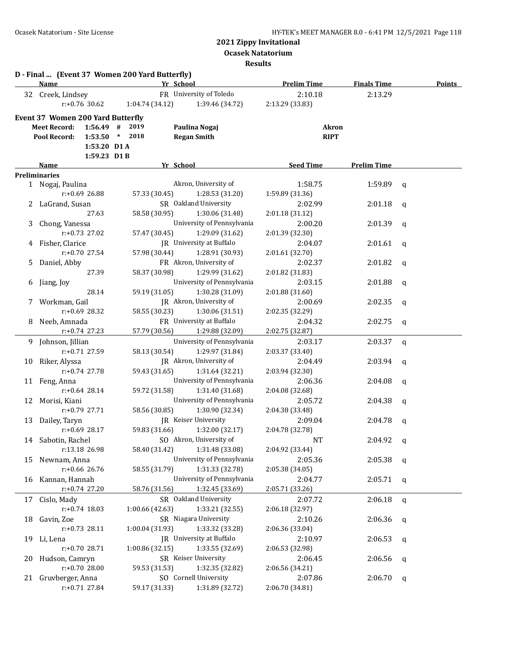**Ocasek Natatorium**

**Results**

|    | <b>Name</b>                              |                  | D - Final  (Event 37 Women 200 Yard Butterfly) | Yr School                   | <b>Prelim Time</b> | <b>Finals Time</b> | <b>Points</b> |
|----|------------------------------------------|------------------|------------------------------------------------|-----------------------------|--------------------|--------------------|---------------|
| 32 | Creek, Lindsey                           |                  |                                                | FR University of Toledo     | 2:10.18            | 2:13.29            |               |
|    |                                          | $r: +0.76$ 30.62 | 1:04.74 (34.12)                                | 1:39.46 (34.72)             | 2:13.29 (33.83)    |                    |               |
|    | <b>Event 37 Women 200 Yard Butterfly</b> |                  |                                                |                             |                    |                    |               |
|    | <b>Meet Record:</b>                      | $1:56.49$ #      | 2019                                           | Paulina Nogaj               | <b>Akron</b>       |                    |               |
|    | Pool Record:                             | 1:53.50          | $\ast$<br>2018                                 | <b>Regan Smith</b>          | <b>RIPT</b>        |                    |               |
|    |                                          | 1:53.20 D1 A     |                                                |                             |                    |                    |               |
|    |                                          | 1:59.23 D1B      |                                                |                             |                    |                    |               |
|    | Name                                     |                  |                                                | Yr School                   | <b>Seed Time</b>   | <b>Prelim Time</b> |               |
|    | <b>Preliminaries</b>                     |                  |                                                |                             |                    |                    |               |
|    | 1 Nogaj, Paulina                         |                  |                                                | Akron, University of        | 1:58.75            | 1:59.89            | q             |
|    |                                          | $r: +0.69$ 26.88 | 57.33 (30.45)                                  | 1:28.53 (31.20)             | 1:59.89 (31.36)    |                    |               |
|    | LaGrand, Susan                           |                  |                                                | SR Oakland University       | 2:02.99            | 2:01.18            | q             |
|    |                                          | 27.63            | 58.58 (30.95)                                  | 1:30.06 (31.48)             | 2:01.18 (31.12)    |                    |               |
| 3  | Chong, Vanessa                           |                  |                                                | University of Pennsylvania  | 2:00.20            | 2:01.39            | $\mathbf q$   |
|    |                                          | $r: +0.73$ 27.02 | 57.47 (30.45)                                  | 1:29.09 (31.62)             | 2:01.39 (32.30)    |                    |               |
| 4  | Fisher, Clarice                          |                  |                                                | JR University at Buffalo    | 2:04.07            | 2:01.61            | q             |
|    |                                          | r:+0.70 27.54    | 57.98 (30.44)                                  | 1:28.91 (30.93)             | 2:01.61 (32.70)    |                    |               |
| 5. | Daniel, Abby                             |                  |                                                | FR Akron, University of     | 2:02.37            | 2:01.82            | q             |
|    |                                          | 27.39            | 58.37 (30.98)                                  | 1:29.99 (31.62)             | 2:01.82 (31.83)    |                    |               |
| 6  | Jiang, Joy                               |                  |                                                | University of Pennsylvania  | 2:03.15            | 2:01.88            | q             |
|    |                                          | 28.14            | 59.19 (31.05)                                  | 1:30.28 (31.09)             | 2:01.88 (31.60)    |                    |               |
| 7  | Workman, Gail                            |                  |                                                | JR Akron, University of     | 2:00.69            | 2:02.35            | q             |
|    |                                          | $r: +0.69$ 28.32 | 58.55 (30.23)                                  | 1:30.06(31.51)              | 2:02.35 (32.29)    |                    |               |
| 8  | Neeb, Amnada                             |                  |                                                | FR University at Buffalo    | 2:04.32            | 2:02.75            | q             |
|    |                                          | $r: +0.74$ 27.23 | 57.79 (30.56)                                  | 1:29.88 (32.09)             | 2:02.75 (32.87)    |                    |               |
| 9. | Johnson, Jillian                         |                  |                                                | University of Pennsylvania  | 2:03.17            | 2:03.37            | q             |
|    |                                          | r:+0.71 27.59    | 58.13 (30.54)                                  | 1:29.97 (31.84)             | 2:03.37 (33.40)    |                    |               |
| 10 | Riker, Alyssa                            |                  |                                                | JR Akron, University of     | 2:04.49            | 2:03.94            | q             |
|    |                                          | $r: +0.74$ 27.78 | 59.43 (31.65)                                  | 1:31.64 (32.21)             | 2:03.94 (32.30)    |                    |               |
|    | 11 Feng, Anna                            |                  |                                                | University of Pennsylvania  | 2:06.36            | 2:04.08            | q             |
|    |                                          | $r: +0.64$ 28.14 | 59.72 (31.58)                                  | 1:31.40 (31.68)             | 2:04.08 (32.68)    |                    |               |
| 12 | Morisi, Kiani                            |                  |                                                | University of Pennsylvania  | 2:05.72            | 2:04.38            | q             |
|    |                                          | r:+0.79 27.71    | 58.56 (30.85)                                  | 1:30.90 (32.34)             | 2:04.38 (33.48)    |                    |               |
| 13 | Dailey, Taryn                            |                  |                                                | <b>IR</b> Keiser University | 2:09.04            | 2:04.78            | q             |
|    |                                          | $r: +0.69$ 28.17 | 59.83 (31.66)                                  | 1:32.00 (32.17)             | 2:04.78 (32.78)    |                    |               |
|    | 14 Sabotin, Rachel                       |                  |                                                | SO Akron, University of     | NT                 | $2:04.92$ q        |               |
|    |                                          | r:13.18 26.98    | 58.40 (31.42)                                  | 1:31.48 (33.08)             | 2:04.92 (33.44)    |                    |               |
| 15 | Newnam, Anna                             |                  |                                                | University of Pennsylvania  | 2:05.36            | $2:05.38$ q        |               |
|    |                                          | $r: +0.66$ 26.76 | 58.55 (31.79)                                  | 1:31.33 (32.78)             | 2:05.38 (34.05)    |                    |               |
|    | 16 Kannan, Hannah                        |                  |                                                | University of Pennsylvania  | 2:04.77            | $2:05.71$ q        |               |
|    |                                          | r:+0.74 27.20    | 58.76 (31.56)                                  | 1:32.45 (33.69)             | 2:05.71 (33.26)    |                    |               |
|    | 17 Cislo, Mady                           |                  |                                                | SR Oakland University       | 2:07.72            | $2:06.18$ q        |               |
|    |                                          | $r: +0.74$ 18.03 | 1:00.66 (42.63)                                | 1:33.21 (32.55)             | 2:06.18 (32.97)    |                    |               |
|    | 18 Gavin, Zoe                            |                  |                                                | SR Niagara University       | 2:10.26            | $2:06.36$ q        |               |
|    |                                          | r:+0.73 28.11    | 1:00.04 (31.93)                                | 1:33.32 (33.28)             | 2:06.36 (33.04)    |                    |               |
|    | 19 Li, Lena                              |                  |                                                | JR University at Buffalo    | 2:10.97            | 2:06.53            | q             |
|    |                                          | r:+0.70 28.71    | 1:00.86 (32.15)                                | 1:33.55 (32.69)             | 2:06.53 (32.98)    |                    |               |
| 20 | Hudson, Camryn                           |                  |                                                | SR Keiser University        | 2:06.45            | 2:06.56            | q             |
|    |                                          | r:+0.70 28.00    | 59.53 (31.53)                                  | 1:32.35 (32.82)             | 2:06.56 (34.21)    |                    |               |
| 21 | Gruvberger, Anna                         |                  |                                                | SO Cornell University       | 2:07.86            | 2:06.70            | q             |
|    |                                          | $r: +0.71$ 27.84 | 59.17 (31.33)                                  | 1:31.89 (32.72)             | 2:06.70 (34.81)    |                    |               |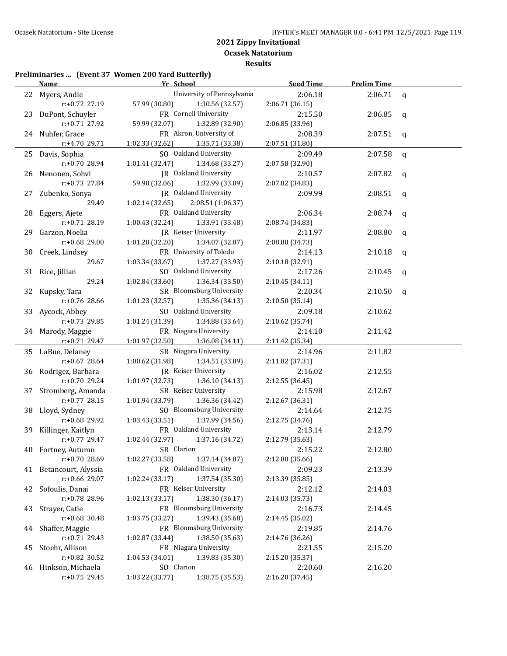#### **Preliminaries ... (Event 37 Women 200 Yard Butterfly)**

|    | Yr School<br><b>Name</b> |                                     | <b>Seed Time</b> | <b>Prelim Time</b> |              |
|----|--------------------------|-------------------------------------|------------------|--------------------|--------------|
|    | 22 Myers, Andie          | University of Pennsylvania          | 2:06.18          | 2:06.71            | $\mathsf{q}$ |
|    | r:+0.72 27.19            | 57.99 (30.80)<br>1:30.56 (32.57)    | 2:06.71 (36.15)  |                    |              |
| 23 | DuPont, Schuyler         | FR Cornell University               | 2:15.50          | 2:06.85            | q            |
|    | r:+0.71 27.92            | 59.99 (32.07)<br>1:32.89 (32.90)    | 2:06.85 (33.96)  |                    |              |
|    | 24 Nuhfer, Grace         | FR Akron, University of             | 2:08.39          | 2:07.51            | q            |
|    | r:+4.70 29.71            | 1:02.33 (32.62)<br>1:35.71 (33.38)  | 2:07.51 (31.80)  |                    |              |
|    | 25 Davis, Sophia         | SO Oakland University               | 2:09.49          | 2:07.58            | $\mathbf q$  |
|    | r:+0.70 28.94            | 1:01.41 (32.47)<br>1:34.68 (33.27)  | 2:07.58 (32.90)  |                    |              |
| 26 | Nenonen, Sohvi           | JR Oakland University               | 2:10.57          | 2:07.82            | q            |
|    | r:+0.73 27.84            | 59.90 (32.06)<br>1:32.99 (33.09)    | 2:07.82 (34.83)  |                    |              |
| 27 | Zubenko, Sonya           | JR Oakland University               | 2:09.99          | 2:08.51            | q            |
|    | 29.49                    | 1:02.14(32.65)<br>2:08.51 (1:06.37) |                  |                    |              |
| 28 | Eggers, Ajete            | FR Oakland University               | 2:06.34          | 2:08.74            | q            |
|    | r:+0.71 28.19            | 1:00.43 (32.24)<br>1:33.91 (33.48)  | 2:08.74 (34.83)  |                    |              |
| 29 | Garzon, Noelia           | JR Keiser University                | 2:11.97          | 2:08.80            | q            |
|    | r:+0.68 29.00            | 1:01.20 (32.20)<br>1:34.07 (32.87)  | 2:08.80 (34.73)  |                    |              |
| 30 | Creek, Lindsey           | FR University of Toledo             | 2:14.13          | 2:10.18            | q            |
|    | 29.67                    | 1:03.34 (33.67)<br>1:37.27 (33.93)  | 2:10.18 (32.91)  |                    |              |
|    | 31 Rice, Jillian         | SO Oakland University               | 2:17.26          | 2:10.45            | q            |
|    | 29.24                    | 1:02.84 (33.60)<br>1:36.34(33.50)   | 2:10.45(34.11)   |                    |              |
|    | 32 Kupsky, Tara          | SR Bloomsburg University            | 2:20.34          | 2:10.50            | $\mathsf{q}$ |
|    | $r: +0.76$ 28.66         | 1:01.23 (32.57)<br>1:35.36 (34.13)  | 2:10.50 (35.14)  |                    |              |
|    | 33 Aycock, Abbey         | SO Oakland University               | 2:09.18          | 2:10.62            |              |
|    | r:+0.73 29.85            | 1:01.24 (31.39)<br>1:34.88 (33.64)  | 2:10.62 (35.74)  |                    |              |
|    | 34 Marody, Maggie        | FR Niagara University               | 2:14.10          | 2:11.42            |              |
|    | r:+0.71 29.47            | 1:01.97 (32.50)<br>1:36.08 (34.11)  | 2:11.42 (35.34)  |                    |              |
|    | 35 LaBue, Delaney        | SR Niagara University               | 2:14.96          | 2:11.82            |              |
|    | r:+0.67 28.64            | 1:00.62 (31.98)<br>1:34.51 (33.89)  | 2:11.82 (37.31)  |                    |              |
| 36 | Rodrigez, Barbara        | JR Keiser University                | 2:16.02          | 2:12.55            |              |
|    | r:+0.70 29.24            | 1:01.97 (32.73)<br>1:36.10 (34.13)  | 2:12.55 (36.45)  |                    |              |
| 37 | Stromberg, Amanda        | SR Keiser University                | 2:15.98          | 2:12.67            |              |
|    | $r: +0.77$ 28.15         | 1:01.94 (33.79)<br>1:36.36 (34.42)  | 2:12.67 (36.31)  |                    |              |
| 38 | Lloyd, Sydney            | SO Bloomsburg University            | 2:14.64          | 2:12.75            |              |
|    | r:+0.68 29.92            | 1:03.43 (33.51)<br>1:37.99 (34.56)  | 2:12.75 (34.76)  |                    |              |
|    | 39 Killinger, Kaitlyn    | FR Oakland University               | 2:13.14          | 2:12.79            |              |
|    | $r: +0.77$ 29.47         | 1:02.44 (32.97)<br>1:37.16 (34.72)  | 2:12.79 (35.63)  |                    |              |
|    | 40 Fortney, Autumn       | SR Clarion                          | 2:15.22          | 2:12.80            |              |
|    | r:+0.70 28.69            | 1:37.14 (34.87)<br>1:02.27 (33.58)  | 2:12.80 (35.66)  |                    |              |
|    | 41 Betancourt, Alyssia   | FR Oakland University               | 2:09.23          | 2:13.39            |              |
|    | r:+0.66 29.07            | 1:37.54 (35.30)<br>1:02.24 (33.17)  | 2:13.39 (35.85)  |                    |              |
| 42 | Sofoulis, Danai          | FR Keiser University                | 2:12.12          | 2:14.03            |              |
|    | r:+0.78 28.96            | 1:38.30 (36.17)<br>1:02.13 (33.17)  | 2:14.03 (35.73)  |                    |              |
| 43 | Strayer, Catie           | FR Bloomsburg University            | 2:16.73          | 2:14.45            |              |
|    | r:+0.68 30.48            | 1:03.75 (33.27)<br>1:39.43 (35.68)  | 2:14.45 (35.02)  |                    |              |
| 44 | Shaffer, Maggie          | FR Bloomsburg University            | 2:19.85          | 2:14.76            |              |
|    | $r: +0.71$ 29.43         | 1:38.50 (35.63)<br>1:02.87 (33.44)  | 2:14.76 (36.26)  |                    |              |
| 45 | Stoehr, Allison          | FR Niagara University               | 2:21.55          | 2:15.20            |              |
|    | r:+0.82 30.52            | 1:39.83 (35.30)<br>1:04.53 (34.01)  | 2:15.20 (35.37)  |                    |              |
|    | 46 Hinkson, Michaela     | SO Clarion                          | 2:20.60          | 2:16.20            |              |
|    | r:+0.75 29.45            | 1:38.75 (35.53)<br>1:03.22 (33.77)  | 2:16.20 (37.45)  |                    |              |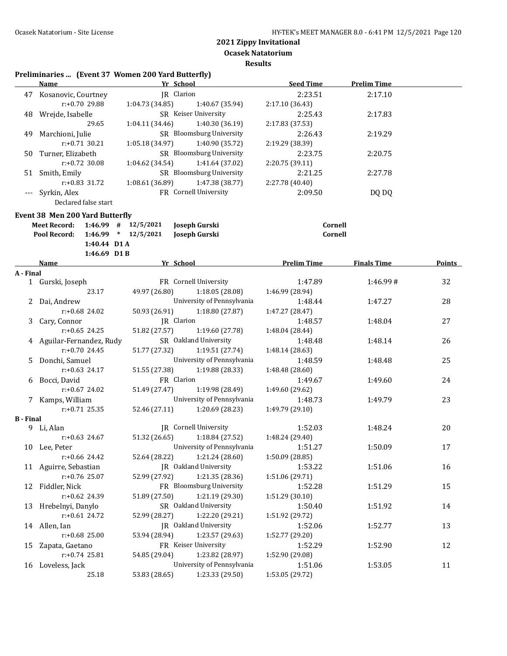**Ocasek Natatorium**

**Results**

# **Preliminaries ... (Event 37 Women 200 Yard Butterfly)**

|                  | <b>Name</b>                                    | Yr School       |                              | <b>Seed Time</b>              | <b>Prelim Time</b> |        |
|------------------|------------------------------------------------|-----------------|------------------------------|-------------------------------|--------------------|--------|
|                  | 47 Kosanovic, Courtney                         | JR Clarion      |                              | 2:23.51                       | 2:17.10            |        |
|                  | r:+0.70 29.88                                  | 1:04.73(34.85)  | 1:40.67 (35.94)              | 2:17.10 (36.43)               |                    |        |
|                  | 48 Wrejde, Isabelle                            |                 | SR Keiser University         | 2:25.43                       | 2:17.83            |        |
|                  | 29.65                                          | 1:04.11 (34.46) | 1:40.30 (36.19)              | 2:17.83 (37.53)               |                    |        |
|                  | 49 Marchioni, Julie                            |                 | SR Bloomsburg University     | 2:26.43                       | 2:19.29            |        |
|                  | $r: +0.71$ 30.21                               | 1:05.18 (34.97) | 1:40.90 (35.72)              | 2:19.29 (38.39)               |                    |        |
|                  | 50 Turner, Elizabeth                           |                 | SR Bloomsburg University     | 2:23.75                       | 2:20.75            |        |
|                  | $r: +0.72$ 30.08                               | 1:04.62 (34.54) | 1:41.64 (37.02)              | 2:20.75 (39.11)               |                    |        |
|                  | 51 Smith, Emily                                |                 | SR Bloomsburg University     | 2:21.25                       | 2:27.78            |        |
|                  | r:+0.83 31.72                                  | 1:08.61 (36.89) | 1:47.38 (38.77)              | 2:27.78 (40.40)               |                    |        |
|                  | Syrkin, Alex                                   |                 | FR Cornell University        | 2:09.50                       | DQ DQ              |        |
|                  | Declared false start                           |                 |                              |                               |                    |        |
|                  | <b>Event 38 Men 200 Yard Butterfly</b>         |                 |                              |                               |                    |        |
|                  | $1:46.99$ # $12/5/2021$<br><b>Meet Record:</b> |                 | Joseph Gurski                | Cornell                       |                    |        |
|                  | Pool Record:<br>$1:46.99$ * $12/5/2021$        |                 | Joseph Gurski                | Cornell                       |                    |        |
|                  | 1:40.44 D1 A                                   |                 |                              |                               |                    |        |
|                  | 1:46.69 D1B                                    |                 |                              |                               |                    |        |
|                  | Name                                           | Yr School       |                              | <b>Example 12 Prelim Time</b> | <b>Finals Time</b> | Points |
| A - Final        |                                                |                 |                              |                               |                    |        |
|                  | 1 Gurski, Joseph                               |                 | FR Cornell University        | 1:47.89                       | 1:46.99#           | 32     |
|                  | 23.17                                          | 49.97 (26.80)   | 1:18.05 (28.08)              | 1:46.99 (28.94)               |                    |        |
|                  | 2 Dai, Andrew                                  |                 | University of Pennsylvania   | 1:48.44                       | 1:47.27            | 28     |
|                  | $r: +0.68$ 24.02                               | 50.93 (26.91)   | 1:18.80 (27.87)              | 1:47.27 (28.47)               |                    |        |
|                  | 3 Cary, Connor                                 | JR Clarion      |                              | 1:48.57                       | 1:48.04            | 27     |
|                  | $r: +0.65$ 24.25                               | 51.82 (27.57)   | 1:19.60 (27.78)              | 1:48.04 (28.44)               |                    |        |
|                  | 4 Aguilar-Fernandez, Rudy                      |                 | SR Oakland University        | 1:48.48                       | 1:48.14            | 26     |
|                  | r:+0.70 24.45                                  | 51.77 (27.32)   | 1:19.51 (27.74)              | 1:48.14 (28.63)               |                    |        |
|                  | 5 Donchi, Samuel                               |                 | University of Pennsylvania   | 1:48.59                       | 1:48.48            | 25     |
|                  | $r: +0.63$ 24.17                               | 51.55 (27.38)   | 1:19.88 (28.33)              | 1:48.48 (28.60)               |                    |        |
|                  | 6 Bocci, David                                 | FR Clarion      |                              | 1:49.67                       | 1:49.60            | 24     |
|                  | $r: +0.67$ 24.02                               | 51.49 (27.47)   | 1:19.98 (28.49)              | 1:49.60 (29.62)               |                    |        |
|                  | 7 Kamps, William                               |                 | University of Pennsylvania   | 1:48.73                       | 1:49.79            | 23     |
|                  | $r: +0.71$ 25.35                               | 52.46 (27.11)   | 1:20.69 (28.23)              | 1:49.79 (29.10)               |                    |        |
| <b>B</b> - Final | 9 Li, Alan                                     |                 | <b>IR</b> Cornell University | 1:52.03                       | 1:48.24            | 20     |
|                  | $r: +0.63$ 24.67                               | 51.32 (26.65)   | 1:18.84 (27.52)              | 1:48.24 (29.40)               |                    |        |
|                  | 10 Lee, Peter                                  |                 | University of Pennsylvania   | 1:51.27                       | 1:50.09            | 17     |
|                  | r:+0.66 24.42                                  | 52.64 (28.22)   | 1:21.24 (28.60)              | 1:50.09 (28.85)               |                    |        |
|                  | 11 Aguirre, Sebastian                          |                 | JR Oakland University        | 1:53.22                       | 1:51.06            | 16     |
|                  | r:+0.76 25.07                                  | 52.99 (27.92)   | 1:21.35 (28.36)              | 1:51.06 (29.71)               |                    |        |
|                  | 12 Fiddler, Nick                               |                 | FR Bloomsburg University     | 1:52.28                       | 1:51.29            | 15     |
|                  | r:+0.62 24.39                                  | 51.89 (27.50)   | 1:21.19 (29.30)              | 1:51.29 (30.10)               |                    |        |
| 13               | Hrebelnyi, Danylo                              |                 | SR Oakland University        | 1:50.40                       | 1:51.92            | 14     |
|                  | r:+0.61 24.72                                  | 52.99 (28.27)   | 1:22.20 (29.21)              | 1:51.92 (29.72)               |                    |        |
|                  | 14 Allen, Ian                                  |                 | JR Oakland University        | 1:52.06                       | 1:52.77            | 13     |
|                  | r:+0.68 25.00                                  | 53.94 (28.94)   | 1:23.57 (29.63)              | 1:52.77 (29.20)               |                    |        |
| 15               | Zapata, Gaetano                                |                 | FR Keiser University         | 1:52.29                       | 1:52.90            | 12     |
|                  | r:+0.74 25.81                                  | 54.85 (29.04)   | 1:23.82 (28.97)              | 1:52.90 (29.08)               |                    |        |
|                  | 16 Loveless, Jack                              |                 | University of Pennsylvania   | 1:51.06                       | 1:53.05            | 11     |
|                  | 25.18                                          | 53.83 (28.65)   | 1:23.33 (29.50)              | 1:53.05 (29.72)               |                    |        |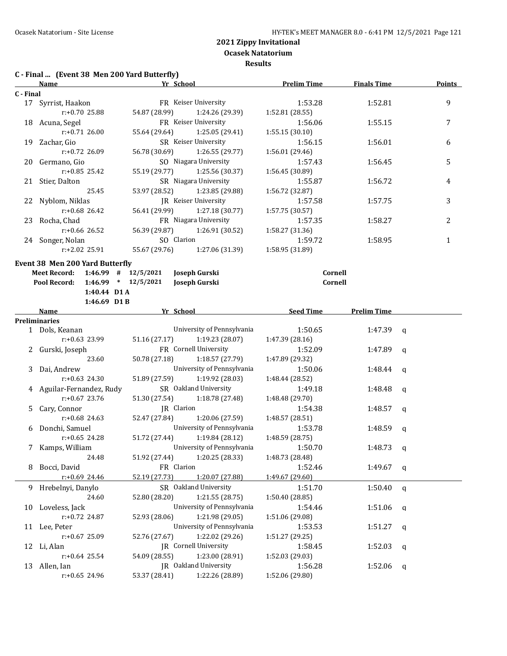**Ocasek Natatorium**

**Results**

# **C - Final ... (Event 38 Men 200 Yard Butterfly)**

|           | <b>Name</b>                          |                         | Yr School                   | <b>Prelim Time</b> | <b>Finals Time</b> |              | <b>Points</b> |
|-----------|--------------------------------------|-------------------------|-----------------------------|--------------------|--------------------|--------------|---------------|
| C - Final |                                      |                         |                             |                    |                    |              |               |
|           | 17 Syrrist, Haakon                   |                         | FR Keiser University        | 1:53.28            | 1:52.81            |              | 9             |
|           | r:+0.70 25.88                        | 54.87 (28.99)           | 1:24.26 (29.39)             | 1:52.81 (28.55)    |                    |              |               |
|           | 18 Acuna, Segel                      |                         | FR Keiser University        | 1:56.06            | 1:55.15            |              | 7             |
|           | $r: +0.71$ 26.00                     | 55.64 (29.64)           | 1:25.05 (29.41)             | 1:55.15(30.10)     |                    |              |               |
|           | 19 Zachar, Gio                       |                         | SR Keiser University        | 1:56.15            | 1:56.01            |              | 6             |
|           | $r: +0.72$ 26.09                     | 56.78 (30.69)           | 1:26.55 (29.77)             | 1:56.01 (29.46)    |                    |              |               |
|           | 20 Germano, Gio                      |                         | SO Niagara University       | 1:57.43            | 1:56.45            |              | 5             |
|           | $r: +0.85$ 25.42                     | 55.19 (29.77)           | 1:25.56 (30.37)             | 1:56.45 (30.89)    |                    |              |               |
|           | 21 Stier, Dalton                     |                         | SR Niagara University       | 1:55.87            | 1:56.72            |              | 4             |
|           | 25.45                                | 53.97 (28.52)           | 1:23.85 (29.88)             | 1:56.72 (32.87)    |                    |              |               |
|           | 22 Nyblom, Niklas                    |                         | <b>IR</b> Keiser University | 1:57.58            | 1:57.75            |              | 3             |
|           | $r: +0.68$ 26.42                     | 56.41 (29.99)           | 1:27.18 (30.77)             | 1:57.75 (30.57)    |                    |              |               |
|           | 23 Rocha, Chad                       |                         | FR Niagara University       | 1:57.35            | 1:58.27            |              | 2             |
|           | $r: +0.66$ 26.52                     | 56.39 (29.87)           | 1:26.91 (30.52)             | 1:58.27 (31.36)    |                    |              |               |
|           |                                      |                         | SO Clarion                  |                    |                    |              |               |
|           | 24 Songer, Nolan<br>$r: +2.02$ 25.91 |                         | 1:27.06 (31.39)             | 1:59.72            | 1:58.95            |              | $\mathbf{1}$  |
|           |                                      | 55.67 (29.76)           |                             | 1:58.95 (31.89)    |                    |              |               |
|           | Event 38 Men 200 Yard Butterfly      |                         |                             |                    |                    |              |               |
|           | <b>Meet Record:</b>                  | $1:46.99$ # $12/5/2021$ | Joseph Gurski               | Cornell            |                    |              |               |
|           | Pool Record:                         | $1:46.99$ * $12/5/2021$ | Joseph Gurski               | Cornell            |                    |              |               |
|           | 1:40.44 D1 A                         |                         |                             |                    |                    |              |               |
|           | $1:46.69$ D1B                        |                         |                             |                    |                    |              |               |
|           | <b>Name</b>                          |                         | Yr School                   | <b>Seed Time</b>   | <b>Prelim Time</b> |              |               |
|           | <b>Preliminaries</b>                 |                         |                             |                    |                    |              |               |
|           | 1 Dols, Keanan                       |                         | University of Pennsylvania  | 1:50.65            | 1:47.39            | $\mathsf{q}$ |               |
|           | $r: +0.63$ 23.99                     | 51.16 (27.17)           | 1:19.23(28.07)              | 1:47.39 (28.16)    |                    |              |               |
|           | 2 Gurski, Joseph                     |                         | FR Cornell University       | 1:52.09            | 1:47.89            | q            |               |
|           | 23.60                                | 50.78 (27.18)           | 1:18.57 (27.79)             | 1:47.89 (29.32)    |                    |              |               |
|           | 3 Dai, Andrew                        |                         | University of Pennsylvania  | 1:50.06            | 1:48.44            | q            |               |
|           | $r: +0.63$ 24.30                     | 51.89 (27.59)           | 1:19.92 (28.03)             | 1:48.44 (28.52)    |                    |              |               |
|           | 4 Aguilar-Fernandez, Rudy            |                         | SR Oakland University       | 1:49.18            | 1:48.48            | q            |               |
|           | $r: +0.67$ 23.76                     | 51.30 (27.54)           | 1:18.78 (27.48)             | 1:48.48 (29.70)    |                    |              |               |
| 5.        | Cary, Connor                         |                         | JR Clarion                  | 1:54.38            | 1:48.57            | q            |               |
|           | $r: +0.68$ 24.63                     | 52.47 (27.84)           | 1:20.06 (27.59)             | 1:48.57 (28.51)    |                    |              |               |
|           | 6 Donchi, Samuel                     |                         | University of Pennsylvania  | 1:53.78            | 1:48.59            | q            |               |
|           | $r: +0.65$ 24.28                     | 51.72 (27.44)           | 1:19.84 (28.12)             | 1:48.59 (28.75)    |                    |              |               |
|           | 7 Kamps, William                     |                         | University of Pennsylvania  | 1:50.70            | 1:48.73            | q            |               |
|           | 24.48                                | 51.92 (27.44)           | 1:20.25 (28.33)             | 1:48.73 (28.48)    |                    |              |               |
| 8         | Bocci, David                         |                         | FR Clarion                  | 1:52.46            | 1:49.67            | $\mathbf{q}$ |               |
|           | $r: +0.69$ 24.46                     | 52.19 (27.73)           | 1:20.07 (27.88)             | 1:49.67 (29.60)    |                    |              |               |
|           | 9 Hrebelnyi, Danylo                  |                         | SR Oakland University       | 1:51.70            | 1:50.40            | $\mathsf{q}$ |               |
|           | 24.60                                | 52.80 (28.20)           | 1:21.55(28.75)              | 1:50.40 (28.85)    |                    |              |               |
| 10        | Loveless, Jack                       |                         | University of Pennsylvania  | 1:54.46            | 1:51.06            |              |               |
|           | r:+0.72 24.87                        | 52.93 (28.06)           | 1:21.98 (29.05)             | 1:51.06 (29.08)    |                    | $\mathsf{q}$ |               |
|           |                                      |                         | University of Pennsylvania  |                    |                    |              |               |
|           | 11 Lee, Peter                        |                         |                             | 1:53.53            | 1:51.27            | q            |               |
|           | r:+0.67 25.09                        | 52.76 (27.67)           | 1:22.02 (29.26)             | 1:51.27 (29.25)    |                    |              |               |
|           | 12 Li, Alan                          |                         | JR Cornell University       | 1:58.45            | 1:52.03            | $\mathbf q$  |               |
|           | $r: +0.64$ 25.54                     | 54.09 (28.55)           | 1:23.00 (28.91)             | 1:52.03 (29.03)    |                    |              |               |
|           | 13 Allen, Ian                        |                         | JR Oakland University       | 1:56.28            | 1:52.06            | $\mathsf{q}$ |               |
|           | $r: +0.65$ 24.96                     | 53.37 (28.41)           | 1:22.26 (28.89)             | 1:52.06 (29.80)    |                    |              |               |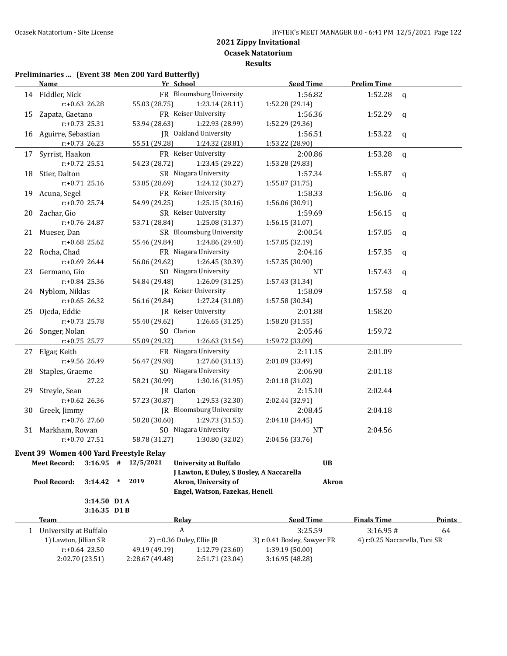#### **Preliminaries ... (Event 38 Men 200 Yard Butterfly)**

| Name |                                         |                 | Yr School                                 | <b>Seed Time</b>            | <b>Prelim Time</b> |                               |
|------|-----------------------------------------|-----------------|-------------------------------------------|-----------------------------|--------------------|-------------------------------|
|      | 14 Fiddler, Nick                        |                 | FR Bloomsburg University                  | 1:56.82                     | 1:52.28            | q                             |
|      | $r: +0.63$ 26.28                        | 55.03 (28.75)   | 1:23.14 (28.11)                           | 1:52.28 (29.14)             |                    |                               |
|      | 15 Zapata, Gaetano                      |                 | FR Keiser University                      | 1:56.36                     | 1:52.29            | q                             |
|      | $r: +0.73$ 25.31                        | 53.94 (28.63)   | 1:22.93 (28.99)                           | 1:52.29 (29.36)             |                    |                               |
|      | 16 Aguirre, Sebastian                   |                 | JR Oakland University                     | 1:56.51                     | 1:53.22            | q                             |
|      | $r: +0.73$ 26.23                        | 55.51 (29.28)   | 1:24.32 (28.81)                           | 1:53.22 (28.90)             |                    |                               |
| 17   | Syrrist, Haakon                         |                 | FR Keiser University                      | 2:00.86                     | 1:53.28            | q                             |
|      | r:+0.72 25.51                           | 54.23 (28.72)   | 1:23.45 (29.22)                           | 1:53.28 (29.83)             |                    |                               |
| 18   | Stier, Dalton                           |                 | SR Niagara University                     | 1:57.34                     | 1:55.87            | q                             |
|      | $r: +0.71$ 25.16                        | 53.85 (28.69)   | 1:24.12 (30.27)                           | 1:55.87 (31.75)             |                    |                               |
|      | 19 Acuna, Segel                         |                 | FR Keiser University                      | 1:58.33                     | 1:56.06            | q                             |
|      | $r: +0.70$ 25.74                        | 54.99 (29.25)   | 1:25.15(30.16)                            | 1:56.06 (30.91)             |                    |                               |
| 20   | Zachar, Gio                             |                 | SR Keiser University                      | 1:59.69                     | 1:56.15            | q                             |
|      | r:+0.76 24.87                           | 53.71 (28.84)   | 1:25.08 (31.37)                           | 1:56.15 (31.07)             |                    |                               |
|      | 21 Mueser, Dan                          |                 | SR Bloomsburg University                  | 2:00.54                     | 1:57.05            | q                             |
|      | r:+0.68 25.62                           | 55.46 (29.84)   | 1:24.86 (29.40)                           | 1:57.05 (32.19)             |                    |                               |
|      | 22 Rocha, Chad                          |                 | FR Niagara University                     | 2:04.16                     | 1:57.35            | q                             |
|      | r:+0.69 26.44                           | 56.06 (29.62)   | 1:26.45 (30.39)                           | 1:57.35 (30.90)             |                    |                               |
|      | 23 Germano, Gio                         |                 | SO Niagara University                     | NT                          | 1:57.43            | q                             |
|      | r:+0.84 25.36                           | 54.84 (29.48)   | 1:26.09 (31.25)                           | 1:57.43 (31.34)             |                    |                               |
|      | 24 Nyblom, Niklas                       |                 | JR Keiser University                      | 1:58.09                     | 1:57.58            | q                             |
|      | r:+0.65 26.32                           | 56.16 (29.84)   | 1:27.24 (31.08)                           | 1:57.58 (30.34)             |                    |                               |
|      | 25 Ojeda, Eddie                         |                 | JR Keiser University                      | 2:01.88                     | 1:58.20            |                               |
|      | $r: +0.73$ 25.78                        | 55.40 (29.62)   | 1:26.65 (31.25)                           | 1:58.20 (31.55)             |                    |                               |
| 26   | Songer, Nolan                           | SO Clarion      |                                           | 2:05.46                     | 1:59.72            |                               |
|      | r:+0.75 25.77                           | 55.09 (29.32)   | 1:26.63 (31.54)                           | 1:59.72 (33.09)             |                    |                               |
|      | 27 Elgar, Keith                         |                 | FR Niagara University                     | 2:11.15                     | 2:01.09            |                               |
|      | r:+9.56 26.49                           | 56.47 (29.98)   | 1:27.60(31.13)                            | 2:01.09 (33.49)             |                    |                               |
| 28   | Staples, Graeme                         |                 | SO Niagara University                     | 2:06.90                     | 2:01.18            |                               |
|      | 27.22                                   | 58.21 (30.99)   | 1:30.16(31.95)                            | 2:01.18 (31.02)             |                    |                               |
| 29.  | Streyle, Sean                           |                 | JR Clarion                                | 2:15.10                     | 2:02.44            |                               |
|      | $r: +0.62$ 26.36                        | 57.23 (30.87)   | 1:29.53 (32.30)                           | 2:02.44 (32.91)             |                    |                               |
| 30   | Greek, Jimmy                            |                 | JR Bloomsburg University                  | 2:08.45                     | 2:04.18            |                               |
|      | r:+0.76 27.60                           | 58.20 (30.60)   | 1:29.73 (31.53)                           | 2:04.18 (34.45)             |                    |                               |
|      | 31 Markham, Rowan                       |                 | SO Niagara University                     | NT                          | 2:04.56            |                               |
|      | $r: +0.70$ 27.51                        | 58.78 (31.27)   | 1:30.80 (32.02)                           | 2:04.56 (33.76)             |                    |                               |
|      | Event 39 Women 400 Yard Freestyle Relay |                 |                                           |                             |                    |                               |
|      | <b>Meet Record:</b><br>$3:16.95$ #      | 12/5/2021       | <b>University at Buffalo</b>              | <b>UB</b>                   |                    |                               |
|      |                                         |                 | J Lawton, E Duley, S Bosley, A Naccarella |                             |                    |                               |
|      | Pool Record:<br>3:14.42                 | 2019<br>$\ast$  | Akron, University of                      | <b>Akron</b>                |                    |                               |
|      |                                         |                 | Engel, Watson, Fazekas, Henell            |                             |                    |                               |
|      | 3:14.50 D1 A                            |                 |                                           |                             |                    |                               |
|      | 3:16.35 D1B                             |                 |                                           |                             |                    |                               |
|      | <b>Team</b>                             |                 | <b>Relay</b>                              | <b>Seed Time</b>            | <b>Finals Time</b> | <b>Points</b>                 |
|      | 1 University at Buffalo                 |                 | $\boldsymbol{A}$                          | 3:25.59                     | 3:16.95#           | 64                            |
|      | 1) Lawton, Jillian SR                   |                 | 2) r:0.36 Duley, Ellie JR                 | 3) r:0.41 Bosley, Sawyer FR |                    | 4) r:0.25 Naccarella, Toni SR |
|      | $r: +0.64$ 23.50                        | 49.19 (49.19)   | 1:12.79 (23.60)                           | 1:39.19 (50.00)             |                    |                               |
|      | 2:02.70 (23.51)                         | 2:28.67 (49.48) | 2:51.71 (23.04)                           | 3:16.95 (48.28)             |                    |                               |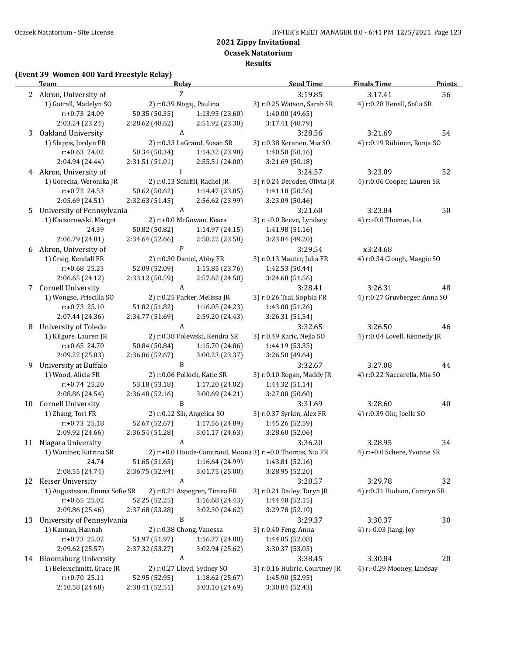**Ocasek Natatorium**

**Results**

# **(Event 39 Women 400 Yard Freestyle Relay)**

|    | <b>Team</b>                                 | <b>Relay</b>                     |                               | <b>Seed Time</b>                                         | <b>Finals Time</b>            | <b>Points</b> |
|----|---------------------------------------------|----------------------------------|-------------------------------|----------------------------------------------------------|-------------------------------|---------------|
|    | 2 Akron, University of<br>Z                 |                                  | 3:19.85                       | 3:17.41                                                  | 56                            |               |
|    | 1) Gatrall, Madelyn SO                      |                                  | 2) r:0.39 Nogaj, Paulina      | 3) r:0.25 Watson, Sarah SR                               | 4) r:0.28 Henell, Sofia SR    |               |
|    | r:+0.73 24.09                               | 50.35 (50.35)                    | 1:13.95 (23.60)               | 1:40.00 (49.65)                                          |                               |               |
|    | 2:03.24 (23.24)                             | 2:28.62 (48.62)                  | 2:51.92 (23.30)               | 3:17.41 (48.79)                                          |                               |               |
| 3  | Oakland University                          | A                                |                               | 3:28.56                                                  | 3:21.69                       | 54            |
|    | 1) Shipps, Jordyn FR                        |                                  | 2) r:0.33 LaGrand, Susan SR   | 3) r:0.38 Keranen, Mia SO                                | 4) r:0.19 Riihinen, Ronja SO  |               |
|    | r:+0.63 24.02                               | 50.34 (50.34)                    | 1:14.32 (23.98)               | 1:40.50 (50.16)                                          |                               |               |
|    | 2:04.94 (24.44)                             | 2:31.51 (51.01)                  | 2:55.51 (24.00)               | 3:21.69 (50.18)                                          |                               |               |
|    | 4 Akron, University of                      | $\mathbf{I}$                     |                               | 3:24.57                                                  | 3:23.09                       | 52            |
|    | 1) Gorecka, Weronika JR                     |                                  | 2) r:0.13 Schiffli, Rachel JR | 3) r:0.24 Derodes, Olivia JR                             | 4) r:0.06 Cooper, Lauren SR   |               |
|    | r:+0.72 24.53                               | 50.62 (50.62)                    | 1:14.47 (23.85)               | 1:41.18 (50.56)                                          |                               |               |
|    | 2:05.69 (24.51)                             | 2:32.63 (51.45)                  | 2:56.62 (23.99)               | 3:23.09 (50.46)                                          |                               |               |
| 5  | University of Pennsylvania                  | A                                |                               | 3:21.60                                                  | 3:23.84                       | 50            |
|    | 1) Kaczorowski, Margot                      |                                  | 2) r:+0.0 McGowan, Keara      | 3) r:+0.0 Reeve, Lyndsey                                 | 4) r:+0.0 Thomas, Lia         |               |
|    | 24.39                                       | 50.82 (50.82)                    | 1:14.97 (24.15)               | 1:41.98 (51.16)                                          |                               |               |
|    | 2:06.79 (24.81)                             | 2:34.64 (52.66)                  | 2:58.22 (23.58)               | 3:23.84 (49.20)                                          |                               |               |
| 6  | Akron, University of                        | $\mathbf{P}$                     |                               | 3:29.54                                                  | x3:24.68                      |               |
|    | 1) Craig, Kendall FR                        |                                  | 2) r:0.30 Daniel, Abby FR     | 3) r:0.13 Mauter, Julia FR                               | 4) r:0.34 Clough, Maggie SO   |               |
|    | r:+0.68 25.23                               | 52.09 (52.09)                    | 1:15.85 (23.76)               | 1:42.53 (50.44)                                          |                               |               |
|    | 2:06.65 (24.12)                             | 2:33.12 (50.59)                  | 2:57.62 (24.50)               | 3:24.68 (51.56)                                          |                               |               |
| 7  | Cornell University                          | A                                |                               | 3:28.41                                                  | 3:26.31                       | 48            |
|    | 1) Wongso, Priscilla SO                     |                                  | 2) r:0.25 Parker, Melissa JR  | 3) r:0.26 Tsai, Sophia FR                                | 4) r:0.27 Gruvberger, Anna SO |               |
|    | $r: +0.73$ 25.10                            | 51.82 (51.82)                    | 1:16.05(24.23)                | 1:43.08 (51.26)                                          |                               |               |
|    | 2:07.44 (24.36)                             | 2:34.77 (51.69)                  | 2:59.20 (24.43)               | 3:26.31 (51.54)                                          |                               |               |
| 8  | University of Toledo                        | $\boldsymbol{A}$                 |                               | 3:32.65                                                  | 3:26.50                       | 46            |
|    | 1) Kilgore, Lauren JR                       |                                  | 2) r:0.38 Polewski, Kendra SR | 3) r:0.49 Karic, Nejla SO                                | 4) r:0.04 Lovell, Kennedy JR  |               |
|    | r:+0.65 24.70                               | 50.84 (50.84)                    | 1:15.70 (24.86)               | 1:44.19 (53.35)                                          |                               |               |
|    | 2:09.22 (25.03)                             | 2:36.86 (52.67)                  | 3:00.23 (23.37)               | 3:26.50 (49.64)                                          |                               |               |
| 9  | University at Buffalo                       | B                                |                               | 3:32.67                                                  | 3:27.08                       | 44            |
|    | 1) Wood, Alicia FR                          |                                  | 2) r:0.06 Pollock, Katie SR   | 3) r:0.10 Rogan, Maddy JR                                | 4) r:0.22 Naccarella, Mia SO  |               |
|    | r:+0.74 25.20                               | 53.18 (53.18)                    | 1:17.20 (24.02)               | 1:44.32 (51.14)                                          |                               |               |
|    | 2:08.86 (24.54)                             | 2:36.48 (52.16)                  | 3:00.69 (24.21)               | 3:27.08 (50.60)                                          |                               |               |
| 10 | Cornell University                          | B                                |                               | 3:31.69                                                  | 3:28.60                       | 40            |
|    | 1) Zhang, Tori FR                           |                                  | 2) r:0.12 Sih, Angelica SO    | 3) r:0.37 Syrkin, Alex FR                                | 4) r:0.39 Ohr, Joelle SO      |               |
|    | $r: +0.73$ 25.18                            | 52.67 (52.67)                    | 1:17.56 (24.89)               | 1:45.26 (52.59)                                          |                               |               |
|    | 2:09.92 (24.66)                             | 2:36.54 (51.28)                  | 3:01.17 (24.63)               | 3:28.60 (52.06)                                          |                               |               |
|    | 11 Niagara University                       | A                                |                               | 3:36.20                                                  | 3:28.95                       | 34            |
|    | 1) Wardner, Katrina SR                      |                                  |                               | 2) r:+0.0 Houde-Camirand, Moana 3) r:+0.0 Thomas, Nia FR | 4) r:+0.0 Schere, Yvonne SR   |               |
|    | 24.74                                       | 51.65 (51.65)                    | 1:16.64 (24.99)               | 1:43.81 (52.16)                                          |                               |               |
|    | 2:08.55 (24.74)                             | 2:36.75 (52.94)                  | 3:01.75 (25.00)               | 3:28.95 (52.20)                                          |                               |               |
|    | 12 Keiser University                        | A                                |                               | 3:28.57                                                  | 3:29.78                       | 32            |
|    | 1) Augustsson, Emma Sofie SR                |                                  | 2) r:0.21 Aspegren, Timea FR  | 3) r:0.21 Dailey, Taryn JR                               | 4) r:0.31 Hudson, Camryn SR   |               |
|    | $r: +0.65$ 25.02<br>2:09.86 (25.46)         | 52.25 (52.25)<br>2:37.68 (53.28) | 1:16.68 (24.43)               | 1:44.40 (52.15)<br>3:29.78 (52.10)                       |                               |               |
|    |                                             | B                                | 3:02.30 (24.62)               |                                                          |                               |               |
| 13 | University of Pennsylvania                  |                                  |                               | 3:29.37                                                  | 3:30.37                       | 30            |
|    | 1) Kannan, Hannah<br>$r: +0.73$ 25.02       |                                  | 2) r:0.38 Chong, Vanessa      | 3) r:0.40 Feng, Anna                                     | 4) r:-0.03 Jiang, Joy         |               |
|    |                                             | 51.97 (51.97)<br>2:37.32 (53.27) | 1:16.77 (24.80)               | 1:44.05 (52.08)<br>3:30.37 (53.05)                       |                               |               |
|    | 2:09.62 (25.57)<br>14 Bloomsburg University | A                                | 3:02.94 (25.62)               | 3:38.45                                                  | 3:30.84                       | 28            |
|    | 1) Beierschmitt, Grace JR                   |                                  | 2) r:0.27 Lloyd, Sydney SO    | 3) r:0.16 Hubric, Courtney JR                            | 4) r:-0.29 Mooney, Lindsay    |               |
|    | $r: +0.70$ 25.11                            | 52.95 (52.95)                    | 1:18.62 (25.67)               | 1:45.90 (52.95)                                          |                               |               |
|    | 2:10.58 (24.68)                             | 2:38.41 (52.51)                  | 3:03.10 (24.69)               | 3:30.84 (52.43)                                          |                               |               |
|    |                                             |                                  |                               |                                                          |                               |               |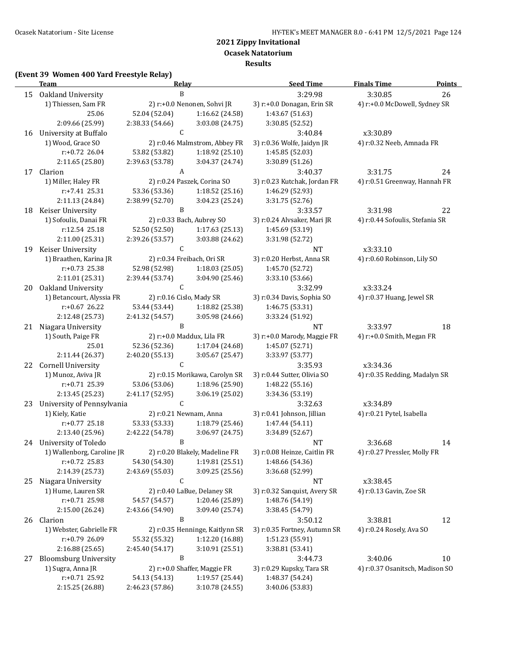**Ocasek Natatorium**

**Results**

#### **(Event 39 Women 400 Yard Freestyle Relay)**

|    | <b>Team</b>                                        | <b>Relay</b>    |                                 | <b>Seed Time</b>              | <b>Finals Time</b>              | <b>Points</b> |
|----|----------------------------------------------------|-----------------|---------------------------------|-------------------------------|---------------------------------|---------------|
| 15 | Oakland University<br>B                            |                 | 3:29.98                         | 3:30.85                       | 26                              |               |
|    | 1) Thiessen, Sam FR<br>2) r:+0.0 Nenonen, Sohvi JR |                 | 3) r:+0.0 Donagan, Erin SR      | 4) r:+0.0 McDowell, Sydney SR |                                 |               |
|    | 25.06                                              | 52.04 (52.04)   | 1:16.62 (24.58)                 | 1:43.67 (51.63)               |                                 |               |
|    | 2:09.66 (25.99)                                    | 2:38.33 (54.66) | 3:03.08 (24.75)                 | 3:30.85 (52.52)               |                                 |               |
| 16 | University at Buffalo                              | C               |                                 | 3:40.84                       | x3:30.89                        |               |
|    | 1) Wood, Grace SO                                  |                 | 2) r:0.46 Malmstrom, Abbey FR   | 3) r:0.36 Wolfe, Jaidyn JR    | 4) r:0.32 Neeb, Amnada FR       |               |
|    | r:+0.72 26.04                                      | 53.82 (53.82)   | 1:18.92 (25.10)                 | 1:45.85 (52.03)               |                                 |               |
|    | 2:11.65 (25.80)                                    | 2:39.63 (53.78) | 3:04.37 (24.74)                 | 3:30.89 (51.26)               |                                 |               |
|    | 17 Clarion                                         | A               |                                 | 3:40.37                       | 3:31.75                         | 24            |
|    | 1) Miller, Haley FR                                |                 | 2) r:0.24 Paszek, Corina SO     | 3) r:0.23 Kutchak, Jordan FR  | 4) r:0.51 Greenway, Hannah FR   |               |
|    | r:+7.41 25.31                                      | 53.36 (53.36)   | 1:18.52 (25.16)                 | 1:46.29 (52.93)               |                                 |               |
|    | 2:11.13 (24.84)                                    | 2:38.99 (52.70) | 3:04.23 (25.24)                 | 3:31.75 (52.76)               |                                 |               |
| 18 | Keiser University                                  | B               |                                 | 3:33.57                       | 3:31.98                         | 22            |
|    | 1) Sofoulis, Danai FR                              |                 | 2) r:0.33 Bach, Aubrey SO       | 3) r:0.24 Alvsaker, Mari JR   | 4) r:0.44 Sofoulis, Stefania SR |               |
|    | r:12.54 25.18                                      | 52.50 (52.50)   | 1:17.63(25.13)                  | 1:45.69 (53.19)               |                                 |               |
|    | 2:11.00 (25.31)                                    | 2:39.26 (53.57) | 3:03.88 (24.62)                 | 3:31.98 (52.72)               |                                 |               |
|    | 19 Keiser University                               | $\mathsf{C}$    |                                 | <b>NT</b>                     | x3:33.10                        |               |
|    | 1) Braathen, Karina JR                             |                 | 2) r:0.34 Freibach, Ori SR      | 3) r:0.20 Herbst, Anna SR     | 4) r:0.60 Robinson, Lily SO     |               |
|    | r:+0.73 25.38                                      | 52.98 (52.98)   | 1:18.03(25.05)                  | 1:45.70 (52.72)               |                                 |               |
|    | 2:11.01 (25.31)                                    | 2:39.44 (53.74) | 3:04.90 (25.46)                 | 3:33.10 (53.66)               |                                 |               |
| 20 | Oakland University                                 | C               |                                 | 3:32.99                       | x3:33.24                        |               |
|    | 1) Betancourt, Alyssia FR                          |                 | 2) r:0.16 Cislo, Mady SR        | 3) r:0.34 Davis, Sophia SO    | 4) r:0.37 Huang, Jewel SR       |               |
|    | $r: +0.67$ 26.22                                   | 53.44 (53.44)   | 1:18.82 (25.38)                 | 1:46.75 (53.31)               |                                 |               |
|    | 2:12.48 (25.73)                                    | 2:41.32 (54.57) | 3:05.98 (24.66)                 | 3:33.24 (51.92)               |                                 |               |
| 21 | Niagara University                                 | B               |                                 | NT                            | 3:33.97                         | 18            |
|    | 1) South, Paige FR                                 |                 | 2) r:+0.0 Maddux, Lila FR       | 3) r:+0.0 Marody, Maggie FR   | 4) r:+0.0 Smith, Megan FR       |               |
|    | 25.01                                              | 52.36 (52.36)   | 1:17.04 (24.68)                 | 1:45.07 (52.71)               |                                 |               |
|    | 2:11.44 (26.37)                                    | 2:40.20 (55.13) | 3:05.67 (25.47)                 | 3:33.97 (53.77)               |                                 |               |
|    |                                                    | $\mathsf C$     |                                 |                               |                                 |               |
|    | 22 Cornell University                              |                 |                                 | 3:35.93                       | x3:34.36                        |               |
|    | 1) Munoz, Aviva JR                                 |                 | 2) r:0.15 Morikawa, Carolyn SR  | 3) r:0.44 Sutter, Olivia SO   | 4) r:0.35 Redding, Madalyn SR   |               |
|    | r:+0.71 25.39                                      | 53.06 (53.06)   | 1:18.96 (25.90)                 | 1:48.22 (55.16)               |                                 |               |
|    | 2:13.45 (25.23)                                    | 2:41.17 (52.95) | 3:06.19 (25.02)                 | 3:34.36 (53.19)               |                                 |               |
| 23 | University of Pennsylvania                         | C               |                                 | 3:32.63                       | x3:34.89                        |               |
|    | 1) Kiely, Katie                                    |                 | 2) r:0.21 Newnam, Anna          | 3) r:0.41 Johnson, Jillian    | 4) r:0.21 Pytel, Isabella       |               |
|    | $r: +0.77$ 25.18                                   | 53.33 (53.33)   | 1:18.79 (25.46)                 | 1:47.44 (54.11)               |                                 |               |
|    | 2:13.40 (25.96)                                    | 2:42.22 (54.78) | 3:06.97 (24.75)                 | 3:34.89 (52.67)               |                                 |               |
|    | 24 University of Toledo                            | B               |                                 | <b>NT</b>                     | 3:36.68                         | 14            |
|    | 1) Wallenborg, Caroline JR                         |                 | 2) r:0.20 Blakely, Madeline FR  | 3) r:0.08 Heinze, Caitlin FR  | 4) r:0.27 Pressler, Molly FR    |               |
|    | $r: +0.72$ 25.83                                   | 54.30 (54.30)   | 1:19.81 (25.51)                 | 1:48.66 (54.36)               |                                 |               |
|    | 2:14.39 (25.73)                                    | 2:43.69 (55.03) | 3:09.25 (25.56)                 | 3:36.68 (52.99)               |                                 |               |
| 25 | Niagara University                                 | C               |                                 | NT                            | x3:38.45                        |               |
|    | 1) Hume, Lauren SR                                 |                 | 2) r:0.40 LaBue, Delaney SR     | 3) r:0.32 Sanquist, Avery SR  | 4) r:0.13 Gavin, Zoe SR         |               |
|    | r:+0.71 25.98                                      | 54.57 (54.57)   | 1:20.46 (25.89)                 | 1:48.76 (54.19)               |                                 |               |
|    | 2:15.00 (26.24)                                    | 2:43.66 (54.90) | 3:09.40 (25.74)                 | 3:38.45 (54.79)               |                                 |               |
| 26 | Clarion                                            | B               |                                 | 3:50.12                       | 3:38.81                         | 12            |
|    | 1) Webster, Gabrielle FR                           |                 | 2) r:0.35 Henninge, Kaitlynn SR | 3) r:0.35 Fortney, Autumn SR  | 4) r:0.24 Rosely, Ava SO        |               |
|    | r:+0.79 26.09                                      | 55.32 (55.32)   | 1:12.20 (16.88)                 | 1:51.23 (55.91)               |                                 |               |
|    | 2:16.88 (25.65)                                    | 2:45.40 (54.17) | 3:10.91 (25.51)                 | 3:38.81 (53.41)               |                                 |               |
| 27 | <b>Bloomsburg University</b>                       | B               |                                 | 3:44.73                       | 3:40.06                         | 10            |
|    | 1) Sugra, Anna JR                                  |                 | 2) r:+0.0 Shaffer, Maggie FR    | 3) r:0.29 Kupsky, Tara SR     | 4) r:0.37 Osanitsch, Madison SO |               |
|    | r:+0.71 25.92                                      | 54.13 (54.13)   | 1:19.57 (25.44)                 | 1:48.37 (54.24)               |                                 |               |
|    | 2:15.25 (26.88)                                    | 2:46.23 (57.86) | 3:10.78 (24.55)                 | 3:40.06 (53.83)               |                                 |               |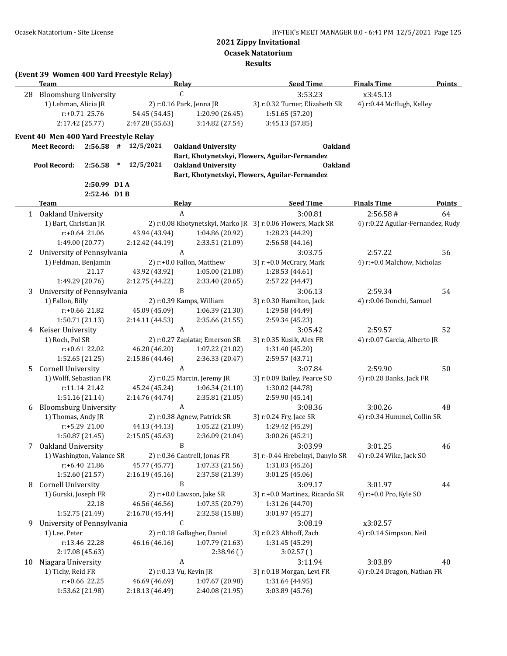**Ocasek Natatorium**

**Results**

|    | <b>Team</b>                           |                  |        |                 | Relay                        |                                | <b>Seed Time</b>                                            | <b>Finals Time</b>                | <b>Points</b> |
|----|---------------------------------------|------------------|--------|-----------------|------------------------------|--------------------------------|-------------------------------------------------------------|-----------------------------------|---------------|
| 28 | <b>Bloomsburg University</b>          |                  |        |                 | $\mathsf C$                  |                                | 3:53.23                                                     | x3:45.13                          |               |
|    | 1) Lehman, Alicia JR                  |                  |        |                 | 2) r:0.16 Park, Jenna JR     |                                | 3) r:0.32 Turner, Elizabeth SR                              | 4) r:0.44 McHugh, Kelley          |               |
|    |                                       | $r: +0.71$ 25.76 |        | 54.45 (54.45)   |                              | 1:20.90 (26.45)                | 1:51.65 (57.20)                                             |                                   |               |
|    |                                       | 2:17.42 (25.77)  |        | 2:47.28 (55.63) |                              | 3:14.82 (27.54)                | 3:45.13 (57.85)                                             |                                   |               |
|    |                                       |                  |        |                 |                              |                                |                                                             |                                   |               |
|    | Event 40 Men 400 Yard Freestyle Relay |                  |        |                 |                              |                                |                                                             |                                   |               |
|    | <b>Meet Record:</b>                   | $2:56.58$ #      |        | 12/5/2021       | <b>Oakland University</b>    |                                | <b>Oakland</b>                                              |                                   |               |
|    |                                       |                  |        |                 |                              |                                | Bart, Khotynetskyi, Flowers, Aguilar-Fernandez              |                                   |               |
|    | Pool Record:                          | 2:56.58          | $\ast$ | 12/5/2021       | <b>Oakland University</b>    |                                | <b>Oakland</b>                                              |                                   |               |
|    |                                       |                  |        |                 |                              |                                | Bart, Khotynetskyi, Flowers, Aguilar-Fernandez              |                                   |               |
|    |                                       | 2:50.99 D1 A     |        |                 |                              |                                |                                                             |                                   |               |
|    |                                       | 2:52.46 D1B      |        |                 |                              |                                |                                                             |                                   |               |
|    | <b>Team</b>                           |                  |        |                 | Relay                        |                                | <b>Seed Time</b>                                            | <b>Finals Time</b>                | <b>Points</b> |
|    | 1 Oakland University                  |                  |        |                 | A                            |                                | 3:00.81                                                     | 2:56.58#                          | 64            |
|    | 1) Bart, Christian JR                 |                  |        |                 |                              |                                | 2) r:0.08 Khotynetskyi, Marko JR 3) r:0.06 Flowers, Mack SR | 4) r:0.22 Aguilar-Fernandez, Rudy |               |
|    |                                       | $r: +0.64$ 21.06 |        | 43.94 (43.94)   |                              | 1:04.86 (20.92)                | 1:28.23 (44.29)                                             |                                   |               |
|    |                                       | 1:49.00 (20.77)  |        | 2:12.42 (44.19) |                              | 2:33.51 (21.09)                | 2:56.58 (44.16)                                             |                                   |               |
| 2  | University of Pennsylvania            |                  |        |                 | $\boldsymbol{A}$             |                                | 3:03.75                                                     | 2:57.22                           | 56            |
|    | 1) Feldman, Benjamin                  |                  |        |                 | 2) r:+0.0 Fallon, Matthew    |                                | 3) r:+0.0 McCrary, Mark                                     | 4) r:+0.0 Malchow, Nicholas       |               |
|    |                                       | 21.17            |        | 43.92 (43.92)   |                              | 1:05.00(21.08)                 | 1:28.53 (44.61)                                             |                                   |               |
|    |                                       | 1:49.29 (20.76)  |        | 2:12.75 (44.22) |                              | 2:33.40 (20.65)                | 2:57.22 (44.47)                                             |                                   |               |
| 3  | University of Pennsylvania            |                  |        |                 | B                            |                                | 3:06.13                                                     | 2:59.34                           | 54            |
|    | 1) Fallon, Billy                      |                  |        |                 | 2) r:0.39 Kamps, William     |                                | 3) r:0.30 Hamilton, Jack                                    | 4) r:0.06 Donchi, Samuel          |               |
|    |                                       | r:+0.66 21.82    |        | 45.09 (45.09)   |                              | 1:06.39(21.30)                 | 1:29.58 (44.49)                                             |                                   |               |
|    |                                       | 1:50.71 (21.13)  |        | 2:14.11 (44.53) |                              | 2:35.66 (21.55)                | 2:59.34 (45.23)                                             |                                   |               |
|    | 4 Keiser University                   |                  |        |                 | $\boldsymbol{A}$             |                                | 3:05.42                                                     | 2:59.57                           | 52            |
|    | 1) Roch, Pol SR                       |                  |        |                 |                              | 2) r:0.27 Zaplatar, Emerson SR | 3) r:0.35 Kusik, Alex FR                                    | 4) r:0.07 Garcia, Alberto JR      |               |
|    |                                       | r:+0.61 22.02    |        | 46.20 (46.20)   |                              | 1:07.22(21.02)                 | 1:31.40 (45.20)                                             |                                   |               |
|    |                                       | 1:52.65 (21.25)  |        | 2:15.86 (44.46) |                              | 2:36.33 (20.47)                | 2:59.57 (43.71)                                             |                                   |               |
| 5. | <b>Cornell University</b>             |                  |        |                 | $\boldsymbol{A}$             |                                | 3:07.84                                                     | 2:59.90                           | 50            |
|    | 1) Wolff, Sebastian FR                |                  |        |                 | 2) r:0.25 Marcin, Jeremy JR  |                                | 3) r:0.09 Bailey, Pearce SO                                 | 4) r:0.28 Banks, Jack FR          |               |
|    |                                       | r:11.14 21.42    |        | 45.24 (45.24)   |                              | 1:06.34(21.10)                 | 1:30.02 (44.78)                                             |                                   |               |
|    |                                       | 1:51.16(21.14)   |        | 2:14.76 (44.74) |                              | 2:35.81 (21.05)                | 2:59.90 (45.14)                                             |                                   |               |
| 6  | <b>Bloomsburg University</b>          |                  |        |                 | A                            |                                | 3:08.36                                                     | 3:00.26                           | 48            |
|    | 1) Thomas, Andy JR                    |                  |        |                 | 2) r:0.38 Agnew, Patrick SR  |                                | 3) r:0.24 Fry, Jace SR                                      | 4) r:0.34 Hummel, Collin SR       |               |
|    |                                       | r:+5.29 21.00    |        | 44.13 (44.13)   |                              | 1:05.22 (21.09)                | 1:29.42 (45.29)                                             |                                   |               |
|    |                                       | 1:50.87 (21.45)  |        | 2:15.05 (45.63) |                              | 2:36.09 (21.04)                | 3:00.26 (45.21)                                             |                                   |               |
| 7  | Oakland University                    |                  |        |                 | B                            |                                | 3:03.99                                                     | 3:01.25                           | 46            |
|    | 1) Washington, Valance SR             |                  |        |                 | 2) r:0.36 Cantrell, Jonas FR |                                | 3) r:-0.44 Hrebelnyi, Danylo SR                             |                                   |               |
|    |                                       |                  |        |                 |                              | 1:07.33(21.56)                 | 1:31.03 (45.26)                                             | 4) r:0.24 Wike, Jack SO           |               |
|    |                                       | r:+6.40 21.86    |        | 45.77 (45.77)   |                              |                                |                                                             |                                   |               |
|    |                                       | 1:52.60 (21.57)  |        | 2:16.19 (45.16) |                              | 2:37.58 (21.39)                | 3:01.25 (45.06)                                             |                                   |               |
| 8  | <b>Cornell University</b>             |                  |        |                 | B                            |                                | 3:09.17                                                     | 3:01.97                           | 44            |
|    | 1) Gurski, Joseph FR                  |                  |        |                 | 2) r:+0.0 Lawson, Jake SR    |                                | 3) r:+0.0 Martinez, Ricardo SR                              | 4) r:+0.0 Pro, Kyle SO            |               |
|    |                                       | 22.18            |        | 46.56 (46.56)   |                              | 1:07.35 (20.79)                | 1:31.26 (44.70)                                             |                                   |               |
|    |                                       | 1:52.75 (21.49)  |        | 2:16.70 (45.44) |                              | 2:32.58 (15.88)                | 3:01.97 (45.27)                                             |                                   |               |
| 9  | University of Pennsylvania            |                  |        |                 | C                            |                                | 3:08.19                                                     | x3:02.57                          |               |
|    | 1) Lee, Peter                         |                  |        |                 | 2) r:0.18 Gallagher, Daniel  |                                | 3) r:0.23 Althoff, Zach                                     | 4) r:0.14 Simpson, Neil           |               |
|    |                                       | r:13.46 22.28    |        | 46.16 (46.16)   |                              | 1:07.79 (21.63)                | 1:31.45 (45.29)                                             |                                   |               |
|    |                                       | 2:17.08 (45.63)  |        |                 |                              | 2:38.96()                      | 3:02.57()                                                   |                                   |               |
| 10 | Niagara University                    |                  |        |                 | A                            |                                | 3:11.94                                                     | 3:03.89                           | 40            |
|    | 1) Tichy, Reid FR                     |                  |        |                 | 2) r:0.13 Vu, Kevin JR       |                                | 3) r:0.18 Morgan, Levi FR                                   | 4) r:0.24 Dragon, Nathan FR       |               |
|    |                                       | r:+0.66 22.25    |        | 46.69 (46.69)   |                              | 1:07.67 (20.98)                | 1:31.64 (44.95)                                             |                                   |               |
|    |                                       | 1:53.62 (21.98)  |        | 2:18.13 (46.49) |                              | 2:40.08 (21.95)                | 3:03.89 (45.76)                                             |                                   |               |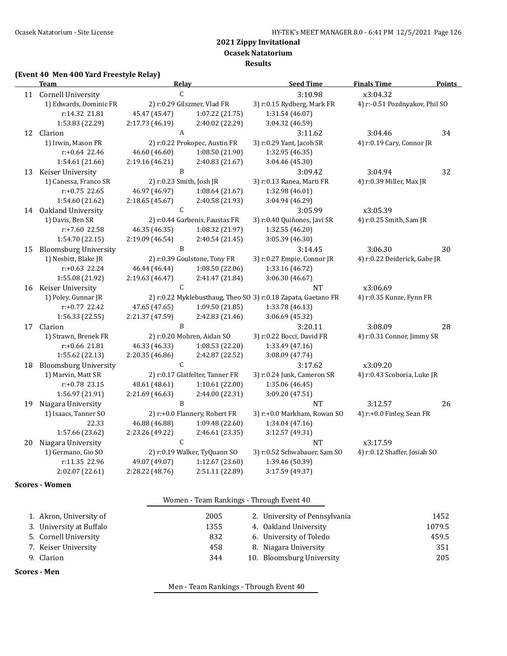**Ocasek Natatorium**

**Results**

#### **(Event 40 Men 400 Yard Freestyle Relay)**

|                        | <b>Team</b>                  | Relay                    |                                 | <b>Seed Time</b>                                              | <b>Finals Time</b>             | <b>Points</b> |
|------------------------|------------------------------|--------------------------|---------------------------------|---------------------------------------------------------------|--------------------------------|---------------|
|                        | 11 Cornell University        | C                        |                                 | 3:10.98                                                       | x3:04.32                       |               |
| 1) Edwards, Dominic FR |                              |                          | 2) r:0.29 Gilszmer, Vlad FR     | 3) r:0.15 Rydberg, Mark FR                                    | 4) r:-0.51 Pozdnyakov, Phil SO |               |
|                        | r:14.32 21.81                | 45.47 (45.47)            | 1:07.22(21.75)                  | 1:31.54 (46.07)                                               |                                |               |
|                        | 1:53.83 (22.29)              | 2:17.73 (46.19)          | 2:40.02 (22.29)                 | 3:04.32 (46.59)                                               |                                |               |
| 12                     | Clarion                      | A                        |                                 | 3:11.62                                                       | 3:04.46                        | 34            |
|                        | 1) Irwin, Mason FR           |                          | 2) r:0.22 Prokopec, Austin FR   | 3) r:0.29 Yant, Jacob SR                                      | 4) r:0.19 Cary, Connor JR      |               |
|                        | $r: +0.64$ 22.46             | 46.60 (46.60)            | 1:08.50 (21.90)                 | 1:32.95 (46.35)                                               |                                |               |
|                        | 1:54.61 (21.66)              | 2:19.16 (46.21)          | 2:40.83 (21.67)                 | 3:04.46 (45.30)                                               |                                |               |
| 13                     | Keiser University            | B                        |                                 | 3:09.42                                                       | 3:04.94                        | 32            |
|                        | 1) Canessa, Franco SR        | 2) r:0.23 Smith, Josh JR |                                 | 3) r:0.13 Ranea, Marti FR                                     | 4) r:0.39 Miller, Max JR       |               |
|                        | $r: +0.75$ 22.65             | 46.97 (46.97)            | 1:08.64(21.67)                  | 1:32.98 (46.01)                                               |                                |               |
|                        | 1:54.60 (21.62)              | 2:18.65 (45.67)          | 2:40.58 (21.93)                 | 3:04.94 (46.29)                                               |                                |               |
|                        | 14 Oakland University        | $\mathsf{C}$             |                                 | 3:05.99                                                       | x3:05.39                       |               |
|                        | 1) Davis, Ben SR             |                          | 2) r:0.44 Garbenis, Faustas FR  | 3) r:0.40 Quiñones, Javi SR                                   | 4) r:0.25 Smith, Sam JR        |               |
|                        | r:+7.60 22.58                | 46.35 (46.35)            | 1:08.32 (21.97)                 | 1:32.55 (46.20)                                               |                                |               |
|                        | 1:54.70 (22.15)              | 2:19.09 (46.54)          | 2:40.54 (21.45)                 | 3:05.39 (46.30)                                               |                                |               |
| 15                     | <b>Bloomsburg University</b> | B                        |                                 | 3:14.45                                                       | 3:06.30                        | 30            |
|                        | 1) Nesbitt, Blake JR         |                          | 2) r:0.39 Goulstone, Tony FR    | 3) r:0.27 Empie, Connor JR                                    | 4) r:0.22 Deiderick, Gabe JR   |               |
|                        | $r: +0.63$ 22.24             | 46.44 (46.44)            | 1:08.50 (22.06)                 | 1:33.16 (46.72)                                               |                                |               |
|                        | 1:55.08 (21.92)              | 2:19.63 (46.47)          | 2:41.47 (21.84)                 | 3:06.30 (46.67)                                               |                                |               |
| 16                     | Keiser University            | C                        |                                 | <b>NT</b>                                                     | x3:06.69                       |               |
|                        | 1) Poley, Gunnar JR          |                          |                                 | 2) r:0.22 Myklebusthaug, Theo SO 3) r:0.18 Zapata, Gaetano FR | 4) r:0.35 Kunze, Fynn FR       |               |
|                        | r:+0.77 22.42                | 47.65 (47.65)            | 1:09.50 (21.85)                 | 1:33.78 (46.13)                                               |                                |               |
|                        | 1:56.33 (22.55)              | 2:21.37 (47.59)          | 2:42.83 (21.46)                 | 3:06.69 (45.32)                                               |                                |               |
|                        | 17 Clarion                   | B                        |                                 | 3:20.11                                                       | 3:08.09                        | 28            |
|                        | 1) Strawn, Brenek FR         |                          | 2) r:0.20 Mohren, Aidan SO      | 3) r:0.22 Bocci, David FR                                     | 4) r:0.31 Connor, Jimmy SR     |               |
|                        | r:+0.66 21.81                | 46.33 (46.33)            | 1:08.53 (22.20)                 | 1:33.49 (47.16)                                               |                                |               |
|                        | 1:55.62 (22.13)              | 2:20.35 (46.86)          | 2:42.87 (22.52)                 | 3:08.09 (47.74)                                               |                                |               |
| 18                     | <b>Bloomsburg University</b> | $\mathsf C$              |                                 | 3:17.62                                                       | x3:09.20                       |               |
|                        | 1) Marvin, Matt SR           |                          | 2) r:0.17 Glatfelter, Tanner FR | 3) r:0.24 Junk, Cameron SR                                    | 4) r:0.43 Scoboria, Luke JR    |               |
|                        | r:+0.78 23.15                | 48.61 (48.61)            | 1:10.61 (22.00)                 | 1:35.06 (46.45)                                               |                                |               |
|                        | 1:56.97 (21.91)              | 2:21.69 (46.63)          | 2:44.00 (22.31)                 | 3:09.20 (47.51)                                               |                                |               |
| 19                     | Niagara University           | B                        |                                 | <b>NT</b>                                                     | 3:12.57                        | 26            |
|                        | 1) Isaacs, Tanner SO         |                          | 2) r:+0.0 Flannery, Robert FR   | 3) r:+0.0 Markham, Rowan SO                                   | 4) r:+0.0 Finley, Sean FR      |               |
|                        | 22.33                        | 46.88 (46.88)            | 1:09.48 (22.60)                 | 1:34.04 (47.16)                                               |                                |               |
|                        | 1:57.66 (23.62)              | 2:23.26 (49.22)          | 2:46.61 (23.35)                 | 3:12.57 (49.31)                                               |                                |               |
| 20                     | Niagara University           | $\mathsf C$              |                                 | NT                                                            | x3:17.59                       |               |
|                        | 1) Germano, Gio SO           |                          | 2) r:0.19 Walker, TyQuann SO    | 3) r:0.52 Schwabauer, Sam SO                                  | 4) r:0.12 Shaffer, Josiah SO   |               |
|                        | r:11.35 22.96                | 49.07 (49.07)            | 1:12.67 (23.60)                 | 1:39.46 (50.39)                                               |                                |               |
|                        | 2:02.07 (22.61)              | 2:28.22 (48.76)          | 2:51.11 (22.89)                 | 3:17.59 (49.37)                                               |                                |               |

### **Scores - Women**

|                          | Women - Team Rankings - Through Event 40 |                               |        |
|--------------------------|------------------------------------------|-------------------------------|--------|
| 1. Akron, University of  | 2005                                     | 2. University of Pennsylvania | 1452   |
| 3. University at Buffalo | 1355                                     | 4. Oakland University         | 1079.5 |
| 5. Cornell University    | 832                                      | 6. University of Toledo       | 459.5  |
| 7. Keiser University     | 458                                      | 8. Niagara University         | 351    |
| 9. Clarion               | 344                                      | 10. Bloomsburg University     | 205    |

**Scores - Men**

Men - Team Rankings - Through Event 40